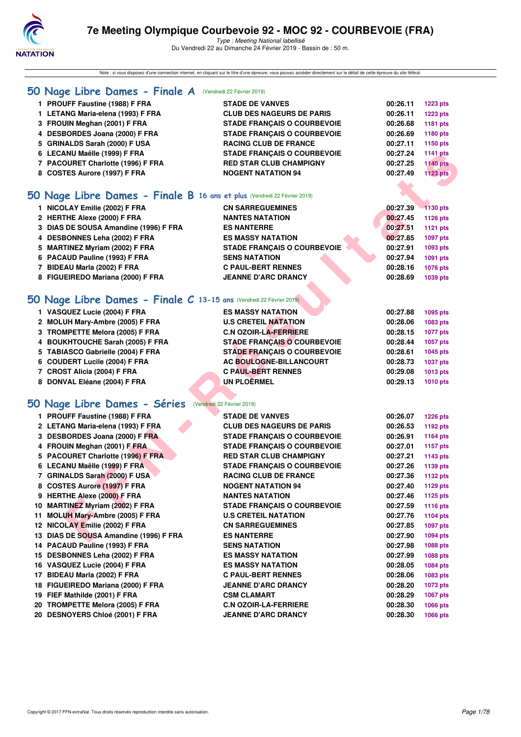

Note : si vous disposez d'une connection internet, en cliquant sur le titre d'une épreuve, vous pouvez accéder directement sur le détail de cette épreuve du site féféral.

| 50 Nage Libre Dames - Finale A (Vendredi 22 Février 2019)                |                                    |          |                 |
|--------------------------------------------------------------------------|------------------------------------|----------|-----------------|
| 1 PROUFF Faustine (1988) F FRA                                           | <b>STADE DE VANVES</b>             | 00:26.11 | <b>1223 pts</b> |
| 1 LETANG Maria-elena (1993) F FRA                                        | <b>CLUB DES NAGEURS DE PARIS</b>   | 00:26.11 | <b>1223 pts</b> |
| 3 FROUIN Meghan (2001) F FRA                                             | <b>STADE FRANCAIS O COURBEVOIE</b> | 00:26.68 | 1181 pts        |
| 4 DESBORDES Joana (2000) F FRA                                           | <b>STADE FRANÇAIS O COURBEVOIE</b> | 00:26.69 | 1180 pts        |
| 5 GRINALDS Sarah (2000) F USA                                            | <b>RACING CLUB DE FRANCE</b>       | 00:27.11 | 1150 pts        |
| 6 LECANU Maëlle (1999) F FRA                                             | <b>STADE FRANÇAIS O COURBEVOIE</b> | 00:27.24 | 1141 pts        |
| 7 PACOURET Charlotte (1996) F FRA                                        | <b>RED STAR CLUB CHAMPIGNY</b>     | 00:27.25 | <b>1140 pts</b> |
| 8 COSTES Aurore (1997) F FRA                                             | <b>NOGENT NATATION 94</b>          | 00:27.49 | <b>1123 pts</b> |
|                                                                          |                                    |          |                 |
| 50 Nage Libre Dames - Finale B 16 ans et plus (Vendredi 22 Février 2019) |                                    |          |                 |
| 1 NICOLAY Emilie (2002) F FRA                                            | <b>CN SARREGUEMINES</b>            | 00:27.39 | 1130 pts        |
| 2 HERTHE Alexe (2000) F FRA                                              | <b>NANTES NATATION</b>             | 00:27.45 | 1126 pts        |
| 3 DIAS DE SOUSA Amandine (1996) F FRA                                    | <b>ES NANTERRE</b>                 | 00:27.51 | <b>1121 pts</b> |
| 4 DESBONNES Leha (2002) F FRA                                            | <b>ES MASSY NATATION</b>           | 00:27.85 | 1097 pts        |
| 5 MARTINEZ Myriam (2002) F FRA                                           | <b>STADE FRANÇAIS O COURBEVOIE</b> | 00:27.91 | 1093 pts        |
| 6 PACAUD Pauline (1993) F FRA                                            | <b>SENS NATATION</b>               | 00:27.94 | 1091 pts        |
| 7 BIDEAU Marla (2002) F FRA                                              | <b>C PAUL-BERT RENNES</b>          | 00:28.16 | 1076 pts        |
| 8 FIGUEIREDO Mariana (2000) F FRA                                        | <b>JEANNE D'ARC DRANCY</b>         | 00:28.69 | 1039 pts        |
|                                                                          |                                    |          |                 |
| 50 Nage Libre Dames - Finale C 13-15 ans (Vendredi 22 Février 2019)      |                                    |          |                 |
| 1 VASQUEZ Lucie (2004) F FRA                                             | <b>ES MASSY NATATION</b>           | 00:27.88 | 1095 pts        |
| 2 MOLUH Mary-Ambre (2005) F FRA                                          | <b>U.S CRETEIL NATATION</b>        | 00:28.06 | 1083 pts        |
| 3 TROMPETTE Melora (2005) F FRA                                          | <b>C.N OZOIR-LA-FERRIERE</b>       | 00:28.15 | 1077 pts        |
| 4 BOUKHTOUCHE Sarah (2005) F FRA                                         | <b>STADE FRANÇAIS O COURBEVOIE</b> | 00:28.44 | 1057 pts        |
| 5 TABIASCO Gabrielle (2004) F FRA                                        | <b>STADE FRANÇAIS O COURBEVOIE</b> | 00:28.61 | 1045 pts        |
| 6 COUDERT Lucile (2004) F FRA                                            | AC BOULOGNE-BILLANCOURT            | 00:28.73 | 1037 pts        |
| 7 CROST Alicia (2004) F FRA                                              | <b>C PAUL-BERT RENNES</b>          | 00:29.08 | <b>1013 pts</b> |
| 8 DONVAL Eléane (2004) F FRA                                             | <b>UN PLOËRMEL</b>                 | 00:29.13 | 1010 pts        |
|                                                                          |                                    |          |                 |
| 50 Nage Libre Dames - Séries (Vendredi 22 Février 2019)                  |                                    |          |                 |
| 1 PROUFF Faustine (1988) F FRA                                           | <b>STADE DE VANVES</b>             | 00:26.07 | <b>1226 pts</b> |
| 2 LETANG Maria-elena (1993) F FRA                                        | <b>CLUB DES NAGEURS DE PARIS</b>   | 00:26.53 | 1192 pts        |
| 3 DESBORDES Joana (2000) F FRA                                           | <b>STADE FRANÇAIS O COURBEVOIE</b> | 00:26.91 | 1164 pts        |
| 4 FROUIN Meghan (2001) F FRA                                             | <b>STADE FRANCAIS O COURBEVOIE</b> | 00:27.01 | 1157 pts        |
| 5 PACOURET Charlotte (1996) F FRA                                        | <b>RED STAR CLUB CHAMPIGNY</b>     | 00:27.21 | 1143 pts        |
| 6 LECANU Maëlle (1999) F FRA                                             | <b>STADE FRANÇAIS O COURBEVOIE</b> | 00:27.26 | 1139 pts        |
| 7 GRINALDS Sarah (2000) F USA                                            | <b>RACING CLUB DE FRANCE</b>       | 00:27.36 | <b>1132 pts</b> |
| 8 COSTES Aurore (1997) F FRA                                             | <b>NOGENT NATATION 94</b>          | 00:27.40 | 1129 pts        |
| 9 HERTHE Alexe (2000) F FRA                                              | <b>NANTES NATATION</b>             | 00:27.46 | 1125 pts        |
| 10 MARTINEZ Myriam (2002) F FRA                                          | <b>STADE FRANCAIS O COURBEVOIE</b> | 00:27.59 | 1116 pts        |
| 11 MOLUH Mary-Ambre (2005) F FRA                                         | <b>U.S CRETEIL NATATION</b>        | 00:27.76 | 1104 pts        |
| 12 NICOLAY Emilie (2002) F FRA                                           | <b>CN SARREGUEMINES</b>            | 00:27.85 | 1097 pts        |
| 13 DIAS DE SOUSA Amandine (1996) F FRA                                   | <b>ES NANTERRE</b>                 | 00:27.90 | 1094 pts        |
|                                                                          |                                    |          |                 |

- **7 GRINALDS Sarah (2000) F USA**<br> **7 GRINALDS Sarah (2000) F USA**<br> **RACING CLUB DE FRANCE DOSTES Aurore (1997) F FRA**<br> **NOGENT NATATION 94**<br> **1129 pts**
- **8 COSTES Aurore (1997) F FRA NOGENT NATATION 94 00:27.40 1129 pts**
- **9 HERTHE Alexe (2000) F FRA NANTES NATATION 00:27.46 1125 pts**
- **10 MARTINEZ Myriam (2002) F FRA STADE FRANÇAIS O COURBEVOIE 00:27.59 1116 pts**
- **11 MOLUH Mary-Ambre (2005) F FRA U.S CRETEIL NATATION 00:27.76 1104 pts**
- **12 NICOLAY Emilie (2002) F FRA CN SARREGUEMINES 00:27.85 1097 pts**
- **13 DIAS DE SOUSA Amandine (1996) F FRA ES NANTERRE 1999 PTS** 60:27.90 **1094** pts
- **14 PACAUD Pauline (1993) F FRA SENS NATATION 00:27.98 1088 pts**
- **15 DESBONNES Leha (2002) F FRA ES MASSY NATATION 00:27.99 1088 pts**
- **16 VASQUEZ Lucie (2004) F FRA ES MASSY NATATION 00:28.05 1084 pts 17 BIDEAU Marla (2002) F FRA C PAUL-BERT RENNES 00:28.06 1083 pts**
- 
- **18 FIGUEIREDO Mariana (2000) F FRA JEANNE D'ARC DRANCY 00:28.20 1073 pts**
- **19 FIEF Mathilde (2001) F FRA CSM CLAMART CSM CLAMART** 00:28.29 1067 pts
- **20 TROMPETTE Melora (2005) F FRA C.N OZOIR-LA-FERRIERE 00:28.30 1066 pts 20 DESNOYERS Chloé (2001) F FRA JEANNE D'ARC DRANCY 00:28.30 1066 pts**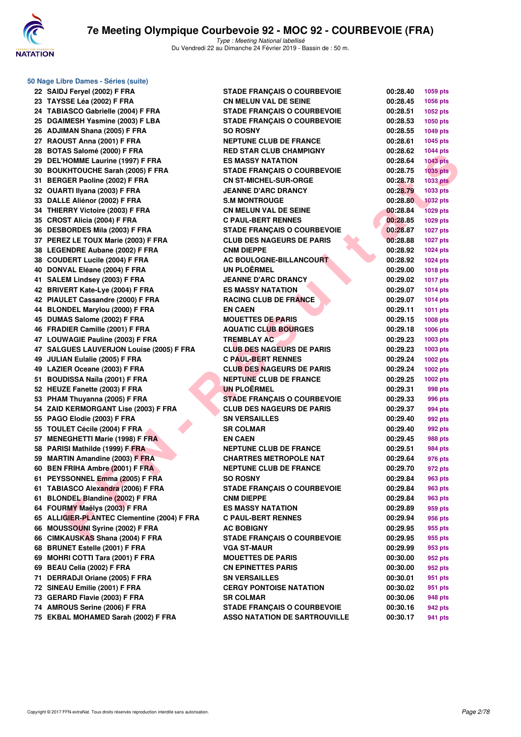

|     | 50 Nage Libre Dames - Séries (suite)        |                                      |                      |                 |
|-----|---------------------------------------------|--------------------------------------|----------------------|-----------------|
|     | 22 SAIDJ Feryel (2002) F FRA                | <b>STADE FRANÇAIS O COURBEVOIE</b>   | 00:28.40             | <b>1059 pts</b> |
|     | 23 TAYSSE Léa (2002) F FRA                  | <b>CN MELUN VAL DE SEINE</b>         | 00:28.45             | 1056 pts        |
|     | 24 TABIASCO Gabrielle (2004) F FRA          | <b>STADE FRANCAIS O COURBEVOIE</b>   | 00:28.51             | 1052 pts        |
|     | 25 DGAIMESH Yasmine (2003) F LBA            | <b>STADE FRANÇAIS O COURBEVOIE</b>   | 00:28.53             | <b>1050 pts</b> |
|     | 26 ADJIMAN Shana (2005) F FRA               | <b>SO ROSNY</b>                      | 00:28.55             | <b>1049 pts</b> |
|     | 27 RAOUST Anna (2001) F FRA                 | <b>NEPTUNE CLUB DE FRANCE</b>        | 00:28.61             | 1045 pts        |
|     | 28 BOTAS Salomé (2000) F FRA                | <b>RED STAR CLUB CHAMPIGNY</b>       | 00:28.62             | <b>1044 pts</b> |
|     | 29 DEL'HOMME Laurine (1997) F FRA           | <b>ES MASSY NATATION</b>             | 00:28.64             | <b>1043 pts</b> |
|     | 30 BOUKHTOUCHE Sarah (2005) F FRA           | <b>STADE FRANÇAIS O COURBEVOIE</b>   | 00:28.75             | <b>1035 pts</b> |
|     | 31 BERGER Paoline (2002) F FRA              | <b>CN ST-MICHEL-SUR-ORGE</b>         | 00:28.78             | <b>1033 pts</b> |
|     | 32 OUARTI Ilyana (2003) F FRA               | <b>JEANNE D'ARC DRANCY</b>           | 00:28.79             | 1033 pts        |
|     | 33 DALLE Aliénor (2002) F FRA               | <b>S.M MONTROUGE</b>                 | 00:28.80             | <b>1032 pts</b> |
|     | 34 THIERRY Victoire (2003) F FRA            | <b>CN MELUN VAL DE SEINE</b>         | 00:28.84             | <b>1029 pts</b> |
|     | 35 CROST Alicia (2004) F FRA                | <b>C PAUL-BERT RENNES</b>            | 00:28.85             | 1029 pts        |
|     | 36 DESBORDES Mila (2003) F FRA              | <b>STADE FRANÇAIS O COURBEVOIE</b>   | 00:28.87             | <b>1027 pts</b> |
|     | 37 PEREZ LE TOUX Marie (2003) F FRA         | <b>CLUB DES NAGEURS DE PARIS</b>     | 00:28.88             | <b>1027 pts</b> |
|     | 38 LEGENDRE Aubane (2002) F FRA             | <b>CNM DIEPPE</b>                    | 00:28.92             | 1024 pts        |
|     | 38 COUDERT Lucile (2004) F FRA              | <b>AC BOULOGNE-BILLANCOURT</b>       | 00:28.92             | 1024 pts        |
|     | 40 DONVAL Eléane (2004) F FRA               | UN PLOËRMEL                          | 00:29.00             | <b>1018 pts</b> |
|     | 41 SALEM Lindsey (2003) F FRA               | <b>JEANNE D'ARC DRANCY</b>           | 00:29.02             | <b>1017 pts</b> |
|     | 42 BRIVERT Kate-Lye (2004) F FRA            | <b>ES MASSY NATATION</b>             | 00:29.07             | <b>1014 pts</b> |
|     | 42 PIAULET Cassandre (2000) F FRA           | <b>RACING CLUB DE FRANCE</b>         | 00:29.07             | <b>1014 pts</b> |
|     | 44 BLONDEL Marylou (2000) F FRA             | <b>EN CAEN</b>                       | 00:29.11             | 1011 pts        |
|     | 45 DUMAS Salome (2002) F FRA                | <b>MOUETTES DE PARIS</b>             | 00:29.15             | <b>1008 pts</b> |
|     | 46 FRADIER Camille (2001) F FRA             | <b>AQUATIC CLUB BOURGES</b>          | 00:29.18             | 1006 pts        |
|     | 47 LOUWAGIE Pauline (2003) F FRA            | TREMBLAY AC                          | 00:29.23             |                 |
|     | 47 SALGUES LAUVERJON Louise (2005) F FRA    | <b>CLUB DES NAGEURS DE PARIS</b>     | 00:29.23             | 1003 pts        |
|     |                                             | <b>C PAUL-BERT RENNES</b>            | 00:29.24             | 1003 pts        |
|     | 49 JULIAN Eulalie (2005) F FRA              | <b>CLUB DES NAGEURS DE PARIS</b>     |                      | 1002 pts        |
|     | 49 LAZIER Oceane (2003) F FRA               | <b>NEPTUNE CLUB DE FRANCE</b>        | 00:29.24<br>00:29.25 | 1002 pts        |
|     | 51 BOUDISSA Naïla (2001) F FRA              | <b>UN PLOËRMEL</b>                   |                      | 1002 pts        |
|     | 52 HEUZE Fanette (2003) F FRA               |                                      | 00:29.31             | 998 pts         |
|     | 53 PHAM Thuyanna (2005) F FRA               | <b>STADE FRANÇAIS O COURBEVOIE</b>   | 00:29.33             | 996 pts         |
|     | 54 ZAID KERMORGANT Lise (2003) F FRA        | <b>CLUB DES NAGEURS DE PARIS</b>     | 00:29.37             | 994 pts         |
|     | 55 PAGO Elodie (2003) F FRA                 | <b>SN VERSAILLES</b>                 | 00:29.40             | 992 pts         |
|     | 55 TOULET Cécile (2004) F FRA               | <b>SR COLMAR</b>                     | 00:29.40             | 992 pts         |
|     | 57 MENEGHETTI Marie (1998) F FRA            | <b>EN CAEN</b>                       | 00:29.45             | <b>988 pts</b>  |
|     | 58 PARISI Mathilde (1999) F FRA             | <b>NEPTUNE CLUB DE FRANCE</b>        | 00:29.51             | 984 pts         |
|     | 59 MARTIN Amandine (2003) F FRA             | <b>CHARTRES METROPOLE NAT</b>        | 00:29.64             | 976 pts         |
|     | 60 BEN FRIHA Ambre (2001) F FRA             | <b>NEPTUNE CLUB DE FRANCE</b>        | 00:29.70             | 972 pts         |
|     | 61 PEYSSONNEL Emma (2005) F FRA             | <b>SO ROSNY</b>                      | 00:29.84             | 963 pts         |
|     | 61 TABIASCO Alexandra (2006) F FRA          | <b>STADE FRANÇAIS O COURBEVOIE</b>   | 00:29.84             | 963 pts         |
|     | 61 BLONDEL Blandine (2002) F FRA            | <b>CNM DIEPPE</b>                    | 00:29.84             | 963 pts         |
|     | 64 FOURMY Maëlys (2003) F FRA               | ES MASSY NATATION                    | 00:29.89             | 959 pts         |
|     | 65 ALLIGIER-PLANTEC Clementine (2004) F FRA | <b>C PAUL-BERT RENNES</b>            | 00:29.94             | 956 pts         |
|     | 66 MOUSSOUNI Syrine (2002) F FRA            | <b>AC BOBIGNY</b>                    | 00:29.95             | 955 pts         |
|     | 66 CIMKAUSKAS Shana (2004) F FRA            | <b>STADE FRANÇAIS O COURBEVOIE</b>   | 00:29.95             | 955 pts         |
|     | 68 BRUNET Estelle (2001) F FRA              | <b>VGA ST-MAUR</b>                   | 00:29.99             | 953 pts         |
|     | 69 MOHRI COTTI Tara (2001) F FRA            | <b>MOUETTES DE PARIS</b>             | 00:30.00             | 952 pts         |
|     | 69 BEAU Celia (2002) F FRA                  | <b>CN EPINETTES PARIS</b>            | 00:30.00             | 952 pts         |
| 71. | DERRADJI Oriane (2005) F FRA                | <b>SN VERSAILLES</b>                 | 00:30.01             | 951 pts         |
|     | 72 SINEAU Emilie (2001) F FRA               | <b>CERGY PONTOISE NATATION</b>       | 00:30.02             | 951 pts         |
|     | 73 GERARD Flavie (2003) F FRA               | <b>SR COLMAR</b>                     | 00:30.06             | 948 pts         |
|     | 74 AMROUS Serine (2006) F FRA               | <b>STADE FRANÇAIS O COURBEVOIE</b>   | 00:30.16             | 942 pts         |
|     | 75 EKBAL MOHAMED Sarah (2002) F FRA         | <b>ASSO NATATION DE SARTROUVILLE</b> | 00:30.17             | 941 pts         |
|     |                                             |                                      |                      |                 |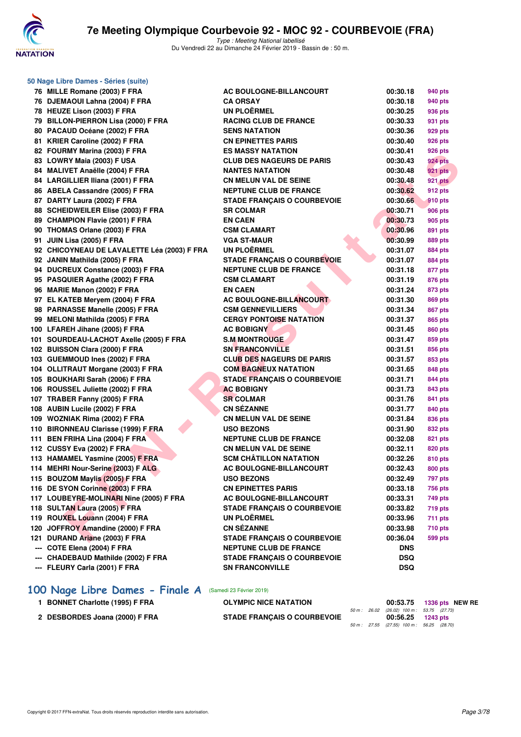

| 50 Nage Libre Dames - Séries (suite)        |                                    |                      |                |
|---------------------------------------------|------------------------------------|----------------------|----------------|
| 76 MILLE Romane (2003) F FRA                | AC BOULOGNE-BILLANCOURT            | 00:30.18             | 940 pts        |
| 76 DJEMAOUI Lahna (2004) F FRA              | <b>CA ORSAY</b>                    | 00:30.18             | 940 pts        |
| 78 HEUZE Lison (2003) F FRA                 | <b>UN PLOËRMEL</b>                 | 00:30.25             | 936 pts        |
| 79 BILLON-PIERRON Lisa (2000) F FRA         | <b>RACING CLUB DE FRANCE</b>       | 00:30.33             | 931 pts        |
| 80 PACAUD Océane (2002) F FRA               | <b>SENS NATATION</b>               | 00:30.36             | 929 pts        |
| 81 KRIER Caroline (2002) F FRA              | <b>CN EPINETTES PARIS</b>          | 00:30.40             | 926 pts        |
| 82 FOURMY Marina (2003) F FRA               | <b>ES MASSY NATATION</b>           | 00:30.41             | 926 pts        |
| 83 LOWRY Maia (2003) F USA                  | <b>CLUB DES NAGEURS DE PARIS</b>   | 00:30.43             | <b>924 pts</b> |
| 84 MALIVET Anaëlle (2004) F FRA             | <b>NANTES NATATION</b>             | 00:30.48             | <b>921 pts</b> |
| 84 LARGILLIER Iliana (2001) F FRA           | <b>CN MELUN VAL DE SEINE</b>       | 00:30.48             | <b>921 pts</b> |
| 86 ABELA Cassandre (2005) F FRA             | <b>NEPTUNE CLUB DE FRANCE</b>      | 00:30.62             | <b>912 pts</b> |
| 87 DARTY Laura (2002) F FRA                 | <b>STADE FRANÇAIS O COURBEVOIE</b> | 00:30.66             | 910 pts        |
| 88 SCHEIDWEILER Elise (2003) F FRA          | <b>SR COLMAR</b>                   | 00:30.71             | <b>906 pts</b> |
| 89 CHAMPION Flavie (2001) F FRA             | <b>EN CAEN</b>                     | 00:30.73             | 905 pts        |
| 90 THOMAS Orlane (2003) F FRA               | <b>CSM CLAMART</b>                 | 00:30.96             | 891 pts        |
| 91 JUIN Lisa (2005) F FRA                   | <b>VGA ST-MAUR</b>                 | 00:30.99             | 889 pts        |
| 92 CHICOYNEAU DE LAVALETTE Léa (2003) F FRA | <b>UN PLOËRMEL</b>                 | 00:31.07             | 884 pts        |
| 92 JANIN Mathilda (2005) F FRA              | STADE FRANÇAIS O COURBEVOIE        | 00:31.07             | 884 pts        |
| 94 DUCREUX Constance (2003) F FRA           | <b>NEPTUNE CLUB DE FRANCE</b>      |                      |                |
| 95 PASQUIER Agathe (2002) F FRA             | <b>CSM CLAMART</b>                 | 00:31.18<br>00:31.19 | 877 pts        |
|                                             |                                    |                      | 876 pts        |
| 96 MARIE Manon (2002) F FRA                 | <b>EN CAEN</b>                     | 00:31.24             | 873 pts        |
| 97 EL KATEB Meryem (2004) F FRA             | <b>AC BOULOGNE-BILLANCOURT</b>     | 00:31.30             | 869 pts        |
| 98 PARNASSE Manelle (2005) F FRA            | <b>CSM GENNEVILLIERS</b>           | 00:31.34             | 867 pts        |
| 99 MELONI Mathilda (2005) F FRA             | <b>CERGY PONTOISE NATATION</b>     | 00:31.37             | 865 pts        |
| 100 LFAREH Jihane (2005) F FRA              | <b>AC BOBIGNY</b>                  | 00:31.45             | 860 pts        |
| 101 SOURDEAU-LACHOT Axelle (2005) F FRA     | <b>S.M MONTROUGE</b>               | 00:31.47             | 859 pts        |
| 102 BUISSON Clara (2000) F FRA              | <b>SN FRANCONVILLE</b>             | 00:31.51             | 856 pts        |
| 103 GUEMMOUD Ines (2002) F FRA              | <b>CLUB DES NAGEURS DE PARIS</b>   | 00:31.57             | 853 pts        |
| 104 OLLITRAUT Morgane (2003) F FRA          | <b>COM BAGNEUX NATATION</b>        | 00:31.65             | 848 pts        |
| 105 BOUKHARI Sarah (2006) F FRA             | <b>STADE FRANÇAIS O COURBEVOIE</b> | 00:31.71             | 844 pts        |
| 106 ROUSSEL Juliette (2002) F FRA           | <b>AC BOBIGNY</b>                  | 00:31.73             | 843 pts        |
| 107 TRABER Fanny (2005) F FRA               | <b>SR COLMAR</b>                   | 00:31.76             | 841 pts        |
| 108 AUBIN Lucile (2002) F FRA               | <b>CN SÉZANNE</b>                  | 00:31.77             | 840 pts        |
| 109 WOZNIAK Rima (2002) F FRA               | <b>CN MELUN VAL DE SEINE</b>       | 00:31.84             | 836 pts        |
| 110 BIRONNEAU Clarisse (1999) F FRA         | <b>USO BEZONS</b>                  | 00:31.90             | 832 pts        |
| 111 BEN FRIHA Lina (2004) F FRA             | <b>NEPTUNE CLUB DE FRANCE</b>      | 00:32.08             | 821 pts        |
| 112 CUSSY Eva (2002) F FRA                  | <b>CN MELUN VAL DE SEINE</b>       | 00:32.11             | 820 pts        |
| 113 HAMAMEL Yasmine (2005) F FRA            | <b>SCM CHÂTILLON NATATION</b>      | 00:32.26             | 810 pts        |
| 114 MEHRI Nour-Serine (2003) F ALG          | <b>AC BOULOGNE-BILLANCOURT</b>     | 00:32.43             | <b>800 pts</b> |
| 115 BOUZOM Maylis (2005) F FRA              | <b>USO BEZONS</b>                  | 00:32.49             | 797 pts        |
| 116 DE SYON Corinne (2003) F FRA            | <b>CN EPINETTES PARIS</b>          | 00:33.18             | 756 pts        |
| 117 LOUBEYRE-MOLINARI Nine (2005) F FRA     | <b>AC BOULOGNE-BILLANCOURT</b>     | 00:33.31             | 749 pts        |
| 118 SULTAN Laura (2005) F FRA               | <b>STADE FRANÇAIS O COURBEVOIE</b> | 00:33.82             | <b>719 pts</b> |
| 119 ROUXEL Louann (2004) F FRA              | <b>UN PLOËRMEL</b>                 | 00:33.96             | 711 pts        |
| 120 JOFFROY Amandine (2000) F FRA           | <b>CN SÉZANNE</b>                  | 00:33.98             | 710 pts        |
| 121 DURAND Ariane (2003) F FRA              | <b>STADE FRANÇAIS O COURBEVOIE</b> | 00:36.04             | 599 pts        |
| --- COTE Elena (2004) F FRA                 | <b>NEPTUNE CLUB DE FRANCE</b>      | <b>DNS</b>           |                |
| --- CHADEBAUD Mathilde (2002) F FRA         | <b>STADE FRANÇAIS O COURBEVOIE</b> | <b>DSQ</b>           |                |
| --- FLEURY Carla (2001) F FRA               | <b>SN FRANCONVILLE</b>             | <b>DSQ</b>           |                |
|                                             |                                    |                      |                |

# **[100 Nage Libre Dames - Finale A](http://www.ffnatation.fr/webffn/resultats.php?idact=nat&go=epr&idcpt=57703&idepr=2)** (Samedi 23 Février 2019)

| <b>BONNET Charlotte (1995) F FRA</b> | <b>OLYMPIC NICE NATATION</b>       |  |                                                                 | 00:53.75 1336 pts NEW RE |  |
|--------------------------------------|------------------------------------|--|-----------------------------------------------------------------|--------------------------|--|
| 2 DESBORDES Joana (2000) F FRA       | <b>STADE FRANCAIS O COURBEVOIE</b> |  | 50 m : 26.02 (26.02) 100 m : 53.75 (27.73)<br>00:56.25 1243 pts |                          |  |
|                                      |                                    |  | 50 m : 27.55 (27.55) 100 m : 56.25 (28.70)                      |                          |  |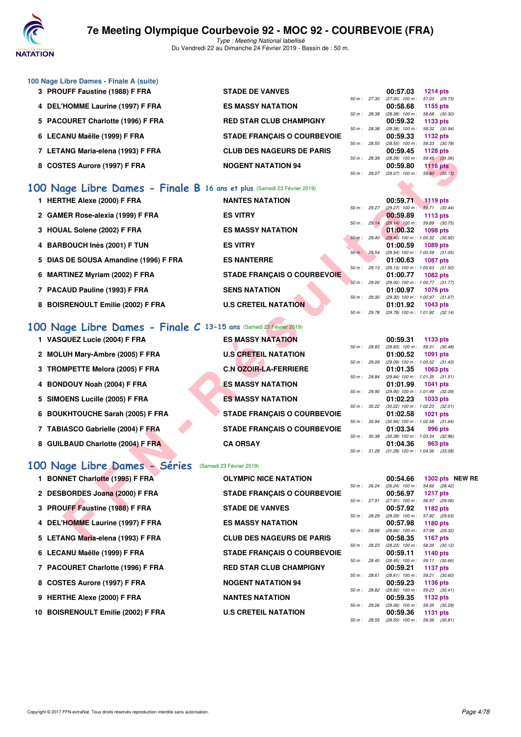

Type : Meeting National labellisé Du Vendredi 22 au Dimanche 24 Février 2019 - Bassin de : 50 m.

| 100 Nage Libre Dames - Finale A (suite) |                                    |             |                |                              |               |
|-----------------------------------------|------------------------------------|-------------|----------------|------------------------------|---------------|
| 3 PROUFF Faustine (1988) F FRA          | <b>STADE DE VANVES</b>             |             |                | 00:57.03                     | 1214 $pts$    |
|                                         |                                    |             | 50 m: 27.30    | (27.30) 100 m : 57.03 (29.73 |               |
| 4 DEL'HOMME Laurine (1997) F FRA        | <b>ES MASSY NATATION</b>           |             |                | 00:58.68                     | 1155 pts      |
|                                         |                                    |             | 50 m: 28.38    | $(28.38)$ 100 m :            | 58.68 (30.30  |
| 5 PACOURET Charlotte (1996) F FRA       | <b>RED STAR CLUB CHAMPIGNY</b>     |             |                | 00:59.32                     | 1133 $pts$    |
|                                         |                                    |             | 50 m: 28.38    | $(28.38)$ 100 m :            | 59.32 (30.94  |
| 6 LECANU Maëlle (1999) F FRA            | <b>STADE FRANCAIS O COURBEVOIE</b> |             |                | 00:59.33                     | 1132 $pts$    |
|                                         |                                    |             | $50 m$ : 28.55 | $(28.55)$ 100 m :            | 59.33 (30.78) |
| 7 LETANG Maria-elena (1993) F FRA       | <b>CLUB DES NAGEURS DE PARIS</b>   |             |                | 00:59.45                     | 1128 $pts$    |
|                                         |                                    | 50 m: 28.39 |                | $(28.39)$ 100 m :            | 59.45 (31.06  |
| 8 COSTES Aurore (1997) F FRA            | <b>NOGENT NATATION 94</b>          |             |                | 00:59.80                     | $1116$ pts    |
|                                         |                                    |             | 50 m: 29.07    | $(29.07)$ 100 m :            | 59.80 (30.73  |

### **[100 Nage Libre Dames - Finale B](http://www.ffnatation.fr/webffn/resultats.php?idact=nat&go=epr&idcpt=57703&idepr=2) 16 ans et plus** (Samedi 23 Février 2019)

| $\mu$ LETARG Managetria (1993) F FRA                                   | CLOB DES NAGEONS DE FANIS          |              |              | UU.JJ.4J                                        | 1140 PM                          |              |  |
|------------------------------------------------------------------------|------------------------------------|--------------|--------------|-------------------------------------------------|----------------------------------|--------------|--|
| 8 COSTES Aurore (1997) F FRA                                           | <b>NOGENT NATATION 94</b>          |              | 50 m : 28.39 | $(28.39)$ 100 m :<br>00:59.80                   | 59.45 (31.06)<br>1116 $pts$      |              |  |
|                                                                        |                                    | 50 m : 29.07 |              | $(29.07)$ 100 m :                               | 59.80 (30.73)                    |              |  |
|                                                                        |                                    |              |              |                                                 |                                  |              |  |
| 00 Nage Libre Dames - Finale B 16 ans et plus (Samedi 23 Février 2019) |                                    |              |              |                                                 |                                  |              |  |
| 1 HERTHE Alexe (2000) F FRA                                            | <b>NANTES NATATION</b>             |              |              | 00:59.71                                        | $1119$ pts                       |              |  |
| 2 GAMER Rose-alexia (1999) F FRA                                       | <b>ES VITRY</b>                    | 50 m: 29.27  |              | $(29.27)$ 100 m :<br>00:59.89                   | 59.71 (30.44)<br>1113 $pts$      |              |  |
|                                                                        |                                    | 50 m: 29.14  |              | $(29.14)$ 100 m :                               | 59.89 (30.75)                    |              |  |
| 3 HOUAL Solene (2002) F FRA                                            | <b>ES MASSY NATATION</b>           |              |              | 01:00.32                                        | 1098 pts                         |              |  |
| 4 BARBOUCH Inès (2001) F TUN                                           | <b>ES VITRY</b>                    | 50 m: 29.40  |              | $(29.40)$ 100 m : 1:00.32 $(30.92)$<br>01:00.59 | 1089 pts                         |              |  |
|                                                                        |                                    | 50 m: 29.54  |              | (29.54) 100 m: 1:00.59 (31.05)                  |                                  |              |  |
| 5 DIAS DE SOUSA Amandine (1996) F FRA                                  | <b>ES NANTERRE</b>                 |              |              | 01:00.63                                        | <b>1087 pts</b>                  |              |  |
| 6 MARTINEZ Myriam (2002) F FRA                                         | <b>STADE FRANÇAIS O COURBEVOIE</b> |              | 50 m : 29.13 | $(29.13)$ 100 m : 1:00.63 $(31.50)$<br>01:00.77 | 1082 pts                         |              |  |
|                                                                        |                                    | 50 m: 29.00  |              | (29.00) 100 m: 1:00.77 (31.77)                  |                                  |              |  |
| 7 PACAUD Pauline (1993) F FRA                                          | <b>SENS NATATION</b>               |              |              | 01:00.97                                        | <b>1076 pts</b>                  |              |  |
|                                                                        |                                    | 50 m: 29.30  |              | (29.30) 100 m : 1:00.97 (31.67)                 |                                  |              |  |
| 8 BOISRENOULT Emilie (2002) F FRA                                      | <b>U.S CRETEIL NATATION</b>        |              | 50 m : 29.78 | 01:01.92<br>(29.78) 100 m: 1:01.92 (32.14)      | 1043 pts                         |              |  |
|                                                                        |                                    |              |              |                                                 |                                  |              |  |
| 00 Nage Libre Dames - Finale C 13-15 ans (Samedi 23 Février 2019)      |                                    |              |              |                                                 |                                  |              |  |
| 1 VASQUEZ Lucie (2004) F FRA                                           | <b>ES MASSY NATATION</b>           |              |              | 00:59.31                                        | 1133 pts                         |              |  |
|                                                                        |                                    | 50 m: 28.83  |              | $(28.83)$ 100 m :                               | 59.31 (30.48)                    |              |  |
| 2 MOLUH Mary-Ambre (2005) F FRA                                        | <b>U.S CRETEIL NATATION</b>        |              |              | 01:00.52                                        | <b>1091 pts</b>                  |              |  |
| 3 TROMPETTE Melora (2005) F FRA                                        | <b>C.N OZOIR-LA-FERRIERE</b>       | 50 m : 29.09 |              | $(29.09)$ 100 m : 1:00.52 $(31.43)$<br>01:01.35 | 1063 pts                         |              |  |
|                                                                        |                                    | 50 m : 29.84 |              | $(29.84)$ 100 m : 1:01.35 $(31.51)$             |                                  |              |  |
| 4 BONDOUY Noah (2004) F FRA                                            | <b>ES MASSY NATATION</b>           |              |              | 01:01.99                                        | 1041 pts                         |              |  |
|                                                                        |                                    | 50 m : 29.90 |              | (29.90) 100 m: 1:01.99 (32.09)                  |                                  |              |  |
| 5 SIMOENS Lucille (2005) F FRA                                         | <b>ES MASSY NATATION</b>           | 50 m: 30.22  |              | 01:02.23<br>(30.22) 100 m: 1:02.23 (32.01)      | 1033 pts                         |              |  |
| 6 BOUKHTOUCHE Sarah (2005) F FRA                                       | <b>STADE FRANÇAIS O COURBEVOIE</b> |              |              | 01:02.58                                        | 1021 pts                         |              |  |
|                                                                        |                                    | 50 m: 30.94  |              | $(30.94)$ 100 m : 1:02.58 $(31.64)$             |                                  |              |  |
| 7 TABIASCO Gabrielle (2004) F FRA                                      | <b>STADE FRANÇAIS O COURBEVOIE</b> |              |              | 01:03.34                                        | 996 pts                          |              |  |
| 8 GUILBAUD Charlotte (2004) F FRA                                      | <b>CA ORSAY</b>                    | 50 m : 30.38 |              | $(30.38)$ 100 m : 1:03.34 $(32.96)$<br>01:04.36 | 963 pts                          |              |  |
|                                                                        |                                    | 50 m: 31.28  |              | $(31.28)$ 100 m : 1:04.36 $(33.08)$             |                                  |              |  |
|                                                                        |                                    |              |              |                                                 |                                  |              |  |
| 00 Nage Libre Dames - Séries                                           | (Samedi 23 Février 2019)           |              |              |                                                 |                                  |              |  |
| 1 BONNET Charlotte (1995) F FRA                                        | <b>OLYMPIC NICE NATATION</b>       |              |              | 00:54.66                                        |                                  | 1302 pts NEW |  |
|                                                                        |                                    | 50 m : 26.24 |              | $(26.24)$ 100 m :                               | 54.66 (28.42)                    |              |  |
| 2 DESBORDES Joana (2000) F FRA                                         | <b>STADE FRANÇAIS O COURBEVOIE</b> | 50 m: 27.91  |              | 00:56.97<br>$(27.91)$ 100 m :                   | <b>1217 pts</b><br>56.97 (29.06) |              |  |
| 3 PROUFF Faustine (1988) F FRA                                         | <b>STADE DE VANVES</b>             |              |              | 00:57.92                                        | 1182 pts                         |              |  |
|                                                                        |                                    | 50 m: 28.29  |              | $(28.29)$ 100 m :                               | 57.92 (29.63)                    |              |  |
| 4 DEL'HOMME Laurine (1997) F FRA                                       | <b>ES MASSY NATATION</b>           |              | 50 m : 28.66 | 00:57.98<br>$(28.66)$ 100 m :                   | 1180 pts<br>57.98 (29.32)        |              |  |
| 5 LETANG Maria-elena (1993) F FRA                                      | <b>CLUB DES NAGEURS DE PARIS</b>   |              |              | 00:58.35                                        | 1167 pts                         |              |  |
|                                                                        |                                    |              |              |                                                 |                                  |              |  |

### **[100 Nage Libre Dames - Finale C](http://www.ffnatation.fr/webffn/resultats.php?idact=nat&go=epr&idcpt=57703&idepr=2) 13-15 ans** (Samedi 23 Février 2019)

| 1 VASQUEZ Lucie (2004) F FRA      | <b>ES MASSY NATATION</b>           |                          | 00:59.31                         | 1133 pts   |         |
|-----------------------------------|------------------------------------|--------------------------|----------------------------------|------------|---------|
|                                   |                                    | 50 m: 28.83              | $(28.83)$ 100 m :                | 59.31 (30. |         |
| 2 MOLUH Mary-Ambre (2005) F FRA   | <b>U.S CRETEIL NATATION</b>        |                          | 01:00.52                         | 1091 pts   |         |
|                                   |                                    | 50 m: 29.09              | (29.09) 100 m : 1:00.52 (31.     |            |         |
| 3 TROMPETTE Melora (2005) F FRA   | <b>C.N OZOIR-LA-FERRIERE</b>       |                          | 01:01.35                         | 1063 pts   |         |
|                                   |                                    | 50 m : 29.84             | (29.84) 100 m: 1:01.35 (31.      |            |         |
| 4 BONDOUY Noah (2004) F FRA       | <b>ES MASSY NATATION</b>           |                          | 01:01.99                         | 1041 pts   |         |
|                                   |                                    | 50 m: 29.90              | (29.90) 100 m : 1:01.99 (32.     |            |         |
| 5 SIMOENS Lucille (2005) F FRA    | <b>ES MASSY NATATION</b>           |                          | 01:02.23                         | 1033 pts   |         |
|                                   |                                    | 50 m : 30.22             | $(30.22)$ 100 m : 1:02.23 $(32.$ |            |         |
| 6 BOUKHTOUCHE Sarah (2005) F FRA  | <b>STADE FRANCAIS O COURBEVOIE</b> |                          | 01:02.58                         | 1021 pts   |         |
|                                   |                                    | $50 \text{ m}$ : $30.94$ | $(30.94)$ 100 m : 1:02.58 (31.   |            |         |
| 7 TABIASCO Gabrielle (2004) F FRA | <b>STADE FRANCAIS O COURBEVOIE</b> |                          | 01:03.34                         |            | 996 pts |
|                                   |                                    | 50 m: 30.38              | $(30.38)$ 100 m : 1:03.34 $(32.$ |            |         |
| 8 GUILBAUD Charlotte (2004) F FRA | <b>CA ORSAY</b>                    |                          | 01:04.36                         |            | 963 pts |
|                                   |                                    |                          |                                  |            |         |

### **[100 Nage Libre Dames - Séries](http://www.ffnatation.fr/webffn/resultats.php?idact=nat&go=epr&idcpt=57703&idepr=2)** (Samedi 23 Février 2019)

| 1 BONNET Charlotte (1995) F FRA    | <b>OLYMPIC NICE NATATION</b>       |              | 00:54.66                      |                                  | 1302 pts NEW RE |
|------------------------------------|------------------------------------|--------------|-------------------------------|----------------------------------|-----------------|
| 2 DESBORDES Joana (2000) F FRA     | <b>STADE FRANCAIS O COURBEVOIE</b> | 50 m: 26.24  | $(26.24)$ 100 m :<br>00:56.97 | 54.66 (28.42)                    |                 |
|                                    |                                    | 50 m: 27.91  | $(27.91)$ 100 m :             | <b>1217 pts</b><br>56.97 (29.06) |                 |
| 3 PROUFF Faustine (1988) F FRA     | <b>STADE DE VANVES</b>             |              | 00:57.92                      | 1182 pts                         |                 |
|                                    |                                    | 50 m: 28.29  | $(28.29)$ 100 m :             | 57.92 (29.63)                    |                 |
| 4 DEL'HOMME Laurine (1997) F FRA   | <b>ES MASSY NATATION</b>           | 50 m: 28.66  | 00:57.98<br>$(28.66)$ 100 m : | 1180 pts<br>57.98 (29.32)        |                 |
| 5 LETANG Maria-elena (1993) F FRA  | <b>CLUB DES NAGEURS DE PARIS</b>   |              | 00:58.35                      | 1167 pts                         |                 |
|                                    |                                    | 50 m : 28.23 | $(28.23)$ 100 m :             | 58.35 (30.12)                    |                 |
| 6 LECANU Maëlle (1999) F FRA       | <b>STADE FRANCAIS O COURBEVOIE</b> |              | 00:59.11                      | 1140 pts                         |                 |
| 7 PACOURET Charlotte (1996) F FRA  | <b>RED STAR CLUB CHAMPIGNY</b>     | 50 m: 28.45  | $(28.45)$ 100 m :<br>00:59.21 | 59.11 (30.66)<br>1137 pts        |                 |
|                                    |                                    | 50 m: 28.61  | $(28.61)$ 100 m :             | 59.21 (30.60)                    |                 |
| 8 COSTES Aurore (1997) F FRA       | <b>NOGENT NATATION 94</b>          |              | 00:59.23                      | 1136 pts                         |                 |
|                                    |                                    | 50 m: 28.82  | $(28.82)$ 100 m :             | 59.23 (30.41)                    |                 |
| 9 HERTHE Alexe (2000) F FRA        | <b>NANTES NATATION</b>             |              | 00:59.35                      | 1132 pts                         |                 |
| 10 BOISRENOULT Emilie (2002) F FRA | <b>U.S CRETEIL NATATION</b>        | 50 m: 29.06  | $(29.06)$ 100 m :<br>00:59.36 | 59.35 (30.29)<br><b>1131 pts</b> |                 |
|                                    |                                    |              |                               |                                  |                 |

|              |       | 00:59.31          | 1133 pts            |  |
|--------------|-------|-------------------|---------------------|--|
| 50 m :       | 28.83 | $(28.83)$ 100 m : | 59.31 (30.48)       |  |
|              |       | 01:00.52          | 1091 pts            |  |
| $50 m$ :     | 29.09 | $(29.09)$ 100 m : | 1:00.52 (31.43)     |  |
|              |       | 01:01.35          | 1063 pts            |  |
| 50 m : 29.84 |       | $(29.84) 100 m$ : | $1:01.35$ $(31.51)$ |  |
|              |       | 01:01.99          | 1041 pts            |  |
| 50 m: 29.90  |       | $(29.90)$ 100 m : | 1:01.99 (32.09)     |  |
|              |       | 01:02.23          | 1033 pts            |  |
| 50 m :       | 30.22 | $(30.22)$ 100 m : | $1:02.23$ $(32.01)$ |  |
|              |       | 01:02.58          | 1021 pts            |  |
| $50 m$ :     | 30.94 | $(30.94)$ 100 m : | 1:02.58 (31.64)     |  |
|              |       | 01:03.34          | 996 pts             |  |
| $50 m$ :     | 30.38 | $(30.38)$ 100 m : | 1:03.34 (32.96)     |  |
|              |       | 01:04.36          | 963 pts             |  |
| $50 m$ :     | 31.28 | $(31.28)$ 100 m : | 1:04.36 (33.08)     |  |

|  |              |                                            | 00:54.66 1302 pts NEW RE                   |
|--|--------------|--------------------------------------------|--------------------------------------------|
|  |              | 50 m: 26.24 (26.24) 100 m: 54.66 (28.42)   |                                            |
|  |              | 00:56.97 1217 pts                          |                                            |
|  |              |                                            | 50 m: 27.91 (27.91) 100 m: 56.97 (29.06)   |
|  |              | 00:57.92 1182 pts                          |                                            |
|  | 50 m : 28.29 |                                            | $(28.29)$ 100 m : 57.92 $(29.63)$          |
|  |              | 00:57.98 1180 pts                          |                                            |
|  | 50 m : 28.66 |                                            | $(28.66)$ 100 m : 57.98 $(29.32)$          |
|  |              | 00:58.35 1167 pts                          |                                            |
|  |              |                                            | 50 m: 28.23 (28.23) 100 m: 58.35 (30.12)   |
|  |              | 00:59.11 1140 pts                          |                                            |
|  |              |                                            | 50 m : 28.45 (28.45) 100 m : 59.11 (30.66) |
|  |              | 00:59.21 1137 pts                          |                                            |
|  | 50 m : 28.61 |                                            | $(28.61)$ 100 m : 59.21 $(30.60)$          |
|  |              | 00:59.23 1136 pts                          |                                            |
|  |              | 50 m : 28.82 (28.82) 100 m : 59.23 (30.41) |                                            |
|  |              | 00:59.35 1132 pts                          |                                            |
|  |              | 50 m: 29.06 (29.06) 100 m: 59.35 (30.29)   |                                            |
|  |              | 00:59.36 1131 pts                          |                                            |
|  | 50 m : 28.55 | $(28.55)$ 100 m : 59.36 $(30.81)$          |                                            |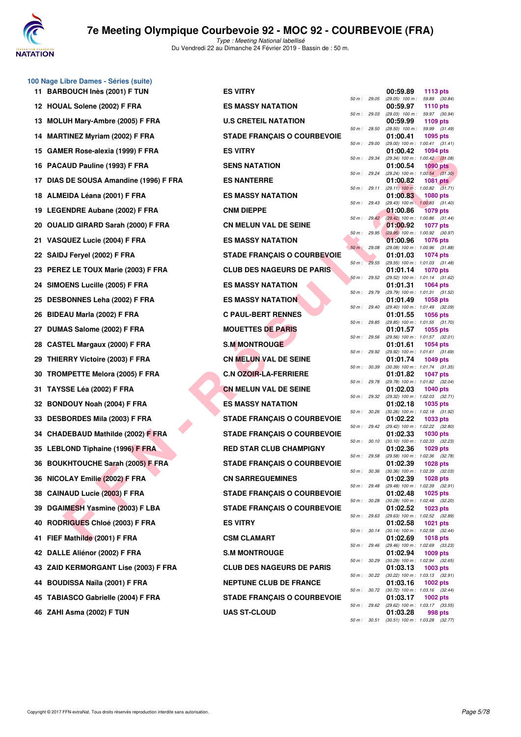

**100 Nage Libre Dames - Séries (suite)**

# **7e Meeting Olympique Courbevoie 92 - MOC 92 - COURBEVOIE (FRA)**

|     | 11 BARBOUCH Inès (2001) F TUN           | <b>ES VITRY</b>                    |              |              | 00:59.89<br>1113 pts                                               |  |
|-----|-----------------------------------------|------------------------------------|--------------|--------------|--------------------------------------------------------------------|--|
|     | 12 HOUAL Solene (2002) F FRA            | <b>ES MASSY NATATION</b>           | 50 m: 29.05  |              | $(29.05)$ 100 m :<br>59.89 (30.84)<br>00:59.97<br>1110 pts         |  |
|     | 13 MOLUH Mary-Ambre (2005) F FRA        | <b>U.S CRETEIL NATATION</b>        | 50 m : 29.03 |              | $(29.03)$ 100 m :<br>59.97 (30.94)<br>00:59.99<br>1109 $pts$       |  |
|     | 14 MARTINEZ Myriam (2002) F FRA         | <b>STADE FRANÇAIS O COURBEVOIE</b> | 50 m : 28.50 |              | $(28.50)$ 100 m : 59.99 $(31.49)$<br>01:00.41<br>1095 pts          |  |
| 15  | GAMER Rose-alexia (1999) F FRA          | <b>ES VITRY</b>                    | 50 m : 29.00 |              | $(29.00)$ 100 m : 1:00.41 $(31.41)$<br>01:00.42<br><b>1094 pts</b> |  |
|     | 16 PACAUD Pauline (1993) F FRA          | <b>SENS NATATION</b>               |              | 50 m : 29.34 | (29.34) 100 m: 1:00.42 (31.08)<br>01:00.54<br>$1090$ pts           |  |
| 17  | DIAS DE SOUSA Amandine (1996) F FRA     | <b>ES NANTERRE</b>                 | 50 m: 29.24  |              | $(29.24)$ 100 m : 1:00.54 $(31.30)$<br>01:00.82<br>1081 pts        |  |
|     | 18 ALMEIDA Léana (2001) F FRA           | <b>ES MASSY NATATION</b>           | 50 m: 29.11  |              | $(29.11)$ 100 m : 1:00.82 $(31.71)$<br>01:00.83<br>1080 pts        |  |
|     | 19 LEGENDRE Aubane (2002) F FRA         | <b>CNM DIEPPE</b>                  | 50 m: 29.43  |              | $(29.43)$ 100 m : 1:00.83 $(31.40)$<br>01:00.86<br><b>1079 pts</b> |  |
| 20  | <b>OUALID GIRARD Sarah (2000) F FRA</b> | <b>CN MELUN VAL DE SEINE</b>       |              | 50 m: 29.42  | (29.42) 100 m : 1:00.86 (31.44)<br>01:00.92<br>1077 pts            |  |
| 21. | VASQUEZ Lucie (2004) F FRA              | <b>ES MASSY NATATION</b>           | 50 m: 29.95  |              | $(29.95)$ 100 m : 1:00.92 $(30.97)$<br>01:00.96<br>1076 pts        |  |
|     | 22 SAIDJ Feryel (2002) F FRA            | <b>STADE FRANÇAIS O COURBEVOIE</b> | 50 m: 29.08  |              | (29.08) 100 m : 1:00.96 (31.88)<br>01:01.03<br><b>1074 pts</b>     |  |
|     | 23 PEREZ LE TOUX Marie (2003) F FRA     | <b>CLUB DES NAGEURS DE PARIS</b>   | 50 m: 29.55  |              | (29.55) 100 m: 1:01.03 (31.48)<br>01:01.14<br><b>1070 pts</b>      |  |
|     |                                         |                                    | 50 m : 29.52 |              | (29.52) 100 m: 1:01.14 (31.62)                                     |  |
|     | 24 SIMOENS Lucille (2005) F FRA         | <b>ES MASSY NATATION</b>           | 50 m : 29.79 |              | 01:01.31<br>1064 pts<br>(29.79) 100 m: 1:01.31 (31.52)             |  |
| 25  | DESBONNES Leha (2002) F FRA             | <b>ES MASSY NATATION</b>           | 50 m : 29.40 |              | 01:01.49<br>1058 pts<br>(29.40) 100 m: 1:01.49 (32.09)             |  |
| 26  | BIDEAU Marla (2002) F FRA               | <b>C PAUL-BERT RENNES</b>          | 50 m : 29.85 |              | 01:01.55<br>1056 pts<br>(29.85) 100 m: 1:01.55 (31.70)             |  |
| 27  | DUMAS Salome (2002) F FRA               | <b>MOUETTES DE PARIS</b>           | 50 m : 29.56 |              | 01:01.57<br>1055 pts<br>(29.56) 100 m: 1:01.57 (32.01)             |  |
| 28  | <b>CASTEL Margaux (2000) F FRA</b>      | <b>S.M MONTROUGE</b>               | 50 m: 29.92  |              | 1054 pts<br>01:01.61<br>(29.92) 100 m: 1:01.61 (31.69)             |  |
| 29  | <b>THIERRY Victoire (2003) F FRA</b>    | <b>CN MELUN VAL DE SEINE</b>       | 50 m : 30.39 |              | 01:01.74<br>1049 pts<br>$(30.39)$ 100 m : 1:01.74 $(31.35)$        |  |
| 30  | TROMPETTE Melora (2005) F FRA           | <b>C.N OZOIR-LA-FERRIERE</b>       | 50 m : 29.78 |              | 01:01.82<br><b>1047 pts</b><br>(29.78) 100 m: 1:01.82 (32.04)      |  |
| 31  | TAYSSE Léa (2002) F FRA                 | <b>CN MELUN VAL DE SEINE</b>       | 50 m: 29.32  |              | 01:02.03<br>1040 pts                                               |  |
| 32  | <b>BONDOUY Noah (2004) F FRA</b>        | <b>ES MASSY NATATION</b>           |              |              | (29.32) 100 m: 1:02.03 (32.71)<br>01:02.18<br>1035 pts             |  |
| 33  | <b>DESBORDES Mila (2003) F FRA</b>      | <b>STADE FRANÇAIS O COURBEVOIE</b> | 50 m : 30.26 |              | (30.26) 100 m: 1:02.18 (31.92)<br>01:02.22<br>1033 pts             |  |
| 34  | <b>CHADEBAUD Mathilde (2002) F FRA</b>  | <b>STADE FRANÇAIS O COURBEVOIE</b> | 50 m: 29.42  |              | (29.42) 100 m : 1:02.22 (32.80)<br>01:02.33<br><b>1030 pts</b>     |  |
|     | 35 LEBLOND Tiphaine (1996) F FRA        | <b>RED STAR CLUB CHAMPIGNY</b>     | 50 m: 30.10  |              | (30.10) 100 m: 1:02.33 (32.23)<br>01:02.36<br>1029 pts             |  |
|     | 36 BOUKHTOUCHE Sarah (2005) F FRA       | <b>STADE FRANÇAIS O COURBEVOIE</b> | 50 m : 29.58 |              | (29.58) 100 m: 1:02.36 (32.78)<br>01:02.39<br>1028 pts             |  |
|     | 36 NICOLAY Emilie (2002) F FRA          | <b>CN SARREGUEMINES</b>            | 50 m : 30.36 |              | $(30.36)$ 100 m : 1:02.39 $(32.03)$<br>01:02.39<br>1028 pts        |  |
|     | 38 CAINAUD Lucie (2003) F FRA           | <b>STADE FRANÇAIS O COURBEVOIE</b> | 50 m : 29.48 |              | (29.48) 100 m: 1:02.39 (32.91)<br>01:02.48<br>1025 $p$ ts          |  |
|     | 39 DGAIMESH Yasmine (2003) F LBA        | <b>STADE FRANÇAIS O COURBEVOIE</b> |              | 50 m : 30.28 | (30.28) 100 m: 1:02.48 (32.20)<br>01:02.52<br>1023 pts             |  |
| 40. | <b>RODRIGUES Chloé (2003) F FRA</b>     | <b>ES VITRY</b>                    |              | 50 m : 29.63 | (29.63) 100 m : 1:02.52 (32.89)<br>01:02.58<br>1021 pts            |  |
|     | 41 FIEF Mathilde (2001) F FRA           | <b>CSM CLAMART</b>                 |              | 50 m : 30.14 | (30.14) 100 m: 1:02.58 (32.44)<br>01:02.69<br>1018 pts             |  |
|     | 42 DALLE Aliénor (2002) F FRA           | <b>S.M MONTROUGE</b>               | 50 m : 29.46 |              | (29.46) 100 m: 1:02.69 (33.23)<br><b>1009 pts</b>                  |  |
|     |                                         |                                    | 50 m : 30.29 |              | 01:02.94<br>(30.29) 100 m: 1:02.94 (32.65)                         |  |
|     | 43 ZAID KERMORGANT Lise (2003) F FRA    | <b>CLUB DES NAGEURS DE PARIS</b>   |              | 50 m : 30.22 | 01:03.13<br>$1003$ pts<br>$(30.22)$ 100 m : 1:03.13 $(32.91)$      |  |
|     | 44 BOUDISSA Naïla (2001) F FRA          | <b>NEPTUNE CLUB DE FRANCE</b>      |              | 50 m : 30.72 | 01:03.16<br>1002 pts<br>$(30.72)$ 100 m : 1:03.16 $(32.44)$        |  |
|     | 45 TABIASCO Gabrielle (2004) F FRA      | <b>STADE FRANÇAIS O COURBEVOIE</b> |              | 50 m : 29.62 | 01:03.17<br>1002 pts<br>(29.62) 100 m : 1:03.17 (33.55)            |  |
|     | 46 ZAHI Asma (2002) F TUN               | <b>UAS ST-CLOUD</b>                |              |              | 01:03.28<br>998 pts                                                |  |

| :S VITRY                          |             |              | 00:59.89                              | 1113 $pts$                                               |
|-----------------------------------|-------------|--------------|---------------------------------------|----------------------------------------------------------|
| S MASSY NATATION:                 | $50 m$ :    | 29.05        | $(29.05)$ 100 m :<br>00:59.97         | 59.89<br>(30.84)<br>1110 $pts$                           |
| I.S CRETEIL NATATION              | $50 m$ :    | 29.03        | $(29.03)$ 100 m :<br>00:59.99         | 59.97<br>(30.94)<br>1109 pts                             |
|                                   | $50 m$ :    | 28.50        | $(28.50)$ 100 m :                     | 59.99<br>(31.49)                                         |
| <b>TADE FRANÇAIS O COURBEVOIE</b> | $50 m$ :    | 29.00        | 01:00.41<br>(29.00) 100 m : 1:00.41   | 1095 pts<br>(31.41)                                      |
| :S VITRY                          | $50 m$ :    | 29.34        | 01:00.42                              | 1094 pts<br>(29.34) 100 m: 1:00.42 (31.08)               |
| <b>ENS NATATION</b>               |             |              | 01:00.54                              | 1090 pts                                                 |
| <b>S NANTERRE:</b>                | $50 m$ :    | 29.24        | 01:00.82                              | (29.24) 100 m: 1:00.54 (31.30)<br>1081 pts               |
| S MASSY NATATION:                 | $50 m$ :    | 29.11        | $(29.11)$ 100 m : 1:00.82<br>01:00.83 | (31.71)<br>1080 pts                                      |
|                                   | $50 m$ :    | 29.43        | $(29.43)$ 100 m : 1:00.83             | (31.40)                                                  |
| <b>:NM DIEPPE</b>                 | $50 m$ :    | 29.42        | 01:00.86                              | 1079 pts<br>(29.42) 100 m: 1:00.86 (31.44)               |
| <b>IN MELUN VAL DE SEINE</b>      | $50 m$ :    | 29.95        | 01:00.92<br>$(29.95)$ 100 m : 1:00.92 | <b>1077 pts</b><br>(30.97)                               |
| S MASSY NATATION:                 |             |              | 01:00.96                              | <b>1076 pts</b>                                          |
| <b>TADE FRANÇAIS O COURBEVOIE</b> | $50 m$ :    | 29.08        | 01:01.03                              | (29.08) 100 m: 1:00.96 (31.88)<br>1074 pts               |
| LUB DES NAGEURS DE PARIS          | $50 m$ :    | 29.55        | 01:01.14                              | (29.55) 100 m: 1:01.03 (31.48)<br>1070 pts               |
|                                   | $50 m$ :    | 29.52        | (29.52) 100 m : 1:01.14               | (31.62)                                                  |
| S MASSY NATATION:                 | $50 m$ :    | 29.79        | 01:01.31<br>(29.79) 100 m : 1:01.31   | 1064 pts<br>(31.52)                                      |
| S MASSY NATATION:                 | $50 m$ :    | 29.40        | 01:01.49<br>(29.40) 100 m : 1:01.49   | 1058 pts<br>(32.09)                                      |
| <b>PAUL-BERT RENNES</b>           |             |              | 01:01.55                              | 1056 pts                                                 |
| <b>IOUETTES DE PARIS</b>          | $50 m$ :    | 29.85        | 01:01.57                              | (29.85) 100 m: 1:01.55 (31.70)<br>1055 pts               |
| <b>M MONTROUGE</b>                | $50 m$ :    | 29.56        | 01:01.61                              | (29.56) 100 m: 1:01.57 (32.01)<br>1054 pts               |
| <b>IN MELUN VAL DE SEINE</b>      | $50 m$ :    | 29.92        | $(29.92)$ 100 m : 1:01.61             | (31.69)                                                  |
|                                   | $50 m$ :    | 30.39        | 01:01.74<br>(30.39) 100 m : 1:01.74   | 1049 pts<br>(31.35)                                      |
| <b>N OZOIR-LA-FERRIERE.</b>       | $50 m$ :    | 29.78        | 01:01.82<br>(29.78) 100 m : 1:01.82   | 1047 pts<br>(32.04)                                      |
| <b>IN MELUN VAL DE SEINE</b>      | $50 m$ :    | 29.32        | 01:02.03                              | <b>1040 pts</b>                                          |
| S MASSY NATATION:                 |             |              | 01:02.18                              | (29.32) 100 m: 1:02.03 (32.71)<br>1035 pts               |
| <b>TADE FRANÇAIS O COURBEVOIE</b> | $50 m$ :    | 30.26        | $(30.26)$ 100 m : 1:02.18<br>01:02.22 | (31.92)<br>1033 pts                                      |
| <b>TADE FRANÇAIS O COURBEVOIE</b> | $50 m$ :    | 29.42        | (29.42) 100 m : 1:02.22<br>01:02.33   | (32.80)<br>1030 pts                                      |
|                                   | $50 m$ :    | 30.10        | $(30.10)$ 100 m : 1:02.33             | (32.23)                                                  |
| <b>ED STAR CLUB CHAMPIGNY</b>     | $50 m$ :    | 29.58        | 01:02.36<br>(29.58) 100 m : 1:02.36   | 1029 pts<br>(32.78)                                      |
| <b>TADE FRANÇAIS O COURBEVOIE</b> | 50 m :      | 30.36        | 01:02.39                              | 1028 $pts$<br>(30.36) 100 m: 1:02.39 (32.03)             |
| <b>:N SARREGUEMINES</b>           |             |              | 01:02.39                              | 1028 pts                                                 |
| <b>TADE FRANÇAIS O COURBEVOIE</b> | 50 m :      | 29.48        | 01:02.48                              | (29.48) 100 m: 1:02.39 (32.91)<br>$1025$ pts             |
| <b>TADE FRANCAIS O COURBEVOIE</b> | $50 m$ :    | 30.28        | 01:02.52                              | (30.28) 100 m : 1:02.48 (32.20)<br>$1023$ pts            |
| :S VITRY                          | 50 m: 29.63 |              | 01:02.58                              | (29.63) 100 m: 1:02.52 (32.89)<br>1021 pts               |
|                                   |             |              |                                       | 50 m: 30.14 (30.14) 100 m: 1:02.58 (32.44)               |
| <b>SM CLAMART:</b>                | 50 m: 29.46 |              | 01:02.69<br>$(29.46)$ 100 m : 1:02.69 | 1018 pts<br>(33.23)                                      |
| <b>M MONTROUGE</b>                | 50 m :      | 30.29        | 01:02.94<br>$(30.29)$ 100 m : 1:02.94 | 1009 pts<br>(32.65)                                      |
| LUB DES NAGEURS DE PARIS:         |             |              | 01:03.13                              | 1003 pts                                                 |
| <b>IEPTUNE CLUB DE FRANCE</b>     |             |              | 01:03.16                              | 50 m : 30.22 (30.22) 100 m : 1:03.13 (32.91)<br>1002 pts |
| <b>TADE FRANÇAIS O COURBEVOIE</b> |             | 50 m : 30.72 | 01:03.17                              | (30.72) 100 m : 1:03.16 (32.44)<br>1002 pts              |
|                                   |             | 50 m: 29.62  |                                       | (29.62) 100 m: 1:03.17 (33.55)                           |
| <b>IAS ST-CLOUD</b>               | 50 m :      | 30.51        | 01:03.28<br>$(30.51)$ 100 m : 1:03.28 | 998 pts<br>(32.77)                                       |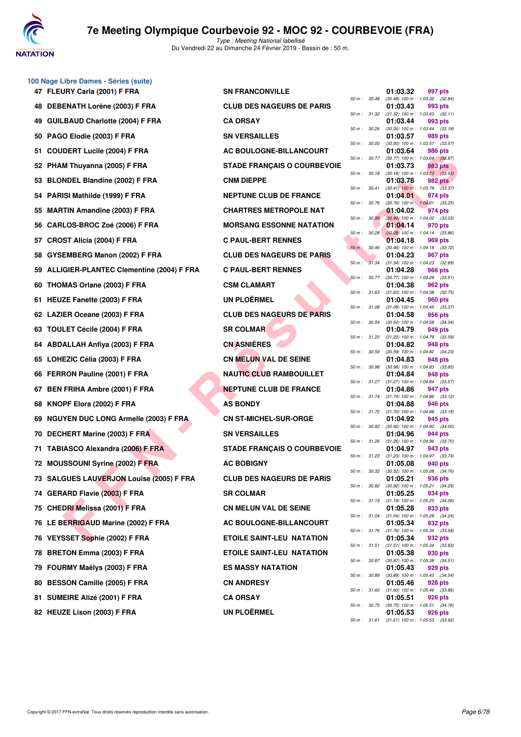

**100 Nage Libre Dames - Séries (suite)**

# **7e Meeting Olympique Courbevoie 92 - MOC 92 - COURBEVOIE (FRA)**

|     | 47 FLEURY Carla (2001) F FRA                | <b>SN FRANCONVILLE</b>             |              |              | 01:03.32 | 997 pts                                                 |
|-----|---------------------------------------------|------------------------------------|--------------|--------------|----------|---------------------------------------------------------|
|     | 48 DEBENATH Lorène (2003) F FRA             | <b>CLUB DES NAGEURS DE PARIS</b>   | 50 m: 30.48  |              | 01:03.43 | (30.48) 100 m : 1:03.32 (32.84)<br>993 pts              |
|     | 49 GUILBAUD Charlotte (2004) F FRA          | <b>CA ORSAY</b>                    | 50 m : 31.32 |              | 01:03.44 | $(31.32)$ 100 m : 1:03.43 $(32.11)$<br>993 pts          |
| 50  | PAGO Elodie (2003) F FRA                    | <b>SN VERSAILLES</b>               | 50 m : 30.26 |              | 01:03.57 | $(30.26)$ 100 m : 1:03.44 $(33.18)$<br>989 pts          |
| 51  | <b>COUDERT Lucile (2004) F FRA</b>          | AC BOULOGNE-BILLANCOURT            | 50 m : 30.00 |              | 01:03.64 | (30.00) 100 m: 1:03.57 (33.57)<br>986 pts               |
|     | 52 PHAM Thuyanna (2005) F FRA               | <b>STADE FRANÇAIS O COURBEVOIE</b> |              | 50 m: 30.77  | 01:03.73 | $(30.77)$ 100 m : 1:03.64 $(32.87)$<br>983 pts          |
| 53  | <b>BLONDEL Blandine (2002) F FRA</b>        | <b>CNM DIEPPE</b>                  |              | 50 m: 30.18  | 01:03.78 | $(30.18)$ 100 m : 1:03.73 $(33.55)$<br>982 pts          |
| 54  | PARISI Mathilde (1999) F FRA                | <b>NEPTUNE CLUB DE FRANCE</b>      |              | 50 m : 30.41 | 01:04.01 | $(30.41)$ 100 m : 1:03.78 $(33.37)$<br>974 pts          |
|     | 55 MARTIN Amandine (2003) F FRA             | <b>CHARTRES METROPOLE NAT</b>      | 50 m : 30.76 |              | 01:04.02 | $(30.76)$ 100 m : 1:04.01 $(33.25)$<br>974 pts          |
| 56  | CARLOS-BROC Zoé (2006) F FRA                | <b>MORSANG ESSONNE NATATION</b>    | 50 m: 30.99  |              | 01:04.14 | $(30.99)$ 100 m : 1:04.02 $(33.03)$<br>970 pts          |
| 57  | CROST Alicia (2004) F FRA                   | <b>C PAUL-BERT RENNES</b>          | 50 m : 30.28 |              | 01:04.18 | $(30.28)$ 100 m : 1:04.14 $(33.86)$<br>969 pts          |
| 58. | GYSEMBERG Manon (2002) F FRA                | <b>CLUB DES NAGEURS DE PARIS</b>   | 50 m : 30.46 |              | 01:04.23 | (30.46) 100 m: 1:04.18 (33.72)                          |
|     |                                             |                                    |              | 50 m : 31.34 |          | 967 pts<br>(31.34) 100 m: 1:04.23 (32.89)               |
|     | 59 ALLIGIER-PLANTEC Clementine (2004) F FRA | <b>C PAUL-BERT RENNES</b>          |              | 50 m : 30.77 | 01:04.28 | 966 pts<br>(30.77) 100 m : 1:04.28 (33.51)              |
| 60  | THOMAS Orlane (2003) F FRA                  | <b>CSM CLAMART</b>                 | 50 m: 31.63  |              | 01:04.38 | 962 pts<br>$(31.63)$ 100 m : 1:04.38 $(32.75)$          |
|     | 61 HEUZE Fanette (2003) F FRA               | <b>UN PLOËRMEL</b>                 | 50 m: 31.08  |              | 01:04.45 | 960 pts<br>$(31.08)$ 100 m : 1:04.45 $(33.37)$          |
|     | 62 LAZIER Oceane (2003) F FRA               | <b>CLUB DES NAGEURS DE PARIS</b>   | 50 m: 30.54  |              | 01:04.58 | 956 pts<br>(30.54) 100 m: 1:04.58 (34.04)               |
| 63. | <b>TOULET Cécile (2004) F FRA</b>           | <b>SR COLMAR</b>                   | 50 m: 31.20  |              | 01:04.79 | 949 pts<br>$(31.20)$ 100 m : 1:04.79 $(33.59)$          |
|     | 64 ABDALLAH Anfiya (2003) F FRA             | <b>CN ASNIERES</b>                 | 50 m : 30.59 |              | 01:04.82 | 948 pts<br>(30.59) 100 m: 1:04.82 (34.23)               |
| 65  | LOHEZIC Célia (2003) F FRA                  | <b>CN MELUN VAL DE SEINE</b>       | 50 m : 30.98 |              | 01:04.83 | 948 pts<br>(30.98) 100 m: 1:04.83 (33.85)               |
|     | 66 FERRON Pauline (2001) F FRA              | <b>NAUTIC CLUB RAMBOUILLET</b>     | 50 m: 31.27  |              | 01:04.84 | 948 pts<br>$(31.27)$ 100 m : 1:04.84 $(33.57)$          |
| 67  | <b>BEN FRIHA Ambre (2001) F FRA</b>         | <b>NEPTUNE CLUB DE FRANCE</b>      |              | 50 m : 31.74 | 01:04.86 | 947 pts<br>$(31.74)$ 100 m : 1:04.86 $(33.12)$          |
| 68  | KNOPF Elora (2002) F FRA                    | <b>AS BONDY</b>                    | 50 m : 31.70 |              | 01:04.88 | 946 pts                                                 |
|     | 69 NGUYEN DUC LONG Armelle (2003) F FRA     | <b>CN ST-MICHEL-SUR-ORGE</b>       |              |              | 01:04.92 | $(31.70)$ 100 m : 1:04.88 $(33.18)$<br>945 pts          |
| 70  | DECHERT Marine (2003) F FRA                 | <b>SN VERSAILLES</b>               | 50 m: 30.92  |              | 01:04.96 | (30.92) 100 m: 1:04.92 (34.00)<br>944 pts               |
| 71  | <b>TABIASCO Alexandra (2006) F FRA</b>      | <b>STADE FRANÇAIS O COURBEVOIE</b> |              | 50 m : 31.26 | 01:04.97 | $(31.26)$ 100 m : 1:04.96 $(33.70)$<br>943 pts          |
|     | 72 MOUSSOUNI Syrine (2002) F FRA            | <b>AC BOBIGNY</b>                  |              | 50 m : 31.23 | 01:05.08 | $(31.23)$ 100 m : 1:04.97 $(33.74)$<br>940 pts          |
|     | 73 SALGUES LAUVERJON Louise (2005) F FRA    | <b>CLUB DES NAGEURS DE PARIS</b>   | 50 m: 30.32  |              | 01:05.21 | $(30.32)$ 100 m : 1:05.08 $(34.76)$<br>936 pts          |
|     | 74 GERARD Flavie (2003) F FRA               | <b>SR COLMAR</b>                   |              |              | 01:05.25 | 50 m : 30.92 (30.92) 100 m : 1:05.21 (34.29)<br>934 pts |
|     | 75 CHEDRI Melissa (2001) F FRA              | <b>CN MELUN VAL DE SEINE</b>       |              | 50 m : 31.19 | 01:05.28 | $(31.19)$ 100 m : 1:05.25 $(34.06)$<br>933 pts          |
|     | 76 LE BERRIGAUD Marine (2002) F FRA         | <b>AC BOULOGNE-BILLANCOURT</b>     |              | 50 m : 31.04 | 01:05.34 | (31.04) 100 m: 1:05.28 (34.24)<br>932 pts               |
|     | 76 VEYSSET Sophie (2002) F FRA              | <b>ETOILE SAINT-LEU NATATION</b>   |              |              | 01:05.34 | 50 m: 31.76 (31.76) 100 m: 1:05.34 (33.58)<br>932 pts   |
|     | 78 BRETON Emma (2003) F FRA                 | <b>ETOILE SAINT-LEU NATATION</b>   |              | 50 m : 31.51 | 01:05.38 | $(31.51)$ 100 m : 1:05.34 $(33.83)$<br>930 pts          |
|     | 79 FOURMY Maëlys (2003) F FRA               | <b>ES MASSY NATATION</b>           |              | 50 m : 30.87 | 01:05.43 | $(30.87)$ 100 m : 1:05.38 $(34.51)$<br>929 pts          |
|     | 80 BESSON Camille (2005) F FRA              | <b>CN ANDRESY</b>                  |              | 50 m : 30.89 | 01:05.46 | $(30.89)$ 100 m : 1:05.43 $(34.54)$<br>928 pts          |
| 81. | SUMEIRE Alizé (2001) F FRA                  | <b>CA ORSAY</b>                    |              | 50 m : 31.60 | 01:05.51 | $(31.60)$ 100 m : 1:05.46 $(33.86)$<br>926 pts          |
|     | 82 HEUZE Lison (2003) F FRA                 | <b>UN PLOËRMEL</b>                 |              | 50 m : 30.75 | 01:05.53 | $(30.75)$ 100 m : 1:05.51 $(34.76)$<br>926 pts          |
|     |                                             |                                    |              |              |          |                                                         |

| <b>ANCONVILLE</b>              | 50 m :   | 3             |
|--------------------------------|----------|---------------|
| <b>DES NAGEURS DE PARIS</b>    | $50 m$ : | 3             |
| SAY                            | $50 m$ : |               |
| <b>RSAILLES</b>                |          | 3             |
| <b>ULOGNE-BILLANCOURT</b>      | 50 m :   | 3             |
| <b>FRANÇAIS O COURBEVOIE</b>   | $50 m$ : | 3             |
| <b>IEPPE</b>                   | $50 m$ : | 3             |
| <b>INE CLUB DE FRANCE</b>      | 50 m :   | 3             |
| <b>FRES METROPOLE NAT</b>      | $50 m$ : | 3             |
| <b>ANG ESSONNE NATATION</b>    | 50 m:    | 3             |
| <b>L-BERT RENNES</b>           | 50 m :   | 3             |
| <b>DES NAGEURS DE PARIS</b>    | $50 m$ : | 3             |
| <b>L-BERT RENNES</b>           | $50 m$ : | 3             |
| <b>LAMART</b>                  | $50 m$ : | 3             |
| <b>DËRMEL</b>                  | $50 m$ : | 3             |
| <b>DES NAGEURS DE PARIS</b>    | $50 m$ : | 3             |
| LMAR                           | $50 m$ : | 3             |
| NIÈRES                         | $50 m$ : | 3             |
| LUN VAL DE SEINE               | $50 m$ : | 3             |
| C CLUB RAMBOUILLET             | $50 m$ : | 3             |
| <b>INE CLUB DE FRANCE</b>      | $50 m$ : | 3             |
| NDY                            | $50 m$ : | 3             |
| <b>MICHEL-SUR-ORGE</b>         | 50 m :   | 3             |
| <b>RSAILLES</b>                | 50 m:    | 3             |
| <b>: FRANÇAIS O COURBEVOIE</b> | $50 m$ : | 3             |
| <b>BIGNY</b>                   | 50 m :   | 3             |
| <b>DES NAGEURS DE PARIS</b>    | $50 m$ : | 3             |
| LMAR                           | 50 m: 3  |               |
| <b>LUN VAL DE SEINE</b>        | 50 m :   | $\mathcal{S}$ |
| <b>ULOGNE-BILLANCOURT</b>      | $50 m$ : | $\mathcal{S}$ |
| E SAINT-LEU NATATION           | 50 m: 3  |               |
| <b>E SAINT-LEU NATATION</b>    | 50 m: 3  |               |
| SSY NATATION                   | $50 m$ : | $\mathcal{S}$ |
| <b>DRESY</b>                   | $50 m$ : | G             |
| SAY                            | 50 m :   | -3            |
| <b>DËRMEL</b>                  | $50 m$ : | $\mathcal{A}$ |
|                                | 50 m: 3  |               |

| $50 m$ : | 30.48 | 01:03.32<br>$(30.48) 100 m$ : | 997 pts<br>1:03.32        | (32.84) |
|----------|-------|-------------------------------|---------------------------|---------|
|          |       | 01:03.43                      | 993 pts                   |         |
| 50 m :   | 31.32 | $(31.32) 100 m$ :             | 1:03.43                   | (32.11) |
| $50 m$ : | 30.26 | 01:03.44<br>(30.26) 100 m :   | 993 pts<br>1:03.44        | (33.18) |
|          |       | 01:03.57                      | 989 pts                   |         |
| 50 m :   | 30.00 | $(30.00)$ 100 m :             | 1:03.57                   | (33.57) |
| 50 m :   | 30.77 | 01:03.64<br>$(30.77)$ 100 m : | <b>986 pts</b><br>1:03.64 | (32.87) |
|          |       | 01:03.73                      | 983 pts                   |         |
| $50 m$ : | 30.18 | $(30.18) 100 m$ :             | 1:03.73                   | (33.55) |
| $50 m$ : | 30.41 | 01:03.78<br>$(30.41)$ 100 m : | 982 pts<br>1:03.78        | (33.37) |
|          |       | 01:04.01                      | 974 pts                   |         |
| $50 m$ : | 30.76 | $(30.76)$ 100 m :             | 1:04.01                   | (33.25) |
| $50 m$ : | 30.99 | 01:04.02<br>$(30.99)$ 100 m : | 974 pts<br>1:04.02        | (33.03) |
|          |       | 01:04.14                      | 970 pts                   |         |
| 50 m :   | 30.28 | $(30.28)$ 100 m :             | 1:04.14                   | (33.86) |
|          |       | 01:04.18                      | 969 pts                   |         |
| $50 m$ : | 30.46 | $(30.46) 100 m$ :<br>01:04.23 | 1:04.18<br>967 pts        | (33.72) |
| $50 m$ : | 31.34 | $(31.34) 100 m$ :             | 1:04.23                   | (32.89) |
|          |       | 01:04.28                      | 966 pts                   |         |
| $50 m$ : | 30.77 | $(30.77)$ 100 m :<br>01:04.38 | 1:04.28<br><b>962 pts</b> | (33.51) |
| 50 m :   | 31.63 | $(31.63) 100 m$ :             | 1:04.38                   | (32.75) |
|          |       | 01:04.45                      | 960 pts                   |         |
| $50 m$ : | 31.08 | $(31.08) 100 m$ :<br>01:04.58 | 1:04.45<br>956 pts        | (33.37) |
| 50 m :   | 30.54 | $(30.54) 100 m$ :             | 1:04.58                   | (34.04) |
|          |       | 01:04.79                      | 949 pts                   |         |
| 50 m :   | 31.20 | $(31.20)$ 100 m :<br>01:04.82 | 1:04.79<br>948 pts        | (33.59) |
| $50 m$ : | 30.59 | $(30.59)$ 100 m :             | 1:04.82                   | (34.23) |
|          |       | 01:04.83                      | 948 pts                   |         |
| 50 m :   | 30.98 | $(30.98) 100 m$ :<br>01:04.84 | 1:04.83                   | (33.85) |
| $50 m$ : | 31.27 | $(31.27)$ 100 m :             | 948 pts<br>1:04.84        | (33.57) |
|          |       | 01:04.86                      | 947 pts                   |         |
| $50 m$ : | 31.74 | $(31.74) 100 m$ :<br>01:04.88 | 1:04.86<br>946 pts        | (33.12) |
| 50 m :   | 31.70 | $(31.70) 100 m$ :             | 1:04.88                   | (33.18) |
|          |       | 01:04.92                      | 945 pts                   |         |
| $50 m$ : | 30.92 | $(30.92)$ 100 m :<br>01:04.96 | 1:04.92<br>944 pts        | (34.00) |
| $50 m$ : | 31.26 | $(31.26)$ 100 m :             | 1:04.96                   | (33.70) |
|          |       | 01:04.97                      | 943 pts                   |         |
| 50 m :   | 31.23 | $(31.23) 100 m$ :             | 1:04.97<br>940 pts        | (33.74) |
| $50 m$ : | 30.32 | 01:05.08<br>$(30.32)$ 100 m : | 1:05.08                   | (34.76) |
|          |       | 01:05.21                      | 936 pts                   |         |
| 50 m :   | 30.92 | $(30.92)$ 100 m :<br>01:05.25 | 1:05.21                   | (34.29) |
| 50 m :   | 31.19 | $(31.19) 100 m$ :             | 934 pts<br>1:05.25        | (34.06) |
|          |       | 01:05.28                      | 933 pts                   |         |
| $50 m$ : | 31.04 | $(31.04) 100 m$ :             | 1:05.28                   | (34.24) |
| $50 m$ : | 31.76 | 01:05.34<br>$(31.76) 100 m$ : | 932 pts<br>1:05.34        | (33.58) |
|          |       | 01:05.34                      | 932 pts                   |         |
| 50 m :   | 31.51 | $(31.51) 100 m$ :             | 1:05.34                   | (33.83) |
| 50 m :   | 30.87 | 01:05.38<br>$(30.87) 100 m$ : | 930 pts<br>1:05.38        | (34.51) |
|          |       | 01:05.43                      | 929 pts                   |         |
| $50 m$ : | 30.89 | (30.89) 100 m :               | 1:05.43                   | (34.54) |
| 50 m :   | 31.60 | 01:05.46<br>$(31.60) 100 m$ : | 928 pts<br>1:05.46        | (33.86) |
|          |       | 01:05.51                      | 926 pts                   |         |
| 50 m :   | 30.75 | (30.75) 100 m :               | 1:05.51                   | (34.76) |
| 50 m :   | 31.61 | 01:05.53<br>$(31.61) 100 m$ : | 926 pts<br>1:05.53        | (33.92) |
|          |       |                               |                           |         |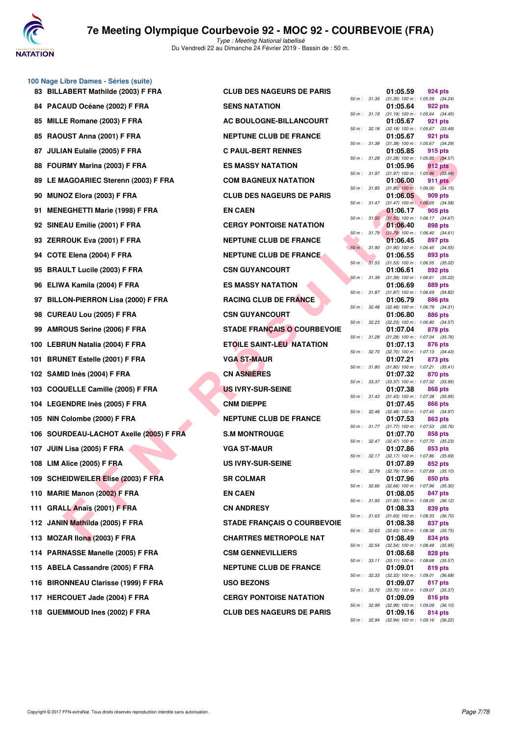

**100 Nage Libre Dames - Séries (suite)**

| 83 BILLABERT Mathilde (2003) F FRA      | <b>CLUB DES NAGEURS DE PARIS</b>   |                |              | 01:05.59                                              |         | 924 pts        |
|-----------------------------------------|------------------------------------|----------------|--------------|-------------------------------------------------------|---------|----------------|
| 84 PACAUD Océane (2002) F FRA           | <b>SENS NATATION</b>               |                | 50 m : 31.35 | $(31.35)$ 100 m : 1:05.59 (34.<br>01:05.64            |         | 922 pts        |
| 85 MILLE Romane (2003) F FRA            | <b>AC BOULOGNE-BILLANCOURT</b>     |                | 50 m : 31.19 | $(31.19)$ 100 m : 1:05.64 (34.<br>01:05.67            |         | 921 pts        |
| 85 RAOUST Anna (2001) F FRA             | <b>NEPTUNE CLUB DE FRANCE</b>      | 50 m : 32.18   |              | (32.18) 100 m: 1:05.67 (33.<br>01:05.67               |         | 921 pts        |
| 87 JULIAN Eulalie (2005) F FRA          | <b>C PAUL-BERT RENNES</b>          | 50 m : 31.38   |              | $(31.38)$ 100 m : 1:05.67 (34.<br>01:05.85            |         | 915 pts        |
| 88 FOURMY Marina (2003) F FRA           | <b>ES MASSY NATATION</b>           |                | 50 m : 31.28 | $(31.28)$ 100 m : 1:05.85 (34.<br>01:05.96            |         | 912 pts        |
| 89 LE MAGOARIEC Sterenn (2003) F FRA    | <b>COM BAGNEUX NATATION</b>        |                | 50 m : 31.97 | $(31.97)$ 100 m : 1:05.96 (33.<br>01:06.00            |         | <b>911 pts</b> |
| 90 MUNOZ Elora (2003) F FRA             | <b>CLUB DES NAGEURS DE PARIS</b>   |                |              | 50 m : 31.85 (31.85) 100 m : 1:06.00 (34.<br>01:06.05 |         | 909 pts        |
| 91 MENEGHETTI Marie (1998) F FRA        | <b>EN CAEN</b>                     | 50 m: 31.47    |              | $(31.47)$ 100 m : 1:06.05 (34.<br>01:06.17            |         | 905 pts        |
| 92 SINEAU Emilie (2001) F FRA           | <b>CERGY PONTOISE NATATION</b>     |                | 50 m: 31.50  | $(31.50)$ 100 m : 1:06.17 (34.<br>01:06.40            |         | 898 pts        |
| 93 ZERROUK Eva (2001) F FRA             | <b>NEPTUNE CLUB DE FRANCE</b>      | $50 m$ : 31.79 |              | $(31.79)$ 100 m : 1:06.40 (34.<br>01:06.45            |         |                |
|                                         |                                    | 50 m: 31.90    |              | (31.90) 100 m: 1:06.45 (34.                           |         | 897 pts        |
| 94 COTE Elena (2004) F FRA              | <b>NEPTUNE CLUB DE FRANCE</b>      |                | 50 m: 31.53  | 01:06.55<br>$(31.53)$ 100 m : 1:06.55 (35.            |         | 893 pts        |
| 95 BRAULT Lucile (2003) F FRA           | <b>CSN GUYANCOURT</b>              |                | 50 m : 31.39 | 01:06.61<br>$(31.39)$ 100 m : 1:06.61 (35.            |         | 892 pts        |
| 96 ELIWA Kamila (2004) F FRA            | <b>ES MASSY NATATION</b>           |                | 50 m : 31.87 | 01:06.69<br>$(31.87)$ 100 m : 1:06.69 (34.            |         | 889 pts        |
| 97 BILLON-PIERRON Lisa (2000) F FRA     | <b>RACING CLUB DE FRANCE</b>       | 50 m : 32.48   |              | 01:06.79<br>(32.48) 100 m: 1:06.79 (34.               |         | 886 pts        |
| 98 CUREAU Lou (2005) F FRA              | <b>CSN GUYANCOURT</b>              | 50 m: 32.23    |              | 01:06.80<br>(32.23) 100 m : 1:06.80 (34.              |         | 886 pts        |
| 99 AMROUS Serine (2006) F FRA           | <b>STADE FRANÇAIS O COURBEVOIE</b> |                | 50 m : 31.28 | 01:07.04<br>$(31.28)$ 100 m : 1:07.04 (35.            |         | 878 pts        |
| 100 LEBRUN Natalia (2004) F FRA         | <b>ETOILE SAINT-LEU NATATION</b>   |                | 50 m : 32.70 | 01:07.13<br>(32.70) 100 m : 1:07.13 (34.              |         | 876 pts        |
| 101 BRUNET Estelle (2001) F FRA         | VGA ST-MAUR                        |                |              | 01:07.21                                              |         | 873 pts        |
| 102 SAMID Inès (2004) F FRA             | <b>CN ASNIÈRES</b>                 |                | 50 m : 31.80 | $(31.80)$ 100 m : 1:07.21 (35.<br>01:07.32            |         | 870 pts        |
| 103 COQUELLE Camille (2005) F FRA       | <b>US IVRY-SUR-SEINE</b>           | 50 m :         | 33.37        | (33.37) 100 m : 1:07.32 (33.<br>01:07.38              |         | 868 pts        |
| 104 LEGENDRE Inès (2005) F FRA          | <b>CNM DIEPPE</b>                  | 50 m: 31.43    |              | $(31.43)$ 100 m : 1:07.38 (35.<br>01:07.45            |         | <b>866 pts</b> |
| 105 NIN Colombe (2000) F FRA            | <b>NEPTUNE CLUB DE FRANCE</b>      | 50 m: 32.48    |              | (32.48) 100 m: 1:07.45 (34.<br>01:07.53               |         | 863 pts        |
| 106 SOURDEAU-LACHOT Axelle (2005) F FRA | <b>S.M MONTROUGE</b>               |                | 50 m : 31.77 | (31.77) 100 m: 1:07.53 (35.<br>01:07.70               |         | 858 pts        |
| 107 JUIN Lisa (2005) F FRA              | VGA ST-MAUR                        |                |              | 50 m: 32.47 (32.47) 100 m: 1:07.70 (35.<br>01:07.86   |         | 853 pts        |
| 108 LIM Alice (2005) F FRA              | <b>US IVRY-SUR-SEINE</b>           |                |              | 50 m: 32.17 (32.17) 100 m: 1:07.86 (35.<br>01:07.89   |         | 852 pts        |
| 109 SCHEIDWEILER Elise (2003) F FRA     | <b>SR COLMAR</b>                   | 50 m : 32.79   |              | (32.79) 100 m : 1:07.89 (35.<br>01:07.96              |         | 850 pts        |
| 110 MARIE Manon (2002) F FRA            | <b>EN CAEN</b>                     |                |              | 50 m : 32.66 (32.66) 100 m : 1:07.96 (35.<br>01:08.05 |         | 847 pts        |
| 111 GRALL Anaïs (2001) F FRA            | <b>CN ANDRESY</b>                  |                |              | 50 m: 31.93 (31.93) 100 m: 1:08.05 (36.<br>01:08.33   |         | 839 pts        |
| 112 JANIN Mathilda (2005) F FRA         | <b>STADE FRANÇAIS O COURBEVOIE</b> |                | 50 m : 31.63 | $(31.63)$ 100 m : 1:08.33 (36.<br>01:08.38            | 837 pts |                |
|                                         |                                    |                | 50 m : 32.63 | $(32.63)$ 100 m : 1:08.38 (35.                        |         |                |
| 113 MOZAR Ilona (2003) F FRA            | <b>CHARTRES METROPOLE NAT</b>      |                | 50 m : 32.54 | 01:08.49<br>(32.54) 100 m: 1:08.49 (35.               |         | 834 pts        |
| 114 PARNASSE Manelle (2005) F FRA       | <b>CSM GENNEVILLIERS</b>           |                |              | 01:08.68<br>50 m: 33.11 (33.11) 100 m: 1:08.68 (35.   |         | 828 pts        |
| 115 ABELA Cassandre (2005) F FRA        | <b>NEPTUNE CLUB DE FRANCE</b>      |                | 50 m : 32.33 | 01:09.01<br>(32.33) 100 m : 1:09.01 (36.              |         | 819 pts        |
| 116 BIRONNEAU Clarisse (1999) F FRA     | <b>USO BEZONS</b>                  |                | 50 m : 33.70 | 01:09.07<br>(33.70) 100 m : 1:09.07 (35.              |         | 817 pts        |
| 117 HERCOUET Jade (2004) F FRA          | <b>CERGY PONTOISE NATATION</b>     |                |              | 01:09.09<br>50 m: 32.99 (32.99) 100 m: 1:09.09 (36.   |         | 816 pts        |
| 118 GUEMMOUD Ines (2002) F FRA          | CLUB DES NAGEURS DE PARIS          |                |              | 01:09.16                                              | 814 pts |                |

| 83 BILLABERT Mathilde (2003) F FRA      | <b>CLUB DES NAGEURS DE PARIS</b>   |              |                | 01:05.59 | 924 pts                                                 |
|-----------------------------------------|------------------------------------|--------------|----------------|----------|---------------------------------------------------------|
| 84 PACAUD Océane (2002) F FRA           | <b>SENS NATATION</b>               | 50 m : 31.35 |                | 01:05.64 | $(31.35)$ 100 m : 1:05.59 $(34.24)$<br>922 pts          |
| 85 MILLE Romane (2003) F FRA            | AC BOULOGNE-BILLANCOURT            | 50 m: 31.19  |                | 01:05.67 | $(31.19)$ 100 m : 1:05.64 $(34.45)$<br>921 pts          |
| 85 RAOUST Anna (2001) F FRA             | <b>NEPTUNE CLUB DE FRANCE</b>      |              | 50 m : 32.18   | 01:05.67 | (32.18) 100 m: 1:05.67 (33.49)<br>921 pts               |
| 87 JULIAN Eulalie (2005) F FRA          | <b>C PAUL-BERT RENNES</b>          | 50 m : 31.38 |                | 01:05.85 | $(31.38)$ 100 m : 1:05.67 $(34.29)$<br>915 pts          |
| 88 FOURMY Marina (2003) F FRA           | <b>ES MASSY NATATION</b>           | 50 m: 31.28  |                | 01:05.96 | $(31.28)$ 100 m : 1:05.85 $(34.57)$<br>912 pts          |
| 89 LE MAGOARIEC Sterenn (2003) F FRA    | <b>COM BAGNEUX NATATION</b>        |              | 50 m : 31.97   | 01:06.00 | $(31.97)$ 100 m : 1:05.96 $(33.99)$<br>911 pts          |
| 90 MUNOZ Elora (2003) F FRA             | <b>CLUB DES NAGEURS DE PARIS</b>   | 50 m : 31.85 |                | 01:06.05 | $(31.85)$ 100 m : 1:06.00 $(34.15)$<br>909 pts          |
| 91 MENEGHETTI Marie (1998) F FRA        | <b>EN CAEN</b>                     |              | 50 m : 31.47   | 01:06.17 | $(31.47)$ 100 m : 1:06.05 $(34.58)$<br>905 pts          |
| 92 SINEAU Emilie (2001) F FRA           | <b>CERGY PONTOISE NATATION</b>     |              | 50 m: 31.50    | 01:06.40 | $(31.50)$ 100 m : 1:06.17 $(34.67)$<br>898 pts          |
| 93 ZERROUK Eva (2001) F FRA             | <b>NEPTUNE CLUB DE FRANCE</b>      |              | $50 m$ : 31.79 | 01:06.45 | $(31.79)$ 100 m : 1:06.40 $(34.61)$<br>897 pts          |
| 94 COTE Elena (2004) F FRA              | <b>NEPTUNE CLUB DE FRANCE</b>      | 50 m: 31.90  |                | 01:06.55 | $(31.90)$ 100 m : 1:06.45 $(34.55)$<br>893 pts          |
| 95 BRAULT Lucile (2003) F FRA           | <b>CSN GUYANCOURT</b>              | 50 m : 31.53 |                | 01:06.61 | $(31.53)$ 100 m : 1:06.55 $(35.02)$<br>892 pts          |
| 96 ELIWA Kamila (2004) F FRA            | <b>ES MASSY NATATION</b>           | 50 m : 31.39 |                | 01:06.69 | (31.39) 100 m: 1:06.61 (35.22)<br>889 pts               |
| 97 BILLON-PIERRON Lisa (2000) F FRA     | <b>RACING CLUB DE FRANCE</b>       | 50 m : 31.87 |                | 01:06.79 | $(31.87)$ 100 m : 1:06.69 $(34.82)$<br>886 pts          |
| 98 CUREAU Lou (2005) F FRA              | <b>CSN GUYANCOURT</b>              | 50 m: 32.48  |                | 01:06.80 | $(32.48)$ 100 m : 1:06.79 $(34.31)$<br>886 pts          |
|                                         | <b>STADE FRANÇAIS O COURBEVOIE</b> | 50 m: 32.23  |                |          | $(32.23)$ 100 m : 1:06.80 $(34.57)$                     |
| 99 AMROUS Serine (2006) F FRA           |                                    | 50 m : 31.28 |                | 01:07.04 | 878 pts<br>$(31.28)$ 100 m : 1:07.04 $(35.76)$          |
| 100 LEBRUN Natalia (2004) F FRA         | <b>ETOILE SAINT-LEU NATATION</b>   | 50 m : 32.70 |                | 01:07.13 | 876 pts<br>(32.70) 100 m: 1:07.13 (34.43)               |
| 101 BRUNET Estelle (2001) F FRA         | <b>VGA ST-MAUR</b>                 | 50 m : 31.80 |                | 01:07.21 | 873 pts<br>$(31.80)$ 100 m : 1:07.21 $(35.41)$          |
| 102 SAMID Inès (2004) F FRA             | <b>CN ASNIÈRES</b>                 |              | 50 m : 33.37   | 01:07.32 | 870 pts<br>(33.37) 100 m: 1:07.32 (33.95)               |
| 103 COQUELLE Camille (2005) F FRA       | <b>US IVRY-SUR-SEINE</b>           |              | 50 m : 31.43   | 01:07.38 | 868 pts<br>$(31.43)$ 100 m : 1:07.38 $(35.95)$          |
| 104 LEGENDRE Inès (2005) F FRA          | <b>CNM DIEPPE</b>                  | 50 m : 32.48 |                | 01:07.45 | <b>866 pts</b><br>$(32.48)$ 100 m : 1:07.45 $(34.97)$   |
| 105 NIN Colombe (2000) F FRA            | <b>NEPTUNE CLUB DE FRANCE</b>      |              |                | 01:07.53 | 863 pts<br>50 m: 31.77 (31.77) 100 m: 1:07.53 (35.76)   |
| 106 SOURDEAU-LACHOT Axelle (2005) F FRA | <b>S.M MONTROUGE</b>               | 50 m: 32.47  |                | 01:07.70 | 858 pts<br>(32.47) 100 m : 1:07.70 (35.23)              |
| 107 JUIN Lisa (2005) F FRA              | <b>VGA ST-MAUR</b>                 |              | 50 m : 32.17   | 01:07.86 | 853 pts<br>(32.17) 100 m: 1:07.86 (35.69)               |
| 108 LIM Alice (2005) F FRA              | <b>US IVRY-SUR-SEINE</b>           |              |                | 01:07.89 | 852 pts<br>50 m : 32.79 (32.79) 100 m : 1:07.89 (35.10) |
| 109 SCHEIDWEILER Elise (2003) F FRA     | <b>SR COLMAR</b>                   |              | 50 m : 32.66   | 01:07.96 | 850 pts<br>$(32.66)$ 100 m : 1:07.96 $(35.30)$          |
| 110 MARIE Manon (2002) F FRA            | <b>EN CAEN</b>                     |              | 50 m : 31.93   | 01:08.05 | 847 pts<br>$(31.93)$ 100 m : 1:08.05 $(36.12)$          |
| 111 GRALL Anaïs (2001) F FRA            | <b>CN ANDRESY</b>                  |              | 50 m : 31.63   | 01:08.33 | 839 pts<br>$(31.63)$ 100 m : 1:08.33 $(36.70)$          |
| 112 JANIN Mathilda (2005) F FRA         | <b>STADE FRANÇAIS O COURBEVOIE</b> |              | 50 m : 32.63   | 01:08.38 | 837 pts<br>$(32.63)$ 100 m : 1:08.38 $(35.75)$          |
| 113 MOZAR Ilona (2003) F FRA            | <b>CHARTRES METROPOLE NAT</b>      |              |                | 01:08.49 | 834 pts                                                 |
| 114 PARNASSE Manelle (2005) F FRA       | <b>CSM GENNEVILLIERS</b>           |              | 50 m : 32.54   | 01:08.68 | (32.54) 100 m: 1:08.49 (35.95)<br>828 pts               |
| 115 ABELA Cassandre (2005) F FRA        | <b>NEPTUNE CLUB DE FRANCE</b>      |              | 50 m : 33.11   | 01:09.01 | $(33.11)$ 100 m : 1:08.68 $(35.57)$<br>819 pts          |
| 116 BIRONNEAU Clarisse (1999) F FRA     | <b>USO BEZONS</b>                  |              | 50 m : 32.33   | 01:09.07 | (32.33) 100 m: 1:09.01 (36.68)<br>817 pts               |
| 117 HERCOUET Jade (2004) F FRA          | <b>CERGY PONTOISE NATATION</b>     |              | 50 m : 33.70   | 01:09.09 | $(33.70)$ 100 m : 1:09.07 $(35.37)$<br>816 pts          |
| 118 GUEMMOUD Ines (2002) F FRA          | <b>CLUB DES NAGEURS DE PARIS</b>   |              | 50 m : 32.99   | 01:09.16 | $(32.99)$ 100 m : 1:09.09 $(36.10)$<br>814 pts          |
|                                         |                                    |              |                |          |                                                         |

|          |       | 01:05.59                      | 924 pts                       |
|----------|-------|-------------------------------|-------------------------------|
| $50 m$ : | 31.35 | $(31.35) 100 m$ :<br>01:05.64 | 1:05.59<br>(34.24)<br>922 pts |
| $50 m$ : | 31.19 | $(31.19) 100 m$ :             | 1:05.64<br>(34.45)            |
|          |       | 01:05.67                      | 921 pts                       |
| 50 m :   | 32.18 | $(32.18) 100 m$ :             | (33.49)<br>1:05.67            |
| $50 m$ : | 31.38 | 01:05.67<br>$(31.38) 100 m$ : | 921 pts<br>1:05.67<br>(34.29) |
|          |       | 01:05.85                      | 915 pts                       |
| $50 m$ : | 31.28 | $(31.28) 100 m$ :             | 1:05.85<br>(34.57)            |
| 50 m :   | 31.97 | 01:05.96<br>$(31.97) 100 m$ : | 912 pts<br>1:05.96 (33.99)    |
|          |       | 01:06.00                      | 911 pts                       |
| $50 m$ : | 31.85 | $(31.85)$ 100 m :             | 1:06.00<br>(34.15)            |
| $50 m$ : | 31.47 | 01:06.05<br>$(31.47) 100 m$ : | 909 pts<br>1:06.05<br>(34.58) |
|          |       | 01:06.17                      | 905 pts                       |
| 50 m :   | 31.50 | $(31.50)$ 100 m :             | 1:06.17<br>(34.67)            |
| $50 m$ : | 31.79 | 01:06.40<br>$(31.79) 100 m$ : | 898 pts<br>1:06.40<br>(34.61) |
|          |       | 01:06.45                      | 897 pts                       |
| $50 m$ : | 31.90 | $(31.90) 100 m$ :             | 1:06.45<br>(34.55)            |
|          |       | 01:06.55                      | 893 pts                       |
| $50 m$ : | 31.53 | $(31.53) 100 m$ :<br>01:06.61 | (35.02)<br>1:06.55<br>892 pts |
| $50 m$ : | 31.39 | $(31.39) 100 m$ :             | 1:06.61<br>(35.22)            |
|          |       | 01:06.69                      | 889 pts                       |
| $50 m$ : | 31.87 | $(31.87) 100 m$ :<br>01:06.79 | (34.82)<br>1:06.69<br>886 pts |
| $50 m$ : | 32.48 | $(32.48) 100 m$ :             | 1:06.79<br>(34.31)            |
|          |       | 01:06.80                      | <b>886 pts</b>                |
| $50 m$ : | 32.23 | $(32.23)$ 100 m :             | 1:06.80<br>(34.57)<br>878 pts |
| $50 m$ : | 31.28 | 01:07.04<br>$(31.28) 100 m$ : | 1:07.04<br>(35.76)            |
|          |       | 01:07.13                      | 876 pts                       |
| 50 m :   | 32.70 | $(32.70)$ 100 m :             | 1:07.13<br>(34.43)            |
| $50 m$ : | 31.80 | 01:07.21<br>$(31.80) 100 m$ : | 873 pts<br>1:07.21<br>(35.41) |
|          |       | 01:07.32                      | 870 pts                       |
| $50 m$ : | 33.37 | $(33.37) 100 m$ :             | 1:07.32<br>(33.95)            |
| 50 m :   | 31.43 | 01:07.38<br>$(31.43) 100 m$ : | 868 pts<br>1:07.38<br>(35.95) |
|          |       | 01:07.45                      | 866 pts                       |
| $50 m$ : | 32.48 | $(32.48) 100 m$ :             | 1:07.45<br>(34.97)            |
| $50 m$ : | 31.77 | 01:07.53<br>$(31.77) 100 m$ : | 863 pts<br>1:07.53<br>(35.76) |
|          |       | 01:07.70                      | 858 pts                       |
| 50 m :   | 32.47 | $(32.47)$ 100 m :             | (35.23)<br>1:07.70            |
| $50 m$ : | 32.17 | 01:07.86<br>$(32.17) 100 m$ : | 853 pts<br>1:07.86<br>(35.69) |
|          |       | 01:07.89                      | 852 pts                       |
| 50 m :   | 32.79 | $(32.79)$ 100 m :             | 1:07.89<br>(35.10)            |
| $50 m$ : | 32.66 | 01:07.96<br>$(32.66)$ 100 m : | 850 pts<br>1:07.96<br>(35.30) |
|          |       | 01:08.05                      | 847 pts                       |
| $50 m$ : | 31.93 | $(31.93) 100 m$ :             | 1:08.05<br>(36.12)            |
|          |       | 01:08.33                      | 839 pts                       |
| 50 m :   | 31.63 | $(31.63) 100 m$ :<br>01:08.38 | 1:08.33<br>(36.70)<br>837 pts |
| $50 m$ : | 32.63 | $(32.63) 100 m$ :             | 1:08.38<br>(35.75)            |
|          |       | 01:08.49                      | 834 pts                       |
| $50 m$ : | 32.54 | $(32.54) 100 m$ :<br>01:08.68 | 1:08.49<br>(35.95)<br>828 pts |
| $50 m$ : | 33.11 | $(33.11) 100 m$ :             | 1:08.68<br>(35.57)            |
|          |       | 01:09.01                      | 819 pts                       |
| $50 m$ : | 32.33 | $(32.33) 100 m$ :<br>01:09.07 | 1:09.01<br>(36.68)<br>817 pts |
| $50 m$ : | 33.70 | $(33.70)$ 100 m :             | 1:09.07<br>(35.37)            |
|          |       | 01:09.09                      | 816 pts                       |
| $50 m$ : | 32.99 | $(32.99)$ 100 m :<br>01:09.16 | 1:09.09<br>(36.10)<br>814 pts |
| 50 m :   | 32.94 | $(32.94)$ 100 m :             | 1:09.16 (36.22)               |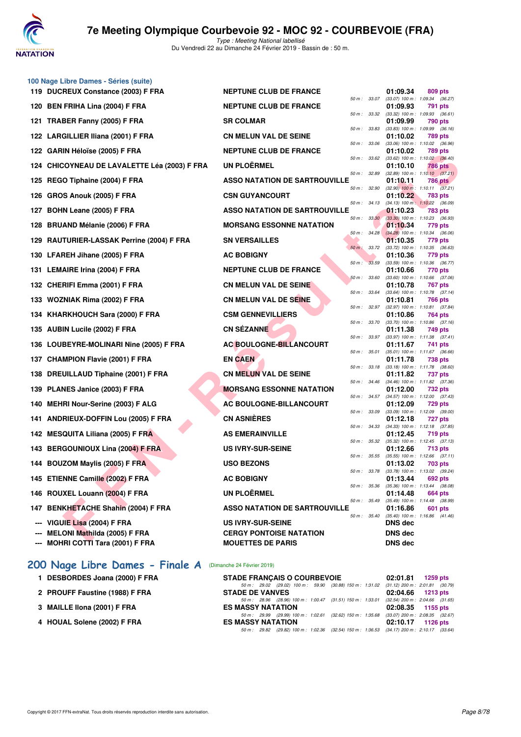

Type : Meeting National labellisé Du Vendredi 22 au Dimanche 24 Février 2019 - Bassin de : 50 m.

|                                 | 100 Nage Libre Dames - Séries (suite)                                |                                                            |                  |                                                 |                |  |
|---------------------------------|----------------------------------------------------------------------|------------------------------------------------------------|------------------|-------------------------------------------------|----------------|--|
|                                 | 119 DUCREUX Constance (2003) F FRA                                   | <b>NEPTUNE CLUB DE FRANCE</b>                              |                  | 01:09.34                                        | 809 pts        |  |
|                                 | 120 BEN FRIHA Lina (2004) F FRA                                      | <b>NEPTUNE CLUB DE FRANCE</b>                              | 50 m : 33.07     | (33.07) 100 m : 1:09.34 (36.27)<br>01:09.93     | 791 pts        |  |
|                                 | 121 TRABER Fanny (2005) F FRA                                        | <b>SR COLMAR</b>                                           | 50 m: 33.32      | $(33.32)$ 100 m : 1:09.93 $(36.61)$<br>01:09.99 | 790 pts        |  |
|                                 | 122 LARGILLIER Iliana (2001) F FRA                                   | <b>CN MELUN VAL DE SEINE</b>                               | 50 m : 33.83     | $(33.83)$ 100 m : 1:09.99 $(36.16)$<br>01:10.02 | 789 pts        |  |
|                                 | 122 GARIN Héloïse (2005) F FRA                                       | <b>NEPTUNE CLUB DE FRANCE</b>                              | 50 m : 33.06     | (33.06) 100 m: 1:10.02 (36.96)<br>01:10.02      | 789 pts        |  |
|                                 | 124 CHICOYNEAU DE LAVALETTE Léa (2003) F FRA                         | <b>UN PLOERMEL</b>                                         | 50 m : 33.62     | $(33.62)$ 100 m : 1:10.02 $(36.40)$<br>01:10.10 | <b>786 pts</b> |  |
|                                 |                                                                      |                                                            | 50 m : 32.89     | $(32.89)$ 100 m : 1:10.10 $(37.21)$             |                |  |
| 125                             | REGO Tiphaine (2004) F FRA                                           | <b>ASSO NATATION DE SARTROUVILLE</b>                       | 50 m: 32.90      | 01:10.11<br>$(32.90)$ 100 m : 1:10.11 $(37.21)$ | <b>786 pts</b> |  |
| 126                             | <b>GROS Anouk (2005) F FRA</b>                                       | <b>CSN GUYANCOURT</b>                                      | 50 m: 34.13      | 01:10.22<br>$(34.13)$ 100 m : 1:10.22 $(36.09)$ | 783 pts        |  |
|                                 | 127 BOHN Leane (2005) F FRA                                          | <b>ASSO NATATION DE SARTROUVILLE</b>                       | 50 m: 33.30      | 01:10.23<br>$(33.30)$ 100 m : 1:10.23 $(36.93)$ | 783 pts        |  |
|                                 | 128 BRUAND Mélanie (2006) F FRA                                      | <b>MORSANG ESSONNE NATATION</b>                            |                  | 01:10.34                                        | 779 pts        |  |
|                                 | 129 RAUTURIER-LASSAK Perrine (2004) F FRA                            | <b>SN VERSAILLES</b>                                       | 50 m : 34.28     | $(34.28)$ 100 m : 1:10.34 $(36.06)$<br>01:10.35 | 779 pts        |  |
|                                 | 130 LFAREH Jihane (2005) F FRA                                       | <b>AC BOBIGNY</b>                                          | $50 m$ : $33.72$ | (33.72) 100 m: 1:10.35 (36.63)<br>01:10.36      | 779 pts        |  |
|                                 | 131 LEMAIRE Irina (2004) F FRA                                       | <b>NEPTUNE CLUB DE FRANCE</b>                              | 50 m : 33.59     | $(33.59)$ 100 m : 1:10.36 $(36.77)$<br>01:10.66 | 770 pts        |  |
|                                 |                                                                      |                                                            | 50 m: 33.60      | $(33.60)$ 100 m : 1:10.66 $(37.06)$             |                |  |
|                                 | 132 CHERIFI Emma (2001) F FRA                                        | <b>CN MELUN VAL DE SEINE</b>                               | 50 m : 33.64     | 01:10.78<br>$(33.64)$ 100 m : 1:10.78 $(37.14)$ | 767 pts        |  |
|                                 | 133 WOZNIAK Rima (2002) F FRA                                        | <b>CN MELUN VAL DE SEINE</b>                               | 50 m: 32.97      | 01:10.81<br>$(32.97)$ 100 m : 1:10.81 $(37.84)$ | 766 pts        |  |
|                                 | 134 KHARKHOUCH Sara (2000) F FRA                                     | <b>CSM GENNEVILLIERS</b>                                   | 50 m : 33.70     | 01:10.86<br>$(33.70)$ 100 m : 1:10.86 $(37.16)$ | 764 pts        |  |
|                                 | 135 AUBIN Lucile (2002) F FRA                                        | <b>CN SEZANNE</b>                                          |                  | 01:11.38                                        | 749 pts        |  |
|                                 | 136 LOUBEYRE-MOLINARI Nine (2005) F FRA                              | AC BOULOGNE-BILLANCOURT                                    | 50 m: 33.97      | $(33.97)$ 100 m : 1:11.38 $(37.41)$<br>01:11.67 | 741 pts        |  |
|                                 | 137 CHAMPION Flavie (2001) F FRA                                     | <b>EN CAEN</b>                                             | 50 m : 35.01     | $(35.01)$ 100 m : 1:11.67 $(36.66)$<br>01:11.78 | 738 pts        |  |
| 138                             | DREUILLAUD Tiphaine (2001) F FRA                                     | <b>CN MELUN VAL DE SEINE</b>                               | 50 m : 33.18     | $(33.18)$ 100 m : 1:11.78 $(38.60)$<br>01:11.82 | 737 pts        |  |
|                                 | 139 PLANES Janice (2003) F FRA                                       | <b>MORSANG ESSONNE NATATION</b>                            | 50 m: 34.46      | (34.46) 100 m: 1:11.82 (37.36)                  |                |  |
|                                 |                                                                      |                                                            | 50 m : 34.57     | 01:12.00<br>(34.57) 100 m: 1:12.00 (37.43)      | 732 pts        |  |
|                                 | 140 MEHRI Nour-Serine (2003) F ALG                                   | <b>AC BOULOGNE-BILLANCOURT</b>                             | 50 m : 33.09     | 01:12.09<br>$(33.09)$ 100 m : 1:12.09 $(39.00)$ | 729 pts        |  |
|                                 | 141 ANDRIEUX-DOFFIN Lou (2005) F FRA                                 | <b>CN ASNIÈRES</b>                                         | 50 m: 34.33      | 01:12.18<br>$(34.33)$ 100 m : 1:12.18 $(37.85)$ | 727 pts        |  |
| 142                             | <b>MESQUITA Liliana (2005) F FRA</b>                                 | <b>AS EMERAINVILLE</b>                                     | 50 m : 35.32     | 01:12.45<br>(35.32) 100 m: 1:12.45 (37.13)      | 719 pts        |  |
|                                 | 143 BERGOUNIOUX Lina (2004) F FRA                                    | <b>US IVRY-SUR-SEINE</b>                                   |                  | 01:12.66                                        | <b>713 pts</b> |  |
|                                 | 144 BOUZOM Maylis (2005) F FRA                                       | <b>USO BEZONS</b>                                          | 50 m: 35.55      | $(35.55)$ 100 m : 1:12.66 $(37.11)$<br>01:13.02 | 703 pts        |  |
|                                 | 145 ETIENNE Camille (2002) F FRA                                     | <b>AC BOBIGNY</b>                                          | 50 m : 33.78     | (33.78) 100 m : 1:13.02 (39.24)<br>01:13.44     | 692 pts        |  |
|                                 | 146 ROUXEL Louann (2004) F FRA                                       | <b>UN PLOËRMEL</b>                                         | 50 m : 35.36     | $(35.36)$ 100 m : 1:13.44 $(38.08)$<br>01:14.48 | 664 pts        |  |
|                                 |                                                                      |                                                            | 50 m: 35.49      | $(35.49)$ 100 m : 1:14.48 $(38.99)$             |                |  |
|                                 | 147 BENKHETACHE Shahin (2004) F FRA                                  | <b>ASSO NATATION DE SARTROUVILLE</b>                       | 50 m : 35.40     | 01:16.86<br>$(35.40)$ 100 m : 1:16.86 $(41.46)$ | 601 pts        |  |
|                                 | VIGUIE Lisa (2004) F FRA                                             | <b>US IVRY-SUR-SEINE</b>                                   |                  | <b>DNS</b> dec                                  |                |  |
| $\overline{\phantom{a}}$<br>--- | <b>MELONI Mathilda (2005) F FRA</b><br>MOHRI COTTI Tara (2001) F FRA | <b>CERGY PONTOISE NATATION</b><br><b>MOUETTES DE PARIS</b> |                  | <b>DNS dec</b><br><b>DNS dec</b>                |                |  |
|                                 |                                                                      |                                                            |                  |                                                 |                |  |

### **[200 Nage Libre Dames - Finale A](http://www.ffnatation.fr/webffn/resultats.php?idact=nat&go=epr&idcpt=57703&idepr=3)** (Dimanche 24 Février 2019)

- 1 DESBORDES Joana (2000) F FRA
- 2 PROUFF Faustine (1988) F FRA
- **3 MAILLE IIona (2001) F FRA**
- 4 HOUAL Solene (2002) F FRA

| <b>STADE FRANCAIS O COURBEVOIE</b> |                                                                                          | $02:01.81$ 1259 pts |  |
|------------------------------------|------------------------------------------------------------------------------------------|---------------------|--|
|                                    | 50 m: 29.02 (29.02) 100 m: 59.90 (30.88) 150 m: 1:31.02 (31.12) 200 m: 2:01.81 (30.79,   |                     |  |
| <b>STADE DE VANVES</b>             |                                                                                          | 02:04.66 1213 pts   |  |
|                                    | 50 m: 28.96 (28.96) 100 m: 1:00.47 (31.51) 150 m: 1:33.01 (32.54) 200 m: 2:04.66 (31.65, |                     |  |
| <b>ES MASSY NATATION</b>           |                                                                                          | 02:08.35 1155 pts   |  |
|                                    | 50 m: 29.99 (29.99) 100 m: 1:02.61 (32.62) 150 m: 1:35.68 (33.07) 200 m: 2:08.35 (32.67  |                     |  |
| <b>ES MASSY NATATION</b>           |                                                                                          | 02:10.17 1126 pts   |  |
|                                    | 50 m: 29.82 (29.82) 100 m: 1:02.36 (32.54) 150 m: 1:36.53 (34.17) 200 m: 2:10.17 (33.64, |                     |  |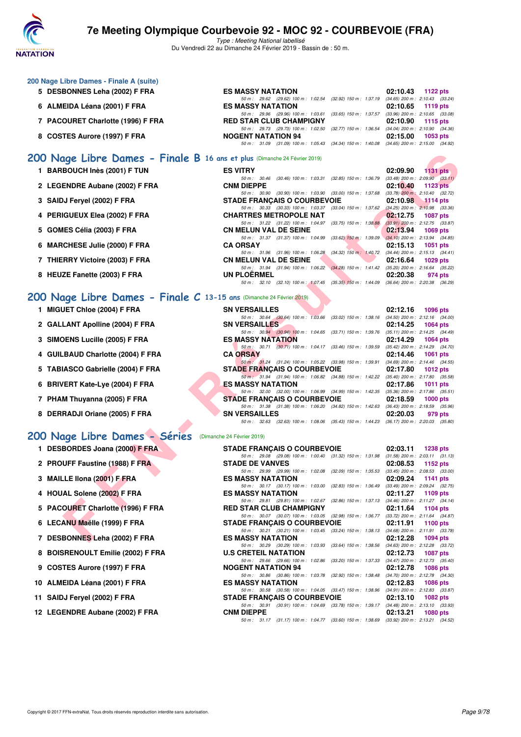

Type : Meeting National labellisé Du Vendredi 22 au Dimanche 24 Février 2019 - Bassin de : 50 m.

| 200 Nage Libre Dames - Finale A (suite) |                                                                                             |                                     |
|-----------------------------------------|---------------------------------------------------------------------------------------------|-------------------------------------|
| 5 DESBONNES Leha (2002) F FRA           | <b>ES MASSY NATATION</b>                                                                    | 02:10.43<br>1122 pts                |
|                                         | 50 m: 29.62 (29.62) 100 m: 1:02.54 (32.92) 150 m: 1:37.19                                   | $(34.65)$ 200 m : 2:10.43 $(33.24)$ |
| 6 ALMEIDA Léana (2001) F FRA            | <b>ES MASSY NATATION</b>                                                                    | $02:10.65$ 1119 pts                 |
|                                         | 50 m : 29.96 (29.96) 100 m : 1:03.61 (33.65) 150 m : 1:37.57 (33.96) 200 m : 2:10.65 (33.08 |                                     |
| 7 PACOURET Charlotte (1996) F FRA       | <b>RED STAR CLUB CHAMPIGNY</b>                                                              | $02:10.90$ 1115 pts                 |
|                                         | 50 m : 29.73 (29.73) 100 m : 1:02.50 (32.77) 150 m : 1:36.54 (34.04) 200 m : 2:10.90 (34.36 |                                     |
| 8 COSTES Aurore (1997) F FRA            | <b>NOGENT NATATION 94</b>                                                                   | 02:15.00<br>1053 pts                |
|                                         | 50 m : 31.09 (31.09) 100 m : 1:05.43 (34.34) 150 m : 1:40.08 (34.65) 200 m : 2:15.00 (34.92 |                                     |

### **[200 Nage Libre Dames - Finale B](http://www.ffnatation.fr/webffn/resultats.php?idact=nat&go=epr&idcpt=57703&idepr=3) 16 ans et plus** (Dimanche 24 Février 2019)

- **1 BARBOUCH Inès (2001) F TUN**
- 2 LEGENDRE Aubane (2002) F FRA
- **3 SAIDJ Feryel (2002) F FRA**
- **4 PERIGUEUX Elea (2002) F FRA**
- **5 GOMES Célia (2003) F FRA**
- **6 MARCHESE Julie (2000) F FRA**
- **7 THIERRY Victoire (2003) F FRA**
- 8 HEUZE Fanette (2003) F FRA

#### **[200 Nage Libre Dames - Finale C](http://www.ffnatation.fr/webffn/resultats.php?idact=nat&go=epr&idcpt=57703&idepr=3) 13-15 ans** (Dimanche 24 Février 2019)

- **1 MIGUET Chloe (2004) F FRA**
- 2 GALLANT Apolline (2004) F FRA
- **3 SIMOENS Lucille (2005) F FRA**
- **4 GUILBAUD Charlotte (2004) F FRA**
- 5 TABIASCO Gabrielle (2004) F FRA
- **6 BRIVERT Kate-Lye (2004) F FRA**
- 
- 8 DERRADJI Oriane (2005) F FRA

#### **[200 Nage Libre Dames - Séries](http://www.ffnatation.fr/webffn/resultats.php?idact=nat&go=epr&idcpt=57703&idepr=3)** (Dimanche 24 Février 2019)

- 1 DESBORDES Joana (2000) F FRA
- 2 PROUFF Faustine (1988) F FRA
- **3 MAILLE Ilona (2001) F FRA**
- 4 HOUAL Solene (2002) F FRA
- **5 PACOURET Charlotte (1996) F FRA**
- **6 LECANU Maëlle (1999) F FRA**
- **7 DESBONNES Leha (2002) F FRA**
- **8 BOISRENOULT Emilie (2002) F FRA**
- **9 COSTES Aurore (1997) F FRA**
- 10 ALMEIDA Léana (2001) F FRA
- **11 SAIDJ Feryel (2002) F FRA**
- 12 LEGENDRE Aubane (2002) F FRA

| <b>ES VITRY</b>    |                                                              |  | $02:09.90$ 1131 pts                                                                     |  |
|--------------------|--------------------------------------------------------------|--|-----------------------------------------------------------------------------------------|--|
|                    | 50 m : 30.46 (30.46) 100 m : 1:03.31 (32.85) 150 m : 1:36.79 |  | $(33.48)$ 200 m : 2:09.90 $(33.11)$                                                     |  |
| <b>CNM DIEPPE</b>  |                                                              |  | $02:10.40$ 1123 pts                                                                     |  |
|                    | 50 m: 30.90 (30.90) 100 m: 1:03.90 (33.00) 150 m: 1:37.68    |  | $(33.78)$ 200 m : 2:10.40 $(32.72)$                                                     |  |
|                    | <b>STADE FRANCAIS O COURBEVOIE</b>                           |  | $02:10.98$ 1114 pts                                                                     |  |
|                    |                                                              |  | 50 m: 30.33 (30.33) 100 m: 1:03.37 (33.04) 150 m: 1:37.62 (34.25) 200 m: 2:10.98 (33.36 |  |
|                    | <b>CHARTRES METROPOLE NAT</b>                                |  | 02:12.75 1087 pts                                                                       |  |
|                    |                                                              |  | 50 m: 31.22 (31.22) 100 m: 1:04.97 (33.75) 150 m: 1:38.88 (33.91) 200 m: 2:12.75 (33.87 |  |
|                    | <b>CN MELUN VAL DE SEINE</b>                                 |  | $02:13.94$ 1069 pts                                                                     |  |
|                    |                                                              |  | 50 m: 31.37 (31.37) 100 m: 1:04.99 (33.62) 150 m: 1:39.09 (34.10) 200 m: 2:13.94 (34.85 |  |
| <b>CA ORSAY</b>    |                                                              |  | $02:15.13$ 1051 pts                                                                     |  |
|                    | 50 m: 31.96 (31.96) 100 m: 1:06.28 (34.32) 150 m: 1:40.72    |  | $(34.44)$ 200 m : 2:15.13 $(34.41)$                                                     |  |
|                    | <b>CN MELUN VAL DE SEINE</b>                                 |  | 02:16.64 1029 pts                                                                       |  |
|                    | 50 m: 31.94 (31.94) 100 m: 1:06.22 (34.28) 150 m: 1:41.42    |  | $(35.20)$ 200 m : 2:16.64 $(35.22)$                                                     |  |
| <b>UN PLOERMEL</b> |                                                              |  | 02:20.38 974 pts                                                                        |  |
|                    |                                                              |  | 50 m: 32.10 (32.10) 100 m: 1:07.45 (35.35) 150 m: 1:44.09 (36.64) 200 m: 2:20.38 (36.29 |  |

| 00 Nage Libre Dames - Finale B 16 ans et plus (Dimanche 24 Février 2019) |                                                                                                               |                                                                |
|--------------------------------------------------------------------------|---------------------------------------------------------------------------------------------------------------|----------------------------------------------------------------|
| 1 BARBOUCH Inès (2001) F TUN                                             | <b>ES VITRY</b>                                                                                               | 02:09.90<br>1131 $pts$                                         |
|                                                                          | 50 m: 30.46 (30.46) 100 m: 1:03.31                                                                            | $(32.85)$ 150 m : 1:36.79 $(33.48)$ 200 m : 2:09.90 $(33.11)$  |
| 2 LEGENDRE Aubane (2002) F FRA                                           | <b>CNM DIEPPE</b>                                                                                             | 02:10.40<br><b>1123 pts</b>                                    |
|                                                                          | 50 m : 30.90 (30.90) 100 m : 1:03.90                                                                          | $(33.00)$ 150 m : 1:37.68 $(33.78)$ 200 m : 2:10.40 $(32.72)$  |
| 3 SAIDJ Feryel (2002) F FRA                                              | <b>STADE FRANÇAIS O COURBEVOIE</b><br>50 m: 30.33 (30.33) 100 m: 1:03.37<br>$(33.04)$ 150 m : 1:37.62         | 02:10.98<br>$-1114$ pts<br>$(34.25)$ 200 m : 2:10.98 $(33.36)$ |
| 4 PERIGUEUX Elea (2002) F FRA                                            | <b>CHARTRES METROPOLE NAT</b>                                                                                 | 02:12.75<br><b>1087 pts</b>                                    |
|                                                                          | 50 m: 31.22 (31.22) 100 m: 1:04.97<br>$(33.75)$ 150 m : 1:38.88                                               | $(33.91)$ 200 m : 2:12.75 $(33.87)$                            |
| 5 GOMES Célia (2003) F FRA                                               | <b>CN MELUN VAL DE SEINE</b>                                                                                  | 02:13.94<br><b>1069 pts</b>                                    |
|                                                                          | 50 m: 31.37 (31.37) 100 m: 1:04.99                                                                            | $(33.62)$ 150 m : 1:39.09 $(34.10)$ 200 m : 2:13.94 $(34.85)$  |
| 6 MARCHESE Julie (2000) F FRA                                            | <b>CA ORSAY</b>                                                                                               | 02:15.13<br><b>1051 pts</b>                                    |
|                                                                          | 50 m: 31.96 (31.96) 100 m: 1:06.28                                                                            | (34.32) 150 m : 1:40.72 (34.44) 200 m : 2:15.13 (34.41)        |
| 7 THIERRY Victoire (2003) F FRA                                          | <b>CN MELUN VAL DE SEINE</b>                                                                                  | 02:16.64<br><b>1029 pts</b>                                    |
|                                                                          | 50 m: 31.94 (31.94) 100 m: 1:06.22                                                                            | $(34.28)$ 150 m : 1:41.42 $(35.20)$ 200 m : 2:16.64 $(35.22)$  |
| 8 HEUZE Fanette (2003) F FRA                                             | <b>UN PLOERMEL</b>                                                                                            | 02:20.38<br>974 pts                                            |
|                                                                          | 50 m: 32.10 (32.10) 100 m: 1:07.45 (35.35) 150 m: 1:44.09 (36.64) 200 m: 2:20.38 (36.29)                      |                                                                |
| 00 Nage Libre Dames - Finale C 13-15 ans (Dimanche 24 Février 2019)      |                                                                                                               |                                                                |
| 1 MIGUET Chloe (2004) F FRA                                              | <b>SN VERSAILLES</b>                                                                                          | 02:12.16<br>1096 pts                                           |
|                                                                          | 50 m: 30.64 (30.64) 100 m: 1:03.66 (33.02) 150 m: 1:38.16 (34.50) 200 m: 2:12.16 (34.00)                      |                                                                |
| 2 GALLANT Apolline (2004) F FRA                                          | <b>SN VERSAILLES</b>                                                                                          | 02:14.25<br>1064 pts                                           |
|                                                                          | 50 m: 30.94 (30.94) 100 m: 1:04.65 (33.71) 150 m: 1:39.76 (35.11) 200 m: 2:14.25 (34.49)                      |                                                                |
| 3 SIMOENS Lucille (2005) F FRA                                           | <b>ES MASSY NATATION</b>                                                                                      | 02:14.29<br><b>1064 pts</b>                                    |
|                                                                          | 50 m: 30.71 (30.71) 100 m: 1:04.17 (33.46) 150 m: 1:39.59 (35.42) 200 m: 2:14.29 (34.70)                      |                                                                |
| 4 GUILBAUD Charlotte (2004) F FRA                                        | <b>CA ORSAY</b>                                                                                               | 02:14.46<br><b>1061 pts</b>                                    |
|                                                                          | 50 m: 31.24 (31.24) 100 m: 1:05.22 (33.98) 150 m: 1:39.91 (34.69) 200 m: 2:14.46 (34.55)                      |                                                                |
| 5 TABIASCO Gabrielle (2004) F FRA                                        | <b>STADE FRANÇAIS O COURBEVOIE</b>                                                                            | 02:17.80<br><b>1012 pts</b>                                    |
|                                                                          | 50 m: 31.94 (31.94) 100 m: 1:06.82 (34.88) 150 m: 1:42.22 (35.40) 200 m: 2:17.80 (35.58)<br>ES MASSY NATATION | 02:17.86                                                       |
| 6 BRIVERT Kate-Lye (2004) F FRA                                          | 50 m : 32.00 (32.00) 100 m : 1:06.99 (34.99) 150 m : 1:42.35 (35.36) 200 m : 2:17.86 (35.51)                  | <b>1011 pts</b>                                                |
| 7 PHAM Thuyanna (2005) F FRA                                             | <b>STADE FRANÇAIS O COURBEVOIE</b>                                                                            | 02:18.59<br>1000 $pts$                                         |
|                                                                          | 50 m: 31.38 (31.38) 100 m: 1:06.20 (34.82) 150 m: 1:42.63 (36.43) 200 m: 2:18.59 (35.96)                      |                                                                |
| 8 DERRADJI Oriane (2005) F FRA                                           | <b>SN VERSAILLES</b>                                                                                          | 02:20.03<br>979 pts                                            |
|                                                                          | 50 m: 32.63 (32.63) 100 m: 1:08.06 (35.43) 150 m: 1:44.23 (36.17) 200 m: 2:20.03 (35.80)                      |                                                                |
| 00 Nage Libre Dames - Séries (Dimanche 24 Février 2019)                  |                                                                                                               |                                                                |
| 1 DESBORDES Joana (2000) F FRA                                           | <b>STADE FRANÇAIS O COURBEVOIE</b>                                                                            | 02:03.11<br><b>1238 pts</b>                                    |
|                                                                          | 50 m: 29.08 (29.08) 100 m: 1:00.40 (31.32) 150 m: 1:31.98 (31.58) 200 m: 2:03.11 (31.13)                      |                                                                |
| 2 PROUFF Faustine (1988) F FRA                                           | <b>STADE DE VANVES</b>                                                                                        | 02:08.53<br>1152 pts                                           |
|                                                                          | 50 m : 29.99 (29.99) 100 m : 1:02.08                                                                          | (32.09) 150 m : 1:35.53 (33.45) 200 m : 2:08.53 (33.00)        |
| 3 MAILLE IIona (2001) F FRA                                              | <b>ES MASSY NATATION</b>                                                                                      | 02:09.24<br>1141 pts                                           |
|                                                                          | 50 m : 30.17 (30.17) 100 m : 1:03.00<br>$(32.83)$ 150 m : 1:36.49                                             | $(33.49)$ 200 m : 2:09.24 $(32.75)$                            |
| 4 HOUAL Solene (2002) F FRA                                              | <b>ES MASSY NATATION</b>                                                                                      | 02:11.27<br>1109 pts                                           |
|                                                                          | 50 m : 29.81 (29.81) 100 m : 1:02.67<br>$(32.86)$ 150 m : 1:37.13                                             | $(34.46)$ 200 m : 2:11.27 $(34.14)$                            |
| 5 PACOURET Charlotte (1996) F FRA                                        | <b>RED STAR CLUB CHAMPIGNY</b>                                                                                | 02:11.64<br>1104 pts                                           |
|                                                                          | 50 m: 30.07 (30.07) 100 m: 1:03.05 (32.98) 150 m: 1:36.77 (33.72) 200 m: 2:11.64 (34.87)                      |                                                                |
| 6 LECANU Maëlle (1999) F FRA                                             | <b>STADE FRANÇAIS O COURBEVOIE</b>                                                                            | 02:11.91<br>1100 $pts$                                         |
|                                                                          | 50 m: 30.21 (30.21) 100 m: 1:03.45 (33.24) 150 m: 1:38.13 (34.68) 200 m: 2:11.91 (33.78)                      |                                                                |
| 7 DESBONNES Leha (2002) F FRA                                            | <b>ES MASSY NATATION</b>                                                                                      | 02:12.28<br><b>1094 pts</b>                                    |

| <b>STADE FRANÇAIS O COURBEVOIE</b>                                                       | $02:03.11$ 1238 pts                 |
|------------------------------------------------------------------------------------------|-------------------------------------|
| 50 m: 29.08 (29.08) 100 m: 1:00.40 (31.32) 150 m: 1:31.98 (31.58) 200 m: 2:03.11 (31.13) |                                     |
| <b>STADE DE VANVES</b>                                                                   | 02:08.53 1152 pts                   |
| 50 m: 29.99 (29.99) 100 m: 1:02.08 (32.09) 150 m: 1:35.53                                | $(33.45)$ 200 m : 2:08.53 $(33.00)$ |
| <b>ES MASSY NATATION</b>                                                                 | 02:09.24 1141 pts                   |
| 50 m: 30.17 (30.17) 100 m: 1:03.00 (32.83) 150 m: 1:36.49                                | $(33.49)$ 200 m : 2:09.24 $(32.75)$ |
| <b>ES MASSY NATATION</b>                                                                 | 02:11.27 1109 pts                   |
| 50 m: 29.81 (29.81) 100 m: 1:02.67 (32.86) 150 m: 1:37.13 (34.46) 200 m: 2:11.27 (34.14) |                                     |
| <b>RED STAR CLUB CHAMPIGNY</b>                                                           | $02:11.64$ 1104 pts                 |
| 50 m: 30.07 (30.07) 100 m: 1:03.05 (32.98) 150 m: 1:36.77 (33.72) 200 m: 2:11.64 (34.87) |                                     |
| <b>STADE FRANÇAIS O COURBEVOIE</b>                                                       | 02:11.91 1100 pts                   |
| 50 m: 30.21 (30.21) 100 m: 1:03.45 (33.24) 150 m: 1:38.13 (34.68) 200 m: 2:11.91 (33.78) |                                     |
| <b>ES MASSY NATATION</b>                                                                 | 02:12.28 1094 pts                   |
| 50 m: 30.29 (30.29) 100 m: 1:03.93 (33.64) 150 m: 1:38.56                                | $(34.63)$ 200 m : 2:12.28 $(33.72)$ |
| <b>U.S CRETEIL NATATION</b>                                                              | 02:12.73 1087 pts                   |
| 50 m: 29.66 (29.66) 100 m: 1:02.86 (33.20) 150 m: 1:37.33                                | $(34.47)$ 200 m : 2:12.73 $(35.40)$ |
| <b>NOGENT NATATION 94</b>                                                                | 02:12.78 1086 pts                   |
| 50 m: 30.86 (30.86) 100 m: 1:03.78 (32.92) 150 m: 1:38.48                                | $(34.70)$ 200 m : 2:12.78 $(34.30)$ |
| <b>ES MASSY NATATION</b>                                                                 | 02:12.83 1086 pts                   |
| 50 m: 30.58 (30.58) 100 m: 1:04.05 (33.47) 150 m: 1:38.96                                | $(34.91)$ 200 m : 2:12.83 $(33.87)$ |
| <b>STADE FRANCAIS O COURBEVOIE</b>                                                       | $02:13.10$ 1082 pts                 |
| 50 m: 30.91 (30.91) 100 m: 1.04.69 (33.78) 150 m: 1.39.17 (34.48) 200 m: 2.13.10 (33.93) |                                     |
| <b>CNM DIEPPE</b>                                                                        | 02:13.21 1080 pts                   |
| 50 m: 31.17 (31.17) 100 m: 1:04.77 (33.60) 150 m: 1:38.69 (33.92) 200 m: 2:13.21 (34.52) |                                     |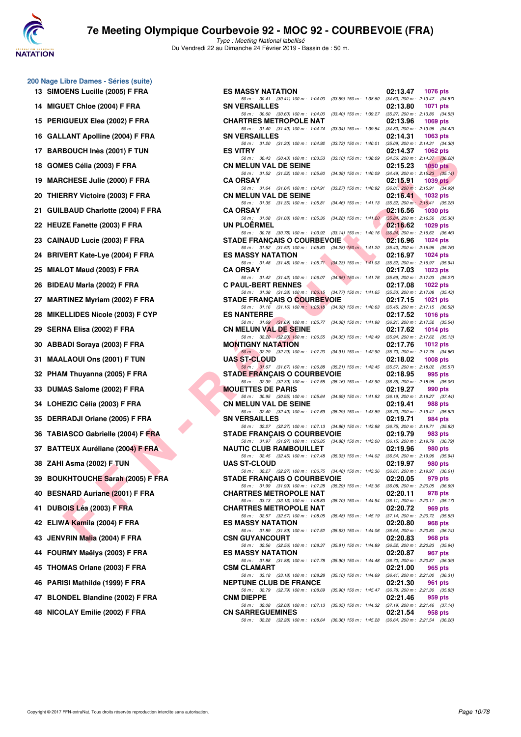

Type : Meeting National labellisé Du Vendredi 22 au Dimanche 24 Février 2019 - Bassin de : 50 m.

| 13 | SIMOENS Lucille (2005) F FRA           |
|----|----------------------------------------|
| 14 | MIGUET Chloe (2004) F FRA              |
| 15 | PERIGUEUX Elea (2002) F FRA            |
| 16 | <b>GALLANT Apolline (2004) F FRA</b>   |
| 17 | BARBOUCH Inès (2001) F TUN             |
| 18 | GOMES Célia (2003) F FRA               |
| 19 | <b>MARCHESE Julie (2000) F FRA</b>     |
| 20 | THIERRY Victoire (2003) F FRA          |
| 21 | <b>GUILBAUD Charlotte (2004) F FRA</b> |
| 22 | HEUZE Fanette (2003) F FRA             |
| 23 | CAINAUD Lucie (2003) F FRA             |
| 24 | BRIVERT Kate-Lye (2004) F FRA          |
| 25 | MIALOT Maud (2003) F FRA               |
| 26 | BIDEAU Marla (2002) F FRA              |
| 27 | <b>MARTINEZ Myriam (2002) F FRA</b>    |
| 28 | MIKELLIDES Nicole (2003) F CYP         |
| 29 | SERNA Elisa (2002) F FRA               |
| 30 | <b>ABBADI Soraya (2003) F FRA</b>      |
| 31 | MAALAOUI Ons (2001) F TUN              |
| 32 | PHAM Thuyanna (2005) F FRA             |
| 33 | DUMAS Salome (2002) F FRA              |
| 34 | LOHEZIC Célia (2003) F FRA             |
| 35 | DERRADJI Oriane (2005) F FRA           |
| 36 | TABIASCO Gabrielle (2004) F FRA        |
| 37 | <b>BATTEUX Auréliane (2004) F FRA</b>  |
| 38 | ZAHI Asma (2002) F TUN                 |
| 39 | <b>BOUKHTOUCHE Sarah (2005) F FRA</b>  |
| 40 | <b>BESNARD Auriane (2001) F FRA</b>    |
| 41 | DUBOIS Léa (2003) F FRA                |
| 42 | ELIWA Kamila (2004) F FRA              |
| 43 | JENVRIN Malia (2004) F FRA             |
| 44 | FOURMY Maëlys (2003) F FRA             |
| 45 | THOMAS Orlane (2003) F FRA             |
| 46 | PARISI Mathilde (1999) F FRA           |
| 47 | <b>BLONDEL Blandine (2002) F FRA</b>   |

**200 Nage Libre Dames - Séries (suite)**

|  | 48 NICOLAY Emilie (2002) F FRA |  |  |  |  |  |  |
|--|--------------------------------|--|--|--|--|--|--|
|--|--------------------------------|--|--|--|--|--|--|

| 0 Nage Libre Dames - Séries (suite) |                                                                                                                                |                                                                                         |
|-------------------------------------|--------------------------------------------------------------------------------------------------------------------------------|-----------------------------------------------------------------------------------------|
| 13 SIMOENS Lucille (2005) F FRA     | <b>ES MASSY NATATION</b>                                                                                                       | 02:13.47<br>1076 pts                                                                    |
| 14 MIGUET Chloe (2004) F FRA        | 50 m: 30.41 (30.41) 100 m: 1:04.00 (33.59) 150 m: 1:38.60 (34.60) 200 m: 2:13.47 (34.87)<br><b>SN VERSAILLES</b>               | 02:13.80<br>1071 pts                                                                    |
| 15 PERIGUEUX Elea (2002) F FRA      | 50 m: 30.60 (30.60) 100 m: 1:04.00 (33.40) 150 m: 1:39.27 (35.27) 200 m: 2:13.80 (34.53)<br><b>CHARTRES METROPOLE NAT</b>      | 02:13.96<br>1069 pts                                                                    |
| 16 GALLANT Apolline (2004) F FRA    | 50 m: 31.40 (31.40) 100 m: 1:04.74 (33.34) 150 m: 1:39.54 (34.80) 200 m: 2:13.96 (34.42)<br><b>SN VERSAILLES</b>               | 02:14.31<br>1063 pts                                                                    |
|                                     | 50 m: 31.20 (31.20) 100 m: 1:04.92                                                                                             | (33.72) 150 m : 1:40.01 (35.09) 200 m : 2:14.31 (34.30)                                 |
| 17 BARBOUCH Inès (2001) F TUN       | <b>ES VITRY</b><br>50 m : 30.43 (30.43) 100 m : 1:03.53                                                                        | 02:14.37<br>1062 pts<br>(33.10) 150 m : 1:38.09 (34.56) 200 m : 2:14.37 (36.28)         |
| 18 GOMES Célia (2003) F FRA         | <b>CN MELUN VAL DE SEINE</b><br>50 m: 31.52 (31.52) 100 m: 1:05.60                                                             | 02:15.23<br>$1050$ pts<br>$(34.08)$ 150 m : 1:40.09 $(34.49)$ 200 m : 2:15.23 $(35.14)$ |
| 19 MARCHESE Julie (2000) F FRA      | <b>CA ORSAY</b><br>50 m: 31.64 (31.64) 100 m: 1:04.91 (33.27) 150 m: 1:40.92 (36.01) 200 m: 2:15.91 (34.99)                    | 02:15.91<br>$1039$ pts                                                                  |
| 20 THIERRY Victoire (2003) F FRA    | <b>CN MELUN VAL DE SEINE</b>                                                                                                   | 02:16.41<br>1032 pts                                                                    |
| 21 GUILBAUD Charlotte (2004) F FRA  | 50 m: 31.35 (31.35) 100 m: 1:05.81 (34.46) 150 m: 1:41.13 (35.32) 200 m: 2:16.41 (35.28)<br><b>CA ORSAY</b>                    | 02:16.56<br>1030 pts                                                                    |
| 22 HEUZE Fanette (2003) F FRA       | 50 m: 31.08 (31.08) 100 m: 1:05.36 (34.28) 150 m: 1:41.20 (35.84) 200 m: 2:16.56 (35.36)<br>UN PLOERMEL                        | 02:16.62<br>1029 pts                                                                    |
| 23 CAINAUD Lucie (2003) F FRA       | 50 m: 30.78 (30.78) 100 m: 1:03.92 (33.14) 150 m: 1:40.16 (36.24) 200 m: 2:16.62 (36.46)<br><b>STADE FRANÇAIS O COURBEVOIE</b> | 02:16.96<br>1024 pts                                                                    |
| 24 BRIVERT Kate-Lye (2004) F FRA    | 50 m: 31.52 (31.52) 100 m: 1:05.80 (34.28) 150 m: 1:41.20 (35.40) 200 m: 2:16.96 (35.76)<br><b>ES MASSY NATATION</b>           | 02:16.97<br>$1024$ pts                                                                  |
| 25 MIALOT Maud (2003) F FRA         | 50 m: 31.48 (31.48) 100 m: 1:05.71 (34.23) 150 m: 1:41.03 (35.32) 200 m: 2:16.97 (35.94)<br><b>CA ORSAY</b>                    | 02:17.03<br>1023 $pts$                                                                  |
|                                     | 50 m: 31.42 (31.42) 100 m: 1:06.07 (34.65) 150 m: 1:41.76 (35.69) 200 m: 2:17.03 (35.27)                                       |                                                                                         |
| 26 BIDEAU Marla (2002) F FRA        | <b>C PAUL-BERT RENNES</b><br>50 m: 31.38 (31.38) 100 m: 1:06.15 (34.77) 150 m: 1:41.65 (35.50) 200 m: 2:17.08 (35.43)          | 02:17.08<br>1022 pts                                                                    |
| 27 MARTINEZ Myriam (2002) F FRA     | <b>STADE FRANCAIS O COURBEVOIE</b><br>50 m: 31.16 (31.16) 100 m: 1:05.18 (34.02) 150 m: 1:40.63 (35.45) 200 m: 2:17.15 (36.52) | 02:17.15<br>1021 pts                                                                    |
| 28 MIKELLIDES Nicole (2003) F CYP   | <b>ES NANTERRE</b><br>50 m: 31.69 (31.69) 100 m: 1:05.77 (34.08) 150 m: 1:41.98 (36.21) 200 m: 2:17.52 (35.54)                 | 02:17.52<br>1016 pts                                                                    |
| 29 SERNA Elisa (2002) F FRA         | <b>CN MELUN VAL DE SEINE</b>                                                                                                   | 02:17.62<br>1014 pts                                                                    |
| 30 ABBADI Soraya (2003) F FRA       | 50 m: 32.20 (32.20) 100 m: 1:06.55 (34.35) 150 m: 1:42.49 (35.94) 200 m: 2:17.62 (35.13)<br><b>MONTIGNY NATATION</b>           | 02:17.76<br>1012 $pts$                                                                  |
| <b>31 MAALAOUI Ons (2001) F TUN</b> | 50 m: 32.29 (32.29) 100 m: 1:07.20 (34.91) 150 m: 1:42.90 (35.70) 200 m: 2:17.76 (34.86)<br><b>UAS ST-CLOUD</b>                | 02:18.02<br>1008 pts                                                                    |
| 32 PHAM Thuyanna (2005) F FRA       | 50 m: 31.67 (31.67) 100 m: 1:06.88 (35.21) 150 m: 1:42.45 (35.57) 200 m: 2:18.02 (35.57)<br><b>STADE FRANÇAIS O COURBEVOIE</b> | 02:18.95<br>995 pts                                                                     |
| 33 DUMAS Salome (2002) F FRA        | 50 m: 32.39 (32.39) 100 m: 1:07.55 (35.16) 150 m: 1:43.90 (36.35) 200 m: 2:18.95 (35.05)<br><b>MOUETTES DE PARIS</b>           | 02:19.27<br>990 pts                                                                     |
| 34 LOHEZIC Célia (2003) F FRA       | 50 m: 30.95 (30.95) 100 m: 1:05.64 (34.69) 150 m: 1:41.83 (36.19) 200 m: 2:19.27 (37.44)<br><b>CN MELUN VAL DE SEINE</b>       | 02:19.41<br>988 pts                                                                     |
| 35 DERRADJI Oriane (2005) F FRA     | 50 m: 32.40 (32.40) 100 m: 1:07.69 (35.29) 150 m: 1:43.89 (36.20) 200 m: 2:19.41 (35.52)<br><b>SN VERSAILLES</b>               | 02:19.71<br>984 pts                                                                     |
| 36 TABIASCO Gabrielle (2004) F FRA  | 50 m: 32.27 (32.27) 100 m: 1:07.13 (34.86) 150 m: 1:43.88 (36.75) 200 m: 2:19.71 (35.83)<br><b>STADE FRANÇAIS O COURBEVOIE</b> | 02:19.79<br>983 pts                                                                     |
| 37 BATTEUX Auréliane (2004) F FRA   | 50 m: 31.97 (31.97) 100 m: 1:06.85 (34.88) 150 m: 1:43.00 (36.15) 200 m: 2:19.79 (36.79)<br><b>NAUTIC CLUB RAMBOUILLET</b>     | 02:19.96<br>980 pts                                                                     |
| 38 ZAHI Asma (2002) F TUN           | 50 m: 32.45 (32.45) 100 m: 1:07.48 (35.03) 150 m: 1:44.02 (36.54) 200 m: 2:19.96 (35.94)<br><b>UAS ST-CLOUD</b>                | 02:19.97<br>980 pts                                                                     |
|                                     | 50 m: 32.27 (32.27) 100 m: 1:06.75 (34.48) 150 m: 1:43.36 (36.61) 200 m: 2:19.97 (36.61)                                       |                                                                                         |
| 39 BOUKHTOUCHE Sarah (2005) F FRA   | <b>STADE FRANÇAIS O COURBEVOIE</b><br>50 m: 31.99 (31.99) 100 m: 1:07.28<br>$(35.29)$ 150 m : 1:43.36                          | 02:20.05<br>979 pts<br>$(36.08)$ 200 m : 2:20.05 $(36.69)$                              |
| 40 BESNARD Auriane (2001) F FRA     | <b>CHARTRES METROPOLE NAT</b><br>50 m: 33.13 (33.13) 100 m: 1:08.83<br>$(35.70)$ 150 m : 1:44.94                               | 02:20.11<br>978 pts<br>$(36.11)$ 200 m : 2:20.11 $(35.17)$                              |
| 41   DUBOIS Léa (2003) F FRA        | <b>CHARTRES METROPOLE NAT</b><br>50 m: 32.57 (32.57) 100 m: 1:08.05<br>(35.48) 150 m : 1:45.19                                 | 02:20.72<br>969 pts<br>$(37.14)$ 200 m : 2:20.72 $(35.53)$                              |
| 42 ELIWA Kamila (2004) F FRA        | <b>ES MASSY NATATION</b>                                                                                                       | 02:20.80<br>968 pts                                                                     |
| 43   JENVRIN Malia (2004) F FRA     | 50 m: 31.89 (31.89) 100 m: 1:07.52<br>$(35.63)$ 150 m : 1:44.06<br><b>CSN GUYANCOURT</b>                                       | $(36.54)$ 200 m : 2:20.80 $(36.74)$<br>02:20.83<br>968 pts                              |
| 44 FOURMY Maëlys (2003) F FRA       | 50 m: 32.56 (32.56) 100 m: 1:08.37<br>$(35.81)$ 150 m : 1:44.89<br><b>ES MASSY NATATION</b>                                    | $(36.52)$ 200 m : 2:20.83 $(35.94)$<br>02:20.87<br>967 pts                              |
| 45 THOMAS Orlane (2003) F FRA       | 50 m: 31.88 (31.88) 100 m: 1:07.78<br>$(35.90)$ 150 m : 1:44.48<br><b>CSM CLAMART</b>                                          | (36.70) 200 m : 2:20.87 (36.39)<br>02:21.00<br>965 pts                                  |
| 46 PARISI Mathilde (1999) F FRA     | $(35.10)$ 150 m : 1:44.69<br>50 m: 33.18 (33.18) 100 m: 1:08.28<br><b>NEPTUNE CLUB DE FRANCE</b>                               | $(36.41)$ 200 m : 2:21.00 $(36.31)$<br>02:21.30<br>961 pts                              |
| 47 BLONDEL Blandine (2002) F FRA    | 50 m : 32.79 (32.79) 100 m : 1:08.69<br><b>CNM DIEPPE</b>                                                                      | $(35.90)$ 150 m : 1:45.47 $(36.78)$ 200 m : 2:21.30 $(35.83)$<br>02:21.46<br>959 pts    |
| 48 NICOLAY Emilie (2002) F FRA      | 50 m: 32.08 (32.08) 100 m: 1:07.13<br><b>CN SARREGUEMINES</b>                                                                  | $(35.05)$ 150 m : 1:44.32 $(37.19)$ 200 m : 2:21.46 $(37.14)$<br>02:21.54<br>958 pts    |
|                                     | 50 m: 32.28 (32.28) 100 m: 1:08.64 (36.36) 150 m: 1:45.28 (36.64) 200 m: 2:21.54 (36.26)                                       |                                                                                         |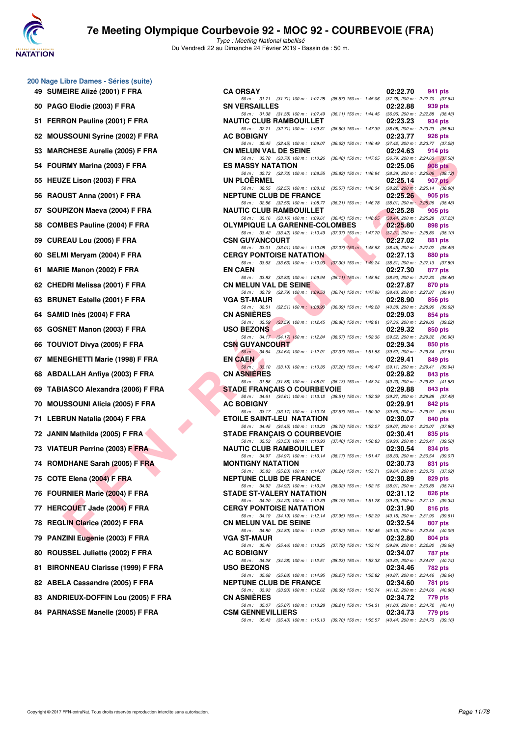



| 49 | 200 Nage Libre Dames - Séries (suite)<br>SUMEIRE Alizé (2001) F FRA |
|----|---------------------------------------------------------------------|
| 50 | PAGO Elodie (2003) F FRA                                            |
| 51 | FERRON Pauline (2001) F FRA                                         |
| 52 | MOUSSOUNI Syrine (2002) F FRA                                       |
| 53 | <b>MARCHESE Aurelie (2005) F FRA</b>                                |
| 54 | FOURMY Marina (2003) F FRA                                          |
| 55 | HEUZE Lison (2003) F FRA                                            |
| 56 | RAOUST Anna (2001) F FRA                                            |
| 57 | SOUPIZON Maeva (2004) F FRA                                         |
| 58 | <b>COMBES Pauline (2004) F FRA</b>                                  |
| 59 | CUREAU Lou (2005) F FRA                                             |
| 60 | SELMI Meryam (2004) F FRA                                           |
| 61 | MARIE Manon (2002) F FRA                                            |
| 62 | <b>CHEDRI Melissa (2001) F FRA</b>                                  |
| 63 | <b>BRUNET Estelle (2001) F FRA</b>                                  |
| 64 | SAMID Inès (2004) F FRA                                             |
| 65 | GOSNET Manon (2003) F FRA                                           |
| 66 | TOUVIOT Divya (2005) F FRA                                          |
| 67 | <b>MENEGHETTI Marie (1998) F FRA</b>                                |
| 68 | ABDALLAH Anfiya (2003) F FRA                                        |
| 69 | TABIASCO Alexandra (2006) F FRA                                     |
| 70 | <b>MOUSSOUNI Alicia (2005) F FRA</b>                                |
| 71 | LEBRUN Natalia (2004) F FRA                                         |
|    | 72 JANIN Mathilda (2005) F FRA                                      |
| 73 | <b>VIATEUR Perrine (2003) F FRA</b>                                 |
| 74 | ROMDHANE Sarah (2005) F FRA                                         |
| 75 | COTE Elena (2004) F FRA                                             |
| 76 | FOURNIER Marie (2004) F FRA                                         |
| 77 | <b>HERCOUET Jade (2004) F FRA</b>                                   |
| 78 | <b>REGLIN Clarice (2002) F FRA</b>                                  |
| 79 | PANZINI Eugenie (2003) F FRA                                        |
| 80 | ROUSSEL Juliette (2002) F FRA                                       |
| 81 | <b>BIRONNEAU Clarisse (1999) F FRA</b>                              |
| 82 | ABELA Cassandre (2005) F FRA                                        |
| 83 | ANDRIEUX-DOFFIN Lou (2005) F FRA                                    |

| 84 PARNASSE Manelle (2005) F FRA |  |
|----------------------------------|--|

| $\sigma$ nage Eibre Banico Cenco (Sanc) |                                                                                                                                                                                                                   |          |                                                |
|-----------------------------------------|-------------------------------------------------------------------------------------------------------------------------------------------------------------------------------------------------------------------|----------|------------------------------------------------|
| 49 SUMEIRE Alizé (2001) F FRA           | <b>CA ORSAY</b>                                                                                                                                                                                                   | 02:22.70 | 941 pts                                        |
| 50 PAGO Elodie (2003) F FRA             | 50 m: 31.71 (31.71) 100 m: 1:07.28 (35.57) 150 m: 1:45.06 (37.78) 200 m: 2:22.70 (37.64)<br><b>SN VERSAILLES</b><br>50 m: 31.38 (31.38) 100 m: 1:07.49<br>(36.11) 150 m : 1:44.45 (36.96) 200 m : 2:22.88 (38.43) | 02:22.88 | 939 pts                                        |
| 51 FERRON Pauline (2001) F FRA          | <b>NAUTIC CLUB RAMBOUILLET</b>                                                                                                                                                                                    | 02:23.23 | 934 pts                                        |
| 52 MOUSSOUNI Syrine (2002) F FRA        | 50 m: 32.71 (32.71) 100 m: 1:09.31 (36.60) 150 m: 1:47.39 (38.08) 200 m: 2:23.23 (35.84)<br><b>AC BOBIGNY</b>                                                                                                     | 02:23.77 | 926 pts                                        |
| 53 MARCHESE Aurelie (2005) F FRA        | 50 m: 32.45 (32.45) 100 m: 1:09.07<br>(36.62) 150 m : 1:46.49 (37.42) 200 m : 2:23.77 (37.28)<br><b>CN MELUN VAL DE SEINE</b>                                                                                     | 02:24.63 | 914 pts                                        |
| 54 FOURMY Marina (2003) F FRA           | 50 m: 33.78 (33.78) 100 m: 1:10.26<br>(36.48) 150 m : 1:47.05 (36.79) 200 m : 2:24.63 (37.58)<br><b>ES MASSY NATATION</b>                                                                                         | 02:25.06 | 908 pts                                        |
| 55 HEUZE Lison (2003) F FRA             | 50 m: 32.73 (32.73) 100 m: 1:08.55<br>(35.82) 150 m : 1:46.94 (38.39) 200 m : 2:25.06 (38.12)<br><b>UN PLOERMEL</b>                                                                                               | 02:25.14 | 907 pts                                        |
|                                         | 50 m: 32.55 (32.55) 100 m: 1:08.12 (35.57) 150 m: 1:46.34 (38.22) 200 m: 2:25.14 (38.80)                                                                                                                          |          |                                                |
| 56 RAOUST Anna (2001) F FRA             | <b>NEPTUNE CLUB DE FRANCE</b><br>50 m: 32.56 (32.56) 100 m: 1:08.77 (36.21) 150 m: 1:46.78 (38.01) 200 m: 2:25.26 (38.48)                                                                                         | 02:25.26 | 905 pts                                        |
| 57 SOUPIZON Maeva (2004) F FRA          | <b>NAUTIC CLUB RAMBOUILLET</b><br>50 m: 33.16 (33.16) 100 m: 1:09.61 (36.45) 150 m: 1:48.05 (38.44) 200 m: 2:25.28 (37.23)                                                                                        | 02:25.28 | 905 pts                                        |
| 58 COMBES Pauline (2004) F FRA          | <b>OLYMPIQUE LA GARENNE-COLOMBES</b><br>50 m: 33.42 (33.42) 100 m: 1:10.49 (37.07) 150 m: 1:47.70 (37.21) 200 m: 2:25.80 (38.10)                                                                                  | 02:25.80 | 898 pts                                        |
| 59 CUREAU Lou (2005) F FRA              | <b>CSN GUYANCOURT</b><br>50 m: 33.01 (33.01) 100 m: 1:10.08 (37.07) 150 m: 1:48.53 (38.45) 200 m: 2:27.02 (38.49)                                                                                                 | 02:27.02 | 881 pts                                        |
| 60 SELMI Meryam (2004) F FRA            | <b>CERGY PONTOISE NATATION</b>                                                                                                                                                                                    | 02:27.13 | 880 pts                                        |
| 61 MARIE Manon (2002) F FRA             | 50 m: 33.63 (33.63) 100 m: 1:10.93 (37.30) 150 m: 1:49.24 (38.31) 200 m: 2:27.13 (37.89)<br><b>EN CAEN</b>                                                                                                        | 02:27.30 | 877 pts                                        |
| 62   CHEDRI Melissa (2001) F FRA        | 50 m: 33.83 (33.83) 100 m: 1:09.94<br>(36.11) 150 m: 1:48.84 (38.90) 200 m: 2:27.30 (38.46)<br><b>CN MELUN VAL DE SEINE</b>                                                                                       | 02:27.87 | 870 pts                                        |
| 63 BRUNET Estelle (2001) F FRA          | 50 m : 32.79 (32.79) 100 m : 1:09.53<br>(36.74) 150 m: 1:47.96 (38.43) 200 m: 2:27.87 (39.91)<br><b>VGA ST-MAUR</b>                                                                                               | 02:28.90 | 856 pts                                        |
| 64   SAMID Inès (2004) F FRA            | 50 m: 32.51 (32.51) 100 m: 1:08.90<br>(36.39) 150 m : 1:49.28 (40.38) 200 m : 2:28.90 (39.62)<br><b>CN ASNIERES</b>                                                                                               | 02:29.03 | 854 pts                                        |
| 65 GOSNET Manon (2003) F FRA            | 50 m: 33.59 (33.59) 100 m: 1:12.45<br>(38.86) 150 m : 1:49.81 (37.36) 200 m : 2:29.03 (39.22)<br><b>USO BEZONS</b>                                                                                                | 02:29.32 | 850 pts                                        |
| 66 TOUVIOT Divya (2005) F FRA           | 50 m: 34.17 (34.17) 100 m: 1:12.84 (38.67) 150 m: 1:52.36 (39.52) 200 m: 2:29.32 (36.96)<br><b>CSN GUYANCOURT</b>                                                                                                 | 02:29.34 | 850 pts                                        |
| 67 MENEGHETTI Marie (1998) F FRA        | 50 m: 34.64 (34.64) 100 m: 1:12.01 (37.37) 150 m: 1:51.53 (39.52) 200 m: 2:29.34 (37.81)<br><b>EN CAEN</b>                                                                                                        | 02:29.41 | 849 pts                                        |
| 68 ABDALLAH Anfiya (2003) F FRA         | 50 m: 33.10 (33.10) 100 m: 1:10.36 (37.26) 150 m: 1:49.47 (39.11) 200 m: 2:29.41 (39.94)<br><b>CN ASNIERES</b>                                                                                                    | 02:29.82 | 843 pts                                        |
| 69   TABIASCO Alexandra (2006) F FRA    | 50 m: 31.88 (31.88) 100 m: 1:08.01 (36.13) 150 m: 1:48.24 (40.23) 200 m: 2:29.82 (41.58)<br><b>STADE FRANÇAIS O COURBEVOIE</b>                                                                                    | 02:29.88 | 843 pts                                        |
|                                         | 50 m: 34.61 (34.61) 100 m: 1:13.12 (38.51) 150 m: 1:52.39 (39.27) 200 m: 2:29.88 (37.49)                                                                                                                          |          |                                                |
| 70 MOUSSOUNI Alicia (2005) F FRA        | <b>AC BOBIGNY</b><br>50 m: 33.17 (33.17) 100 m: 1:10.74 (37.57) 150 m: 1:50.30 (39.56) 200 m: 2:29.91 (39.61)                                                                                                     | 02:29.91 | 842 pts                                        |
| 71 LEBRUN Natalia (2004) F FRA          | ETOILE SAINT-LEU NATATION<br>50 m: 34.45 (34.45) 100 m: 1:13.20 (38.75) 150 m: 1:52.27 (39.07) 200 m: 2:30.07 (37.80)                                                                                             | 02:30.07 | 840 pts                                        |
| 72 JANIN Mathilda (2005) F FRA          | <b>STADE FRANCAIS O COURBEVOIE</b><br>50 m: 33.53 (33.53) 100 m: 1:10.93 (37.40) 150 m: 1:50.83 (39.90) 200 m: 2:30.41 (39.58)                                                                                    | 02:30.41 | 835 pts                                        |
| 73 VIATEUR Perrine (2003) F FRA         | <b>NAUTIC CLUB RAMBOUILLET</b><br>50 m: 34.97 (34.97) 100 m: 1:13.14 (38.17) 150 m: 1:51.47 (38.33) 200 m: 2:30.54 (39.07)                                                                                        | 02:30.54 | 834 pts                                        |
| 74 ROMDHANE Sarah (2005) F FRA          | <b>MONTIGNY NATATION</b>                                                                                                                                                                                          | 02:30.73 | 831 pts                                        |
| 75 COTE Elena (2004) F FRA              | 50 m: 35.83 (35.83) 100 m: 1:14.07 (38.24) 150 m: 1:53.71 (39.64) 200 m: 2:30.73 (37.02)<br><b>NEPTUNE CLUB DE FRANCE</b>                                                                                         | 02:30.89 | 829 pts                                        |
| 76 FOURNIER Marie (2004) F FRA          | 50 m: 34.92 (34.92) 100 m: 1:13.24 (38.32) 150 m: 1:52.15<br><b>STADE ST-VALERY NATATION</b>                                                                                                                      | 02:31.12 | $(38.91)$ 200 m : 2:30.89 $(38.74)$<br>826 pts |
| 77 HERCOUET Jade (2004) F FRA           | 50 m: 34.20 (34.20) 100 m: 1:12.39<br>(38.19) 150 m : 1:51.78 (39.39) 200 m : 2:31.12 (39.34)<br><b>CERGY PONTOISE NATATION</b>                                                                                   | 02:31.90 | 816 pts                                        |
| 78 REGLIN Clarice (2002) F FRA          | 50 m: 34.19 (34.19) 100 m: 1:12.14 (37.95) 150 m: 1:52.29<br><b>CN MELUN VAL DE SEINE</b>                                                                                                                         | 02:32.54 | $(40.15)$ 200 m : 2:31.90 $(39.61)$<br>807 pts |
| 79 PANZINI Eugenie (2003) F FRA         | 50 m: 34.80 (34.80) 100 m: 1:12.32<br>(37.52) 150 m : 1:52.45 (40.13) 200 m : 2:32.54 (40.09)<br><b>VGA ST-MAUR</b>                                                                                               | 02:32.80 | 804 pts                                        |
| 80 ROUSSEL Juliette (2002) F FRA        | 50 m: 35.46 (35.46) 100 m: 1:13.25<br>(37.79) 150 m : 1:53.14<br><b>AC BOBIGNY</b>                                                                                                                                | 02:34.07 | $(39.89)$ 200 m : 2:32.80 $(39.66)$<br>787 pts |
| 81 BIRONNEAU Clarisse (1999) F FRA      | 50 m: 34.28 (34.28) 100 m: 1:12.51<br>$(38.23)$ 150 m : 1:53.33<br><b>USO BEZONS</b>                                                                                                                              | 02:34.46 | (40.82) 200 m : 2:34.07 (40.74)<br>782 pts     |
| 82 ABELA Cassandre (2005) F FRA         | 50 m: 35.68 (35.68) 100 m: 1:14.95<br>(39.27) 150 m : 1:55.82 (40.87) 200 m : 2:34.46 (38.64)<br><b>NEPTUNE CLUB DE FRANCE</b>                                                                                    | 02:34.60 | 781 pts                                        |
| 83 ANDRIEUX-DOFFIN Lou (2005) F FRA     | 50 m: 33.93 (33.93) 100 m: 1:12.62 (38.69) 150 m: 1:53.74<br><b>CN ASNIERES</b>                                                                                                                                   | 02:34.72 | $(41.12)$ 200 m : 2:34.60 $(40.86)$<br>779 pts |
| 84 PARNASSE Manelle (2005) F FRA        | 50 m: 35.07 (35.07) 100 m: 1:13.28<br>(38.21) 150 m: 1:54.31 (41.03) 200 m: 2:34.72 (40.41)<br><b>CSM GENNEVILLIERS</b>                                                                                           | 02:34.73 | 779 pts                                        |
|                                         | 50 m: 35.43 (35.43) 100 m: 1:15.13 (39.70) 150 m: 1:55.57 (40.44) 200 m: 2:34.73 (39.16)                                                                                                                          |          |                                                |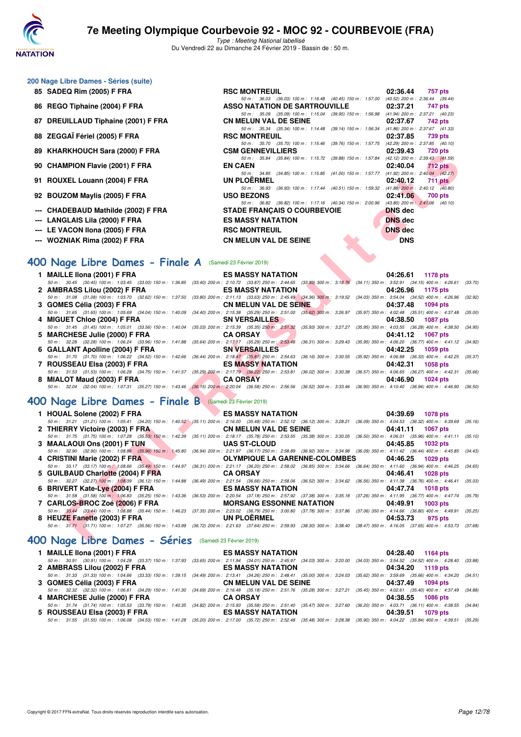

Type : Meeting National labellisé Du Vendredi 22 au Dimanche 24 Février 2019 - Bassin de : 50 m.

#### **200 Nage Libre Dames - Séries (suite)**

- **85 SADEQ Rim (2005) F FRA RSC MONTREUIL 02:36.44 757 pts**
- **86 REGO Tiphaine (2004) F FRA ASSO NATATION DE SARTROUVILLE 02:37.21 747 pts**
- 87 DREUILLAUD Tiphaine (2001) F FRA
- 
- 
- 
- 
- **92 BOUZOM Maylis (2005) F FRA**
- 
- 
- 
- 

# **--- WOZNIAK Rima (2002) F FRA CN MELUN VAL DE SEINE DNS**

### **[400 Nage Libre Dames - Finale A](http://www.ffnatation.fr/webffn/resultats.php?idact=nat&go=epr&idcpt=57703&idepr=4)** (Samedi 23 Février 2019)

| 09 NIANNIO OCII SAIA (2000) F FRA                                                                                                                                                                                            | VƏNI VENNEVILLIENJ                                                                                                                | U4.39.43<br>$120$ pm                   |
|------------------------------------------------------------------------------------------------------------------------------------------------------------------------------------------------------------------------------|-----------------------------------------------------------------------------------------------------------------------------------|----------------------------------------|
| 90 CHAMPION Flavie (2001) F FRA                                                                                                                                                                                              | 50 m: 35.84 (35.84) 100 m: 1:15.72 (39.88) 150 m: 1:57.84 (42.12) 200 m: 2:39.43 (41.59)<br><b>EN CAEN</b>                        | 02:40.04<br>$712$ pts                  |
| 91 ROUXEL Louann (2004) F FRA                                                                                                                                                                                                | 50 m: 34.85 (34.85) 100 m: 1:15.85 (41.00) 150 m: 1:57.77 (41.92) 200 m: 2:40.04 (42.27)<br><b>UN PLOERMEL</b>                    | 02:40.12                               |
|                                                                                                                                                                                                                              | 50 m: 36.93 (36.93) 100 m: 1:17.44 (40.51) 150 m: 1:59.32 (41.88) 200 m: 2:40.12 (40.80)                                          | $711$ pts                              |
| 92 BOUZOM Maylis (2005) F FRA                                                                                                                                                                                                | <b>USO BEZONS</b>                                                                                                                 | 02:41.06<br>700 pts                    |
| --- CHADEBAUD Mathilde (2002) F FRA                                                                                                                                                                                          | 50 m: 36.82 (36.82) 100 m: 1:17.16 (40.34) 150 m: 2:00.96 (43.80) 200 m: 2:41.06 (40.10)<br><b>STADE FRANÇAIS O COURBEVOIE</b>    | <b>DNS</b> dec                         |
| --- LANGLAIS Lila (2000) F FRA                                                                                                                                                                                               | <b>ES MASSY NATATION</b>                                                                                                          | <b>DNS</b> dec                         |
| --- LE VACON Ilona (2005) F FRA                                                                                                                                                                                              | <b>RSC MONTREUIL</b>                                                                                                              | <b>DNS</b> dec                         |
| --- WOZNIAK Rima (2002) F FRA                                                                                                                                                                                                | <b>CN MELUN VAL DE SEINE</b>                                                                                                      | <b>DNS</b>                             |
|                                                                                                                                                                                                                              |                                                                                                                                   |                                        |
| <b>00 Nage Libre Dames - Finale A</b> (Samedi 23 Février 2019)                                                                                                                                                               |                                                                                                                                   |                                        |
| 1 MAILLE IIona (2001) F FRA                                                                                                                                                                                                  | <b>ES MASSY NATATION</b>                                                                                                          | 04:26.61<br><b>1178 pts</b>            |
| 50 m: 30.45 (30.45) 100 m: 1:03.45 (33.00) 150 m: 1:36.85 (33.40) 200 m: 2:10.72 (33.87) 250 m: 2:44.65 (33.93) 300 m: 3:18.76 (34.11) 350 m: 3:52.91 (34.15) 400 m: 4:26.61<br>2 AMBRASS Lilou (2002) F FRA                 | <b>ES MASSY NATATION</b>                                                                                                          | (33.70)<br>04:26.96<br>1175 pts        |
| 50 m : 31.08 (31.08) 100 m : 1:03.70 (32.62) 150 m : 1:37.50                                                                                                                                                                 | $(33.80)$ 200 m : 2:11.13 $(33.63)$ 250 m : 2:45.49 $(34.36)$ 300 m : 3:19.52 $(34.03)$ 350 m : 3:54.04 $(34.52)$ 400 m : 4:26.96 | (32.92)                                |
| 3 GOMES Célia (2003) F FRA                                                                                                                                                                                                   | <b>CN MELUN VAL DE SEINE</b>                                                                                                      | 04:37.48<br><b>1094 pts</b>            |
| 50 m: 31.65 (31.65) 100 m: 1:05.69 (34.04) 150 m: 1:40.09                                                                                                                                                                    | (34.40) 200 m : 2:15.38 (35.29) 250 m : 2:51.00 (35.62) 300 m : 3:26.97 (35.97) 350 m : 4:02.48 (35.51) 400 m : 4:37.48           | (35.00)                                |
| 4 MIGUET Chloe (2004) F FRA                                                                                                                                                                                                  | <b>SN VERSAILLES</b>                                                                                                              | 04:38.50<br><b>1087 pts</b>            |
| 50 m: 31.45 (31.45) 100 m: 1:05.01 (33.56) 150 m: 1:40.04                                                                                                                                                                    | (35.03) 200 m : 2:15.39 (35.35) 250 m : 2:51.32 (35.93) 300 m : 3:27.27 (35.95) 350 m : 4:03.55 (36.28) 400 m : 4:38.50           | (34.95)                                |
| 5 MARCHESE Julie (2000) F FRA<br>50 m : 32.28 (32.28) 100 m : 1:06.24 (33.96) 150 m : 1:41.88 (35.64) 200 m : 2:17.17 (35.29) 250 m : 2:53.48 (36.31) 300 m : 3:29.43 (35.95) 350 m : 4:06.20 (36.77) 400 m : 4:41.12 (34.92 | <b>CA ORSAY</b>                                                                                                                   | 04:41.12<br><b>1067 pts</b>            |
| 6 GALLANT Apolline (2004) F FRA                                                                                                                                                                                              | <b>SN VERSAILLES</b>                                                                                                              | 04:42.25<br>1059 pts                   |
| 50 m: 31.70 (31.70) 100 m: 1:06.22 (34.52) 150 m: 1:42.66 (36.44) 200 m: 2:18.47 (35.81) 250 m: 2:54.63 (36.16) 300 m: 3:30.55 (35.92) 350 m: 4:06.88 (36.33) 400 m: 4:42.25                                                 |                                                                                                                                   | (35.37)                                |
| 7 ROUSSEAU Elsa (2003) F FRA                                                                                                                                                                                                 | <b>ES MASSY NATATION</b>                                                                                                          | 04:42.31<br><b>1058 pts</b>            |
| 50 m: 31.53 (31.53) 100 m: 1:06.28 (34.75) 150 m: 1:41.57 (35.29) 200 m: 2:17.79 (36.22) 250 m: 2:53.81 (36.02) 300 m: 3:30.38 (36.57) 350 m: 4:06.65 (36.27) 400 m: 4:42.31                                                 |                                                                                                                                   | (35.66)                                |
| 8 MIALOT Maud (2003) F FRA<br>50 m: 32.04 (32.04) 100 m: 1:07.31 (35.27) 150 m: 1:43.46 (36.15) 200 m: 2:20.04 (36.58) 250 m: 2:56.56 (36.52) 300 m: 3:33.46 (36.90) 350 m: 4:10.40 (36.94) 400 m: 4:46.90 (36.50)           | <b>CA ORSAY</b>                                                                                                                   | 04:46.90<br><b>1024 pts</b>            |
|                                                                                                                                                                                                                              |                                                                                                                                   |                                        |
| 00 Nage Libre Dames - Finale B (Samedi 23 Février 2019)                                                                                                                                                                      |                                                                                                                                   |                                        |
| 1 HOUAL Solene (2002) F FRA                                                                                                                                                                                                  | <b>ES MASSY NATATION</b>                                                                                                          | 04:39.69<br><b>1078 pts</b>            |
| 50 m: 31.21 (31.21) 100 m: 1:05.41 (34.20) 150 m: 1:40.52 (35.11) 200 m: 2:16.00 (35.48) 250 m: 2:52.12 (36.12) 300 m: 3:28.21 (36.09) 350 m: 4:04.53 (36.32) 400 m: 4:39.69                                                 |                                                                                                                                   | (35.16)                                |
| 2 THIERRY Victoire (2003) F FRA                                                                                                                                                                                              | <b>CN MELUN VAL DE SEINE</b>                                                                                                      | 04:41.11<br><b>1067 pts</b>            |
| 50 m: 31.75 (31.75) 100 m: 1:07.28 (35.53) 150 m: 1:42.39 (35.11) 200 m: 2:18.17 (35.78) 250 m: 2:53.55 (35.38) 300 m: 3:30.05 (36.50) 350 m: 4:06.01 (35.96) 400 m: 4:41.11<br>3 MAALAOUI Ons (2001) F TUN                  | <b>UAS ST-CLOUD</b>                                                                                                               | (35.10)<br>04:45.85<br><b>1032 pts</b> |
| 50 m: 32.90 (32.90) 100 m: 1:08.86 (35.96) 150 m: 1:45.80 (36.94) 200 m: 2:21.97 (36.17) 250 m: 2:58.89 (36.92) 300 m: 3:34.98 (36.09) 350 m: 4:11.42 (36.44) 400 m: 4:45.85                                                 |                                                                                                                                   | (34.43)                                |
| 4 CRISTINI Marie (2002) F FRA                                                                                                                                                                                                | <b>OLYMPIQUE LA GARENNE-COLOMBES</b>                                                                                              | 04:46.25<br><b>1029 pts</b>            |
| 50 m: 33.17 (33.17) 100 m: 1:08.66 (35.49) 150 m: 1:44.97 (36.31) 200 m: 2:21.17 (36.20) 250 m: 2:58.02 (36.85) 300 m: 3:34.66 (36.64) 350 m: 4:11.60 (36.94) 400 m: 4:46.25                                                 |                                                                                                                                   | (34.65)                                |
| 5 GUILBAUD Charlotte (2004) F FRA                                                                                                                                                                                            | <b>CA ORSAY</b>                                                                                                                   | 04:46.41<br><b>1028 pts</b>            |
| 50 m : 32.27 (32.27) 100 m : 1:08.39 (36.12) 150 m : 1:44.88 (36.49) 200 m : 2:21.54 (36.66) 250 m : 2:58.06 (36.52) 300 m : 3:34.62 (36.56) 350 m : 4:11.38 (36.76) 400 m : 4:46.41<br>6 BRIVERT Kate-Lye (2004) F FRA      | <b>ES MASSY NATATION</b>                                                                                                          | (35.03)<br>04:47.74<br><b>1018 pts</b> |
| 50 m: 31.58 (31.58) 100 m: 1:06.83 (35.25) 150 m: 1:43.36 (36.53) 200 m: 2:20.54 (37.18) 250 m: 2:57.92 (37.38) 300 m: 3:35.18 (37.26) 350 m: 4:11.95 (36.77) 400 m: 4:47.74                                                 |                                                                                                                                   | (35.79)                                |
| 7 CARLOS-BROC Zoé (2006) F FRA                                                                                                                                                                                               | <b>MORSANG ESSONNE NATATION</b>                                                                                                   | 04:49.91<br>1003 pts                   |
| 50 m: 33.44 (33.44) 100 m: 1:08.88 (35.44) 150 m: 1:46.23 (37.35) 200 m: 2:23.02 (36.79) 250 m: 3:00.80 (37.78) 300 m: 3:37.86 (37.06) 350 m: 4:14.66 (36.80) 400 m: 4:49.91 (35.25                                          |                                                                                                                                   |                                        |
| 8 HEUZE Fanette (2003) F FRA                                                                                                                                                                                                 | <b>UN PLOERMEL</b>                                                                                                                | 04:53.73<br>975 pts                    |
| 50 m: 31.71 (31.71) 100 m: 1:07.27 (35.56) 150 m: 1:43.99 (36.72) 200 m: 2:21.63 (37.64) 250 m: 2:59.93 (38.30) 300 m: 3:38.40 (38.47) 350 m: 4:16.05 (37.66) 400 m: 4:53.73 (37.68                                          |                                                                                                                                   |                                        |
| 00 Nage Libre Dames - Séries (Samedi 23 Février 2019)                                                                                                                                                                        |                                                                                                                                   |                                        |

#### **[400 Nage Libre Dames - Finale B](http://www.ffnatation.fr/webffn/resultats.php?idact=nat&go=epr&idcpt=57703&idepr=4)** (Samedi 23 Février 2019)

| 1 HOUAL Solene (2002) F FRA ES MASSY NATATION                    | 04:39.69 1078 pts                                                                                                                                                                            |
|------------------------------------------------------------------|----------------------------------------------------------------------------------------------------------------------------------------------------------------------------------------------|
|                                                                  | 50 m : 31.21 (31.21) 100 m : 1:05.41 (34.20) 150 m : 1:40.52 (35.11) 200 m : 2:16.00 (35.48) 250 m : 2:52.12 (36.12) 300 m : 3:28.21 (36.09) 350 m : 4:04.53 (36.32) 400 m : 4:39.69 (35.16) |
|                                                                  | 2 THIERRY Victoire (2003) F FRA CN MELUN VAL DE SEINE 04:41.11 1067 pts                                                                                                                      |
|                                                                  | 50 m: 31.75 (31.75) 100 m: 1:07.28 (35.53) 150 m: 1:42.39 (35.11) 200 m: 2:18.17 (35.78) 250 m: 2:53.55 (35.38) 300 m: 3:30.05 (36.50) 350 m: 4:06.01 (35.96) 400 m: 4:41.11 (35.10)         |
| 3 MAALAOUI Ons (2001) F TUN UAS ST-CLOUD                         | 04:45.85 1032 pts                                                                                                                                                                            |
|                                                                  | 50 m: 32.90 (32.90) 100 m: 1:08.86 (35.96) 150 m: 1:45.80 (36.94) 200 m: 2:21.97 (36.17) 250 m: 2:58.89 (36.92) 300 m: 3:34.98 (36.09) 350 m: 4:11.42 (36.44) 400 m: 4:45.85 (34.43)         |
|                                                                  | 4 CRISTINI Marie (2002) F FRA <b>CRISTINI Marie (2002) F FRA</b> CLYMPIQUE LA GARENNE-COLOMBES 04:46.25 1029 pts                                                                             |
|                                                                  | 50 m : 33.17 (33.17) 100 m 1:08.66 (35.49) 150 m : 1:44.97 (36.31) 200 m : 2:21.17 (36.20) 250 m : 2:58.02 (36.85) 300 m : 3:34.66 (36.64) 350 m : 4:11.60 (36.94) 400 m : 4:46.25 (34.65)   |
| 5 GUILBAUD Charlotte (2004) F FRA CA ORSAY                       | 04:46.41 1028 pts                                                                                                                                                                            |
|                                                                  | 50 m: 32.27 (32.27) 100 m: 1:08.39 (36.12) 150 m: 1:44.88 (36.49) 200 m: 2:21.54 (36.66) 250 m: 2:58.06 (36.52) 300 m: 3:34.62 (36.56) 350 m: 4:11.38 (36.76) 400 m: 4:46.41 (35.03)         |
|                                                                  | 04:47.74 1018 pts                                                                                                                                                                            |
|                                                                  | 50 m : 31.58 (31.58) 100 m : 1:06.83 (35.25) 150 m : 1:43.36 (36.53) 200 m : 2:20.54 (37.18) 250 m : 2:57.92 (37.38) 300 m : 3:35.18 (37.26) 350 m : 4:11.95 (36.77) 400 m : 4:47.74 (35.79) |
| 7 CARLOS-BROC Zoé (2006) F FRA MORSANG ESSONNE NATATION 04:49.91 | 1003 pts                                                                                                                                                                                     |
|                                                                  | 50 m: 33.44 (33.44) 100 m: 1:08.88 (35.44) 150 m: 1:46.23 (37.35) 200 m: 2:23.02 (36.79) 250 m: 3:00.80 (37.78) 300 m: 3:37.86 (37.06) 350 m: 4:14.66 (36.80) 400 m: 4:49.91 (35.25)         |
| 8 HEUZE Fanette (2003) F FRA UN PLOERMEL                         | 04:53.73<br>975 pts                                                                                                                                                                          |
|                                                                  | 50 m: 31.71 (31.71) 100 m: 1:07.27 (35.56) 150 m: 1:43.99 (36.72) 200 m: 2:21.63 (37.64) 250 m: 2:59.93 (38.30) 300 m: 3:38.40 (38.47) 350 m: 4:16.05 (37.65) 400 m: 4:53.73 (37.68)         |

### **[400 Nage Libre Dames - Séries](http://www.ffnatation.fr/webffn/resultats.php?idact=nat&go=epr&idcpt=57703&idepr=4)** (Samedi 23 Février 2019)

| 1 MAILLE IIona (2001) F FRA   | <b>ES MASSY NATATION</b>                                                                                                                                                                     | 04:28.40 1164 pts |
|-------------------------------|----------------------------------------------------------------------------------------------------------------------------------------------------------------------------------------------|-------------------|
|                               | 50 m : 30.91 (30.91) 100 m : 1:04.28 (33.37) 150 m : 1:37.93 (33.65) 200 m : 2:11.94 (34.01) 250 m : 2:45.97 (34.03) 300 m : 3:20.00 (34.03) 350 m : 3:54.52 (34.52) 400 m : 4:28.40 (33.88) |                   |
| 2 AMBRASS Lilou (2002) F FRA  | ES MASSY NATATION <b>EXECUTES</b>                                                                                                                                                            | 04:34.20 1119 pts |
|                               | 50 m: 31.33 (31.33) 100 m: 1:04.66 (33.33) 150 m: 1:39.15 (34.49) 200 m: 2:13.41 (34.26) 250 m: 2:48.41 (35.00) 300 m: 3:24.03 (35.62) 350 m: 3:59.69 (35.66) 400 m: 4:34.20 (34.51)         |                   |
| 3 GOMES Célia (2003) F FRA    | <b>CN MELUN VAL DE SEINE</b>                                                                                                                                                                 | 04:37.49 1094 pts |
|                               | 50 m : 32.32 (32.32) 100 m : 1:06.61 (34.29) 150 m : 1:41.30 (34.69) 200 m : 2:16.48 (35.18) 250 m : 2:51.76 (35.28) 300 m : 3:27.21 (35.45) 350 m : 4:02.61 (35.40) 400 m : 4:37.49 (34.88) |                   |
| 4 MARCHESE Julie (2000) F FRA | <b>CA ORSAY</b>                                                                                                                                                                              | 04:38.55 1086 pts |
|                               | 50 m: 31.74 (31.74) 100 m: 1:05.53 (33.79) 150 m: 1:40.35 (34.82) 200 m: 2:15.93 (35.58) 250 m: 2:51.40 (35.47) 300 m: 3:27.60 (36.20) 350 m: 4:03.71 (36.11) 400 m: 4:38.55 (34.84)         |                   |
| 5 ROUSSEAU Elsa (2003) F FRA  | <b>ES MASSY NATATION</b>                                                                                                                                                                     | 04:39.51 1079 pts |
|                               | 50 m: 31.55 (31.55) 100 m: 1:06.08 (34.53) 150 m: 1:41.28 (35.20) 200 m: 2:17.00 (35.72) 250 m: 2:52.48 (35.48) 300 m: 3:28.38 (35.90) 350 m: 4:04.22 (35.84) 400 m: 4:39.51 (35.29)         |                   |

|                                     | 50 m: 35.09 (35.09) 100 m: 1:15.04 (39.95) 150 m: 1:56.98 (41.94) 200 m: 2:37.21 (40.23) |                |                                     |
|-------------------------------------|------------------------------------------------------------------------------------------|----------------|-------------------------------------|
| 87 DREUILLAUD Tiphaine (2001) F FRA | CN MELUN VAL DE SEINE                                                                    |                | 02:37.67 742 pts                    |
|                                     | 50 m: 35.34 (35.34) 100 m: 1:14.48 (39.14) 150 m: 1:56.34 (41.86) 200 m: 2:37.67 (41.33) |                |                                     |
| 88 ZEGGAÏ Fériel (2005) F FRA       | <b>RSC MONTREUIL</b>                                                                     |                | 02:37.85 739 pts                    |
|                                     | 50 m: 35.70 (35.70) 100 m: 1:15.46 (39.76) 150 m: 1:57.75 (42.29) 200 m: 2:37.85 (40.10) |                |                                     |
| 89 KHARKHOUCH Sara (2000) F FRA     | <b>CSM GENNEVILLIERS</b>                                                                 |                | 02:39.43 720 pts                    |
|                                     | 50 m: 35.84 (35.84) 100 m: 1:15.72 (39.88) 150 m: 1:57.84 (42.12) 200 m: 2:39.43 (41.59) |                |                                     |
| 90 CHAMPION Flavie (2001) F FRA     | <b>EN CAEN</b>                                                                           | 02:40.04       | $712$ pts                           |
|                                     | 50 m: 34.85 (34.85) 100 m: 1:15.85 (41.00) 150 m: 1:57.77 (41.92) 200 m: 2:40.04 (42.27) |                |                                     |
| 91 ROUXEL Louann (2004) F FRA       | UN PLOËRMEL                                                                              | 02:40.12       | $711$ pts                           |
|                                     | 50 m: 36.93 (36.93) 100 m: 1:17.44 (40.51) 150 m: 1:59.32 (41.88) 200 m: 2:40.12 (40.80) |                |                                     |
| 92 BOUZOM Maylis (2005) F FRA       | <b>USO BEZONS</b>                                                                        |                | 02:41.06 700 pts                    |
|                                     | 50 m : 36.82 (36.82) 100 m : 1:17.16 (40.34) 150 m : 2:00.96                             |                | $(43.80)$ 200 m : 2:41.06 $(40.10)$ |
| --- CHADEBAUD Mathilde (2002) F FRA | <b>STADE FRANCAIS O COURBEVOIE</b>                                                       | <b>DNS</b> dec |                                     |
| --- LANGLAIS Lila (2000) F FRA      | <b>ES MASSY NATATION</b>                                                                 | <b>DNS</b> dec |                                     |
| --- LE VACON Ilona (2005) F FRA     | <b>RSC MONTREUIL</b>                                                                     | <b>DNS</b> dec |                                     |
| $\mu$ WOZNIAK Dima (2002) E EDA     | CN MELIIN VAL DE CEINE                                                                   | <b>DNC</b>     |                                     |

50 m : 36.03 (36.03) 100 m : 1:16.48 (40.45) 150 m : 1:57.00 (40.52) 200 m : 2:36.44 (39.44)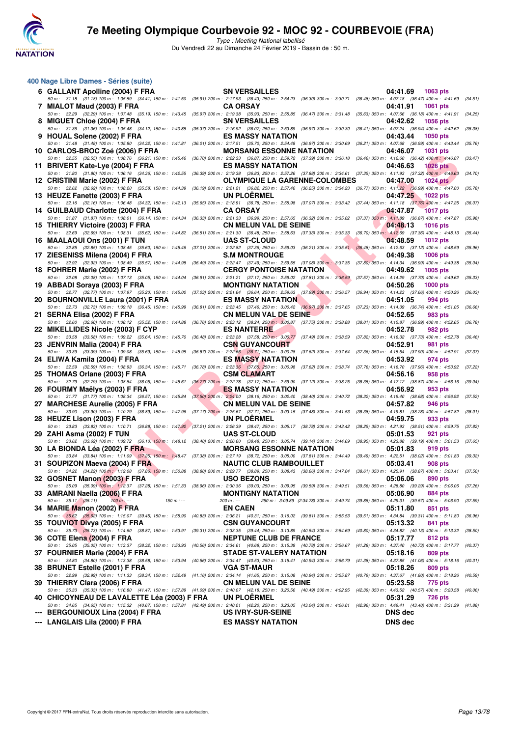

| 400 Nage Libre Dames - Séries (suite)                                                                                                                                                                                               |                                                                                                                                                           |                                                                                |         |
|-------------------------------------------------------------------------------------------------------------------------------------------------------------------------------------------------------------------------------------|-----------------------------------------------------------------------------------------------------------------------------------------------------------|--------------------------------------------------------------------------------|---------|
| 6 GALLANT Apolline (2004) F FRA                                                                                                                                                                                                     | <b>SN VERSAILLES</b>                                                                                                                                      | 04:41.69<br>1063 pts                                                           |         |
| 50 m: 31.18 (31.18) 100 m: 1:05.59 (34.41) 150 m: 1:41.50 (35.91) 200 m: 2:17.93 (36.43) 250 m: 2:54.23 (36.30) 300 m: 3:30.71 (36.48) 350 m: 4:07.18 (36.47) 400 m: 4:41.69<br>7 MIALOT Maud (2003) F FRA                          | <b>CA ORSAY</b>                                                                                                                                           | 04:41.91<br><b>1061 pts</b>                                                    | (34.51) |
| 50 m: 32.29 (32.29) 100 m: 1:07.48 (35.19) 150 m: 1:43.45<br>8 MIGUET Chloe (2004) F FRA                                                                                                                                            | (35.97) 200 m : 2:19.38 (35.93) 250 m : 2:55.85 (36.47) 300 m : 3:31.48<br><b>SN VERSAILLES</b>                                                           | (35.63) 350 m : 4:07.66 (36.18) 400 m : 4:41.91<br>04:42.62<br><b>1056 pts</b> | (34.25) |
| 50 m: 31.36 (31.36) 100 m: 1:05.48 (34.12) 150 m: 1:40.85<br>9 HOUAL Solene (2002) F FRA                                                                                                                                            | (35.37) 200 m : 2:16.92 (36.07) 250 m : 2:53.89 (36.97) 300 m : 3:30.30<br><b>ES MASSY NATATION</b>                                                       | (36.41) 350 m : 4:07.24 (36.94) 400 m : 4:42.62<br>04:43.44<br>1050 pts        | (35.38) |
| 50 m: 31.48 (31.48) 100 m: 1:05.80 (34.32) 150 m: 1:41.81<br>10 CARLOS-BROC Zoé (2006) F FRA                                                                                                                                        | $(36.01)$ 200 m : 2:17.51 $(35.70)$ 250 m : 2:54.48 $(36.97)$ 300 m : 3:30.69<br><b>MORSANG ESSONNE NATATION</b>                                          | (36.21) 350 m: 4:07.68 (36.99) 400 m: 4:43.44<br>04:46.07<br>1031 pts          | (35.76) |
| 50 m: 32.55 (32.55) 100 m: 1:08.76 (36.21) 150 m: 1:45.46                                                                                                                                                                           | (36.70) 200 m : 2:22.33 (36.87) 250 m : 2:59.72 (37.39) 300 m : 3:36.18                                                                                   | (36.46) 350 m : 4:12.60 (36.42) 400 m : 4:46.07                                | (33.47) |
| 11 BRIVERT Kate-Lye (2004) F FRA<br>50 m: 31.80 (31.80) 100 m: 1:06.16 (34.36) 150 m: 1:42.55                                                                                                                                       | <b>ES MASSY NATATION</b><br>(36.39) 200 m : 2:19.38 (36.83) 250 m : 2:57.26 (37.88) 300 m : 3:34.61 (37.35) 350 m : 4:11.93 (37.32) 400 m : 4:46.63       | 04:46.63<br><b>1026 pts</b>                                                    | (34.70) |
| 12 CRISTINI Marie (2002) F FRA<br>50 m: 32.62 (32.62) 100 m: 1:08.20 (35.58) 150 m: 1:44.39                                                                                                                                         | <b>OLYMPIQUE LA GARENNE-COLOMBES</b>                                                                                                                      | 04:47.00<br><b>1024 pts</b>                                                    |         |
| 13 HEUZE Fanette (2003) F FRA                                                                                                                                                                                                       | (36.19) 200 m : 2:21.21 (36.82) 250 m : 2:57.46 (36.25) 300 m : 3:34.23 (36.77) 350 m : 4:11.22 (36.99) 400 m : 4:47.00<br><b>UN PLOERMEL</b>             | 04:47.25<br>1022 pts                                                           | (35.78) |
| 50 m: 32.16 (32.16) 100 m: 1:06.48 (34.32) 150 m: 1:42.13<br>14 GUILBAUD Charlotte (2004) F FRA                                                                                                                                     | (35.65) 200 m : 2:18.91 (36.78) 250 m : 2:55.98 (37.07) 300 m : 3:33.42 (37.44) 350 m : 4:11.18 (37.76) 400 m : 4:47.25<br><b>CA ORSAY</b>                | 04:47.87<br><b>1017 pts</b>                                                    | (36.07) |
| 50 m : 31.87 (31.87) 100 m : 1:08.01 (36.14) 150 m : 1:44.34 (36.33) 200 m : 2:21.33 (36.99) 250 m : 2:57.65 (36.32) 300 m : 3:35.02 (37.37) 350 m : 4:11.89 (36.87) 400 m : 4:47.87                                                |                                                                                                                                                           |                                                                                | (35.98) |
| 15 THIERRY Victoire (2003) F FRA<br>50 m: 32.69 (32.69) 100 m: 1:08.31 (35.62) 150 m: 1:44.82                                                                                                                                       | <b>CN MELUN VAL DE SEINE</b><br>(36.51) 200 m : 2:21.30 (36.48) 250 m : 2:58.63 (37.33) 300 m : 3:35.33 (36.70) 350 m : 4:12.69 (37.36) 400 m : 4:48.13   | 04:48.13<br><b>1016 pts</b>                                                    | (35.44) |
| 16 MAALAOUI Ons (2001) F TUN<br>50 m: 32.85 (32.85) 100 m: 1:08.45 (35.60) 150 m: 1:45.46                                                                                                                                           | <b>UAS ST-CLOUD</b><br>(37.01) 200 m : 2:22.82 (37.36) 250 m : 2:59.03 (36.21) 300 m : 3:35.51 (36.48) 350 m : 4:12.63 (37.12) 400 m : 4:48.59            | 04:48.59<br><b>1012 pts</b>                                                    | (35.96) |
| 17 ZIESENISS Milena (2004) F FRA                                                                                                                                                                                                    | <b>S.M MONTROUGE</b>                                                                                                                                      | 04:49.38<br><b>1006 pts</b>                                                    |         |
| 50 m: 32.92 (32.92) 100 m: 1:08.49 (35.57) 150 m: 1:44.98<br>18 FOHRER Marie (2002) F FRA                                                                                                                                           | (36.49) 200 m : 2:22.47 (37.49) 250 m : 2:59.55 (37.08) 300 m : 3:37.35 (37.80) 350 m : 4:14.34 (36.99) 400 m : 4:49.38<br><b>CERGY PONTOISE NATATION</b> | 04:49.62<br>1005 pts                                                           | (35.04) |
| 50 m: 32.08 (32.08) 100 m: 1:07.13 (35.05) 150 m: 1:44.04                                                                                                                                                                           | (36.91) 200 m : 2:21.21 (37.17) 250 m : 2:59.02 (37.81) 300 m : 3:36.59 (37.57) 350 m : 4:14.29 (37.70) 400 m : 4:49.62                                   |                                                                                | (35.33) |
| 19 ABBADI Soraya (2003) F FRA<br>50 m: 32.77 (32.77) 100 m: 1:07.97 (35.20) 150 m: 1:45.00                                                                                                                                          | <b>MONTIGNY NATATION</b><br>(37.03) 200 m : 2:21.64 (36.64) 250 m : 2:59.63 (37.99) 300 m : 3:36.57                                                       | 04:50.26<br><b>1000 pts</b><br>(36.94) 350 m : 4:14.23 (37.66) 400 m : 4:50.26 | (36.03) |
| 20 BOURNONVILLE Laura (2001) F FRA<br>50 m: 32.73 (32.73) 100 m: 1:09.18 (36.45) 150 m: 1:45.99                                                                                                                                     | <b>ES MASSY NATATION</b><br>(36.81) 200 m : 2:23.45 (37.46) 250 m : 3:00.42 (36.97) 300 m : 3:37.65                                                       | 04:51.05<br>994 pts<br>(37.23) 350 m: 4:14.39 (36.74) 400 m: 4:51.05           | (36.66) |
| 21 SERNA Elisa (2002) F FRA                                                                                                                                                                                                         | <b>CN MELUN VAL DE SEINE</b>                                                                                                                              | 04:52.65<br>983 pts                                                            |         |
| 50 m: 32.60 (32.60) 100 m: 1:08.12 (35.52) 150 m: 1:44.88<br>22 MIKELLIDES Nicole (2003) F CYP                                                                                                                                      | $(36.76)$ 200 m : 2:23.12 $(38.24)$ 250 m : 3:00.87 $(37.75)$ 300 m : 3:38.88<br><b>ES NANTERRE</b>                                                       | (38.01) 350 m: 4:15.87 (36.99) 400 m: 4:52.65<br>04:52.78<br>982 pts           | (36.78  |
| 50 m: 33.58 (33.58) 100 m: 1:09.22 (35.64) 150 m: 1:45.70<br>23 JENVRIN Malia (2004) F FRA                                                                                                                                          | $(36.48)$ 200 m : 2:23.28 $(37.58)$ 250 m : 3:00.77 $(37.49)$ 300 m : 3:38.59<br><b>CSN GUYANCOURT</b>                                                    | (37.82) 350 m: 4:16.32 (37.73) 400 m: 4:52.78<br>04:52.91<br>981 pts           | (36.46) |
| 50 m: 33.39 (33.39) 100 m: 1:09.08 (35.69) 150 m: 1:45.95                                                                                                                                                                           | (36.87) 200 m : 2:22.66 (36.71) 250 m : 3:00.28 (37.62) 300 m : 3:37.64                                                                                   | (37.36) 350 m: 4:15.54 (37.90) 400 m: 4:52.91                                  | (37.37) |
| 24 ELIWA Kamila (2004) F FRA<br>50 m: 32.59 (32.59) 100 m: 1:08.93 (36.34) 150 m: 1:45.71                                                                                                                                           | <b>ES MASSY NATATION</b><br>(36.78) 200 m : 2:23.36 (37.65) 250 m : 3:00.98 (37.62) 300 m : 3:38.74                                                       | 04:53.92<br>974 pts<br>(37.76) 350 m : 4:16.70 (37.96) 400 m : 4:53.92         | (37.22) |
| 25 THOMAS Orlane (2003) F FRA<br>50 m: 32.79 (32.79) 100 m: 1:08.84 (36.05) 150 m: 1:45.61                                                                                                                                          | <b>CSM CLAMART</b><br>(36.77) 200 m: 2:22.78 (37.17) 250 m: 2:59.90 (37.12) 300 m: 3:38.25                                                                | 04:56.16<br>958 pts<br>(38.35) 350 m: 4:17.12 (38.87) 400 m: 4:56.16           | (39.04) |
| 26 FOURMY Maëlys (2003) F FRA                                                                                                                                                                                                       | <b>ES MASSY NATATION</b>                                                                                                                                  | 04:56.92<br>953 pts                                                            |         |
| 50 m: 31.77 (31.77) 100 m: 1:08.34 (36.57) 150 m: 1:45.84<br>27 MARCHESE Aurelie (2005) F FRA                                                                                                                                       | $(37.50)$ 200 m : 2:24.00 $(38.16)$ 250 m : 3:02.40 $(38.40)$ 300 m : 3:40.72<br><b>CN MELUN VAL DE SEINE</b>                                             | (38.32) 350 m : 4:19.40 (38.68) 400 m : 4:56.92<br>04:57.82<br>946 pts         | (37.52  |
| 50 m: 33.90 (33.90) 100 m: 1:10.79 (36.89) 150 m: 1:47.96<br>28 HEUZE Lison (2003) F FRA                                                                                                                                            | (37.17) 200 m: 2:25.67 (37.71) 250 m: 3:03.15 (37.48) 300 m: 3:41.53<br><b>UN PLOERMEL</b>                                                                | (38.38) 350 m: 4:19.81 (38.28) 400 m: 4:57.82<br>04:59.75<br>933 pts           | (38.01) |
| 50 m : 33.83 (33.83) 100 m : 1:10.71 (36.88) 150 m : 1:47.92 (37.21) 200 m : 2:26.39 (38.47) 250 m : 3:05.17 (38.78) 300 m : 3:43.42<br>29 ZAHI Asma (2002) F TUN                                                                   | <b>UAS ST-CLOUD</b>                                                                                                                                       | (38.25) 350 m : 4:21.93 (38.51) 400 m : 4:59.75 (37.82)<br>05:01.53<br>921 pts |         |
| 50 m : 33.62 (33.62) 100 m : 1:09.72 (36.10) 150 m : 1:48.12 (38.40) 200 m : 2:26.60 (38.48) 250 m : 3:05.74 (39.14) 300 m : 3:44.69                                                                                                |                                                                                                                                                           | $(38.95)$ 350 m : 4:23.88 $(39.19)$ 400 m : 5:01.53                            | (37.65  |
| 30 LA BIONDA Léa (2002) F FRA<br>50 m: 33.84 (33.84) 100 m: 1:11.09 (37.25) 150 m: 1:48.47 (37.38) 200 m: 2:27.19 (38.72) 250 m: 3:05.00 (37.81) 300 m: 3:44.49 (39.49) 350 m: 4:22.51 (38.02) 400 m: 5:01.83 (39.32)               | <b>MORSANG ESSONNE NATATION</b>                                                                                                                           | 05:01.83<br>919 pts                                                            |         |
| 31 SOUPIZON Maeva (2004) F FRA<br>50 m : 34.22 (34.22) 100 m : 1:12.08 (37.86) 150 m : 1:50.88 (38.80) 200 m : 2:29.77 (38.89) 250 m : 3:08.43 (38.66) 300 m : 3:47.04 (38.61) 350 m : 4:25.91 (38.87) 400 m : 5:03.41 (37.50       | <b>NAUTIC CLUB RAMBOUILLET</b>                                                                                                                            | 05:03.41<br>908 pts                                                            |         |
| 32 GOSNET Manon (2003) F FRA                                                                                                                                                                                                        | <b>USO BEZONS</b>                                                                                                                                         | 05:06.06<br>890 pts                                                            |         |
| 50 m : 35.09 (35.09) 100 m : 1:12.37 (37.28) 150 m : 1:51.33 (38.96) 200 m : 2:30.36 (39.03) 250 m : 3:09.55 (39.59) 300 m : 3:49.51 (39.56) 350 m : 4:28.80 (39.29) 400 m : 5:06.06 (37.26)<br>33 AMRANI Naella (2006) F FRA       | <b>MONTIGNY NATATION</b>                                                                                                                                  | 05:06.90<br>884 pts                                                            |         |
| $50 \text{ m}: 35.11 (35.11)$<br>$100 m: -$<br>$150 m : -$<br>34 MARIE Manon (2002) F FRA                                                                                                                                           | 250 m : 3:09.89 (2:34.78) 300 m : 3:49.74 (39.85) 350 m : 4:29.31 (39.57) 400 m : 5:06.90<br>200 m : ---<br><b>EN CAEN</b>                                | 05:11.80<br>851 pts                                                            | (37.59) |
| 50 m: 35.62 (35.62) 100 m: 1:15.07 (39.45) 150 m: 1:55.90 (40.83) 200 m: 2:36.21 (40.31) 250 m: 3:16.02 (39.81) 300 m: 3:55.53 (39.51) 350 m: 4:34.84 (39.31) 400 m: 5:11.80                                                        |                                                                                                                                                           |                                                                                | (36.96) |
| 35 TOUVIOT Divya (2005) F FRA<br>50 m: 35.73 (35.73) 100 m: 1:14.60 (38.87) 150 m: 1:53.91 (39.31) 200 m: 2:33.35 (39.44) 250 m: 3:13.89 (40.54) 300 m: 3:54.69 (40.80) 350 m: 4:34.82 (40.13) 400 m: 5:13.32                       | <b>CSN GUYANCOURT</b>                                                                                                                                     | 05:13.32<br>841 pts                                                            | (38.50  |
| 36 COTE Elena (2004) F FRA<br>50 m: 35.05 (35.05) 100 m: 1:13.37 (38.32) 150 m: 1:53.93 (40.56) 200 m: 2:34.61 (40.68) 250 m: 3:15.39 (40.78) 300 m: 3:56.67 (41.28) 350 m: 4:37.40 (40.73) 400 m: 5:17.77                          | <b>NEPTUNE CLUB DE FRANCE</b>                                                                                                                             | 05:17.77<br>812 pts                                                            | (40.37  |
| 37 FOURNIER Marie (2004) F FRA                                                                                                                                                                                                      | STADE ST-VALERY NATATION                                                                                                                                  | 05:18.16<br>809 pts                                                            |         |
| 50 m: 34.80 (34.80) 100 m: 1:13.38 (38.58) 150 m: 1:53.94 (40.56) 200 m: 2:34.47 (40.53) 250 m: 3:15.41 (40.94) 300 m: 3:56.79 (41.38) 350 m: 4:37.85 (41.06) 400 m: 5:18.16 (40.31)<br>38 BRUNET Estelle (2001) F FRA              | <b>VGA ST-MAUR</b>                                                                                                                                        | 05:18.26<br>809 pts                                                            |         |
| 50 m: 32.99 (32.99) 100 m: 1:11.33 (38.34) 150 m: 1:52.49 (41.16) 200 m: 2:34.14 (41.65) 250 m: 3:15.08 (40.94) 300 m: 3:55.87 (40.79) 350 m: 4:37.67 (41.80) 400 m: 5:18.26<br>39 THIERRY Clara (2006) F FRA                       | <b>CN MELUN VAL DE SEINE</b>                                                                                                                              | 05:23.58<br>775 pts                                                            | (40.59  |
| 50 m: 35.33 (35.33) 100 m: 1:16.80 (41.47) 150 m: 1:57.89 (41.09) 200 m: 2:40.07 (42.18) 250 m: 3:20.56 (40.49) 300 m: 4:02.95 (42.39) 350 m: 4:43.52 (40.57) 400 m: 5:23.58                                                        | <b>UN PLOERMEL</b>                                                                                                                                        |                                                                                | (40.06  |
| 40 CHICOYNEAU DE LAVALETTE Léa (2003) F FRA<br>50 m: 34.65 (34.65) 100 m: 1:15.32 (40.67) 150 m: 1:57.81 (42.49) 200 m: 2:40.01 (42.20) 250 m: 3:23.05 (43.04) 300 m: 4:06.01 (42.96) 350 m: 4:49.41 (43.40) 400 m: 5:31.29 (41.88) |                                                                                                                                                           | 05:31.29<br><b>726 pts</b>                                                     |         |
| <b>BERGOUNIOUX Lina (2004) F FRA</b>                                                                                                                                                                                                | <b>US IVRY-SUR-SEINE</b>                                                                                                                                  | <b>DNS</b> dec                                                                 |         |
| <b>LANGLAIS Lila (2000) F FRA</b>                                                                                                                                                                                                   | <b>ES MASSY NATATION</b>                                                                                                                                  | <b>DNS dec</b>                                                                 |         |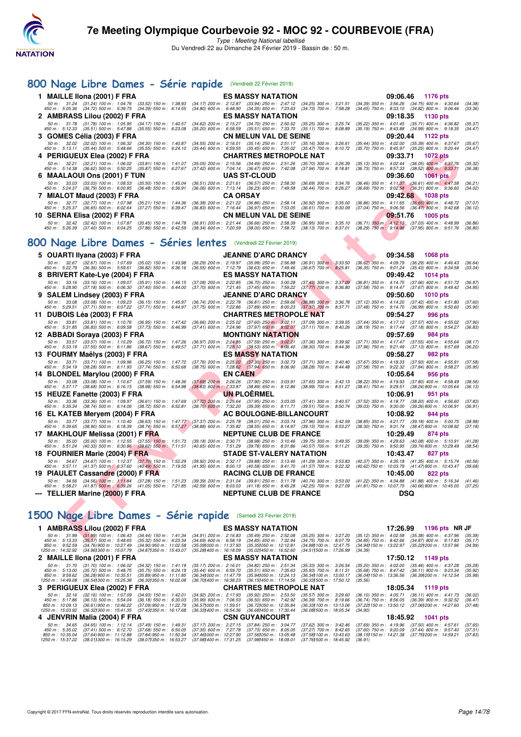

| 800 Nage Libre Dames - Série rapide (Vendredi 22 Février 2019)                                                                                                            |                                                                                                                                                                                                                                                                                                                                                                                         |                                                                                                                                              |
|---------------------------------------------------------------------------------------------------------------------------------------------------------------------------|-----------------------------------------------------------------------------------------------------------------------------------------------------------------------------------------------------------------------------------------------------------------------------------------------------------------------------------------------------------------------------------------|----------------------------------------------------------------------------------------------------------------------------------------------|
| 1 MAILLE IIona (2001) F FRA                                                                                                                                               | <b>ES MASSY NATATION</b>                                                                                                                                                                                                                                                                                                                                                                | 09:06.46<br>1176 pts                                                                                                                         |
| 50 m: 31.24 (31.24) 100 m: 1:04.76 (33.52) 150 m: 1:38.93<br>450 m : 5:05.36 (34.72) 500 m : 5:39.75 (34.39) 550 m : 6:14.55                                              | (34.17) 200 m : 2:12.87 (33.94) 250 m : 2:47.12 (34.25) 300 m : 3:21.51<br>$(34.80)$ 600 m : 6:48.90 $(34.35)$ 650 m : 7:23.63<br>$(34.73)$ 700 m : 7:58.28                                                                                                                                                                                                                             | (34.39) 350 m : 3:56.26 (34.75) 400 m : 4:30.64<br>(34.38)<br>(34.65) 750 m : 8:33.10 (34.82) 800 m : 9:06.46<br>(33.36)                     |
| 2 AMBRASS Lilou (2002) F FRA<br>50 m : 31.78 (31.78) 100 m : 1:05.95<br>$(34.17)$ 150 m : 1:40.57<br>450 m : 5:12.33 (35.51) 500 m : 5:47.88<br>$(35.55)$ 550 m : 6:23.08 | ES MASSY NATATION<br>(34.62) 200 m : 2:15.27 (34.70) 250 m : 2:50.52<br>$(35.25)$ 300 m : 3:25.74<br>$(35.20)$ 600 m : 6:58.59 $(35.51)$ 650 m : 7:33.70<br>$(35.11)$ 700 m : 8:08.89                                                                                                                                                                                                   | 09:18.35<br>1130 pts<br>(35.22) 350 m: 4:01.45 (35.71) 400 m: 4:36.82<br>(35.37)<br>(35.19) 750 m: 8:43.88 (34.99) 800 m: 9:18.35<br>(34.47) |
| 3   GOMES Célia (2003) F FRA                                                                                                                                              | CN MELUN VAL DE SEINE                                                                                                                                                                                                                                                                                                                                                                   | 09:20.44<br>1122 pts                                                                                                                         |
| 50 m: 32.02 (32.02) 100 m: 1:06.32 (34.30) 150 m: 1:40.87<br>450 m : 5:13.11 (35.44) 500 m : 5:48.66<br>$(35.55)$ 550 m : 6:24.10                                         | (34.55) 200 m: 2:16.01 (35.14) 250 m: 2:51.17 (35.16) 300 m: 3:26.61<br>(35.44) 600 m: 6:59.55 (35.45) 650 m: 7:35.02 (35.47) 700 m: 8:10.72                                                                                                                                                                                                                                            | (35.44) 350 m: 4:02.00 (35.39) 400 m: 4:37.67<br>(35.67)<br>(35.70) 750 m : 8:45.97 (35.25) 800 m : 9:20.44<br>(34.47)                       |
| 4   PERIGUEUX Elea (2002) F FRA<br>50 m: 32.21 (32.21) 100 m: 1:06.02 (33.81) 150 m: 1:41.07                                                                              | CHARTRES METROPOLE NAT<br>(35.05) 200 m: 2:15.56 (34.49) 250 m: 2:51.26<br>$(35.70)$ 300 m : 3:26.39                                                                                                                                                                                                                                                                                    | 09:33.71<br><b>1072 pts</b><br>$(35.13)$ 350 m : 4:02.44 $(36.05)$ 400 m : 4:37.76<br>(35.32)                                                |
| 450 m : 5:14.38 (36.62) 500 m : 5:50.25 (35.87) 550 m : 6:27.67<br>6 MAALAOUI Ons (2001) F TUN                                                                            | $(37.42)$ 600 m : 7:04.14 $(36.47)$ 650 m : 7:42.08<br>(37.94) 700 m : 8:18.81<br><b>UAS ST-CLOUD</b>                                                                                                                                                                                                                                                                                   | (36.73) 750 m : 8:57.33 (38.52) 800 m : 9:33.71<br>(36.38)<br>09:36.60<br><b>1061 pts</b>                                                    |
| 50 m : 33.03 (33.03) 100 m : 1:08.53 (35.50) 150 m : 1:45.04<br>450 m : 5:24.37 (36.79) 500 m : 6:00.85 (36.48) 550 m : 6:36.91                                           | (36.51) 200 m: 2:21.61 (36.57) 250 m: 2:58.30<br>$(36.69)$ 300 m : 3:34.76                                                                                                                                                                                                                                                                                                              | (36.46) 350 m: 4:11.37 (36.61) 400 m: 4:47.58<br>(36.21)                                                                                     |
| 7 MIALOT Maud (2003) F FRA                                                                                                                                                | (36.06) 600 m: 7:13.14 (36.23) 650 m: 7:49.58<br>$(36.44)$ 700 m : 8:26.27<br><b>CA ORSAY</b>                                                                                                                                                                                                                                                                                           | (36.69) 750 m : 9:02.58 (36.31) 800 m : 9:36.60<br>(34.02)<br>09:42.68<br>1038 pts                                                           |
| 50 m: 32.77 (32.77) 100 m: 1:07.98 (35.21) 150 m: 1:44.36<br>450 m : 5:25.37 (36.65) 500 m : 6:02.64<br>(37.27) 550 m : 6:39.47                                           | (36.38) 200 m : 2:21.22 (36.86) 250 m : 2:58.14 (36.92) 300 m : 3:35.00<br>(36.83) 600 m : 7:16.44 (36.97) 650 m : 7:53.05 (36.61) 700 m : 8:30.09                                                                                                                                                                                                                                      | (36.86) 350 m : 4:11.65 (36.65) 400 m : 4:48.72<br>(37.07)<br>(37.04) 750 m: 9:06.56 (36.47) 800 m: 9:42.68<br>(36.12)                       |
| 10 SERNA Elisa (2002) F FRA                                                                                                                                               | <b>CN MELUN VAL DE SEINE</b>                                                                                                                                                                                                                                                                                                                                                            | 09:51.76<br>1005 pts                                                                                                                         |
| 50 m : 32.42<br>(32.42) 100 m : 1:07.87 (35.45) 150 m : 1:44.78<br>450 m : 5:26.39 (37.40) 500 m : 6:04.25 (37.86) 550 m : 6:42.59                                        | (36.91) 200 m : 2:21.44 (36.66) 250 m : 2:58.39 (36.95) 300 m : 3:35.10 (36.71) 350 m : 4:12.13 (37.03) 400 m : 4:48.99<br>(38.34) 600 m : 7:20.59 (38.00) 650 m : 7:58.72 (38.13) 700 m : 8:37.01                                                                                                                                                                                      | (36.86)<br>(38.29) 750 m : 9:14.96 (37.95) 800 m : 9:51.76<br>(36.80)                                                                        |
| 800 Nage Libre Dames - Séries lentes (Vendredi 22 Février 2019)                                                                                                           |                                                                                                                                                                                                                                                                                                                                                                                         |                                                                                                                                              |
| 5 OUARTI Ilyana (2003) F FRA                                                                                                                                              | <b>JEANNE D'ARC DRANCY</b>                                                                                                                                                                                                                                                                                                                                                              | 09:34.58<br><b>1068 pts</b>                                                                                                                  |
| 50 m: 32.67 (32.67) 100 m: 1:07.69 (35.02) 150 m: 1:43.98<br>450 m : 5:22.79 (36.36) 500 m : 5:59.61 (36.82) 550 m : 6:36.16                                              | (36.29) 200 m : 2:19.97 (35.99) 250 m : 2:56.88<br>$(36.91)$ 300 m : 3:33.50<br>(36.55) 600 m : 7:12.79 (36.63) 650 m : 7:49.46 (36.67) 700 m : 8:25.81                                                                                                                                                                                                                                 | $(36.62)$ 350 m : 4:09.79 $(36.29)$ 400 m : 4:46.43<br>(36.64)<br>(36.35) 750 m : 9:01.24 (35.43) 800 m : 9:34.58<br>(33.34)                 |
| 8 BRIVERT Kate-Lye (2004) F FRA                                                                                                                                           | <b>ES MASSY NATATION</b>                                                                                                                                                                                                                                                                                                                                                                | 09:49.42<br>1014 pts                                                                                                                         |
| 50 m: 33.16 (33.16) 100 m: 1:09.07 (35.91) 150 m: 1:46.15<br>450 m : 5:28.90 (37.18) 500 m : 6:06.30 (37.40) 550 m : 6:44.00                                              | (37.08) 200 m : 2:22.85 (36.70) 250 m : 3:00.28<br>$(37.43)$ 300 m : 3:37.09<br>(37.70) 600 m : 7:21.45 (37.45) 650 m : 7:59.22 (37.77) 700 m : 8:36.80                                                                                                                                                                                                                                 | (36.81) 350 m: 4:14.75 (37.66) 400 m: 4:51.72<br>(36.97)<br>(37.58) 750 m : 9:14.47 (37.67) 800 m : 9:49.42<br>(34.95)                       |
| 9 SALEM Lindsey (2003) F FRA                                                                                                                                              | <b>JEANNE D'ARC DRANCY</b>                                                                                                                                                                                                                                                                                                                                                              | 09:50.60<br><b>1010 pts</b>                                                                                                                  |
| 50 m : 33.08 (33.08) 100 m : 1:09.23<br>$(36.15)$ 150 m : 1:45.97<br>450 m : 5:29.51 (37.71) 500 m : 6:07.22<br>(37.71) 550 m : 6:44.97                                   | (36.74) 200 m : 2:22.78<br>(36.81) 250 m : 2:59.66 (36.88) 300 m : 3:36.78<br>(37.75) 600 m : 7:22.86 (37.89) 650 m : 8:00.23<br>$(37.37)$ 700 m : 8:37.71                                                                                                                                                                                                                              | (37.12) 350 m: 4:14.20 (37.42) 400 m: 4:51.80<br>(37.60)<br>(37.48) 750 m : 9:14.70 (36.99) 800 m : 9:50.60<br>(35.90)                       |
| 11 DUBOIS Léa (2003) F FRA                                                                                                                                                | CHARTRES METROPOLE NAT                                                                                                                                                                                                                                                                                                                                                                  | 09:54.27<br>996 pts                                                                                                                          |
| 50 m : 33.81 (33.81) 100 m : 1:10.76<br>$(36.95)$ 150 m : 1:47.42<br>450 m : 5:31.85 (36.83) 500 m : 6:09.58<br>$(37.73)$ 550 m : 6:46.99                                 | (36.66) 200 m : 2:25.02 (37.60) 250 m : 3:02.11 (37.09) 300 m : 3:39.55<br>$(37.41)$ 600 m : 7:24.96<br>$(37.97)$ 650 m : 8:02.07<br>$(37.11)$ 700 m : 8:40.26                                                                                                                                                                                                                          | (37.44) 350 m : 4:17.12 (37.57) 400 m : 4:55.02<br>(37.90)<br>(38.19) 750 m : 9:17.44<br>(37.18) 800 m : 9:54.27<br>(36.83)                  |
| 12 ABBADI Soraya (2003) F FRA                                                                                                                                             | <b>MONTIGNY NATATION</b>                                                                                                                                                                                                                                                                                                                                                                | 09:57.69<br>984 pts                                                                                                                          |
| 50 m: 33.57 (33.57) 100 m: 1:10.29 (36.72) 150 m: 1:47.26<br>450 m : 5:33.19 (37.55) 500 m : 6:11.86 (38.67) 550 m : 6:49.57                                              | (36.97) 200 m : 2:24.85 (37.59) 250 m : 3:02.21<br>(37.36) 300 m : 3:39.92<br>$(37.71)$ 600 m : 7:28.10 $(38.53)$ 650 m : 8:06.40<br>$(38.30)$ 700 m : $8:44.36$                                                                                                                                                                                                                        | (37.71) 350 m: 4:17.47 (37.55) 400 m: 4:55.64<br>(38.17)<br>(37.96) 750 m : 9:21.49 (37.13) 800 m : 9:57.69<br>(36.20)                       |
| 13 FOURMY Maelys (2003) F FRA<br>50 m: 33.71 (33.71) 100 m: 1:09.96 (36.25) 150 m: 1:47.72                                                                                | <b>ES MASSY NATATION</b><br>$(37.71)$ 300 m : 3:40.40                                                                                                                                                                                                                                                                                                                                   | 09:58.27<br><b>982 pts</b><br>(37.67) 350 m : 4:18.33 (37.93) 400 m : 4:55.91<br>(37.58)                                                     |
| 450 m : 5:34.19 (38.28) 500 m : 6:11.93 (37.74) 550 m : 6:50.68                                                                                                           | $(37.76)$ 200 m : 2:25.02 $(37.30)$ 250 m : 3:02.73<br>$(38.75)$ 600 m : 7:28.62 $(37.94)$ 650 m : 8:06.90<br>$(38.28)$ 700 m : 8:44.48                                                                                                                                                                                                                                                 | (37.58) 750 m : 9:22.32 (37.84) 800 m : 9:58.27<br>(35.95)                                                                                   |
| 14 BLONDEL Marylou (2000) F FRA<br>50 m: 33.08 (33.08) 100 m: 1:10.67 (37.59) 150 m: 1:48.36                                                                              | <b>EN CAEN</b><br>(37.69) 200 m : 2:26.26 (37.90) 250 m : 3:03.91<br>$(37.65)$ 300 m : 3:42.13                                                                                                                                                                                                                                                                                          | 10:05.64<br><b>956 pts</b><br>(38.22) 350 m: 4:19.93 (37.80) 400 m: 4:58.49<br>(38.56)                                                       |
| 450 m : 5:37.17 (38.68) 500 m : 6:16.15 (38.98) 550 m : 6:54.98                                                                                                           | $(38.83)$ 600 m : 7:33.87 $(38.89)$ 650 m : 8:12.86<br>(38.99) 700 m : 8:51.27                                                                                                                                                                                                                                                                                                          | (38.41) 750 m : 9:29.51 (38.24) 800 m : 10:05.64<br>(36.13)                                                                                  |
| 15 HEUZE Fanette (2003) F FRA<br>(33.36) 100 m: 1:09.97 (36.61) 150 m: 1:47.69<br>50 m : 33.36                                                                            | <b>UN PLOERMEL</b><br>(37.72) 200 m : 2:25.64 (37.95) 250 m : 3:03.05 (37.41) 300 m : 3:40.57                                                                                                                                                                                                                                                                                           | 10:06.91<br>951 pts<br>(37.52) 350 m : 4:18.77 (38.20) 400 m : 4:56.60<br>(37.83)                                                            |
| 450 m : 5:35.34<br>(38.74) 500 m : 6:14.06<br>(38.72) 550 m : 6:52.81                                                                                                     | (38.75) 600 m : 7:32.20 (39.39) 650 m : 8:11.71 (39.51) 700 m : 8:50.74                                                                                                                                                                                                                                                                                                                 | (39.03) 750 m : 9:30.00 (39.26) 800 m : 10:06.91<br>(36.91)                                                                                  |
| 16 EL KATEB Meryem (2004) F FRA<br>50 m: 33.77 (33.77) 100 m: 1:10.40 (36.63) 150 m: 1:47.77                                                                              | AC BOULOGNE-BILLANCOURT<br>(37.37) 200 m : 2:25.78 (38.01) 250 m : 3:03.74 (37.96) 300 m : 3:42.59                                                                                                                                                                                                                                                                                      | 10:08.92<br>944 pts<br>(38.85) 350 m: 4:21.77 (39.18) 400 m: 5:00.75<br>(38.98)                                                              |
| 450 m : 5:39.65 (38.90) 500 m : 6:18.39 (38.74) 550 m : 6:57.27                                                                                                           | (38.88) 600 m: 7:35.82 (38.55) 650 m: 8:14.97 (39.15) 700 m: 8:53.27                                                                                                                                                                                                                                                                                                                    | (38.30) 750 m : 9:31.74 (38.47) 800 m : 10:08.92<br>(37.18)                                                                                  |
| 17 MAKHLOUF Melissa (2001) F FRA<br>50 m : 35.00<br>(35.00) 100 m: 1:12.55 (37.55) 150 m: 1:51.73                                                                         | <b>NEPTUNE CLUB DE FRANCE</b><br>(39.18) 200 m : 2:30.71 (38.98) 250 m : 3:10.46 (39.75) 300 m : 3:49.55                                                                                                                                                                                                                                                                                | 10:29.49<br>874 pts<br>$(39.09)$ 350 m : 4:29.63 $(40.08)$ 400 m : 5:10.91<br>(41.28)                                                        |
| 450 m : 5:51.24 (40.33) 500 m : 6:30.86 (39.62) 550 m : 7:11.51                                                                                                           | (40.65) 600 m : 7:51.29 (39.78) 650 m : 8:31.86 (40.57) 700 m : 9:11.21<br>STADE ST-VALERY NATATION                                                                                                                                                                                                                                                                                     | (39.35) 750 m : 9:50.95 (39.74) 800 m : 10:29.49<br>(38.54)<br>10:43.47                                                                      |
| 18 FOURNIER Marie (2004) F FRA                                                                                                                                            | 50 m: 34.67 (34.67) 100 m: 1:12.37 (37.70) 150 m: 1:52.29 (39.92) 200 m: 2:32.17 (39.88) 250 m: 3:13.46 (41.29) 300 m: 3:53.83 (40.37) 350 m: 4:35.18 (41.35) 400 m: 5:15.74 (40.56)                                                                                                                                                                                                    | 827 pts                                                                                                                                      |
| 19 PIAULET Cassandre (2000) F FRA                                                                                                                                         | 450 m : 5:57.11 (41.37) 500 m : 6:37.60 (40.49) 550 m : 7:19.55 (41.95) 600 m : 8:00.13 (40.58) 650 m : 8:41.70 (41.57) 700 m : 9:22.32<br><b>RACING CLUB DE FRANCE</b>                                                                                                                                                                                                                 | (40.62) 750 m : 10:03.79 (41.47) 800 m : 10:43.47<br>(39.68)<br>10:45.00<br><b>822 pts</b>                                                   |
|                                                                                                                                                                           | 50 m: 34.56 (34.56) 100 m: 1:11,84 (37.28) 150 m: 1:51.23 (39.39) 200 m: 2:31.04 (39.81) 250 m: 3:11.78 (40.74) 300 m: 3:53.00 (41.22) 350 m: 4:34.88 (41.88) 400 m: 5:16.34 (41.46)                                                                                                                                                                                                    |                                                                                                                                              |
| --- TELLIER Marine (2000) F FRA                                                                                                                                           | 450 m : 5:58.21 (41.87) 500 m : 6:39.26 (41.05) 550 m : 7:21.85 (42.59) 600 m : 8:03.03 (41.18) 650 m : 8:45.28 (42.25) 700 m : 9:27.09 (41.81) 750 m : 10:07.75 (40.66) 800 m : 10:45.00<br><b>NEPTUNE CLUB DE FRANCE</b>                                                                                                                                                              | (37.25)<br><b>DSQ</b>                                                                                                                        |
|                                                                                                                                                                           |                                                                                                                                                                                                                                                                                                                                                                                         |                                                                                                                                              |
| 1500 Nage Libre Dames - Série rapide (Samedi 23 Février 2019)                                                                                                             |                                                                                                                                                                                                                                                                                                                                                                                         |                                                                                                                                              |
| 1 AMBRASS Lilou (2002) F FRA                                                                                                                                              | <b>ES MASSY NATATION</b>                                                                                                                                                                                                                                                                                                                                                                | 17:26.99<br>1196 pts NR JF                                                                                                                   |
|                                                                                                                                                                           | 50 m: 31.99 (31.99) 100 m: 1:06.43 (34.44) 150 m: 1:41.34 (34.91) 200 m: 2:16.83 (35.49) 250 m: 2:52.08 (35.25) 300 m: 3:27.20 (35.12) 350 m: 4:02.58 (35.38) 400 m: 4:37.96 (35.38)<br>450 m : 5:13.33 (35.37) 500 m : 5:48.65 (35.32) 550 m : 6:23.34 (34.69) 600 m : 6:58.19 (34.85) 650 m : 7:32.94 (34.75) 700 m : 8:07.79 (34.85) 750 m : 8:42.66 (34.87) 800 m : 9:17.83 (35.37) |                                                                                                                                              |

## **[1500 Nage Libre Dames - Série rapide](http://www.ffnatation.fr/webffn/resultats.php?idact=nat&go=epr&idcpt=57703&idepr=6)** (Samedi 23 Février 2019)

|                                                                                    | AMBRASS Lilou (2002) F FRA                                                                                       |                                                                                                                  |                                                                                                              | <b>ES MASSY NATATION</b>                                                                                       |                                                                                                               | 17:26.99                                                                                        | 1196 pts NR JF                                                                    |                               |
|------------------------------------------------------------------------------------|------------------------------------------------------------------------------------------------------------------|------------------------------------------------------------------------------------------------------------------|--------------------------------------------------------------------------------------------------------------|----------------------------------------------------------------------------------------------------------------|---------------------------------------------------------------------------------------------------------------|-------------------------------------------------------------------------------------------------|-----------------------------------------------------------------------------------|-------------------------------|
| 50 m : 31.99<br>450 m : 5:13.33<br>850 m : 9:52.59<br>1250 m : 14:32.92            | $(31.99)$ 100 m : 1.06.43<br>$(35.37)$ 500 m : 5:48.65<br>$(34.76)$ 900 m : 10:27.49<br>(34.961300 m : 15:07.79  | $(34.44)$ 150 m : 1:41.34<br>$(35.32)$ 550 m : 6:23.34<br>$(34.90)$ 950 m : 11:02.58<br>(34.871350 m : 15:43.07) | (34.91) 200 m : 2:16.83<br>(34.69) 600 m : 6:58.19<br>(35.091000 m : 11:37.93<br>(35.281400 m : 16:18.09     | $(35.49)$ 250 m : 2:52.08<br>$(34.85)$ 650 m : 7:32.94<br>(35.351050 m : 12:12.81<br>(35.02) 450 m : 16:52.60  | $(35.25)$ 300 m : 3:27.20<br>(34.75) 700 m : 8:07.79<br>(34.88) 100 m : 12:47.75<br>(34.511500 m : 17:26.99   | $(35.12)$ 350 m : 4:02.58<br>$(34.85)$ 750 m : $8.42.66$<br>(34.94) 150 m : 13:22.97<br>(34.39) | $(35.38)$ 400 m : 4:37.96<br>$(34.87)$ 800 m : 9:17.83<br>(35.221200 m : 13:57.96 | (35.38)<br>(35.17)<br>(34.99) |
|                                                                                    | 2 MAILLE IIona (2001) F FRA                                                                                      |                                                                                                                  |                                                                                                              | <b>ES MASSY NATATION</b>                                                                                       |                                                                                                               | 17:50.12                                                                                        | 1149 pts                                                                          |                               |
| 50 m : 31.70<br>450 m : 5:13.00<br>850 m : 9:59.62<br>1250 m : 14:49.08            | $(31.70)$ 100 m : 1:06.02<br>$(35.72)$ 500 m : 5:48.75<br>$(36.28)$ 900 m : 10:35.51<br>(36.541300 m : 15:25.38) | $(34.32)$ 150 m : 1:41.19<br>$(35.75)$ 550 m : 6:24.19<br>$(35.89)$ 950 m : 11:11.85<br>(36.301350 m : 16:02.08  | $(35.17)$ 200 m : 2:16.01<br>(35.44) 600 m : 6:59.70<br>(36.341000 m : 11:47.79<br>(36.701400 m : 16:38.23   | $(34.82)$ 250 m : 2:51.34<br>$(35.51)$ 650 m : 7:35.63<br>(35.941050 m : 12:24.13)<br>(36.15) 450 m : 17:14.56 | $(35.33)$ 300 m : 3:26.54<br>$(35.93)$ 700 m : 8:11.31<br>(36.34) 100 m : 13:00.17<br>(36.331500 m : 17:50.12 | $(35.20)$ 350 m : 4:02.00<br>$(35.68)$ 750 m : $8.47.42$<br>(36.04) 150 m : 13:36.56<br>(35.56) | $(35.46)$ 400 m : 4:37.28<br>$(36.11)$ 800 m : 9:23.34<br>(36.391200 m : 14:12.54 | (35.28)<br>(35.92)<br>(35.98) |
|                                                                                    | 3 PERIGUEUX Elea (2002) F FRA                                                                                    |                                                                                                                  |                                                                                                              | <b>CHARTRES METROPOLE NAT</b>                                                                                  |                                                                                                               | 18:05.34                                                                                        | 1119 $pts$                                                                        |                               |
| 50 m : 32.16<br>450 m : 5:17.86<br>850 m : 10:09.13<br>1250 m : 15:03.92           | $(32.16)$ 100 m : 1:07.09<br>$(36.13)$ 500 m : 5:54.04<br>(36.61) 900 m : 10:46.22<br>(36.321300 m : 15:41.35)   | $(34.93)$ 150 m : 1:42.01<br>$(36.18)$ 550 m : 6:30.03<br>(37.09) 950 m : 11:22.79<br>(37.431350 m : 16:17.68    | $(34.92)$ 200 m : 2:17.93<br>$(35.99)$ 600 m : 7:06.53<br>(36.571000 m: 11.59.51<br>(36.331400 m : 16:54.36  | $(35.92)$ 250 m : 2:53.50<br>$(36.50)$ 650 m : 7:42.92<br>(36.721050 m : 12:35.84<br>(36.681450 m : 17:30.44)  | (35.57) 300 m : 3:29.60<br>(36.39) 700 m : 8:19.66<br>(36.331100 m: 13:13.06<br>(36.081500 m : 18:05.34       | $(36.10)$ 350 m : 4:05.71<br>$(36.74)$ 750 m : 8:56.05<br>(37.22) 150 m : 13:50.12<br>(34.90)   | $(36.11)$ 400 m : 4:41.73<br>$(36.39)$ 800 m : 9:32.52<br>(37.061200 m : 14:27.60 | (36.02)<br>(36.47)<br>(37.48) |
|                                                                                    | 4 JENVRIN Malia (2004) F FRA                                                                                     |                                                                                                                  |                                                                                                              | <b>CSN GUYANCOURT</b>                                                                                          |                                                                                                               | 18:45.92                                                                                        | 1041 $pts$                                                                        |                               |
| $50 \text{ m}$ : 34.65<br>450 m : 5:35.02<br>850 m : 10:35.04<br>1250 m : 15:37.22 | $(34.65)$ 100 m : 1:12.14<br>$(37.41)$ 500 m : 6:12.70<br>$(37.64)$ 900 m : 11:12.88<br>(38.011300 m: 16:15.29)  | $(37.49)$ 150 m : 1:49.31<br>$(37.68)$ 550 m : 6:50.05<br>(37.84) 950 m : 11:50.34<br>(38.071350 m : 16:53.27    | $(37.17)$ 200 m : 2:27.15<br>$(37.35)$ 600 m : 7:27.78<br>(37.461000 m : 12:27.90<br>(37.981400 m : 17:31.25 | $(37.84)$ 250 m : 3:04.77<br>$(37.73)$ 650 m : 8:05.05<br>(37.561050 m : 13:05.48<br>(37.981450 m : 18:09.01   | $(37.62)$ 300 m : 3:42.46<br>$(37.27)$ 700 m : 8:42.65<br>(37.58) 100 m : 13:43.63<br>(37.761500 m : 18:45.92 | $(37.69)$ 350 m : 4:19.96<br>$(37.60)$ 750 m : 9:20.09<br>(38.15) 150 m : 14:21.38<br>(36.91)   | $(37.50)$ 400 m : 4:57.61<br>$(37.44)$ 800 m : 9:57.40<br>(37.751200 m : 14:59.21 | (37.65)<br>(37.31)<br>(37.83) |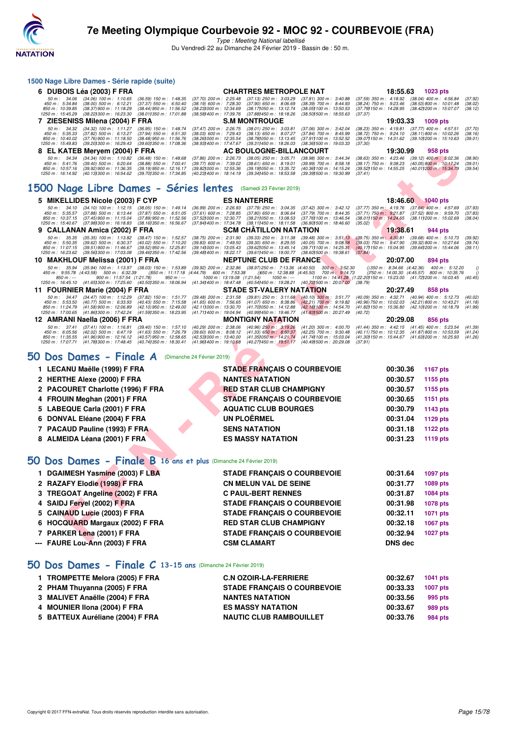

**1500 Nage Libre Dames - Série rapide (suite)**

# **7e Meeting Olympique Courbevoie 92 - MOC 92 - COURBEVOIE (FRA)**

Type : Meeting National labellisé Du Vendredi 22 au Dimanche 24 Février 2019 - Bassin de : 50 m.

|   | 6 DUBOIS Léa (2003) F FRA                                                                                                                                                                                                           |                                                                                                              |                                                                                                               |                                       | <b>CHARTRES METROPOLE NAT</b>                                                                                                                                                                                           |                                                                                                                |                                                                                                                             | 18:55.63                                                                                   |                          | 1023 pts                                                                                    |                               |
|---|-------------------------------------------------------------------------------------------------------------------------------------------------------------------------------------------------------------------------------------|--------------------------------------------------------------------------------------------------------------|---------------------------------------------------------------------------------------------------------------|---------------------------------------|-------------------------------------------------------------------------------------------------------------------------------------------------------------------------------------------------------------------------|----------------------------------------------------------------------------------------------------------------|-----------------------------------------------------------------------------------------------------------------------------|--------------------------------------------------------------------------------------------|--------------------------|---------------------------------------------------------------------------------------------|-------------------------------|
|   | 50 m: 34.06 (34.06) 100 m: 1:10.65<br>450 m: 5:34.84<br>$(38.00)$ 500 m : 6:12.21<br>850 m: 10:39.85<br>(38.37) 900 m : 11:18.29<br>1250 m: 15:45.29<br>(38.22) 300 m : 16:23.30                                                    | $(36.59)$ 150 m : 1:48.35<br>$(37.37)$ 550 m : 6:50.40<br>(38.44) 950 m : 11:56.52<br>(38.011350 m: 17:01.88 | $(37.70)$ 200 m : 2:25.48<br>$(38.19)$ 600 m : 7:28.30<br>(38.23) 000 m: 12:34.69<br>(38.58) 400 m : 17:39.76 |                                       | (37.13) 250 m : 3:03.29<br>$(37.90)$ 650 m : 8:06.69<br>(38.17) 050 m : 13:12.74<br>(37.88) 450 m : 18:18.26                                                                                                            | $(37.81)$ 300 m : 3:40.88<br>(38.39) 700 m : 8:44.93<br>(38.05) 100 m : 13:50.53<br>(38.50) 500 m: 18:55.63    | (37.59) 350 m : 4:18.92 (38.04) 400 m : 4:56.84<br>$(38.24)$ 750 m : 9:23.46<br>(37.79 <b>)</b> 150 m : 14:28.95<br>(37.37) |                                                                                            |                          | (38.53) 800 m : 10:01.48<br>(38.42) 200 m : 15:07.07                                        | (37.92)<br>(38.02)<br>(38.12) |
| 7 | ZIESENISS Milena (2004) F FRA                                                                                                                                                                                                       |                                                                                                              |                                                                                                               |                                       | <b>S.M MONTROUGE</b>                                                                                                                                                                                                    |                                                                                                                |                                                                                                                             | 19:03.33                                                                                   |                          | 1009 pts                                                                                    |                               |
|   | (34.32) 100 m: 1:11.27<br>50 m: 34.32<br>450 m: 5:35.33<br>$(37.82)$ 500 m : 6:13.27<br>850 m: 10:40.02<br>$(37.76)900 \text{ m}$ : 11:18.50<br>1250 m: 15:49.83<br>(39.20) 300 m : 16:29.43                                        | (36.95) 150 m : 1:48.74<br>(37.94) 550 m : 6.51.30<br>$(38.48)$ 950 m : 11:56.76<br>(39.60) 350 m : 17:08.36 | (37.47) 200 m : 2:26.75<br>(38.03) 600 m : 7:29.43<br>(38.26) 000 m : 12:35.54<br>(38.93) 400 m : 17:47.67    |                                       | (38.01) 250 m : 3:03.81<br>(38.13) 650 m : 8:07.27<br>(38.78) 050 m : 13:13.45<br>(39.31) 450 m: 18:26.03                                                                                                               | (37.06) 300 m : 3:42.04<br>(37.84) 700 m : 8:45.99<br>(37.91) 100 m : 13:52.52<br>(38.36) 500 m : 19:03.33     | (38.23) 350 m : 4:19.81<br>(38.72) 750 m : 9:24.10<br>(39.07) 150 m : 14:31.62<br>(37.30)                                   |                                                                                            |                          | $(37.77)$ 400 m : 4:57.51<br>(38.11) 800 m : 10:02.26<br>(39.10) 200 m : 15:10.63           | (37.70)<br>(38.16)<br>(39.01) |
| 8 | EL KATEB Meryem (2004) F FRA                                                                                                                                                                                                        |                                                                                                              |                                                                                                               |                                       | AC BOULOGNE-BILLANCOURT                                                                                                                                                                                                 |                                                                                                                |                                                                                                                             | 19:30.99                                                                                   |                          | 958 pts                                                                                     |                               |
|   | 50 m: 34.34<br>$(34.34)$ 100 m : 1:10.82<br>450 m: 5:41.76<br>$(39.40)$ 500 m : 6:20.64<br>850 m: 10:57.16<br>(39.92) 900 m : 11:36.35<br>1250 m: 16:14.92<br>(40.13) 300 m : 16:54.62                                              | $(36.48)$ 150 m : 1:48.68<br>$(38.88)$ 550 m : 7:00.41<br>(39.19) 950 m: 12:16.17<br>(39.701350 m: 17:34.85) | (37.86) 200 m : 2:26.73<br>$(39.77)$ 600 m : 7:39.02<br>(39.82) 000 m : 12:55.36<br>(40.23) 400 m : 18:14.19  |                                       | $(38.05)$ 250 m : 3:05.71<br>$(38.61)$ 650 m : 8:19.01<br>(39.19) 050 m : 13:35.72<br>(39.34) 450 m : 18:53.58                                                                                                          | (38.98) 300 m : 3:44.34<br>(39.99) 700 m : 8:58.18<br>(40.36) 100 m: 14:15.24<br>(39.391500 m: 19:30.99        | $(38.63)$ 350 m : 4:23.46<br>$(39.17)$ 750 m : 9:38.23<br>(39.52) 150 m : 14:55.25<br>(37.41)                               |                                                                                            |                          | $(39.12)$ 400 m : 5:02.36<br>(40.05) 800 m: 10:17.24<br>(40.011200 m: 15:34.79              | (38.90)<br>(39.01)<br>(39.54) |
|   | 1500 Nage Libre Dames - Séries lentes (Samedi 23 Février 2019)                                                                                                                                                                      |                                                                                                              |                                                                                                               |                                       |                                                                                                                                                                                                                         |                                                                                                                |                                                                                                                             |                                                                                            |                          |                                                                                             |                               |
|   | 5 MIKELLIDES Nicole (2003) F CYP                                                                                                                                                                                                    |                                                                                                              |                                                                                                               |                                       | <b>ES NANTERRE</b>                                                                                                                                                                                                      |                                                                                                                |                                                                                                                             | 18:46.60                                                                                   |                          | $1040$ pts                                                                                  |                               |
|   | $(34.10)$ 100 m : 1:12.15<br>50 m: 34.10<br>450 m : 5:35.57<br>$(37.88)$ 500 m : 6:13.44<br>850 m: 10:37.15<br>(37.45) 900 m : 11:15.04<br>1250 m: 15:40.67<br>(37.98) 300 m : 16:18.83                                             | $(38.05)$ 150 m : 1:49.14<br>(37.87) 550 m : 6:51.05<br>(37.89) 950 m : 11:52.56<br>(38.16) 350 m : 16:56.67 | (36.99) 200 m : 2:26.93<br>(37.61) 600 m : 7:28.85<br>(37.52) 000 m : 12:30.77<br>(37.84) 400 m : 17:34.78    |                                       | (37.79) 250 m : 3:04.35<br>$(37.80)$ 650 m : 8:06.64<br>(38.21) 050 m : 13:08.53<br>(38.11) 450 m : 18:11.58                                                                                                            | (37.42) 300 m : 3:42.12<br>(37.79) 700 m : 8:44.35<br>(37.76) 100 m : 13:46.54<br>(36.801500 m: 18:46.60       | (37.77) 350 m: 4:19.76 (37.64) 400 m: 4:57.69<br>$(37.71)$ 750 m : 9:21.87<br>(38.01) 150 m : 14:24.65<br>(35.02)           |                                                                                            | (38.11) 200 m : 15:02.69 | $(37.52)$ 800 m : 9:59.70                                                                   | (37.93)<br>(37.83)<br>(38.04) |
| 9 | CALLANAN Amica (2002) F FRA                                                                                                                                                                                                         |                                                                                                              |                                                                                                               |                                       | <b>SCM CHATILLON NATATION</b>                                                                                                                                                                                           |                                                                                                                |                                                                                                                             | 19:38.61                                                                                   |                          | 944 pts                                                                                     |                               |
|   | $(35.35)$ 100 m : 1:13.82<br>50 m: 35.35<br>450 m : 5:50.35<br>$(39.62)$ 500 m : 6:30.37<br>850 m: 11:07.15<br>$(39.51)$ 900 m : 11:46.67<br>1250 m: 16:23.62<br>(39.56) 300 m : 17:03.08                                           | (38.47) 150 m : 1:52.57<br>$(40.02)$ 550 m : 7:10.20<br>(39.52) 950 m : 12:25.81<br>(39.46) 350 m : 17:42.56 | $(38.75)$ 200 m : 2:31.90<br>$(39.83)$ 600 m : 7:49.50<br>(39.14) 000 m: 13:05.43<br>(39.48) 400 m : 18:22.17 |                                       | $(39.33)$ $250$ m : $3:11.38$<br>$(39.30)$ 650 m : 8:29.55<br>(39.62) 050 m: 13:45.14<br>(39.61) 450 m : 19:00.77                                                                                                       | $(39.48)$ 300 m : 3:51.13<br>$(40.05)$ 700 m : 9:08.58<br>(39.71) 100 m : 14:25.31<br>(38.60) 500 m : 19:38.61 | $(39.75)$ 350 m : 4:30.81<br>$(39.03)$ 750 m : 9:47.90<br>(40.17) 150 m : 15:04.95<br>(37.84)                               |                                                                                            |                          | $(39.68)$ 400 m : 5:10.73<br>$(39.32) 800 \text{ m}$ : 10:27.64<br>(39.64) 200 m : 15:44.06 | (39.92)<br>(39.74)<br>(39.11) |
|   | 10 MAKHLOUF Melissa (2001) F FRA                                                                                                                                                                                                    |                                                                                                              |                                                                                                               |                                       | <b>NEPTUNE CLUB DE FRANCE</b>                                                                                                                                                                                           |                                                                                                                |                                                                                                                             | 20:07.00                                                                                   |                          | 894 pts                                                                                     |                               |
|   | 50 m: 35.94 (35.94) 100 m: 1:13.97 (38.03) 150 m: 1:53.89<br>450 m : 9:55.78 (4:43.58) 500 m : 6:32.39<br>$900 \text{ m}$ : 11:57.54 (1:21.78)<br>$850 m: -$<br>1250 m : 16:45.10 (41.65) 300 m : 17:25.60 (40.50) 350 m : 18:06.94 | ()550 m: 11:17.18 (4:44.79) 600 m: 7:53.38<br>$950 m : -$                                                    |                                                                                                               | $1000 \text{ m}$ : 13:19.08 (1:21.54) | (39.92) 200 m : 2:32.86 (38.97) 250 m : 7:13.36 (4:40.50) 300 m : 3:52.30<br>()650 m : 12:38.88 (4:45.50) 700 m : 9:14.73<br>1050 m : ---<br>(41.34) 400 m : 18:47.48 (40.54) 450 m : 19:28.21 (40.73) 500 m : 20:07.00 |                                                                                                                | 1100 m: 14:41.28 (1:22.20) 150 m: 15:23.00 (41.72) 200 m: 16:03.45<br>(38.79)                                               | $( ) 350 \text{ m} : 8:34.66 \text{ } (4:42.36)$<br>$(750 \text{ m} : 14.00.30 (4.45.57))$ |                          | 400 m : 5:12.20<br>800 m: 10:35.76                                                          | (40.45)                       |
|   | 11 FOURNIER Marie (2004) F FRA                                                                                                                                                                                                      |                                                                                                              |                                                                                                               |                                       | <b>STADE ST-VALERY NATATION</b>                                                                                                                                                                                         |                                                                                                                |                                                                                                                             | 20:27.49                                                                                   |                          | 858 pts                                                                                     |                               |
|   | 50 m: 34.47 (34.47) 100 m: 1:12.29<br>$(40.77)$ 500 m : 6:33.93<br>450 m: 5:53.50<br>850 m: 11:24.79<br>(41.58) 900 m : 12:06.89<br>1250 m: 17:00.65<br>(41.86) 300 m : 17:42.24                                                    | (37.82) 150 m : 1:51.77<br>(40.43) 550 m : 7:15.58<br>(42.10) 950 m : 12:49.00<br>(41.59) 350 m : 18:23.95   | $(39.48)$ 200 m : 2:31.58<br>$(41.65)$ 600 m : 7:56.65<br>(42.111000 m: 13:30.70<br>(41.711400 m: 19:04.94    |                                       | (39.81) 250 m: 3:11.68 (40.10) 300 m: 3:51.77<br>$(41.07)$ 650 m : 8:38.86<br>(41.70) 050 m: 14:12.88<br>(40.99) 450 m : 19:46.77                                                                                       | $(42.21)$ 700 m : 9:19.82<br>(42.18) 100 m : 14:54.70<br>(41.83) 500 m : 20:27.49                              | (40.09) 350 m: 4:32.71 (40.94) 400 m: 5:12.73<br>(40.96) 750 m : 10:02.03<br>(41.82) 150 m : 15:36.80<br>(40.72)            |                                                                                            |                          | (42.21) 800 m : 10:43.21<br>(42.10) 200 m : 16:18.79                                        | (40.02)<br>(41.18)<br>(41.99) |
|   | 12 AMRANI Naella (2006) F FRA                                                                                                                                                                                                       |                                                                                                              |                                                                                                               |                                       | <b>MONTIGNY NATATION</b>                                                                                                                                                                                                |                                                                                                                |                                                                                                                             | 20:29.08                                                                                   |                          | 856 pts                                                                                     |                               |
|   | 50 m : 37.41<br>$(37.41)$ 100 m : 1:16.81<br>450 m : 6:05.56<br>$(42.02)$ 500 m : 6:47.19<br>850 m: 11:35.55<br>$(41.96)$ 900 m : 12:16.12<br>1250 m: 17:07.71 (41.78) 300 m: 17:48.45 (40.74) 350 m: 18:30.41                      | (39.40) 150 m : 1:57.10<br>$(41.63)$ 550 m : 7:26.79<br>$(40.57)$ 950 m : 12:58.65                           | (40.29) 200 m : 2:38.06<br>$(39.60)$ 600 m : 8:08.12<br>(42.53) 000 m: 13:40.00<br>(41.96) 400 m : 19:10.68   |                                       | (40.96) 250 m : 3:19.26<br>$(41.33)$ 650 m : 8:50.37<br>(41.35) 050 m : 14:21.74<br>(40.27) 450 m : 19:51.17                                                                                                            | $(41.20)$ 300 m : 4:00.70<br>(42.25) 700 m : 9:30.48<br>(41.74) 100 m : 15:03.04<br>(40.49) 500 m : 20:29.08   | (41.44) 350 m : 4:42.15<br>(40.11) 750 m : 10:12.35<br>(41.30) 150 m : 15:44.67 (41.63) 200 m : 16:25.93<br>(37.91)         |                                                                                            |                          | $(41.45)$ 400 m : 5:23.54<br>(41.87) 800 m : 10:53.59                                       | (41.39)<br>(41.24)<br>(41.26) |
|   | 50 Dos Dames - Finale A                                                                                                                                                                                                             |                                                                                                              | (Dimanche 24 Février 2019)                                                                                    |                                       |                                                                                                                                                                                                                         |                                                                                                                |                                                                                                                             |                                                                                            |                          |                                                                                             |                               |
|   | 1 LECANU Maëlle (1999) F FRA                                                                                                                                                                                                        |                                                                                                              |                                                                                                               |                                       | <b>STADE FRANÇAIS O COURBEVOIE</b>                                                                                                                                                                                      |                                                                                                                |                                                                                                                             | 00:30.36                                                                                   |                          | <b>1167 pts</b>                                                                             |                               |
|   | 2 HERTHE Alexe (2000) F FRA                                                                                                                                                                                                         |                                                                                                              |                                                                                                               |                                       | <b>NANTES NATATION</b>                                                                                                                                                                                                  |                                                                                                                |                                                                                                                             | 00:30.57                                                                                   |                          | 1155 pts                                                                                    |                               |
|   | 2 PACOURET Charlotte (1996) F FRA                                                                                                                                                                                                   |                                                                                                              |                                                                                                               |                                       | <b>RED STAR CLUB CHAMPIGNY</b>                                                                                                                                                                                          |                                                                                                                |                                                                                                                             | 00:30.57                                                                                   |                          | 1155 pts                                                                                    |                               |
|   | 4 FROUIN Meghan (2001) F FRA                                                                                                                                                                                                        |                                                                                                              |                                                                                                               |                                       | <b>STADE FRANÇAIS O COURBEVOIE</b>                                                                                                                                                                                      |                                                                                                                |                                                                                                                             | 00:30.65                                                                                   |                          | 1151 pts                                                                                    |                               |
|   | 5 LABEQUE Carla (2001) F FRA                                                                                                                                                                                                        |                                                                                                              |                                                                                                               |                                       | <b>AQUATIC CLUB BOURGES</b>                                                                                                                                                                                             |                                                                                                                |                                                                                                                             | 00:30.79                                                                                   |                          | 1143 pts                                                                                    |                               |
|   | 6 DONVAL Eléane (2004) F FRA                                                                                                                                                                                                        |                                                                                                              |                                                                                                               |                                       | <b>UN PLOËRMEL</b>                                                                                                                                                                                                      |                                                                                                                |                                                                                                                             | 00:31.04                                                                                   |                          | 1129 pts                                                                                    |                               |
|   | 7 PACAUD Pauline (1993) F FRA                                                                                                                                                                                                       |                                                                                                              |                                                                                                               |                                       | <b>SENS NATATION</b>                                                                                                                                                                                                    |                                                                                                                |                                                                                                                             | 00:31.18                                                                                   |                          | <b>1122 pts</b>                                                                             |                               |
|   | 8 ALMEIDA Léana (2001) F FRA                                                                                                                                                                                                        |                                                                                                              |                                                                                                               |                                       | <b>ES MASSY NATATION</b>                                                                                                                                                                                                |                                                                                                                |                                                                                                                             | 00:31.23                                                                                   |                          | <b>1119 pts</b>                                                                             |                               |
|   | 50 Dos Dames - Finale B 16 ans et plus (Dimanche 24 Février 2019)                                                                                                                                                                   |                                                                                                              |                                                                                                               |                                       |                                                                                                                                                                                                                         |                                                                                                                |                                                                                                                             |                                                                                            |                          |                                                                                             |                               |
|   | 1 DGAIMESH Yasmine (2003) F LBA                                                                                                                                                                                                     |                                                                                                              |                                                                                                               |                                       | <b>STADE FRANÇAIS O COURBEVOIE</b>                                                                                                                                                                                      |                                                                                                                |                                                                                                                             | 00:31.64                                                                                   |                          | 1097 pts                                                                                    |                               |
|   | 2 RAZAFY Elodie (1998) F FRA                                                                                                                                                                                                        |                                                                                                              |                                                                                                               |                                       | <b>CN MELUN VAL DE SEINE</b>                                                                                                                                                                                            |                                                                                                                |                                                                                                                             | 00:31.77                                                                                   |                          | 1089 pts                                                                                    |                               |
|   | 3 TREGOAT Angeline (2002) F FRA                                                                                                                                                                                                     |                                                                                                              |                                                                                                               |                                       | <b>C PAUL-BERT RENNES</b>                                                                                                                                                                                               |                                                                                                                |                                                                                                                             | 00:31.87                                                                                   |                          | 1084 pts                                                                                    |                               |
|   | 4 SAIDJ Feryel (2002) F FRA                                                                                                                                                                                                         |                                                                                                              |                                                                                                               |                                       | <b>STADE FRANÇAIS O COURBEVOIE</b>                                                                                                                                                                                      |                                                                                                                |                                                                                                                             | 00:31.98                                                                                   |                          | 1078 pts                                                                                    |                               |
|   | 5 CAINAUD Lucie (2003) F FRA                                                                                                                                                                                                        |                                                                                                              |                                                                                                               |                                       | <b>STADE FRANÇAIS O COURBEVOIE</b>                                                                                                                                                                                      |                                                                                                                |                                                                                                                             | 00:32.11                                                                                   |                          | 1071 pts                                                                                    |                               |
|   | 6 HOCQUARD Margaux (2002) F FRA                                                                                                                                                                                                     |                                                                                                              |                                                                                                               |                                       | <b>RED STAR CLUB CHAMPIGNY</b>                                                                                                                                                                                          |                                                                                                                |                                                                                                                             | 00:32.18                                                                                   |                          | 1067 pts                                                                                    |                               |
|   | 7 PARKER Lena (2001) F FRA                                                                                                                                                                                                          |                                                                                                              |                                                                                                               |                                       | <b>STADE FRANÇAIS O COURBEVOIE</b>                                                                                                                                                                                      |                                                                                                                |                                                                                                                             | 00:32.94                                                                                   |                          | <b>1027 pts</b>                                                                             |                               |
|   | <b>EALIBE LAW ANN (0000) E EBA</b>                                                                                                                                                                                                  |                                                                                                              |                                                                                                               |                                       | COM OF AMART                                                                                                                                                                                                            |                                                                                                                |                                                                                                                             | <b>DAIO J-</b>                                                                             |                          |                                                                                             |                               |

| 1 LECANU Maëlle (1999) F FRA      | <b>STADE FRANÇAIS O COURBEVOIE</b> | 00:30.36 | <b>1167 pts</b> |
|-----------------------------------|------------------------------------|----------|-----------------|
| 2 HERTHE Alexe (2000) F FRA       | <b>NANTES NATATION</b>             | 00:30.57 | 1155 pts        |
| 2 PACOURET Charlotte (1996) F FRA | <b>RED STAR CLUB CHAMPIGNY</b>     | 00:30.57 | 1155 pts        |
| 4 FROUIN Meghan (2001) F FRA      | <b>STADE FRANCAIS O COURBEVOIE</b> | 00:30.65 | 1151 pts        |
| 5 LABEQUE Carla (2001) F FRA      | <b>AQUATIC CLUB BOURGES</b>        | 00:30.79 | 1143 pts        |
| 6 DONVAL Eléane (2004) F FRA      | UN PLOËRMEL                        | 00:31.04 | 1129 pts        |
| 7 PACAUD Pauline (1993) F FRA     | <b>SENS NATATION</b>               | 00:31.18 | 1122 pts        |
| 8 ALMEIDA Léana (2001) F FRA      | <b>ES MASSY NATATION</b>           | 00:31.23 | 1119 pts        |

### **[50 Dos Dames - Finale B](http://www.ffnatation.fr/webffn/resultats.php?idact=nat&go=epr&idcpt=57703&idepr=11) 16 ans et plus** (Dimanche 24 Février 2019)

| --- FAURE Lou-Ann (2003) F FRA  | <b>CSM CLAMART</b>                 | <b>DNS</b> dec |          |
|---------------------------------|------------------------------------|----------------|----------|
| 7 PARKER Lena (2001) F FRA      | <b>STADE FRANCAIS O COURBEVOIE</b> | 00:32.94       | 1027 pts |
| 6 HOCQUARD Margaux (2002) F FRA | <b>RED STAR CLUB CHAMPIGNY</b>     | 00:32.18       | 1067 pts |
| 5 CAINAUD Lucie (2003) F FRA    | <b>STADE FRANCAIS O COURBEVOIE</b> | 00:32.11       | 1071 pts |
| 4 SAIDJ Fervel (2002) F FRA     | <b>STADE FRANÇAIS O COURBEVOIE</b> | 00:31.98       | 1078 pts |
| 3 TREGOAT Angeline (2002) F FRA | <b>C PAUL-BERT RENNES</b>          | 00:31.87       | 1084 pts |
| 2 RAZAFY Elodie (1998) F FRA    | <b>CN MELUN VAL DE SEINE</b>       | 00:31.77       | 1089 pts |
| 1 DGAIMESH Yasmine (2003) F LBA | <b>STADE FRANCAIS O COURBEVOIE</b> | 00:31.64       | 1097 pts |
|                                 |                                    |                |          |

### **[50 Dos Dames - Finale C](http://www.ffnatation.fr/webffn/resultats.php?idact=nat&go=epr&idcpt=57703&idepr=11) 13-15 ans** (Dimanche 24 Février 2019)

| 1 TROMPETTE Melora (2005) F FRA  | <b>C.N OZOIR-LA-FERRIERE</b>       | 00:32.67 | 1041 pts |
|----------------------------------|------------------------------------|----------|----------|
| 2 PHAM Thuyanna (2005) F FRA     | <b>STADE FRANCAIS O COURBEVOIE</b> | 00:33.33 | 1007 pts |
| 3 MALIVET Anaëlle (2004) F FRA   | <b>NANTES NATATION</b>             | 00:33.56 | 995 pts  |
| 4 MOUNIER IIona (2004) F FRA     | <b>ES MASSY NATATION</b>           | 00:33.67 | 989 pts  |
| 5 BATTEUX Auréliane (2004) F FRA | <b>NAUTIC CLUB RAMBOUILLET</b>     | 00:33.76 | 984 pts  |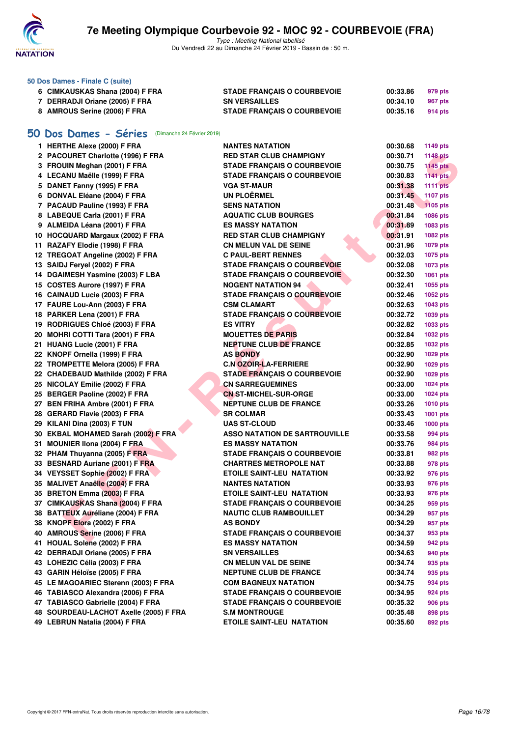

|    | 50 Dos Dames - Finale C (suite)                  |                                      |                      |                 |
|----|--------------------------------------------------|--------------------------------------|----------------------|-----------------|
|    | 6 CIMKAUSKAS Shana (2004) F FRA                  | <b>STADE FRANÇAIS O COURBEVOIE</b>   | 00:33.86             | 979 pts         |
|    | 7 DERRADJI Oriane (2005) F FRA                   | <b>SN VERSAILLES</b>                 | 00:34.10             | 967 pts         |
|    | 8 AMROUS Serine (2006) F FRA                     | <b>STADE FRANÇAIS O COURBEVOIE</b>   | 00:35.16             | 914 pts         |
|    |                                                  |                                      |                      |                 |
| 50 | Dos Dames - Séries<br>(Dimanche 24 Février 2019) |                                      |                      |                 |
|    | 1 HERTHE Alexe (2000) F FRA                      | <b>NANTES NATATION</b>               | 00:30.68             | 1149 pts        |
|    | 2 PACOURET Charlotte (1996) F FRA                | <b>RED STAR CLUB CHAMPIGNY</b>       | 00:30.71             | <b>1148 pts</b> |
|    | 3 FROUIN Meghan (2001) F FRA                     | <b>STADE FRANCAIS O COURBEVOIE</b>   | 00:30.75             | <b>1145 pts</b> |
|    | 4 LECANU Maëlle (1999) F FRA                     | <b>STADE FRANÇAIS O COURBEVOIE</b>   | 00:30.83             | <b>1141 pts</b> |
|    | 5 DANET Fanny (1995) F FRA                       | <b>VGA ST-MAUR</b>                   | 00:31.38             | <b>1111 pts</b> |
|    | 6 DONVAL Eléane (2004) F FRA                     | <b>UN PLOËRMEL</b>                   | 00:31.45             | <b>1107 pts</b> |
|    | 7 PACAUD Pauline (1993) F FRA                    | <b>SENS NATATION</b>                 | 00:31.48             | 1105 pts        |
|    | 8 LABEQUE Carla (2001) F FRA                     | <b>AQUATIC CLUB BOURGES</b>          | 00:31.84             | 1086 pts        |
|    | 9 ALMEIDA Léana (2001) F FRA                     | <b>ES MASSY NATATION</b>             | 00:31.89             | 1083 pts        |
|    | 10 HOCQUARD Margaux (2002) F FRA                 | <b>RED STAR CLUB CHAMPIGNY</b>       | 00:31.91             | 1082 pts        |
|    | 11 RAZAFY Elodie (1998) F FRA                    | CN MELUN VAL DE SEINE                | 00:31.96             | 1079 pts        |
|    | 12 TREGOAT Angeline (2002) F FRA                 | <b>C PAUL-BERT RENNES</b>            | 00:32.03             | 1075 pts        |
|    | 13 SAIDJ Fervel (2002) F FRA                     | STADE FRANÇAIS O COURBEVOIE          | 00:32.08             | 1073 pts        |
|    | 14 DGAIMESH Yasmine (2003) F LBA                 | <b>STADE FRANÇAIS O COURBEVOIE</b>   | 00:32.30             | 1061 pts        |
|    | 15 COSTES Aurore (1997) F FRA                    | <b>NOGENT NATATION 94</b>            | 00:32.41             | 1055 pts        |
|    | 16 CAINAUD Lucie (2003) F FRA                    | <b>STADE FRANÇAIS O COURBEVOIE</b>   | 00:32.46             | 1052 pts        |
|    | 17 FAURE Lou-Ann (2003) F FRA                    | <b>CSM CLAMART</b>                   | 00:32.63             | 1043 pts        |
|    | 18 PARKER Lena (2001) F FRA                      | <b>STADE FRANÇAIS O COURBEVOIE</b>   | 00:32.72             | 1039 pts        |
|    | 19 RODRIGUES Chloé (2003) F FRA                  | <b>ES VITRY</b>                      | 00:32.82             | 1033 pts        |
|    | 20 MOHRI COTTI Tara (2001) F FRA                 | <b>MOUETTES DE PARIS</b>             | 00:32.84             | 1032 pts        |
|    | 21 HUANG Lucie (2001) F FRA                      | <b>NEPTUNE CLUB DE FRANCE</b>        | 00:32.85             | 1032 pts        |
|    | 22 KNOPF Ornella (1999) F FRA                    | <b>AS BONDY</b>                      | 00:32.90             | 1029 pts        |
|    | 22 TROMPETTE Melora (2005) F FRA                 | <b>C.N OZOIR-LA-FERRIERE</b>         | 00:32.90             | 1029 pts        |
|    | 22 CHADEBAUD Mathilde (2002) F FRA               | <b>STADE FRANÇAIS O COURBEVOIE</b>   | 00:32.90             | 1029 pts        |
|    | 25 NICOLAY Emilie (2002) F FRA                   | <b>CN SARREGUEMINES</b>              | 00:33.00             | 1024 pts        |
|    | 25 BERGER Paoline (2002) F FRA                   | <b>CN ST-MICHEL-SUR-ORGE</b>         | 00:33.00             | 1024 pts        |
|    | 27 BEN FRIHA Ambre (2001) F FRA                  | <b>NEPTUNE CLUB DE FRANCE</b>        | 00:33.26             | <b>1010 pts</b> |
|    | 28 GERARD Flavie (2003) F FRA                    | <b>SR COLMAR</b>                     | 00:33.43             | 1001 pts        |
|    | 29 KILANI Dina (2003) F TUN                      | <b>UAS ST-CLOUD</b>                  | 00:33.46             | 1000 pts        |
|    | 30 EKBAL MOHAMED Sarah (2002) F FRA              | <b>ASSO NATATION DE SARTROUVILLE</b> | 00:33.58             | 994 pts         |
|    | 31 MOUNIER IIona (2004) F FRA                    | <b>ES MASSY NATATION</b>             | 00:33.76             | 984 pts         |
|    | 32 PHAM Thuyanna (2005) F FRA                    | <b>STADE FRANÇAIS O COURBEVOIE</b>   | 00:33.81             |                 |
|    | 33 BESNARD Auriane (2001) F FRA                  | <b>CHARTRES METROPOLE NAT</b>        |                      | 982 pts         |
|    | 34 VEYSSET Sophie (2002) F FRA                   | <b>ETOILE SAINT-LEU NATATION</b>     | 00:33.88<br>00:33.92 | 978 pts         |
|    | 35 MALIVET Anaëlle (2004) F FRA                  |                                      |                      | 976 pts         |
|    | 35 BRETON Emma (2003) F FRA                      | <b>NANTES NATATION</b>               | 00:33.93             | 976 pts         |
|    |                                                  | <b>ETOILE SAINT-LEU NATATION</b>     | 00:33.93             | 976 pts         |
|    | 37 CIMKAUSKAS Shana (2004) F FRA                 | <b>STADE FRANÇAIS O COURBEVOIE</b>   | 00:34.25             | 959 pts         |
|    | 38 BATTEUX Auréliane (2004) F FRA                | <b>NAUTIC CLUB RAMBOUILLET</b>       | 00:34.29             | 957 pts         |
|    | 38 KNOPF Elora (2002) F FRA                      | <b>AS BONDY</b>                      | 00:34.29             | 957 pts         |
|    | 40 AMROUS Serine (2006) F FRA                    | <b>STADE FRANÇAIS O COURBEVOIE</b>   | 00:34.37             | 953 pts         |
|    | 41 HOUAL Solene (2002) F FRA                     | <b>ES MASSY NATATION</b>             | 00:34.59             | 942 pts         |
|    | 42 DERRADJI Oriane (2005) F FRA                  | <b>SN VERSAILLES</b>                 | 00:34.63             | 940 pts         |
|    | 43 LOHEZIC Célia (2003) F FRA                    | <b>CN MELUN VAL DE SEINE</b>         | 00:34.74             | 935 pts         |
|    | 43 GARIN Héloïse (2005) F FRA                    | <b>NEPTUNE CLUB DE FRANCE</b>        | 00:34.74             | 935 pts         |
|    | 45 LE MAGOARIEC Sterenn (2003) F FRA             | <b>COM BAGNEUX NATATION</b>          | 00:34.75             | 934 pts         |
|    | 46 TABIASCO Alexandra (2006) F FRA               | <b>STADE FRANÇAIS O COURBEVOIE</b>   | 00:34.95             | 924 pts         |
|    | 47 TABIASCO Gabrielle (2004) F FRA               | <b>STADE FRANÇAIS O COURBEVOIE</b>   | 00:35.32             | 906 pts         |
|    | 48 SOURDEAU-LACHOT Axelle (2005) F FRA           | <b>S.M MONTROUGE</b>                 | 00:35.48             | 898 pts         |
|    | 49 LEBRUN Natalia (2004) F FRA                   | <b>ETOILE SAINT-LEU NATATION</b>     | 00:35.60             | 892 pts         |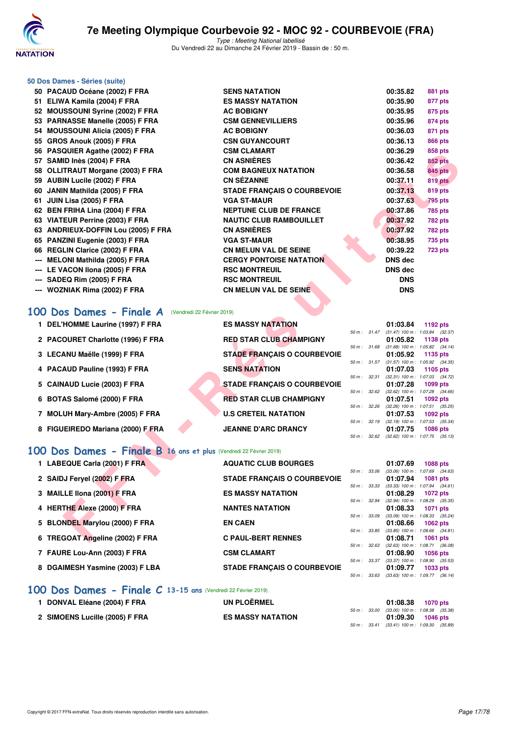

|                          | 50 Dos Dames - Séries (suite)           |                                    |                |                |
|--------------------------|-----------------------------------------|------------------------------------|----------------|----------------|
|                          | 50 PACAUD Océane (2002) F FRA           | <b>SENS NATATION</b>               | 00:35.82       | 881 pts        |
| 51                       | ELIWA Kamila (2004) F FRA               | <b>ES MASSY NATATION</b>           | 00:35.90       | 877 pts        |
|                          | 52 MOUSSOUNI Syrine (2002) F FRA        | <b>AC BOBIGNY</b>                  | 00:35.95       | 875 pts        |
|                          | 53 PARNASSE Manelle (2005) F FRA        | <b>CSM GENNEVILLIERS</b>           | 00:35.96       | 874 pts        |
| 54                       | <b>MOUSSOUNI Alicia (2005) F FRA</b>    | <b>AC BOBIGNY</b>                  | 00:36.03       | 871 pts        |
| 55                       | GROS Anouk (2005) F FRA                 | <b>CSN GUYANCOURT</b>              | 00:36.13       | <b>866 pts</b> |
|                          | 56 PASQUIER Agathe (2002) F FRA         | <b>CSM CLAMART</b>                 | 00:36.29       | 858 pts        |
|                          | 57 SAMID Inès (2004) F FRA              | <b>CN ASNIÈRES</b>                 | 00:36.42       | <b>852 pts</b> |
|                          | 58 OLLITRAUT Morgane (2003) F FRA       | <b>COM BAGNEUX NATATION</b>        | 00:36.58       | <b>845 pts</b> |
|                          | 59 AUBIN Lucile (2002) F FRA            | <b>CN SÉZANNE</b>                  | 00:37.11       | 819 pts        |
| 60                       | JANIN Mathilda (2005) F FRA             | <b>STADE FRANCAIS O COURBEVOIE</b> | 00:37.13       | 819 pts        |
| 61                       | JUIN Lisa (2005) F FRA                  | <b>VGA ST-MAUR</b>                 | 00:37.63       | <b>795 pts</b> |
|                          | 62 BEN FRIHA Lina (2004) F FRA          | <b>NEPTUNE CLUB DE FRANCE</b>      | 00:37.86       | <b>785 pts</b> |
|                          | 63 VIATEUR Perrine (2003) F FRA         | <b>NAUTIC CLUB RAMBOUILLET</b>     | 00:37.92       | <b>782 pts</b> |
| 63                       | <b>ANDRIEUX-DOFFIN Lou (2005) F FRA</b> | <b>CN ASNIÈRES</b>                 | 00:37.92       | <b>782 pts</b> |
|                          | 65 PANZINI Eugenie (2003) F FRA         | <b>VGA ST-MAUR</b>                 | 00:38.95       | 735 pts        |
|                          | 66 REGLIN Clarice (2002) F FRA          | <b>CN MELUN VAL DE SEINE</b>       | 00:39.22       | 723 pts        |
| $\hspace{0.05cm} \ldots$ | <b>MELONI Mathilda (2005) F FRA</b>     | <b>CERGY PONTOISE NATATION</b>     | <b>DNS dec</b> |                |
|                          | LE VACON IIona (2005) F FRA             | <b>RSC MONTREUIL</b>               | <b>DNS dec</b> |                |
|                          | --- SADEQ Rim (2005) F FRA              | <b>RSC MONTREUIL</b>               | <b>DNS</b>     |                |
|                          | --- WOZNIAK Rima (2002) F FRA           | <b>CN MELUN VAL DE SEINE</b>       | <b>DNS</b>     |                |
|                          |                                         |                                    |                |                |

### **[100 Dos Dames - Finale A](http://www.ffnatation.fr/webffn/resultats.php?idact=nat&go=epr&idcpt=57703&idepr=12)** (Vendredi 22 Février 2019)

| <b>CN ASNIÈRES</b><br>57 SAMID Inès (2004) F FRA<br>00:36.42<br><b>852 pts</b><br><b>COM BAGNEUX NATATION</b><br>58 OLLITRAUT Morgane (2003) F FRA<br>00:36.58<br><b>845 pts</b><br>59 AUBIN Lucile (2002) F FRA<br><b>CN SEZANNE</b><br>00:37.11<br><b>819 pts</b><br>60 JANIN Mathilda (2005) F FRA<br><b>STADE FRANÇAIS O COURBEVOIE</b><br>00:37.13<br>819 pts<br>61 JUIN Lisa (2005) F FRA<br><b>VGA ST-MAUR</b><br>00:37.63<br>795 pts<br><b>NEPTUNE CLUB DE FRANCE</b><br>62 BEN FRIHA Lina (2004) F FRA<br>00:37.86<br>785 pts<br><b>NAUTIC CLUB RAMBOUILLET</b><br>63 VIATEUR Perrine (2003) F FRA<br>00:37.92<br><b>782 pts</b><br><b>CN ASNIÈRES</b><br>63 ANDRIEUX-DOFFIN Lou (2005) F FRA<br>00:37.92<br><b>782 pts</b><br>65 PANZINI Eugenie (2003) F FRA<br><b>VGA ST-MAUR</b><br>00:38.95<br><b>735 pts</b><br>66 REGLIN Clarice (2002) F FRA<br><b>CN MELUN VAL DE SEINE</b><br>00:39.22<br><b>723 pts</b><br><b>CERGY PONTOISE NATATION</b><br><b>DNS dec</b><br>--- MELONI Mathilda (2005) F FRA<br><b>RSC MONTREUIL</b><br><b>DNS dec</b><br>--- LE VACON Ilona (2005) F FRA<br><b>RSC MONTREUIL</b><br>SADEQ Rim (2005) F FRA<br><b>DNS</b><br><b>CN MELUN VAL DE SEINE</b><br>--- WOZNIAK Rima (2002) F FRA<br><b>DNS</b><br>00 Dos Dames - Finale A<br>(Vendredi 22 Février 2019)<br>1 DEL'HOMME Laurine (1997) F FRA<br><b>ES MASSY NATATION</b><br>01:03.84<br>1192 pts<br>50 m: 31.47 (31.47) 100 m: 1:03.84 (32.37)<br>2 PACOURET Charlotte (1996) F FRA<br><b>RED STAR CLUB CHAMPIGNY</b><br>01:05.82<br>1138 pts<br>50 m: 31.68 (31.68) 100 m: 1:05.82 (34.14)<br>3 LECANU Maëlle (1999) F FRA<br><b>STADE FRANÇAIS O COURBEVOIE</b><br>01:05.92<br>1135 pts<br>50 m: 31.57 (31.57) 100 m: 1:05.92 (34.35)<br><b>SENS NATATION</b><br>4 PACAUD Pauline (1993) F FRA<br>01:07.03<br>1105 pts<br>$(32.31)$ 100 m : 1:07.03 $(34.72)$<br>50 m : 32.31<br>5 CAINAUD Lucie (2003) F FRA<br><b>STADE FRANÇAIS O COURBEVOIE</b><br>01:07.28<br>1099 pts<br>50 m : 32.62 (32.62) 100 m : 1:07.28 (34.66)<br>6 BOTAS Salomé (2000) F FRA<br><b>RED STAR CLUB CHAMPIGNY</b><br>01:07.51<br>1092 pts<br>$(32.26)$ 100 m : 1:07.51 $(35.25)$<br>50 m : 32.26<br><b>U.S CRETEIL NATATION</b><br>7 MOLUH Mary-Ambre (2005) F FRA<br>01:07.53<br><b>1092 pts</b><br>50 m: 32.19<br>$(32.19)$ 100 m : 1:07.53 $(35.34)$<br>8 FIGUEIREDO Mariana (2000) F FRA<br><b>JEANNE D'ARC DRANCY</b><br>01:07.75<br><b>1086 pts</b><br>50 m: 32.62 (32.62) 100 m: 1:07.75 (35.13)<br>00 Dos Dames - Finale B 16 ans et plus (Vendredi 22 Février 2019)<br>1 LABEQUE Carla (2001) F FRA<br><b>AQUATIC CLUB BOURGES</b><br>01:07.69<br><b>1088 pts</b><br>50 m : 33.06<br>$(33.06)$ 100 m : 1:07.69 $(34.63)$<br>2 SAIDJ Feryel (2002) F FRA<br><b>STADE FRANÇAIS O COURBEVOIE</b><br>01:07.94<br>1081 pts<br>$(33.33)$ 100 m : 1:07.94 $(34.61)$<br>50 m : 33.33<br>3 MAILLE IIona (2001) F FRA<br><b>ES MASSY NATATION</b><br>01:08.29<br><b>1072 pts</b><br>$(32.94)$ 100 m : 1:08.29 $(35.35)$<br>50 m : 32.94<br>4 HERTHE Alexe (2000) F FRA<br><b>NANTES NATATION</b><br>01:08.33<br><b>1071 pts</b><br>$(33.09)$ 100 m : 1:08.33 $(35.24)$<br>50 m : 33.09<br>5 BLONDEL Marylou (2000) F FRA<br><b>EN CAEN</b><br>01:08.66<br>1062 pts<br>50 m : 33.85 (33.85) 100 m : 1:08.66 (34.81)<br>6 TREGOAT Angeline (2002) F FRA<br><b>C PAUL-BERT RENNES</b><br>01:08.71<br><b>1061 pts</b> | 30 FASQUIEN Agatrie (2002) F FRA | VƏN VLANARI |  | 00.JU.ZJ | ບບບ µເວ |  |
|-----------------------------------------------------------------------------------------------------------------------------------------------------------------------------------------------------------------------------------------------------------------------------------------------------------------------------------------------------------------------------------------------------------------------------------------------------------------------------------------------------------------------------------------------------------------------------------------------------------------------------------------------------------------------------------------------------------------------------------------------------------------------------------------------------------------------------------------------------------------------------------------------------------------------------------------------------------------------------------------------------------------------------------------------------------------------------------------------------------------------------------------------------------------------------------------------------------------------------------------------------------------------------------------------------------------------------------------------------------------------------------------------------------------------------------------------------------------------------------------------------------------------------------------------------------------------------------------------------------------------------------------------------------------------------------------------------------------------------------------------------------------------------------------------------------------------------------------------------------------------------------------------------------------------------------------------------------------------------------------------------------------------------------------------------------------------------------------------------------------------------------------------------------------------------------------------------------------------------------------------------------------------------------------------------------------------------------------------------------------------------------------------------------------------------------------------------------------------------------------------------------------------------------------------------------------------------------------------------------------------------------------------------------------------------------------------------------------------------------------------------------------------------------------------------------------------------------------------------------------------------------------------------------------------------------------------------------------------------------------------------------------------------------------------------------------------------------------------------------------------------------------------------------------------------------------------------------------------------------------------------------------------------------------------------------------------------------------------------------------------------------------------|----------------------------------|-------------|--|----------|---------|--|
|                                                                                                                                                                                                                                                                                                                                                                                                                                                                                                                                                                                                                                                                                                                                                                                                                                                                                                                                                                                                                                                                                                                                                                                                                                                                                                                                                                                                                                                                                                                                                                                                                                                                                                                                                                                                                                                                                                                                                                                                                                                                                                                                                                                                                                                                                                                                                                                                                                                                                                                                                                                                                                                                                                                                                                                                                                                                                                                                                                                                                                                                                                                                                                                                                                                                                                                                                                                               |                                  |             |  |          |         |  |
|                                                                                                                                                                                                                                                                                                                                                                                                                                                                                                                                                                                                                                                                                                                                                                                                                                                                                                                                                                                                                                                                                                                                                                                                                                                                                                                                                                                                                                                                                                                                                                                                                                                                                                                                                                                                                                                                                                                                                                                                                                                                                                                                                                                                                                                                                                                                                                                                                                                                                                                                                                                                                                                                                                                                                                                                                                                                                                                                                                                                                                                                                                                                                                                                                                                                                                                                                                                               |                                  |             |  |          |         |  |
|                                                                                                                                                                                                                                                                                                                                                                                                                                                                                                                                                                                                                                                                                                                                                                                                                                                                                                                                                                                                                                                                                                                                                                                                                                                                                                                                                                                                                                                                                                                                                                                                                                                                                                                                                                                                                                                                                                                                                                                                                                                                                                                                                                                                                                                                                                                                                                                                                                                                                                                                                                                                                                                                                                                                                                                                                                                                                                                                                                                                                                                                                                                                                                                                                                                                                                                                                                                               |                                  |             |  |          |         |  |
|                                                                                                                                                                                                                                                                                                                                                                                                                                                                                                                                                                                                                                                                                                                                                                                                                                                                                                                                                                                                                                                                                                                                                                                                                                                                                                                                                                                                                                                                                                                                                                                                                                                                                                                                                                                                                                                                                                                                                                                                                                                                                                                                                                                                                                                                                                                                                                                                                                                                                                                                                                                                                                                                                                                                                                                                                                                                                                                                                                                                                                                                                                                                                                                                                                                                                                                                                                                               |                                  |             |  |          |         |  |
|                                                                                                                                                                                                                                                                                                                                                                                                                                                                                                                                                                                                                                                                                                                                                                                                                                                                                                                                                                                                                                                                                                                                                                                                                                                                                                                                                                                                                                                                                                                                                                                                                                                                                                                                                                                                                                                                                                                                                                                                                                                                                                                                                                                                                                                                                                                                                                                                                                                                                                                                                                                                                                                                                                                                                                                                                                                                                                                                                                                                                                                                                                                                                                                                                                                                                                                                                                                               |                                  |             |  |          |         |  |
|                                                                                                                                                                                                                                                                                                                                                                                                                                                                                                                                                                                                                                                                                                                                                                                                                                                                                                                                                                                                                                                                                                                                                                                                                                                                                                                                                                                                                                                                                                                                                                                                                                                                                                                                                                                                                                                                                                                                                                                                                                                                                                                                                                                                                                                                                                                                                                                                                                                                                                                                                                                                                                                                                                                                                                                                                                                                                                                                                                                                                                                                                                                                                                                                                                                                                                                                                                                               |                                  |             |  |          |         |  |
|                                                                                                                                                                                                                                                                                                                                                                                                                                                                                                                                                                                                                                                                                                                                                                                                                                                                                                                                                                                                                                                                                                                                                                                                                                                                                                                                                                                                                                                                                                                                                                                                                                                                                                                                                                                                                                                                                                                                                                                                                                                                                                                                                                                                                                                                                                                                                                                                                                                                                                                                                                                                                                                                                                                                                                                                                                                                                                                                                                                                                                                                                                                                                                                                                                                                                                                                                                                               |                                  |             |  |          |         |  |
|                                                                                                                                                                                                                                                                                                                                                                                                                                                                                                                                                                                                                                                                                                                                                                                                                                                                                                                                                                                                                                                                                                                                                                                                                                                                                                                                                                                                                                                                                                                                                                                                                                                                                                                                                                                                                                                                                                                                                                                                                                                                                                                                                                                                                                                                                                                                                                                                                                                                                                                                                                                                                                                                                                                                                                                                                                                                                                                                                                                                                                                                                                                                                                                                                                                                                                                                                                                               |                                  |             |  |          |         |  |
|                                                                                                                                                                                                                                                                                                                                                                                                                                                                                                                                                                                                                                                                                                                                                                                                                                                                                                                                                                                                                                                                                                                                                                                                                                                                                                                                                                                                                                                                                                                                                                                                                                                                                                                                                                                                                                                                                                                                                                                                                                                                                                                                                                                                                                                                                                                                                                                                                                                                                                                                                                                                                                                                                                                                                                                                                                                                                                                                                                                                                                                                                                                                                                                                                                                                                                                                                                                               |                                  |             |  |          |         |  |
|                                                                                                                                                                                                                                                                                                                                                                                                                                                                                                                                                                                                                                                                                                                                                                                                                                                                                                                                                                                                                                                                                                                                                                                                                                                                                                                                                                                                                                                                                                                                                                                                                                                                                                                                                                                                                                                                                                                                                                                                                                                                                                                                                                                                                                                                                                                                                                                                                                                                                                                                                                                                                                                                                                                                                                                                                                                                                                                                                                                                                                                                                                                                                                                                                                                                                                                                                                                               |                                  |             |  |          |         |  |
|                                                                                                                                                                                                                                                                                                                                                                                                                                                                                                                                                                                                                                                                                                                                                                                                                                                                                                                                                                                                                                                                                                                                                                                                                                                                                                                                                                                                                                                                                                                                                                                                                                                                                                                                                                                                                                                                                                                                                                                                                                                                                                                                                                                                                                                                                                                                                                                                                                                                                                                                                                                                                                                                                                                                                                                                                                                                                                                                                                                                                                                                                                                                                                                                                                                                                                                                                                                               |                                  |             |  |          |         |  |
|                                                                                                                                                                                                                                                                                                                                                                                                                                                                                                                                                                                                                                                                                                                                                                                                                                                                                                                                                                                                                                                                                                                                                                                                                                                                                                                                                                                                                                                                                                                                                                                                                                                                                                                                                                                                                                                                                                                                                                                                                                                                                                                                                                                                                                                                                                                                                                                                                                                                                                                                                                                                                                                                                                                                                                                                                                                                                                                                                                                                                                                                                                                                                                                                                                                                                                                                                                                               |                                  |             |  |          |         |  |
|                                                                                                                                                                                                                                                                                                                                                                                                                                                                                                                                                                                                                                                                                                                                                                                                                                                                                                                                                                                                                                                                                                                                                                                                                                                                                                                                                                                                                                                                                                                                                                                                                                                                                                                                                                                                                                                                                                                                                                                                                                                                                                                                                                                                                                                                                                                                                                                                                                                                                                                                                                                                                                                                                                                                                                                                                                                                                                                                                                                                                                                                                                                                                                                                                                                                                                                                                                                               |                                  |             |  |          |         |  |
|                                                                                                                                                                                                                                                                                                                                                                                                                                                                                                                                                                                                                                                                                                                                                                                                                                                                                                                                                                                                                                                                                                                                                                                                                                                                                                                                                                                                                                                                                                                                                                                                                                                                                                                                                                                                                                                                                                                                                                                                                                                                                                                                                                                                                                                                                                                                                                                                                                                                                                                                                                                                                                                                                                                                                                                                                                                                                                                                                                                                                                                                                                                                                                                                                                                                                                                                                                                               |                                  |             |  |          |         |  |
|                                                                                                                                                                                                                                                                                                                                                                                                                                                                                                                                                                                                                                                                                                                                                                                                                                                                                                                                                                                                                                                                                                                                                                                                                                                                                                                                                                                                                                                                                                                                                                                                                                                                                                                                                                                                                                                                                                                                                                                                                                                                                                                                                                                                                                                                                                                                                                                                                                                                                                                                                                                                                                                                                                                                                                                                                                                                                                                                                                                                                                                                                                                                                                                                                                                                                                                                                                                               |                                  |             |  |          |         |  |
|                                                                                                                                                                                                                                                                                                                                                                                                                                                                                                                                                                                                                                                                                                                                                                                                                                                                                                                                                                                                                                                                                                                                                                                                                                                                                                                                                                                                                                                                                                                                                                                                                                                                                                                                                                                                                                                                                                                                                                                                                                                                                                                                                                                                                                                                                                                                                                                                                                                                                                                                                                                                                                                                                                                                                                                                                                                                                                                                                                                                                                                                                                                                                                                                                                                                                                                                                                                               |                                  |             |  |          |         |  |
|                                                                                                                                                                                                                                                                                                                                                                                                                                                                                                                                                                                                                                                                                                                                                                                                                                                                                                                                                                                                                                                                                                                                                                                                                                                                                                                                                                                                                                                                                                                                                                                                                                                                                                                                                                                                                                                                                                                                                                                                                                                                                                                                                                                                                                                                                                                                                                                                                                                                                                                                                                                                                                                                                                                                                                                                                                                                                                                                                                                                                                                                                                                                                                                                                                                                                                                                                                                               |                                  |             |  |          |         |  |
|                                                                                                                                                                                                                                                                                                                                                                                                                                                                                                                                                                                                                                                                                                                                                                                                                                                                                                                                                                                                                                                                                                                                                                                                                                                                                                                                                                                                                                                                                                                                                                                                                                                                                                                                                                                                                                                                                                                                                                                                                                                                                                                                                                                                                                                                                                                                                                                                                                                                                                                                                                                                                                                                                                                                                                                                                                                                                                                                                                                                                                                                                                                                                                                                                                                                                                                                                                                               |                                  |             |  |          |         |  |
|                                                                                                                                                                                                                                                                                                                                                                                                                                                                                                                                                                                                                                                                                                                                                                                                                                                                                                                                                                                                                                                                                                                                                                                                                                                                                                                                                                                                                                                                                                                                                                                                                                                                                                                                                                                                                                                                                                                                                                                                                                                                                                                                                                                                                                                                                                                                                                                                                                                                                                                                                                                                                                                                                                                                                                                                                                                                                                                                                                                                                                                                                                                                                                                                                                                                                                                                                                                               |                                  |             |  |          |         |  |
|                                                                                                                                                                                                                                                                                                                                                                                                                                                                                                                                                                                                                                                                                                                                                                                                                                                                                                                                                                                                                                                                                                                                                                                                                                                                                                                                                                                                                                                                                                                                                                                                                                                                                                                                                                                                                                                                                                                                                                                                                                                                                                                                                                                                                                                                                                                                                                                                                                                                                                                                                                                                                                                                                                                                                                                                                                                                                                                                                                                                                                                                                                                                                                                                                                                                                                                                                                                               |                                  |             |  |          |         |  |
|                                                                                                                                                                                                                                                                                                                                                                                                                                                                                                                                                                                                                                                                                                                                                                                                                                                                                                                                                                                                                                                                                                                                                                                                                                                                                                                                                                                                                                                                                                                                                                                                                                                                                                                                                                                                                                                                                                                                                                                                                                                                                                                                                                                                                                                                                                                                                                                                                                                                                                                                                                                                                                                                                                                                                                                                                                                                                                                                                                                                                                                                                                                                                                                                                                                                                                                                                                                               |                                  |             |  |          |         |  |
|                                                                                                                                                                                                                                                                                                                                                                                                                                                                                                                                                                                                                                                                                                                                                                                                                                                                                                                                                                                                                                                                                                                                                                                                                                                                                                                                                                                                                                                                                                                                                                                                                                                                                                                                                                                                                                                                                                                                                                                                                                                                                                                                                                                                                                                                                                                                                                                                                                                                                                                                                                                                                                                                                                                                                                                                                                                                                                                                                                                                                                                                                                                                                                                                                                                                                                                                                                                               |                                  |             |  |          |         |  |
|                                                                                                                                                                                                                                                                                                                                                                                                                                                                                                                                                                                                                                                                                                                                                                                                                                                                                                                                                                                                                                                                                                                                                                                                                                                                                                                                                                                                                                                                                                                                                                                                                                                                                                                                                                                                                                                                                                                                                                                                                                                                                                                                                                                                                                                                                                                                                                                                                                                                                                                                                                                                                                                                                                                                                                                                                                                                                                                                                                                                                                                                                                                                                                                                                                                                                                                                                                                               |                                  |             |  |          |         |  |
|                                                                                                                                                                                                                                                                                                                                                                                                                                                                                                                                                                                                                                                                                                                                                                                                                                                                                                                                                                                                                                                                                                                                                                                                                                                                                                                                                                                                                                                                                                                                                                                                                                                                                                                                                                                                                                                                                                                                                                                                                                                                                                                                                                                                                                                                                                                                                                                                                                                                                                                                                                                                                                                                                                                                                                                                                                                                                                                                                                                                                                                                                                                                                                                                                                                                                                                                                                                               |                                  |             |  |          |         |  |
|                                                                                                                                                                                                                                                                                                                                                                                                                                                                                                                                                                                                                                                                                                                                                                                                                                                                                                                                                                                                                                                                                                                                                                                                                                                                                                                                                                                                                                                                                                                                                                                                                                                                                                                                                                                                                                                                                                                                                                                                                                                                                                                                                                                                                                                                                                                                                                                                                                                                                                                                                                                                                                                                                                                                                                                                                                                                                                                                                                                                                                                                                                                                                                                                                                                                                                                                                                                               |                                  |             |  |          |         |  |
|                                                                                                                                                                                                                                                                                                                                                                                                                                                                                                                                                                                                                                                                                                                                                                                                                                                                                                                                                                                                                                                                                                                                                                                                                                                                                                                                                                                                                                                                                                                                                                                                                                                                                                                                                                                                                                                                                                                                                                                                                                                                                                                                                                                                                                                                                                                                                                                                                                                                                                                                                                                                                                                                                                                                                                                                                                                                                                                                                                                                                                                                                                                                                                                                                                                                                                                                                                                               |                                  |             |  |          |         |  |
|                                                                                                                                                                                                                                                                                                                                                                                                                                                                                                                                                                                                                                                                                                                                                                                                                                                                                                                                                                                                                                                                                                                                                                                                                                                                                                                                                                                                                                                                                                                                                                                                                                                                                                                                                                                                                                                                                                                                                                                                                                                                                                                                                                                                                                                                                                                                                                                                                                                                                                                                                                                                                                                                                                                                                                                                                                                                                                                                                                                                                                                                                                                                                                                                                                                                                                                                                                                               |                                  |             |  |          |         |  |
|                                                                                                                                                                                                                                                                                                                                                                                                                                                                                                                                                                                                                                                                                                                                                                                                                                                                                                                                                                                                                                                                                                                                                                                                                                                                                                                                                                                                                                                                                                                                                                                                                                                                                                                                                                                                                                                                                                                                                                                                                                                                                                                                                                                                                                                                                                                                                                                                                                                                                                                                                                                                                                                                                                                                                                                                                                                                                                                                                                                                                                                                                                                                                                                                                                                                                                                                                                                               |                                  |             |  |          |         |  |
|                                                                                                                                                                                                                                                                                                                                                                                                                                                                                                                                                                                                                                                                                                                                                                                                                                                                                                                                                                                                                                                                                                                                                                                                                                                                                                                                                                                                                                                                                                                                                                                                                                                                                                                                                                                                                                                                                                                                                                                                                                                                                                                                                                                                                                                                                                                                                                                                                                                                                                                                                                                                                                                                                                                                                                                                                                                                                                                                                                                                                                                                                                                                                                                                                                                                                                                                                                                               |                                  |             |  |          |         |  |
|                                                                                                                                                                                                                                                                                                                                                                                                                                                                                                                                                                                                                                                                                                                                                                                                                                                                                                                                                                                                                                                                                                                                                                                                                                                                                                                                                                                                                                                                                                                                                                                                                                                                                                                                                                                                                                                                                                                                                                                                                                                                                                                                                                                                                                                                                                                                                                                                                                                                                                                                                                                                                                                                                                                                                                                                                                                                                                                                                                                                                                                                                                                                                                                                                                                                                                                                                                                               |                                  |             |  |          |         |  |
|                                                                                                                                                                                                                                                                                                                                                                                                                                                                                                                                                                                                                                                                                                                                                                                                                                                                                                                                                                                                                                                                                                                                                                                                                                                                                                                                                                                                                                                                                                                                                                                                                                                                                                                                                                                                                                                                                                                                                                                                                                                                                                                                                                                                                                                                                                                                                                                                                                                                                                                                                                                                                                                                                                                                                                                                                                                                                                                                                                                                                                                                                                                                                                                                                                                                                                                                                                                               |                                  |             |  |          |         |  |
|                                                                                                                                                                                                                                                                                                                                                                                                                                                                                                                                                                                                                                                                                                                                                                                                                                                                                                                                                                                                                                                                                                                                                                                                                                                                                                                                                                                                                                                                                                                                                                                                                                                                                                                                                                                                                                                                                                                                                                                                                                                                                                                                                                                                                                                                                                                                                                                                                                                                                                                                                                                                                                                                                                                                                                                                                                                                                                                                                                                                                                                                                                                                                                                                                                                                                                                                                                                               |                                  |             |  |          |         |  |
|                                                                                                                                                                                                                                                                                                                                                                                                                                                                                                                                                                                                                                                                                                                                                                                                                                                                                                                                                                                                                                                                                                                                                                                                                                                                                                                                                                                                                                                                                                                                                                                                                                                                                                                                                                                                                                                                                                                                                                                                                                                                                                                                                                                                                                                                                                                                                                                                                                                                                                                                                                                                                                                                                                                                                                                                                                                                                                                                                                                                                                                                                                                                                                                                                                                                                                                                                                                               |                                  |             |  |          |         |  |
|                                                                                                                                                                                                                                                                                                                                                                                                                                                                                                                                                                                                                                                                                                                                                                                                                                                                                                                                                                                                                                                                                                                                                                                                                                                                                                                                                                                                                                                                                                                                                                                                                                                                                                                                                                                                                                                                                                                                                                                                                                                                                                                                                                                                                                                                                                                                                                                                                                                                                                                                                                                                                                                                                                                                                                                                                                                                                                                                                                                                                                                                                                                                                                                                                                                                                                                                                                                               |                                  |             |  |          |         |  |
|                                                                                                                                                                                                                                                                                                                                                                                                                                                                                                                                                                                                                                                                                                                                                                                                                                                                                                                                                                                                                                                                                                                                                                                                                                                                                                                                                                                                                                                                                                                                                                                                                                                                                                                                                                                                                                                                                                                                                                                                                                                                                                                                                                                                                                                                                                                                                                                                                                                                                                                                                                                                                                                                                                                                                                                                                                                                                                                                                                                                                                                                                                                                                                                                                                                                                                                                                                                               |                                  |             |  |          |         |  |
|                                                                                                                                                                                                                                                                                                                                                                                                                                                                                                                                                                                                                                                                                                                                                                                                                                                                                                                                                                                                                                                                                                                                                                                                                                                                                                                                                                                                                                                                                                                                                                                                                                                                                                                                                                                                                                                                                                                                                                                                                                                                                                                                                                                                                                                                                                                                                                                                                                                                                                                                                                                                                                                                                                                                                                                                                                                                                                                                                                                                                                                                                                                                                                                                                                                                                                                                                                                               |                                  |             |  |          |         |  |
|                                                                                                                                                                                                                                                                                                                                                                                                                                                                                                                                                                                                                                                                                                                                                                                                                                                                                                                                                                                                                                                                                                                                                                                                                                                                                                                                                                                                                                                                                                                                                                                                                                                                                                                                                                                                                                                                                                                                                                                                                                                                                                                                                                                                                                                                                                                                                                                                                                                                                                                                                                                                                                                                                                                                                                                                                                                                                                                                                                                                                                                                                                                                                                                                                                                                                                                                                                                               |                                  |             |  |          |         |  |

#### **[100 Dos Dames - Finale B](http://www.ffnatation.fr/webffn/resultats.php?idact=nat&go=epr&idcpt=57703&idepr=12) 16 ans et plus** (Vendredi 22 Février 2019)

| 1 LABEQUE Carla (2001) F FRA    | <b>AQUATIC CLUB BOURGES</b>        |             | 01:07.69                            | 1088 pts        |
|---------------------------------|------------------------------------|-------------|-------------------------------------|-----------------|
|                                 |                                    | 50 m: 33.06 | $(33.06)$ 100 m : 1:07.69 $(34.63)$ |                 |
| 2 SAIDJ Fervel (2002) F FRA     | <b>STADE FRANCAIS O COURBEVOIE</b> |             | 01:07.94                            | <b>1081 pts</b> |
|                                 |                                    | 50 m: 33.33 | $(33.33)$ 100 m : 1:07.94 $(34.61)$ |                 |
| 3 MAILLE IIona (2001) F FRA     | <b>ES MASSY NATATION</b>           |             | 01:08.29                            | 1072 pts        |
|                                 |                                    | 50 m: 32.94 | (32.94) 100 m: 1:08.29 (35.35       |                 |
| 4 HERTHE Alexe (2000) F FRA     | <b>NANTES NATATION</b>             |             | 01:08.33                            | 1071 pts        |
|                                 |                                    | 50 m: 33.09 | $(33.09)$ 100 m : 1:08.33 $(35.24)$ |                 |
| 5 BLONDEL Marylou (2000) F FRA  | <b>EN CAEN</b>                     |             | 01:08.66                            | 1062 $pts$      |
|                                 |                                    | 50 m: 33.85 | $(33.85)$ 100 m : 1:08.66 $(34.81)$ |                 |
| 6 TREGOAT Angeline (2002) F FRA | <b>C PAUL-BERT RENNES</b>          |             | 01:08.71                            | 1061 $pts$      |
|                                 |                                    | 50 m: 32.63 | $(32.63)$ 100 m : 1:08.71 $(36.08)$ |                 |
| 7 FAURE Lou-Ann (2003) F FRA    | <b>CSM CLAMART</b>                 |             | 01:08.90                            | 1056 pts        |
|                                 |                                    | 50 m: 33.37 | $(33.37)$ 100 m : 1:08.90 $(35.53)$ |                 |
| 8 DGAIMESH Yasmine (2003) F LBA | <b>STADE FRANCAIS O COURBEVOIE</b> |             | 01:09.77                            | 1033 pts        |
|                                 |                                    | 50 m: 33.63 | $(33.63)$ 100 m : 1:09.77 $(36.14)$ |                 |

#### **[100 Dos Dames - Finale C](http://www.ffnatation.fr/webffn/resultats.php?idact=nat&go=epr&idcpt=57703&idepr=12) 13-15 ans** (Vendredi 22 Février 2019)

| 1 DONVAL Eléane (2004) F FRA   | UN PLOËRMEL              |  | 01:08.38 1070 pts                                                 |  |
|--------------------------------|--------------------------|--|-------------------------------------------------------------------|--|
| 2 SIMOENS Lucille (2005) F FRA | <b>ES MASSY NATATION</b> |  | 50 m : 33.00 (33.00) 100 m : 1:08.38 (35.38)<br>01:09.30 1046 pts |  |
|                                |                          |  | 50 m : 33.41 (33.41) 100 m : 1:09.30 (35.89)                      |  |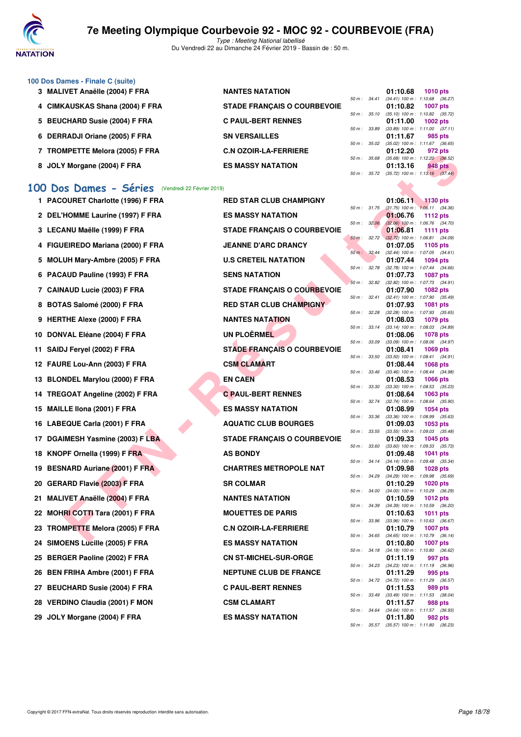

Type : Meeting National labellisé Du Vendredi 22 au Dimanche 24 Février 2019 - Bassin de : 50 m.

| 100 Dos Dames - Finale C (suite)     |                                    |                  |                                            |            |                |
|--------------------------------------|------------------------------------|------------------|--------------------------------------------|------------|----------------|
| 3 MALIVET Anaëlle (2004) F FRA       | <b>NANTES NATATION</b>             |                  | 01:10.68                                   | 1010 $pts$ |                |
|                                      |                                    | $50 m$ : $34.41$ | $(34.41)$ 100 m : 1:10.68 $(36.27)$        |            |                |
| 4 CIMKAUSKAS Shana (2004) F FRA      | <b>STADE FRANÇAIS O COURBEVOIE</b> |                  | 01:10.82                                   | 1007 pts   |                |
|                                      |                                    | $50 m$ : $35.10$ | $(35.10)$ 100 m : 1:10.82 $(35.72)$        |            |                |
| 5 BEUCHARD Susie (2004) F FRA        | <b>C PAUL-BERT RENNES</b>          |                  | 01:11.00                                   | 1002 $pts$ |                |
|                                      |                                    | 50 m: 33.89      | $(33.89)$ 100 m : 1:11.00 $(37.11)$        |            |                |
| 6 DERRADJI Oriane (2005) F FRA       | <b>SN VERSAILLES</b>               |                  | 01:11.67                                   |            | 985 pts        |
|                                      |                                    |                  | 50 m: 35.02 (35.02) 100 m: 1:11.67 (36.65) |            |                |
| <b>TROMPETTE Melora (2005) F FRA</b> | <b>C.N OZOIR-LA-FERRIERE</b>       |                  | 01:12.20                                   |            | 972 pts        |
|                                      |                                    | 50 m: 35.68      | $(35.68)$ 100 m : 1:12.20 $(36.52)$        |            |                |
| 8 JOLY Morgane (2004) F FRA          | <b>ES MASSY NATATION</b>           |                  | 01:13.16                                   |            | <b>948 pts</b> |
|                                      |                                    |                  | 50 m: 35.72 (35.72) 100 m: 1:13.16 (37.44) |            |                |

### **[100 Dos Dames - Séries](http://www.ffnatation.fr/webffn/resultats.php?idact=nat&go=epr&idcpt=57703&idepr=12)** (Vendredi 22 Février 2019)

|     | INVIVILLILE INCIVIA (2003) FINA                  | VLVIN LATENNIENE                   |              |                              | 01.IZ.ZU                                                                               | <i>are pla</i>  |         |
|-----|--------------------------------------------------|------------------------------------|--------------|------------------------------|----------------------------------------------------------------------------------------|-----------------|---------|
|     | 8 JOLY Morgane (2004) F FRA                      | <b>ES MASSY NATATION</b>           |              | 50 m : 35.68<br>50 m : 35.72 | $(35.68)$ 100 m : 1:12.20 $(36.52)$<br>01:13.16<br>$(35.72)$ 100 m : 1:13.16 $(37.44)$ |                 | 948 pts |
| 00  | Dos Dames - Séries<br>(Vendredi 22 Février 2019) |                                    |              |                              |                                                                                        |                 |         |
|     | 1 PACOURET Charlotte (1996) F FRA                | <b>RED STAR CLUB CHAMPIGNY</b>     |              |                              | 01:06.11                                                                               | 1130 pts        |         |
|     | 2 DEL'HOMME Laurine (1997) F FRA                 | <b>ES MASSY NATATION</b>           |              | 50 m: 31.75                  | $(31.75)$ 100 m : 1:06.11 $(34.36)$<br>01:06.76                                        | <b>1112 pts</b> |         |
|     | 3 LECANU Maëlle (1999) F FRA                     | <b>STADE FRANÇAIS O COURBEVOIE</b> |              | 50 m: 32.06                  | $(32.06)$ 100 m : 1:06.76 $(34.70)$<br>01:06.81                                        | 1111 pts        |         |
|     | 4 FIGUEIREDO Mariana (2000) F FRA                | <b>JEANNE D'ARC DRANCY</b>         |              | 50 m: 32.72                  | $(32.72)$ 100 m : 1:06.81 $(34.09)$<br>01:07.05                                        | 1105 pts        |         |
|     | 5 MOLUH Mary-Ambre (2005) F FRA                  | <b>U.S CRETEIL NATATION</b>        |              | 50 m : 32.44                 | (32.44) 100 m: 1:07.05 (34.61)<br>01:07.44                                             | 1094 pts        |         |
|     | 6 PACAUD Pauline (1993) F FRA                    | <b>SENS NATATION</b>               | 50 m : 32.78 |                              | $(32.78)$ 100 m : 1:07.44 $(34.66)$<br>01:07.73                                        | 1087 pts        |         |
|     | 7   CAINAUD Lucie (2003) F FRA                   | <b>STADE FRANÇAIS O COURBEVOIE</b> | 50 m: 32.82  |                              | (32.82) 100 m: 1:07.73 (34.91)<br>01:07.90                                             | 1082 pts        |         |
|     | 8 BOTAS Salomé (2000) F FRA                      | <b>RED STAR CLUB CHAMPIGNY</b>     | 50 m: 32.41  |                              | $(32.41)$ 100 m : 1:07.90 $(35.49)$<br>01:07.93                                        |                 |         |
|     |                                                  |                                    | 50 m : 32.28 |                              | (32.28) 100 m: 1:07.93 (35.65)                                                         | 1081 pts        |         |
|     | 9 HERTHE Alexe (2000) F FRA                      | <b>NANTES NATATION</b>             |              | 50 m : 33.14                 | 01:08.03<br>(33.14) 100 m: 1:08.03 (34.89)                                             | 1079 pts        |         |
|     | 10 DONVAL Eléane (2004) F FRA                    | UN PLOËRMEL                        |              |                              | 01:08.06                                                                               | 1078 pts        |         |
|     | 11 SAIDJ Feryel (2002) F FRA                     | <b>STADE FRANÇAIS O COURBEVOIE</b> | 50 m : 33.09 |                              | $(33.09)$ 100 m : 1:08.06 $(34.97)$<br>01:08.41                                        | <b>1069 pts</b> |         |
|     | 12 FAURE Lou-Ann (2003) F FRA                    | <b>CSM CLAMART</b>                 | 50 m: 33.50  |                              | $(33.50)$ 100 m : 1:08.41 $(34.91)$<br>01:08.44                                        | 1068 pts        |         |
|     | 13 BLONDEL Marylou (2000) F FRA                  | <b>EN CAEN</b>                     | 50 m: 33.46  |                              | $(33.46)$ 100 m : 1:08.44 $(34.98)$<br>01:08.53                                        | 1066 pts        |         |
|     |                                                  |                                    | 50 m : 33.30 |                              | $(33.30)$ 100 m : 1:08.53 $(35.23)$                                                    |                 |         |
|     | 14 TREGOAT Angeline (2002) F FRA                 | <b>C PAUL-BERT RENNES</b>          | 50 m: 32.74  |                              | 01:08.64<br>(32.74) 100 m: 1:08.64 (35.90)                                             | 1063 pts        |         |
|     | 15 MAILLE IIona (2001) F FRA                     | <b>ES MASSY NATATION</b>           |              | 50 m : 33.36                 | 01:08.99<br>$(33.36)$ 100 m : 1:08.99 $(35.63)$                                        | 1054 pts        |         |
|     | 16 LABEQUE Carla (2001) F FRA                    | <b>AQUATIC CLUB BOURGES</b>        |              |                              | 01:09.03                                                                               | 1053 pts        |         |
|     | 17 DGAIMESH Yasmine (2003) F LBA                 | <b>STADE FRANÇAIS O COURBEVOIE</b> |              | 50 m: 33.55                  | $(33.55)$ 100 m : 1:09.03 $(35.48)$<br>01:09.33                                        | 1045 pts        |         |
|     | 18 KNOPF Ornella (1999) F FRA                    | <b>AS BONDY</b>                    | 50 m : 33.60 |                              | $(33.60)$ 100 m : 1:09.33 $(35.73)$<br>01:09.48                                        | 1041 pts        |         |
|     | 19 BESNARD Auriane (2001) F FRA                  | <b>CHARTRES METROPOLE NAT</b>      |              | 50 m : 34.14                 | $(34.14)$ 100 m : 1:09.48 $(35.34)$<br>01:09.98                                        | 1028 pts        |         |
|     | 20 GERARD Flavie (2003) F FRA                    | <b>SR COLMAR</b>                   | 50 m : 34.29 |                              | (34.29) 100 m : 1:09.98 (35.69)<br>01:10.29                                            | <b>1020 pts</b> |         |
| 21. | MALIVET Anaëlle (2004) F FRA                     | <b>NANTES NATATION</b>             |              | 50 m : 34.00                 | (34.00) 100 m: 1:10.29 (36.29)<br>01:10.59                                             | <b>1012 pts</b> |         |
|     |                                                  |                                    |              | 50 m : 34.39                 | $(34.39)$ 100 m : 1:10.59 $(36.20)$                                                    |                 |         |
|     | 22 MOHRI COTTI Tara (2001) F FRA                 | <b>MOUETTES DE PARIS</b>           |              | 50 m : 33.96                 | 01:10.63<br>$(33.96)$ 100 m : 1:10.63 $(36.67)$                                        | 1011 pts        |         |
|     | 23 TROMPETTE Melora (2005) F FRA                 | <b>C.N OZOIR-LA-FERRIERE</b>       |              | 50 m : 34.65                 | 01:10.79<br>$(34.65)$ 100 m : 1:10.79 $(36.14)$                                        | <b>1007 pts</b> |         |
|     | 24 SIMOENS Lucille (2005) F FRA                  | <b>ES MASSY NATATION</b>           |              |                              | 01:10.80                                                                               | <b>1007 pts</b> |         |
|     | 25 BERGER Paoline (2002) F FRA                   | <b>CN ST-MICHEL-SUR-ORGE</b>       |              |                              | 50 m: 34.18 (34.18) 100 m: 1:10.80 (36.62)<br>01:11.19                                 | 997 pts         |         |
|     | 26 BEN FRIHA Ambre (2001) F FRA                  | <b>NEPTUNE CLUB DE FRANCE</b>      |              | 50 m : 34.23                 | $(34.23)$ 100 m : 1:11.19 $(36.96)$<br>01:11.29                                        | 995 pts         |         |
| 27  | <b>BEUCHARD Susie (2004) F FRA</b>               | <b>C PAUL-BERT RENNES</b>          |              |                              | 50 m: 34.72 (34.72) 100 m: 1:11.29 (36.57)<br>01:11.53                                 | 989 pts         |         |
|     | 28 VERDINO Claudia (2001) F MON                  | <b>CSM CLAMART</b>                 |              |                              | 50 m: 33.49 (33.49) 100 m: 1:11.53 (38.04)<br>01:11.57                                 | 988 pts         |         |
|     |                                                  |                                    |              |                              | 50 m : 34.64 (34.64) 100 m : 1:11.57 (36.93)                                           |                 |         |
|     | 29 JOLY Morgane (2004) F FRA                     | <b>ES MASSY NATATION</b>           |              |                              | 01:11.80<br>50 m: 35.57 (35.57) 100 m: 1:11.80 (36.23)                                 | 982 pts         |         |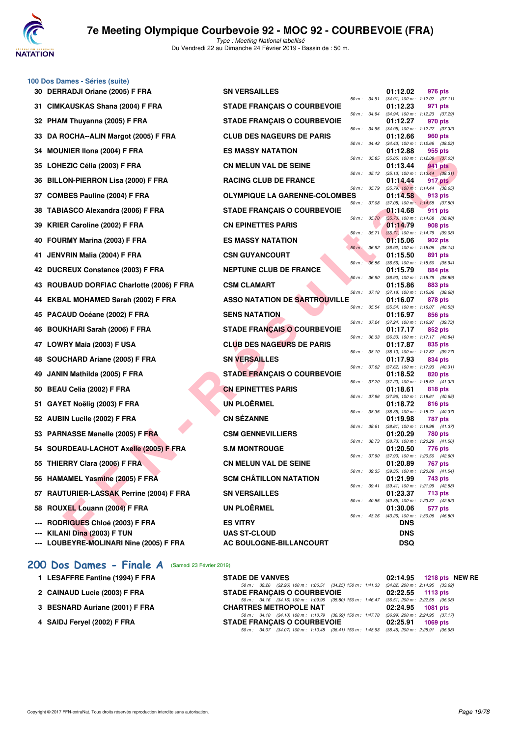

|    | 100 Dos Dames - Séries (suite)                |                                      |              |       |                                                            |                                                |
|----|-----------------------------------------------|--------------------------------------|--------------|-------|------------------------------------------------------------|------------------------------------------------|
|    | 30 DERRADJI Oriane (2005) F FRA               | <b>SN VERSAILLES</b>                 | 50 m : 34.91 |       | 01:12.02                                                   | 976 pts<br>$(34.91)$ 100 m : 1:12.02 $(37.11)$ |
|    | 31 CIMKAUSKAS Shana (2004) F FRA              | <b>STADE FRANÇAIS O COURBEVOIE</b>   |              |       | 01:12.23                                                   | 971 pts                                        |
|    | 32 PHAM Thuyanna (2005) F FRA                 | <b>STADE FRANÇAIS O COURBEVOIE</b>   | 50 m : 34.94 |       | 01:12.27                                                   | $(34.94)$ 100 m : 1:12.23 $(37.29)$<br>970 pts |
|    | 33 DA ROCHA--ALIN Margot (2005) F FRA         | <b>CLUB DES NAGEURS DE PARIS</b>     | 50 m : 34.95 |       | 01:12.66                                                   | (34.95) 100 m: 1:12.27 (37.32)<br>960 pts      |
| 34 | <b>MOUNIER IIona (2004) F FRA</b>             | <b>ES MASSY NATATION</b>             | 50 m : 34.43 |       | 01:12.88                                                   | (34.43) 100 m: 1:12.66 (38.23)<br>955 pts      |
| 35 | LOHEZIC Célia (2003) F FRA                    | <b>CN MELUN VAL DE SEINE</b>         | 50 m : 35.85 |       | 01:13.44                                                   | $(35.85)$ 100 m : 1:12.88 $(37.03)$<br>941 pts |
| 36 | <b>BILLON-PIERRON Lisa (2000) F FRA</b>       | <b>RACING CLUB DE FRANCE</b>         | 50 m: 35.13  |       | 01:14.44                                                   | $(35.13)$ 100 m : 1:13.44 $(38.31)$<br>917 pts |
| 37 | <b>COMBES Pauline (2004) F FRA</b>            | <b>OLYMPIQUE LA GARENNE-COLOMBES</b> | 50 m : 35.79 |       | 01:14.58                                                   | $(35.79)$ 100 m : 1:14.44 $(38.65)$<br>913 pts |
|    | <b>TABIASCO Alexandra (2006) F FRA</b>        | <b>STADE FRANÇAIS O COURBEVOIE</b>   | 50 m : 37.08 |       | 01:14.68                                                   | $(37.08)$ 100 m : 1:14.58 $(37.50)$<br>911 pts |
|    |                                               |                                      | 50 m: 35.70  |       |                                                            | (35.70) 100 m : 1:14.68 (38.98)                |
| 39 | <b>KRIER Caroline (2002) F FRA</b>            | <b>CN EPINETTES PARIS</b>            | 50 m :       | 35.71 | 01:14.79                                                   | 908 pts<br>(35.71) 100 m: 1:14.79 (39.08)      |
| 40 | FOURMY Marina (2003) F FRA                    | <b>ES MASSY NATATION</b>             |              |       | <b>01:15.06</b>                                            | 902 pts                                        |
| 41 | JENVRIN Malia (2004) F FRA                    | <b>CSN GUYANCOURT</b>                | $50 m$ :     | 36.92 | 01:15.50                                                   | $(36.92)$ 100 m : 1:15.06 $(38.14)$<br>891 pts |
|    | 42 DUCREUX Constance (2003) F FRA             | <b>NEPTUNE CLUB DE FRANCE</b>        | 50 m:        | 36.56 | 01:15.79                                                   | (36.56) 100 m: 1:15.50 (38.94)<br>884 pts      |
|    |                                               |                                      | 50 m: 36.90  |       |                                                            | (36.90) 100 m : 1:15.79 (38.89)                |
| 43 | <b>ROUBAUD DORFIAC Charlotte (2006) F FRA</b> | <b>CSM CLAMART</b>                   | 50 m: 37.18  |       | 01:15.86                                                   | 883 pts<br>$(37.18)$ 100 m : 1:15.86 $(38.68)$ |
| 44 | EKBAL MOHAMED Sarah (2002) F FRA              | <b>ASSO NATATION DE SARTROUVILLE</b> |              |       | 01:16.07                                                   | 878 pts                                        |
| 45 | PACAUD Océane (2002) F FRA                    | <b>SENS NATATION</b>                 | 50 m : 35.54 |       | 01:16.97                                                   | (35.54) 100 m: 1:16.07 (40.53)<br>856 pts      |
| 46 | <b>BOUKHARI Sarah (2006) F FRA</b>            | <b>STADE FRANÇAIS O COURBEVOIE</b>   | 50 m : 37.24 |       | 01:17.17                                                   | (37.24) 100 m : 1:16.97 (39.73)<br>852 pts     |
|    |                                               |                                      | 50 m : 36.33 |       |                                                            | $(36.33)$ 100 m : 1:17.17 $(40.84)$            |
|    | 47 LOWRY Maia (2003) F USA                    | <b>CLUB DES NAGEURS DE PARIS</b>     | 50 m : 38.10 |       | 01:17.87                                                   | 835 pts<br>(38.10) 100 m: 1:17.87 (39.77)      |
| 48 | SOUCHARD Ariane (2005) F FRA                  | <b>SN VERSAILLES</b>                 | 50 m : 37.62 |       | 01:17.93                                                   | 834 pts<br>$(37.62)$ 100 m : 1:17.93 $(40.31)$ |
| 49 | JANIN Mathilda (2005) F FRA                   | <b>STADE FRANÇAIS O COURBEVOIE</b>   |              |       | 01:18.52                                                   | 820 pts                                        |
| 50 | BEAU Celia (2002) F FRA                       | <b>CN EPINETTES PARIS</b>            | 50 m : 37.20 |       | 01:18.61                                                   | (37.20) 100 m: 1:18.52 (41.32)<br>818 pts      |
|    | 51 GAYET Noëlig (2003) F FRA                  | <b>UN PLOËRMEL</b>                   | 50 m : 37.96 |       | 01:18.72                                                   | (37.96) 100 m: 1:18.61 (40.65)<br>816 pts      |
|    |                                               |                                      | 50 m : 38.35 |       |                                                            | (38.35) 100 m : 1:18.72 (40.37)                |
|    | 52 AUBIN Lucile (2002) F FRA                  | <b>CN SÉZANNE</b>                    | 50 m: 38.61  |       | 01:19.98                                                   | 787 pts<br>(38.61) 100 m: 1:19.98 (41.37)      |
|    | 53 PARNASSE Manelle (2005) F FRA              | <b>CSM GENNEVILLIERS</b>             |              |       | 01:20.29                                                   | 780 pts                                        |
|    | 54 SOURDEAU-LACHOT Axelle (2005) F FRA        | <b>S.M MONTROUGE</b>                 | 50 m : 38.73 |       | 01:20.50                                                   | (38.73) 100 m: 1:20.29 (41.56)<br>776 pts      |
|    | 55 THIERRY Clara (2006) F FRA                 | <b>CN MELUN VAL DE SEINE</b>         | 50 m : 37.90 |       | 01:20.89                                                   | (37.90) 100 m : 1:20.50 (42.60)<br>767 pts     |
|    |                                               |                                      |              |       | 50 m : 39.35 (39.35) 100 m : 1:20.89 (41.54)               |                                                |
|    | 56 HAMAMEL Yasmine (2005) F FRA               | <b>SCM CHÂTILLON NATATION</b>        |              |       | 01:21.99<br>50 m: 39.41 (39.41) 100 m: 1:21.99 (42.58)     | 743 pts                                        |
|    | 57 RAUTURIER-LASSAK Perrine (2004) F FRA      | <b>SN VERSAILLES</b>                 |              |       | 01:23.37                                                   | 713 pts                                        |
|    | 58 ROUXEL Louann (2004) F FRA                 | <b>UN PLOËRMEL</b>                   |              |       | 50 m: 40.85 (40.85) 100 m: 1:23.37 (42.52)<br>01:30.06     | 577 pts                                        |
|    | <b>RODRIGUES Chloé (2003) F FRA</b>           | <b>ES VITRY</b>                      |              |       | 50 m : 43.26 (43.26) 100 m : 1:30.06 (46.80)<br><b>DNS</b> |                                                |
|    | KILANI Dina (2003) F TUN                      | <b>UAS ST-CLOUD</b>                  |              |       | <b>DNS</b>                                                 |                                                |
|    | --- LOUBEYRE-MOLINARI Nine (2005) F FRA       | AC BOULOGNE-BILLANCOURT              |              |       | DSQ                                                        |                                                |

| 1 LESAFFRE Fantine (1994) F FRA | <b>STADE DE VANVES</b>                                                                                                                                                                                                         | 02:14.95 1218 pts NEW RE |
|---------------------------------|--------------------------------------------------------------------------------------------------------------------------------------------------------------------------------------------------------------------------------|--------------------------|
| 2 CAINAUD Lucie (2003) F FRA    | 50 m : 32.26 (32.26) 100 m : 1:06.51 (34.25) 150 m : 1:41.33 (34.82) 200 m : 2:14.95 (33.62)<br><b>STADE FRANCAIS O COURBEVOIE</b>                                                                                             | $02:22.55$ 1113 pts      |
| 3 BESNARD Auriane (2001) F FRA  | 50 m: 34.16 (34.16) 100 m: 1:09.96 (35.80) 150 m: 1:46.47 (36.51) 200 m: 2:22.55 (36.08)<br><b>CHARTRES METROPOLE NAT</b>                                                                                                      | 02:24.95 1081 pts        |
| 4 SAIDJ Fervel (2002) F FRA     | 50 m: 34.10 (34.10) 100 m: 1:10.79 (36.69) 150 m: 1:47.78 (36.99) 200 m: 2:24.95 (37.17)<br><b>STADE FRANCAIS O COURBEVOIE</b><br>50 m : 34.07 (34.07) 100 m : 1:10.48 (36.41) 150 m : 1:48.93 (38.45) 200 m : 2:25.91 (36.98) | 02:25.91 1069 pts        |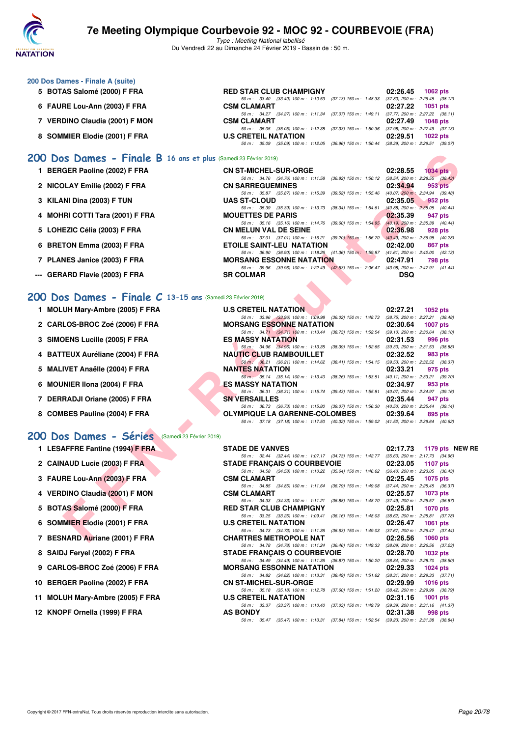

Type : Meeting National labellisé Du Vendredi 22 au Dimanche 24 Février 2019 - Bassin de : 50 m.

| 200 Dos Dames - Finale A (suite) |                                                                                                |                        |
|----------------------------------|------------------------------------------------------------------------------------------------|------------------------|
| 5 BOTAS Salomé (2000) F FRA      | <b>RED STAR CLUB CHAMPIGNY</b>                                                                 | 02:26.45<br>1062 $pts$ |
|                                  | 50 m: 33.40 (33.40) 100 m: 1:10.53 (37.13) 150 m: 1:48.33 (37.80) 200 m: 2:26.45 (38.12        |                        |
| 6 FAURE Lou-Ann (2003) F FRA     | <b>CSM CLAMART</b>                                                                             | 02:27.22 1051 pts      |
|                                  | 50 m: 34.27 (34.27) 100 m: 1:11.34 (37.07) 150 m: 1:49.11 (37.77) 200 m: 2:27.22 (38.11        |                        |
| 7 VERDINO Claudia (2001) F MON   | <b>CSM CLAMART</b>                                                                             | 02:27.49<br>1048 pts   |
|                                  | 50 m: 35.05 (35.05) 100 m: 1:12.38 (37.33) 150 m: 1:50.36 (37.98) 200 m: 2:27.49 (37.13        |                        |
| 8 SOMMIER Elodie (2001) F FRA    | <b>U.S CRETEIL NATATION</b>                                                                    | 02:29.51<br>1022 pts   |
|                                  | (35.09) 100 m : 1:12.05 (36.96) 150 m : 1:50.44 (38.39) 200 m : 2:29.51 (39.07<br>50 m : 35.09 |                        |
|                                  |                                                                                                |                        |

#### **[200 Dos Dames - Finale B](http://www.ffnatation.fr/webffn/resultats.php?idact=nat&go=epr&idcpt=57703&idepr=13) 16 ans et plus** (Samedi 23 Février 2019)

- **1 BERGER Paoline (2002) F FRA**
- 2 NICOLAY Emilie (2002) F FRA
- **3 KILANI Dina (2003) F TUN**
- 
- 5 LOHEZIC Célia (2003) F FRA
- **6 BRETON Emma (2003) F FRA**
- 7 PLANES Janice (2003) F FRA
- --- **GERARD Flavie (2003) F FRA**

#### **[200 Dos Dames - Finale C](http://www.ffnatation.fr/webffn/resultats.php?idact=nat&go=epr&idcpt=57703&idepr=13) 13-15 ans** (Samedi 23 Février 2019)

- **1 MOLUH Mary-Ambre (2005) F FRA**
- **2 CARLOS-BROC Zoé (2006) F FRA MORSANG ESSONNE NATATION 02:30.64 1007 pts**
- **3 SIMOENS Lucille (2005) F FRA**
- **4 BATTEUX Auréliane (2004) F FRA**
- 5 MALIVET Anaëlle (2004) F FRA
- **6 MOUNIER IIona (2004) F FRA**
- 
- 8 COMBES Pauline (2004) F FRA

### **[200 Dos Dames - Séries](http://www.ffnatation.fr/webffn/resultats.php?idact=nat&go=epr&idcpt=57703&idepr=13)** (Samedi 23 Février 2019)

- **1 LESAFFRE Fantine (1994) F FRA** STADE DE VANVES 02:17.73 1179 pts NEW RE<br>
50 m: 32.44 (32.44) 100 m: 1:07.17 (34.73) 150 m: 1:42.77 (35.60) 200 m: 2:17.73 (34.96)
- **2 CAINAUD Lucie (2003) F FRA STADE FRANÇAIS O COURBEVOIE** 02:23.05 **1107 pts**<br>  $\frac{60 \text{ m} \times 3458}{60 \text{ m} \times 3458} = \frac{2458}{60 \text{ m} \times 146 \text{ m} \times 146 \text{ m}} = \frac{2456}{60 \text{ m} \times 146 \text{ m}} = \frac{2430 \text{ m}}{240 \text{ m} \times 146 \text{ m}} = \frac{2430 \text$
- **3 FAURE Lou-Ann (2003) F FRA CSM CLAMART 02:25.45 1075 pts**<br>
50 m: 34.85 (34.85) 100 m: 1:11.64 (36.79) 150 m: 1:49.08 (37.44) 200 m: 2:25.45 (36.37)
- **4 VERDINO Claudia (2001) F MON CSM CLAMART 69.33** (34.33) 100 m: 1:11.21 (36.88) 150 m: 1:48.70 (37.49) 200 m: 2:25.57 (36.87) (37.49) 200 m: 2:25.57 (36.87)
- **5 BOTAS Salomé (2000) F FRA** RED STAR CLUB CHAMPIGNY 02:25.81 **1070 pts**<br>  $\frac{50 \text{ m} \div 33.25}$  (33.25) 100 m: 1:09.41 (36.16) 150 m: 1:48.03 (38.62) 200 m: 2:25.81 (37.78)
- **6 SOMMIER Elodie (2001) F FRA U.S CRETEIL NATATION 02:26.47 1061 pts**<br>  $\frac{50 \text{ m} \div 34.73}$  (34.73) 100 m; 1:11.36 (36.63) 150 m; 1:49.03 (37.67) 200 m; 2:26.47 (37.44)
- **7 BESNARD Auriane (2001) F FRA CHARTRES METROPOLE NAT 02:26.56 1060 pts**<br>  $50 \text{ m}$ : 34.78  $(34.78)$   $100 \text{ m}$ : 1:11.24  $(36.46)$  150 m: 1:49.33  $(38.09)$  200 m: 2:26.56  $(37.2)$
- **8 SAIDJ Feryel (2002) F FRA STADE FRANÇAIS O COURBEVOIE 02:28.70 1032 pts**
- **9 CARLOS-BROC Zoé (2006) F FRA** MORSANG ESSONNE NATATION 02:29.33 1024 pts<br>  $\frac{50 \text{ m} \cdot 34.82}{34.82}$  (34.82) 100 m: 1:13.31 (38.49) 150 m: 1:51.62 (38.31) 200 m: 2:29.33 (37.71)
- **10 BERGER Paoline (2002) F FRA CN ST-MICHEL-SUR-ORGE 02:29.99 1016 pts**<br> **CN ST-MICHEL-SUR-ORGE** 03.510 10m: 1:12.78 (37.60) 150 m: 1:12.20 (38.42) 200 m: 2:29.99 (38.79)
- **11 MOLUH Mary-Ambre (2005) F FRA**
- **12 KNOPF Ornella (1999) F FRA AS BONDY 02:31.38 998 pts**

| 1 BERGER Paoline (2002) F FRA   | <b>CN ST-MICHEL-SUR-ORGE</b>                                                             | 02:28.55   | $1034$ pts                          |
|---------------------------------|------------------------------------------------------------------------------------------|------------|-------------------------------------|
|                                 | 50 m: 34.76 (34.76) 100 m: 1:11.58 (36.82) 150 m: 1:50.12                                |            | $(38.54)$ 200 m : 2:28.55 $(38.43)$ |
| 2 NICOLAY Emilie (2002) F FRA   | <b>CN SARREGUEMINES</b>                                                                  | 02:34.94   | 953 pts                             |
|                                 | 50 m: 35.87 (35.87) 100 m: 1:15.39 (39.52) 150 m: 1:55.46                                |            | $(40.07)$ 200 m : 2:34.94 $(39.48)$ |
| 3 KILANI Dina (2003) F TUN      | <b>UAS ST-CLOUD</b>                                                                      | 02:35.05   | $952$ pts                           |
|                                 | 50 m: 35.39 (35.39) 100 m: 1:13.73 (38.34) 150 m: 1:54.61                                |            | $(40.88)$ 200 m : 2:35.05 $(40.44)$ |
| 4 MOHRI COTTI Tara (2001) F FRA | <b>MOUETTES DE PARIS</b>                                                                 | 02:35.39   | 947 pts                             |
|                                 | 50 m: 35.16 (35.16) 100 m: 1:14.76 (39.60) 150 m: 1:54.95                                |            | $(40.19)$ 200 m : 2:35.39 $(40.44)$ |
| 5 LOHEZIC Célia (2003) F FRA    | <b>CN MELUN VAL DE SEINE</b>                                                             | 02:36.98   | 928 pts                             |
|                                 | 50 m: 37.01 (37.01) 100 m: 1:16.21 (39.20) 150 m: 1:56.70                                |            | $(40.49)$ 200 m : 2:36.98 $(40.28)$ |
| 6 BRETON Emma (2003) F FRA      | <b>ETOILE SAINT-LEU NATATION</b>                                                         | 02:42.00   | 867 pts                             |
|                                 | 50 m: 36.90 (36.90) 100 m: 1:18.26 (41.36) 150 m: 1:59.87                                |            | $(41.61)$ 200 m : 2:42.00 $(42.13)$ |
| 7 PLANES Janice (2003) F FRA    | <b>MORSANG ESSONNE NATATION</b>                                                          | 02:47.91   | 798 pts                             |
|                                 | 50 m: 39.96 (39.96) 100 m: 1:22.49 (42.53) 150 m: 2:06.47 (43.98) 200 m: 2:47.91 (41.44) |            |                                     |
| -- GERARD Flavie (2003) F FRA   | <b>SR COLMAR</b>                                                                         | <b>DSQ</b> |                                     |
|                                 |                                                                                          |            |                                     |

| 00 Dos Dames - Finale B 16 ans et plus (Samedi 23 Février 2019) |                                                                                                                             |                                                                    |
|-----------------------------------------------------------------|-----------------------------------------------------------------------------------------------------------------------------|--------------------------------------------------------------------|
| 1 BERGER Paoline (2002) F FRA                                   | <b>CN ST-MICHEL-SUR-ORGE</b>                                                                                                | 02:28.55<br>$1034$ pts                                             |
|                                                                 | 50 m: 34.76 (34.76) 100 m: 1:11.58                                                                                          | (36.82) 150 m : 1:50.12 (38.54) 200 m : 2:28.55 (38.43)            |
| 2 NICOLAY Emilie (2002) F FRA                                   | <b>CN SARREGUEMINES</b>                                                                                                     | 02:34.94<br>953 pts                                                |
|                                                                 | 50 m: 35.87 (35.87) 100 m: 1:15.39                                                                                          | (39.52) 150 m: 1:55.46 (40.07) 200 m: 2:34.94 (39.48)              |
| 3 KILANI Dina (2003) F TUN                                      | <b>UAS ST-CLOUD</b><br>50 m: 35.39 (35.39) 100 m: 1:13.73                                                                   | 02:35.05<br>952 pts<br>$(40.88)$ 200 m : $2:35.05$ $(40.44)$       |
| 4 MOHRI COTTI Tara (2001) F FRA                                 | $(38.34)$ 150 m : 1:54.61<br><b>MOUETTES DE PARIS</b>                                                                       | 02:35.39<br>947 pts                                                |
|                                                                 | 50 m: 35.16 (35.16) 100 m: 1:14.76<br>$(39.60)$ 150 m : 1:54.95                                                             | $(40.19)$ 200 m : 2:35.39 $(40.44)$                                |
| 5 LOHEZIC Célia (2003) F FRA                                    | <b>CN MELUN VAL DE SEINE</b>                                                                                                | 02:36.98<br>928 pts                                                |
|                                                                 | 50 m: 37.01 (37.01) 100 m: 1:16.21                                                                                          | (39.20) 150 m : 1:56.70 (40.49) 200 m : 2:36.98 (40.28)            |
| 6 BRETON Emma (2003) F FRA                                      | ETOILE SAINT-LEU NATATION                                                                                                   | 02:42.00<br>867 pts                                                |
|                                                                 | 50 m: 36.90 (36.90) 100 m: 1:18.26 (41.36) 150 m: 1:59.87 (41.61) 200 m: 2:42.00 (42.13)                                    |                                                                    |
| 7 PLANES Janice (2003) F FRA                                    | <b>MORSANG ESSONNE NATATION</b><br>50 m: 39.96 (39.96) 100 m: 1:22.49 (42.53) 150 m: 2:06.47 (43.98) 200 m: 2:47.91 (41.44) | 02:47.91<br>798 pts                                                |
| -- GERARD Flavie (2003) F FRA                                   | <b>SR COLMAR</b>                                                                                                            | <b>DSQ</b>                                                         |
|                                                                 |                                                                                                                             |                                                                    |
|                                                                 |                                                                                                                             |                                                                    |
| 00 Dos Dames - Finale C 13-15 ans (Samedi 23 Février 2019)      |                                                                                                                             |                                                                    |
| 1 MOLUH Mary-Ambre (2005) F FRA                                 | <b>U.S CRETEIL NATATION</b>                                                                                                 | 02:27.21<br>1052 pts                                               |
|                                                                 | 50 m: 33.96 (33.96) 100 m: 1:09.98 (36.02) 150 m: 1:48.73 (38.75) 200 m: 2:27.21 (38.48)                                    |                                                                    |
| 2 CARLOS-BROC Zoé (2006) F FRA                                  | <b>MORSANG ESSONNE NATATION</b>                                                                                             | 02:30.64<br>1007 pts                                               |
|                                                                 | 50 m: 34.71 (34.71) 100 m: 1:13.44 (38.73) 150 m: 1:52.54 (39.10) 200 m: 2:30.64 (38.10)                                    |                                                                    |
| 3 SIMOENS Lucille (2005) F FRA                                  | <b>ES MASSY NATATION</b>                                                                                                    | 02:31.53<br>996 pts                                                |
|                                                                 | 50 m: 34.96 (34.96) 100 m: 1:13.35<br>(38.39) 150 m : 1:52.65                                                               | $(39.30)$ 200 m : 2:31.53 $(38.88)$                                |
| 4 BATTEUX Auréliane (2004) F FRA                                | <b>NAUTIC CLUB RAMBOUILLET</b>                                                                                              | 02:32.52<br>983 pts                                                |
|                                                                 | 50 m : 36.21 (36.21) 100 m : 1:14.62                                                                                        | (38.41) 150 m: 1:54.15 (39.53) 200 m: 2:32.52 (38.37)              |
| 5 MALIVET Anaëlle (2004) F FRA                                  | <b>NANTES NATATION</b><br>50 m : 35.14 (35.14) 100 m : 1:13.40<br>$(38.26)$ 150 m : 1:53.51                                 | 02:33.21<br>975 pts<br>$(40.11)$ 200 m : 2:33.21 $(39.70)$         |
| 6 MOUNIER IIona (2004) F FRA                                    | ES MASSY NATATION                                                                                                           | 02:34.97<br>953 pts                                                |
|                                                                 | 50 m : 36.31 (36.31) 100 m : 1:15.74                                                                                        | (39.43) 150 m: 1:55.81 (40.07) 200 m: 2:34.97 (39.16)              |
| 7 DERRADJI Oriane (2005) F FRA                                  | <b>SN VERSAILLES</b>                                                                                                        | 02:35.44<br>947 pts                                                |
|                                                                 | 50 m: 36.73 (36.73) 100 m: 1:15.80 (39.07) 150 m: 1:56.30 (40.50) 200 m: 2:35.44 (39.14)                                    |                                                                    |
| 8 COMBES Pauline (2004) F FRA                                   | <b>OLYMPIQUE LA GARENNE-COLOMBES</b>                                                                                        | 02:39.64<br>895 pts                                                |
|                                                                 | 50 m: 37.18 (37.18) 100 m: 1:17.50 (40.32) 150 m: 1:59.02 (41.52) 200 m: 2:39.64 (40.62)                                    |                                                                    |
| <b>00 Dos Dames - Séries</b><br>(Samedi 23 Février 2019)        |                                                                                                                             |                                                                    |
| 1 LESAFFRE Fantine (1994) F FRA                                 | <b>STADE DE VANVES</b>                                                                                                      | 02:17.73<br>1179 pts NEW                                           |
|                                                                 | 50 m: 32.44 (32.44) 100 m: 1:07.17 (34.73) 150 m: 1:42.77 (35.60) 200 m: 2:17.73 (34.96)                                    |                                                                    |
| 2 CAINAUD Lucie (2003) F FRA                                    | <b>STADE FRANCAIS O COURBEVOIE</b>                                                                                          | 02:23.05<br><b>1107 pts</b>                                        |
|                                                                 | 50 m: 34.58 (34.58) 100 m: 1:10.22 (35.64) 150 m: 1:46.62 (36.40) 200 m: 2:23.05 (36.43)                                    |                                                                    |
| 3 FAURE Lou-Ann (2003) F FRA                                    | <b>CSM CLAMART</b>                                                                                                          | 02:25.45<br>1075 pts                                               |
|                                                                 | 50 m: 34.85 (34.85) 100 m: 1:11.64<br>$(36.79)$ 150 m : 1:49.08                                                             | $(37.44)$ 200 m : 2:25.45 $(36.37)$                                |
| 4 VERDINO Claudia (2001) F MON                                  | <b>CSM CLAMART</b>                                                                                                          | 02:25.57<br>1073 pts                                               |
|                                                                 | 50 m: 34.33 (34.33) 100 m: 1:11.21<br>$(36.88)$ 150 m : 1:48.70                                                             | $(37.49)$ 200 m : 2:25.57 $(36.87)$                                |
| 5 BOTAS Salomé (2000) F FRA                                     | <b>RED STAR CLUB CHAMPIGNY</b><br>50 m: 33.25 (33.25) 100 m: 1:09.41<br>$(36.16)$ 150 m : 1:48.03                           | 02:25.81<br><b>1070 pts</b><br>$(38.62)$ 200 m : 2:25.81 $(37.78)$ |
| 6 SOMMIER Elodie (2001) F FRA                                   | <b>U.S CRETEIL NATATION</b>                                                                                                 | 02:26.47<br>1061 pts                                               |
|                                                                 | 50 m : 34.73 (34.73) 100 m : 1:11.36                                                                                        | (36.63) 150 m: 1:49.03 (37.67) 200 m: 2:26.47 (37.44)              |
| 7 BESNARD Auriane (2001) F FRA                                  | <b>CHARTRES METROPOLE NAT</b>                                                                                               | 02:26.56<br><b>1060 pts</b>                                        |
|                                                                 |                                                                                                                             |                                                                    |

50 m : 34.78 (34.78) 100 m : 1:11.24 (36.46) 150 m : 1:49.33 (38.09) 200 m : 2:26.56 (37.23)

50 m: 34.49 (34.49) 100 m: 1:11.36 (36.87) 150 m: 1:50.20 (38.84) 200 m: 2:28.70 (38.50)<br>MORSANG ESSONNE NATATION 02:29.33 1024 pts

50 m: 35.18 (35.18) 100 m: 1:12.78 (37.60) 150 m: 1:51.20 (38.42) 200 m: 2:29.99 (38.79)<br>U.S. CRETEIL NATATION 02:31.16 1001 pts

50 m : 33.37 (33.37) 100 m : 1:10.40 (37.03) 150 m : 1:49.79 (39.39) 200 m : 2:31.16 (41.37)<br>**AS BONDY** 02:31.38 998 pts

50 m : 35.47 (35.47) 100 m : 1:13.31 (37.84) 150 m : 1:52.54 (39.23) 200 m : 2:31.38 (38.84)

50 m : 34.82 (34.82) 100 m : 1:13.31 (38.49) 150 m : 1:51.62

Copyright © 2017 FFN-extraNat. Tous droits réservés reproduction interdite sans autorisation.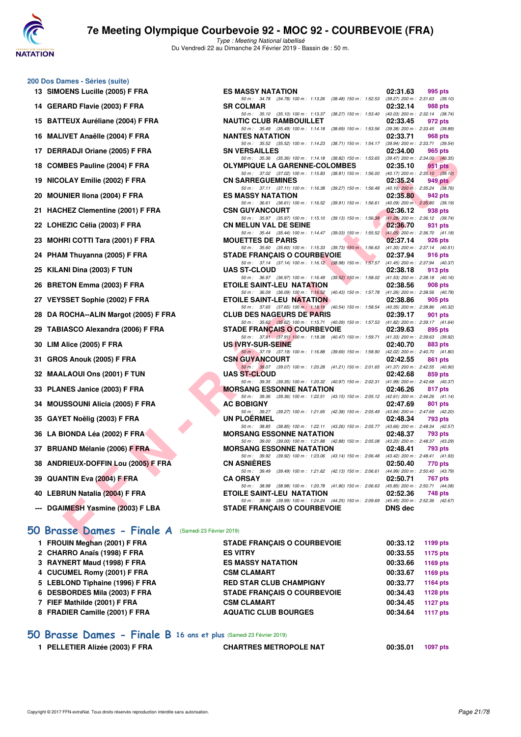

Type : Meeting National labellisé Du Vendredi 22 au Dimanche 24 Février 2019 - Bassin de : 50 m.

#### **200 Dos Dames - Séries (suite)**

- **13 SIMOENS Lucille (2005) F FRA ES MASSY NATATION 02:31.63 995 pts**
- **14 GERARD Flavie (2003) F FRA SR COLMAR 02:32.14 988 pts**
- **15 BATTEUX Auréliane (2004) F FRA**
- 16 MALIVET Anaëlle (2004) F FRA
- 17 DERRADJI Oriane (2005) F FRA
- 18 COMBES Pauline (2004) F FRA
- **19 NICOLAY Emilie (2002) F FRA**
- **20 MOUNIER IIona (2004) F FRA**
- 21 HACHEZ Clementine (2001) F FRA
- 22 LOHEZIC Célia (2003) F FRA
- 23 MOHRI COTTI Tara (2001) F FRA
- 24 PHAM Thuyanna (2005) F FRA
- **25 KILANI Dina (2003) F TUN**
- 26 BRETON Emma (2003) F FRA
- 27 VEYSSET Sophie (2002) F FRA
- 28 DA ROCHA--ALIN Margot (2005) F FRA
- 29 TABIASCO Alexandra (2006) F FRA
- **30 LIM Alice (2005) F FRA**
- **31 GROS Anouk (2005) F FRA**
- **32 MAALAOUI Ons (2001) F TUN**
- 33 PLANES Janice (2003) F FRA
- **34 MOUSSOUNI Alicia (2005) F FRA**
- **35 GAYET Noëlig (2003) F FRA**
- **36 LA BIONDA Léa (2002) F FRA**
- 37 BRUAND Mélanie (2006) F FRA
- **38 ANDRIEUX-DOFFIN Lou (2005) F FRA**
- **39 QUANTIN Eva (2004) F FRA**
- **40 LEBRUN Natalia (2004) F FRA**
- --- DGAIMESH Yasmine (2003) F LBA

### **[50 Brasse Dames - Finale A](http://www.ffnatation.fr/webffn/resultats.php?idact=nat&go=epr&idcpt=57703&idepr=21)** (Samedi 23 Février 2019)

| 1 FROUIN Meghan (2001) F FRA    | <b>STADE FRANCAIS O COURBEVOIE</b> | 00:33.12 | 1199 pts        |
|---------------------------------|------------------------------------|----------|-----------------|
| 2 CHARRO Anaïs (1998) F FRA     | <b>ES VITRY</b>                    | 00:33.55 | 1175 pts        |
| 3 RAYNERT Maud (1998) F FRA     | <b>ES MASSY NATATION</b>           | 00:33.66 | 1169 pts        |
| 4 CUCUMEL Romy (2001) F FRA     | <b>CSM CLAMART</b>                 | 00:33.67 | 1169 pts        |
| 5 LEBLOND Tiphaine (1996) F FRA | <b>RED STAR CLUB CHAMPIGNY</b>     | 00:33.77 | 1164 pts        |
| 6 DESBORDES Mila (2003) F FRA   | <b>STADE FRANCAIS O COURBEVOIE</b> | 00:34.43 | 1128 pts        |
| 7 FIEF Mathilde (2001) F FRA    | <b>CSM CLAMART</b>                 | 00:34.45 | <b>1127 pts</b> |
| 8 FRADIER Camille (2001) F FRA  | <b>AQUATIC CLUB BOURGES</b>        | 00:34.64 | <b>1117 pts</b> |
|                                 |                                    |          |                 |

#### **[50 Brasse Dames - Finale B](http://www.ffnatation.fr/webffn/resultats.php?idact=nat&go=epr&idcpt=57703&idepr=21) 16 ans et plus** (Samedi 23 Février 2019)

**1 PELLETIER Alizée (2003) F FRA CHARTRES METROPOLE NAT 00:35.01 1097 pts**

| TEUX Auréliane (2004) F FRA                   | <b>NAUTIC CLUB RAMBOUILLET</b>                                                                                           | 02:33.45<br>972 pts        |
|-----------------------------------------------|--------------------------------------------------------------------------------------------------------------------------|----------------------------|
| IVET Anaëlle (2004) F FRA                     | 50 m: 35.49 (35.49) 100 m: 1:14.18 (38.69) 150 m: 1:53.56 (39.38) 200 m: 2:33.45 (39.89)<br><b>NANTES NATATION</b>       | 02:33.71<br>968 pts        |
|                                               | 50 m: 35.52 (35.52) 100 m: 1:14.23 (38.71) 150 m: 1:54.17 (39.94) 200 m: 2:33.71 (39.54)                                 |                            |
| RADJI Oriane (2005) F FRA                     | <b>SN VERSAILLES</b>                                                                                                     | 02:34.00<br>965 pts        |
|                                               | 50 m: 35.36 (35.36) 100 m: 1:14.18 (38.82) 150 m: 1:53.65 (39.47) 200 m: 2:34.00 (40.35)                                 |                            |
| <b>IBES Pauline (2004) F FRA</b>              | <b>OLYMPIQUE LA GARENNE-COLOMBES</b>                                                                                     | 02:35.10<br>951 pts        |
| )LAY Emilie (2002) F FRA                      | 50 m: 37.02 (37.02) 100 m: 1:15.83 (38.81) 150 m: 1:56.00 (40.17) 200 m: 2:35.10 (39.10)<br><b>CN SARREGUEMINES</b>      | 02:35.24<br>949 pts        |
|                                               | 50 m: 37.11 (37.11) 100 m: 1:16.38 (39.27) 150 m: 1:56.48 (40.10) 200 m: 2:35.24 (38.76)                                 |                            |
| <b>INIER IIona (2004) F FRA</b>               | <b>ES MASSY NATATION</b>                                                                                                 | 02:35.80<br>942 pts        |
|                                               | 50 m: 36.61 (36.61) 100 m: 1:16.52 (39.91) 150 m: 1:56.61 (40.09) 200 m: 2:35.80 (39.19)                                 |                            |
| HEZ Clementine (2001) F FRA                   | <b>CSN GUYANCOURT</b>                                                                                                    | 02:36.12<br>938 pts        |
|                                               | 50 m: 35.97 (35.97) 100 m: 1:15.10 (39.13) 150 m: 1:56.38 (41.28) 200 m: 2:36.12 (39.74)                                 |                            |
| EZIC Célia (2003) F FRA                       | <b>CN MELUN VAL DE SEINE</b><br>50 m: 35.44 (35.44) 100 m: 1:14.47 (39.03) 150 m: 1:55.52 (41.05) 200 m: 2:36.70 (41.18) | 02:36.70<br>931 pts        |
| IRI COTTI Tara (2001) F FRA                   | <b>MOUETTES DE PARIS</b>                                                                                                 | 02:37.14<br><b>926 pts</b> |
|                                               | 50 m: 35.60 (35.60) 100 m: 1:15.33 (39.73) 150 m: 1:56.63 (41.30) 200 m: 2:37.14 (40.51)                                 |                            |
| M Thuyanna (2005) F FRA                       | <b>STADE FRANÇAIS O COURBEVOIE</b><br><b>The Contract of Street</b>                                                      | 02:37.94<br>916 pts        |
|                                               | 50 m: 37.14 (37.14) 100 m: 1:16.12 (38.98) 150 m: 1:57.57 (41.45) 200 m: 2:37.94 (40.37)                                 |                            |
| .NI Dina (2003) F TUN                         | <b>UAS ST-CLOUD</b>                                                                                                      | 02:38.18<br>913 pts        |
|                                               | 50 m: 36.97 (36.97) 100 m: 1:16.49 (39.52) 150 m: 1:58.02 (41.53) 200 m: 2:38.18 (40.16)                                 |                            |
| TON Emma (2003) F FRA                         | ETOILE SAINT-LEU NATATION<br>50 m: 36.09 (36.09) 100 m: 1:16.52 (40.43) 150 m: 1:57.78 (41.26) 200 m: 2:38.56 (40.78)    | 02:38.56<br>908 pts        |
| SSET Sophie (2002) F FRA                      | <b>ETOILE SAINT-LEU NATATION</b>                                                                                         | 02:38.86<br>905 pts        |
|                                               | 50 m: 37.65 (37.65) 100 m: 1:18.19 (40.54) 150 m: 1:58.54 (40.35) 200 m: 2:38.86 (40.32)                                 |                            |
| የOCHA--ALIN Margot (2005) F FRA               | <b>CLUB DES NAGEURS DE PARIS</b>                                                                                         | 02:39.17<br>901 pts        |
|                                               | 50 m: 35.62 (35.62) 100 m: 1:15.71 (40.09) 150 m: 1:57.53 (41.82) 200 m: 2:39.17 (41.64)                                 |                            |
| IASCO Alexandra (2006) F FRA                  | <b>STADE FRANÇAIS O COURBEVOIE</b>                                                                                       | 02:39.63<br>895 pts        |
|                                               | 50 m: 37.91 (37.91) 100 m: 1:18.38 (40.47) 150 m: 1:59.71 (41.33) 200 m: 2:39.63 (39.92)                                 |                            |
| Alice (2005) F FRA                            | <b>US IVRY-SUR-SEINE</b>                                                                                                 | 02:40.70<br>883 pts        |
| S Anouk (2005) F FRA                          | 50 m : 37.19 (37.19) 100 m : 1:16.88 (39.69) 150 m : 1:58.90 (42.02) 200 m : 2:40.70 (41.80)<br><b>CSN GUYANCOURT</b>    | 02:42.55<br>861 pts        |
|                                               | 50 m: 39.07 (39.07) 100 m: 1:20.28 (41.21) 150 m: 2:01.65 (41.37) 200 m: 2:42.55 (40.90)                                 |                            |
| LAOUI Ons (2001) F TUN                        | <b>UAS ST-CLOUD</b>                                                                                                      | 02:42.68<br>859 pts        |
|                                               | 50 m: 39.35 (39.35) 100 m: 1:20.32 (40.97) 150 m: 2:02.31 (41.99) 200 m: 2:42.68 (40.37)                                 |                            |
| NES Janice (2003) F FRA                       | <b>MORSANG ESSONNE NATATION</b>                                                                                          | 02:46.26<br>817 pts        |
|                                               | 50 m: 39.36 (39.36) 100 m: 1:22.51 (43.15) 150 m: 2:05.12 (42.61) 200 m: 2:46.26 (41.14)                                 |                            |
| ISSOUNI Alicia (2005) F FRA                   | <b>AC BOBIGNY</b>                                                                                                        | 02:47.69<br>801 pts        |
| ET Noëlig (2003) F FRA                        | 50 m: 39.27 (39.27) 100 m: 1:21.65 (42.38) 150 m: 2:05.49 (43.84) 200 m: 2:47.69 (42.20)<br>UN PLOERMEL                  | 02:48.34<br>793 pts        |
|                                               | 50 m: 38.85 (38.85) 100 m: 1:22.11 (43.26) 150 m: 2:05.77 (43.66) 200 m: 2:48.34 (42.57)                                 |                            |
| IONDA Léa (2002) F FRA €                      | <b>MORSANG ESSONNE NATATION</b>                                                                                          | 02:48.37<br>793 pts        |
|                                               | 50 m: 39.00 (39.00) 100 m: 1:21.88 (42.88) 150 m: 2:05.08 (43.20) 200 m: 2:48.37 (43.29)                                 |                            |
| AND Mélanie (2006) F FRA                      | <b>MORSANG ESSONNE NATATION</b>                                                                                          | 02:48.41<br>793 pts        |
|                                               | 50 m: 39.92 (39.92) 100 m: 1:23.06 (43.14) 150 m: 2:06.48 (43.42) 200 m: 2:48.41 (41.93)                                 |                            |
| RIEUX-DOFFIN Lou (2005) F FRA                 | <b>CN ASNIERES</b>                                                                                                       | 02:50.40<br>770 pts        |
| NTIN Eva (2004) F FRA                         | 50 m: 39.49 (39.49) 100 m: 1:21.62 (42.13) 150 m: 2:06.61 (44.99) 200 m: 2:50.40 (43.79)<br><b>CA ORSAY</b>              | 02:50.71<br>767 pts        |
|                                               | 50 m: 38.98 (38.98) 100 m: 1:20.78 (41.80) 150 m: 2:06.63 (45.85) 200 m: 2:50.71 (44.08)                                 |                            |
| RUN Natalia (2004) F FRA                      | ETOILE SAINT-LEU NATATION                                                                                                | 02:52.36<br>748 pts        |
|                                               | 50 m: 39.99 (39.99) 100 m: 1:24.24 (44.25) 150 m: 2:09.69 (45.45) 200 m: 2:52.36 (42.67)                                 |                            |
| IMESH Yasmine (2003) F LBA                    | <b>STADE FRANÇAIS O COURBEVOIE</b>                                                                                       | <b>DNS</b> dec             |
|                                               |                                                                                                                          |                            |
|                                               |                                                                                                                          |                            |
| SSe Dames - Finale A (Samedi 23 Février 2019) |                                                                                                                          |                            |
| <b>UBLAL MARS COOCH FEDA</b>                  | CTABE EDAMORIC O COUPDEVOIE                                                                                              | $0.0040 - 4400 + 1$        |

50 m : 34.78 (34.78) 100 m : 1:13.26 (38.48) 150 m : 1:52.53 (39.27) 200 m : 2:31.63 (39.10)

50 m : 35.10 (35.10) 100 m : 1:13.37 (38.27) 150 m : 1:53.40 (40.03) 200 m : 2:32.14 (38.74)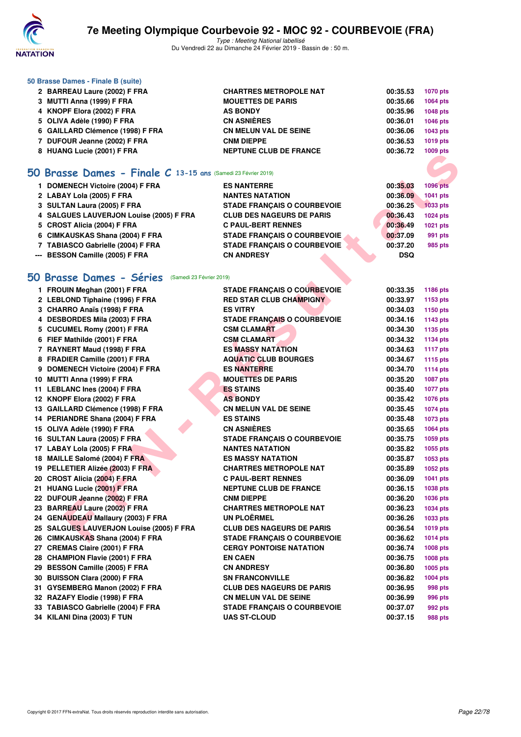

Type : Meeting National labellisé Du Vendredi 22 au Dimanche 24 Février 2019 - Bassin de : 50 m.

| 50 Brasse Dames - Finale B (suite) |                               |          |                 |
|------------------------------------|-------------------------------|----------|-----------------|
| 2 BARREAU Laure (2002) F FRA       | <b>CHARTRES METROPOLE NAT</b> | 00:35.53 | <b>1070 pts</b> |
| 3 MUTTI Anna (1999) F FRA          | <b>MOUETTES DE PARIS</b>      | 00:35.66 | 1064 pts        |
| 4 KNOPF Elora (2002) F FRA         | <b>AS BONDY</b>               | 00:35.96 | 1048 pts        |
| 5 OLIVA Adèle (1990) F FRA         | <b>CN ASNIÈRES</b>            | 00:36.01 | 1046 pts        |
| 6 GAILLARD Clémence (1998) F FRA   | <b>CN MELUN VAL DE SEINE</b>  | 00:36.06 | 1043 pts        |
| 7 DUFOUR Jeanne (2002) F FRA       | <b>CNM DIEPPE</b>             | 00:36.53 | 1019 pts        |
| 8 HUANG Lucie (2001) F FRA         | <b>NEPTUNE CLUB DE FRANCE</b> | 00:36.72 | 1009 pts        |
|                                    |                               |          |                 |

### **[50 Brasse Dames - Finale C](http://www.ffnatation.fr/webffn/resultats.php?idact=nat&go=epr&idcpt=57703&idepr=21) 13-15 ans** (Samedi 23 Février 2019)

| 1 DOMENECH Victoire (2004) F FRA        | <b>ES NANTERRE</b>                 | 00:35.03   | <b>1096 pts</b> |
|-----------------------------------------|------------------------------------|------------|-----------------|
| 2 LABAY Lola (2005) F FRA               | <b>NANTES NATATION</b>             | 00:36.09   | 1041 pts        |
| 3 SULTAN Laura (2005) F FRA             | <b>STADE FRANCAIS O COURBEVOIE</b> | 00:36.25   | 1033 pts        |
| 4 SALGUES LAUVERJON Louise (2005) F FRA | <b>CLUB DES NAGEURS DE PARIS</b>   | 00:36.43   | 1024 pts        |
| 5 CROST Alicia (2004) F FRA             | <b>C PAUL-BERT RENNES</b>          | 00:36.49   | 1021 pts        |
| 6 CIMKAUSKAS Shana (2004) F FRA         | <b>STADE FRANCAIS O COURBEVOIE</b> | 00:37.09   | 991 pts         |
| 7 TABIASCO Gabrielle (2004) F FRA       | <b>STADE FRANCAIS O COURBEVOIE</b> | 00:37.20   | 985 pts         |
| --- BESSON Camille (2005) F FRA         | <b>CN ANDRESY</b>                  | <b>DSQ</b> |                 |
|                                         |                                    |            |                 |

### **[50 Brasse Dames - Séries](http://www.ffnatation.fr/webffn/resultats.php?idact=nat&go=epr&idcpt=57703&idepr=21)** (Samedi 23 Février 2019)

| <b>U TIUMING LUGIC (ZUUT) F FRA</b>                          | NEFTUNE CLUB DE FRANCE             | ານບອ µເຣ                    |
|--------------------------------------------------------------|------------------------------------|-----------------------------|
|                                                              |                                    |                             |
| O Brasse Dames - Finale C 13-15 ans (Samedi 23 Février 2019) |                                    |                             |
| 1 DOMENECH Victoire (2004) F FRA                             | <b>ES NANTERRE</b>                 | 00:35.03<br><b>1096 pts</b> |
| 2 LABAY Lola (2005) F FRA                                    | <b>NANTES NATATION</b>             | 00:36.09<br>1041 pts        |
| 3 SULTAN Laura (2005) F FRA                                  | <b>STADE FRANCAIS O COURBEVOIE</b> | 00:36.25<br><b>1033 pts</b> |
| 4 SALGUES LAUVERJON Louise (2005) F FRA                      | <b>CLUB DES NAGEURS DE PARIS</b>   | 00:36.43<br>1024 pts        |
| 5 CROST Alicia (2004) F FRA                                  | <b>C PAUL-BERT RENNES</b>          | 00:36.49<br>1021 pts        |
| 6 CIMKAUSKAS Shana (2004) F FRA                              | <b>STADE FRANÇAIS O COURBEVOIE</b> | 00:37.09<br>991 pts         |
| 7 TABIASCO Gabrielle (2004) F FRA                            | <b>STADE FRANÇAIS O COURBEVOIE</b> | 00:37.20<br>985 pts         |
| --- BESSON Camille (2005) F FRA                              | <b>CN ANDRESY</b>                  | <b>DSQ</b>                  |
|                                                              |                                    |                             |
| <b>O Brasse Dames - Séries</b> (Samedi 23 Février 2019)      |                                    |                             |
| 1 FROUIN Meghan (2001) F FRA                                 | <b>STADE FRANÇAIS O COURBEVOIE</b> | 00:33.35<br>1186 pts        |
| 2 LEBLOND Tiphaine (1996) F FRA                              | <b>RED STAR CLUB CHAMPIGNY</b>     | 00:33.97<br>1153 pts        |
| 3 CHARRO Anaïs (1998) F FRA                                  | <b>ES VITRY</b>                    | 00:34.03<br>1150 pts        |
| 4 DESBORDES Mila (2003) F FRA                                | <b>STADE FRANÇAIS O COURBEVOIE</b> | 00:34.16<br><b>1143 pts</b> |
| 5 CUCUMEL Romy (2001) F FRA                                  | <b>CSM CLAMART</b>                 | 00:34.30<br>1135 pts        |
| 6 FIEF Mathilde (2001) F FRA                                 | <b>CSM CLAMART</b>                 | 00:34.32<br>1134 pts        |
| 7 RAYNERT Maud (1998) F FRA                                  | <b>ES MASSY NATATION</b>           | 00:34.63<br><b>1117 pts</b> |
| 8 FRADIER Camille (2001) F FRA                               | <b>AQUATIC CLUB BOURGES</b>        | 00:34.67<br>1115 pts        |
| 9 DOMENECH Victoire (2004) F FRA                             | <b>ES NANTERRE</b>                 | 00:34.70<br><b>1114 pts</b> |
| 10 MUTTI Anna (1999) F FRA                                   | <b>MOUETTES DE PARIS</b>           | 00:35.20<br><b>1087 pts</b> |
| 11 LEBLANC Ines (2004) F FRA                                 | <b>ES STAINS</b>                   | 00:35.40<br><b>1077 pts</b> |
| 12 KNOPF Elora (2002) F FRA                                  | <b>AS BONDY</b>                    | 00:35.42<br><b>1076 pts</b> |
| 13 GAILLARD Clémence (1998) F FRA                            | <b>CN MELUN VAL DE SEINE</b>       | 00:35.45<br><b>1074 pts</b> |
| 14 PERIANDRE Shana (2004) F FRA                              | <b>ES STAINS</b>                   | 00:35.48<br>1073 pts        |
| 15 OLIVA Adèle (1990) F FRA                                  | <b>CN ASNIÈRES</b>                 | 00:35.65<br><b>1064 pts</b> |
| 16 SULTAN Laura (2005) F FRA                                 | <b>STADE FRANÇAIS O COURBEVOIE</b> | 00:35.75<br>1059 pts        |
| 17 LABAY Lola (2005) F FRA                                   | <b>NANTES NATATION</b>             | 00:35.82<br>1055 pts        |
| 18 MAILLE Salomé (2004) F FRA                                | <b>ES MASSY NATATION</b>           | 00:35.87<br>1053 pts        |
| 19 PELLETIER Alizée (2003) F FRA                             | <b>CHARTRES METROPOLE NAT</b>      | 00:35.89<br><b>1052 pts</b> |
| 20 CROST Alicia (2004) F FRA                                 | <b>C PAUL-BERT RENNES</b>          | 00:36.09<br>1041 pts        |
| 21 HUANG Lucie (2001) F FRA                                  | <b>NEPTUNE CLUB DE FRANCE</b>      | 00:36.15<br>1038 pts        |
| 22 DUFOUR Jeanne (2002) F FRA                                | <b>CNM DIEPPE</b>                  | 00:36.20<br>1036 pts        |
| 23 BARREAU Laure (2002) F FRA                                | <b>CHARTRES METROPOLE NAT</b>      | 00:36.23<br>1034 pts        |
| 24 GENAUDEAU Mallaury (2003) F FRA                           | UN PLOËRMEL                        | 00:36.26<br>1033 pts        |
| 25 SALGUES LAUVERJON Louise (2005) F FRA                     | <b>CLUB DES NAGEURS DE PARIS</b>   | 00:36.54<br>1019 pts        |
| 26 CIMKAUSKAS Shana (2004) F FRA                             | <b>STADE FRANÇAIS O COURBEVOIE</b> | 00:36.62<br>1014 pts        |
| 27 CREMAS Claire (2001) F FRA                                | <b>CERGY PONTOISE NATATION</b>     | 00:36.74<br>1008 pts        |
| 28 CHAMPION Flavie (2001) F FRA                              | <b>EN CAEN</b>                     | 00:36.75<br>1008 pts        |
| 29 BESSON Camille (2005) F FRA                               | <b>CN ANDRESY</b>                  | 00:36.80<br>1005 pts        |
| 30 BUISSON Clara (2000) F FRA                                | <b>SN FRANCONVILLE</b>             | 00:36.82<br>1004 pts        |
| 31 GYSEMBERG Manon (2002) F FRA                              | <b>CLUB DES NAGEURS DE PARIS</b>   | 00:36.95<br>998 pts         |
| 32 RAZAFY Elodie (1998) F FRA                                | <b>CN MELUN VAL DE SEINE</b>       | 00:36.99<br>996 pts         |
| 33 TABIASCO Gabrielle (2004) F FRA                           | <b>STADE FRANÇAIS O COURBEVOIE</b> | 00:37.07<br>992 pts         |
| 34 KILANI Dina (2003) F TUN                                  | <b>UAS ST-CLOUD</b>                | 00:37.15<br>988 pts         |
|                                                              |                                    |                             |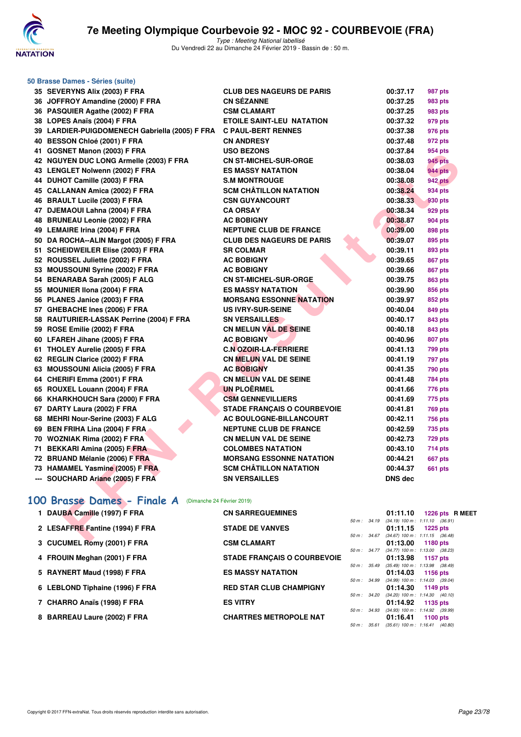

| 50 Brasse Dames - Séries (suite)                          |                                    |                   |                                                             |
|-----------------------------------------------------------|------------------------------------|-------------------|-------------------------------------------------------------|
| 35 SEVERYNS Alix (2003) F FRA                             | <b>CLUB DES NAGEURS DE PARIS</b>   | 00:37.17          | 987 pts                                                     |
| 36 JOFFROY Amandine (2000) F FRA                          | <b>CN SÉZANNE</b>                  | 00:37.25          | 983 pts                                                     |
| 36 PASQUIER Agathe (2002) F FRA                           | <b>CSM CLAMART</b>                 | 00:37.25          | 983 pts                                                     |
| 38 LOPES Anaïs (2004) F FRA                               | <b>ETOILE SAINT-LEU NATATION</b>   | 00:37.32          | 979 pts                                                     |
| 39 LARDIER-PUIGDOMENECH Gabriella (2005) F FRA            | <b>C PAUL-BERT RENNES</b>          | 00:37.38          | 976 pts                                                     |
| 40 BESSON Chloé (2001) F FRA                              | <b>CN ANDRESY</b>                  | 00:37.48          | 972 pts                                                     |
| 41 GOSNET Manon (2003) F FRA                              | <b>USO BEZONS</b>                  | 00:37.84          | 954 pts                                                     |
| 42 NGUYEN DUC LONG Armelle (2003) F FRA                   | <b>CN ST-MICHEL-SUR-ORGE</b>       | 00:38.03          | 945 pts                                                     |
| 43 LENGLET Nolwenn (2002) F FRA                           | <b>ES MASSY NATATION</b>           | 00:38.04          | <b>944 pts</b>                                              |
| 44 DUHOT Camille (2003) F FRA                             | <b>S.M MONTROUGE</b>               | 00:38.08          | <b>942 pts</b>                                              |
| 45 CALLANAN Amica (2002) F FRA                            | <b>SCM CHÂTILLON NATATION</b>      | 00:38.24          | 934 pts                                                     |
| 46 BRAULT Lucile (2003) F FRA                             | <b>CSN GUYANCOURT</b>              | 00:38.33          | 930 pts                                                     |
| 47 DJEMAOUI Lahna (2004) F FRA                            | <b>CA ORSAY</b>                    | 00:38.34          | 929 pts                                                     |
| 48 BRUNEAU Leonie (2002) F FRA                            | <b>AC BOBIGNY</b>                  | 00:38.87          | 904 pts                                                     |
| 49 LEMAIRE Irina (2004) F FRA                             | <b>NEPTUNE CLUB DE FRANCE</b>      | 00:39.00          | 898 pts                                                     |
| 50 DA ROCHA--ALIN Margot (2005) F FRA                     | <b>CLUB DES NAGEURS DE PARIS</b>   | 00:39.07          | 895 pts                                                     |
| 51 SCHEIDWEILER Elise (2003) F FRA                        | <b>SR COLMAR</b>                   | 00:39.11          | 893 pts                                                     |
| 52 ROUSSEL Juliette (2002) F FRA                          | <b>AC BOBIGNY</b>                  | 00:39.65          | 867 pts                                                     |
| 53 MOUSSOUNI Syrine (2002) F FRA                          | <b>AC BOBIGNY</b>                  | 00:39.66          | 867 pts                                                     |
| 54 BENARABA Sarah (2005) F ALG                            | <b>CN ST-MICHEL-SUR-ORGE</b>       | 00:39.75          | <b>863 pts</b>                                              |
| 55 MOUNIER IIona (2004) F FRA                             | <b>ES MASSY NATATION</b>           | 00:39.90          | 856 pts                                                     |
| 56 PLANES Janice (2003) F FRA                             | <b>MORSANG ESSONNE NATATION</b>    | 00:39.97          | 852 pts                                                     |
| 57 GHEBACHE Ines (2006) F FRA                             | US IVRY-SUR-SEINE                  | 00:40.04          | 849 pts                                                     |
| 58 RAUTURIER-LASSAK Perrine (2004) F FRA                  | <b>SN VERSAILLES</b>               | 00:40.17          | 843 pts                                                     |
| 59 ROSE Emilie (2002) F FRA                               | <b>CN MELUN VAL DE SEINE</b>       | 00:40.18          | 843 pts                                                     |
| 60 LFAREH Jihane (2005) F FRA                             | <b>AC BOBIGNY</b>                  | 00:40.96          | 807 pts                                                     |
| 61 THOLEY Aurelie (2005) F FRA                            | <b>C.N OZOIR-LA-FERRIERE</b>       | 00:41.13          | 799 pts                                                     |
| 62 REGLIN Clarice (2002) F FRA                            | <b>CN MELUN VAL DE SEINE</b>       | 00:41.19          | <b>797 pts</b>                                              |
| 63 MOUSSOUNI Alicia (2005) F FRA                          | <b>AC BOBIGNY</b>                  | 00:41.35          | <b>790 pts</b>                                              |
| 64 CHERIFI Emma (2001) F FRA                              | <b>CN MELUN VAL DE SEINE</b>       | 00:41.48          | 784 pts                                                     |
| 65 ROUXEL Louann (2004) F FRA                             | <b>UN PLOËRMEL</b>                 | 00:41.66          | 776 pts                                                     |
| 66 KHARKHOUCH Sara (2000) F FRA                           | <b>CSM GENNEVILLIERS</b>           | 00:41.69          | 775 pts                                                     |
| 67 DARTY Laura (2002) F FRA                               | <b>STADE FRANÇAIS O COURBEVOIE</b> | 00:41.81          | <b>769 pts</b>                                              |
| 68 MEHRI Nour-Serine (2003) F ALG                         | AC BOULOGNE-BILLANCOURT            | 00:42.11          | 756 pts                                                     |
| 69 BEN FRIHA Lina (2004) F FRA                            | <b>NEPTUNE CLUB DE FRANCE</b>      | 00:42.59          | 735 pts                                                     |
| 70 WOZNIAK Rima (2002) F FRA                              | <b>CN MELUN VAL DE SEINE</b>       | 00:42.73          | <b>729 pts</b>                                              |
| 71 BEKKARI Amina (2005) F FRA                             | <b>COLOMBES NATATION</b>           | 00:43.10          | <b>714 pts</b>                                              |
| 72 BRUAND Mélanie (2006) F FRA                            | <b>MORSANG ESSONNE NATATION</b>    | 00:44.21          | <b>667 pts</b>                                              |
| 73 HAMAMEL Yasmine (2005) F FRA                           | <b>SCM CHÂTILLON NATATION</b>      | 00:44.37          | <b>661 pts</b>                                              |
| --- SOUCHARD Ariane (2005) F FRA                          | <b>SN VERSAILLES</b>               | <b>DNS dec</b>    |                                                             |
| 100 Brasse Dames - Finale A<br>(Dimanche 24 Février 2019) |                                    |                   |                                                             |
| 1 DAUBA Camille (1997) F FRA                              | <b>CN SARREGUEMINES</b>            | 01:11.10          | 1226 pts R ME<br>50 m: 34.19 (34.19) 100 m: 1:11.10 (36.91) |
| 2 LESAFFRE Fantine (1994) F FRA                           | <b>STADE DE VANVES</b>             | 01:11.15          | 1225 pts                                                    |
| $2$ CHOIMEL DAMY (2004) E EDA                             | COM OL AMADT                       | $04.49.00 + 4400$ | 50 m: 34.67 (34.67) 100 m: 1:11.15 (36.48)                  |

# [100 Brasse Dames - Finale A](http://www.ffnatation.fr/webffn/resultats.php?idact=nat&go=epr&idcpt=57703&idepr=22) (Dimanche 24 Février 2019)<br>1 DAUBA Camille (1997) F FRA CN SARF

| 1 DAUBA Camille (1997) F FRA    | <b>CN SARREGUEMINES</b>            |                  | 01:11.10 1226 pts R MEET                                          |
|---------------------------------|------------------------------------|------------------|-------------------------------------------------------------------|
| 2 LESAFFRE Fantine (1994) F FRA | <b>STADE DE VANVES</b>             |                  | 50 m: 34.19 (34.19) 100 m: 1:11.10 (36.91)<br>$01:11.15$ 1225 pts |
|                                 |                                    | 50 m: 34.67      | $(34.67)$ 100 m : 1:11.15 $(36.48)$                               |
| 3 CUCUMEL Romy (2001) F FRA     | <b>CSM CLAMART</b>                 | $50 m$ : $34.77$ | $01:13.00$ 1180 pts<br>$(34.77)$ 100 m : 1:13.00 $(38.23)$        |
| 4 FROUIN Meghan (2001) F FRA    | <b>STADE FRANCAIS O COURBEVOIE</b> | $50 m$ : $35.49$ | 01:13.98 1157 pts<br>$(35.49)$ 100 m : 1:13.98 $(38.49)$          |
| 5 RAYNERT Maud (1998) F FRA     | <b>ES MASSY NATATION</b>           |                  | 01:14.03 1156 pts                                                 |
| 6 LEBLOND Tiphaine (1996) F FRA | <b>RED STAR CLUB CHAMPIGNY</b>     | $50 m$ : 34.99   | $(34.99)$ 100 m : 1:14.03 $(39.04)$<br>$01:14.30$ 1149 pts        |
| 7 CHARRO Anaïs (1998) F FRA     | <b>ES VITRY</b>                    | 50 m : 34.20     | $(34.20)$ 100 m : 1:14.30 $(40.10)$<br>01:14.92 1135 pts          |
| 8 BARREAU Laure (2002) F FRA    | <b>CHARTRES METROPOLE NAT</b>      | 50 m : 34.93     | $(34.93)$ 100 m : 1:14.92 $(39.99)$<br>$01:16.41$ 1100 pts        |
|                                 |                                    | 50 m : 35.61     | $(35.61)$ 100 m : 1:16.41 $(40.80)$                               |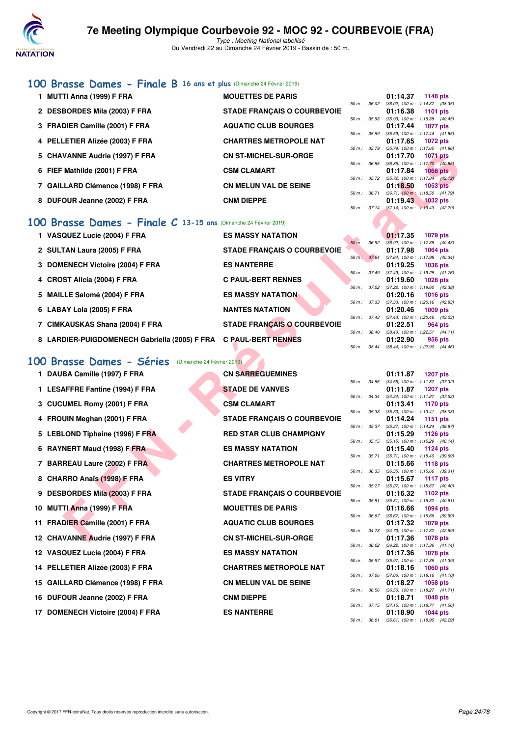

# **[100 Brasse Dames - Finale B](http://www.ffnatation.fr/webffn/resultats.php?idact=nat&go=epr&idcpt=57703&idepr=22) 16 ans et plus** (Dimanche 24 Février 2019)

| 1 MUTTI Anna (1999) F FRA        | <b>MOUETTES DE PARIS</b>           |                  | 01:14.37                                        | 1148 pts        |  |
|----------------------------------|------------------------------------|------------------|-------------------------------------------------|-----------------|--|
| 2 DESBORDES Mila (2003) F FRA    | <b>STADE FRANCAIS O COURBEVOIE</b> | $50 m$ : $36.02$ | $(36.02)$ 100 m : 1:14.37 $(38.35)$<br>01:16.38 | 1101 $pts$      |  |
| 3 FRADIER Camille (2001) F FRA   | <b>AQUATIC CLUB BOURGES</b>        | 50 m: 35.93      | $(35.93)$ 100 m : 1:16.38 $(40.45)$<br>01:17.44 | <b>1077 pts</b> |  |
| 4 PELLETIER Alizée (2003) F FRA  | <b>CHARTRES METROPOLE NAT</b>      | 50 m: 35.59      | $(35.59)$ 100 m : 1:17.44 $(41.85)$<br>01:17.65 | 1072 pts        |  |
| 5 CHAVANNE Audrie (1997) F FRA   | <b>CN ST-MICHEL-SUR-ORGE</b>       | $50 m$ : $35.79$ | $(35.79)$ 100 m : 1:17.65 $(41.86)$<br>01:17.70 | <b>1071 pts</b> |  |
| 6 FIEF Mathilde (2001) F FRA     | <b>CSM CLAMART</b>                 | $50 m$ : $36.85$ | $(36.85)$ 100 m : 1:17.70 $(40.85)$<br>01:17.84 | $1068$ pts      |  |
| 7 GAILLARD Clémence (1998) F FRA | <b>CN MELUN VAL DE SEINE</b>       | $50 m$ : $35.72$ | $(35.72)$ 100 m : 1:17.84 $(42.12)$<br>01:18.50 | 1053 pts        |  |
| 8 DUFOUR Jeanne (2002) F FRA     | <b>CNM DIEPPE</b>                  | $50 m$ : $36.71$ | $(36.71)$ 100 m : 1:18.50 $(41.79)$<br>01:19.43 | $1032$ pts      |  |
|                                  |                                    | 50 m: 37.14      | $(37.14)$ 100 m : 1:19.43 (42.29)               |                 |  |

### **[100 Brasse Dames - Finale C](http://www.ffnatation.fr/webffn/resultats.php?idact=nat&go=epr&idcpt=57703&idepr=22) 13-15 ans** (Dimanche 24 Février 2019)

| 1 VASQUEZ Lucie (2004) F FRA                                     | <b>ES MASSY NATATION</b>           |                          | 01:17.35                                               | <b>1079 pts</b>                                        |
|------------------------------------------------------------------|------------------------------------|--------------------------|--------------------------------------------------------|--------------------------------------------------------|
| 2 SULTAN Laura (2005) F FRA                                      | <b>STADE FRANCAIS O COURBEVOIE</b> | $50 m$ :                 | 36.92<br>01:17.98                                      | $(36.92)$ 100 m : 1:17.35 $(40.43)$<br>1064 pts        |
| 3 DOMENECH Victoire (2004) F FRA                                 | <b>ES NANTERRE</b>                 | 50 m : 37.64             | 01:19.25                                               | $(37.64)$ 100 m : 1:17.98 $(40.34)$<br><b>1036 pts</b> |
| 4 CROST Alicia (2004) F FRA                                      | <b>C PAUL-BERT RENNES</b>          | 50 m: 37.49              | 01:19.60                                               | $(37.49)$ 100 m : 1:19.25 $(41.76)$<br>1028 pts        |
| 5 MAILLE Salomé (2004) F FRA                                     | <b>ES MASSY NATATION</b>           |                          | 50 m: 37.22 (37.22) 100 m: 1:19.60 (42.38)<br>01:20.16 | 1016 $pts$                                             |
| 6 LABAY Lola (2005) F FRA                                        | <b>NANTES NATATION</b>             | 50 m : 37.33             | 01:20.46                                               | $(37.33)$ 100 m : 1:20.16 $(42.83)$<br>$1009$ pts      |
| 7 CIMKAUSKAS Shana (2004) F FRA                                  | <b>STADE FRANÇAIS O COURBEVOIE</b> | $50 m$ : 37.43           | 01:22.51                                               | $(37.43)$ 100 m : 1:20.46 $(43.03)$<br>964 pts         |
|                                                                  |                                    | 50 m: 38.40              |                                                        | $(38.40)$ 100 m : 1:22.51 $(44.11)$                    |
| 8 LARDIER-PUIGDOMENECH Gabriella (2005) F FRA C PAUL-BERT RENNES |                                    | $50 \text{ m}$ : $38.44$ | 01:22.90                                               | 956 pts<br>$(38.44)$ 100 m : 1:22.90 $(44.46)$         |

# **[100 Brasse Dames - Séries](http://www.ffnatation.fr/webffn/resultats.php?idact=nat&go=epr&idcpt=57703&idepr=22)** (Dimanche 24 Février 2019)

| 5 CHAVANNE Audrie (1997) F FRA                                   | <b>CN ST-MICHEL-SUR-ORGE</b>       |                  |              | 01:17.70 | 1071 pts                                                 |
|------------------------------------------------------------------|------------------------------------|------------------|--------------|----------|----------------------------------------------------------|
| 6 FIEF Mathilde (2001) F FRA                                     | <b>CSM CLAMART</b>                 |                  | 50 m : 36.85 | 01:17.84 | $(36.85)$ 100 m : 1:17.70 $(40.85)$<br>1068 pts          |
| 7 GAILLARD Clémence (1998) F FRA                                 | <b>CN MELUN VAL DE SEINE</b>       |                  | 50 m : 35.72 | 01:18.50 | $(35.72)$ 100 m : 1:17.84 $(42.12)$<br>1053 pts          |
|                                                                  |                                    |                  | 50 m : 36.71 |          | $(36.71)$ 100 m : 1:18.50 $(41.79)$                      |
| 8 DUFOUR Jeanne (2002) F FRA                                     | <b>CNM DIEPPE</b>                  |                  |              | 01:19.43 | 1032 pts<br>50 m: 37.14 (37.14) 100 m: 1:19.43 (42.29)   |
| 00 Brasse Dames - Finale C 13-15 ans (Dimanche 24 Février 2019)  |                                    |                  |              |          |                                                          |
| 1 VASQUEZ Lucie (2004) F FRA                                     | <b>ES MASSY NATATION</b>           |                  |              | 01:17.35 | <b>1079 pts</b>                                          |
| 2 SULTAN Laura (2005) F FRA                                      | <b>STADE FRANÇAIS O COURBEVOIE</b> | $50 m$ : $36.92$ | 50 m : 37.64 | 01:17.98 | $(36.92)$ 100 m : 1:17.35 $(40.43)$<br><b>1064 pts</b>   |
| 3 DOMENECH Victoire (2004) F FRA                                 | <b>ES NANTERRE</b>                 |                  |              | 01:19.25 | (37.64) 100 m: 1:17.98 (40.34)<br>1036 pts               |
| 4 CROST Alicia (2004) F FRA                                      | <b>C PAUL-BERT RENNES</b>          | 50 m : 37.49     |              | 01:19.60 | $(37.49)$ 100 m : 1:19.25 $(41.76)$<br><b>1028 pts</b>   |
|                                                                  |                                    | 50 m : 37.22     |              |          | (37.22) 100 m: 1:19.60 (42.38)                           |
| 5 MAILLE Salomé (2004) F FRA                                     | <b>ES MASSY NATATION</b>           |                  | 50 m : 37.33 | 01:20.16 | <b>1016 pts</b><br>(37.33) 100 m : 1:20.16 (42.83)       |
| 6 LABAY Lola (2005) F FRA                                        | <b>NANTES NATATION</b>             |                  |              | 01:20.46 | 1009 pts                                                 |
| 7 CIMKAUSKAS Shana (2004) F FRA                                  | <b>STADE FRANÇAIS O COURBEVOIE</b> |                  | 50 m : 37.43 | 01:22.51 | $(37.43)$ 100 m : 1:20.46 $(43.03)$<br>964 pts           |
|                                                                  |                                    |                  | 50 m : 38.40 |          | $(38.40)$ 100 m : 1:22.51 $(44.11)$                      |
| 8 LARDIER-PUIGDOMENECH Gabriella (2005) F FRA C PAUL-BERT RENNES |                                    |                  | 50 m : 38.44 | 01:22.90 | 956 pts<br>$(38.44)$ 100 m : 1:22.90 $(44.46)$           |
| 00 Brasse Dames - Séries<br>(Dimanche 24 Février 2019)           |                                    |                  |              |          |                                                          |
|                                                                  | <b>CN SARREGUEMINES</b>            |                  |              |          |                                                          |
| 1 DAUBA Camille (1997) F FRA                                     |                                    | 50 m: 34.55      |              | 01:11.87 | <b>1207 pts</b><br>$(34.55)$ 100 m : 1:11.87 $(37.32)$   |
| 1 LESAFFRE Fantine (1994) F FRA                                  | <b>STADE DE VANVES</b>             |                  |              | 01:11.87 | <b>1207 pts</b>                                          |
| 3 CUCUMEL Romy (2001) F FRA                                      | <b>CSM CLAMART</b>                 |                  | 50 m : 34.34 | 01:13.41 | $(34.34)$ 100 m : 1:11.87 $(37.53)$<br>1170 pts          |
|                                                                  |                                    |                  | 50 m : 35.33 |          | $(35.33)$ 100 m : 1:13.41 $(38.08)$                      |
| 4 FROUIN Meghan (2001) F FRA                                     | <b>STADE FRANÇAIS O COURBEVOIE</b> |                  | 50 m : 35.37 | 01:14.24 | 1151 pts<br>$(35.37)$ 100 m : 1:14.24 $(38.87)$          |
| 5 LEBLOND Tiphaine (1996) F FRA                                  | <b>RED STAR CLUB CHAMPIGNY</b>     |                  |              | 01:15.29 | <b>1126 pts</b>                                          |
| 6 RAYNERT Maud (1998) F FRA                                      | <b>ES MASSY NATATION</b>           |                  |              | 01:15.40 | 50 m: 35.15 (35.15) 100 m: 1:15.29 (40.14)<br>1124 pts   |
| 7 BARREAU Laure (2002) F FRA                                     | <b>CHARTRES METROPOLE NAT</b>      | 50 m : 35.71     |              |          | $(35.71)$ 100 m : 1:15.40 $(39.69)$                      |
|                                                                  |                                    | 50 m : 36.35     |              | 01:15.66 | <b>1118 pts</b><br>$(36.35)$ 100 m : 1:15.66 $(39.31)$   |
| 8 CHARRO Anaïs (1998) F FRA                                      | <b>ES VITRY</b>                    |                  | 50 m : 35.27 | 01:15.67 | 1117 pts<br>(35.27) 100 m: 1:15.67 (40.40)               |
| 9 DESBORDES Mila (2003) F FRA                                    | <b>STADE FRANÇAIS O COURBEVOIE</b> |                  |              | 01:16.32 | 1102 pts                                                 |
| 10 MUTTI Anna (1999) F FRA                                       | <b>MOUETTES DE PARIS</b>           | 50 m : 35.81     |              | 01:16.66 | $(35.81)$ 100 m : 1:16.32 $(40.51)$<br><b>1094 pts</b>   |
|                                                                  |                                    |                  | 50 m : 36.67 |          | $(36.67)$ 100 m : 1:16.66 $(39.99)$                      |
| 11 FRADIER Camille (2001) F FRA                                  | <b>AQUATIC CLUB BOURGES</b>        |                  |              | 01:17.32 | 1079 pts<br>50 m : 34.73 (34.73) 100 m : 1:17.32 (42.59) |
| 12 CHAVANNE Audrie (1997) F FRA                                  | <b>CN ST-MICHEL-SUR-ORGE</b>       |                  |              | 01:17.36 | <b>1078 pts</b>                                          |
| 12 VASQUEZ Lucie (2004) F FRA                                    | <b>ES MASSY NATATION</b>           |                  |              | 01:17.36 | 50 m : 36.22 (36.22) 100 m : 1:17.36 (41.14)<br>1078 pts |
|                                                                  |                                    |                  | 50 m : 35.97 |          | $(35.97)$ 100 m : 1:17.36 $(41.39)$                      |
| 14 PELLETIER Alizée (2003) F FRA                                 | <b>CHARTRES METROPOLE NAT</b>      |                  | 50 m : 37.06 | 01:18.16 | 1060 $pts$<br>$(37.06)$ 100 m : 1:18.16 $(41.10)$        |
| 15 GAILLARD Clémence (1998) F FRA                                | <b>CN MELUN VAL DE SEINE</b>       |                  |              | 01:18.27 | 1058 pts                                                 |
| 16 DUFOUR Jeanne (2002) F FRA                                    | <b>CNM DIEPPE</b>                  |                  |              | 01:18.71 | 50 m: 36.56 (36.56) 100 m: 1:18.27 (41.71)<br>1048 pts   |
|                                                                  |                                    |                  |              |          | 50 m: 37.15 (37.15) 100 m: 1:18.71 (41.56)               |
| 17 DOMENECH Victoire (2004) F FRA                                | <b>ES NANTERRE</b>                 |                  |              | 01:18.90 | 1044 pts                                                 |

|          |       | 01:11.87          | <b>1207 pts</b>     |         |
|----------|-------|-------------------|---------------------|---------|
| $50 m$ : | 34.55 | $(34.55)$ 100 m : | 1:11.87             | (37.32) |
|          |       | 01:11.87          | <b>1207 pts</b>     |         |
| $50 m$ : | 34.34 | $(34.34) 100 m$ : | $1:11.87$ (37.53)   |         |
|          |       | 01:13.41          | <b>1170 pts</b>     |         |
| $50 m$ : | 35.33 | $(35.33) 100 m$ : | $1:13.41$ (38.08)   |         |
|          |       | 01:14.24          | 1151 pts            |         |
| $50 m$ : | 35.37 | $(35.37)$ 100 m : | $1:14.24$ (38.87)   |         |
|          |       | 01:15.29          | 1126 $pts$          |         |
| $50 m$ : | 35.15 | $(35.15) 100 m$ : | $1:15.29$ $(40.14)$ |         |
|          |       | 01:15.40          | 1124 pts            |         |
| $50 m$ : | 35.71 | $(35.71)$ 100 m : | 1:15.40             | (39.69) |
|          |       | 01:15.66          | <b>1118 pts</b>     |         |
| $50 m$ : | 36.35 | $(36.35)$ 100 m : | $1:15.66$ (39.31)   |         |
|          |       | 01:15.67          | 1117 $pts$          |         |
| $50 m$ : | 35.27 | $(35.27)$ 100 m : | $1:15.67$ $(40.40)$ |         |
|          |       | 01:16.32          | 1102 pts            |         |
| $50 m$ : | 35.81 | $(35.81)$ 100 m : | $1:16.32$ $(40.51)$ |         |
|          |       | 01:16.66          | 1094 pts            |         |
| $50 m$ : | 36.67 | $(36.67) 100 m$ : | 1:16.66 (39.99)     |         |
|          |       | 01:17.32          | <b>1079 pts</b>     |         |
| $50 m$ : | 34.73 | $(34.73) 100 m$ : | 1:17.32 (42.59)     |         |
|          |       | 01:17.36          | 1078 pts            |         |
| $50 m$ : | 36.22 | $(36.22)$ 100 m : | 1:17.36             | (41.14) |
|          |       | 01:17.36          | 1078 pts            |         |
| $50 m$ : | 35.97 | $(35.97) 100 m$ : | 1:17.36 (41.39)     |         |
|          |       | 01:18.16          | 1060 pts            |         |
| 50 m:    | 37.06 | $(37.06) 100 m$ : | 1:18.16             | (41.10) |
|          |       | 01:18.27          | 1058 pts            |         |
| $50 m$ : | 36.56 | $(36.56) 100 m$ : | 1:18.27             | (41.71) |
|          |       | 01:18.71          | 1048 pts            |         |
| $50 m$ : | 37.15 | $(37.15) 100 m$ : | $1:18.71$ $(41.56)$ |         |
|          |       | 01:18.90          | 1044 pts            |         |
| $50 m$ : | 36.61 | $(36.61)$ 100 m : | 1:18.90             | (42.29) |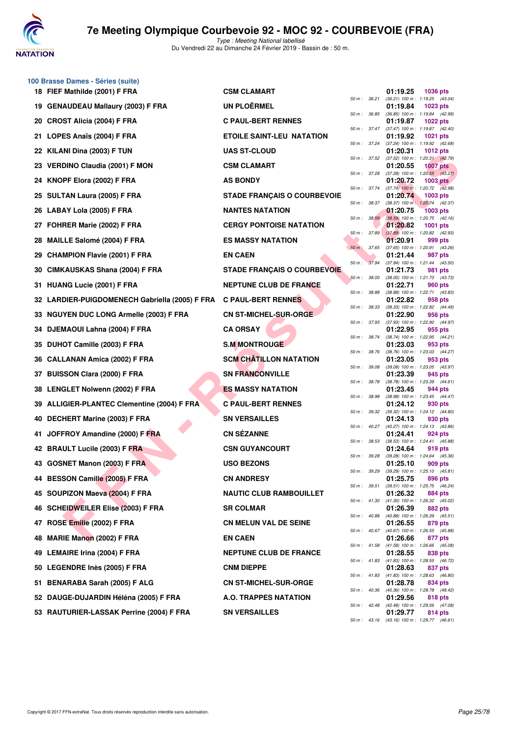

**100 Brasse Dames - Séries (suite)**

# **7e Meeting Olympique Courbevoie 92 - MOC 92 - COURBEVOIE (FRA)**

|    | 18 FIEF Mathilde (2001) F FRA                                     | <b>CSM CLAMART</b>                 |             |                              | 01:19.25<br><b>1036 pts</b>                                                              |
|----|-------------------------------------------------------------------|------------------------------------|-------------|------------------------------|------------------------------------------------------------------------------------------|
|    | 19 GENAUDEAU Mallaury (2003) F FRA                                | <b>UN PLOËRMEL</b>                 |             | 50 m : 36.21                 | (36.21) 100 m: 1:19.25 (43.04)<br>01:19.84<br><b>1023 pts</b>                            |
|    | 20 CROST Alicia (2004) F FRA                                      | <b>C PAUL-BERT RENNES</b>          |             | 50 m : 36.85                 | (36.85) 100 m: 1:19.84 (42.99)<br>01:19.87<br><b>1022 pts</b>                            |
|    | 21 LOPES Anaïs (2004) F FRA                                       | <b>ETOILE SAINT-LEU NATATION</b>   |             | 50 m : 37.47                 | (37.47) 100 m: 1:19.87 (42.40)<br>01:19.92<br><b>1021 pts</b>                            |
|    | 22 KILANI Dina (2003) F TUN                                       | <b>UAS ST-CLOUD</b>                |             | 50 m : 37.24                 | (37.24) 100 m: 1:19.92 (42.68)<br>01:20.31<br>1012 $pts$                                 |
|    | 23 VERDINO Claudia (2001) F MON                                   | <b>CSM CLAMART</b>                 |             | 50 m : 37.52                 | $(37.52)$ 100 m : 1:20.31 $(42.79)$<br>01:20.55<br><b>1007 pts</b>                       |
|    | 24 KNOPF Elora (2002) F FRA                                       | <b>AS BONDY</b>                    |             | 50 m : 37.28                 | $(37.28)$ 100 m : 1:20.55 $(43.27)$<br>01:20.72<br>$1003$ pts                            |
|    | 25 SULTAN Laura (2005) F FRA                                      | <b>STADE FRANÇAIS O COURBEVOIE</b> |             | 50 m : 37.74                 | $(37.74)$ 100 m : 1:20.72 $(42.98)$<br>01:20.74<br>$1003$ pts                            |
|    | 26 LABAY Lola (2005) F FRA                                        | <b>NANTES NATATION</b>             |             | 50 m : 38.37                 | (38.37) 100 m: 1:20.74 (42.37)<br>01:20.75<br>1003 pts                                   |
|    | 27 FOHRER Marie (2002) F FRA                                      | <b>CERGY PONTOISE NATATION</b>     |             | 50 m: 38.59                  | (38.59) 100 m : 1:20.75 (42.16)<br>01:20.82<br>1001 pts                                  |
|    | 28 MAILLE Salomé (2004) F FRA                                     | <b>ES MASSY NATATION</b>           |             | 50 m: 37.89                  | $(37.89)$ 100 m : 1:20.82 $(42.93)$<br>01:20.91<br>999 pts                               |
| 29 | <b>CHAMPION Flavie (2001) F FRA</b>                               | <b>EN CAEN</b>                     | 50 m: 37.65 |                              | (37.65) 100 m: 1:20.91 (43.26)<br>01:21.44<br>987 pts                                    |
| 30 | CIMKAUSKAS Shana (2004) F FRA                                     | <b>STADE FRANÇAIS O COURBEVOIE</b> |             | 50 m : 37.94                 | (37.94) 100 m: 1:21.44 (43.50)<br>01:21.73<br>981 pts                                    |
|    | 31 HUANG Lucie (2001) F FRA                                       | <b>NEPTUNE CLUB DE FRANCE</b>      |             | 50 m: 38.00                  | (38.00) 100 m : 1:21.73 (43.73)<br>01:22.71<br>960 pts                                   |
|    | 32 LARDIER-PUIGDOMENECH Gabriella (2005) F FRA C PAUL-BERT RENNES |                                    |             | 50 m : 38.88                 | (38.88) 100 m : 1:22.71 (43.83)<br>01:22.82<br>958 pts                                   |
|    | 33 NGUYEN DUC LONG Armelle (2003) F FRA                           | <b>CN ST-MICHEL-SUR-ORGE</b>       |             | 50 m: 38.33                  | (38.33) 100 m : 1:22.82 (44.49)<br>01:22.90<br>956 pts                                   |
|    | 34 DJEMAOUI Lahna (2004) F FRA                                    | <b>CA ORSAY</b>                    |             | 50 m : 37.93<br>50 m : 38.74 | (37.93) 100 m : 1:22.90 (44.97)<br>01:22.95<br>955 pts<br>(38.74) 100 m: 1:22.95 (44.21) |
|    | 35 DUHOT Camille (2003) F FRA                                     | <b>S.M MONTROUGE</b>               |             |                              | 01:23.03<br>953 pts                                                                      |
| 36 | <b>CALLANAN Amica (2002) F FRA</b>                                | <b>SCM CHÂTILLON NATATION</b>      |             | 50 m : 38.76<br>50 m : 39.08 | (38.76) 100 m: 1:23.03 (44.27)<br>01:23.05<br>953 pts                                    |
|    | 37 BUISSON Clara (2000) F FRA                                     | <b>SN FRANCONVILLE</b>             |             |                              | (39.08) 100 m: 1:23.05 (43.97)<br>01:23.39<br>945 pts                                    |
|    | 38 LENGLET Nolwenn (2002) F FRA                                   | <b>ES MASSY NATATION</b>           |             | 50 m : 38.78<br>50 m : 38.98 | (38.78) 100 m : 1:23.39 (44.61)<br>01:23.45<br>944 pts<br>(38.98) 100 m: 1:23.45 (44.47) |
|    | 39 ALLIGIER-PLANTEC Clementine (2004) F FRA                       | <b>C PAUL-BERT RENNES</b>          |             | 50 m : 39.32                 | 01:24.12<br>930 pts<br>$(39.32)$ 100 m : 1:24.12 $(44.80)$                               |
|    | 40 DECHERT Marine (2003) F FRA                                    | <b>SN VERSAILLES</b>               |             | 50 m : 40.27                 | 01:24.13<br>930 pts<br>(40.27) 100 m: 1:24.13 (43.86)                                    |
| 41 | JOFFROY Amandine (2000) F FRA                                     | <b>CN SÉZANNE</b>                  |             | 50 m : 38.53                 | 01:24.41<br>924 pts<br>(38.53) 100 m: 1:24.41 (45.88)                                    |
|    | 42 BRAULT Lucile (2003) F FRA                                     | <b>CSN GUYANCOURT</b>              |             | 50 m : 39.28                 | 01:24.64<br>919 pts<br>(39.28) 100 m : 1:24.64 (45.36)                                   |
|    | 43 GOSNET Manon (2003) F FRA                                      | <b>USO BEZONS</b>                  |             | 50 m : 39.29                 | 01:25.10<br>909 pts<br>(39.29) 100 m: 1:25.10 (45.81)                                    |
|    | 44 BESSON Camille (2005) F FRA                                    | <b>CN ANDRESY</b>                  |             |                              | 01:25.75<br>896 pts<br>50 m : 39.51 (39.51) 100 m : 1:25.75 (46.24)                      |
|    | 45 SOUPIZON Maeva (2004) F FRA                                    | <b>NAUTIC CLUB RAMBOUILLET</b>     |             |                              | 01:26.32<br>884 pts<br>50 m : 41.30 (41.30) 100 m : 1:26.32 (45.02)                      |
|    | 46 SCHEIDWEILER Elise (2003) F FRA                                | <b>SR COLMAR</b>                   |             |                              | 01:26.39<br>882 pts<br>50 m: 40.88 (40.88) 100 m: 1:26.39 (45.51)                        |
|    | 47 ROSE Emilie (2002) F FRA                                       | <b>CN MELUN VAL DE SEINE</b>       |             |                              | 01:26.55<br>879 pts<br>50 m: 40.67 (40.67) 100 m: 1:26.55 (45.88)                        |
|    | 48 MARIE Manon (2002) F FRA                                       | <b>EN CAEN</b>                     |             |                              | 01:26.66<br>877 pts<br>50 m : 41.58 (41.58) 100 m : 1:26.66 (45.08)                      |
|    | 49 LEMAIRE Irina (2004) F FRA                                     | <b>NEPTUNE CLUB DE FRANCE</b>      |             |                              | 01:28.55<br>838 pts<br>50 m: 41.83 (41.83) 100 m: 1:28.55 (46.72)                        |
|    | 50 LEGENDRE Inès (2005) F FRA                                     | <b>CNM DIEPPE</b>                  |             |                              | 01:28.63<br>837 pts<br>50 m: 41.83 (41.83) 100 m: 1:28.63 (46.80)                        |
|    | 51 BENARABA Sarah (2005) F ALG                                    | <b>CN ST-MICHEL-SUR-ORGE</b>       |             |                              | 01:28.78<br>834 pts<br>50 m: 40.36 (40.36) 100 m: 1:28.78 (48.42)                        |
|    | 52 DAUGE-DUJARDIN Héléna (2005) F FRA                             | A.O. TRAPPES NATATION              |             |                              | 01:29.56<br>818 pts<br>50 m : 42.48 (42.48) 100 m : 1:29.56 (47.08)                      |
|    | 53 RAUTURIER-LASSAK Perrine (2004) F FRA                          | <b>SN VERSAILLES</b>               |             |                              | 01:29.77<br>814 pts<br>50 m : 43.16 (43.16) 100 m : 1:29.77 (46.61)                      |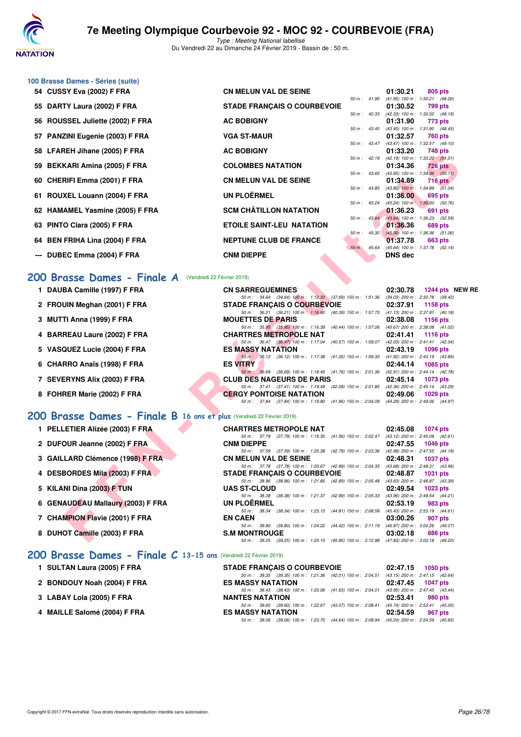

|    | 100 Brasse Dames - Séries (suite)                                     |                                                                                                                                    |                                                                    |
|----|-----------------------------------------------------------------------|------------------------------------------------------------------------------------------------------------------------------------|--------------------------------------------------------------------|
|    | 54 CUSSY Eva (2002) F FRA                                             | <b>CN MELUN VAL DE SEINE</b>                                                                                                       | 01:30.21<br>805 pts                                                |
| 55 | DARTY Laura (2002) F FRA                                              | <b>STADE FRANÇAIS O COURBEVOIE</b>                                                                                                 | 50 m: 41.95 (41.95) 100 m: 1:30.21 (48.26)<br>01:30.52<br>799 pts  |
| 56 | ROUSSEL Juliette (2002) F FRA                                         | <b>AC BOBIGNY</b>                                                                                                                  | 50 m: 42.33 (42.33) 100 m: 1:30.52 (48.19)<br>01:31.90<br>773 pts  |
|    | 57 PANZINI Eugenie (2003) F FRA                                       | 50 m : 43.45<br><b>VGA ST-MAUR</b>                                                                                                 | (43.45) 100 m: 1:31.90 (48.45)<br>01:32.57<br><b>760 pts</b>       |
|    | 58 LFAREH Jihane (2005) F FRA                                         | 50 m : 43.47<br><b>AC BOBIGNY</b>                                                                                                  | (43.47) 100 m: 1:32.57 (49.10)<br>01:33.20<br>748 pts              |
|    |                                                                       | 50 m : 42.19                                                                                                                       | $(42.19)$ 100 m : 1:33.20 $(51.01)$                                |
| 59 | <b>BEKKARI Amina (2005) F FRA</b>                                     | <b>COLOMBES NATATION</b><br>50 m : 43.65                                                                                           | 01:34.36<br><b>726 pts</b><br>(43.65) 100 m: 1:34.36 (50.71)       |
| 60 | <b>CHERIFI Emma (2001) F FRA</b>                                      | <b>CN MELUN VAL DE SEINE</b><br>50 m : 43.85                                                                                       | 01:34.89<br><b>716 pts</b><br>$(43.85)$ 100 m : 1:34.89 $(51.04)$  |
|    | 61 ROUXEL Louann (2004) F FRA                                         | <b>UN PLOËRMEL</b>                                                                                                                 | 01:36.00<br>695 pts                                                |
|    | 62 HAMAMEL Yasmine (2005) F FRA                                       | 50 m: 45.24<br><b>SCM CHÂTILLON NATATION</b><br>$50 m$ : $43.64$                                                                   | $(45.24)$ 100 m : 1:36.00 (50.76)<br>01:36.23<br>691 pts           |
|    | 63 PINTO Clara (2005) F FRA                                           | <b>ETOILE SAINT-LEU NATATION</b>                                                                                                   | (43.64) 100 m : 1:36.23 (52.59)<br>01:36.36<br>689 pts             |
|    | 64 BEN FRIHA Lina (2004) F FRA                                        | $50 m$ : $45.30$<br><b>NEPTUNE CLUB DE FRANCE</b>                                                                                  | $(45.30)$ 100 m : 1:36.36 (51.06)<br>01:37.78<br>663 pts           |
|    | --- DUBEC Emma (2004) F FRA                                           | $50 m$ : 45.64<br><b>CNM DIEPPE</b>                                                                                                | (45.64) 100 m: 1:37.78 (52.14)<br><b>DNS</b> dec                   |
|    |                                                                       |                                                                                                                                    |                                                                    |
|    | 200 Brasse Dames - Finale A<br>(Vendredi 22 Février 2019)             |                                                                                                                                    |                                                                    |
|    | 1 DAUBA Camille (1997) F FRA                                          | <b>CN SARREGUEMINES</b>                                                                                                            | 02:30.78<br>1244 pts NEW                                           |
|    | 2 FROUIN Meghan (2001) F FRA                                          | 50 m: 34.64 (34.64) 100 m: 1:12.33 (37.69) 150 m: 1:51.36<br><b>STADE FRANÇAIS O COURBEVOIE</b>                                    | (39.03) 200 m : 2:30.78 (39.42)<br>02:37.91<br>1158 pts            |
|    | 3 MUTTI Anna (1999) F FRA                                             | 50 m: 36.21 (36.21) 100 m: 1:16.60 (40.39) 150 m: 1:57.73<br><b>MOUETTES DE PARIS</b>                                              | $(41.13)$ 200 m : 2:37.91 $(40.18)$<br>02:38.08<br><b>1156 pts</b> |
|    | <b>BARREAU Laure (2002) F FRA</b>                                     | 50 m: 35.95 (35.95) 100 m: 1:16.39 (40.44) 150 m: 1:57.06<br><b>CHARTRES METROPOLE NAT</b>                                         | (40.67) 200 m : 2:38.08 (41.02)<br>02:41.41<br><b>1116 pts</b>     |
|    |                                                                       | 50 m: 36.47 (36.47) 100 m: 1:17.04 (40.57) 150 m: 1:59.07                                                                          | (42.03) 200 m : 2:41.41 (42.34)                                    |
|    | 5 VASQUEZ Lucie (2004) F FRA                                          | <b>ES MASSY NATATION</b><br>50 m : 36.12 (36.12) 100 m : 1:17.38 (41.26) 150 m : 1:59.30                                           | 02:43.19<br><b>1096 pts</b><br>(41.92) 200 m : 2:43.19 (43.89)     |
|    | 6 CHARRO Anaïs (1998) F FRA                                           | <b>ES VITRY</b><br>50 m : 36.69 (36.69) 100 m : 1:18.45 (41.76) 150 m : 2:01.36 (42.91) 200 m : 2:44.14 (42.78)                    | 02:44.14<br>1085 pts                                               |
|    | 7 SEVERYNS Alix (2003) F FRA                                          | <b>CLUB DES NAGEURS DE PARIS</b>                                                                                                   | 02:45.14<br>1073 pts                                               |
|    | 8 FOHRER Marie (2002) F FRA                                           | 50 m: 37.41 (37.41) 100 m: 1:19.49 (42.08) 150 m: 2:01.85 (42.36) 200 m: 2:45.14 (43.29)<br><b>CERGY PONTOISE NATATION</b>         | 02:49.06<br>1029 pts                                               |
|    |                                                                       | 50 m: 37.84 (37.84) 100 m: 1:19.80 (41.96) 150 m: 2:04.09 (44.29) 200 m: 2:49.06 (44.97)                                           |                                                                    |
|    | 200 Brasse Dames - Finale B 16 ans et plus (Vendredi 22 Février 2019) |                                                                                                                                    |                                                                    |
|    | 1 PELLETIER Alizée (2003) F FRA                                       | <b>CHARTRES METROPOLE NAT</b><br>50 m: 37.79 (37.79) 100 m: 1:19.35 (41.56) 150 m: 2:02.47                                         | 02:45.08<br><b>1074 pts</b><br>$(43.12)$ 200 m : 2:45.08 $(42.61)$ |
|    | 2 DUFOUR Jeanne (2002) F FRA                                          | <b>CNM DIEPPE</b>                                                                                                                  | 02:47.55<br><b>1046 pts</b>                                        |
|    | 3 GAILLARD Clémence (1998) F FRA                                      | 50 m: 37.59 (37.59) 100 m: 1:20.38 (42.79) 150 m: 2:03.36 (42.98) 200 m: 2:47.55 (44.19)<br><b>CN MELUN VAL DE SEINE</b>           | 02:48.31<br><b>1037 pts</b>                                        |
|    | 4 DESBORDES Mila (2003) F FRA                                         | 50 m : 37.78 (37.78) 100 m : 1:20.67 (42.89) 150 m : 2:04.35 (43.68) 200 m : 2:48.31 (43.96)<br><b>STADE FRANÇAIS O COURBEVOIE</b> | 02:48.87<br>1031 pts                                               |
|    |                                                                       | 50 m: 38.96 (38.96) 100 m: 1:21.85 (42.89) 150 m: 2:05.48<br><b>UAS ST-CLOUD</b>                                                   | (43.63) 200 m : 2:48.87 (43.39)<br>02:49.54                        |
|    | 5 KILANI Dina (2003) F TUN                                            | 50 m: 38.38 (38.38) 100 m: 1:21.37 (42.99) 150 m: 2:05.33                                                                          | 1023 pts<br>(43.96) 200 m : 2:49.54 (44.21)                        |
|    | 6 GENAUDEAU Mallaury (2003) F FRA                                     | <b>UN PLOERMEL</b><br>50 m: 38.34 (38.34) 100 m: 1:23.15 (44.81) 150 m: 2:08.58                                                    | 02:53.19<br>983 pts<br>(45.43) 200 m : 2:53.19 (44.61)             |
|    | 7 CHAMPION Flavie (2001) F FRA                                        | <b>EN CAEN</b><br>50 m: 39.80 (39.80) 100 m: 1:24.22 (44.42) 150 m: 2:11.19                                                        | 03:00.26<br>907 pts<br>(46.97) 200 m : 3:00.26 (49.07)             |
|    | 8 DUHOT Camille (2003) F FRA                                          | <b>S.M MONTROUGE</b>                                                                                                               | 03:02.18<br>886 pts                                                |
|    |                                                                       | 50 m: 39.25 (39.25) 100 m: 1:25.15 (45.90) 150 m: 2:12.98 (47.83) 200 m: 3:02.18 (49.20)                                           |                                                                    |

| <b>CN SARREGUEMINES</b>            | 02:30.78 1244 pts NEW RE                                                                                                                                                                                                                                                                                                                                                                                                                                                                                                                                                                                                                                                                                                                                     |
|------------------------------------|--------------------------------------------------------------------------------------------------------------------------------------------------------------------------------------------------------------------------------------------------------------------------------------------------------------------------------------------------------------------------------------------------------------------------------------------------------------------------------------------------------------------------------------------------------------------------------------------------------------------------------------------------------------------------------------------------------------------------------------------------------------|
|                                    |                                                                                                                                                                                                                                                                                                                                                                                                                                                                                                                                                                                                                                                                                                                                                              |
| <b>STADE FRANÇAIS O COURBEVOIE</b> | 02:37.91 1158 pts                                                                                                                                                                                                                                                                                                                                                                                                                                                                                                                                                                                                                                                                                                                                            |
|                                    |                                                                                                                                                                                                                                                                                                                                                                                                                                                                                                                                                                                                                                                                                                                                                              |
| <b>MOUETTES DE PARIS</b>           | 02:38.08 1156 pts                                                                                                                                                                                                                                                                                                                                                                                                                                                                                                                                                                                                                                                                                                                                            |
|                                    |                                                                                                                                                                                                                                                                                                                                                                                                                                                                                                                                                                                                                                                                                                                                                              |
| <b>CHARTRES METROPOLE NAT</b>      | $02:41.41$ 1116 pts                                                                                                                                                                                                                                                                                                                                                                                                                                                                                                                                                                                                                                                                                                                                          |
|                                    |                                                                                                                                                                                                                                                                                                                                                                                                                                                                                                                                                                                                                                                                                                                                                              |
| <b>ES MASSY NATATION</b>           | 02:43.19 1096 pts                                                                                                                                                                                                                                                                                                                                                                                                                                                                                                                                                                                                                                                                                                                                            |
|                                    |                                                                                                                                                                                                                                                                                                                                                                                                                                                                                                                                                                                                                                                                                                                                                              |
| <b>ES VITRY</b>                    | 02:44.14 1085 pts                                                                                                                                                                                                                                                                                                                                                                                                                                                                                                                                                                                                                                                                                                                                            |
|                                    |                                                                                                                                                                                                                                                                                                                                                                                                                                                                                                                                                                                                                                                                                                                                                              |
| <b>CLUB DES NAGEURS DE PARIS</b>   | $02:45.14$ 1073 pts                                                                                                                                                                                                                                                                                                                                                                                                                                                                                                                                                                                                                                                                                                                                          |
|                                    |                                                                                                                                                                                                                                                                                                                                                                                                                                                                                                                                                                                                                                                                                                                                                              |
| <b>CERGY PONTOISE NATATION</b>     | 02:49.06 1029 pts                                                                                                                                                                                                                                                                                                                                                                                                                                                                                                                                                                                                                                                                                                                                            |
|                                    |                                                                                                                                                                                                                                                                                                                                                                                                                                                                                                                                                                                                                                                                                                                                                              |
|                                    | 50 m: 34.64 (34.64) 100 m: 1:12.33 (37.69) 150 m: 1:51.36 (39.03) 200 m: 2:30.78 (39.42)<br>50 m: 36.21 (36.21) 100 m: 1:16.60 (40.39) 150 m: 1:57.73 (41.13) 200 m: 2:37.91 (40.18)<br>50 m: 35.95 (35.95) 100 m: 1:16.39 (40.44) 150 m: 1:57.06 (40.67) 200 m: 2:38.08 (41.02)<br>50 m: 36.47 (36.47) 100 m: 1:17.04 (40.57) 150 m: 1:59.07 (42.03) 200 m: 2:41.41 (42.34)<br>50 m; 36.12 (36.12) 100 m; 1:17.38 (41.26) 150 m; 1:59.30 (41.92) 200 m; 2:43.19 (43.89)<br>50 m: 36.69 (36.69) 100 m: 1:18.45 (41.76) 150 m: 2:01.36 (42.91) 200 m: 2:44.14 (42.78)<br>50 m: 37.41 (37.41) 100 m: 1:19.49 (42.08) 150 m: 2:01.85 (42.36) 200 m: 2:45.14 (43.29)<br>50 m: 37.84 (37.84) 100 m: 1:19.80 (41.96) 150 m: 2:04.09 (44.29) 200 m: 2:49.06 (44.97) |

### **[200 Brasse Dames - Finale B](http://www.ffnatation.fr/webffn/resultats.php?idact=nat&go=epr&idcpt=57703&idepr=23) 16 ans et plus** (Vendredi 22 Février 2019)

| <b>CHARTRES METROPOLE NAT</b>                             |  |  |  | 02:45.08 1074 pts                                                                       |  |
|-----------------------------------------------------------|--|--|--|-----------------------------------------------------------------------------------------|--|
|                                                           |  |  |  | 50 m: 37.79 (37.79) 100 m: 1:19.35 (41.56) 150 m: 2:02.47 (43.12) 200 m: 2:45.08 (42.61 |  |
| <b>CNM DIEPPE</b>                                         |  |  |  | 02:47.55 1046 pts                                                                       |  |
| 50 m: 37.59 (37.59) 100 m: 1:20.38 (42.79) 150 m: 2:03.36 |  |  |  | (42.98) 200 m : 2:47.55 (44.19)                                                         |  |
| <b>CN MELUN VAL DE SEINE</b>                              |  |  |  | 02:48.31 1037 pts                                                                       |  |
| 50 m: 37.78 (37.78) 100 m: 1:20.67 (42.89) 150 m: 2:04.35 |  |  |  | (43.68) 200 m : 2:48.31 (43.96)                                                         |  |
| <b>STADE FRANCAIS O COURBEVOIE</b>                        |  |  |  | 02:48.87 1031 pts                                                                       |  |
|                                                           |  |  |  | 50 m: 38.96 (38.96) 100 m: 1:21.85 (42.89) 150 m: 2:05.48 (43.63) 200 m: 2:48.87 (43.39 |  |
| <b>UAS ST-CLOUD</b>                                       |  |  |  | $02:49.54$ 1023 pts                                                                     |  |
|                                                           |  |  |  |                                                                                         |  |
| 50 m: 38.38 (38.38) 100 m: 1:21.37 (42.99) 150 m: 2:05.33 |  |  |  | (43.96) 200 m : 2:49.54 (44.21)                                                         |  |
| UN PLOËRMEL                                               |  |  |  | 02:53.19 983 pts                                                                        |  |
| 50 m: 38.34 (38.34) 100 m: 1:23.15 (44.81) 150 m: 2:08.58 |  |  |  | (45.43) 200 m : 2:53.19 (44.61)                                                         |  |
| <b>EN CAEN</b>                                            |  |  |  | 03:00.26 907 pts                                                                        |  |
|                                                           |  |  |  | 50 m: 39.80 (39.80) 100 m: 1:24.22 (44.42) 150 m: 2:11.19 (46.97) 200 m: 3:00.26 (49.07 |  |
| <b>S.M MONTROUGE</b>                                      |  |  |  | $03:02.18$ 886 pts                                                                      |  |
|                                                           |  |  |  | 50 m: 39.25 (39.25) 100 m: 1:25.15 (45.90) 150 m: 2:12.98 (47.83) 200 m: 3:02.18 (49.20 |  |

### **[200 Brasse Dames - Finale C](http://www.ffnatation.fr/webffn/resultats.php?idact=nat&go=epr&idcpt=57703&idepr=23) 13-15 ans** (Vendredi 22 Février 2019)

| 1 SULTAN Laura (2005) F FRA  | <b>STADE FRANCAIS O COURBEVOIE</b>                                                           |          | 02:47.15 1050 pts |
|------------------------------|----------------------------------------------------------------------------------------------|----------|-------------------|
|                              | 50 m: 39.35 (39.35) 100 m: 1:21.36 (42.01) 150 m: 2:04.51 (43.15) 200 m: 2:47.15 (42.64)     |          |                   |
| 2 BONDOUY Noah (2004) F FRA  | <b>ES MASSY NATATION</b>                                                                     |          | 02:47.45 1047 pts |
|                              | 50 m: 38.43 (38.43) 100 m: 1:20.06 (41.63) 150 m: 2:04.01 (43.95) 200 m: 2:47.45 (43.44)     |          |                   |
| 3 LABAY Lola (2005) F FRA    | <b>NANTES NATATION</b>                                                                       | 02:53.41 | 980 pts           |
|                              | 50 m: 39.60 (39.60) 100 m: 1:22.67 (43.07) 150 m: 2:08.41 (45.74) 200 m: 2:53.41 (45.00)     |          |                   |
| 4 MAILLE Salomé (2004) F FRA | <b>ES MASSY NATATION</b>                                                                     | 02:54.59 | 967 pts           |
|                              | (39.06) 100 m: 1:23.70 (44.64) 150 m: 2:08.94 (45.24) 200 m: 2:54.59 (45.65)<br>50 m : 39.06 |          |                   |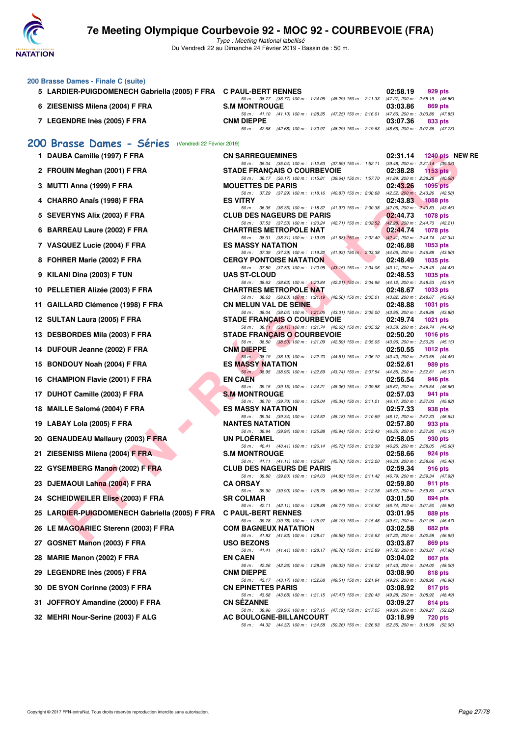

Type : Meeting National labellisé Du Vendredi 22 au Dimanche 24 Février 2019 - Bassin de : 50 m.

#### **200 Brasse Dames - Finale C (suite)**

| 5 LARDIER-PUIGDOMENECH Gabriella (2005) F FRA C PAUL-BERT RENNES |                                                                                              | 02:58.19 | 929 pts |
|------------------------------------------------------------------|----------------------------------------------------------------------------------------------|----------|---------|
|                                                                  | 50 m : 38.77 (38.77) 100 m : 1:24.06 (45.29) 150 m : 2:11.33 (47.27) 200 m : 2:58.19 (46.86) |          |         |
| 6 ZIESENISS Milena (2004) F FRA                                  | <b>S.M MONTROUGE</b>                                                                         | 03:03.86 | 869 pts |
|                                                                  | 50 m: 41.10 (41.10) 100 m: 1:28.35 (47.25) 150 m: 2:16.01 (47.66) 200 m: 3:03.86 (47.85)     |          |         |
| 7 LEGENDRE Inès (2005) F FRA                                     | <b>CNM DIEPPE</b>                                                                            | 03:07.36 | 833 pts |
|                                                                  | 50 m : 42.68 (42.68) 100 m : 1:30.97 (48.29) 150 m : 2:19.63 (48.66) 200 m : 3:07.36 (47.73) |          |         |

### **[200 Brasse Dames - Séries](http://www.ffnatation.fr/webffn/resultats.php?idact=nat&go=epr&idcpt=57703&idepr=23)** (Vendredi 22 Février 2019)

|     | 1 DAUBA Camille (1997) F FRA                                      | <b>CN SARREGUEMINES</b>                                                                                                        | 02:31.14        | 1240 pts NEW RE                            |  |
|-----|-------------------------------------------------------------------|--------------------------------------------------------------------------------------------------------------------------------|-----------------|--------------------------------------------|--|
|     | 2 FROUIN Meghan (2001) F FRA                                      | 50 m: 35.04 (35.04) 100 m: 1:12.63 (37.59) 150 m: 1:52.11 (39.48) 200 m: 2:31.14 (39.03)<br><b>STADE FRANÇAIS O COURBEVOIE</b> | 02:38.28        | 1153 pts                                   |  |
|     | 3 MUTTI Anna (1999) F FRA                                         | 50 m: 36.17 (36.17) 100 m: 1:15.81 (39.64) 150 m: 1:57.70 (41.89) 200 m: 2:38.28 (40.58)<br><b>MOUETTES DE PARIS</b>           | 02:43.26        | <b>1095 pts</b>                            |  |
|     |                                                                   | 50 m: 37.29 (37.29) 100 m: 1:18.16 (40.87) 150 m: 2:00.68 (42.52) 200 m: 2:43.26 (42.58)                                       |                 |                                            |  |
|     | 4 CHARRO Anaïs (1998) F FRA                                       | <b>ES VITRY</b><br>50 m: 36.35 (36.35) 100 m: 1:18.32 (41.97) 150 m: 2:00.38 (42.06) 200 m: 2:43.83 (43.45)                    | 02:43.83        | 1088 pts                                   |  |
|     | 5 SEVERYNS Alix (2003) F FRA                                      | <b>CLUB DES NAGEURS DE PARIS</b>                                                                                               | 02:44.73        | <b>1078 pts</b>                            |  |
|     | 6 BARREAU Laure (2002) F FRA                                      | 50 m: 37.53 (37.53) 100 m: 1:20.24 (42.71) 150 m: 2:02.52 (42.28) 200 m: 2:44.73 (42.21)<br><b>CHARTRES METROPOLE NAT</b>      | 02:44.74        | 1078 pts                                   |  |
|     |                                                                   | 50 m : 38.31 (38.31) 100 m : 1:19.99 (41.68) 150 m : 2:02.40 (42.41) 200 m : 2:44.74 (42.34)                                   |                 |                                            |  |
|     | 7 VASQUEZ Lucie (2004) F FRA                                      | <b>ES MASSY NATATION</b><br>50 m: 37.39 (37.39) 100 m: 1:19.32 (41.93) 150 m: 2:03.38 (44.06) 200 m: 2:46.88 (43.50)           | 02:46.88        | 1053 pts                                   |  |
|     | 8 FOHRER Marie (2002) F FRA                                       | <b>CERGY PONTOISE NATATION</b>                                                                                                 | 02:48.49        | 1035 pts                                   |  |
|     | 9 KILANI Dina (2003) F TUN                                        | 50 m: 37.80 (37.80) 100 m: 1:20.95 (43.15) 150 m: 2:04.06 (43.11) 200 m: 2:48.49 (44.43)<br><b>UAS ST-CLOUD</b>                | 02:48.53        | 1035 pts                                   |  |
|     |                                                                   | 50 m: 38.63 (38.63) 100 m: 1:20.84 (42.21) 150 m: 2:04.96 (44.12) 200 m: 2:48.53 (43.57)                                       |                 |                                            |  |
|     | 10 PELLETIER Alizée (2003) F FRA                                  | <b>CHARTRES METROPOLE NAT</b>                                                                                                  | 02:48.67        | 1033 pts                                   |  |
|     | 11 GAILLARD Clémence (1998) F FRA                                 | 50 m: 38.63 (38.63) 100 m: 1:21.19 (42.56) 150 m: 2:05.01 (43.82) 200 m: 2:48.67 (43.66)<br><b>CN MELUN VAL DE SEINE</b>       | 02:48.88        | 1031 pts                                   |  |
|     |                                                                   | 50 m: 38.04 (38.04) 100 m: 1:21.05 (43.01) 150 m: 2:05.00 (43.95) 200 m: 2:48.88 (43.88)                                       |                 |                                            |  |
|     | 12 SULTAN Laura (2005) F FRA                                      | <b>STADE FRANÇAIS O COURBEVOIE</b><br>50 m: 39.11 (39.11) 100 m: 1:21.74 (42.63) 150 m: 2:05.32 (43.58) 200 m: 2:49.74 (44.42) | 02:49.74        | 1021 pts                                   |  |
|     | 13 DESBORDES Mila (2003) F FRA                                    | <b>STADE FRANÇAIS O COURBEVOIE</b>                                                                                             | 02:50.20        | <b>1016 pts</b>                            |  |
|     | 14 DUFOUR Jeanne (2002) F FRA                                     | 50 m: 38.50 (38.50) 100 m: 1:21.09 (42.59) 150 m: 2:05.05 (43.96) 200 m: 2:50.20 (45.15)                                       |                 |                                            |  |
|     |                                                                   | CNM DIEPPE<br>50 m: 38.19 (38.19) 100 m: 1:22.70 (44.51) 150 m: 2:06.10 (43.40) 200 m: 2:50.55 (44.45)                         | 02:50.55        | 1012 $pts$                                 |  |
|     | 15 BONDOUY Noah (2004) F FRA                                      | <b>ES MASSY NATATION</b>                                                                                                       | 02:52.61        | 989 pts                                    |  |
|     | 16 CHAMPION Flavie (2001) F FRA                                   | 50 m : 38.95 (38.95) 100 m : 1:22.69 (43.74) 150 m : 2:07.54 (44.85) 200 m : 2:52.61 (45.07)<br><b>EN CAEN</b>                 | 02:56.54        | 946 pts                                    |  |
|     |                                                                   | 50 m: 39.15 (39.15) 100 m: 1:24.21 (45.06) 150 m: 2:09.88 (45.67) 200 m: 2:56.54 (46.66)                                       |                 |                                            |  |
|     | 17 DUHOT Camille (2003) F FRA                                     | <b>S.M MONTROUGE</b><br>50 m: 39.70 (39.70) 100 m: 1:25.04 (45.34) 150 m: 2:11.21 (46.17) 200 m: 2:57.03 (45.82)               | 02:57.03        | 941 pts                                    |  |
|     | 18 MAILLE Salomé (2004) F FRA                                     | <b>ES MASSY NATATION</b>                                                                                                       | 02:57.33        | 938 pts                                    |  |
|     |                                                                   | 50 m: 39.34 (39.34) 100 m: 1:24.52 (45.18) 150 m: 2:10.69 (46.17) 200 m: 2:57.33 (46.64)                                       |                 |                                            |  |
|     | 19 LABAY Lola (2005) F FRA                                        | <b>NANTES NATATION</b><br>50 m: 39.94 (39.94) 100 m: 1:25.88 (45.94) 150 m: 2:12.43 (46.55) 200 m: 2:57.80 (45.37)             | 02:57.80        | 933 pts                                    |  |
|     | 20 GENAUDEAU Mallaury (2003) F FRA                                | UN PLOERMEL                                                                                                                    | 02:58.05        | 930 pts                                    |  |
|     | 21 ZIESENISS Milena (2004) F FRA                                  | 50 m: 40.41 (40.41) 100 m: 1:26.14 (45.73) 150 m: 2:12.39 (46.25) 200 m: 2:58.05 (45.66)<br><b>S.M MONTROUGE</b>               | 02:58.66        | 924 pts                                    |  |
|     |                                                                   | 50 m : 41.11 (41.11) 100 m : 1:26.87 (45.76) 150 m : 2:13.20 (46.33) 200 m : 2:58.66 (45.46)                                   |                 |                                            |  |
|     | 22 GYSEMBERG Manon (2002) F FRA                                   | <b>CLUB DES NAGEURS DE PARIS</b><br>50 m: 39.80 (39.80) 100 m: 1:24.63 (44.83) 150 m: 2:11.42 (46.79) 200 m: 2:59.34 (47.92)   | 02:59.34        | 916 pts                                    |  |
|     | 23 DJEMAOUI Lahna (2004) F FRA                                    | <b>CA ORSAY</b>                                                                                                                | 02:59.80        | 911 pts                                    |  |
|     | 24 SCHEIDWEILER Elise (2003) F FRA                                | 50 m : 39.90 (39.90) 100 m : 1:25.76 (45.86) 150 m : 2:12.28<br><b>SR COLMAR</b>                                               | 03:01.50        | (46.52) 200 m : 2:59.80 (47.52)<br>894 pts |  |
|     |                                                                   | 50 m: 42.11 (42.11) 100 m: 1:28.88 (46.77) 150 m: 2:15.62 (46.74) 200 m: 3:01.50 (45.88)                                       |                 |                                            |  |
|     | 25 LARDIER-PUIGDOMENECH Gabriella (2005) F FRA C PAUL-BERT RENNES |                                                                                                                                | 03:01.95        | 889 pts                                    |  |
|     | 26 LE MAGOARIEC Sterenn (2003) F FRA                              | 50 m: 39.78 (39.78) 100 m: 1:25.97 (46.19) 150 m: 2:15.48 (49.51) 200 m: 3:01.95 (46.47)<br><b>COM BAGNEUX NATATION</b>        | 03:02.58        | 882 pts                                    |  |
|     |                                                                   | 50 m: 41.83 (41.83) 100 m: 1:28.41 (46.58) 150 m: 2:15.63 (47.22) 200 m: 3:02.58 (46.95)                                       |                 |                                            |  |
|     | 27 GOSNET Manon (2003) F FRA                                      | <b>USO BEZONS</b><br>50 m: 41.41 (41.41) 100 m: 1:28.17 (46.76) 150 m: 2:15.89 (47.72) 200 m: 3:03.87 (47.98)                  | 03:03.87        | 869 pts                                    |  |
|     | 28 MARIE Manon (2002) F FRA                                       | <b>EN CAEN</b>                                                                                                                 | 03:04.02        | 867 pts                                    |  |
|     | 29 LEGENDRE Inès (2005) F FRA                                     | 50 m: 42.26 (42.26) 100 m: 1:28.59 (46.33) 150 m: 2:16.02 (47.43) 200 m: 3:04.02 (48.00)<br><b>CNM DIEPPE</b>                  | <b>03:08.90</b> |                                            |  |
|     |                                                                   | 50 m : 43.17 (43.17) 100 m : 1:32.68 (49.51) 150 m : 2:21.94                                                                   |                 | 818 pts<br>(49.26) 200 m : 3:08.90 (46.96) |  |
|     | 30 DE SYON Corinne (2003) F FRA                                   | <b>CN EPINETTES PARIS</b>                                                                                                      | 03:08.92        | 817 pts                                    |  |
| 31. | JOFFROY Amandine (2000) F FRA                                     | 50 m: 43.68 (43.68) 100 m: 1:31.15 (47.47) 150 m: 2:20.43<br><b>CN SEZANNE</b>                                                 | 03:09.27        | (49.28) 200 m : 3:08.92 (48.49)<br>814 pts |  |
|     |                                                                   | 50 m: 39.96 (39.96) 100 m: 1:27.15 (47.19) 150 m: 2:17.05 (49.90) 200 m: 3:09.27 (52.22)                                       |                 |                                            |  |
|     | 32 MEHRI Nour-Serine (2003) F ALG                                 | <b>AC BOULOGNE-BILLANCOURT</b><br>50 m: 44.32 (44.32) 100 m: 1:34.58 (50.26) 150 m: 2:26.93 (52.35) 200 m: 3:18.99 (52.06)     | 03:18.99        | <b>720 pts</b>                             |  |
|     |                                                                   |                                                                                                                                |                 |                                            |  |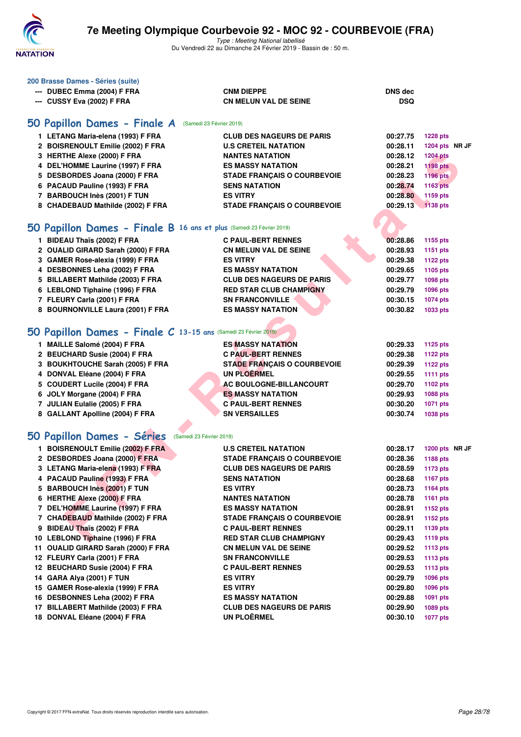

| 200 Brasse Dames - Séries (suite)                                    |                                    |                |                 |  |
|----------------------------------------------------------------------|------------------------------------|----------------|-----------------|--|
| --- DUBEC Emma (2004) F FRA                                          | <b>CNM DIEPPE</b>                  | <b>DNS dec</b> |                 |  |
| --- CUSSY Eva (2002) F FRA                                           | <b>CN MELUN VAL DE SEINE</b>       | <b>DSQ</b>     |                 |  |
|                                                                      |                                    |                |                 |  |
| 50 Papillon Dames - Finale A<br>(Samedi 23 Février 2019)             |                                    |                |                 |  |
| 1 LETANG Maria-elena (1993) F FRA                                    | <b>CLUB DES NAGEURS DE PARIS</b>   | 00:27.75       | <b>1228 pts</b> |  |
| 2 BOISRENOULT Emilie (2002) F FRA                                    | <b>U.S CRETEIL NATATION</b>        | 00:28.11       | 1204 pts NR JF  |  |
| 3 HERTHE Alexe (2000) F FRA                                          | <b>NANTES NATATION</b>             | 00:28.12       | <b>1204 pts</b> |  |
| 4 DEL'HOMME Laurine (1997) F FRA                                     | <b>ES MASSY NATATION</b>           | 00:28.21       | <b>1198 pts</b> |  |
| 5 DESBORDES Joana (2000) F FRA                                       | <b>STADE FRANÇAIS O COURBEVOIE</b> | 00:28.23       | 1196 pts        |  |
| 6 PACAUD Pauline (1993) F FRA                                        | <b>SENS NATATION</b>               | 00:28.74       | 1163 pts        |  |
| 7 BARBOUCH Inès (2001) F TUN                                         | <b>ES VITRY</b>                    | 00:28.80       | 1159 pts        |  |
| 8 CHADEBAUD Mathilde (2002) F FRA                                    | <b>STADE FRANÇAIS O COURBEVOIE</b> | 00:29.13       | $1138$ pts      |  |
|                                                                      |                                    |                |                 |  |
| 50 Papillon Dames - Finale B 16 ans et plus (Samedi 23 Février 2019) |                                    |                |                 |  |
| 1 BIDEAU Thaïs (2002) F FRA                                          | <b>C PAUL-BERT RENNES</b>          | 00:28.86       | 1155 pts        |  |
| 2 OUALID GIRARD Sarah (2000) F FRA                                   | <b>CN MELUN VAL DE SEINE</b>       | 00:28.93       | <b>1151 pts</b> |  |
| 3 GAMER Rose-alexia (1999) F FRA                                     | <b>ES VITRY</b>                    | 00:29.38       | <b>1122 pts</b> |  |
| 4 DESBONNES Leha (2002) F FRA                                        | <b>ES MASSY NATATION</b>           | 00:29.65       | 1105 pts        |  |
| 5 BILLABERT Mathilde (2003) F FRA                                    | <b>CLUB DES NAGEURS DE PARIS</b>   | 00:29.77       | 1098 pts        |  |
| 6 LEBLOND Tiphaine (1996) F FRA                                      | <b>RED STAR CLUB CHAMPIGNY</b>     | 00:29.79       | <b>1096 pts</b> |  |
| 7 FLEURY Carla (2001) F FRA                                          | <b>SN FRANCONVILLE</b>             | 00:30.15       | <b>1074 pts</b> |  |
| 8 BOURNONVILLE Laura (2001) F FRA                                    | <b>ES MASSY NATATION</b>           | 00:30.82       | 1033 pts        |  |
|                                                                      |                                    |                |                 |  |
|                                                                      |                                    |                |                 |  |
| 50 Papillon Dames - Finale C 13-15 ans (Samedi 23 Février 2019)      |                                    |                |                 |  |
| 1 MAILLE Salomé (2004) F FRA                                         | <b>ES MASSY NATATION</b>           | 00:29.33       | <b>1125 pts</b> |  |
| 2 BEUCHARD Susie (2004) F FRA                                        | <b>C PAUL-BERT RENNES</b>          | 00:29.38       | <b>1122 pts</b> |  |
| 3 BOUKHTOUCHE Sarah (2005) F FRA                                     | <b>STADE FRANÇAIS O COURBEVOIE</b> | 00:29.39       | <b>1122 pts</b> |  |
| 4 DONVAL Eléane (2004) F FRA                                         | <b>UN PLOERMEL</b>                 | 00:29.55       | 1111 $pts$      |  |
| 5 COUDERT Lucile (2004) F FRA                                        | <b>AC BOULOGNE-BILLANCOURT</b>     | 00:29.70       | 1102 pts        |  |
| 6 JOLY Morgane (2004) F FRA                                          | <b>ES MASSY NATATION</b>           | 00:29.93       | 1088 pts        |  |
| 7 JULIAN Eulalie (2005) F FRA                                        | <b>C PAUL-BERT RENNES</b>          | 00:30.20       | <b>1071 pts</b> |  |
| 8 GALLANT Apolline (2004) F FRA                                      | <b>SN VERSAILLES</b>               | 00:30.74       | <b>1038 pts</b> |  |
|                                                                      |                                    |                |                 |  |
| 50 Papillon Dames - Séries<br>(Samedi 23 Février 2019)               |                                    |                |                 |  |
| 1 BOISRENOULT Emilie (2002) F FRA                                    | <b>U.S CRETEIL NATATION</b>        | 00:28.17       | 1200 pts NR JF  |  |
| 2 DESBORDES Joana (2000) F FRA                                       | <b>STADE FRANCAIS O COURBEVOIE</b> | 00:28.36       | 1188 pts        |  |
| 3 LETANG Maria-elena (1993) F FRA                                    | <b>CLUB DES NAGEURS DE PARIS</b>   | 00:28.59       | 1173 pts        |  |
| 4 PACAUD Pauline (1993) F FRA                                        | <b>SENS NATATION</b>               | 00:28.68       | 1167 pts        |  |
| 5 BARBOUCH Inès (2001) F TUN                                         | <b>ES VITRY</b>                    | 00:28.73       | <b>1164 pts</b> |  |
| 6 HERTHE Alexe (2000) F FRA                                          | <b>NANTES NATATION</b>             | 00:28.78       | <b>1161 pts</b> |  |
| 7 DEL'HOMME Laurine (1997) F FRA                                     | <b>ES MASSY NATATION</b>           | 00:28.91       | 1152 pts        |  |
| 7 CHADEBAUD Mathilde (2002) F FRA                                    | <b>STADE FRANCAIS O COURBEVOIE</b> | 00:28.91       | 1152 pts        |  |
| 9 BIDEAU Thaïs (2002) F FRA                                          | <b>C PAUL-BERT RENNES</b>          | 00:29.11       | 1139 pts        |  |
| 10 LEBLOND Tiphaine (1996) F FRA                                     | <b>RED STAR CLUB CHAMPIGNY</b>     | 00:29.43       | <b>1119 pts</b> |  |
| 11 OUALID GIRARD Sarah (2000) F FRA                                  | <b>CN MELUN VAL DE SEINE</b>       | 00:29.52       | <b>1113 pts</b> |  |
| 12 FLEURY Carla (2001) F FRA                                         | <b>SN FRANCONVILLE</b>             | 00:29.53       | 1113 $pts$      |  |
| 12 BEUCHARD Susie (2004) F FRA                                       | <b>C PAUL-BERT RENNES</b>          | 00:29.53       | 1113 $pts$      |  |
| 14 GARA Alya (2001) F TUN                                            | <b>ES VITRY</b>                    | 00:29.79       | 1096 pts        |  |
| 15 GAMER Rose-alexia (1999) F FRA                                    | <b>ES VITRY</b>                    | 00:29.80       | 1096 pts        |  |
| 16 DESBONNES Leha (2002) F FRA                                       | <b>ES MASSY NATATION</b>           | 00:29.88       | 1091 pts        |  |
| 17 BILLABERT Mathilde (2003) F FRA                                   | <b>CLUB DES NAGEURS DE PARIS</b>   | 00:29.90       | 1089 pts        |  |
| 18 DONVAL Eléane (2004) F FRA                                        | <b>UN PLOËRMEL</b>                 | 00:30.10       | <b>1077 pts</b> |  |
|                                                                      |                                    |                |                 |  |
|                                                                      |                                    |                |                 |  |
|                                                                      |                                    |                |                 |  |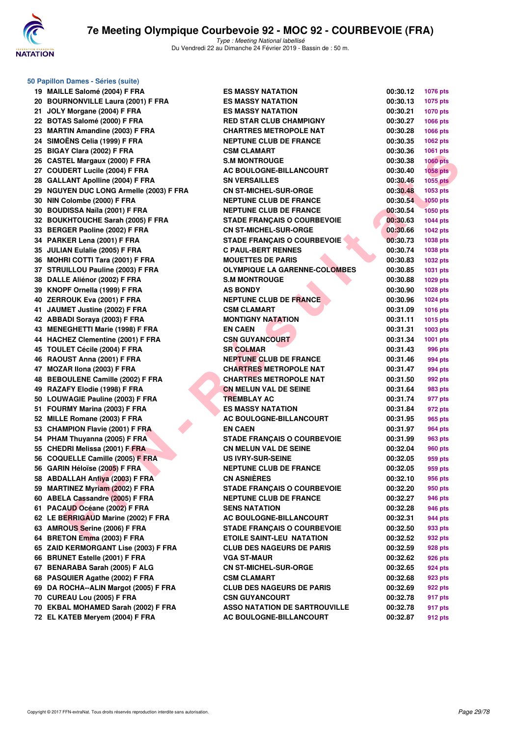

**50 Papillon Dames - Séries (suite)**

| 19 | MAILLE Salomé (2004) F FRA                 |
|----|--------------------------------------------|
| 20 | <b>BOURNONVILLE Laura (2001) F FRA</b>     |
| 21 | JOLY Morgane (2004) F FRA                  |
| 22 | BOTAS Salomé (2000) F FRA                  |
| 23 | <b>MARTIN Amandine (2003) F FRA</b>        |
| 24 | SIMOËNS Celia (1999) F FRA                 |
| 25 | BIGAY Clara (2002) F FRA                   |
| 26 | <b>CASTEL Margaux (2000) F FRA</b>         |
| 27 | <b>COUDERT Lucile (2004) F FRA</b>         |
| 28 | <b>GALLANT Apolline (2004) F FRA</b>       |
| 29 | <b>NGUYEN DUC LONG Armelle (2003) F FR</b> |
| 30 | NIN Colombe (2000) F FRA                   |
| 30 | <b>BOUDISSA Naïla (2001) F FRA</b>         |
| 32 | <b>BOUKHTOUCHE Sarah (2005) F FRA</b>      |
| 33 | <b>BERGER Paoline (2002) F FRA</b>         |
| 34 | PARKER Lena (2001) F FRA                   |
| 35 | <b>JULIAN Eulalie (2005) F FRA</b>         |
| 36 | <b>MOHRI COTTI Tara (2001) F FRA</b>       |
| 37 | STRUILLOU Pauline (2003) F FRA             |
| 38 | DALLE Aliénor (2002) F FRA                 |
| 39 | KNOPF Ornella (1999) F FRA                 |
| 40 | ZERROUK Eva (2001) F FRA                   |
| 41 | JAUMET Justine (2002) F FRA                |
| 42 | <b>ABBADI Soraya (2003) F FRA</b>          |
| 43 | <b>MENEGHETTI Marie (1998) F FRA</b>       |
| 44 | <b>HACHEZ Clementine (2001) F FRA</b>      |
| 45 | TOULET Cécile (2004) F FRA                 |
| 46 | RAOUST Anna (2001) F FRA                   |
| 47 | MOZAR IIona (2003) F FRA                   |
| 48 | <b>BEBOULENE Camille (2002) F FRA</b>      |
| 49 | RAZAFY Elodie (1998) F FRA                 |
| 50 | LOUWAGIE Pauline (2003) F FRA              |
| 51 | FOURMY Marina (2003) F FRA                 |
| 52 | MILLE Romane (2003) F FRA                  |
| 53 | <b>CHAMPION Flavie (2001) F FRA</b>        |
| 54 | PHAM Thuyanna (2005) F FRA                 |
| 55 | CHEDRI Melissa (2001) F FRA                |
| 56 | <b>COQUELLE Camille (2005) F FRA</b>       |
| 56 | GARIN Héloïse (2005) F FRA                 |
| 58 | <b>ABDALLAH Anfiya (2003) F FRA</b>        |
| 59 | <b>MARTINEZ Myriam (2002) F FRA</b>        |
| 60 | <b>ABELA Cassandre (2005) F FRA</b>        |
| 61 | PACAUD Océane (2002) F FRA                 |
| 62 | LE BERRIGAUD Marine (2002) F FRA           |
| 63 | <b>AMROUS Serine (2006) F FRA</b>          |
| 64 | BRETON Emma (2003) F FRA                   |
| 65 | ZAID KERMORGANT Lise (2003) F FRA          |
| 66 | <b>BRUNET Estelle (2001) F FRA</b>         |
| 67 | BENARABA Sarah (2005) F ALG                |
| 68 | PASQUIER Agathe (2002) F FRA               |
| 69 | DA ROCHA--ALIN Margot (2005) F FRA         |
| 70 | CUREAU Lou (2005) F FRA                    |
| 70 | EKBAL MOHAMED Sarah (2002) F FRA           |
| 72 | EL KATEB Meryem (2004) F FRA               |

| 19 MAILLE Salomé (2004) F FRA           | <b>ES MASSY NATATION</b>             | 00:30.12 | <b>1076 pts</b> |
|-----------------------------------------|--------------------------------------|----------|-----------------|
| 20 BOURNONVILLE Laura (2001) F FRA      | <b>ES MASSY NATATION</b>             | 00:30.13 | 1075 pts        |
| 21 JOLY Morgane (2004) F FRA            | <b>ES MASSY NATATION</b>             | 00:30.21 | <b>1070 pts</b> |
| 22 BOTAS Salomé (2000) F FRA            | <b>RED STAR CLUB CHAMPIGNY</b>       | 00:30.27 | <b>1066 pts</b> |
| 23 MARTIN Amandine (2003) F FRA         | <b>CHARTRES METROPOLE NAT</b>        | 00:30.28 | 1066 pts        |
| 24 SIMOËNS Celia (1999) F FRA           | <b>NEPTUNE CLUB DE FRANCE</b>        | 00:30.35 | 1062 pts        |
| 25 BIGAY Clara (2002) F FRA             | <b>CSM CLAMART</b>                   | 00:30.36 | 1061 pts        |
| 26 CASTEL Margaux (2000) F FRA          | <b>S.M MONTROUGE</b>                 | 00:30.38 | <b>1060 pts</b> |
| 27 COUDERT Lucile (2004) F FRA          | AC BOULOGNE-BILLANCOURT              | 00:30.40 | 1058 pts        |
| 28 GALLANT Apolline (2004) F FRA        | <b>SN VERSAILLES</b>                 | 00:30.46 | 1055 pts        |
| 29 NGUYEN DUC LONG Armelle (2003) F FRA | <b>CN ST-MICHEL-SUR-ORGE</b>         | 00:30.48 | 1053 pts        |
| 30 NIN Colombe (2000) F FRA             | <b>NEPTUNE CLUB DE FRANCE</b>        | 00:30.54 | <b>1050 pts</b> |
| 30 BOUDISSA Naïla (2001) F FRA          | <b>NEPTUNE CLUB DE FRANCE</b>        | 00:30.54 | <b>1050 pts</b> |
| 32 BOUKHTOUCHE Sarah (2005) F FRA       | <b>STADE FRANÇAIS O COURBEVOIE</b>   | 00:30.63 | <b>1044 pts</b> |
| 33 BERGER Paoline (2002) F FRA          | <b>CN ST-MICHEL-SUR-ORGE</b>         | 00:30.66 | <b>1042 pts</b> |
| 34 PARKER Lena (2001) F FRA             | <b>STADE FRANÇAIS O COURBEVOIE</b>   | 00:30.73 | 1038 pts        |
| 35 JULIAN Eulalie (2005) F FRA          | <b>C PAUL-BERT RENNES</b>            | 00:30.74 | 1038 pts        |
| 36 MOHRI COTTI Tara (2001) F FRA        | <b>MOUETTES DE PARIS</b>             | 00:30.83 | <b>1032 pts</b> |
| 37 STRUILLOU Pauline (2003) F FRA       | OLYMPIQUE LA GARENNE-COLOMBES        | 00:30.85 | 1031 pts        |
| 38 DALLE Aliénor (2002) F FRA           | <b>S.M MONTROUGE</b>                 | 00:30.88 | 1029 pts        |
| 39 KNOPF Ornella (1999) F FRA           | <b>AS BONDY</b>                      | 00:30.90 | 1028 pts        |
| 40 ZERROUK Eva (2001) F FRA             | <b>NEPTUNE CLUB DE FRANCE</b>        | 00:30.96 | 1024 pts        |
| 41 JAUMET Justine (2002) F FRA          | <b>CSM CLAMART</b>                   | 00:31.09 | 1016 pts        |
| 42 ABBADI Soraya (2003) F FRA           | <b>MONTIGNY NATATION</b>             | 00:31.11 | 1015 pts        |
| 43 MENEGHETTI Marie (1998) F FRA        | <b>EN CAEN</b>                       | 00:31.31 | 1003 pts        |
| 44 HACHEZ Clementine (2001) F FRA       | <b>CSN GUYANCOURT</b>                | 00:31.34 | 1001 pts        |
| 45 TOULET Cécile (2004) F FRA           | <b>SR COLMAR</b>                     | 00:31.43 | 996 pts         |
| 46 RAOUST Anna (2001) F FRA             | <b>NEPTUNE CLUB DE FRANCE</b>        | 00:31.46 | 994 pts         |
| 47 MOZAR Ilona (2003) F FRA             | <b>CHARTRES METROPOLE NAT</b>        | 00:31.47 | 994 pts         |
| 48 BEBOULENE Camille (2002) F FRA       | <b>CHARTRES METROPOLE NAT</b>        | 00:31.50 | 992 pts         |
| 49 RAZAFY Elodie (1998) F FRA           | <b>CN MELUN VAL DE SEINE</b>         | 00:31.64 | 983 pts         |
| 50 LOUWAGIE Pauline (2003) F FRA        | <b>TREMBLAY AC</b>                   | 00:31.74 | 977 pts         |
| 51 FOURMY Marina (2003) F FRA           | <b>ES MASSY NATATION</b>             | 00:31.84 | 972 pts         |
| 52 MILLE Romane (2003) F FRA            | <b>AC BOULOGNE-BILLANCOURT</b>       | 00:31.95 | 965 pts         |
| 53 CHAMPION Flavie (2001) F FRA         | <b>EN CAEN</b>                       | 00:31.97 | 964 pts         |
| 54 PHAM Thuyanna (2005) F FRA           | <b>STADE FRANÇAIS O COURBEVOIE</b>   | 00:31.99 | 963 pts         |
| 55 CHEDRI Melissa (2001) F FRA          | <b>CN MELUN VAL DE SEINE</b>         | 00:32.04 | 960 pts         |
| 56 COQUELLE Camille (2005) F FRA        | <b>US IVRY-SUR-SEINE</b>             | 00:32.05 | 959 pts         |
| 56 GARIN Héloïse (2005) F FRA           | <b>NEPTUNE CLUB DE FRANCE</b>        | 00:32.05 | 959 pts         |
| 58 ABDALLAH Anfiya (2003) F FRA         | <b>CN ASNIÈRES</b>                   | 00:32.10 | 956 pts         |
| 59 MARTINEZ Myriam (2002) F FRA         | <b>STADE FRANÇAIS O COURBEVOIE</b>   | 00:32.20 | 950 pts         |
| 60 ABELA Cassandre (2005) F FRA         | <b>NEPTUNE CLUB DE FRANCE</b>        | 00:32.27 | 946 pts         |
| 61 PACAUD Océane (2002) F FRA           | <b>SENS NATATION</b>                 | 00:32.28 | 946 pts         |
| 62 LE BERRIGAUD Marine (2002) F FRA     | <b>AC BOULOGNE-BILLANCOURT</b>       | 00:32.31 | 944 pts         |
| 63 AMROUS Serine (2006) F FRA           | <b>STADE FRANÇAIS O COURBEVOIE</b>   | 00:32.50 | 933 pts         |
| 64 BRETON Emma (2003) F FRA             | <b>ETOILE SAINT-LEU NATATION</b>     | 00:32.52 | 932 pts         |
| 65 ZAID KERMORGANT Lise (2003) F FRA    | <b>CLUB DES NAGEURS DE PARIS</b>     | 00:32.59 | 928 pts         |
| 66 BRUNET Estelle (2001) F FRA          | <b>VGA ST-MAUR</b>                   | 00:32.62 | 926 pts         |
| 67 BENARABA Sarah (2005) F ALG          | <b>CN ST-MICHEL-SUR-ORGE</b>         | 00:32.65 | 924 pts         |
| 68 PASQUIER Agathe (2002) F FRA         | <b>CSM CLAMART</b>                   | 00:32.68 | 923 pts         |
| 69 DA ROCHA--ALIN Margot (2005) F FRA   | <b>CLUB DES NAGEURS DE PARIS</b>     | 00:32.69 | 922 pts         |
| 70 CUREAU Lou (2005) F FRA              | <b>CSN GUYANCOURT</b>                | 00:32.78 | 917 pts         |
| 70 EKBAL MOHAMED Sarah (2002) F FRA     | <b>ASSO NATATION DE SARTROUVILLE</b> | 00:32.78 | 917 pts         |
| 72 EL KATEB Meryem (2004) F FRA         | AC BOULOGNE-BILLANCOURT              | 00:32.87 | 912 pts         |
|                                         |                                      |          |                 |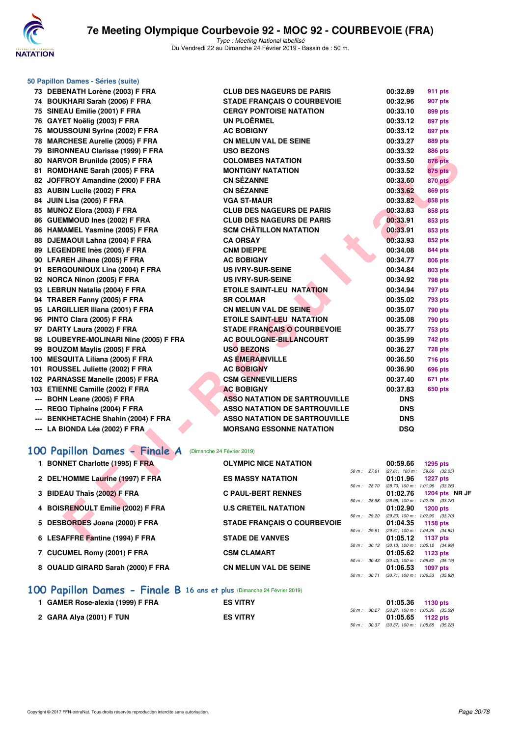

**50 Papillon Dames - Séries (suite)**

Type : Meeting National labellisé Du Vendredi 22 au Dimanche 24 Février 2019 - Bassin de : 50 m.

| 73 DEBENATH Lorène (2003) F FRA        | <b>CLUB DES NAGEURS DE PARIS</b>     |              | 00:32.89   | <b>911 pts</b>                                         |
|----------------------------------------|--------------------------------------|--------------|------------|--------------------------------------------------------|
| 74 BOUKHARI Sarah (2006) F FRA         | <b>STADE FRANÇAIS O COURBEVOIE</b>   |              | 00:32.96   | 907 pts                                                |
| 75 SINEAU Emilie (2001) F FRA          | <b>CERGY PONTOISE NATATION</b>       |              | 00:33.10   | 899 pts                                                |
| 76 GAYET Noëlig (2003) F FRA           | UN PLOËRMEL                          |              | 00:33.12   | 897 pts                                                |
| 76 MOUSSOUNI Syrine (2002) F FRA       | <b>AC BOBIGNY</b>                    |              | 00:33.12   | 897 pts                                                |
| 78 MARCHESE Aurelie (2005) F FRA       | <b>CN MELUN VAL DE SEINE</b>         |              | 00:33.27   | <b>889 pts</b>                                         |
| 79 BIRONNEAU Clarisse (1999) F FRA     | <b>USO BEZONS</b>                    |              | 00:33.32   | <b>886 pts</b>                                         |
| 80 NARVOR Brunilde (2005) F FRA        | <b>COLOMBES NATATION</b>             |              | 00:33.50   | <b>876 pts</b>                                         |
| 81 ROMDHANE Sarah (2005) F FRA         | <b>MONTIGNY NATATION</b>             |              | 00:33.52   | <b>875 pts</b>                                         |
| 82 JOFFROY Amandine (2000) F FRA       | <b>CN SÉZANNE</b>                    |              | 00:33.60   | <b>870 pts</b>                                         |
| 83 AUBIN Lucile (2002) F FRA           | <b>CN SÉZANNE</b>                    |              | 00:33.62   | <b>869 pts</b>                                         |
| 84 JUIN Lisa (2005) F FRA              | <b>VGA ST-MAUR</b>                   |              | 00:33.82   | <b>858 pts</b>                                         |
| 85 MUNOZ Elora (2003) F FRA            | <b>CLUB DES NAGEURS DE PARIS</b>     |              | 00:33.83   | 858 pts                                                |
| 86 GUEMMOUD Ines (2002) F FRA          | <b>CLUB DES NAGEURS DE PARIS</b>     |              | 00:33.91   | 853 pts                                                |
| 86 HAMAMEL Yasmine (2005) F FRA        | <b>SCM CHÂTILLON NATATION</b>        |              | 00:33.91   | 853 pts                                                |
| 88 DJEMAOUI Lahna (2004) F FRA         | <b>CA ORSAY</b>                      |              | 00:33.93   | 852 pts                                                |
| 89 LEGENDRE Inès (2005) F FRA          | <b>CNM DIEPPE</b>                    |              | 00:34.08   | 844 pts                                                |
| 90 LFAREH Jihane (2005) F FRA          | <b>AC BOBIGNY</b>                    |              | 00:34.77   | <b>806 pts</b>                                         |
| 91 BERGOUNIOUX Lina (2004) F FRA       | <b>US IVRY-SUR-SEINE</b>             |              | 00:34.84   | <b>803 pts</b>                                         |
| 92 NORCA Ninon (2005) F FRA            | <b>US IVRY-SUR-SEINE</b>             |              | 00:34.92   | <b>798 pts</b>                                         |
| 93 LEBRUN Natalia (2004) F FRA         | <b>ETOILE SAINT-LEU NATATION</b>     |              | 00:34.94   | 797 pts                                                |
| 94 TRABER Fanny (2005) F FRA           | <b>SR COLMAR</b>                     |              | 00:35.02   | 793 pts                                                |
| 95 LARGILLIER Iliana (2001) F FRA      | <b>CN MELUN VAL DE SEINE</b>         |              | 00:35.07   | 790 pts                                                |
| 96 PINTO Clara (2005) F FRA            | ETOILE SAINT-LEU NATATION            |              | 00:35.08   | 790 pts                                                |
| 97 DARTY Laura (2002) F FRA            | <b>STADE FRANÇAIS O COURBEVOIE</b>   |              | 00:35.77   | <b>753 pts</b>                                         |
| 98 LOUBEYRE-MOLINARI Nine (2005) F FRA | <b>AC BOULOGNE-BILLANCOURT</b>       |              | 00:35.99   | 742 pts                                                |
| 99 BOUZOM Maylis (2005) F FRA          | <b>USO BEZONS</b>                    |              | 00:36.27   | <b>728 pts</b>                                         |
| 100 MESQUITA Liliana (2005) F FRA      | <b>AS EMERAINVILLE</b>               |              | 00:36.50   | 716 pts                                                |
| 101 ROUSSEL Juliette (2002) F FRA      | <b>AC BOBIGNY</b>                    |              | 00:36.90   | <b>696 pts</b>                                         |
| 102 PARNASSE Manelle (2005) F FRA      | <b>CSM GENNEVILLIERS</b>             |              | 00:37.40   | 671 pts                                                |
| 103 ETIENNE Camille (2002) F FRA       | <b>AC BOBIGNY</b>                    |              | 00:37.83   | 650 pts                                                |
| --- BOHN Leane (2005) F FRA            | <b>ASSO NATATION DE SARTROUVILLE</b> |              | <b>DNS</b> |                                                        |
| --- REGO Tiphaine (2004) F FRA         | <b>ASSO NATATION DE SARTROUVILLE</b> |              | <b>DNS</b> |                                                        |
| --- BENKHETACHE Shahin (2004) F FRA    | <b>ASSO NATATION DE SARTROUVILLE</b> |              | <b>DNS</b> |                                                        |
| --- LA BIONDA Léa (2002) F FRA         | <b>MORSANG ESSONNE NATATION</b>      |              | <b>DSQ</b> |                                                        |
|                                        |                                      |              |            |                                                        |
| 100 Papillon Dames - Finale A          | (Dimanche 24 Février 2019)           |              |            |                                                        |
| 1 BONNET Charlotte (1995) F FRA        | <b>OLYMPIC NICE NATATION</b>         |              | 00:59.66   | <b>1295 pts</b>                                        |
|                                        |                                      | 50 m : 27.61 |            | $(27.61)$ 100 m : 59.66 $(32.05)$                      |
| 2 DEL'HOMME Laurine (1997) F FRA       | <b>ES MASSY NATATION</b>             | 50 m : 28.70 | 01:01.96   | <b>1227 pts</b><br>$(28.70)$ 100 m : 1:01.96 $(33.26)$ |
| 3 BIDEAU Thaïs (2002) F FRA            | <b>C PAUL-BERT RENNES</b>            |              | 01:02.76   | 1204 pts NR JF                                         |
|                                        |                                      | 50 m : 28.98 |            | (28.98) 100 m: 1:02.76 (33.78)                         |
| 4 BOISRENOULT Emilie (2002) F FRA      | <b>U.S CRETEIL NATATION</b>          | 50 m : 29.20 | 01:02.90   | <b>1200 pts</b><br>$(29.20)$ 100 m : 1:02.90 $(33.70)$ |
| 5 DESBORDES Joana (2000) F FRA         | <b>STADE FRANÇAIS O COURBEVOIE</b>   |              | 01:04.35   | 1158 pts                                               |
|                                        |                                      | 50 m : 29.51 |            | (29.51) 100 m: 1:04.35 (34.84)                         |
| 6 LESAFFRE Fantine (1994) F FRA        | <b>STADE DE VANVES</b>               |              | 01:05.12   | 1137 pts                                               |

### **[100 Papillon Dames - Finale A](http://www.ffnatation.fr/webffn/resultats.php?idact=nat&go=epr&idcpt=57703&idepr=32)** (Dimanche 24 Février 2019)

| <b>BONNET Charlotte (1995) F FRA</b><br>1. | <b>OLYMPIC NICE NATATION</b>       |                | 00:59.66                                     | 1295 pts        |               |  |
|--------------------------------------------|------------------------------------|----------------|----------------------------------------------|-----------------|---------------|--|
|                                            |                                    | $50 m$ : 27.61 | $(27.61)$ 100 m :                            |                 | 59.66 (32.05) |  |
| 2 DEL'HOMME Laurine (1997) F FRA           | <b>ES MASSY NATATION</b>           |                | 01:01.96                                     | <b>1227 pts</b> |               |  |
|                                            |                                    | 50 m: 28.70    | $(28.70)$ 100 m : 1:01.96 $(33.26)$          |                 |               |  |
| 3 BIDEAU Thaïs (2002) F FRA                | <b>C PAUL-BERT RENNES</b>          |                | 01:02.76                                     | 1204 pts NR JF  |               |  |
|                                            |                                    | 50 m: 28.98    | $(28.98)$ 100 m : 1:02.76 $(33.78)$          |                 |               |  |
| 4 BOISRENOULT Emilie (2002) F FRA          | <b>U.S CRETEIL NATATION</b>        |                | 01:02.90                                     | $1200$ pts      |               |  |
|                                            |                                    |                | 50 m: 29.20 (29.20) 100 m: 1:02.90 (33.70)   |                 |               |  |
| 5 DESBORDES Joana (2000) F FRA             | <b>STADE FRANCAIS O COURBEVOIE</b> |                | 01:04.35                                     | 1158 pts        |               |  |
|                                            |                                    | $50 m$ : 29.51 | $(29.51)$ 100 m : 1:04.35 $(34.84)$          |                 |               |  |
| 6 LESAFFRE Fantine (1994) F FRA            | <b>STADE DE VANVES</b>             |                | 01:05.12                                     | 1137 pts        |               |  |
|                                            |                                    |                | 50 m : 30.13 (30.13) 100 m : 1:05.12 (34.99) |                 |               |  |
| 7 CUCUMEL Romy (2001) F FRA                | <b>CSM CLAMART</b>                 |                | 01:05.62                                     | 1123 pts        |               |  |
|                                            |                                    | 50 m: 30.43    | $(30.43)$ 100 m : 1:05.62 $(35.19)$          |                 |               |  |
| 8 OUALID GIRARD Sarah (2000) F FRA         | <b>CN MELUN VAL DE SEINE</b>       |                | 01:06.53                                     | 1097 pts        |               |  |
|                                            |                                    | 50 m : 30.71   | $(30.71)$ 100 m : 1:06.53 $(35.82)$          |                 |               |  |

#### **[100 Papillon Dames - Finale B](http://www.ffnatation.fr/webffn/resultats.php?idact=nat&go=epr&idcpt=57703&idepr=32) 16 ans et plus** (Dimanche 24 Février 2019)

| <b>GAMER Rose-alexia (1999) F FRA</b> | <b>ES VITRY</b> | 01:05.36 1130 pts                                                   |  |
|---------------------------------------|-----------------|---------------------------------------------------------------------|--|
| 2 GARA Alya (2001) F TUN              | <b>ES VITRY</b> | 50 m : 30.27 (30.27) 100 m : 1:05.36 (35.09)<br>$01:05.65$ 1122 pts |  |
|                                       |                 | 50 m : 30.37 (30.37) 100 m : 1:05.65 (35.28)                        |  |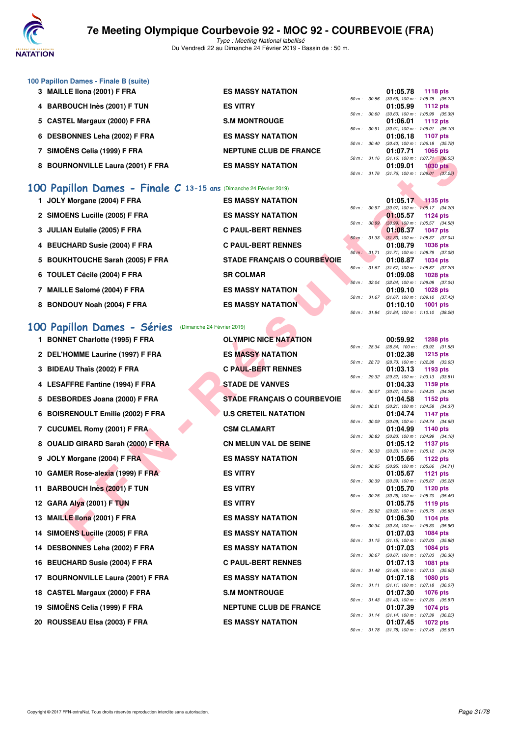

Type : Meeting National labellisé Du Vendredi 22 au Dimanche 24 Février 2019 - Bassin de : 50 m.

| 100 Papillon Dames - Finale B (suite)       |                               |                          |                                            |                 |  |
|---------------------------------------------|-------------------------------|--------------------------|--------------------------------------------|-----------------|--|
| <b>MAILLE Ilona (2001) F FRA</b><br>3       | <b>ES MASSY NATATION</b>      |                          | 01:05.78                                   | 1118 pts        |  |
|                                             |                               | 50 m: 30.56              | $(30.56)$ 100 m : 1:05.78 $(35.22)$        |                 |  |
| 4 BARBOUCH Inès (2001) F TUN                | <b>ES VITRY</b>               |                          | 01:05.99                                   | 1112 $pts$      |  |
|                                             |                               | 50 m: 30.60              | $(30.60)$ 100 m : 1:05.99 $(35.39)$        |                 |  |
| 5 CASTEL Margaux (2000) F FRA               | <b>S.M MONTROUGE</b>          |                          | 01:06.01                                   | 1112 $pts$      |  |
|                                             |                               | 50 m: 30.91              | $(30.91)$ 100 m : 1:06.01 $(35.10)$        |                 |  |
| 6 DESBONNES Leha (2002) F FRA               | <b>ES MASSY NATATION</b>      |                          | 01:06.18                                   | 1107 pts        |  |
|                                             |                               | $50 \text{ m}$ : $30.40$ | $(30.40)$ 100 m : 1:06.18 $(35.78)$        |                 |  |
| 7 SIMOËNS Celia (1999) F FRA                | <b>NEPTUNE CLUB DE FRANCE</b> |                          | 01:07.71                                   | 1065 pts        |  |
|                                             |                               |                          | 50 m: 31.16 (31.16) 100 m: 1:07.71 (36.55) |                 |  |
| <b>BOURNONVILLE Laura (2001) F FRA</b><br>8 | <b>ES MASSY NATATION</b>      |                          | 01:09.01                                   | <b>1030 pts</b> |  |
|                                             |                               | $50 m$ : $31.76$         | $(31.76)$ 100 m : 1:09.01 $(37.25)$        |                 |  |

### **[100 Papillon Dames - Finale C](http://www.ffnatation.fr/webffn/resultats.php?idact=nat&go=epr&idcpt=57703&idepr=32) 13-15 ans** (Dimanche 24 Février 2019)

| 1 JOLY Morgane (2004) F FRA      | <b>ES MASSY NATATION</b>           |                  |                  | 01:05.17                                   | <b>1135 pts</b> |  |
|----------------------------------|------------------------------------|------------------|------------------|--------------------------------------------|-----------------|--|
|                                  |                                    | 50 m : 30.97     |                  | $(30.97)$ 100 m : 1:05.17 $(34.20)$        |                 |  |
| 2 SIMOENS Lucille (2005) F FRA   | <b>ES MASSY NATATION</b>           |                  |                  | 01:05.57                                   | 1124 pts        |  |
|                                  |                                    | 50 m: 30.99      |                  | $(30.99)$ 100 m : 1:05.57 $(34.58)$        |                 |  |
| 3 JULIAN Eulalie (2005) F FRA    | <b>C PAUL-BERT RENNES</b>          |                  |                  | $01:08.37$ 1047 pts                        |                 |  |
|                                  |                                    |                  |                  | 50 m: 31.33 (31.33) 100 m: 1:08.37 (37.04) |                 |  |
| 4 BEUCHARD Susie (2004) F FRA    | <b>C PAUL-BERT RENNES</b>          |                  |                  | 01:08.79                                   | 1036 pts        |  |
|                                  |                                    | 50 m: 31.71      |                  | $(31.71)$ 100 m : 1:08.79 $(37.08)$        |                 |  |
| 5 BOUKHTOUCHE Sarah (2005) F FRA | <b>STADE FRANÇAIS O COURBEVOIE</b> |                  |                  | 01:08.87 1034 pts                          |                 |  |
|                                  |                                    |                  | $50 m$ : $31.67$ | $(31.67)$ 100 m : 1:08.87 $(37.20)$        |                 |  |
| 6 TOULET Cécile (2004) F FRA     | <b>SR COLMAR</b>                   |                  |                  | 01:09.08 1028 pts                          |                 |  |
|                                  |                                    | 50 m: 32.04      |                  | $(32.04)$ 100 m : 1:09.08 $(37.04)$        |                 |  |
| 7 MAILLE Salomé (2004) F FRA     | <b>ES MASSY NATATION</b>           |                  |                  | 01:09.10                                   | 1028 pts        |  |
|                                  |                                    | $50 m$ : $31.67$ |                  | $(31.67)$ 100 m : 1:09.10 $(37.43)$        |                 |  |
| 8 BONDOUY Noah (2004) F FRA      | <b>ES MASSY NATATION</b>           |                  |                  | 01:10.10                                   | 1001 pts        |  |
|                                  |                                    |                  |                  | 50 m: 31.84 (31.84) 100 m: 1:10.10 (38.26) |                 |  |

### **[100 Papillon Dames - Séries](http://www.ffnatation.fr/webffn/resultats.php?idact=nat&go=epr&idcpt=57703&idepr=32)** (Dimanche 24 Février 2019)

|    | <b>JIMOLINJ CEIIA (1999) F FRA</b>                                   | NEFTUNE CLUB DE FRANCE             |                  |              |                                                                                               | ່າ ບບວ µເວ      |  |
|----|----------------------------------------------------------------------|------------------------------------|------------------|--------------|-----------------------------------------------------------------------------------------------|-----------------|--|
|    | 8 BOURNONVILLE Laura (2001) F FRA                                    | <b>ES MASSY NATATION</b>           | 50 m: 31.76      |              | 50 m: 31.16 (31.16) 100 m: 1:07.71 (36.55)<br>01:09.01<br>$(31.76)$ 100 m : 1:09.01 $(37.25)$ | <b>1030 pts</b> |  |
|    | $100$ Papillon Dames - Finale C 13-15 ans (Dimanche 24 Février 2019) |                                    |                  |              |                                                                                               |                 |  |
|    | 1 JOLY Morgane (2004) F FRA                                          | <b>ES MASSY NATATION</b>           |                  |              | 01:05.17                                                                                      | <b>1135 pts</b> |  |
|    |                                                                      |                                    | 50 m: 30.97      |              | (30.97) 100 m: 1:05.17 (34.20)                                                                |                 |  |
|    | 2 SIMOENS Lucille (2005) F FRA                                       | <b>ES MASSY NATATION</b>           |                  |              | 01:05.57                                                                                      | 1124 pts        |  |
| 3  | JULIAN Eulalie (2005) F FRA                                          | <b>C PAUL-BERT RENNES</b>          | 50 m : 30.99     |              | $(30.99)$ 100 m : 1:05.57 $(34.58)$<br>01:08.37                                               | 1047 pts        |  |
|    | <b>BEUCHARD Susie (2004) F FRA</b>                                   | <b>C PAUL-BERT RENNES</b>          | 50 m: 31.33      |              | $(31.33)$ 100 m : 1:08.37 $(37.04)$<br>01:08.79                                               | <b>1036 pts</b> |  |
| 5  | <b>BOUKHTOUCHE Sarah (2005) F FRA</b>                                | STADE FRANÇAIS O COURBEVOIE        | 50 m : 31.71     |              | (31.71) 100 m: 1:08.79 (37.08)<br>01:08.87                                                    | <b>1034 pts</b> |  |
|    |                                                                      |                                    | 50 m: 31.67      |              | $(31.67)$ 100 m : 1:08.87 $(37.20)$                                                           |                 |  |
| 6  | <b>TOULET Cécile (2004) F FRA</b>                                    | <b>SR COLMAR</b>                   | 50 m: 32.04      |              | 01:09.08<br>(32.04) 100 m: 1:09.08 (37.04)                                                    | <b>1028 pts</b> |  |
|    | <b>MAILLE Salomé (2004) F FRA</b>                                    | <b>ES MASSY NATATION</b>           |                  |              | 01:09.10                                                                                      | 1028 pts        |  |
|    | 8 BONDOUY Noah (2004) F FRA                                          | <b>ES MASSY NATATION</b>           | $50 m$ : $31.67$ |              | $(31.67)$ 100 m : 1:09.10 $(37.43)$                                                           |                 |  |
|    |                                                                      |                                    |                  | 50 m : 31.84 | 01:10.10<br>$(31.84)$ 100 m : 1:10.10 $(38.26)$                                               | 1001 pts        |  |
|    | 100 Papillon Dames - Séries (Dimanche 24 Février 2019)               |                                    |                  |              |                                                                                               |                 |  |
|    |                                                                      |                                    |                  |              |                                                                                               |                 |  |
|    | 1 BONNET Charlotte (1995) F FRA                                      | <b>OLYMPIC NICE NATATION</b>       | 50 m : 28.34     |              | 00:59.92<br>(28.34) 100 m: 59.92 (31.58)                                                      | <b>1288 pts</b> |  |
|    | 2 DEL'HOMME Laurine (1997) F FRA                                     | <b>ES MASSY NATATION</b>           |                  |              | 01:02.38                                                                                      | <b>1215 pts</b> |  |
|    | 3 BIDEAU Thaïs (2002) F FRA                                          | <b>C PAUL-BERT RENNES</b>          | 50 m : 28.73     |              | (28.73) 100 m: 1:02.38 (33.65)<br>01:03.13                                                    | 1193 pts        |  |
|    |                                                                      |                                    | 50 m: 29.32      |              | (29.32) 100 m: 1:03.13 (33.81)                                                                |                 |  |
|    | 4 LESAFFRE Fantine (1994) F FRA                                      | <b>STADE DE VANVES</b>             |                  |              | 01:04.33                                                                                      | 1159 pts        |  |
| 5  | DESBORDES Joana (2000) F FRA                                         | <b>STADE FRANÇAIS O COURBEVOIE</b> | 50 m: 30.07      |              | (30.07) 100 m: 1:04.33 (34.26)<br>01:04.58                                                    | 1152 pts        |  |
|    |                                                                      |                                    | 50 m : 30.21     |              | (30.21) 100 m: 1:04.58 (34.37)                                                                |                 |  |
| 6  | <b>BOISRENOULT Emilie (2002) F FRA</b>                               | <b>U.S CRETEIL NATATION</b>        | 50 m : 30.09     |              | 01:04.74<br>(30.09) 100 m: 1:04.74 (34.65)                                                    | 1147 pts        |  |
|    | <b>CUCUMEL Romy (2001) F FRA</b>                                     | <b>CSM CLAMART</b>                 |                  |              | 01:04.99                                                                                      | 1140 pts        |  |
| 8  | <b>OUALID GIRARD Sarah (2000) F FRA</b>                              | <b>CN MELUN VAL DE SEINE</b>       | 50 m : 30.83     |              | $(30.83)$ 100 m : 1:04.99 $(34.16)$<br>01:05.12                                               | <b>1137 pts</b> |  |
|    |                                                                      |                                    | 50 m: 30.33      |              | (30.33) 100 m: 1:05.12 (34.79)                                                                |                 |  |
| 9  | JOLY Morgane (2004) F FRA                                            | <b>ES MASSY NATATION</b>           | 50 m: 30.95      |              | 01:05.66<br>(30.95) 100 m: 1:05.66 (34.71)                                                    | 1122 pts        |  |
|    | 10 GAMER Rose-alexia (1999) F FRA                                    | <b>ES VITRY</b>                    |                  |              | 01:05.67                                                                                      | <b>1121 pts</b> |  |
| 11 | <b>BARBOUCH Inès (2001) F TUN</b>                                    | <b>ES VITRY</b>                    | 50 m : 30.39     |              | (30.39) 100 m: 1:05.67 (35.28)                                                                | 1120 pts        |  |
|    |                                                                      |                                    | 50 m : 30.25     |              | 01:05.70<br>(30.25) 100 m: 1:05.70 (35.45)                                                    |                 |  |
|    | 12 GARA Alya (2001) F TUN                                            | <b>ES VITRY</b>                    |                  |              | 01:05.75                                                                                      | 1119 pts        |  |
| 13 | MAILLE llona (2001) F FRA                                            | <b>ES MASSY NATATION</b>           | 50 m: 29.92      |              | (29.92) 100 m: 1:05.75 (35.83)<br>01:06.30                                                    | 1104 pts        |  |
|    |                                                                      |                                    | 50 m : 30.34     |              | $(30.34)$ 100 m : 1:06.30 $(35.96)$                                                           |                 |  |
|    | 14 SIMOENS Lucille (2005) F FRA                                      | <b>ES MASSY NATATION</b>           |                  |              | 01:07.03<br>50 m: 31.15 (31.15) 100 m: 1:07.03 (35.88)                                        | 1084 pts        |  |
|    | 14 DESBONNES Leha (2002) F FRA                                       | <b>ES MASSY NATATION</b>           |                  |              | 01:07.03                                                                                      | <b>1084 pts</b> |  |
|    | 16 BEUCHARD Susie (2004) F FRA                                       | <b>C PAUL-BERT RENNES</b>          | 50 m: 30.67      |              | (30.67) 100 m: 1:07.03 (36.36)<br>01:07.13                                                    | 1081 pts        |  |
|    |                                                                      |                                    | 50 m: 31.48      |              | $(31.48)$ 100 m : 1:07.13 $(35.65)$                                                           |                 |  |
| 17 | <b>BOURNONVILLE Laura (2001) F FRA</b>                               | <b>ES MASSY NATATION</b>           |                  | 50 m : 31.11 | 01:07.18<br>$(31.11)$ 100 m : 1:07.18 $(36.07)$                                               | <b>1080 pts</b> |  |
| 18 | <b>CASTEL Margaux (2000) F FRA</b>                                   | <b>S.M MONTROUGE</b>               |                  |              | 01:07.30                                                                                      | 1076 pts        |  |
| 19 | SIMOËNS Celia (1999) F FRA                                           | <b>NEPTUNE CLUB DE FRANCE</b>      |                  | 50 m : 31.43 | $(31.43)$ 100 m : 1:07.30 $(35.87)$<br>01:07.39                                               | 1074 pts        |  |
|    |                                                                      |                                    |                  | 50 m : 31.14 | $(31.14)$ 100 m : 1:07.39 $(36.25)$                                                           |                 |  |
|    | 20 ROUSSEAU Elsa (2003) F FRA                                        | <b>ES MASSY NATATION</b>           |                  |              | 01:07.45                                                                                      | <b>1072 pts</b> |  |

|          |       | 00:59.92          | 1288 pts        |         |
|----------|-------|-------------------|-----------------|---------|
| $50 m$ : | 28.34 | $(28.34)$ 100 m : | 59.92           | (31.58) |
|          |       | 01:02.38          | <b>1215 pts</b> |         |
| $50 m$ : | 28.73 | $(28.73)$ 100 m : | 1:02.38         | (33.65) |
|          |       | 01:03.13          | 1193 pts        |         |
| $50 m$ : | 29.32 | $(29.32)$ 100 m : | 1:03.13         | (33.81) |
|          |       | 01:04.33          | 1159 pts        |         |
| $50 m$ : | 30.07 | $(30.07)$ 100 m : | 1:04.33         | (34.26) |
|          |       | 01:04.58          | 1152 pts        |         |
| $50 m$ : | 30.21 | $(30.21)$ 100 m : | 1:04.58         | (34.37) |
|          |       | 01:04.74          | <b>1147 pts</b> |         |
| $50 m$ : | 30.09 | $(30.09)$ 100 m : | 1:04.74         | (34.65) |
|          |       | 01:04.99          | 1140 pts        |         |
| $50 m$ : | 30.83 | $(30.83) 100 m$ : | 1:04.99         | (34.16) |
|          |       | 01:05.12          | 1137 pts        |         |
| $50 m$ : | 30.33 | $(30.33)$ 100 m : | 1:05.12         | (34.79) |
|          |       | 01:05.66          | 1122 pts        |         |
| $50 m$ : | 30.95 | $(30.95)$ 100 m : | 1:05.66         | (34.71) |
|          |       | 01:05.67          | 1121            | pts     |
| $50 m$ : | 30.39 | $(30.39)$ 100 m : | 1:05.67         | (35.28) |
|          |       | 01:05.70          | 1120 pts        |         |
| $50 m$ : | 30.25 | $(30.25)$ 100 m : | 1:05.70         | (35.45) |
|          |       | 01:05.75          | 1119 pts        |         |
| $50 m$ : | 29.92 | $(29.92)$ 100 m : | 1:05.75         | (35.83) |
|          |       | 01:06.30          | 1104 pts        |         |
| $50 m$ : | 30.34 | $(30.34) 100 m$ : | 1:06.30         | (35.96) |
|          |       | 01:07.03          | 1084 pts        |         |
| $50 m$ : | 31.15 | $(31.15) 100 m$ : | 1:07.03         | (35.88) |
|          |       | 01:07.03          | 1084 pts        |         |
| $50 m$ : | 30.67 | $(30.67)$ 100 m : | 1:07.03         | (36.36) |
|          |       | 01:07.13          | 1081            | pts     |
| $50 m$ : | 31.48 | $(31.48) 100 m$ : | 1:07.13         | (35.65) |
|          |       | 01:07.18          | 1080            | pts     |
| $50 m$ : | 31.11 | $(31.11)$ 100 m : | 1:07.18         | (36.07) |
|          |       | 01:07.30          | 1076            | pts     |
| $50 m$ : | 31.43 | $(31.43) 100 m$ : | 1:07.30         | (35.87) |
|          |       | 01:07.39          | 1074 pts        |         |
| $50 m$ : | 31.14 | $(31.14) 100 m$ : | 1:07.39         | (36.25) |
|          |       | 01:07.45          | 1072 pts        |         |
| $50 m$ : | 31.78 | $(31.78) 100 m$ : | 1:07.45         | (35.67) |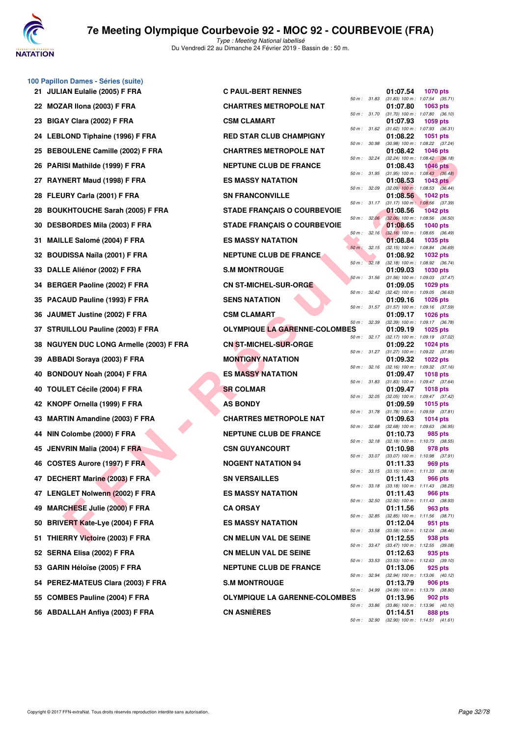

**100 Papillon Dames - Séries (suite)**

# **7e Meeting Olympique Courbevoie 92 - MOC 92 - COURBEVOIE (FRA)**

| <b>JULIAN Eulalie (2005) F FRA</b><br>21          | <b>C PAUL-BERT RENNES</b>            |                | 01:07.54<br><b>1070 pts</b>                                         |
|---------------------------------------------------|--------------------------------------|----------------|---------------------------------------------------------------------|
| MOZAR Ilona (2003) F FRA<br>22                    | <b>CHARTRES METROPOLE NAT</b>        | 50 m : 31.83   | $(31.83)$ 100 m : 1:07.54 $(35.71)$<br>01:07.80<br>1063 pts         |
| BIGAY Clara (2002) F FRA<br>23                    | <b>CSM CLAMART</b>                   | 50 m : 31.70   | $(31.70)$ 100 m : 1:07.80 $(36.10)$<br>01:07.93<br>1059 pts         |
| LEBLOND Tiphaine (1996) F FRA<br>24               | <b>RED STAR CLUB CHAMPIGNY</b>       | 50 m: 31.62    | $(31.62)$ 100 m : 1:07.93 $(36.31)$<br>01:08.22<br>1051 pts         |
| 25 BEBOULENE Camille (2002) F FRA                 | <b>CHARTRES METROPOLE NAT</b>        | 50 m : 30.98   | (30.98) 100 m: 1:08.22 (37.24)<br>01:08.42<br><b>1046 pts</b>       |
| PARISI Mathilde (1999) F FRA<br>26                | <b>NEPTUNE CLUB DE FRANCE</b>        | 50 m: 32.24    | (32.24) 100 m : 1:08.42 (36.18)<br>01:08.43<br><b>1046 pts</b>      |
| RAYNERT Maud (1998) F FRA<br>27                   | <b>ES MASSY NATATION</b>             | 50 m : 31.95   | $(31.95)$ 100 m : 1:08.43 $(36.48)$<br>01:08.53<br><b>1043 pts</b>  |
| FLEURY Carla (2001) F FRA<br>28                   | <b>SN FRANCONVILLE</b>               | 50 m : 32.09   | $(32.09)$ 100 m : 1:08.53 $(36.44)$<br>01:08.56<br><b>1042 pts</b>  |
| <b>BOUKHTOUCHE Sarah (2005) F FRA</b><br>28       | <b>STADE FRANÇAIS O COURBEVOIE</b>   | 50 m: 31.17    | $(31.17)$ 100 m : 1:08.56 $(37.39)$<br>01:08.56<br><b>1042 pts</b>  |
| <b>DESBORDES Mila (2003) F FRA</b><br>30          | <b>STADE FRANÇAIS O COURBEVOIE</b>   | 50 m: 32.06    | $(32.06)$ 100 m : 1:08.56 $(36.50)$<br>01:08.65<br>1040 pts         |
| <b>MAILLE Salomé (2004) F FRA</b><br>31           | <b>ES MASSY NATATION</b>             | 50 m: 32.16    | $(32.16)$ 100 m : 1:08.65 $(36.49)$<br>01:08.84<br>1035 pts         |
| <b>BOUDISSA Naïla (2001) F FRA</b><br>32          | <b>NEPTUNE CLUB DE FRANCE</b>        | $50 m$ : 32.15 | (32.15) 100 m: 1:08.84 (36.69)<br>01:08.92<br><b>1032 pts</b>       |
| DALLE Aliénor (2002) F FRA<br>33                  | <b>S.M MONTROUGE</b>                 | 50 m: 32.18    | $(32.18)$ 100 m : 1:08.92 $(36.74)$<br>01:09.03<br><b>1030 pts</b>  |
| <b>BERGER Paoline (2002) F FRA</b><br>34          | <b>CN ST-MICHEL-SUR-ORGE</b>         | 50 m: 31.56    | $(31.56)$ 100 m : 1:09.03 $(37.47)$<br>01:09.05<br>1029 pts         |
| PACAUD Pauline (1993) F FRA<br>35                 | <b>SENS NATATION</b>                 | 50 m: 32.42    | (32.42) 100 m: 1:09.05 (36.63)<br>01:09.16<br><b>1026 pts</b>       |
| JAUMET Justine (2002) F FRA<br>36                 | <b>CSM CLAMART</b>                   | 50 m : 31.57   | $(31.57)$ 100 m : 1:09.16 $(37.59)$<br>01:09.17<br><b>1026 pts</b>  |
| STRUILLOU Pauline (2003) F FRA<br>37              | <b>OLYMPIQUE LA GARENNE-COLOMBES</b> | 50 m : 32.39   | (32.39) 100 m: 1:09.17 (36.78)<br>01:09.19<br>1025 pts              |
| <b>NGUYEN DUC LONG Armelle (2003) F FRA</b><br>38 | <b>CN ST-MICHEL-SUR-ORGE</b>         | 50 m: 32.17    | (32.17) 100 m: 1:09.19 (37.02)<br>01:09.22<br>1024 pts              |
| <b>ABBADI Soraya (2003) F FRA</b><br>39           | <b>MONTIGNY NATATION</b>             | 50 m: 31.27    | $(31.27)$ 100 m : 1:09.22 $(37.95)$<br>01:09.32<br>1022 pts         |
| <b>BONDOUY Noah (2004) F FRA</b><br>40            | <b>ES MASSY NATATION</b>             | 50 m: 32.16    | $(32.16)$ 100 m : 1:09.32 $(37.16)$<br>01:09.47<br><b>1018 pts</b>  |
| <b>TOULET Cécile (2004) F FRA</b><br>40           | <b>SR COLMAR</b>                     | 50 m : 31.83   | $(31.83)$ 100 m : 1:09.47 $(37.64)$<br>01:09.47<br><b>1018 pts</b>  |
| KNOPF Ornella (1999) F FRA<br>42                  | <b>AS BONDY</b>                      | 50 m : 32.05   | (32.05) 100 m: 1:09.47 (37.42)<br>01:09.59<br>1015 pts              |
| <b>MARTIN Amandine (2003) F FRA</b><br>43         | <b>CHARTRES METROPOLE NAT</b>        | 50 m : 31.78   | $(31.78)$ 100 m : 1:09.59 $(37.81)$<br>01:09.63<br>1014 pts         |
| NIN Colombe (2000) F FRA<br>44                    | <b>NEPTUNE CLUB DE FRANCE</b>        | 50 m : 32.68   | $(32.68)$ 100 m : 1:09.63 $(36.95)$<br>01:10.73<br>985 pts          |
| JENVRIN Malia (2004) F FRA<br>45                  | <b>CSN GUYANCOURT</b>                | 50 m: 32.18    | (32.18) 100 m: 1:10.73 (38.55)<br>01:10.98<br>978 pts               |
| 46 COSTES Aurore (1997) F FRA                     | <b>NOGENT NATATION 94</b>            | 50 m: 33.07    | $(33.07)$ 100 m : 1:10.98 $(37.91)$<br>01:11.33<br>969 pts          |
| 47 DECHERT Marine (2003) F FRA                    | <b>SN VERSAILLES</b>                 | 50 m: 33.15    | $(33.15)$ 100 m : 1:11.33 $(38.18)$<br>01:11.43<br><b>966 pts</b>   |
| 47 LENGLET Nolwenn (2002) F FRA                   | <b>ES MASSY NATATION</b>             |                | 50 m: 33.18 (33.18) 100 m: 1:11.43 (38.25)<br>01:11.43<br>966 pts   |
| <b>MARCHESE Julie (2000) F FRA</b><br>49          | <b>CA ORSAY</b>                      |                | 50 m : 32.50 (32.50) 100 m : 1:11.43 (38.93)<br>01:11.56<br>963 pts |
| <b>BRIVERT Kate-Lye (2004) F FRA</b><br>50        | <b>ES MASSY NATATION</b>             | 50 m : 32.85   | $(32.85)$ 100 m : 1:11.56 $(38.71)$<br>01:12.04<br>951 pts          |
| THIERRY Victoire (2003) F FRA<br>51               | <b>CN MELUN VAL DE SEINE</b>         | 50 m : 33.58   | $(33.58)$ 100 m : 1:12.04 $(38.46)$<br>01:12.55<br>938 pts          |
| 52 SERNA Elisa (2002) F FRA                       | <b>CN MELUN VAL DE SEINE</b>         | 50 m : 33.47   | $(33.47)$ 100 m : 1:12.55 $(39.08)$<br>01:12.63<br>935 pts          |
| 53 GARIN Héloïse (2005) F FRA                     | <b>NEPTUNE CLUB DE FRANCE</b>        | 50 m : 33.53   | $(33.53)$ 100 m : 1:12.63 $(39.10)$<br>01:13.06<br><b>925 pts</b>   |
| 54 PEREZ-MATEUS Clara (2003) F FRA                | <b>S.M MONTROUGE</b>                 | 50 m : 32.94   | $(32.94)$ 100 m : 1:13.06 $(40.12)$<br>01:13.79<br>906 pts          |
| 55 COMBES Pauline (2004) F FRA                    | <b>OLYMPIQUE LA GARENNE-COLOMBES</b> | 50 m : 34.99   | $(34.99)$ 100 m : 1:13.79 $(38.80)$<br>01:13.96<br>902 pts          |
| 56 ABDALLAH Anfiya (2003) F FRA                   | <b>CN ASNIERES</b>                   | 50 m : 33.86   | $(33.86)$ 100 m : 1:13.96 $(40.10)$<br>01:14.51<br>888 pts          |
|                                                   |                                      | 50 m : 32.90   | $(32.90)$ 100 m : 1:14.51 $(41.61)$                                 |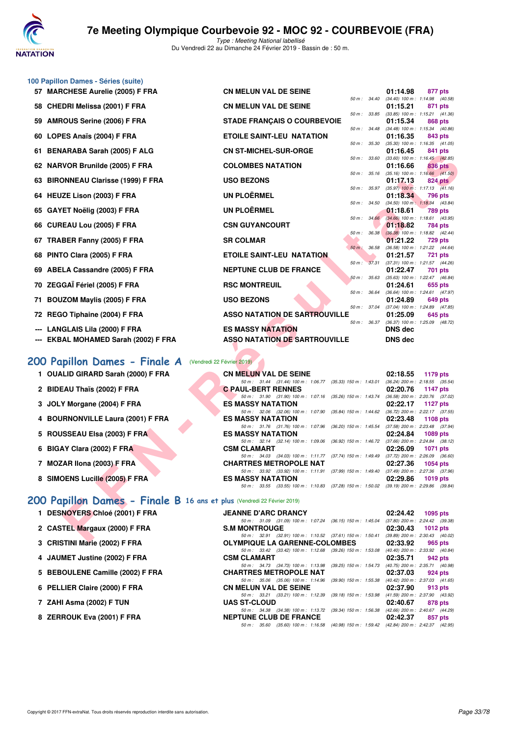

**100 Papillon Dames - Séries (suite)**

Type : Meeting National labellisé Du Vendredi 22 au Dimanche 24 Février 2019 - Bassin de : 50 m.

| 57   MARCHESE Aurelie (2005) F FRA                                     | <b>CN MELUN VAL DE SEINE</b>                                                                                              |              | 01:14.98                         | 877 pts                                                 |
|------------------------------------------------------------------------|---------------------------------------------------------------------------------------------------------------------------|--------------|----------------------------------|---------------------------------------------------------|
| 58 CHEDRI Melissa (2001) F FRA                                         | <b>CN MELUN VAL DE SEINE</b>                                                                                              | 50 m : 34.40 | 01:15.21                         | $(34.40)$ 100 m : 1:14.98 $(40.58)$<br>871 pts          |
| 59 AMROUS Serine (2006) F FRA                                          | <b>STADE FRANÇAIS O COURBEVOIE</b>                                                                                        | 50 m : 33.85 | 01:15.34                         | $(33.85)$ 100 m : 1:15.21 $(41.36)$<br>868 pts          |
| 60 LOPES Anaïs (2004) F FRA                                            | <b>ETOILE SAINT-LEU NATATION</b>                                                                                          | 50 m : 34.48 | 01:16.35                         | $(34.48)$ 100 m : 1:15.34 $(40.86)$<br>843 pts          |
| 61 BENARABA Sarah (2005) F ALG                                         | <b>CN ST-MICHEL-SUR-ORGE</b>                                                                                              | 50 m : 35.30 | 01:16.45                         | $(35.30)$ 100 m : 1:16.35 $(41.05)$<br>841 pts          |
|                                                                        |                                                                                                                           | 50 m : 33.60 |                                  | $(33.60)$ 100 m : 1:16.45 $(42.85)$                     |
| 62 NARVOR Brunilde (2005) F FRA                                        | <b>COLOMBES NATATION</b>                                                                                                  | 50 m : 35.16 | 01:16.66                         | 836 pts<br>$(35.16)$ 100 m : 1:16.66 $(41.50)$          |
| 63 BIRONNEAU Clarisse (1999) F FRA                                     | <b>USO BEZONS</b>                                                                                                         | 50 m : 35.97 | 01:17.13                         | 824 pts<br>$(35.97)$ 100 m : 1:17.13 $(41.16)$          |
| 64 HEUZE Lison (2003) F FRA                                            | UN PLOËRMEL                                                                                                               |              | 01:18.34                         | 796 pts                                                 |
| 65 GAYET Noëlig (2003) F FRA                                           | UN PLOËRMEL                                                                                                               | 50 m : 34.50 | 01:18.61                         | $(34.50)$ 100 m : 1:18.34 $(43.84)$<br>789 pts          |
| 66 CUREAU Lou (2005) F FRA                                             | <b>CSN GUYANCOURT</b>                                                                                                     |              | 01:18.82                         | 50 m : 34.66 (34.66) 100 m : 1:18.61 (43.95)<br>784 pts |
| 67 TRABER Fanny (2005) F FRA                                           | <b>SR COLMAR</b>                                                                                                          | 50 m : 36.38 | 01:21.22                         | $(36.38)$ 100 m : 1:18.82 $(42.44)$<br><b>729 pts</b>   |
|                                                                        |                                                                                                                           | 50 m: 36.58  |                                  | (36.58) 100 m: 1:21.22 (44.64)                          |
| 68 PINTO Clara (2005) F FRA                                            | <b>ETOILE SAINT-LEU NATATION</b>                                                                                          | 50 m: 37.31  | 01:21.57                         | <b>721 pts</b><br>$(37.31)$ 100 m : 1:21.57 $(44.26)$   |
| 69 ABELA Cassandre (2005) F FRA                                        | <b>NEPTUNE CLUB DE FRANCE</b>                                                                                             |              | 01:22.47                         | 701 pts                                                 |
| 70 ZEGGAÏ Fériel (2005) F FRA                                          | <b>RSC MONTREUIL</b>                                                                                                      | 50 m : 35.63 | 01:24.61                         | $(35.63)$ 100 m : 1:22.47 $(46.84)$<br>655 pts          |
| 71 BOUZOM Maylis (2005) F FRA                                          | <b>USO BEZONS</b>                                                                                                         | 50 m : 36.64 | 01:24.89                         | (36.64) 100 m: 1:24.61 (47.97)<br>649 pts               |
|                                                                        | <b>ASSO NATATION DE SARTROUVILLE</b>                                                                                      | 50 m : 37.04 | 01:25.09                         | $(37.04)$ 100 m : 1:24.89 $(47.85)$                     |
| 72 REGO Tiphaine (2004) F FRA                                          |                                                                                                                           | 50 m : 36.37 |                                  | 645 pts<br>$(36.37)$ 100 m : 1:25.09 $(48.72)$          |
| --- LANGLAIS Lila (2000) F FRA<br>--- EKBAL MOHAMED Sarah (2002) F FRA | <b>ES MASSY NATATION</b><br><b>ASSO NATATION DE SARTROUVILLE</b>                                                          |              | <b>DNS dec</b><br><b>DNS</b> dec |                                                         |
|                                                                        |                                                                                                                           |              |                                  |                                                         |
| 00 Papillon Dames - Finale A                                           | (Vendredi 22 Février 2019)                                                                                                |              |                                  |                                                         |
| 1 OUALID GIRARD Sarah (2000) F FRA                                     | <b>CN MELUN VAL DE SEINE</b>                                                                                              |              | 02:18.55                         | 1179 pts                                                |
| 2 BIDEAU Thaïs (2002) F FRA                                            | 50 m: 31.44 (31.44) 100 m: 1:06.77 (35.33) 150 m: 1:43.01 (36.24) 200 m: 2:18.55 (35.54)<br><b>C PAUL-BERT RENNES</b>     |              | 02:20.76                         | 1147 pts                                                |
|                                                                        | 50 m: 31.90 (31.90) 100 m: 1:07.16<br>(35.26) 150 m : 1:43.74                                                             |              |                                  | (36.58) 200 m : 2:20.76 (37.02)                         |
| 3 JOLY Morgane (2004) F FRA                                            | <b>ES MASSY NATATION</b><br>50 m: 32.06 (32.06) 100 m: 1:07.90 (35.84) 150 m: 1:44.62 (36.72) 200 m: 2:22.17 (37.55)      |              | 02:22.17                         | <b>1127 pts</b>                                         |
| 4 BOURNONVILLE Laura (2001) F FRA                                      | <b>ES MASSY NATATION</b>                                                                                                  |              | 02:23.48                         | <b>1108 pts</b>                                         |
| 5 ROUSSEAU Elsa (2003) F FRA                                           | 50 m: 31.76 (31.76) 100 m: 1:07.96<br>$(36.20)$ 150 m : 1:45.54<br><b>ES MASSY NATATION</b>                               |              | 02:24.84                         | (37.58) 200 m : 2:23.48 (37.94)<br>1089 pts             |
|                                                                        | 50 m: 32.14 (32.14) 100 m: 1:09.06                                                                                        |              |                                  | (36.92) 150 m : 1:46.72 (37.66) 200 m : 2:24.84 (38.12) |
| 6 BIGAY Clara (2002) F FRA                                             | <b>CSM CLAMART</b>                                                                                                        |              | 02:26.09                         | 1071 pts                                                |
| 7 MOZAR Ilona (2003) F FRA                                             | 50 m: 34.03 (34.03) 100 m: 1:11.77 (37.74) 150 m: 1:49.49 (37.72) 200 m: 2:26.09 (36.60)<br><b>CHARTRES METROPOLE NAT</b> |              | 02:27.36                         | 1054 pts                                                |
|                                                                        | 50 m: 33.92 (33.92) 100 m: 1:11.91 (37.99) 150 m: 1:49.40 (37.49) 200 m: 2:27.36 (37.96)                                  |              |                                  |                                                         |
|                                                                        |                                                                                                                           |              |                                  |                                                         |
| 8 SIMOENS Lucille (2005) F FRA                                         | <b>ES MASSY NATATION</b><br>50 m: 33.55 (33.55) 100 m: 1:10.83 (37.28) 150 m: 1:50.02 (39.19) 200 m: 2:29.86 (39.84)      |              | 02:29.86                         | 1019 pts                                                |
|                                                                        |                                                                                                                           |              |                                  |                                                         |
| 00 Papillon Dames - Finale B 16 ans et plus (Vendredi 22 Février 2019) |                                                                                                                           |              |                                  |                                                         |
| 1 DESNOYERS Chloé (2001) F FRA                                         | <b>JEANNE D'ARC DRANCY</b><br>50 m: 31.09 (31.09) 100 m: 1:07.24 (36.15) 150 m: 1:45.04 (37.80) 200 m: 2:24.42 (39.38)    |              | 02:24.42                         | 1095 pts                                                |
| 2 CASTEL Margaux (2000) F FRA                                          | <b>S.M MONTROUGE</b><br>50 m: 32.91 (32.91) 100 m: 1:10.52 (37.61) 150 m: 1:50.41 (39.89) 200 m: 2:30.43 (40.02)          |              | 02:30.43                         | 1012 pts                                                |

#### **[200 Papillon Dames - Finale A](http://www.ffnatation.fr/webffn/resultats.php?idact=nat&go=epr&idcpt=57703&idepr=33)** (Vendredi 22 Février 2019)

- **1 OUALID GIRARD Sarah (2000) F FRA CN MELUN VAL DE SEINE 02:18.55 1179 pts**
- 2 BIDEAU Thaïs (2002) F FRA **C PAUL-BERT RENNES**
- **3 JOLY Morgane (2004) F FRA ES MASSY NATATION 02:22.17**
- **4 BOURNONVILLE Laura (2001) F FRA** ES MASSY NATATION **02:23.48 1108 pts**<br> **ES MASSY NATATION 1.07.96** (36.20) 150 m; 1.45.54 (37.58) 200 m; 2.23.48 (37.94)
- **5 ROUSSEAU Elsa (2003) F FRA ES MASSY NATATION 02:24.84 1089 pts**
- **6 BIGAY Clara (2002) F FRA CSM CLAMART 02:26.09**
- **7 MOZAR Ilona (2003) F FRA CHARTRES METROPOLE NAT 02:27.36 1054 pts**
- **8 SIMOENS Lucille (2005) F FRA ES MASSY NATATION 02:29.86 1019 pts**

### **[200 Papillon Dames - Finale B](http://www.ffnatation.fr/webffn/resultats.php?idact=nat&go=epr&idcpt=57703&idepr=33) 16 ans et plus** (Vendredi 22 Février 2019)

- **1 DESNOYERS Chloé (2001) F FRA**
- 2 CASTEL Margaux (2000) F FRA
- **3 CRISTINI Marie (2002) F FRA**
- **4 JAUMET Justine (2002) F FRA**
- **5 BEBOULENE Camille (2002) F FRA**
- **6 PELLIER Claire (2000) F FRA**
- 7 ZAHI Asma (2002) **F TUN**
- **8 ZERROUK Eva (2001) F FRA**

| <b>JEANNE D'ARC DRANCY</b>    |                                                                                          |  | 02:24.42 1095 pts                   |  |
|-------------------------------|------------------------------------------------------------------------------------------|--|-------------------------------------|--|
|                               | 50 m: 31.09 (31.09) 100 m: 1:07.24 (36.15) 150 m: 1:45.04                                |  | $(37.80)$ 200 m : 2:24.42 $(39.38)$ |  |
| S.M MONTROUGE                 |                                                                                          |  | 02:30.43 1012 pts                   |  |
|                               | 50 m: 32.91 (32.91) 100 m: 1:10.52 (37.61) 150 m: 1:50.41                                |  | (39.89) 200 m : 2:30.43 (40.02)     |  |
| OLYMPIQUE LA GARENNE-COLOMBES |                                                                                          |  | 02:33.92 965 pts                    |  |
|                               | 50 m : 33.42 (33.42) 100 m : 1:12.68 (39.26) 150 m : 1:53.08                             |  | (40.40) 200 m : 2:33.92 (40.84)     |  |
| CSM CLAMART                   |                                                                                          |  | 02:35.71 942 pts                    |  |
|                               | 50 m: 34.73 (34.73) 100 m: 1:13.98 (39.25) 150 m: 1:54.73 (40.75) 200 m: 2:35.71 (40.98) |  |                                     |  |
| <b>CHARTRES METROPOLE NAT</b> |                                                                                          |  | 02:37.03 924 pts                    |  |
|                               | 50 m: 35.06 (35.06) 100 m: 1:14.96 (39.90) 150 m: 1:55.38 (40.42) 200 m: 2:37.03 (41.65) |  |                                     |  |
| <b>CN MELUN VAL DE SEINE</b>  |                                                                                          |  | 02:37.90 913 pts                    |  |
|                               | 50 m: 33.21 (33.21) 100 m: 1:12.39 (39.18) 150 m: 1:53.98 (41.59) 200 m: 2:37.90 (43.92) |  |                                     |  |
| <b>UAS ST-CLOUD</b>           |                                                                                          |  | 02:40.67 878 pts                    |  |
|                               | 50 m: 34.38 (34.38) 100 m: 1:13.72 (39.34) 150 m: 1:56.38 (42.66) 200 m: 2:40.67 (44.29) |  |                                     |  |
| <b>NEPTUNE CLUB DE FRANCE</b> |                                                                                          |  | $02:42.37$ 857 pts                  |  |
|                               | 50 m: 35.60 (35.60) 100 m: 1:16.58 (40.98) 150 m: 1:59.42 (42.84) 200 m: 2:42.37 (42.95) |  |                                     |  |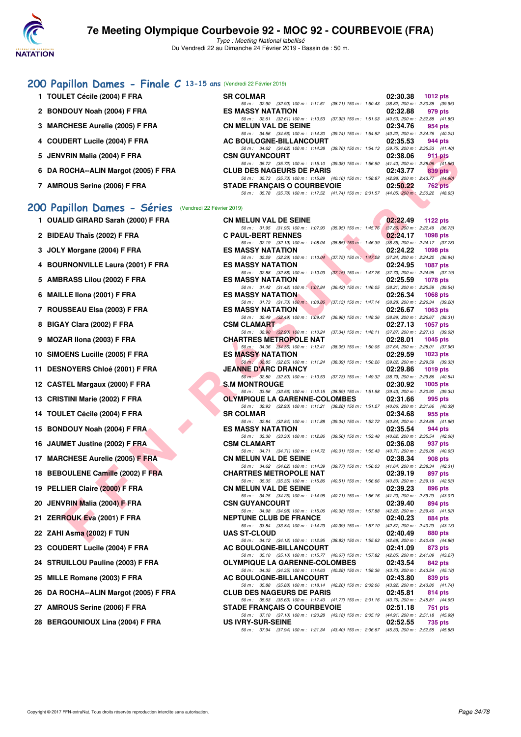

Type : Meeting National labellisé Du Vendredi 22 au Dimanche 24 Février 2019 - Bassin de : 50 m.

### **[200 Papillon Dames - Finale C](http://www.ffnatation.fr/webffn/resultats.php?idact=nat&go=epr&idcpt=57703&idepr=33) 13-15 ans** (Vendredi 22 Février 2019)

| 1 TOULET Cécile (2004) F FRA         | <b>SR COLMAR</b>                                                                         | 02:30.38 | 1012 $pts$                          |
|--------------------------------------|------------------------------------------------------------------------------------------|----------|-------------------------------------|
|                                      | (38.71) 150 m : 1:50.43<br>50 m: 32.90 (32.90) 100 m: 1:11.61                            |          | $(38.82)$ 200 m : 2:30.38 $(39.95)$ |
| 2 BONDOUY Noah (2004) F FRA          | <b>ES MASSY NATATION</b>                                                                 | 02:32.88 | 979 pts                             |
|                                      | 50 m: 32.61 (32.61) 100 m: 1:10.53 (37.92) 150 m: 1:51.03                                |          | $(40.50)$ 200 m : 2:32.88 $(41.85)$ |
| 3 MARCHESE Aurelie (2005) F FRA      | <b>CN MELUN VAL DE SEINE</b>                                                             | 02:34.76 | 954 pts                             |
|                                      | 50 m: 34.56 (34.56) 100 m: 1:14.30 (39.74) 150 m: 1:54.52                                |          | (40.22) 200 m : 2:34.76 (40.24)     |
| 4 COUDERT Lucile (2004) F FRA        | AC BOULOGNE-BILLANCOURT                                                                  | 02:35.53 | 944 pts                             |
|                                      | $(39.76)$ 150 m : 1:54.13<br>50 m: 34.62 (34.62) 100 m: 1:14.38                          |          | $(39.75)$ 200 m : 2:35.53 $(41.40)$ |
| 5 JENVRIN Malia (2004) F FRA         | <b>CSN GUYANCOURT</b>                                                                    | 02:38.06 | 911 pts                             |
|                                      | 50 m : 35.72 (35.72) 100 m : 1:15.10 (39.38) 150 m : 1:56.50                             |          | $(41.40)$ 200 m : 2:38.06 $(41.56)$ |
| 6 DA ROCHA--ALIN Margot (2005) F FRA | <b>CLUB DES NAGEURS DE PARIS</b>                                                         | 02:43.77 | 839 pts                             |
|                                      | 50 m : 35.73 (35.73) 100 m : 1:15.89 (40.16) 150 m : 1:58.87                             |          | (42.98) 200 m : 2:43.77 (44.90)     |
| 7 AMROUS Serine (2006) F FRA         | <b>STADE FRANCAIS O COURBEVOIE</b>                                                       | 02:50.22 | <b>762 pts</b>                      |
|                                      | 50 m: 35.78 (35.78) 100 m: 1:17.52 (41.74) 150 m: 2:01.57 (44.05) 200 m: 2:50.22 (48.65) |          |                                     |

### [200 Papillon Dames - Séries](http://www.ffnatation.fr/webffn/resultats.php?idact=nat&go=epr&idcpt=57703&idepr=33) (Vendredi 22 Février 2019)

|    | 5 JENVRIN Malia (2004) F FRA                              | <b>CSN GUYANCOURT</b>                                                                                                                                                                                                    | 02:38.06<br>911 pts                                                |
|----|-----------------------------------------------------------|--------------------------------------------------------------------------------------------------------------------------------------------------------------------------------------------------------------------------|--------------------------------------------------------------------|
|    | 6 DA ROCHA--ALIN Margot (2005) F FRA                      | 50 m: 35.72 (35.72) 100 m: 1:15.10 (39.38) 150 m: 1:56.50 (41.40) 200 m: 2:38.06 (41.56)<br><b>CLUB DES NAGEURS DE PARIS</b><br>50 m: 35.73 (35.73) 100 m: 1:15.89 (40.16) 150 m: 1:58.87 (42.98) 200 m: 2:43.77 (44.90) | 02:43.77<br>839 pts                                                |
|    | 7 AMROUS Serine (2006) F FRA                              | <b>STADE FRANÇAIS O COURBEVOIE</b><br>50 m: 35.78 (35.78) 100 m: 1:17.52 (41.74) 150 m: 2:01.57 (44.05) 200 m: 2:50.22 (48.65)                                                                                           | 02:50.22<br><b>762 pts</b>                                         |
|    | 200 Papillon Dames - Séries<br>(Vendredi 22 Février 2019) |                                                                                                                                                                                                                          |                                                                    |
|    | 1 OUALID GIRARD Sarah (2000) F FRA                        | <b>CN MELUN VAL DE SEINE</b>                                                                                                                                                                                             | 02:22.49<br>1122 $pts$                                             |
|    | 2 BIDEAU Thaïs (2002) F FRA                               | 50 m: 31.95 (31.95) 100 m: 1:07.90 (35.95) 150 m: 1:45.76 (37.86) 200 m: 2:22.49 (36.73)<br><b>C PAUL-BERT RENNES</b>                                                                                                    | 02:24.17<br><b>1098 pts</b>                                        |
|    | 3 JOLY Morgane (2004) F FRA                               | 50 m: 32.19 (32.19) 100 m: 1:08.04 (35.85) 150 m: 1:46.39<br><b>ES MASSY NATATION</b>                                                                                                                                    | $(38.35)$ 200 m : 2:24.17 $(37.78)$<br>02:24.22<br><b>1098 pts</b> |
|    | 4 BOURNONVILLE Laura (2001) F FRA                         | 50 m: 32.29 (32.29) 100 m: 1:10.04 (37.75) 150 m: 1:47.28 (37.24) 200 m: 2:24.22 (36.94)<br><b>ES MASSY NATATION</b>                                                                                                     | 02:24.95<br><b>1087 pts</b>                                        |
|    |                                                           | 50 m: 32.88 (32.88) 100 m: 1:10.03 (37.15) 150 m: 1:47.76 (37.73) 200 m: 2:24.95 (37.19)                                                                                                                                 |                                                                    |
|    | 5 AMBRASS Lilou (2002) F FRA                              | <b>ES MASSY NATATION</b><br>50 m : 31.42 (31.42) 100 m : 1:07.84 (36.42) 150 m : 1:46.05                                                                                                                                 | 02:25.59<br><b>1078 pts</b><br>$(38.21)$ 200 m : 2:25.59 $(39.54)$ |
|    | 6 MAILLE IIona (2001) F FRA                               | <b>ES MASSY NATATION</b><br>50 m: 31.73 (31.73) 100 m: 1:08.86 (37.13) 150 m: 1:47.14 (38.28) 200 m: 2:26.34 (39.20)                                                                                                     | 02:26.34<br><b>1068 pts</b>                                        |
|    | 7 ROUSSEAU Elsa (2003) F FRA                              | <b>ES MASSY NATATION</b>                                                                                                                                                                                                 | 02:26.67<br>1063 pts                                               |
|    | 8 BIGAY Clara (2002) F FRA                                | 50 m: 32.49 (32.49) 100 m: 1:09.47 (36.98) 150 m: 1:48.36 (38.89) 200 m: 2:26.67 (38.31)<br><b>CSM CLAMART</b>                                                                                                           | 02:27.13<br><b>1057 pts</b>                                        |
| 9  | MOZAR IIona (2003) F FRA                                  | 50 m: 32.90 (32.90) 100 m: 1:10.24 (37.34) 150 m: 1:48.11 (37.87) 200 m: 2:27.13 (39.02)<br><b>CHARTRES METROPOLE NAT</b>                                                                                                | 02:28.01<br>1045 pts                                               |
|    |                                                           | 50 m: 34.36 (34.36) 100 m: 1:12.41 (38.05) 150 m: 1:50.05 (37.64) 200 m: 2:28.01 (37.96)                                                                                                                                 |                                                                    |
|    | 10 SIMOENS Lucille (2005) F FRA                           | <b>ES MASSY NATATION</b><br>50 m : 32.85 (32.85) 100 m : 1:11.24 (38.39) 150 m : 1:50.26 (39.02) 200 m : 2:29.59 (39.33)                                                                                                 | 02:29.59<br><b>1023 pts</b>                                        |
|    | 11 DESNOYERS Chloé (2001) F FRA                           | <b>JEANNE D'ARC DRANCY</b><br>50 m · 32.80 (32.80) 100 m · 1:10.53 (37.73) 150 m · 1:49.32 (38.79) 200 m · 2:29.86 (40.54)                                                                                               | 02:29.86<br>1019 pts                                               |
|    | 12 CASTEL Margaux (2000) F FRA                            | <b>S.M MONTROUGE</b>                                                                                                                                                                                                     | 02:30.92<br>1005 pts                                               |
|    | 13 CRISTINI Marie (2002) F FRA                            | 50 m: 33.56 (33.56) 100 m: 1:12.15 (38.59) 150 m: 1:51.58 (39.43) 200 m: 2:30.92 (39.34)<br><b>OLYMPIQUE LA GARENNE-COLOMBES</b>                                                                                         | 02:31.66<br>995 pts                                                |
|    | 14 TOULET Cécile (2004) F FRA                             | 50 m: 32.93 (32.93) 100 m: 1:11.21 (38.28) 150 m: 1:51.27 (40.06) 200 m: 2:31.66 (40.39)<br><b>SR COLMAR</b>                                                                                                             | 02:34.68<br>955 pts                                                |
|    | 15 BONDOUY Noah (2004) F FRA                              | 50 m: 32.84 (32.84) 100 m: 1:11.88 (39.04) 150 m: 1:52.72 (40.84) 200 m: 2:34.68 (41.96)<br><b>ES MASSY NATATION</b>                                                                                                     | 02:35.54                                                           |
|    |                                                           | 50 m: 33.30 (33.30) 100 m: 1:12.86 (39.56) 150 m: 1:53.48 (40.62) 200 m: 2:35.54 (42.06)                                                                                                                                 | 944 pts                                                            |
|    | 16 JAUMET Justine (2002) F FRA                            | <b>CSM CLAMART</b><br>50 m: 34.71 (34.71) 100 m: 1:14.72 (40.01) 150 m: 1:55.43 (40.71) 200 m: 2:36.08 (40.65)                                                                                                           | 02:36.08<br>937 pts                                                |
|    | 17 MARCHESE Aurelie (2005) F FRA                          | <b>CN MELUN VAL DE SEINE</b>                                                                                                                                                                                             | 02:38.34<br>908 pts                                                |
|    | 18 BEBOULENE Camille (2002) F FRA                         | 50 m : 34.62 (34.62) 100 m : 1:14.39 (39.77) 150 m : 1:56.03<br><b>CHARTRES METROPOLE NAT</b>                                                                                                                            | $(41.64)$ 200 m : 2:38.34 $(42.31)$<br>02:39.19<br>897 pts         |
|    | 19 PELLIER Claire (2000) F FRA                            | 50 m: 35.35 (35.35) 100 m: 1:15.86 (40.51) 150 m: 1:56.66 (40.80) 200 m: 2:39.19 (42.53)<br><b>CN MELUN VAL DE SEINE</b>                                                                                                 | 02:39.23<br>896 pts                                                |
|    |                                                           | 50 m: 34.25 (34.25) 100 m: 1:14.96 (40.71) 150 m: 1:56.16 (41.20) 200 m: 2:39.23 (43.07)                                                                                                                                 |                                                                    |
|    | 20 JENVRIN Malia (2004) F FRA                             | <b>CSN GUYANCOURT</b><br>50 m: 34.98 (34.98) 100 m: 1:15.06 (40.08) 150 m: 1:57.88 (42.82) 200 m: 2:39.40 (41.52)                                                                                                        | 02:39.40<br>894 pts                                                |
|    | 21 ZERROUK Eva (2001) F FRA                               | <b>NEPTUNE CLUB DE FRANCE</b><br>50 m: 33.84 (33.84) 100 m: 1:14.23 (40.39) 150 m: 1:57.10 (42.87) 200 m: 2:40.23 (43.13)                                                                                                | 02:40.23<br>884 pts                                                |
|    | 22 ZAHI Asma (2002) F TUN                                 | <b>UAS ST-CLOUD</b>                                                                                                                                                                                                      | 02:40.49<br>880 pts                                                |
|    | 23 COUDERT Lucile (2004) F FRA                            | 50 m: 34.12 (34.12) 100 m: 1:12.95 (38.83) 150 m: 1:55.63 (42.68) 200 m: 2:40.49 (44.86)<br><b>AC BOULOGNE-BILLANCOURT</b>                                                                                               | 02:41.09<br>873 pts                                                |
|    | 24 STRUILLOU Pauline (2003) F FRA                         | 50 m: 35.10 (35.10) 100 m: 1:15.77 (40.67) 150 m: 1:57.82<br><b>OLYMPIQUE LA GARENNE-COLOMBES</b>                                                                                                                        | (42.05) 200 m : 2:41.09 (43.27)<br>02:43.54<br>842 pts             |
|    |                                                           | 50 m : 34.35 (34.35) 100 m : 1:14.63 (40.28) 150 m : 1:58.36                                                                                                                                                             | (43.73) 200 m : 2:43.54 (45.18)                                    |
|    | 25 MILLE Romane (2003) F FRA                              | AC BOULOGNE-BILLANCOURT<br>50 m: 35.88 (35.88) 100 m: 1:18.14 (42.26) 150 m: 2:02.06                                                                                                                                     | 02:43.80<br>839 pts<br>(43.92) 200 m : 2:43.80 (41.74)             |
| 26 | DA ROCHA--ALIN Margot (2005) F FRA                        | <b>CLUB DES NAGEURS DE PARIS</b>                                                                                                                                                                                         | 02:45.81<br>814 pts                                                |
| 27 | <b>AMROUS Serine (2006) F FRA</b>                         | 50 m : 35.63 (35.63) 100 m : 1:17.40 (41.77) 150 m : 2:01.16<br><b>STADE FRANÇAIS O COURBEVOIE</b>                                                                                                                       | $(43.76)$ 200 m : 2:45.81 $(44.65)$<br>02:51.18<br>751 pts         |
|    | 28 BERGOUNIOUX Lina (2004) F FRA                          | 50 m: 37.10 (37.10) 100 m: 1:20.28 (43.18) 150 m: 2:05.19 (44.91) 200 m: 2:51.18 (45.99)<br><b>US IVRY-SUR-SEINE</b>                                                                                                     | 02:52.55<br>735 pts                                                |
|    |                                                           | 50 m: 37.94 (37.94) 100 m: 1:21.34 (43.40) 150 m: 2:06.67                                                                                                                                                                | (45.33) 200 m : 2:52.55 (45.88)                                    |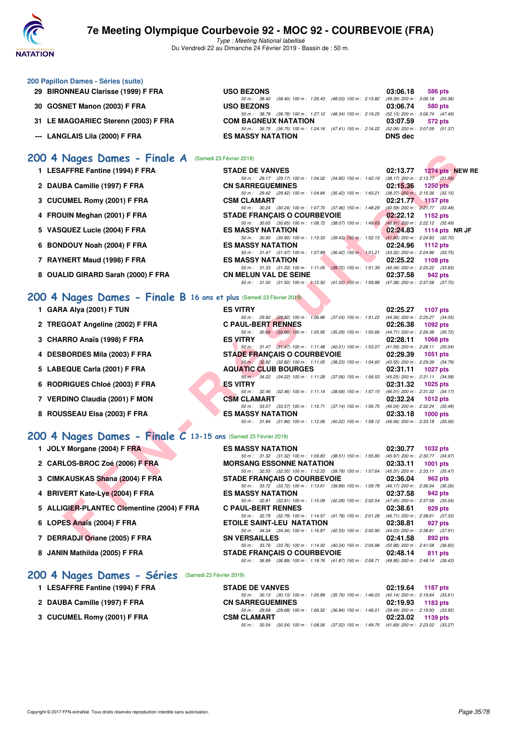

Type : Meeting National labellisé Du Vendredi 22 au Dimanche 24 Février 2019 - Bassin de : 50 m.

| 200 Papillon Dames - Séries (suite)  |                                                                                              |          |                                     |
|--------------------------------------|----------------------------------------------------------------------------------------------|----------|-------------------------------------|
| 29 BIRONNEAU Clarisse (1999) F FRA   | <b>USO BEZONS</b>                                                                            | 03:06.18 | 586 pts                             |
|                                      | 50 m : 38.40 (38.40) 100 m : 1:26.43 (48.03) 150 m : 2:15.82 (49.39) 200 m : 3:06.18 (50.36) |          |                                     |
| 30 GOSNET Manon (2003) F FRA         | <b>USO BEZONS</b>                                                                            | 03:06.74 | 580 pts                             |
|                                      | 50 m: 38.78 (38.78) 100 m: 1:27.12 (48.34) 150 m: 2:19.25 (52.13) 200 m: 3:06.74 (47.49)     |          |                                     |
| 31 LE MAGOARIEC Sterenn (2003) F FRA | <b>COM BAGNEUX NATATION</b>                                                                  | 03:07.59 | 572 pts                             |
|                                      | 50 m: 36.75 (36.75) 100 m: 1:24.16 (47.41) 150 m: 2:16.22                                    |          | $(52.06)$ 200 m : 3:07.59 $(51.37)$ |
| --- LANGLAIS Lila (2000) F FRA       | <b>ES MASSY NATATION</b>                                                                     | DNS dec  |                                     |

#### [200 4 Nages Dames - Finale A](http://www.ffnatation.fr/webffn/resultats.php?idact=nat&go=epr&idcpt=57703&idepr=41) (Samedi 23 Février 2019)

| 200 4 Nages Dames - Finale A (Samedi 23 Février 2019)                        |                                                                                                                       |                                     |
|------------------------------------------------------------------------------|-----------------------------------------------------------------------------------------------------------------------|-------------------------------------|
| 1 LESAFFRE Fantine (1994) F FRA                                              | <b>STADE DE VANVES</b>                                                                                                | 1274 pts NEW RE<br>02:13.77         |
|                                                                              | 50 m: 29.17 (29.17) 100 m: 1:04.02 (34.85) 150 m: 1:42.19 (38.17) 200 m: 2:13.77 (31.58)                              |                                     |
| 2 DAUBA Camille (1997) F FRA                                                 | <b>CN SARREGUEMINES</b>                                                                                               | 02:15.36<br><b>1250 pts</b>         |
|                                                                              | 50 m: 29.42 (29.42) 100 m: 1:04.84 (35.42) 150 m: 1:43.21 (38.37) 200 m: 2:15.36 (32.15)                              |                                     |
| 3 CUCUMEL Romy (2001) F FRA                                                  | <b>CSM CLAMART</b><br>50 m: 30.24 (30.24) 100 m: 1:07.70 (37.46) 150 m: 1:48.29 (40.59) 200 m: 2:21.77 (33.48)        | 02:21.77<br>$-1157$ pts             |
| 4 FROUIN Meghan (2001) F FRA                                                 | <b>STADE FRANCAIS O COURBEVOIE</b>                                                                                    | 02:22.12<br>1152 pts                |
|                                                                              | 50 m: 30.65 (30.65) 100 m: 1:08.72 (38.07) 150 m: 1:49.63                                                             | $(40.91)$ 200 m : 2:22.12 $(32.49)$ |
| 5 VASQUEZ Lucie (2004) F FRA                                                 | <b>ES MASSY NATATION</b>                                                                                              | 02:24.83<br>1114 pts NR JF          |
|                                                                              | 50 m: 30.90 (30.90) 100 m: 1:10.33 (39.43) 150 m: 1:52.13 (41.80) 200 m: 2:24.83 (32.70)                              |                                     |
| 6 BONDOUY Noah (2004) F FRA                                                  | <b>ES MASSY NATATION</b>                                                                                              | 02:24.96<br><b>1112 pts</b>         |
|                                                                              | 50 m: 31.47 (31.47) 100 m: 1:07.89 (36.42) 150 m: 1:51.21 (43.32) 200 m: 2:24.96 (33.75)                              |                                     |
| 7 RAYNERT Maud (1998) F FRA                                                  | <b>ES MASSY NATATION</b>                                                                                              | 02:25.22<br><b>1108 pts</b>         |
|                                                                              | 50 m: 31.33 (31.33) 100 m: 1:11.05 (39.72) 150 m: 1:51.39 (40.34) 200 m: 2:25.22 (33.83)                              |                                     |
| 8 OUALID GIRARD Sarah (2000) F FRA                                           | <b>CN MELUN VAL DE SEINE</b>                                                                                          | 02:37.58<br>942 pts                 |
|                                                                              | 50 m: 31.50 (31.50) 100 m: 1:12.50 (41.00) 150 m: 1:59.88 (47.38) 200 m: 2:37.58 (37.70)                              |                                     |
| 200 4 Nages Dames - Finale B 16 ans et plus (Samedi 23 Février 2019)         |                                                                                                                       |                                     |
| 1 GARA Alya (2001) F TUN                                                     | <b>ES VITRY</b>                                                                                                       | 02:25.27<br><b>1107 pts</b>         |
|                                                                              | 50 m: 29.82 (29.82) 100 m: 1:06.86 (37.04) 150 m: 1:51.22 (44.36) 200 m: 2:25.27 (34.05)                              |                                     |
| 2 TREGOAT Angeline (2002) F FRA                                              | <b>C PAUL-BERT RENNES</b>                                                                                             | 02:26.38<br>1092 pts                |
|                                                                              | 50 m: 30.66 (30.66) 100 m: 1:05.95 (35.29) 150 m: 1:50.66 (44.71) 200 m: 2:26.38 (35.72)                              |                                     |
| 3 CHARRO Anaïs (1998) F FRA                                                  | <b>ES VITRY</b>                                                                                                       | 02:28.11<br><b>1068 pts</b>         |
|                                                                              | 50 m: 31.47 (31.47) 100 m: 1:11.48 (40.01) 150 m: 1:53.07 (41.59) 200 m: 2:28.11 (35.04)                              |                                     |
| 4 DESBORDES Mila (2003) F FRA                                                | <b>STADE FRANÇAIS O COURBEVOIE</b>                                                                                    | 02:29.39<br><b>1051 pts</b>         |
|                                                                              | 50 m : 32.82 (32.82) 100 m : 1:11.05 (38.23) 150 m : 1:54.60 (43.55) 200 m : 2:29.39 (34.79)                          |                                     |
| 5 LABEQUE Carla (2001) F FRA                                                 | <b>AQUATIC CLUB BOURGES</b>                                                                                           | 02:31.11<br><b>1027 pts</b>         |
|                                                                              | 50 m: 34.22 (34.22) 100 m: 1:11.28 (37.06) 150 m: 1:56.53 (45.25) 200 m: 2:31.11 (34.58)                              |                                     |
| 6 RODRIGUES Chloé (2003) F FRA                                               | <b>ES VITRY</b>                                                                                                       | 02:31.32<br>1025 pts                |
|                                                                              | 50 m: 32.46 (32.46) 100 m: 1:11.14 (38.68) 150 m: 1:57.15 (46.01) 200 m: 2:31.32 (34.17)<br><b>CSM CLAMART</b>        |                                     |
| 7 VERDINO Claudia (2001) F MON                                               | 50 m: 33.57 (33.57) 100 m: 1:10.71 (37.14) 150 m: 1:56.75 (46.04) 200 m: 2:32.24 (35.49)                              | 02:32.24<br><b>1012 pts</b>         |
| 8 ROUSSEAU Elsa (2003) F FRA                                                 | <b>ES MASSY NATATION</b>                                                                                              | 02:33.18<br><b>1000 pts</b>         |
|                                                                              | 50 m: 31.84 (31.84) 100 m: 1:12.06 (40.22) 150 m: 1:58.12 (46.06) 200 m: 2:33.18 (35.06)                              |                                     |
|                                                                              |                                                                                                                       |                                     |
| 200 4 Nages Dames - Finale $\overline{C}$ 13-15 ans (Samedi 23 Février 2019) |                                                                                                                       |                                     |
| 1 JOLY Morgane (2004) F FRA                                                  | <b>ES MASSY NATATION</b>                                                                                              | 02:30.77<br><b>1032 pts</b>         |
|                                                                              | 50 m: 31.32 (31.32) 100 m: 1:09.83 (38.51) 150 m: 1:55.80 (45.97) 200 m: 2:30.77 (34.97)                              |                                     |
| 2 CARLOS-BROC Zoé (2006) F FRA                                               | <b>MORSANG ESSONNE NATATION</b>                                                                                       | 02:33.11<br><b>1001 pts</b>         |
|                                                                              | 50 m : 32.55 (32.55) 100 m : 1:12.33 (39.78) 150 m : 1:57.64 (45.31) 200 m : 2:33.11 (35.47)                          |                                     |
| 3 CIMKAUSKAS Shana (2004) F FRA                                              | <b>STADE FRANCAIS O COURBEVOIE</b>                                                                                    | 02:36.04<br>962 pts                 |
|                                                                              | 50 m: 33.72 (33.72) 100 m: 1:13.61 (39.89) 150 m: 1:59.78 (46.17) 200 m: 2:36.04 (36.26)                              |                                     |
| 4 BRIVERT Kate-Lye (2004) F FRA                                              | <b>ES MASSY NATATION</b>                                                                                              | 02:37.58<br>942 pts                 |
|                                                                              | 50 m: 32.81 (32.81) 100 m: 1:15.09 (42.28) 150 m: 2:02.54 (47.45) 200 m: 2:37.58 (35.04)                              |                                     |
| 5 ALLIGIER-PLANTEC Clementine (2004) F FRA                                   | <b>C PAUL-BERT RENNES</b><br>50 m: 32.79 (32.79) 100 m: 1:14.57 (41.78) 150 m: 2:01.28 (46.71) 200 m: 2:38.61 (37.33) | 02:38.61<br>929 pts                 |
| 6 LOPES Anaïs (2004) F FRA                                                   | <b>ETOILE SAINT-LEU NATATION</b>                                                                                      | 02:38.81<br>927 pts                 |
|                                                                              | 50 m: 34.34 (34.34) 100 m: 1:16.87 (42.53) 150 m: 2:00.90 (44.03) 200 m: 2:38.81 (37.91)                              |                                     |
| 7 DERRADJI Oriane (2005) F FRA                                               | <b>SN VERSAILLES</b>                                                                                                  | 02:41.58<br>892 pts                 |
|                                                                              |                                                                                                                       |                                     |

#### **[200 4 Nages Dames - Finale B](http://www.ffnatation.fr/webffn/resultats.php?idact=nat&go=epr&idcpt=57703&idepr=41) 16 ans et plus** (Samedi 23 Février 2019)

| 1 GARA Alya (2001) F TUN |  |  |
|--------------------------|--|--|
|                          |  |  |

- **2 TREGOAT Angeline (2002) F FRA C PAUL-BERT RENNES 02:26.38 1092 pts**
- **3 CHARRO Anaïs (1998) F FRA**
- 4 DESBORDES Mila (2003) F FRA STADE FRANÇAIS O COURBEVOIE
- 5 LABEQUE Carla (2001) F FRA AQUATIC CLUB BOURGES 02:31.11 **1027** pts
- **6 RODRIGUES Chloé (2003) F FRA**
- **7 VERDINO Claudia (2001) F MON**
- **8 ROUSSEAU Elsa (2003) F FRA ES MASSY NATATION 02:33.18 1000 pts**

### **[200 4 Nages Dames - Finale C](http://www.ffnatation.fr/webffn/resultats.php?idact=nat&go=epr&idcpt=57703&idepr=41) 13-15 ans** (Samedi 23 Février 2019)

| 1 JOLY Morgane (2004) F FRA                | <b>ES MASSY NATATION</b>                                                                 | 02:30.77 | 1032 pts   |  |
|--------------------------------------------|------------------------------------------------------------------------------------------|----------|------------|--|
|                                            | 50 m: 31.32 (31.32) 100 m: 1:09.83 (38.51) 150 m: 1:55.80 (45.97) 200 m: 2:30.77 (34.97) |          |            |  |
| 2 CARLOS-BROC Zoé (2006) F FRA             | <b>MORSANG ESSONNE NATATION</b>                                                          | 02:33.11 | 1001 $pts$ |  |
|                                            | 50 m: 32.55 (32.55) 100 m: 1:12.33 (39.78) 150 m: 1:57.64 (45.31) 200 m: 2:33.11 (35.47) |          |            |  |
| 3 CIMKAUSKAS Shana (2004) F FRA            | <b>STADE FRANCAIS O COURBEVOIE</b>                                                       | 02:36.04 | 962 pts    |  |
|                                            | 50 m: 33.72 (33.72) 100 m: 1:13.61 (39.89) 150 m: 1:59.78 (46.17) 200 m: 2:36.04 (36.26) |          |            |  |
| 4 BRIVERT Kate-Lye (2004) F FRA            | <b>ES MASSY NATATION</b>                                                                 | 02:37.58 | 942 pts    |  |
|                                            | 50 m: 32.81 (32.81) 100 m: 1:15.09 (42.28) 150 m: 2:02.54 (47.45) 200 m: 2:37.58 (35.04) |          |            |  |
| 5 ALLIGIER-PLANTEC Clementine (2004) F FRA | <b>C PAUL-BERT RENNES</b>                                                                | 02:38.61 | 929 pts    |  |
|                                            | 50 m: 32.79 (32.79) 100 m: 1:14.57 (41.78) 150 m: 2:01.28 (46.71) 200 m: 2:38.61 (37.33) |          |            |  |
| 6 LOPES Anaïs (2004) F FRA                 | <b>ETOILE SAINT-LEU NATATION</b>                                                         | 02:38.81 | 927 pts    |  |
|                                            | 50 m: 34.34 (34.34) 100 m: 1:16.87 (42.53) 150 m: 2:00.90 (44.03) 200 m: 2:38.81 (37.91) |          |            |  |
| 7 DERRADJI Oriane (2005) F FRA             | <b>SN VERSAILLES</b>                                                                     | 02:41.58 | 892 pts    |  |
|                                            | 50 m: 33.76 (33.76) 100 m: 1:14.00 (40.24) 150 m: 2:04.98 (50.98) 200 m: 2:41.58 (36.60) |          |            |  |
| 8 JANIN Mathilda (2005) F FRA              | <b>STADE FRANÇAIS O COURBEVOIE</b>                                                       | 02:48.14 | 811 pts    |  |
|                                            | 50 m: 36.89 (36.89) 100 m: 1:18.76 (41.87) 150 m: 2:08.71 (49.95) 200 m: 2:48.14 (39.43) |          |            |  |
|                                            |                                                                                          |          |            |  |

#### **[200 4 Nages Dames - Séries](http://www.ffnatation.fr/webffn/resultats.php?idact=nat&go=epr&idcpt=57703&idepr=41)** (Samedi 23 Février 2019)

| 1 LESAFFRE Fantine (1994) F FRA | <b>STADE DE VANVES</b>                                                                      |  | 02:19.64 1187 pts   |
|---------------------------------|---------------------------------------------------------------------------------------------|--|---------------------|
|                                 | 50 m : 30.13 (30.13) 100 m : 1:05.89 (35.76) 150 m : 1:46.03 (40.14) 200 m : 2:19.64 (33.61 |  |                     |
| 2 DAUBA Camille (1997) F FRA    | <b>CN SARREGUEMINES</b>                                                                     |  | $02:19.93$ 1183 pts |
|                                 | 50 m : 29.68 (29.68) 100 m : 1:06.52 (36.84) 150 m : 1:46.01 (39.49) 200 m : 2:19.93 (33.92 |  |                     |
| 3 CUCUMEL Romy (2001) F FRA     | <b>CSM CLAMART</b>                                                                          |  | 02:23.02 1139 pts   |
|                                 | 50 m : 30.54 (30.54) 100 m : 1:08.06 (37.52) 150 m : 1:49.75 (41.69) 200 m : 2:23.02 (33.27 |  |                     |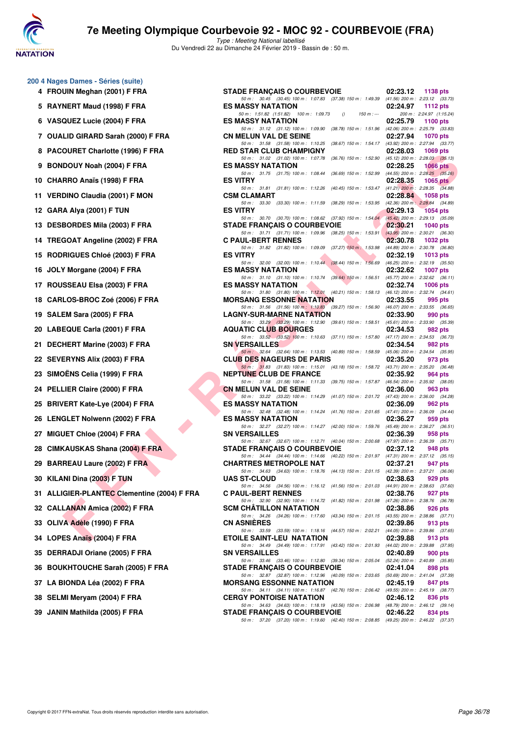

| 4   | 200 4 Nages Dames - Séries (suite)<br>FROUIN Meghan (2001) F FRA |
|-----|------------------------------------------------------------------|
| 5   | RAYNERT Maud (1998) F FRA                                        |
| 6   | VASQUEZ Lucie (2004) F FRA                                       |
| 7   | <b>OUALID GIRARD Sarah (2000) F FRA</b>                          |
| 8   | PACOURET Charlotte (1996) F FRA                                  |
| 9   | <b>BONDOUY Noah (2004) F FRA</b>                                 |
| 10  | CHARRO Anaïs (1998) F FRA                                        |
| 11  | <b>VERDINO Claudia (2001) F MON</b>                              |
|     | 12 GARA Alya (2001) F TUN                                        |
| 13  | <b>DESBORDES Mila (2003) F FRA</b>                               |
| 14  | <b>TREGOAT Angeline (2002) F FRA</b>                             |
| 15  | RODRIGUES Chloé (2003) F FRA                                     |
| 16  | JOLY Morgane (2004) F FRA                                        |
| 17  | ROUSSEAU Elsa (2003) F FRA                                       |
| 18  | CARLOS-BROC Zoé (2006) F FRA                                     |
| 19  | SALEM Sara (2005) F FRA                                          |
| 20  | LABEQUE Carla (2001) F FRA                                       |
| 21  | DECHERT Marine (2003) F FRA                                      |
| 22. | <b>SEVERYNS Alix (2003) F FRA</b>                                |
| 23. | SIMOËNS Celia (1999) F FRA                                       |
| 24  | PELLIER Claire (2000) F FRA                                      |
| 25  | <b>BRIVERT Kate-Lye (2004) F FRA</b>                             |
|     | 26 LENGLET Nolwenn (2002) F FRA                                  |
| 27  | MIGUET Chloe (2004) F FRA                                        |
|     | 28 CIMKAUSKAS Shana (2004) F FRA                                 |
| 29  | <b>BARREAU Laure (2002) F FRA</b>                                |
|     | 30 KILANI Dina (2003) F TUN                                      |
| 31  | <b>ALLIGIER-PLANTEC Clementine (2004) F</b>                      |
|     | 32 CALLANAN Amica (2002) F FRA                                   |
|     | 33 OLIVA Adèle (1990) F FRA                                      |
|     | 34 LOPES Anaïs (2004) F FRA                                      |
| 35  | <b>DERRADJI Oriane (2005) F FRA</b>                              |
|     | 36 BOUKHTOUCHE Sarah (2005) F FRA                                |
|     | 37 LA BIONDA Léa (2002) F FRA                                    |
|     | 38 SELMI Meryam (2004) F FRA                                     |
|     | 39 JANIN Mathilda (2005) F FRA                                   |

| 4 FROUIN Meghan (2001) F FRA                | <b>STADE FRANCAIS O COURBEVOIE</b>                                                                                                                                                                                         | 02:23.12         | 1138 pts                             |
|---------------------------------------------|----------------------------------------------------------------------------------------------------------------------------------------------------------------------------------------------------------------------------|------------------|--------------------------------------|
| 5 RAYNERT Maud (1998) F FRA                 | 50 m: 30.45 (30.45) 100 m: 1:07.83 (37.38) 150 m: 1:49.39 (41.56) 200 m: 2:23.12 (33.73)<br><b>ES MASSY NATATION</b>                                                                                                       | 02:24.97         | 1112 pts                             |
| 6 VASQUEZ Lucie (2004) F FRA                | 50 m: 1:51.82 (1:51.82) 100 m: 1:09.73<br>150 m : ---<br>$\theta$<br><b>ES MASSY NATATION</b>                                                                                                                              | 02:25.79         | 200 m: 2:24.97 (1:15.24)<br>1100 pts |
| 7 OUALID GIRARD Sarah (2000) F FRA          | 50 m: 31.12 (31.12) 100 m: 1:09.90 (38.78) 150 m: 1:51.96 (42.06) 200 m: 2:25.79 (33.83)<br><b>CN MELUN VAL DE SEINE</b>                                                                                                   | 02:27.94         | 1070 pts                             |
| 8 PACOURET Charlotte (1996) F FRA           | 50 m: 31.58 (31.58) 100 m: 1:10.25 (38.67) 150 m: 1:54.17 (43.92) 200 m: 2:27.94 (33.77)<br><b>RED STAR CLUB CHAMPIGNY</b>                                                                                                 | 02:28.03         | 1069 pts                             |
| 9 BONDOUY Noah (2004) F FRA                 | 50 m: 31.02 (31.02) 100 m: 1:07.78 (36.76) 150 m: 1:52.90 (45.12) 200 m: 2:28.03 (35.13)<br><b>ES MASSY NATATION</b>                                                                                                       | 02:28.25         | 1066 pts                             |
| 10 CHARRO Anaïs (1998) F FRA                | 50 m: 31.75 (31.75) 100 m: 1:08.44 (36.69) 150 m: 1:52.99 (44.55) 200 m: 2:28.25 (35.26)<br><b>ES VITRY</b>                                                                                                                | 02:28.35         | 1065 $pts$                           |
| 11 VERDINO Claudia (2001) F MON             | 50 m: 31.81 (31.81) 100 m: 1:12.26 (40.45) 150 m: 1:53.47 (41.21) 200 m: 2:28.35 (34.88)<br><b>CSM CLAMART</b>                                                                                                             | 02:28.84         | 1058 pts                             |
| 12 GARA Alya (2001) F TUN                   | 50 m: 33.30 (33.30) 100 m: 1:11.59 (38.29) 150 m: 1:53.95 (42.36) 200 m: 2:28.84 (34.89)<br><b>ES VITRY</b>                                                                                                                | 02:29.13         | 1054 pts                             |
| 13 DESBORDES Mila (2003) F FRA              | 50 m: 30.70 (30.70) 100 m: 1:08.62 (37.92) 150 m: 1:54.04 (45.42) 200 m: 2:29.13 (35.09)<br><b>STADE FRANÇAIS O COURBEVOIE</b>                                                                                             | 02:30.21         | 1040 $pts$                           |
| 14 TREGOAT Angeline (2002) F FRA            | 50 m: 31.71 (31.71) 100 m: 1:09.96 (38.25) 150 m: 1:53.91 (43.95) 200 m: 2:30.21 (36.30)<br><b>C PAUL-BERT RENNES</b>                                                                                                      | 02:30.78         | 1032 pts                             |
|                                             | 50 m: 31.82 (31.82) 100 m: 1:09.09 (37.27) 150 m: 1:53.98 (44.89) 200 m: 2:30.78 (36.80)                                                                                                                                   |                  |                                      |
| 15 RODRIGUES Chloé (2003) F FRA             | <b>ES VITRY</b><br>50 m: 32.00 (32.00) 100 m: 1:10.44 (38.44) 150 m: 1:56.69 (46.25) 200 m: 2:32.19 (35.50)                                                                                                                | 02:32.19         | 1013 $pts$                           |
| 16 JOLY Morgane (2004) F FRA                | <b>ES MASSY NATATION</b><br>50 m: 31.10 (31.10) 100 m: 1:10.74 (39.64) 150 m: 1:56.51 (45.77) 200 m: 2:32.62 (36.11)                                                                                                       | 02:32.62         | 1007 pts                             |
| 17 ROUSSEAU Elsa (2003) F FRA               | <b>ES MASSY NATATION</b><br>50 m: 31.80 (31.80) 100 m: 1:12.01 (40.21) 150 m: 1:58.13 (46.12) 200 m: 2:32.74 (34.61)                                                                                                       | 02:32.74         | 1006 pts                             |
| 18 CARLOS-BROC Zoé (2006) F FRA             | <b>MORSANG ESSONNE NATATION</b>                                                                                                                                                                                            | 02:33.55         | 995 pts                              |
| 19 SALEM Sara (2005) F FRA                  | 50 m: 31.56 (31.56) 100 m: 1:10.83 (39.27) 150 m: 1:56.90 (46.07) 200 m: 2:33.55 (36.65)<br><b>LAGNY-SUR-MARNE NATATION</b>                                                                                                | 02:33.90         | 990 pts                              |
| 20 LABEQUE Carla (2001) F FRA               | 50 m: 33.29 (33.29) 100 m: 1:12.90 (39.61) 150 m: 1:58.51 (45.61) 200 m: 2:33.90 (35.39)<br><b>AQUATIC CLUB BOURGES</b>                                                                                                    | 02:34.53         | 982 pts                              |
|                                             | 50 m: 33.52 (33.52) 100 m: 1:10.63 (37.11) 150 m: 1:57.80 (47.17) 200 m: 2:34.53 (36.73)                                                                                                                                   |                  |                                      |
| 21 DECHERT Marine (2003) F FRA              | <b>SN VERSAILLES</b><br>50 m: 32.64 (32.64) 100 m: 1:13.53 (40.89) 150 m: 1:58.59 (45.06) 200 m: 2:34.54 (35.95)                                                                                                           | 02:34.54         | 982 pts                              |
| 22 SEVERYNS Alix (2003) F FRA               | <b>CLUB DES NAGEURS DE PARIS</b><br>50 m: 31.83 (31.83) 100 m: 1:15.01 (43.18) 150 m: 1:58.72 (43.71) 200 m: 2:35.20 (36.48)                                                                                               | 02:35.20         | 973 pts                              |
| 23   SIMOËNS Celia (1999) F FRA             | <b>NEPTUNE CLUB DE FRANCE</b>                                                                                                                                                                                              | 02:35.92         | 964 pts                              |
| 24 PELLIER Claire (2000) F FRA              | 50 m: 31.58 (31.58) 100 m: 1:11.33 (39.75) 150 m: 1:57.87 (46.54) 200 m: 2:35.92 (38.05)<br><b>CN MELUN VAL DE SEINE</b><br>50 m: 33.22 (33.22) 100 m: 1:14.29 (41.07) 150 m: 2:01.72 (47.43) 200 m: 2:36.00 (34.28)       | 02:36.00         | 963 pts                              |
| 25 BRIVERT Kate-Lye (2004) F FRA            | <b>ES MASSY NATATION</b>                                                                                                                                                                                                   | 02:36.09         | 962 pts                              |
| 26 LENGLET Nolwenn (2002) F FRA             | 50 m: 32.48 (32.48) 100 m: 1:14.24 (41.76) 150 m: 2:01.65 (47.41) 200 m: 2:36.09 (34.44)<br><b>ES MASSY NATATION</b>                                                                                                       | 02:36.27         | 959 pts                              |
| 27 MIGUET Chloe (2004) F FRA                | 50 m: 32.27 (32.27) 100 m: 1:14.27 (42.00) 150 m: 1:59.76 (45.49) 200 m: 2:36.27 (36.51)<br><b>SN VERSAILLES</b>                                                                                                           | 02:36.39         | 958 pts                              |
| 28 CIMKAUSKAS Shana (2004) F FRA            | 50 m: 32.67 (32.67) 100 m: 1:12.71 (40.04) 150 m: 2:00.68 (47.97) 200 m: 2:36.39 (35.71)<br><b>STADE FRANCAIS O COURBEVOIE</b>                                                                                             | 02:37.12         | 948 pts                              |
| 29 BARREAU Laure (2002) F FRA               | 50 m: 34.44 (34.44) 100 m: 1:14.66 (40.22) 150 m: 2:01.97 (47.31) 200 m: 2:37.12 (35.15)<br><b>CHARTRES METROPOLE NAT</b>                                                                                                  | 02:37.21         | 947 pts                              |
| 30 KILANI Dina (2003) F TUN                 | 50 m: 34.63 (34.63) 100 m: 1:18.76 (44.13) 150 m: 2:01.15 (42.39) 200 m: 2:37.21 (36.06)<br><b>UAS ST-CLOUD</b>                                                                                                            | 02:38.63 929 pts |                                      |
|                                             | 50 m: 34.56 (34.56) 100 m: 1:16.12 (41.56) 150 m: 2:01.03 (44.91) 200 m: 2:38.63 (37.60)                                                                                                                                   |                  |                                      |
| 31 ALLIGIER-PLANTEC Clementine (2004) F FRA | <b>C PAUL-BERT RENNES</b><br>50 m: 32.90 (32.90) 100 m: 1:14.72 (41.82) 150 m: 2:01.98 (47.26) 200 m: 2:38.76 (36.78)                                                                                                      | 02:38.76         | 927 pts                              |
| 32   CALLANAN Amica (2002) F FRA            | <b>SCM CHATILLON NATATION</b><br>50 m: 34.26 (34.26) 100 m: 1:17.60 (43.34) 150 m: 2:01.15 (43.55) 200 m: 2:38.86 (37.71)                                                                                                  | 02:38.86         | 926 pts                              |
| 33 OLIVA Adèle (1990) F FRA                 | <b>CN ASNIERES</b><br>50 m: 33.59 (33.59) 100 m: 1:18.16 (44.57) 150 m: 2:02.21 (44.05) 200 m: 2:39.86 (37.65)                                                                                                             | 02:39.86         | 913 pts                              |
| 34 LOPES Anaïs (2004) F FRA                 | <b>ETOILE SAINT-LEU NATATION</b>                                                                                                                                                                                           | 02:39.88         | 913 pts                              |
| 35 DERRADJI Oriane (2005) F FRA             | 50 m: 34.49 (34.49) 100 m: 1:17.91 (43.42) 150 m: 2:01.93 (44.02) 200 m: 2:39.88 (37.95)<br><b>SN VERSAILLES</b>                                                                                                           | 02:40.89         | 900 pts                              |
| 36 BOUKHTOUCHE Sarah (2005) F FRA           | 50 m: 33.46 (33.46) 100 m: 1:12.80 (39.34) 150 m: 2:05.04 (52.24) 200 m: 2:40.89 (35.85)<br><b>STADE FRANCAIS O COURBEVOIE</b><br>50 m: 32.87 (32.87) 100 m: 1:12.96 (40.09) 150 m: 2:03.65 (50.69) 200 m: 2:41.04 (37.39) | 02:41.04         | 898 pts                              |
| 37 LA BIONDA Léa (2002) F FRA               | <b>MORSANG ESSONNE NATATION</b>                                                                                                                                                                                            | 02:45.19         | 847 pts                              |
| 38 SELMI Meryam (2004) F FRA                | 50 m: 34.11 (34.11) 100 m: 1.16.87 (42.76) 150 m: 2:06.42 (49.55) 200 m: 2:45.19 (38.77)<br><b>CERGY PONTOISE NATATION</b>                                                                                                 | 02:46.12         | 836 pts                              |
| 39 JANIN Mathilda (2005) F FRA              | 50 m: 34.63 (34.63) 100 m: 1:18.19 (43.56) 150 m: 2:06.98 (48.79) 200 m: 2:46.12 (39.14)<br><b>STADE FRANÇAIS O COURBEVOIE</b>                                                                                             | 02:46.22         | 834 pts                              |
|                                             | 50 m: 37.20 (37.20) 100 m: 1:19.60 (42.40) 150 m: 2:08.85 (49.25) 200 m: 2:46.22 (37.37)                                                                                                                                   |                  |                                      |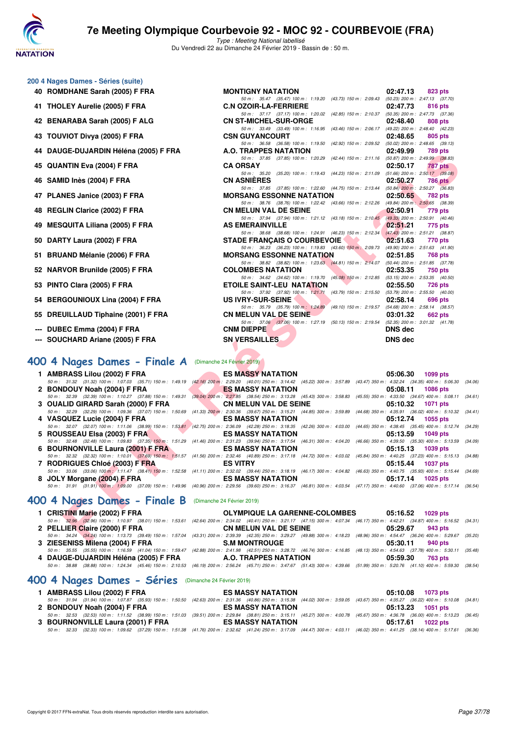

Type : Meeting National labellisé Du Vendredi 22 au Dimanche 24 Février 2019 - Bassin de : 50 m.

50 m : 35.47 (35.47) 100 m : 1:19.20 (43.73) 150 m : 2:09.43 (50.23) 200 m : 2:47.13 (37.70)

50 m: 37.17 (37.17) 100 m: 1:20.02 (42.85) 150 m: 2:10.37 (50.35) 200 m: 2:47.73 (37.36)<br>CN ST-MICHEL-SUR-ORGE 02:48.40 808 pts

50 m: 33.49 (33.49) 100 m: 1:16.95 (43.46) 150 m: 2:06.17 (49.22) 200 m: 2:48.40 (42.23)<br>CSN GUYANCOURT 02:48.65 805 pts

50 m: 36.58 (36.58) 100 m: 1:19.50 (42.92) 150 m: 2:09.52 (50.02) 200 m: 2:48.65 (39.13)<br>**A.O. TRAPPES NATATION** 02:49.99 789 pts

- **200 4 Nages Dames Séries (suite)**
	- **40 ROMDHANE Sarah (2005) F FRA MONTIGNY NATATION 02:47.13 823 pts**
	- **41 THOLEY Aurelie (2005) F FRA C.N OZOIR-LA-FERRIERE 02:47.73 816 pts**
	- **42 BENARABA Sarah (2005) F ALG**
	- **43 TOUVIOT Divya (2005) F FRA CSN GUYANCOURT 02:48.65 805 pts**
	- **44 DAUGE-DUJARDIN Héléna (2005) F FRA A.O. TRAPPES NATATION 02:49.99 789 pts**
	- **45 QUANTIN Eva (2004) F FRA CA ORSAY 02:50.17 787 pts**
	- **46 SAMID Inès (2004) F FRA CN ASNIÈRES 02:50.27 786 pts**
	- **47 PLANES Janice (2003) F FRA MORSANG ESSONNE NATATION 02:50.65 782 pts**
	- **48 REGLIN Clarice (2002) F FRA** CN MELUN VAL DE SEINE 02:50.91 779 pts 60 m : 37.94 (37.94) 100 m : 1:21.12 (43.18) 150 m : 2:10.45 (49.33) 200 m : 2:50.91 (40.46)
	- **49 MESQUITA Liliana (2005) F FRA AS EMERAINVILLE AS EMERAINVILLE 12:51.21 775** pts
	- **50 DARTY Laura (2002) F FRA STADE FRANÇAIS O COURBEVOIE 02:51.63 770 pts**
	- **51 BRUAND Mélanie (2006) F FRA MORSANG ESSONNE NATATION 02:51.85 768 pts**
	- **52 NARVOR Brunilde (2005) F FRA COLOMBES NATATION 02:53.35**
	- **53 PINTO Clara (2005) F FRA ETOILE SAINT-LEU NATATION 02:55.50 726 pts**
	- **54 BERGOUNIOUX Lina (2004) F FRA US IVRY-SUR-SEINE 02:58.14 696 pts**
	- **55 DREUILLAUD Tiphaine (2001) F FRA CN MELUN VAL DE SEINE 03:01.32 662 pts**
	- **--- DUBEC Emma (2004) F FRA**
	- **--- SOUCHARD Ariane (2005) F FRA SN VERSAILLES DNS dec**

#### **[400 4 Nages Dames - Finale A](http://www.ffnatation.fr/webffn/resultats.php?idact=nat&go=epr&idcpt=57703&idepr=42)** (Dimanche 24 Février 2019)

| <b>44 DAUGE-DUJANDIN HEIEHA (2003) F FRA</b>              | A.V. IRAFFEJ NATATIVN<br>UZ.49.99                                                                                                                                                                                                                                                 | <b>TUJUS</b>    |         |
|-----------------------------------------------------------|-----------------------------------------------------------------------------------------------------------------------------------------------------------------------------------------------------------------------------------------------------------------------------------|-----------------|---------|
| 45 QUANTIN Eva (2004) F FRA                               | 50 m: 37.85 (37.85) 100 m: 1:20.29 (42.44) 150 m: 2:11.16 (50.87) 200 m: 2:49.99 (38.83)<br><b>CA ORSAY</b><br>02:50.17                                                                                                                                                           | <b>787 pts</b>  |         |
|                                                           | 50 m: 35.20 (35.20) 100 m: 1:19.43 (44.23) 150 m: 2:11.09 (51.66) 200 m: 2:50.17 (39.08)                                                                                                                                                                                          |                 |         |
| 46   SAMID Inès (2004) F FRA                              | <b>CN ASNIERES</b><br>02:50.27                                                                                                                                                                                                                                                    | 786 pts         |         |
|                                                           | 50 m: 37.85 (37.85) 100 m: 1:22.60 (44.75) 150 m: 2:13.44 (50.84) 200 m: 2:50.27 (36.83)                                                                                                                                                                                          |                 |         |
| 47 PLANES Janice (2003) F FRA                             | <b>MORSANG ESSONNE NATATION</b><br>02:50.65<br>50 m: 38.76 (38.76) 100 m: 1:22.42 (43.66) 150 m: 2:12.26 (49.84) 200 m: 2:50.65 (38.39)                                                                                                                                           | 782 pts         |         |
| 48 REGLIN Clarice (2002) F FRA                            | <b>CN MELUN VAL DE SEINE</b><br>02:50.91                                                                                                                                                                                                                                          | 779 pts         |         |
|                                                           | 50 m: 37.94 (37.94) 100 m: 1:21.12 (43.18) 150 m: 2:10.45 (49.33) 200 m: 2:50.91 (40.46)                                                                                                                                                                                          |                 |         |
| 49   MESQUITA Liliana (2005) F FRA                        | <b>AS EMERAINVILLE</b><br>02:51.21                                                                                                                                                                                                                                                | 775 pts         |         |
|                                                           | 50 m: 38.68 (38.68) 100 m: 1:24.91 (46.23) 150 m: 2:12.34 (47.43) 200 m: 2:51.21 (38.87)                                                                                                                                                                                          |                 |         |
| 50   DARTY Laura (2002) F FRA                             | <b>The Common</b><br>STADE FRANCAIS O COURBEVOIE<br>02:51.63<br>50 m: 36.23 (36.23) 100 m: 1:19.83 (43.60) 150 m: 2:09.73 (49.90) 200 m: 2:51.63 (41.90)                                                                                                                          | 770 pts         |         |
| 51 BRUAND Mélanie (2006) F FRA                            | <b>MORSANG ESSONNE NATATION</b><br>02:51.85                                                                                                                                                                                                                                       | 768 pts         |         |
|                                                           | 50 m: 38.82 (38.82) 100 m: 1:23.63 (44.81) 150 m: 2:14.07 (50.44) 200 m: 2:51.85 (37.78)                                                                                                                                                                                          |                 |         |
| 52 NARVOR Brunilde (2005) F FRA                           | 02:53.35<br><b>COLOMBES NATATION</b>                                                                                                                                                                                                                                              | <b>750 pts</b>  |         |
|                                                           | 50 m: 34.62 (34.62) 100 m: 1:19.70 (45.08) 150 m: 2:12.85 (53.15) 200 m: 2:53.35 (40.50)                                                                                                                                                                                          |                 |         |
| 53 PINTO Clara (2005) F FRA                               | <b>ETOILE SAINT-LEU NATATION</b><br>02:55.50                                                                                                                                                                                                                                      | 726 pts         |         |
| 54 BERGOUNIOUX Lina (2004) F FRA                          | 50 m: 37.92 (37.92) 100 m: 1:21.71 (43.79) 150 m: 2:15.50 (53.79) 200 m: 2:55.50 (40.00)<br>US IVRY-SUR-SEINE<br>02:58.14                                                                                                                                                         | 696 pts         |         |
|                                                           | 50 m: 35.79 (35.79) 100 m: 1:24.89 (49.10) 150 m: 2:19.57 (54.68) 200 m: 2:58.14 (38.57)                                                                                                                                                                                          |                 |         |
| 55 DREUILLAUD Tiphaine (2001) F FRA                       | <b>CN MELUN VAL DE SEINE</b><br>03:01.32                                                                                                                                                                                                                                          | 662 pts         |         |
|                                                           | 50 m: 37.06 (37.06) 100 m: 1:27.19 (50.13) 150 m: 2:19.54 (52.35) 200 m: 3:01.32 (41.78)                                                                                                                                                                                          |                 |         |
| --- DUBEC Emma (2004) F FRA                               | <b>CNM DIEPPE</b><br><b>DNS</b> dec                                                                                                                                                                                                                                               |                 |         |
| --- SOUCHARD Ariane (2005) F FRA                          | <b>SN VERSAILLES</b><br><b>DNS</b> dec                                                                                                                                                                                                                                            |                 |         |
|                                                           |                                                                                                                                                                                                                                                                                   |                 |         |
| 00 4 Nages Dames - Finale A                               | (Dimanche 24 Février 2019)                                                                                                                                                                                                                                                        |                 |         |
| 1 AMBRASS Lilou (2002) F FRA                              | <b>ES MASSY NATATION</b><br>05:06.30                                                                                                                                                                                                                                              | 1099 pts        |         |
|                                                           | 50 m: 31.32 (31.32) 100 m: 1:07.03 (35.71) 150 m: 1:49.19 (42.16) 200 m: 2:29.20 (40.01) 250 m: 3:14.42 (45.22) 300 m: 3:57.89 (43.47) 350 m: 4:32.24 (34.35) 400 m: 5:06.30                                                                                                      |                 | (34.06) |
| 2 BONDOUY Noah (2004) F FRA                               | <b>ES MASSY NATATION</b><br>05:08.11                                                                                                                                                                                                                                              | <b>1086 pts</b> |         |
| 50 m: 32.39 (32.39) 100 m: 1:10.27 (37.88) 150 m: 1:49.31 | (39.04) 200 m : 2:27.85 (38.54) 250 m : 3:13.28 (45.43) 300 m : 3:58.83 (45.55) 350 m : 4:33.50 (34.67) 400 m : 5:08.11 (34.61)                                                                                                                                                   |                 |         |
| 3 OUALID GIRARD Sarah (2000) F FRA                        | <b>CN MELUN VAL DE SEINE</b><br>05:10.32<br>50 m: 32.29 (32.29) 100 m: 1:09.36 (37.07) 150 m: 1:50.69 (41.33) 200 m: 2:30.36 (39.67) 250 m: 3:15.21 (44.85) 300 m: 3:59.89 (44.68) 350 m: 4:35.91 (36.02) 400 m: 5:10.32                                                          | 1071 pts        | (34.41) |
| 4 VASQUEZ Lucie (2004) F FRA                              | <b>ES MASSY NATATION</b><br>05:12.74                                                                                                                                                                                                                                              | 1055 pts        |         |
|                                                           | 50 m : 32.07 (32.07) 100 m : 1:11.06 (38.99) 150 m : 1:53.81 (42.75) 200 m : 2:36.09 (42.28) 250 m : 3:18.35 (42.26) 300 m : 4:03.00 (44.65) 350 m : 4:38.45 (35.45) 400 m : 5:12.74 (34.29                                                                                       |                 |         |
| 5 ROUSSEAU Elsa (2003) F FRA                              | <b>ES MASSY NATATION</b><br>05:13.59                                                                                                                                                                                                                                              | 1049 pts        |         |
|                                                           | 50 m: 32.48 (32.48) 100 m: 1:09.83 (37.35) 150 m: 1:51.29 (41.46) 200 m: 2:31.23 (39.94) 250 m: 3:17.54 (46.31) 300 m: 4:04.20 (46.66) 350 m: 4:39.50 (35.30) 400 m: 5:13.59 (34.09                                                                                               |                 |         |
| 6 BOURNONVILLE Laura (2001) F FRA                         | <b>ES MASSY NATATION</b><br>05:15.13<br>50 m: 32.32 (32.32) 100 m: 1:10.01 (37.69) 150 m: 1:51.57 (41.56) 200 m: 2:32.46 (40.89) 250 m: 3:17.18 (44.72) 300 m: 4:03.02 (45.84) 350 m: 4:40.25 (37.23) 400 m: 5:15.13 (34.88                                                       | 1039 pts        |         |
| 7 RODRIGUES Chloé (2003) F FRA                            | <b>ES VITRY</b><br>05:15.44                                                                                                                                                                                                                                                       | <b>1037 pts</b> |         |
|                                                           | 50 m: 33.06 (33.06) 100 m: 1:11.47 (38.41) 150 m: 1:52.58 (41.11) 200 m: 2:32.02 (39.44) 250 m: 3:18.19 (46.17) 300 m: 4:04.82 (46.63) 350 m: 4:40.75 (35.93) 400 m: 5:15.44 (34.69)                                                                                              |                 |         |
| 8 JOLY Morgane (2004) F FRA                               | <b>ES MASSY NATATION</b><br>05:17.14                                                                                                                                                                                                                                              | <b>1025 pts</b> |         |
|                                                           | 50 m : 31.91 (31.91) 100 m : 1:09.00 (37.09) 150 m : 1:49.96 (40.96) 200 m : 2:29.56 (39.60) 250 m : 3:16.37 (46.81) 300 m : 4:03.54 (47.17) 350 m : 4:40.60 (37.06) 400 m : 5:17.14 (36.54                                                                                       |                 |         |
|                                                           |                                                                                                                                                                                                                                                                                   |                 |         |
|                                                           | (Dimanche 24 Février 2019)                                                                                                                                                                                                                                                        |                 |         |
| 00 4 Nages Dames - Finale B                               |                                                                                                                                                                                                                                                                                   |                 |         |
| 1 CRISTINI Marie (2002) F FRA                             | <b>OLYMPIQUE LA GARENNE-COLOMBES</b><br>05:16.52                                                                                                                                                                                                                                  | 1029 pts        |         |
| 2 PELLIER Claire (2000) F FRA                             | 50 m: 32.96 (32.96) 100 m: 1:10.97 (38.01) 150 m: 1:53.61 (42.64) 200 m: 2:34.02 (40.41) 250 m: 3:21.17 (47.15) 300 m: 4:07.34 (46.17) 350 m: 4:42.21 (34.87) 400 m: 5:16.52 (34.31)<br><b>CN MELUN VAL DE SEINE</b><br>05:29.67                                                  | 943 pts         |         |
|                                                           | 50 m: 34.24 (34.24) 100 m: 1:13.73 (39.49) 150 m: 1:57.04 (43.31) 200 m: 2:39.39 (42.35) 250 m: 3:29.27 (49.88) 300 m: 4:18.23 (48.96) 350 m: 4:54.47 (36.24) 400 m: 5:29.67 (35.20)<br>2. ZIECENICO Milano (2004) E EDA COM DIONTROUGE COM DIONECTION COM DE 2005 ALL CALIFORNIA |                 |         |

#### **[400 4 Nages Dames - Finale B](http://www.ffnatation.fr/webffn/resultats.php?idact=nat&go=epr&idcpt=57703&idepr=42)** (Dimanche 24 Février 2019)

| 1 CRISTINI Marie (2002) F FRA   | OLYMPIQUE LA GARENNE-COLOMBES 05:16.52 1029 pts                                                                                                                                      |                  |
|---------------------------------|--------------------------------------------------------------------------------------------------------------------------------------------------------------------------------------|------------------|
|                                 | 50 m: 32.96 (32.96) 100 m: 1:10.97 (38.01) 150 m: 1:53.61 (42.64) 200 m: 2:34.02 (40.41) 250 m: 3:21.17 (47.15) 300 m: 4:07.34 (46.17) 350 m: 4:42.21 (34.87) 400 m: 5:16.52 (34.31) |                  |
| 2 PELLIER Claire (2000) F FRA   | <b>CN MELUN VAL DE SEINE</b>                                                                                                                                                         | 05:29.67 943 pts |
|                                 | 50 m: 34.24 (34.24) 100 m: 1:13.73 (39.49) 150 m: 1:57.04 (43.31) 200 m: 2:39.39 (42.35) 250 m: 3:29.27 (49.88) 300 m: 4:18.23 (48.96) 350 m: 4:54.47 (36.24) 400 m: 5:29.67 (35.20) |                  |
| 3 ZIESENISS Milena (2004) F FRA | S.M MONTROUGE                                                                                                                                                                        | 05:30.11 940 pts |
|                                 | 50 m: 35.55 (35.55) 100 m: 1:16.59 (41.04) 150 m: 1:59.47 (42.88) 200 m: 2:41.98 (42.51) 250 m: 3:28.72 (46.74) 300 m: 4:16.85 (48.13) 350 m: 4:54.63 (37.78) 400 m: 5:30.11 (35.48) |                  |
|                                 | 4 DAUGE-DUJARDIN Héléna (2005) F FRA A.O. TRAPPES NATATION                                                                                                                           | 05:59.30 763 pts |
|                                 | 50 m: 38.88 (38.88) 100 m: 1:24.34 (45.46) 150 m: 2:10.53 (46.19) 200 m: 2:56.24 (45.71) 250 m: 3:47.67 (51.43) 300 m: 4:39.66 (51.99) 350 m: 5:20.76 (41.10) 400 m: 5:59.30 (38.54) |                  |

#### **[400 4 Nages Dames - Séries](http://www.ffnatation.fr/webffn/resultats.php?idact=nat&go=epr&idcpt=57703&idepr=42)** (Dimanche 24 Février 2019)

| <b>AMBRASS Lilou (2002) F FRA</b> | <b>ES MASSY NATATION</b>                                                                                                                                                                     | 05:10.08 1073 pts |
|-----------------------------------|----------------------------------------------------------------------------------------------------------------------------------------------------------------------------------------------|-------------------|
|                                   | 50 m: 31.94 (31.94) 100 m: 1:07.87 (35.93) 150 m: 1:50.50 (42.63) 200 m: 2:31.36 (40.86) 250 m: 3:15.38 (44.02) 300 m: 3:59.05 (43.67) 350 m: 4:35.27 (36.22) 400 m: 5:10.08 (34.81)         |                   |
| 2 BONDOUY Noah (2004) F FRA       | <b>ES MASSY NATATION</b>                                                                                                                                                                     | 05:13.23 1051 pts |
|                                   | 50 m: 32.53 (32.53) 100 m: 1:11.52 (38.99) 150 m: 1:51.03 (39.51) 200 m: 2:29.84 (38.81) 250 m: 3:15.11 (45.27) 300 m: 4:00.78 (45.67) 350 m: 4:36.78 (36.00) 400 m: 5:13.23 (36.45)         |                   |
| 3 BOURNONVILLE Laura (2001) F FRA | <b>ES MASSY NATATION</b>                                                                                                                                                                     | 05:17.61 1022 pts |
|                                   | 50 m : 32.33 (32.33) 100 m : 1:09.62 (37.29) 150 m : 1:51.38 (41.76) 200 m : 2:32.62 (41.24) 250 m : 3:17.09 (44.47) 300 m : 4:03.11 (46.02) 350 m : 4:41.25 (38.14) 400 m : 5:17.61 (36.36) |                   |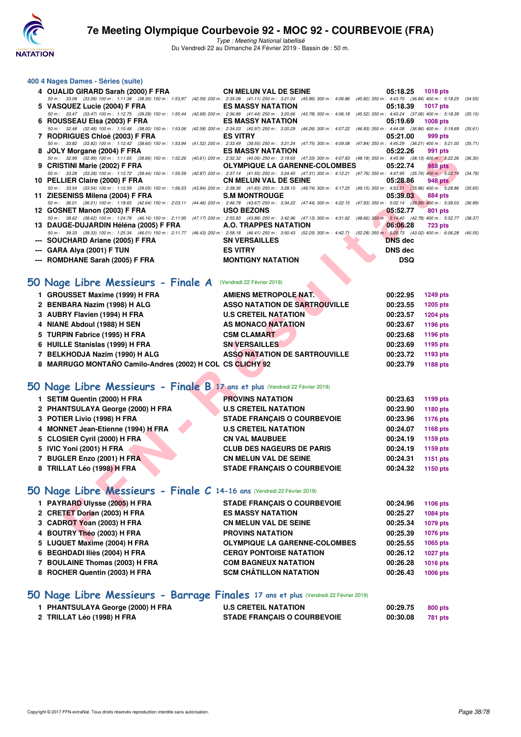

Type : Meeting National labellisé Du Vendredi 22 au Dimanche 24 Février 2019 - Bassin de : 50 m.

#### **400 4 Nages Dames - Séries (suite)**

| 4 OUALID GIRARD Sarah (2000) F FRA                                                          | <b>CN MELUN VAL DE SEINE</b><br>05:18.25                                                                                                                                                                      | <b>1018 pts</b>             |
|---------------------------------------------------------------------------------------------|---------------------------------------------------------------------------------------------------------------------------------------------------------------------------------------------------------------|-----------------------------|
|                                                                                             | 50 m: 33.08 (33.08) 100 m: 1:11.38 (38.30) 150 m: 1:53.97 (42.59) 200 m: 2:35.08 (41.11) 250 m: 3:21.04 (45.96) 300 m: 4:06.86 (45.82) 350 m: 4:43.70 (36.84) 400 m: 5:18.25                                  | (34.55)                     |
| 5 VASQUEZ Lucie (2004) F FRA                                                                | <b>ES MASSY NATATION</b><br>05:18.39                                                                                                                                                                          | <b>1017 pts</b>             |
| 50 m: 33.47 (33.47) 100 m: 1:12.75 (39.28) 150 m: 1:55.44                                   | (42.69) 200 m : 2:36.88 (41.44) 250 m : 3:20.66 (43.78) 300 m : 4:06.18 (45.52) 350 m : 4:43.24 (37.06) 400 m : 5:18.39                                                                                       | (35.15)                     |
| 6 ROUSSEAU Elsa (2003) F FRA                                                                | <b>ES MASSY NATATION</b><br>05:19.69                                                                                                                                                                          | 1008 pts                    |
| 50 m: 32.48 (32.48) 100 m: 1:10.48 (38.00) 150 m: 1:53.06<br>7 RODRIGUES Chloé (2003) F FRA | (42.58) 200 m : 2:34.03 (40.97) 250 m : 3:20.29 (46.26) 300 m : 4:07.22 (46.93) 350 m : 4:44.08 (36.86) 400 m : 5:19.69<br><b>ES VITRY</b><br>05:21.00                                                        | (35.61)<br>999 pts          |
| 50 m: 33.82 (33.82) 100 m: 1:12.42 (38.60) 150 m: 1:53.94                                   | (41.52) 200 m : 2:33.49 (39.55) 250 m : 3:21.24 (47.75) 300 m : 4:09.08 (47.84) 350 m : 4:45.29 (36.21) 400 m : 5:21.00                                                                                       | (35.71)                     |
| 8 JOLY Morgane (2004) F FRA                                                                 | <b>ES MASSY NATATION</b><br>05:22.26                                                                                                                                                                          | 991 pts                     |
| 50 m: 32.99 (32.99) 100 m: 1:11.65 (38.66) 150 m: 1:52.26                                   | (40.61) 200 m : 2:32.32 (40.06) 250 m : 3:19.65 (47.33) 300 m : 4:07.83 (48.18) 350 m : 4:45.96 (38.13) 400 m : 5:22.26                                                                                       | (36.30)                     |
| 9 CRISTINI Marie (2002) F FRA                                                               | <b>OLYMPIQUE LA GARENNE-COLOMBES</b><br>05:22.74                                                                                                                                                              | <b>988 pts</b>              |
| 50 m: 33.28 (33.28) 100 m: 1:12.72 (39.44) 150 m: 1:55.59<br>10 PELLIER Claire (2000) F FRA | (42.87) 200 m: 2:37.14 (41.55) 250 m: 3:24.45 (47.31) 300 m: 4:12.21 (47.76) 350 m: 4:47.95 (35.74) 400 m: 5:22.74<br><b>CN MELUN VAL DE SEINE</b><br>05:28.86                                                | (34.79)<br><b>948 pts</b>   |
| 50 m: 33.54 (33.54) 100 m: 1:12.59 (39.05) 150 m: 1:56.53                                   | (43.94) 200 m : 2:38.36 (41.83) 250 m : 3:28.10 (49.74) 300 m : 4:17.25 (49.15) 350 m : 4:53.21 (35.96) 400 m : 5:28.86                                                                                       | (35.65)                     |
| 11 ZIESENISS Milena (2004) F FRA                                                            | 05:39.03<br><b>S.M MONTROUGE</b>                                                                                                                                                                              | <b>884 pts</b>              |
| 50 m: 36.01 (36.01) 100 m: 1:18.65 (42.64) 150 m: 2:03.11                                   | (44.46) 200 m : 2:46.78 (43.67) 250 m : 3:34.22 (47.44) 300 m : 4:22.15 (47.93) 350 m : 5:02.14 (39.99) 400 m : 5:39.03                                                                                       | (36.89)                     |
| 12 GOSNET Manon (2003) F FRA                                                                | <b>USO BEZONS</b><br>05:52.77<br>50 m: 38.62 (38.62) 100 m: 1:24.78 (46.16) 150 m: 2:11.95 (47.17) 200 m: 2:55.83 (43.88) 250 m: 3:42.96 (47.13) 300 m: 4:31.62 (48.66) 350 m: 5:14.40 (42.78) 400 m: 5:52.77 | 801 pts<br>(38.37)          |
| 13 DAUGE-DUJARDIN Héléna (2005) F FRA                                                       | A.O. TRAPPES NATATION<br>06:06.28                                                                                                                                                                             | <b>723 pts</b>              |
|                                                                                             | 50 m: 39.33 (39.33) 100 m: 1:25.34 (46.01) 150 m: 2:11.77 (46.43) 200 m: 2:56.18 (46.41) 250 m: 3:50.43 (52.25) 300 m: 4:42.71 (52.28) 350 m: 5:25.73 (43.02) 400 m: 6:06.28                                  | (40.55)                     |
| --- SOUCHARD Ariane (2005) F FRA                                                            | <b>SN VERSAILLES</b><br><b>DNS</b> dec                                                                                                                                                                        |                             |
| ---   GARA Alya (2001) F TUN                                                                | <b>ES VITRY</b><br><b>DNS</b> dec                                                                                                                                                                             |                             |
| --- ROMDHANE Sarah (2005) F FRA                                                             | <b>MONTIGNY NATATION</b>                                                                                                                                                                                      | <b>DSQ</b>                  |
|                                                                                             |                                                                                                                                                                                                               |                             |
|                                                                                             |                                                                                                                                                                                                               |                             |
| O Nage Libre Messieurs - Finale A (Vendredi 22 Février 2019)                                |                                                                                                                                                                                                               |                             |
| 1 GROUSSET Maxime (1999) H FRA                                                              | <b>AMIENS METROPOLE NAT.</b><br>00:22.95                                                                                                                                                                      | <b>1249 pts</b>             |
| 2 BENBARA Nazim (1998) H ALG                                                                | <b>ASSO NATATION DE SARTROUVILLE</b><br>00:23.55                                                                                                                                                              | <b>1205 pts</b>             |
| 3 AUBRY Flavien (1994) H FRA                                                                | <b>U.S CRETEIL NATATION</b><br>00:23.57                                                                                                                                                                       | <b>1204 pts</b>             |
| 4 NIANE Abdoul (1988) H SEN                                                                 | <b>AS MONACO NATATION</b>                                                                                                                                                                                     | 00:23.67<br><b>1196 pts</b> |
| 5 TURPIN Fabrice (1995) H FRA                                                               | <b>CSM CLAMART</b><br>00:23.68                                                                                                                                                                                | 1196 pts                    |
| 6 HUILLE Stanislas (1999) H FRA                                                             | <b>SN VERSAILLES</b><br>00:23.69                                                                                                                                                                              | 1195 pts                    |
| 7 BELKHODJA Nazim (1990) H ALG                                                              | <b>ASSO NATATION DE SARTROUVILLE</b><br>00:23.72                                                                                                                                                              | 1193 pts                    |
|                                                                                             | 00:23.79                                                                                                                                                                                                      |                             |
| 8 MARRUGO MONTAÑO Camilo-Andres (2002) H COL CS CLICHY 92                                   |                                                                                                                                                                                                               | 1188 pts                    |
|                                                                                             |                                                                                                                                                                                                               |                             |
| O Nage Libre Messieurs - Finale B 17 ans et plus (Vendredi 22 Février 2019)                 |                                                                                                                                                                                                               |                             |
| 1 SETIM Quentin (2000) H FRA                                                                | <b>PROVINS NATATION</b><br>00:23.63                                                                                                                                                                           | 1199 pts                    |
| 2 PHANTSULAYA George (2000) H FRA                                                           | <b>U.S CRETEIL NATATION</b><br>00:23.90                                                                                                                                                                       | 1180 pts                    |
| 3 POTIER Livio (1998) H FRA                                                                 | <b>STADE FRANÇAIS O COURBEVOIE</b><br>00:23.96                                                                                                                                                                |                             |
|                                                                                             |                                                                                                                                                                                                               | 1176 pts                    |
| 4 MONNET Jean-Etienne (1994) H FRA                                                          | <b>U.S CRETEIL NATATION</b><br>00:24.07                                                                                                                                                                       | 1168 pts                    |
| 5 CLOSIER Cyril (2000) H FRA                                                                | <b>CN VAL MAUBUEE</b><br>00:24.19                                                                                                                                                                             | 1159 pts                    |
| 5 IVIC Yoni (2001) H FRA                                                                    | <b>CLUB DES NAGEURS DE PARIS</b><br>00:24.19                                                                                                                                                                  | 1159 pts                    |
| 7 BUGLER Enzo (2001) H FRA                                                                  | <b>CN MELUN VAL DE SEINE</b><br>00:24.31                                                                                                                                                                      | 1151 pts                    |
| 8 TRILLAT Léo (1998) H FRA                                                                  | <b>STADE FRANÇAIS O COURBEVOIE</b><br>00:24.32                                                                                                                                                                | 1150 pts                    |
|                                                                                             |                                                                                                                                                                                                               |                             |
| O Nage Libre Messieurs - Finale C 14-16 ans (Vendredi 22 Février 2019)                      |                                                                                                                                                                                                               |                             |
|                                                                                             |                                                                                                                                                                                                               |                             |
| 1 PAYRARD Ulysse (2005) H FRA                                                               | <b>STADE FRANÇAIS O COURBEVOIE</b><br>00:24.96                                                                                                                                                                | <b>1106 pts</b>             |
| 2 CRETET Dorian (2003) H FRA                                                                | <b>ES MASSY NATATION</b><br>00:25.27                                                                                                                                                                          | <b>1084 pts</b>             |
| 3 CADROT Yoan (2003) H FRA                                                                  | 00:25.34<br><b>CN MELUN VAL DE SEINE</b>                                                                                                                                                                      | 1079 pts                    |
| 4 BOUTRY Théo (2003) H FRA                                                                  | <b>PROVINS NATATION</b><br>00:25.39                                                                                                                                                                           | <b>1076 pts</b>             |
| <b>LUAUET Marine COOL ULEDA</b>                                                             | OUVERLOUT LA CARTINIE COLOMBEC<br>00.05.55                                                                                                                                                                    | ADOR ALL                    |

## **50 Nage Libre Messieurs - Finale A** (Vendredi 22 Février 2019)

| 1 GROUSSET Maxime (1999) H FRA                            | <b>AMIENS METROPOLE NAT.</b>         | 00:22.95 | <b>1249 pts</b> |
|-----------------------------------------------------------|--------------------------------------|----------|-----------------|
| 2 BENBARA Nazim (1998) H ALG                              | <b>ASSO NATATION DE SARTROUVILLE</b> | 00:23.55 | 1205 pts        |
| 3 AUBRY Flavien (1994) H FRA                              | <b>U.S CRETEIL NATATION</b>          | 00:23.57 | 1204 pts        |
| 4 NIANE Abdoul (1988) H SEN                               | <b>AS MONACO NATATION</b>            | 00:23.67 | 1196 pts        |
| 5 TURPIN Fabrice (1995) H FRA                             | <b>CSM CLAMART</b>                   | 00:23.68 | 1196 pts        |
| 6 HUILLE Stanislas (1999) H FRA                           | <b>SN VERSAILLES</b>                 | 00:23.69 | 1195 pts        |
| 7 BELKHODJA Nazim (1990) H ALG                            | <b>ASSO NATATION DE SARTROUVILLE</b> | 00:23.72 | 1193 pts        |
| 8 MARRUGO MONTAÑO Camilo-Andres (2002) H COL CS CLICHY 92 |                                      | 00:23.79 | 1188 pts        |

## **[50 Nage Libre Messieurs - Finale B](http://www.ffnatation.fr/webffn/resultats.php?idact=nat&go=epr&idcpt=57703&idepr=51) 17 ans et plus** (Vendredi 22 Février 2019)

| 1 SETIM Quentin (2000) H FRA       | <b>PROVINS NATATION</b>            | 00:23.63 | 1199 pts        |
|------------------------------------|------------------------------------|----------|-----------------|
| 2 PHANTSULAYA George (2000) H FRA  | <b>U.S CRETEIL NATATION</b>        | 00:23.90 | 1180 pts        |
| 3 POTIER Livio (1998) H FRA        | <b>STADE FRANCAIS O COURBEVOIE</b> | 00:23.96 | <b>1176 pts</b> |
| 4 MONNET Jean-Etienne (1994) H FRA | <b>U.S CRETEIL NATATION</b>        | 00:24.07 | 1168 pts        |
| 5 CLOSIER Cyril (2000) H FRA       | <b>CN VAL MAUBUEE</b>              | 00:24.19 | 1159 pts        |
| 5 IVIC Yoni (2001) H FRA           | <b>CLUB DES NAGEURS DE PARIS</b>   | 00:24.19 | 1159 pts        |
| 7 BUGLER Enzo (2001) H FRA         | <b>CN MELUN VAL DE SEINE</b>       | 00:24.31 | 1151 pts        |
| 8 TRILLAT Léo (1998) H FRA         | <b>STADE FRANCAIS O COURBEVOIE</b> | 00:24.32 | 1150 pts        |
|                                    |                                    |          |                 |

## **[50 Nage Libre Messieurs - Finale C](http://www.ffnatation.fr/webffn/resultats.php?idact=nat&go=epr&idcpt=57703&idepr=51) 14-16 ans** (Vendredi 22 Février 2019)

| 1 PAYRARD Ulysse (2005) H FRA  | <b>STADE FRANCAIS O COURBEVOIE</b>   | 00:24.96 | 1106 pts        |
|--------------------------------|--------------------------------------|----------|-----------------|
| 2 CRETET Dorian (2003) H FRA   | <b>ES MASSY NATATION</b>             | 00:25.27 | 1084 pts        |
| 3 CADROT Yoan (2003) H FRA     | <b>CN MELUN VAL DE SEINE</b>         | 00:25.34 | 1079 pts        |
| 4 BOUTRY Théo (2003) H FRA     | <b>PROVINS NATATION</b>              | 00:25.39 | 1076 pts        |
| 5 LUQUET Maxime (2004) H FRA   | <b>OLYMPIQUE LA GARENNE-COLOMBES</b> | 00:25.55 | 1065 pts        |
| 6 BEGHDADI Iliès (2004) H FRA  | <b>CERGY PONTOISE NATATION</b>       | 00:26.12 | <b>1027 pts</b> |
| 7 BOULAINE Thomas (2003) H FRA | <b>COM BAGNEUX NATATION</b>          | 00:26.28 | <b>1016 pts</b> |
| 8 ROCHER Quentin (2003) H FRA  | <b>SCM CHÂTILLON NATATION</b>        | 00:26.43 | <b>1006 pts</b> |
|                                |                                      |          |                 |

## **[50 Nage Libre Messieurs - Barrage Finales](http://www.ffnatation.fr/webffn/resultats.php?idact=nat&go=epr&idcpt=57703&idepr=51) 17 ans et plus** (Vendredi 22 Février 2019)

| 1 PHANTSULAYA George (2000) H FRA | <b>U.S CRETEIL NATATION</b>        | 00:29.75 | 800 pts |
|-----------------------------------|------------------------------------|----------|---------|
| 2 TRILLAT Léo (1998) H FRA        | <b>STADE FRANÇAIS O COURBEVOIE</b> | 00:30.08 | 781 pts |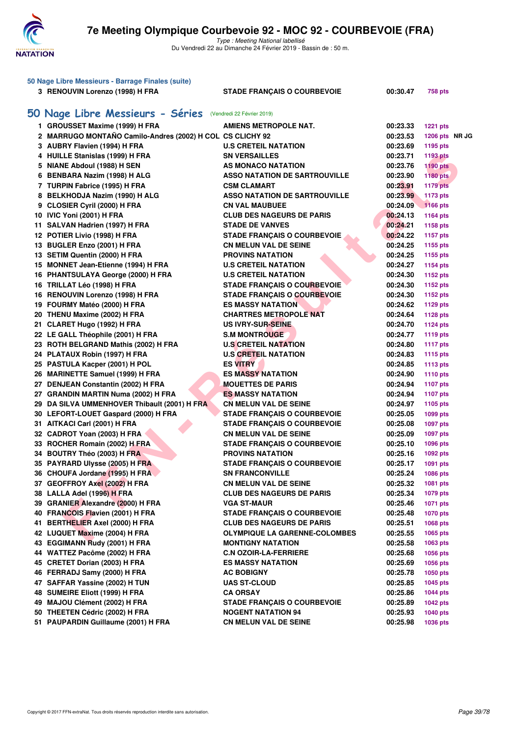

| 50 Nage Libre Messieurs - Barrage Finales (suite) |                                                           |                                      |          |                 |  |  |
|---------------------------------------------------|-----------------------------------------------------------|--------------------------------------|----------|-----------------|--|--|
|                                                   | 3 RENOUVIN Lorenzo (1998) H FRA                           | <b>STADE FRANÇAIS O COURBEVOIE</b>   | 00:30.47 | <b>758 pts</b>  |  |  |
|                                                   | 50 Nage Libre Messieurs - Séries                          | (Vendredi 22 Février 2019)           |          |                 |  |  |
|                                                   | 1 GROUSSET Maxime (1999) H FRA                            | <b>AMIENS METROPOLE NAT.</b>         | 00:23.33 | 1221 pts        |  |  |
|                                                   | 2 MARRUGO MONTAÑO Camilo-Andres (2002) H COL CS CLICHY 92 |                                      | 00:23.53 | 1206 pts NR JG  |  |  |
|                                                   | 3 AUBRY Flavien (1994) H FRA                              | <b>U.S CRETEIL NATATION</b>          | 00:23.69 | 1195 pts        |  |  |
|                                                   | 4 HUILLE Stanislas (1999) H FRA                           | <b>SN VERSAILLES</b>                 | 00:23.71 | <b>1193 pts</b> |  |  |
|                                                   | 5 NIANE Abdoul (1988) H SEN                               | <b>AS MONACO NATATION</b>            | 00:23.76 | <b>1190 pts</b> |  |  |
|                                                   | 6 BENBARA Nazim (1998) H ALG                              | <b>ASSO NATATION DE SARTROUVILLE</b> | 00:23.90 | <b>1180 pts</b> |  |  |
|                                                   | 7 TURPIN Fabrice (1995) H FRA                             | <b>CSM CLAMART</b>                   | 00:23.91 | <b>1179 pts</b> |  |  |
|                                                   | 8 BELKHODJA Nazim (1990) H ALG                            | <b>ASSO NATATION DE SARTROUVILLE</b> | 00:23.99 | <b>1173 pts</b> |  |  |
|                                                   | 9 CLOSIER Cyril (2000) H FRA                              | <b>CN VAL MAUBUEE</b>                | 00:24.09 | $1166$ pts      |  |  |
|                                                   | 10 IVIC Yoni (2001) H FRA                                 | <b>CLUB DES NAGEURS DE PARIS</b>     | 00:24.13 | 1164 pts        |  |  |
|                                                   | 11 SALVAN Hadrien (1997) H FRA                            | <b>STADE DE VANVES</b>               | 00:24.21 | 1158 pts        |  |  |
|                                                   | 12 POTIER Livio (1998) H FRA                              | <b>STADE FRANÇAIS O COURBEVOIE</b>   | 00:24.22 | <b>1157 pts</b> |  |  |
|                                                   | 13 BUGLER Enzo (2001) H FRA                               | <b>CN MELUN VAL DE SEINE</b>         | 00:24.25 | 1155 pts        |  |  |
|                                                   | 13 SETIM Quentin (2000) H FRA                             | <b>PROVINS NATATION</b>              | 00:24.25 | 1155 pts        |  |  |
|                                                   | 15 MONNET Jean-Etienne (1994) H FRA                       | <b>U.S CRETEIL NATATION</b>          | 00:24.27 | 1154 pts        |  |  |
|                                                   | 16 PHANTSULAYA George (2000) H FRA                        | <b>U.S CRETEIL NATATION</b>          | 00:24.30 | 1152 pts        |  |  |
|                                                   | 16 TRILLAT Léo (1998) H FRA                               | <b>STADE FRANÇAIS O COURBEVOIE</b>   | 00:24.30 | 1152 pts        |  |  |
|                                                   | 16 RENOUVIN Lorenzo (1998) H FRA                          | <b>STADE FRANÇAIS O COURBEVOIE</b>   | 00:24.30 | 1152 pts        |  |  |
|                                                   | 19 FOURMY Matéo (2000) H FRA                              | <b>ES MASSY NATATION</b>             | 00:24.62 | 1129 pts        |  |  |
|                                                   | 20 THENU Maxime (2002) H FRA                              | <b>CHARTRES METROPOLE NAT</b>        | 00:24.64 | <b>1128 pts</b> |  |  |
|                                                   | 21 CLARET Hugo (1992) H FRA                               | <b>US IVRY-SUR-SEINE</b>             | 00:24.70 | <b>1124 pts</b> |  |  |
|                                                   | 22 LE GALL Théophile (2001) H FRA                         | <b>S.M MONTROUGE</b>                 | 00:24.77 | <b>1119 pts</b> |  |  |
|                                                   | 23 ROTH BELGRAND Mathis (2002) H FRA                      | <b>U.S CRETEIL NATATION</b>          | 00:24.80 | <b>1117 pts</b> |  |  |
|                                                   | 24 PLATAUX Robin (1997) H FRA                             | <b>U.S CRETEIL NATATION</b>          | 00:24.83 | <b>1115 pts</b> |  |  |
|                                                   | 25 PASTULA Kacper (2001) H POL                            | <b>ES VITRY</b>                      | 00:24.85 | <b>1113 pts</b> |  |  |
|                                                   | 26 MARINETTE Samuel (1999) H FRA                          | ES MASSY NATATION                    | 00:24.90 | <b>1110 pts</b> |  |  |
|                                                   | 27 DENJEAN Constantin (2002) H FRA                        | <b>MOUETTES DE PARIS</b>             | 00:24.94 | <b>1107 pts</b> |  |  |
|                                                   | 27 GRANDIN MARTIN Numa (2002) H FRA                       | <b>ES MASSY NATATION</b>             | 00:24.94 | <b>1107 pts</b> |  |  |
|                                                   | 29 DA SILVA UMMENHOVER Thibault (2001) H FRA              | <b>CN MELUN VAL DE SEINE</b>         | 00:24.97 | 1105 pts        |  |  |
|                                                   | 30 LEFORT-LOUET Gaspard (2000) H FRA                      | <b>STADE FRANÇAIS O COURBEVOIE</b>   | 00:25.05 | 1099 pts        |  |  |
|                                                   | 31 AITKACI Carl (2001) H FRA                              | <b>STADE FRANÇAIS O COURBEVOIE</b>   | 00:25.08 | 1097 pts        |  |  |
|                                                   | 32 CADROT Yoan (2003) H FRA                               | <b>CN MELUN VAL DE SEINE</b>         | 00:25.09 | 1097 pts        |  |  |
|                                                   | 33 ROCHER Romain (2002) H FRA                             | <b>STADE FRANÇAIS O COURBEVOIE</b>   | 00:25.10 | 1096 pts        |  |  |
|                                                   | 34 BOUTRY Théo (2003) H FRA                               | <b>PROVINS NATATION</b>              | 00:25.16 | 1092 pts        |  |  |
|                                                   | 35 PAYRARD Ulysse (2005) H FRA                            | <b>STADE FRANCAIS O COURBEVOIE</b>   | 00:25.17 | 1091 pts        |  |  |
|                                                   | 36 CHOUFA Jordane (1995) H FRA                            | <b>SN FRANCONVILLE</b>               | 00:25.24 | 1086 pts        |  |  |
|                                                   | 37 GEOFFROY Axel (2002) H FRA                             | <b>CN MELUN VAL DE SEINE</b>         | 00:25.32 | 1081 pts        |  |  |
|                                                   | 38 LALLA Adel (1996) H FRA                                | <b>CLUB DES NAGEURS DE PARIS</b>     | 00:25.34 | 1079 pts        |  |  |
|                                                   | 39 GRANIER Alexandre (2000) H FRA                         | <b>VGA ST-MAUR</b>                   | 00:25.46 | 1071 pts        |  |  |
|                                                   | 40 FRANCOIS Flavien (2001) H FRA                          | <b>STADE FRANÇAIS O COURBEVOIE</b>   | 00:25.48 | <b>1070 pts</b> |  |  |
|                                                   | 41 BERTHELIER Axel (2000) H FRA                           | <b>CLUB DES NAGEURS DE PARIS</b>     | 00:25.51 | 1068 pts        |  |  |
|                                                   | 42 LUQUET Maxime (2004) H FRA                             | <b>OLYMPIQUE LA GARENNE-COLOMBES</b> | 00:25.55 | 1065 pts        |  |  |
|                                                   | 43 EGGIMANN Rudy (2001) H FRA                             | <b>MONTIGNY NATATION</b>             | 00:25.58 | 1063 pts        |  |  |
|                                                   | 44 WATTEZ Pacôme (2002) H FRA                             | <b>C.N OZOIR-LA-FERRIERE</b>         | 00:25.68 | 1056 pts        |  |  |
|                                                   | 45 CRETET Dorian (2003) H FRA                             | <b>ES MASSY NATATION</b>             | 00:25.69 | 1056 pts        |  |  |
|                                                   | 46 FERRADJ Samy (2000) H FRA                              | <b>AC BOBIGNY</b>                    | 00:25.78 | 1050 pts        |  |  |
|                                                   | 47 SAFFAR Yassine (2002) H TUN                            | <b>UAS ST-CLOUD</b>                  | 00:25.85 | 1045 pts        |  |  |
|                                                   | 48 SUMEIRE Eliott (1999) H FRA                            | <b>CA ORSAY</b>                      | 00:25.86 | <b>1044 pts</b> |  |  |
|                                                   | 49 MAJOU Clément (2002) H FRA                             | <b>STADE FRANÇAIS O COURBEVOIE</b>   | 00:25.89 | <b>1042 pts</b> |  |  |
|                                                   | 50 THEETEN Cédric (2002) H FRA                            | <b>NOGENT NATATION 94</b>            | 00:25.93 | <b>1040 pts</b> |  |  |
|                                                   | 51 PAUPARDIN Guillaume (2001) H FRA                       | <b>CN MELUN VAL DE SEINE</b>         | 00:25.98 | 1036 pts        |  |  |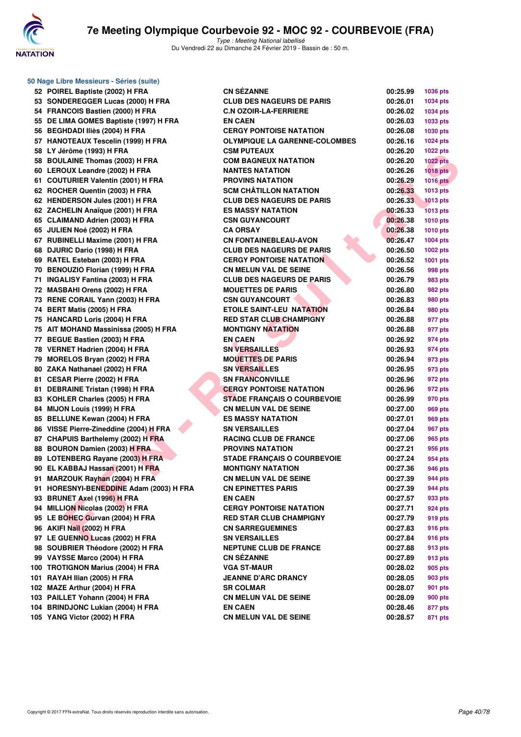

**50 Nage Libre Messieurs - Séries (suite)**

# **7e Meeting Olympique Courbevoie 92 - MOC 92 - COURBEVOIE (FRA)**

| 52 POIREL Baptiste (2002) H FRA         | <b>CN SÉZANNE</b>                    | 00:25.99 | 1036 pts        |
|-----------------------------------------|--------------------------------------|----------|-----------------|
| 53 SONDEREGGER Lucas (2000) H FRA       | <b>CLUB DES NAGEURS DE PARIS</b>     | 00:26.01 | 1034 pts        |
| 54 FRANCOIS Bastien (2000) H FRA        | <b>C.N OZOIR-LA-FERRIERE</b>         | 00:26.02 | 1034 pts        |
| 55 DE LIMA GOMES Baptiste (1997) H FRA  | <b>EN CAEN</b>                       | 00:26.03 | 1033 pts        |
| 56 BEGHDADI Iliès (2004) H FRA          | <b>CERGY PONTOISE NATATION</b>       | 00:26.08 | 1030 pts        |
| 57 HANOTEAUX Tescelin (1999) H FRA      | <b>OLYMPIQUE LA GARENNE-COLOMBES</b> | 00:26.16 | 1024 pts        |
| 58 LY Jérôme (1993) H FRA               | <b>CSM PUTEAUX</b>                   | 00:26.20 | <b>1022 pts</b> |
| 58 BOULAINE Thomas (2003) H FRA         | <b>COM BAGNEUX NATATION</b>          | 00:26.20 | <b>1022 pts</b> |
| 60 LEROUX Leandre (2002) H FRA          | <b>NANTES NATATION</b>               | 00:26.26 | <b>1018 pts</b> |
| 61 COUTURIER Valentin (2001) H FRA      | <b>PROVINS NATATION</b>              | 00:26.29 | <b>1016 pts</b> |
| 62 ROCHER Quentin (2003) H FRA          | <b>SCM CHÂTILLON NATATION</b>        | 00:26.33 | 1013 pts        |
| 62 HENDERSON Jules (2001) H FRA         | <b>CLUB DES NAGEURS DE PARIS</b>     | 00:26.33 | <b>1013 pts</b> |
| 62 ZACHELIN Anaïque (2001) H FRA        | <b>ES MASSY NATATION</b>             | 00:26.33 | <b>1013 pts</b> |
| 65 CLAIMAND Adrien (2003) H FRA         | <b>CSN GUYANCOURT</b>                | 00:26.38 | <b>1010 pts</b> |
| 65 JULIEN Noé (2002) H FRA              | <b>CA ORSAY</b>                      | 00:26.38 | <b>1010 pts</b> |
| 67 RUBINELLI Maxime (2001) H FRA        | <b>CN FONTAINEBLEAU-AVON</b>         | 00:26.47 | 1004 pts        |
| 68 DJURIC Dario (1998) H FRA            | <b>CLUB DES NAGEURS DE PARIS</b>     | 00:26.50 | 1002 pts        |
| 69 RATEL Esteban (2003) H FRA           | <b>CERGY PONTOISE NATATION</b>       | 00:26.52 | 1001 pts        |
| 70 BENOUZIO Florian (1999) H FRA        | <b>CN MELUN VAL DE SEINE</b>         | 00:26.56 | 998 pts         |
| 71 INGALISY Fantina (2003) H FRA        | <b>CLUB DES NAGEURS DE PARIS</b>     | 00:26.79 | 983 pts         |
| 72 MASBAHI Orens (2002) H FRA           | <b>MOUETTES DE PARIS</b>             | 00:26.80 | 982 pts         |
| 73 RENE CORAIL Yann (2003) H FRA        | <b>CSN GUYANCOURT</b>                | 00:26.83 | 980 pts         |
| 74 BERT Matis (2005) H FRA              | <b>ETOILE SAINT-LEU NATATION</b>     | 00:26.84 | 980 pts         |
| 75 HANCARD Loris (2004) H FRA           | <b>RED STAR CLUB CHAMPIGNY</b>       | 00:26.88 | 977 pts         |
| 75 AIT MOHAND Massinissa (2005) H FRA   | <b>MONTIGNY NATATION</b>             | 00:26.88 | 977 pts         |
| 77 BEGUE Bastien (2003) H FRA           | <b>EN CAEN</b>                       | 00:26.92 | 974 pts         |
| 78 VERNET Hadrien (2004) H FRA          | <b>SN VERSAILLES</b>                 | 00:26.93 | 974 pts         |
| 79 MORELOS Bryan (2002) H FRA           | <b>MOUETTES DE PARIS</b>             | 00:26.94 | 973 pts         |
| 80 ZAKA Nathanael (2002) H FRA          | <b>SN VERSAILLES</b>                 | 00:26.95 | 973 pts         |
| 81 CESAR Pierre (2002) H FRA            | <b>SN FRANCONVILLE</b>               | 00:26.96 | 972 pts         |
| 81 DEBRAINE Tristan (1998) H FRA        | <b>CERGY PONTOISE NATATION</b>       | 00:26.96 | 972 pts         |
| 83 KOHLER Charles (2005) H FRA          | <b>STADE FRANÇAIS O COURBEVOIE</b>   | 00:26.99 | 970 pts         |
| 84 MIJON Louis (1999) H FRA             | <b>CN MELUN VAL DE SEINE</b>         | 00:27.00 | 969 pts         |
| 85 BELLUNE Kewan (2004) H FRA           | ES MASSY NATATION                    | 00:27.01 | 969 pts         |
| 86 VISSE Pierre-Zineddine (2004) H FRA  | <b>SN VERSAILLES</b>                 | 00:27.04 | 967 pts         |
| 87 CHAPUIS Barthelemy (2002) H FRA      | <b>RACING CLUB DE FRANCE</b>         | 00:27.06 | 965 pts         |
| 88 BOURON Damien (2003) H FRA           | <b>PROVINS NATATION</b>              | 00:27.21 | 956 pts         |
| 89 LOTENBERG Rayane (2003) H FRA        | <b>STADE FRANÇAIS O COURBEVOIE</b>   | 00:27.24 | 954 pts         |
| 90 EL KABBAJ Hassan (2001) H FRA        | <b>MONTIGNY NATATION</b>             | 00:27.36 | 946 pts         |
| 91 MARZOUK Rayhan (2004) H FRA          | <b>CN MELUN VAL DE SEINE</b>         | 00:27.39 | <b>944 pts</b>  |
| 91 HORESNYI-BENEDDINE Adam (2003) H FRA | <b>CN EPINETTES PARIS</b>            | 00:27.39 | <b>944 pts</b>  |
| 93 BRUNET Axel (1996) H FRA             | <b>EN CAEN</b>                       | 00:27.57 | 933 pts         |
| 94 MILLION Nicolas (2002) H FRA         | <b>CERGY PONTOISE NATATION</b>       | 00:27.71 | 924 pts         |
| 95 LE BOHEC Gurvan (2004) H FRA         | RED STAR CLUB CHAMPIGNY              | 00:27.79 | 919 pts         |
| 96 AKIFI Naïl (2002) H FRA              | <b>CN SARREGUEMINES</b>              | 00:27.83 | 916 pts         |
| 97 LE GUENNO Lucas (2002) H FRA         | <b>SN VERSAILLES</b>                 | 00:27.84 | 916 pts         |
| 98 SOUBRIER Théodore (2002) H FRA       | <b>NEPTUNE CLUB DE FRANCE</b>        | 00:27.88 | 913 pts         |
| 99 VAYSSE Marco (2004) H FRA            | <b>CN SÉZANNE</b>                    | 00:27.89 | 913 pts         |
| 100 TROTIGNON Marius (2004) H FRA       | <b>VGA ST-MAUR</b>                   | 00:28.02 | 905 pts         |
| 101 RAYAH Ilian (2005) H FRA            | <b>JEANNE D'ARC DRANCY</b>           | 00:28.05 | 903 pts         |
| 102 MAZE Arthur (2004) H FRA            | <b>SR COLMAR</b>                     | 00:28.07 | 901 pts         |
| 103 PAILLET Yohann (2004) H FRA         | <b>CN MELUN VAL DE SEINE</b>         | 00:28.09 | 900 pts         |
| 104 BRINDJONC Lukian (2004) H FRA       | <b>EN CAEN</b>                       |          |                 |
| 105 YANG Victor (2002) H FRA            | <b>CN MELUN VAL DE SEINE</b>         | 00:28.46 | 877 pts         |
|                                         |                                      | 00:28.57 | 871 pts         |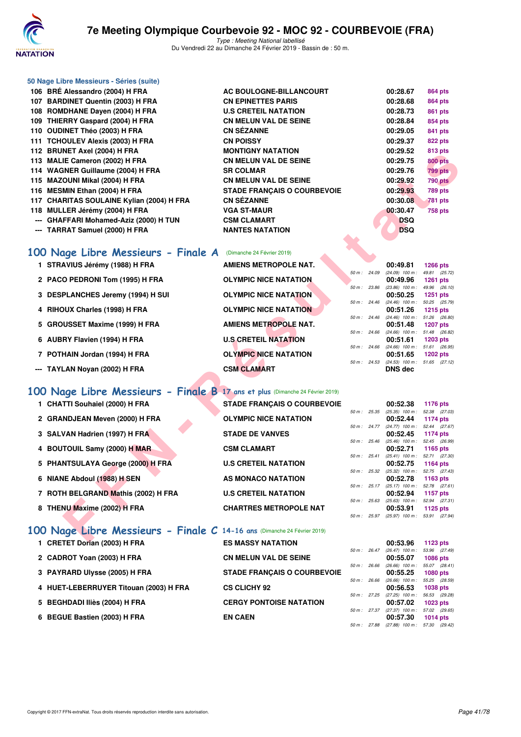

Type : Meeting National labellisé Du Vendredi 22 au Dimanche 24 Février 2019 - Bassin de : 50 m.

|  | <u>IUO DRE AIESSANUIO (2004) FIFRA</u> |
|--|----------------------------------------|
|  | 107 BARDINET Quentin (2003) H FRA      |
|  | 108 ROMDHANE Dayen (2004) H FRA        |
|  | 109 THIERRY Gaspard (2004) H FRA       |
|  | 110 OUDINET Théo (2003) H FRA          |
|  | 111 TCHOULEV Alexis (2003) H FRA       |

**50 Nage Libre Messieurs - Séries (suite)**

- 
- 
- 
- 
- 
- 
- --- GHAFFARI Mohamed-Aziz (2000) H TUN
- --- TARRAT Samuel (2000) H FRA NANTES NATATION

|  |  |  | 100 Nage Libre Messieurs - Finale A (Dimanche 24 Février 2019) |
|--|--|--|----------------------------------------------------------------|

- 
- 2 PACO PEDRONI Tom (1995) H FRA
- **3 DESPLANCHES Jeremy (1994) H SUI**
- **4 RIHOUX Charles (1998) H FRA**
- **5 GROUSSET Maxime (1999) H FRA**
- **6 AUBRY Flavien (1994) H FRA**
- **7 POTHAIN Jordan (1994) H FRA**
- -- TAYLAN Noyan (2002) H FRA **CSM CLAMART** CSM CLAMART DNS dec

## **[100 Nage Libre Messieurs - Finale B](http://www.ffnatation.fr/webffn/resultats.php?idact=nat&go=epr&idcpt=57703&idepr=52) 17 ans et plus** (Dimanche 24 Février 2019)

- 
- 2 GRANDJEAN Meven (2000) H FRA **OLYMPIC NICE NATATION**
- **3 SALVAN Hadrien (1997) H FRA STADE DE VANVES**
- 4 BOUTOUIL Samy (2000) H MAR CSM CLAMART
- 5 PHANTSULAYA George (2000) H FRA **U.S CRETEIL NATATION**
- 6 NIANE Abdoul (1988) H SEN AS MONACO NATATION
- **7 ROTH BELGRAND Mathis (2002) H FRA U.S CRETEIL NATATION**
- 

## **[100 Nage Libre Messieurs - Finale C](http://www.ffnatation.fr/webffn/resultats.php?idact=nat&go=epr&idcpt=57703&idepr=52) 14-16 ans** (Dimanche 24 Février 2019)

- **1 CRETET Dorian (2003) H FRA**
- **2 CADROT Yoan (2003) H FRA**
- **3 PAYRARD Ulysse (2005) H FRA**
- **4 HUET-LEBERRUYER Titouan (2003) H FRA CS CLICHY 92 00:56.53 1038 pts**
- 5 BEGHDADI Iliès (2004) H FRA
- **6 BEGUE Bastien (2003) H FRA**

| 106 BRÉ Alessandro (2004) H FRA                                               | AC BOULOGNE-BILLANCOURT            |              |                                                      |                            |
|-------------------------------------------------------------------------------|------------------------------------|--------------|------------------------------------------------------|----------------------------|
| 107 BARDINET Quentin (2003) H FRA                                             | <b>CN EPINETTES PARIS</b>          |              | 00:28.67<br>00:28.68                                 | 864 pts<br><b>864 pts</b>  |
| 108 ROMDHANE Dayen (2004) H FRA                                               | <b>U.S CRETEIL NATATION</b>        |              | 00:28.73                                             | 861 pts                    |
| 109 THIERRY Gaspard (2004) H FRA                                              | <b>CN MELUN VAL DE SEINE</b>       |              | 00:28.84                                             | 854 pts                    |
| 110 OUDINET Théo (2003) H FRA                                                 | <b>CN SÉZANNE</b>                  |              | 00:29.05                                             | 841 pts                    |
| 111 TCHOULEV Alexis (2003) H FRA                                              | <b>CN POISSY</b>                   |              | 00:29.37                                             | <b>822 pts</b>             |
| 112 BRUNET Axel (2004) H FRA                                                  | <b>MONTIGNY NATATION</b>           |              | 00:29.52                                             | 813 pts                    |
| 113 MALIE Cameron (2002) H FRA                                                | <b>CN MELUN VAL DE SEINE</b>       |              | 00:29.75                                             | <b>800 pts</b>             |
| 114 WAGNER Guillaume (2004) H FRA                                             | <b>SR COLMAR</b>                   |              | 00:29.76                                             | <b>799 pts</b>             |
| 115 MAZOUNI Mikal (2004) H FRA                                                | <b>CN MELUN VAL DE SEINE</b>       |              | 00:29.92                                             | <b>790 pts</b>             |
| 116 MESMIN Ethan (2004) H FRA                                                 | <b>STADE FRANÇAIS O COURBEVOIE</b> |              | 00:29.93                                             | <b>789 pts</b>             |
| 117 CHARITAS SOULAINE Kylian (2004) H FRA                                     | <b>CN SEZANNE</b>                  |              | 00:30.08                                             | <b>781 pts</b>             |
| 118 MULLER Jérémy (2004) H FRA                                                | <b>VGA ST-MAUR</b>                 |              | 00:30.47                                             | <b>758 pts</b>             |
| --- GHAFFARI Mohamed-Aziz (2000) H TUN                                        | <b>CSM CLAMART</b>                 |              | <b>DSQ</b>                                           |                            |
| --- TARRAT Samuel (2000) H FRA                                                | <b>NANTES NATATION</b>             |              | <b>DSQ</b>                                           |                            |
|                                                                               |                                    |              |                                                      |                            |
| 100 Nage Libre Messieurs - Finale A                                           | (Dimanche 24 Février 2019)         |              |                                                      |                            |
| 1 STRAVIUS Jérémy (1988) H FRA                                                | <b>AMIENS METROPOLE NAT.</b>       |              | 00:49.81                                             | <b>1266 pts</b>            |
| 2 PACO PEDRONI Tom (1995) H FRA                                               | <b>OLYMPIC NICE NATATION</b>       | 50 m : 24.09 | (24.09) 100 m: 49.81 (25.72)<br>00:49.96             | <b>1261 pts</b>            |
|                                                                               |                                    | 50 m : 23.86 | $(23.86)$ 100 m : 49.96 $(26.10)$                    |                            |
| 3 DESPLANCHES Jeremy (1994) H SUI                                             | <b>OLYMPIC NICE NATATION</b>       | 50 m : 24.46 | 00:50.25<br>$(24.46)$ 100 m : 50.25 $(25.79)$        | <b>1251 pts</b>            |
| 4 RIHOUX Charles (1998) H FRA                                                 | <b>OLYMPIC NICE NATATION</b>       |              | 00:51.26                                             | <b>1215 pts</b>            |
|                                                                               |                                    | 50 m: 24.46  | $(24.46)$ 100 m : 51.26 $(26.80)$                    |                            |
| 5 GROUSSET Maxime (1999) H FRA                                                | <b>AMIENS METROPOLE NAT.</b>       | 50 m: 24.66  | 00:51.48<br>(24.66) 100 m: 51.48 (26.82)             | <b>1207 pts</b>            |
| 6 AUBRY Flavien (1994) H FRA                                                  | <b>U.S CRETEIL NATATION</b>        |              | 00:51.61                                             | <b>1203 pts</b>            |
| 7 POTHAIN Jordan (1994) H FRA                                                 | <b>OLYMPIC NICE NATATION</b>       | 50 m: 24.66  | $(24.66)$ 100 m : 51.61<br>00:51.65                  | (26.95)<br><b>1202 pts</b> |
|                                                                               |                                    | 50 m : 24.53 | (24.53) 100 m: 51.65 (27.12)                         |                            |
| --- TAYLAN Noyan (2002) H FRA                                                 | <b>CSM CLAMART</b>                 |              | <b>DNS dec</b>                                       |                            |
|                                                                               |                                    |              |                                                      |                            |
| 100 Nage Libre Messieurs - Finale B 17 ans et plus (Dimanche 24 Février 2019) |                                    |              |                                                      |                            |
| 1 CHATTI Souhaiel (2000) H FRA                                                | <b>STADE FRANÇAIS O COURBEVOIE</b> |              | 00:52.38                                             | 1176 pts                   |
| 2 GRANDJEAN Meven (2000) H FRA                                                | <b>OLYMPIC NICE NATATION</b>       | 50 m : 25.35 | $(25.35)$ 100 m : 52.38 $(27.03)$<br>00:52.44        | 1174 pts                   |
|                                                                               |                                    | 50 m: 24.77  | (24.77) 100 m: 52.44 (27.67)                         |                            |
| 3 SALVAN Hadrien (1997) H FRA                                                 | <b>STADE DE VANVES</b>             |              | 00:52.45                                             | 1174 pts                   |
| 4 BOUTOUIL Samy (2000) H MAR                                                  | <b>CSM CLAMART</b>                 | 50 m : 25.46 | (25.46) 100 m: 52.45 (26.99)<br>00:52.71             | 1165 pts                   |
|                                                                               |                                    | 50 m: 25.41  | $(25.41)$ 100 m : 52.71 $(27.30)$                    |                            |
| 5 PHANTSULAYA George (2000) H FRA                                             | <b>U.S CRETEIL NATATION</b>        |              | 00:52.75                                             | 1164 pts                   |
| 6 NIANE Abdoul (1988) H SEN                                                   | AS MONACO NATATION                 |              | 50 m: 25.32 (25.32) 100 m: 52.75 (27.43)<br>00:52.78 | 1163 $pts$                 |
|                                                                               |                                    | 50 m : 25.17 | $(25.17)$ 100 m : 52.78 $(27.61)$                    |                            |
| 7 ROTH BELGRAND Mathis (2002) H FRA                                           | <b>U.S CRETEIL NATATION</b>        | 50 m : 25.63 | 00:52.94<br>(25.63) 100 m: 52.94 (27.31)             | <b>1157 pts</b>            |
| 8 THENU Maxime (2002) H FRA                                                   | <b>CHARTRES METROPOLE NAT</b>      |              | 00:53.91                                             | 1125 $pts$                 |
|                                                                               |                                    |              | 50 m: 25.97 (25.97) 100 m: 53.91 (27.94)             |                            |
| 100 Nage Libre Messieurs - Finale C 14-16 ans (Dimanche 24 Février 2019)      |                                    |              |                                                      |                            |
| <b>ODETET BALLA (0000) U EDA</b>                                              | <b>COMMODY MATATION</b>            |              | 00.500                                               | $-4.00 - 1.$               |

| 1 STRAVIUS Jérémy (1988) H FRA    | AMIENS METROPOLE NAT.        |          |                        | 00:49.81                             | 1266 pts   |  |
|-----------------------------------|------------------------------|----------|------------------------|--------------------------------------|------------|--|
|                                   |                              |          | 50 m: 24.09            | $(24.09)$ 100 m :                    | 49.81 (25  |  |
| 2 PACO PEDRONI Tom (1995) H FRA   | <b>OLYMPIC NICE NATATION</b> |          |                        | 00:49.96                             | 1261 pts   |  |
|                                   |                              | $50 m$ : | 23.86                  | $(23.86)$ 100 m :                    | 49.96 (26) |  |
| 3 DESPLANCHES Jeremy (1994) H SUI | <b>OLYMPIC NICE NATATION</b> |          |                        | 00:50.25                             | 1251 pts   |  |
|                                   |                              |          |                        | $50 m$ : $24.46$ $(24.46)$ $100 m$ : | 50.25 (25) |  |
| 4 RIHOUX Charles (1998) H FRA     | <b>OLYMPIC NICE NATATION</b> |          |                        | 00:51.26                             | 1215 pts   |  |
|                                   |                              |          | $50 \text{ m}$ : 24.46 | $(24.46)$ 100 m : 51.26 (26.         |            |  |
| 5 GROUSSET Maxime (1999) H FRA    | <b>AMIENS METROPOLE NAT.</b> |          |                        | 00:51.48                             | 1207 pts   |  |
|                                   |                              |          | $50 \text{ m}$ : 24.66 | $(24.66)$ 100 m : 51.48 (26)         |            |  |
| 6 AUBRY Flavien (1994) H FRA      | <b>U.S CRETEIL NATATION</b>  |          |                        | 00:51.61                             | 1203 pts   |  |
|                                   |                              |          | $50 \text{ m}$ : 24.66 | $(24.66)$ 100 m :                    | 51.61 (26) |  |
| 7 POTHAIN Jordan (1994) H FRA     | <b>OLYMPIC NICE NATATION</b> |          |                        | 00:51.65                             | 1202 pts   |  |
|                                   |                              |          | $50 \text{ m}$ : 24.53 | $(24.53)$ 100 m : 51.65 (27.         |            |  |
| -- TAYLAN Novan (2002) H FRA      | <b>CSM CLAMART</b>           |          |                        | DNS dec                              |            |  |

| <b>ES MASSY NATATION</b>           |
|------------------------------------|
| <b>CN MELUN VAL DE SEINE</b>       |
| <b>STADE FRANÇAIS O COURBEVOIE</b> |
| <b>CS CLICHY 92</b>                |
| <b>CERGY PONTOISE NATATION</b>     |
| <b>EN CAEN</b>                     |

|                        |              | UU.49.01          | 1200 DIS        |
|------------------------|--------------|-------------------|-----------------|
|                        | 50 m : 24.09 | $(24.09)$ 100 m : | 49.81 (25.72)   |
|                        |              | 00:49.96          | $1261$ pts      |
| 50 m: 23.86            |              | $(23.86)$ 100 m : | 49.96 (26.10)   |
|                        |              | 00:50.25          | <b>1251 pts</b> |
| $50 \text{ m}$ : 24.46 |              | $(24.46)$ 100 m : | 50.25 (25.79)   |
|                        |              | 00:51.26          | 1215 $pts$      |
| 50 m : 24.46           |              | $(24.46)$ 100 m : | 51.26 (26.80)   |
|                        |              | 00:51.48          | <b>1207 pts</b> |
| 50 m: 24.66            |              | $(24.66)$ 100 m : | 51.48 (26.82)   |
|                        |              | 00:51.61          | <b>1203 pts</b> |
| 50 m : 24.66           |              | $(24.66)$ 100 m : | 51.61 (26.95)   |
|                        |              | 00:51.65          | $1202$ pts      |
| $50 m$ :               | 24.53        | $(24.53)$ 100 m : | 51.65 (27.12)   |
|                        |              | <b>DID</b> J.     |                 |

|                |       | 00:52.38          | 1176 pts        |
|----------------|-------|-------------------|-----------------|
| $50 m$ : 25.35 |       | $(25.35)$ 100 m : | 52.38 (27.03)   |
|                |       | 00:52.44          | <b>1174 pts</b> |
| $50 m$ :       | 24.77 | $(24.77)$ 100 m : | 52.44 (27.67)   |
|                |       | 00:52.45          | <b>1174 pts</b> |
| 50 m : 25.46   |       | $(25.46)$ 100 m : | 52.45 (26.99)   |
|                |       | 00:52.71          | 1165 $pts$      |
| $50 m$ : 25.41 |       | $(25.41)$ 100 m : | 52.71 (27.30)   |
|                |       | 00:52.75          | 1164 pts        |
| 50 m :         | 25.32 | $(25.32)$ 100 m : | 52.75 (27.43)   |
|                |       | 00:52.78          | 1163 $pts$      |
| 50 m: 25.17    |       | $(25.17)$ 100 m : | 52.78 (27.61)   |
|                |       | 00:52.94          | <b>1157 pts</b> |
| 50 m: 25.63    |       | $(25.63)$ 100 m : | 52.94 (27.31)   |
|                |       | 00:53.91          | 1125 pts        |
| $50 m$ :       | 25.97 | $(25.97)$ 100 m : | 53.91 (27.94)   |

|          |             | 00:53.96          | $1123$ pts      |
|----------|-------------|-------------------|-----------------|
| 50 m:    | 26.47       | $(26.47)$ 100 m : | 53.96 (27.49)   |
|          |             | 00:55.07          | <b>1086 pts</b> |
| $50 m$ : | 26.66       | $(26.66)$ 100 m : | 55.07 (28.41)   |
|          |             | 00:55.25          | <b>1080 pts</b> |
| $50 m$ : | 26.66       | $(26.66)$ 100 m : | 55.25 (28.59)   |
|          |             | 00:56.53          | <b>1038 pts</b> |
| $50 m$ : | 27.25       | $(27.25)$ 100 m : | 56.53 (29.28)   |
|          |             | 00:57.02          | <b>1023 pts</b> |
|          | 50 m: 27.37 | $(27.37)$ 100 m : | 57.02 (29.65)   |
|          |             | 00:57.30          | <b>1014 pts</b> |
| $50 m$ : | 27.88       | $(27.88)$ 100 m : | 57.30 (29.42)   |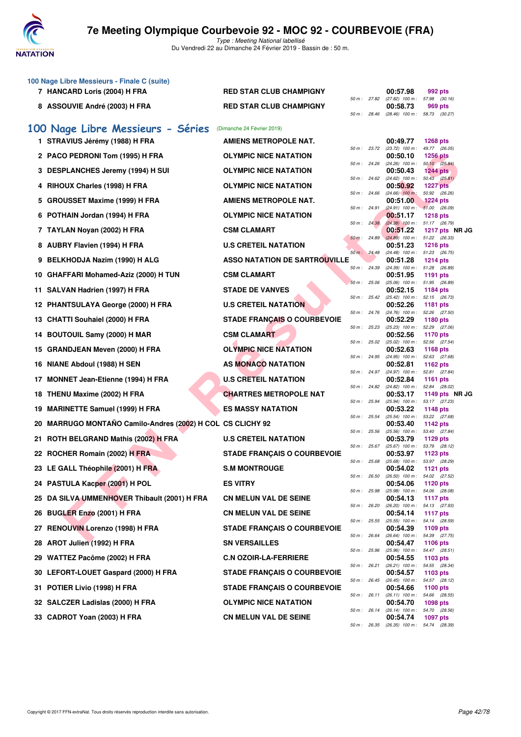

|    | 100 Nage Libre Messieurs - Finale C (suite)             |                                      |              |              |                                                      |                                  |
|----|---------------------------------------------------------|--------------------------------------|--------------|--------------|------------------------------------------------------|----------------------------------|
|    | 7 HANCARD Loris (2004) H FRA                            | <b>RED STAR CLUB CHAMPIGNY</b>       |              | 50 m : 27.82 | 00:57.98<br>$(27.82)$ 100 m : 57.98 $(30.16)$        | 992 pts                          |
|    | 8 ASSOUVIE André (2003) H FRA                           | <b>RED STAR CLUB CHAMPIGNY</b>       | 50 m : 28.46 |              | 00:58.73<br>(28.46) 100 m: 58.73 (30.27)             | 969 pts                          |
|    | 100 Nage Libre Messieurs - Séries                       | (Dimanche 24 Février 2019)           |              |              |                                                      |                                  |
|    | 1 STRAVIUS Jérémy (1988) H FRA                          | <b>AMIENS METROPOLE NAT.</b>         |              |              | 00:49.77                                             | <b>1268 pts</b>                  |
|    | 2 PACO PEDRONI Tom (1995) H FRA                         | <b>OLYMPIC NICE NATATION</b>         | 50 m : 23.72 |              | $(23.72)$ 100 m :<br>00:50.10                        | 49.77 (26.05)<br><b>1256 pts</b> |
|    | 3 DESPLANCHES Jeremy (1994) H SUI                       | <b>OLYMPIC NICE NATATION</b>         | 50 m: 24.26  |              | $(24.26)$ 100 m :<br>00:50.43                        | 50.10 (25.84)<br>1244 pts        |
|    | 4 RIHOUX Charles (1998) H FRA                           | <b>OLYMPIC NICE NATATION</b>         | 50 m: 24.62  |              | $(24.62)$ 100 m :<br>00:50.92                        | 50.43 (25.81)<br><b>1227 pts</b> |
| 5  | <b>GROUSSET Maxime (1999) H FRA</b>                     | AMIENS METROPOLE NAT.                | 50 m: 24.66  |              | $(24.66)$ 100 m :<br>00:51.00                        | 50.92 (26.26)<br><b>1224 pts</b> |
|    | 6 POTHAIN Jordan (1994) H FRA                           | <b>OLYMPIC NICE NATATION</b>         | 50 m: 24.91  |              | $(24.91)$ 100 m : 51.00 (26.09)<br>00:51.17          | <b>1218 pts</b>                  |
|    | 7 TAYLAN Noyan (2002) H FRA                             | <b>CSM CLAMART</b>                   | 50 m : 24.38 |              | $(24.38)$ 100 m :<br>00:51.22                        | 51.17 (26.79)<br>1217 pts NR JC  |
|    | 8 AUBRY Flavien (1994) H FRA                            | <b>U.S CRETEIL NATATION</b>          | 50 m: 24.89  |              | $(24.89)$ 100 m : 51.22 (26.33)<br>00:51.23          | <b>1216 pts</b>                  |
| 9  | BELKHODJA Nazim (1990) H ALG                            | <b>ASSO NATATION DE SARTROUVILLE</b> | 50 m: 24.48  |              | (24.48) 100 m: 51.23 (26.75)<br>00:51.28             | <b>1214 pts</b>                  |
|    | 10 GHAFFARI Mohamed-Aziz (2000) H TUN                   | <b>CSM CLAMART</b>                   | 50 m: 24.39  |              | (24.39) 100 m: 51.28 (26.89)<br>00:51.95             | 1191 pts                         |
|    | 11 SALVAN Hadrien (1997) H FRA                          | <b>STADE DE VANVES</b>               | 50 m: 25.06  |              | $(25.06)$ 100 m : 51.95 (26.89)<br>00:52.15          | 1184 pts                         |
|    | 12 PHANTSULAYA George (2000) H FRA                      | <b>U.S CRETEIL NATATION</b>          | 50 m: 25.42  |              | $(25.42)$ 100 m :<br>00:52.26                        | 52.15 (26.73)<br><b>1181 pts</b> |
|    | 13 CHATTI Souhaiel (2000) H FRA                         | <b>STADE FRANÇAIS O COURBEVOIE</b>   | 50 m: 24.76  |              | $(24.76)$ 100 m :<br>00:52.29                        | 52.26 (27.50)<br><b>1180 pts</b> |
|    | 14 BOUTOUIL Samy (2000) H MAR                           | <b>CSM CLAMART</b>                   | 50 m: 25.23  |              | $(25.23)$ 100 m :<br>00:52.56                        | 52.29 (27.06)<br>1170 pts        |
| 15 | <b>GRANDJEAN Meven (2000) H FRA</b>                     | <b>OLYMPIC NICE NATATION</b>         | 50 m: 25.02  |              | $(25.02)$ 100 m :<br>00:52.63                        | 52.56 (27.54)<br>1168 pts        |
|    | 16 NIANE Abdoul (1988) H SEN                            | AS MONACO NATATION                   | 50 m : 24.95 |              | (24.95) 100 m :<br>00:52.81                          | 52.63 (27.68)<br>1162 pts        |
| 17 | <b>MONNET Jean-Etienne (1994) H FRA</b>                 | <b>U.S CRETEIL NATATION</b>          | 50 m : 24.97 |              | (24.97) 100 m :<br>00:52.84                          | 52.81 (27.84)<br><b>1161 pts</b> |
| 18 | THENU Maxime (2002) H FRA                               | <b>CHARTRES METROPOLE NAT</b>        | 50 m : 24.82 |              | $(24.82)$ 100 m :<br>00:53.17                        | 52.84 (28.02)<br>1149 pts NR JG  |
|    | 19 MARINETTE Samuel (1999) H FRA                        | <b>ES MASSY NATATION</b>             | 50 m : 25.94 |              | $(25.94)$ 100 m :<br>00:53.22                        | 53.17 (27.23)<br><b>1148 pts</b> |
| 20 | MARRUGO MONTAÑO Camilo-Andres (2002) H COL CS CLICHY 92 |                                      | 50 m: 25.54  |              | $(25.54)$ 100 m :<br>00:53.40                        | 53.22 (27.68)<br><b>1142 pts</b> |
|    | 21 ROTH BELGRAND Mathis (2002) H FRA                    | <b>U.S CRETEIL NATATION</b>          | 50 m: 25.56  |              | $(25.56)$ 100 m :                                    | 53.40 (27.84)<br>1129 pts        |
|    |                                                         |                                      | 50 m: 25.67  |              | 00:53.79<br>$(25.67)$ 100 m :                        | 53.79 (28.12)                    |
|    | 22 ROCHER Romain (2002) H FRA                           | <b>STADE FRANÇAIS O COURBEVOIE</b>   | 50 m: 25.68  |              | 00:53.97<br>(25.68) 100 m: 53.97 (28.29)             | 1123 pts                         |
|    | 23 LE GALL Théophile (2001) H FRA                       | <b>S.M MONTROUGE</b>                 |              |              | 00:54.02<br>50 m: 26.50 (26.50) 100 m: 54.02 (27.52) | 1121 pts                         |
|    | 24 PASTULA Kacper (2001) H POL                          | <b>ES VITRY</b>                      | 50 m : 25.98 |              | 00:54.06<br>(25.98) 100 m: 54.06 (28.08)             | 1120 pts                         |
|    | 25 DA SILVA UMMENHOVER Thibault (2001) H FRA            | <b>CN MELUN VAL DE SEINE</b>         | 50 m : 26.20 |              | 00:54.13<br>$(26.20)$ 100 m : 54.13 $(27.93)$        | <b>1117 pts</b>                  |
|    | 26 BUGLER Enzo (2001) H FRA                             | <b>CN MELUN VAL DE SEINE</b>         | 50 m: 25.55  |              | 00:54.14<br>(25.55) 100 m: 54.14 (28.59)             | 1117 $pts$                       |
|    | 27 RENOUVIN Lorenzo (1998) H FRA                        | <b>STADE FRANÇAIS O COURBEVOIE</b>   | 50 m : 26.64 |              | 00:54.39<br>(26.64) 100 m : 54.39 (27.75)            | 1109 pts                         |
|    | 28 AROT Julien (1992) H FRA                             | <b>SN VERSAILLES</b>                 |              | 50 m : 25.96 | 00:54.47<br>(25.96) 100 m: 54.47 (28.51)             | 1106 pts                         |
|    | 29 WATTEZ Pacôme (2002) H FRA                           | <b>C.N OZOIR-LA-FERRIERE</b>         |              | 50 m : 26.21 | 00:54.55<br>(26.21) 100 m: 54.55 (28.34)             | 1103 pts                         |
|    | 30 LEFORT-LOUET Gaspard (2000) H FRA                    | <b>STADE FRANÇAIS O COURBEVOIE</b>   |              |              | 00:54.57<br>50 m: 26.45 (26.45) 100 m: 54.57 (28.12) | 1103 pts                         |
|    | 31 POTIER Livio (1998) H FRA                            | <b>STADE FRANÇAIS O COURBEVOIE</b>   |              | 50 m : 26.11 | 00:54.66<br>$(26.11)$ 100 m : 54.66 $(28.55)$        | 1100 pts                         |
|    | 32 SALCZER Ladislas (2000) H FRA                        | <b>OLYMPIC NICE NATATION</b>         |              | 50 m : 26.14 | 00:54.70<br>(26.14) 100 m: 54.70 (28.56)             | 1098 pts                         |
|    | 33 CADROT Yoan (2003) H FRA                             | <b>CN MELUN VAL DE SEINE</b>         |              |              | 00:54.74<br>50 m : 26.35 (26.35) 100 m :             | <b>1097 pts</b><br>54.74 (28.39) |
|    |                                                         |                                      |              |              |                                                      |                                  |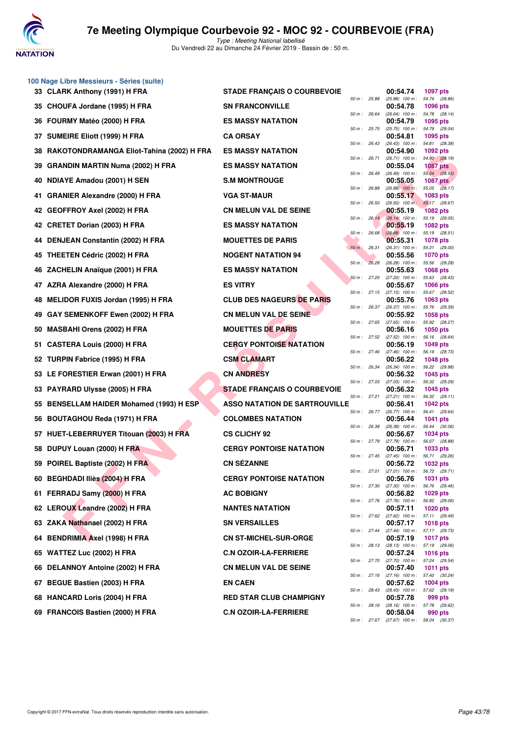

|    | 100 Nage Libre Messieurs - Séries (suite) |                                      |                |                |                                               |                                  |
|----|-------------------------------------------|--------------------------------------|----------------|----------------|-----------------------------------------------|----------------------------------|
|    | 33 CLARK Anthony (1991) H FRA             | <b>STADE FRANÇAIS O COURBEVOIE</b>   | 50 m : 25.88   |                | 00:54.74<br>$(25.88)$ 100 m :                 | 1097 pts<br>54.74 (28.86)        |
|    | 35 CHOUFA Jordane (1995) H FRA            | <b>SN FRANCONVILLE</b>               | 50 m: 26.64    |                | 00:54.78                                      | 1096 pts<br>54.78 (28.14)        |
| 36 | FOURMY Matéo (2000) H FRA                 | <b>ES MASSY NATATION</b>             |                |                | (26.64) 100 m :<br>00:54.79                   | 1095 pts                         |
| 37 | <b>SUMEIRE Eliott (1999) H FRA</b>        | <b>CA ORSAY</b>                      | 50 m: 25.75    |                | $(25.75)$ 100 m :<br>00:54.81                 | 54.79 (29.04)<br>1095 pts        |
| 38 | RAKOTONDRAMANGA Eliot-Tahina (2002) H FRA | <b>ES MASSY NATATION</b>             | 50 m: 26.43    |                | $(26.43)$ 100 m :<br>00:54.90                 | 54.81 (28.38)<br>1092 pts        |
| 39 | <b>GRANDIN MARTIN Numa (2002) H FRA</b>   | <b>ES MASSY NATATION</b>             | 50 m : 26.71   |                | (26.71) 100 m: 54.90 (28.19)<br>00:55.04      | <b>1087 pts</b>                  |
| 40 | NDIAYE Amadou (2001) H SEN                | <b>S.M MONTROUGE</b>                 | 50 m: 26.49    |                | $(26.49)$ 100 m : 55.04 $(28.55)$<br>00:55.05 | <b>1087 pts</b>                  |
| 41 | <b>GRANIER Alexandre (2000) H FRA</b>     | <b>VGA ST-MAUR</b>                   | 50 m : 26.88   |                | $(26.88)$ 100 m :<br>00:55.17                 | 55.05 (28.17)<br>1083 pts        |
|    | 42 GEOFFROY Axel (2002) H FRA             | <b>CN MELUN VAL DE SEINE</b>         | 50 m: 26.50    |                | $(26.50)$ 100 m :<br>00:55.19                 | 55.17 (28.67)<br><b>1082 pts</b> |
|    | 42 CRETET Dorian (2003) H FRA             | <b>ES MASSY NATATION</b>             |                | $50 m$ : 26.14 | $(26.14)$ 100 m :<br>00:55.19                 | 55.19 (29.05)<br>1082 pts        |
|    | 44 DENJEAN Constantin (2002) H FRA        | <b>MOUETTES DE PARIS</b>             | 50 m :         | 26.68          | $(26.68)$ 100 m :<br>00:55.31                 | 55.19 (28.51)<br>1078 pts        |
| 45 | <b>THEETEN Cédric (2002) H FRA</b>        | <b>NOGENT NATATION 94</b>            | $50 m$ : 26.31 |                | $(26.31)$ 100 m :<br>00:55.56                 | 55.31 (29.00)<br>1070 pts        |
| 46 | ZACHELIN Anaïque (2001) H FRA             | <b>ES MASSY NATATION</b>             | 50 m: 26.28    |                | (26.28) 100 m: 55.56 (29.28)<br>00:55.63      | <b>1068 pts</b>                  |
|    | 47 AZRA Alexandre (2000) H FRA            | <b>ES VITRY</b>                      | 50 m: 27.20    |                | $(27.20)$ 100 m :<br>00:55.67                 | 55.63 (28.43)<br>1066 pts        |
| 48 | MELIDOR FUXIS Jordan (1995) H FRA         | <b>CLUB DES NAGEURS DE PARIS</b>     |                | 50 m : 27.15   | $(27.15)$ 100 m :<br>00:55.76                 | 55.67 (28.52)<br>1063 pts        |
| 49 | GAY SEMENKOFF Ewen (2002) H FRA           | <b>CN MELUN VAL DE SEINE</b>         | 50 m : 26.37   |                | $(26.37)$ 100 m :<br>00:55.92                 | 55.76 (29.39)<br>1058 pts        |
| 50 | <b>MASBAHI Orens (2002) H FRA</b>         | <b>MOUETTES DE PARIS</b>             | 50 m: 27.65    |                | (27.65) 100 m: 55.92 (28.27)<br>00:56.16      | 1050 pts                         |
|    |                                           | <b>CERGY PONTOISE NATATION</b>       | 50 m: 27.52    |                | $(27.52)$ 100 m :                             | 56.16 (28.64)                    |
| 51 | <b>CASTERA Louis (2000) H FRA</b>         |                                      | 50 m: 27.46    |                | 00:56.19<br>(27.46) 100 m: 56.19 (28.73)      | 1049 pts                         |
|    | 52 TURPIN Fabrice (1995) H FRA            | <b>CSM CLAMART</b>                   | 50 m : 26.34   |                | 00:56.22<br>(26.34) 100 m: 56.22 (29.88)      | <b>1048 pts</b>                  |
|    | 53 LE FORESTIER Erwan (2001) H FRA        | <b>CN ANDRESY</b>                    | 50 m: 27.03    |                | 00:56.32<br>$(27.03)$ 100 m :                 | 1045 pts<br>56.32 (29.29)        |
|    | 53 PAYRARD Ulysse (2005) H FRA            | <b>STADE FRANÇAIS O COURBEVOIE</b>   | 50 m: 27.21    |                | 00:56.32<br>$(27.21)$ 100 m :                 | 1045 pts<br>56.32 (29.11)        |
| 55 | BENSELLAM HAIDER Mohamed (1993) H ESP     | <b>ASSO NATATION DE SARTROUVILLE</b> | 50 m: 26.77    |                | 00:56.41<br>$(26.77)$ 100 m :                 | 1042 pts<br>56.41 (29.64)        |
| 56 | <b>BOUTAGHOU Reda (1971) H FRA</b>        | <b>COLOMBES NATATION</b>             | 50 m : 26.38   |                | 00:56.44<br>$(26.38)$ 100 m :                 | 1041 pts<br>56.44 (30.06)        |
| 57 | HUET-LEBERRUYER Titouan (2003) H FRA      | <b>CS CLICHY 92</b>                  |                | 50 m : 27.79   | 00:56.67<br>(27.79) 100 m: 56.67 (28.88)      | 1034 pts                         |
| 58 | DUPUY Louan (2000) H FRA                  | <b>CERGY PONTOISE NATATION</b>       | 50 m: 27.45    |                | 00:56.71<br>$(27.45)$ 100 m :                 | 1033 pts<br>56.71 (29.26)        |
|    | 59 POIREL Baptiste (2002) H FRA           | <b>CN SÉZANNE</b>                    | 50 m : 27.01   |                | 00:56.72<br>$(27.01)$ 100 m :                 | 1032 pts<br>56.72 (29.71)        |
|    | 60 BEGHDADI Iliès (2004) H FRA            | <b>CERGY PONTOISE NATATION</b>       | 50 m: 27.30    |                | 00:56.76<br>(27.30) 100 m: 56.76 (29.46)      | 1031 pts                         |
|    | 61 FERRADJ Samy (2000) H FRA              | <b>AC BOBIGNY</b>                    | 50 m: 27.76    |                | 00:56.82                                      | 1029 pts<br>56.82 (29.06)        |
|    | 62 LEROUX Leandre (2002) H FRA            | <b>NANTES NATATION</b>               |                |                | $(27.76)$ 100 m :<br>00:57.11                 | 1020 pts                         |
|    | 63 ZAKA Nathanael (2002) H FRA            | <b>SN VERSAILLES</b>                 | 50 m : 27.62   |                | (27.62) 100 m: 57.11 (29.49)<br>00:57.17      | <b>1018 pts</b>                  |
|    | 64 BENDRIMIA Axel (1998) H FRA            | <b>CN ST-MICHEL-SUR-ORGE</b>         |                | 50 m : 27.44   | (27.44) 100 m : 57.17 (29.73)<br>00:57.19     | <b>1017 pts</b>                  |
| 65 | <b>WATTEZ Luc (2002) H FRA</b>            | <b>C.N OZOIR-LA-FERRIERE</b>         |                | 50 m : 28.13   | (28.13) 100 m: 57.19 (29.06)<br>00:57.24      | <b>1016 pts</b>                  |
| 66 | DELANNOY Antoine (2002) H FRA             | <b>CN MELUN VAL DE SEINE</b>         |                | 50 m : 27.70   | (27.70) 100 m: 57.24 (29.54)<br>00:57.40      | 1011 pts                         |
|    | 67 BEGUE Bastien (2003) H FRA             | <b>EN CAEN</b>                       | 50 m: 27.16    |                | $(27.16)$ 100 m :<br>00:57.62                 | 57.40 (30.24)<br>1004 pts        |
| 68 | <b>HANCARD Loris (2004) H FRA</b>         | <b>RED STAR CLUB CHAMPIGNY</b>       | 50 m: 28.43    |                | (28.43) 100 m: 57.62 (29.19)<br>00:57.78      | 999 pts                          |
|    | 69 FRANCOIS Bastien (2000) H FRA          | <b>C.N OZOIR-LA-FERRIERE</b>         | 50 m: 28.16    |                | (28.16) 100 m : 57.78 (29.62)<br>00:58.04     | 990 pts                          |
|    |                                           |                                      |                | 50 m : 27.67   | $(27.67)$ 100 m :                             | 58.04 (30.37)                    |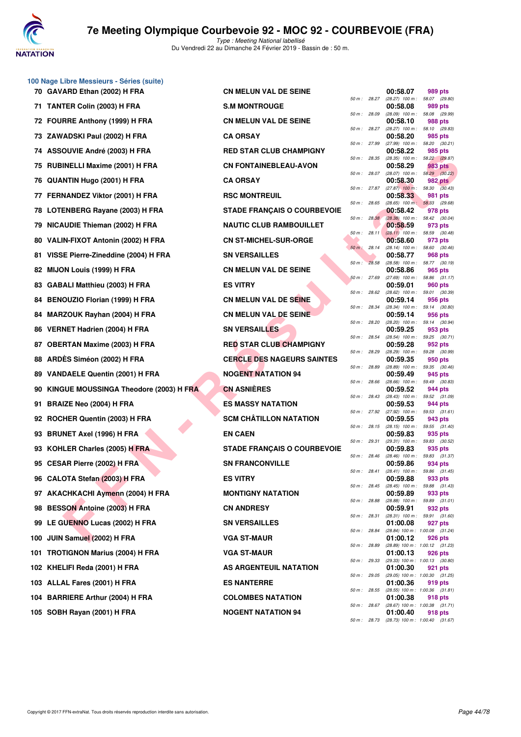

|    | 70 GAVARD Ethan (2002) H FRA              | <b>CN MELUN VAL DE SEINE</b>       |                |              | 00:58.07                                          | 989 pts               |  |
|----|-------------------------------------------|------------------------------------|----------------|--------------|---------------------------------------------------|-----------------------|--|
|    | 71 TANTER Colin (2003) H FRA              | <b>S.M MONTROUGE</b>               |                | 50 m : 28.27 | (28.27) 100 m: 58.07 (29.<br>00:58.08             | 989 pts               |  |
|    | 72 FOURRE Anthony (1999) H FRA            | <b>CN MELUN VAL DE SEINE</b>       | 50 m : 28.09   |              | (28.09) 100 m: 58.08 (29.<br>00:58.10             | 988 pts               |  |
|    | 73 ZAWADSKI Paul (2002) H FRA             | <b>CA ORSAY</b>                    | 50 m : 28.27   |              | (28.27) 100 m: 58.10 (29.<br>00:58.20             | 985 pts               |  |
|    | 74 ASSOUVIE André (2003) H FRA            | <b>RED STAR CLUB CHAMPIGNY</b>     | 50 m : 27.99   |              | (27.99) 100 m: 58.20 (30.<br>00:58.22             | 985 pts               |  |
|    | 75 RUBINELLI Maxime (2001) H FRA          | <b>CN FONTAINEBLEAU-AVON</b>       |                | 50 m : 28.35 | (28.35) 100 m: 58.22 (29.<br>00:58.29             | 983 pts               |  |
| 76 | QUANTIN Hugo (2001) H FRA                 | <b>CA ORSAY</b>                    |                | 50 m : 28.07 | $(28.07)$ 100 m : 58.29 (30.<br>00:58.30          | <b>982 pts</b>        |  |
|    | 77 FERNANDEZ Viktor (2001) H FRA          | <b>RSC MONTREUIL</b>               |                |              | 50 m: 27.87 (27.87) 100 m: 58.30 (30.<br>00:58.33 | 981 pts               |  |
|    | 78 LOTENBERG Rayane (2003) H FRA          | <b>STADE FRANÇAIS O COURBEVOIE</b> | 50 m : 28.65   |              | (28.65) 100 m : 58.33 (29.<br>00:58.42            | 978 pts               |  |
|    |                                           |                                    | 50 m: 28.38    |              | (28.38) 100 m: 58.42 (30.                         |                       |  |
| 79 | NICAUDIE Thieman (2002) H FRA             | <b>NAUTIC CLUB RAMBOUILLET</b>     | 50 m : 28.11   |              | 00:58.59<br>$(28.11)$ 100 m : 58.59 (30.          | 973 pts               |  |
|    | 80 VALIN-FIXOT Antonin (2002) H FRA       | <b>CN ST-MICHEL-SUR-ORGE</b>       | $50 m$ : 28.14 |              | 00:58.60<br>(28.14) 100 m: 58.60 (30.             | 973 pts               |  |
|    | 81 VISSE Pierre-Zineddine (2004) H FRA    | <b>SN VERSAILLES</b>               |                | 50 m: 28.58  | 00:58.77<br>$(28.58)$ 100 m : 58.77 (30.          | 968 pts               |  |
|    | 82 MIJON Louis (1999) H FRA               | <b>CN MELUN VAL DE SEINE</b>       |                | 50 m : 27.69 | 00:58.86<br>(27.69) 100 m: 58.86 (31.             | 965 pts               |  |
|    | 83 GABALI Matthieu (2003) H FRA           | <b>ES VITRY</b>                    |                | 50 m : 28.62 | 00:59.01<br>$(28.62)$ 100 m : 59.01 (30.          | 960 pts               |  |
|    | 84 BENOUZIO Florian (1999) H FRA          | <b>CN MELUN VAL DE SEINE</b>       | 50 m: 28.34    |              | 00:59.14<br>(28.34) 100 m: 59.14 (30.             | 956 pts               |  |
| 84 | MARZOUK Rayhan (2004) H FRA               | <b>CN MELUN VAL DE SEINE</b>       |                |              | 00:59.14<br>(28.20) 100 m: 59.14 (30.             | 956 pts               |  |
|    | 86 VERNET Hadrien (2004) H FRA            | <b>SN VERSAILLES</b>               | 50 m : 28.20   |              | 00:59.25                                          | 953 pts               |  |
| 87 | <b>OBERTAN Maxime (2003) H FRA</b>        | <b>RED STAR CLUB CHAMPIGNY</b>     | 50 m : 28.54   |              | (28.54) 100 m: 59.25 (30.<br>00:59.28             | 952 pts               |  |
|    | 88 ARDES Siméon (2002) H FRA              | <b>CERCLE DES NAGEURS SAINTES</b>  | 50 m : 28.29   |              | (28.29) 100 m: 59.28 (30.<br>00:59.35             | 950 pts               |  |
|    | 89 VANDAELE Quentin (2001) H FRA          | <b>NOGENT NATATION 94</b>          |                | 50 m : 28.89 | (28.89) 100 m: 59.35 (30.<br>00:59.49             | 945 pts               |  |
|    | 90 KINGUE MOUSSINGA Theodore (2003) H FRA | <b>CN ASNIERES</b>                 | 50 m :         | 28.66        | $(28.66)$ 100 m :<br>00:59.52                     | 59.49 (30.<br>944 pts |  |
| 91 | <b>BRAIZE Neo (2004) H FRA</b>            | <b>ES MASSY NATATION</b>           | 50 m: 28.43    |              | (28.43) 100 m: 59.52 (31.<br>00:59.53             | 944 pts               |  |
|    | 92 ROCHER Quentin (2003) H FRA            | <b>SCM CHÂTILLON NATATION</b>      |                | 50 m : 27.92 | (27.92) 100 m: 59.53 (31.<br>00:59.55             | 943 pts               |  |
| 93 | <b>BRUNET Axel (1996) H FRA</b>           | <b>EN CAEN</b>                     |                | 50 m : 28.15 | (28.15) 100 m: 59.55 (31.<br>00:59.83             | 935 pts               |  |
|    | 93 KOHLER Charles (2005) H FRA            | <b>STADE FRANÇAIS O COURBEVOIE</b> |                | 50 m : 29.31 | $(29.31)$ 100 m : 59.83 (30.<br>00:59.83          | 935 pts               |  |
|    | 95 CESAR Pierre (2002) H FRA              | <b>SN FRANCONVILLE</b>             | 50 m : 28.46   |              | (28.46) 100 m: 59.83 (31.<br>00:59.86             | 934 pts               |  |
|    | 96 CALOTA Stefan (2003) H FRA             | <b>ES VITRY</b>                    | 50 m : 28.41   |              | (28.41) 100 m: 59.86 (31.<br>00:59.88             | 933 pts               |  |
|    | 97 AKACHKACHI Aymenn (2004) H FRA         | <b>MONTIGNY NATATION</b>           |                |              | 50 m: 28.45 (28.45) 100 m: 59.88 (31.             |                       |  |
|    |                                           |                                    |                | 50 m : 28.88 | 00:59.89<br>(28.88) 100 m: 59.89 (31.             | 933 pts               |  |
|    | 98 BESSON Antoine (2003) H FRA            | <b>CN ANDRESY</b>                  |                | 50 m : 28.31 | 00:59.91<br>(28.31) 100 m: 59.91 (31.             | 932 pts               |  |
|    | 99 LE GUENNO Lucas (2002) H FRA           | <b>SN VERSAILLES</b>               |                | 50 m : 28.84 | 01:00.08<br>(28.84) 100 m: 1:00.08 (31.           | 927 pts               |  |
|    | 100 JUIN Samuel (2002) H FRA              | <b>VGA ST-MAUR</b>                 |                | 50 m : 28.89 | 01:00.12<br>(28.89) 100 m: 1:00.12 (31.           | 926 pts               |  |
|    | 101 TROTIGNON Marius (2004) H FRA         | <b>VGA ST-MAUR</b>                 |                | 50 m : 29.33 | 01:00.13<br>(29.33) 100 m: 1:00.13 (30.           | 926 pts               |  |
|    | 102 KHELIFI Reda (2001) H FRA             | AS ARGENTEUIL NATATION             |                | 50 m : 29.05 | 01:00.30<br>(29.05) 100 m: 1:00.30 (31.           | 921 pts               |  |
|    | 103 ALLAL Fares (2001) H FRA              | <b>ES NANTERRE</b>                 |                | 50 m : 28.55 | 01:00.36<br>(28.55) 100 m: 1:00.36 (31.           | 919 pts               |  |
|    | 104 BARRIERE Arthur (2004) H FRA          | <b>COLOMBES NATATION</b>           |                | 50 m : 28.67 | 01:00.38<br>(28.67) 100 m: 1:00.38 (31.           | 918 pts               |  |
|    | 105 SOBH Rayan (2001) H FRA               | <b>NOGENT NATATION 94</b>          |                |              | 01:00.40                                          | 918 pts               |  |

**100 Nage Libre Messieurs - Séries (suite)**

| ARD Ethan (2002) H FRA                     | <b>CN MELUN VAL DE SEINE</b>       |              |       | 00:58.07                                                 | 989 pts |  |
|--------------------------------------------|------------------------------------|--------------|-------|----------------------------------------------------------|---------|--|
| TER Colin (2003) H FRA                     | <b>S.M MONTROUGE</b>               | 50 m : 28.27 |       | $(28.27)$ 100 m : 58.07 $(29.80)$<br>00:58.08            | 989 pts |  |
| RRE Anthony (1999) H FRA                   | <b>CN MELUN VAL DE SEINE</b>       | 50 m : 28.09 |       | $(28.09)$ 100 m : 58.08 $(29.99)$<br>00:58.10            | 988 pts |  |
| 'ADSKI Paul (2002) H FRA                   | <b>CA ORSAY</b>                    | 50 m : 28.27 |       | $(28.27)$ 100 m : 58.10 $(29.83)$<br>00:58.20            | 985 pts |  |
| OUVIE André (2003) H FRA                   | <b>RED STAR CLUB CHAMPIGNY</b>     | 50 m : 27.99 |       | $(27.99)$ 100 m : 58.20 $(30.21)$<br>00:58.22            | 985 pts |  |
| INELLI Maxime (2001) H FRA                 | <b>CN FONTAINEBLEAU-AVON</b>       | 50 m : 28.35 |       | $(28.35)$ 100 m : 58.22 $(29.87)$<br>00:58.29            | 983 pts |  |
| NTIN Hugo (2001) H FRA                     | <b>CA ORSAY</b>                    | 50 m : 28.07 |       | $(28.07)$ 100 m : 58.29 $(30.22)$<br>00:58.30            | 982 pts |  |
| NANDEZ Viktor (2001) H FRA                 | <b>RSC MONTREUIL</b>               |              |       | 50 m : 27.87 (27.87) 100 m : 58.30 (30.43)<br>00:58.33   | 981 pts |  |
| ENBERG Rayane (2003) H FRA                 | <b>STADE FRANÇAIS O COURBEVOIE</b> | 50 m : 28.65 |       | $(28.65)$ 100 m : 58.33 $(29.68)$<br>00:58.42            | 978 pts |  |
| <b>UDIE Thieman (2002) H FRA</b>           | <b>NAUTIC CLUB RAMBOUILLET</b>     |              |       | 50 m : 28.38 (28.38) 100 m : 58.42 (30.04)<br>00:58.59   | 973 pts |  |
| IN-FIXOT Antonin (2002) H FRA              | <b>CN ST-MICHEL-SUR-ORGE</b>       | 50 m: 28.11  |       | $(28.11)$ 100 m : 58.59 $(30.48)$<br>00:58.60            | 973 pts |  |
| E Pierre-Zineddine (2004) H FRA            | <b>SN VERSAILLES</b>               | 50 m: 28.14  |       | $(28.14)$ 100 m : 58.60 $(30.46)$<br>00:58.77            | 968 pts |  |
| )N Louis (1999) H FRA                      | <b>CN MELUN VAL DE SEINE</b>       | 50 m :       | 28.58 | $(28.58)$ 100 m : 58.77 $(30.19)$<br>00:58.86            | 965 pts |  |
| ALI Matthieu (2003) H FRA                  | <b>ES VITRY</b>                    | 50 m : 27.69 |       | $(27.69)$ 100 m : 58.86 $(31.17)$<br>00:59.01            | 960 pts |  |
| OUZIO Florian (1999) H FRA                 | <b>CN MELUN VAL DE SEINE</b>       |              |       | 50 m : 28.62 (28.62) 100 m : 59.01 (30.39)<br>00:59.14   | 956 pts |  |
| ZOUK Rayhan (2004) H FRA                   | <b>CN MELUN VAL DE SEINE</b>       | 50 m : 28.34 |       | $(28.34)$ 100 m : 59.14 $(30.80)$<br>00:59.14            | 956 pts |  |
| NET Hadrien (2004) H FRA                   | <b>SN VERSAILLES</b>               | 50 m : 28.20 |       | $(28.20)$ 100 m : 59.14 $(30.94)$<br>00:59.25            | 953 pts |  |
| RTAN Maxime (2003) H FRA                   | <b>RED STAR CLUB CHAMPIGNY</b>     | 50 m : 28.54 |       | $(28.54)$ 100 m : 59.25 $(30.71)$<br>00:59.28            | 952 pts |  |
| ÈS Siméon (2002) H FRA                     | <b>CERCLE DES NAGEURS SAINTES</b>  | 50 m : 28.29 |       | $(28.29)$ 100 m : 59.28 $(30.99)$<br>00:59.35            | 950 pts |  |
|                                            | <b>NOGENT NATATION 94</b>          | 50 m : 28.89 |       | $(28.89)$ 100 m : 59.35 $(30.46)$                        |         |  |
| DAELE Quentin (2001) H FRA                 |                                    | 50 m : 28.66 |       | 00:59.49<br>$(28.66)$ 100 m : 59.49 $(30.83)$            | 945 pts |  |
| <b>QUE MOUSSINGA Theodore (2003) H FRA</b> | <b>CN ASNIÈRES</b>                 |              |       | 00:59.52<br>50 m: 28.43 (28.43) 100 m: 59.52 (31.09)     | 944 pts |  |
| IZE Neo (2004) H FRA                       | <b>ES MASSY NATATION</b>           | 50 m : 27.92 |       | 00:59.53<br>$(27.92)$ 100 m : 59.53 $(31.61)$            | 944 pts |  |
| HER Quentin (2003) H FRA                   | <b>SCM CHÂTILLON NATATION</b>      | 50 m : 28.15 |       | 00:59.55<br>$(28.15)$ 100 m : 59.55 $(31.40)$            | 943 pts |  |
| NET Axel (1996) H FRA                      | <b>EN CAEN</b>                     | 50 m : 29.31 |       | 00:59.83<br>$(29.31)$ 100 m : 59.83 $(30.52)$            | 935 pts |  |
| LER Charles (2005) H FRA                   | <b>STADE FRANÇAIS O COURBEVOIE</b> | 50 m : 28.46 |       | 00:59.83<br>$(28.46)$ 100 m : 59.83 $(31.37)$            | 935 pts |  |
| AR Pierre (2002) H FRA                     | <b>SN FRANCONVILLE</b>             | 50 m : 28.41 |       | 00:59.86<br>$(28.41)$ 100 m : 59.86 $(31.45)$            | 934 pts |  |
| OTA Stefan (2003) H FRA                    | <b>ES VITRY</b>                    |              |       | 00:59.88<br>50 m : 28.45 (28.45) 100 m : 59.88 (31.43)   | 933 pts |  |
| CHKACHI Aymenn (2004) H FRA                | <b>MONTIGNY NATATION</b>           |              |       | 00:59.89<br>50 m: 28.88 (28.88) 100 m: 59.89 (31.01)     | 933 pts |  |
| SON Antoine (2003) H FRA                   | <b>CN ANDRESY</b>                  |              |       | 00:59.91<br>50 m: 28.31 (28.31) 100 m: 59.91 (31.60)     | 932 pts |  |
| UENNO Lucas (2002) H FRA                   | <b>SN VERSAILLES</b>               |              |       | 01:00.08<br>50 m: 28.84 (28.84) 100 m: 1:00.08 (31.24)   | 927 pts |  |
| Samuel (2002) H FRA                        | <b>VGA ST-MAUR</b>                 |              |       | 01:00.12<br>50 m: 28.89 (28.89) 100 m: 1:00.12 (31.23)   | 926 pts |  |
| TIGNON Marius (2004) H FRA                 | <b>VGA ST-MAUR</b>                 |              |       | 01:00.13<br>50 m : 29.33 (29.33) 100 m : 1:00.13 (30.80) | 926 pts |  |
| LIFI Reda (2001) H FRA                     | AS ARGENTEUIL NATATION             |              |       | 01:00.30<br>50 m: 29.05 (29.05) 100 m: 1:00.30 (31.25)   | 921 pts |  |
| <b>AL Fares (2001) H FRA</b>               | <b>ES NANTERRE</b>                 |              |       | 01:00.36<br>50 m: 28.55 (28.55) 100 m: 1:00.36 (31.81)   | 919 pts |  |
| RIERE Arthur (2004) H FRA                  | <b>COLOMBES NATATION</b>           |              |       | 01:00.38                                                 | 918 pts |  |
| H Rayan (2001) H FRA                       | <b>NOGENT NATATION 94</b>          |              |       | 50 m: 28.67 (28.67) 100 m: 1:00.38 (31.71)<br>01:00.40   | 918 pts |  |
|                                            |                                    |              |       | 50 m: 28.73 (28.73) 100 m: 1:00.40 (31.67)               |         |  |

|          |       | 00:58.07                      | 989 pts                   |         |
|----------|-------|-------------------------------|---------------------------|---------|
| 50 m :   | 28.27 | $(28.27)$ 100 m :             | 58.07                     | (29.80) |
|          |       | 00:58.08                      | 989 pts                   |         |
| $50 m$ : | 28.09 | $(28.09)$ 100 m :             | 58.08                     | (29.99) |
| $50 m$ : | 28.27 | 00:58.10<br>$(28.27)$ 100 m : | 988 pts<br>58.10          | (29.83) |
|          |       | 00:58.20                      | 985 pts                   |         |
| $50 m$ : | 27.99 | $(27.99)$ 100 m :             | 58.20                     | (30.21) |
|          |       | 00:58.22                      | 985 pts                   |         |
| $50 m$ : | 28.35 | $(28.35)$ 100 m :             | 58.22                     | (29.87) |
|          |       | 00:58.29                      | <b>983 pts</b>            |         |
| $50 m$ : | 28.07 | $(28.07)$ 100 m :             | 58.29                     | (30.22) |
|          |       | 00:58.30                      | <b>982 pts</b>            |         |
| $50 m$ : | 27.87 | $(27.87)$ 100 m :             | 58.30                     | (30.43) |
|          | 28.65 | 00:58.33<br>$(28.65)$ 100 m : | 981 pts                   |         |
| 50 m :   |       | 00:58.42                      | 58.33<br>978 pts          | (29.68) |
| $50 m$ : | 28.38 | $(28.38)$ 100 m :             | 58.42                     | (30.04) |
|          |       | 00:58.59                      | 973 pts                   |         |
| $50 m$ : | 28.11 | $(28.11)$ 100 m :             | 58.59                     | (30.48) |
|          |       | 00:58.60                      | 973 pts                   |         |
| $50 m$ : | 28.14 | $(28.14)$ 100 m :             | 58.60                     | (30.46) |
|          |       | 00:58.77                      | <b>968 pts</b>            |         |
| $50 m$ : | 28.58 | $(28.58)$ 100 m :             | 58.77                     | (30.19) |
| $50 m$ : | 27.69 | 00:58.86<br>$(27.69)$ 100 m : | 965 pts<br>58.86          | (31.17) |
|          |       | 00:59.01                      | <b>960 pts</b>            |         |
| $50 m$ : | 28.62 | $(28.62)$ 100 m :             | 59.01                     | (30.39) |
|          |       | 00:59.14                      | 956 pts                   |         |
| $50 m$ : | 28.34 | $(28.34)$ 100 m :             | 59.14                     | (30.80) |
|          |       | 00:59.14                      | 956 pts                   |         |
| $50 m$ : | 28.20 | $(28.20)$ 100 m :             | 59.14                     | (30.94) |
|          |       | 00:59.25                      | 953 pts                   |         |
| $50 m$ : | 28.54 | $(28.54)$ 100 m :             | 59.25                     | (30.71) |
| $50 m$ : | 28.29 | 00:59.28<br>$(28.29)$ 100 m : | 952 pts<br>59.28          | (30.99) |
|          |       | 00:59.35                      | 950 pts                   |         |
| $50 m$ : | 28.89 | $(28.89)$ 100 m :             | 59.35                     | (30.46) |
|          |       | 00:59.49                      | 945 pts                   |         |
| $50 m$ : | 28.66 | $(28.66)$ 100 m :             | 59.49                     | (30.83) |
|          |       | 00:59.52                      | 944 pts                   |         |
| $50 m$ : | 28.43 | $(28.43)$ 100 m :             | 59.52                     | (31.09) |
|          |       | 00:59.53                      | 944 pts                   |         |
| 50 m :   | 27.92 | $(27.92)$ 100 m :<br>00:59.55 | 59.53<br>943 pts          | (31.61) |
| $50 m$ : | 28.15 | (28.15)<br>100 m :            | 59.55                     | (31.40) |
|          |       | 00:59.83                      | 935 pts                   |         |
| $50 m$ : | 29.31 | $(29.31)$ 100 m :             | 59.83                     | (30.52) |
|          |       | 00:59.83                      | 935 pts                   |         |
| 50 m :   | 28.46 | $(28.46)$ 100 m :             | 59.83                     | (31.37) |
|          |       | 00:59.86                      | 934 pts                   |         |
| $50 m$ : | 28.41 | $(28.41)$ 100 m :             | 59.86                     | (31.45) |
| 50 m :   | 28.45 | 00:59.88<br>$(28.45)$ 100 m : | 933 pts<br>59.88          | (31.43) |
|          |       | 00:59.89                      | 933 pts                   |         |
| $50 m$ : | 28.88 | $(28.88)$ 100 m :             | 59.89                     | (31.01) |
|          |       | 00:59.91                      | 932 pts                   |         |
| $50 m$ : | 28.31 | $(28.31)$ 100 m :             | 59.91                     | (31.60) |
|          |       | 01:00.08                      | 927 pts                   |         |
| $50 m$ : | 28.84 | $(28.84) 100 m$ :             | 1:00.08                   | (31.24) |
| $50 m$ : | 28.89 | 01:00.12<br>$(28.89) 100 m$ : | <b>926 pts</b><br>1:00.12 | (31.23) |
|          |       | 01:00.13                      | 926 pts                   |         |
| $50 m$ : | 29.33 | $(29.33) 100 m$ :             | 1:00.13                   | (30.80) |
|          |       | 01:00.30                      | 921 pts                   |         |
| $50 m$ : | 29.05 | $(29.05)$ 100 m :             | 1:00.30                   | (31.25) |
|          |       | 01:00.36                      | 919 pts                   |         |
| $50 m$ : | 28.55 | $(28.55)$ 100 m :             | 1:00.36                   | (31.81) |
|          |       | 01:00.38                      | 918 pts                   |         |
| $50 m$ : | 28.67 | $(28.67) 100 m$ :<br>01:00.40 | 1:00.38<br>918 pts        | (31.71) |
| $50 m$ : | 28.73 | $(28.73) 100 m$ :             | 1:00.40                   | (31.67) |
|          |       |                               |                           |         |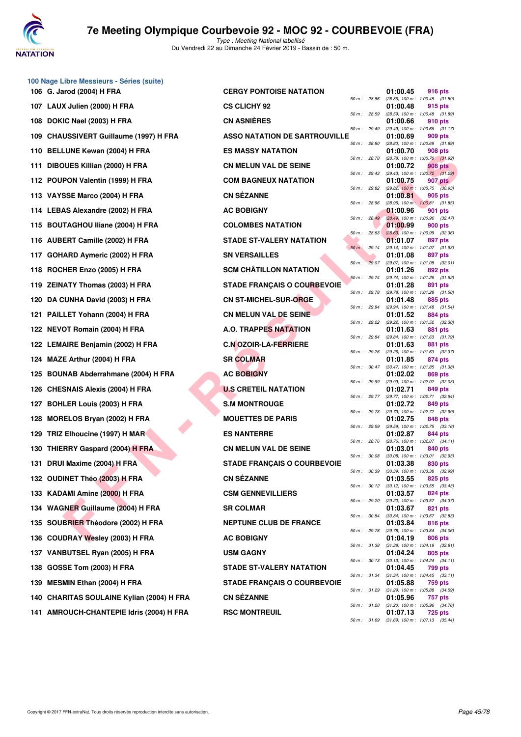

| 100 Nage Libre Messieurs - Séries (suite) |                                      |              |              |                                                                   |
|-------------------------------------------|--------------------------------------|--------------|--------------|-------------------------------------------------------------------|
| 106 G. Jarod (2004) H FRA                 | <b>CERGY PONTOISE NATATION</b>       | 50 m : 28.86 |              | 01:00.45<br>916 pts<br>(28.86) 100 m: 1:00.45 (31.59)             |
| 107 LAUX Julien (2000) H FRA              | <b>CS CLICHY 92</b>                  | 50 m : 28.59 |              | 01:00.48<br>915 pts<br>(28.59) 100 m : 1:00.48 (31.89)            |
| 108 DOKIC Nael (2003) H FRA               | <b>CN ASNIERES</b>                   |              |              | 01:00.66<br>910 pts                                               |
| 109 CHAUSSIVERT Guillaume (1997) H FRA    | <b>ASSO NATATION DE SARTROUVILLE</b> | 50 m: 29.49  |              | (29.49) 100 m: 1:00.66 (31.17)<br>01:00.69<br>909 pts             |
| 110 BELLUNE Kewan (2004) H FRA            | <b>ES MASSY NATATION</b>             | 50 m : 28.80 |              | (28.80) 100 m: 1:00.69 (31.89)<br>01:00.70<br>908 pts             |
| 111 DIBOUES Killian (2000) H FRA          | <b>CN MELUN VAL DE SEINE</b>         | 50 m : 28.78 |              | (28.78) 100 m : 1:00.70 (31.92)<br>01:00.72<br>908 pts            |
| 112 POUPON Valentin (1999) H FRA          | <b>COM BAGNEUX NATATION</b>          | 50 m : 29.43 |              | $(29.43)$ 100 m : 1:00.72 $(31.29)$<br>01:00.75<br>907 pts        |
| 113 VAYSSE Marco (2004) H FRA             | <b>CN SÉZANNE</b>                    | 50 m : 29.82 |              | $(29.82)$ 100 m : 1:00.75 $(30.93)$<br>01:00.81<br>905 pts        |
| 114 LEBAS Alexandre (2002) H FRA          | <b>AC BOBIGNY</b>                    | 50 m : 28.96 |              | (28.96) 100 m: 1:00.81 (31.85)<br>01:00.96<br><b>901 pts</b>      |
| 115 BOUTAGHOU Iliane (2004) H FRA         | <b>COLOMBES NATATION</b>             | 50 m: 28.49  |              | (28.49) 100 m : 1:00.96 (32.47)<br>01:00.99<br>900 pts            |
| 116 AUBERT Camille (2002) H FRA           | <b>STADE ST-VALERY NATATION</b>      | 50 m: 28.63  |              | $(28.63)$ 100 m : 1:00.99 (32.36)<br>01:01.07<br>897 pts          |
| 117 GOHARD Aymeric (2002) H FRA           | <b>SN VERSAILLES</b>                 | 50 m: 29.14  |              | (29.14) 100 m: 1:01.07 (31.93)<br>01:01.08<br>897 pts             |
| 118 ROCHER Enzo (2005) H FRA              | <b>SCM CHÂTILLON NATATION</b>        |              | 50 m: 29.07  | (29.07) 100 m: 1:01.08 (32.01)<br>01:01.26<br>892 pts             |
| 119 ZEINATY Thomas (2003) H FRA           | <b>STADE FRANÇAIS O COURBEVOIE</b>   |              | 50 m: 29.74  | (29.74) 100 m: 1:01.26 (31.52)<br>01:01.28<br>891 pts             |
| 120 DA CUNHA David (2003) H FRA           | <b>CN ST-MICHEL-SUR-ORGE</b>         | 50 m : 29.78 |              | (29.78) 100 m : 1:01.28 (31.50)<br>01:01.48<br>885 pts            |
| 121 PAILLET Yohann (2004) H FRA           | <b>CN MELUN VAL DE SEINE</b>         | 50 m : 29.94 |              | (29.94) 100 m: 1:01.48 (31.54)<br>01:01.52<br>884 pts             |
| 122 NEVOT Romain (2004) H FRA             | <b>A.O. TRAPPES NATATION</b>         | 50 m : 29.22 |              | (29.22) 100 m: 1:01.52 (32.30)<br>01:01.63<br>881 pts             |
| 122 LEMAIRE Benjamin (2002) H FRA         | <b>C.N OZOIR-LA-FERRIERE</b>         | 50 m : 29.84 |              | (29.84) 100 m : 1:01.63 (31.79)<br>01:01.63<br>881 pts            |
| 124 MAZE Arthur (2004) H FRA              | <b>SR COLMAR</b>                     | 50 m : 29.26 |              | (29.26) 100 m: 1:01.63 (32.37)<br>01:01.85<br>874 pts             |
| 125 BOUNAB Abderrahmane (2004) H FRA      | <b>AC BOBIGNY</b>                    |              | 50 m : 30.47 | (30.47) 100 m: 1:01.85 (31.38)<br>01:02.02<br>869 pts             |
| 126 CHESNAIS Alexis (2004) H FRA          | <b>U.S CRETEIL NATATION</b>          | 50 m : 29.99 |              | (29.99) 100 m : 1:02.02 (32.03)<br>01:02.71<br>849 pts            |
| 127 BOHLER Louis (2003) H FRA             | <b>S.M MONTROUGE</b>                 |              | 50 m : 29.77 | (29.77) 100 m : 1:02.71 (32.94)<br>01:02.72<br>849 pts            |
| 128 MORELOS Bryan (2002) H FRA            | <b>MOUETTES DE PARIS</b>             | 50 m : 29.73 |              | (29.73) 100 m : 1:02.72 (32.99)<br>01:02.75<br>848 pts            |
| 129 TRIZ Elhoucine (1997) H MAR           | <b>ES NANTERRE</b>                   | 50 m : 29.59 |              | (29.59) 100 m: 1:02.75 (33.16)<br>01:02.87<br>844 pts             |
| 130 THIERRY Gaspard (2004) H FRA          | <b>CN MELUN VAL DE SEINE</b>         |              | 50 m : 28.76 | (28.76) 100 m : 1:02.87 (34.11)<br>01:03.01<br>840 pts            |
| 131 DRUI Maxime (2004) H FRA              | <b>STADE FRANÇAIS O COURBEVOIE</b>   | 50 m : 30.08 |              | $(30.08)$ 100 m : 1:03.01 $(32.93)$<br>01:03.38<br>830 pts        |
| 132 OUDINET Théo (2003) H FRA             | <b>CN SÉZANNE</b>                    | 50 m : 30.39 |              | $(30.39)$ 100 m : 1:03.38 $(32.99)$<br>01:03.55<br>825 pts        |
| 133 KADAMI Amine (2000) H FRA             | <b>CSM GENNEVILLIERS</b>             |              | 50 m : 30.12 | $(30.12)$ 100 m : 1:03.55 $(33.43)$<br>01:03.57<br>824 pts        |
| 134 WAGNER Guillaume (2004) H FRA         | <b>SR COLMAR</b>                     | 50 m: 29.20  |              | (29.20) 100 m : 1:03.57 (34.37)<br>01:03.67<br>821 pts            |
| 135 SOUBRIER Théodore (2002) H FRA        | <b>NEPTUNE CLUB DE FRANCE</b>        | 50 m : 30.84 |              | (30.84) 100 m : 1:03.67 (32.83)<br>01:03.84<br>816 pts            |
| 136 COUDRAY Wesley (2003) H FRA           | <b>AC BOBIGNY</b>                    | 50 m : 29.78 |              | (29.78) 100 m : 1:03.84 (34.06)<br>01:04.19<br>806 pts            |
| 137 VANBUTSEL Ryan (2005) H FRA           | <b>USM GAGNY</b>                     | 50 m : 31.38 |              | $(31.38)$ 100 m : 1:04.19 $(32.81)$<br>01:04.24<br>805 pts        |
|                                           |                                      |              | 50 m : 30.13 | $(30.13)$ 100 m : 1:04.24 $(34.11)$                               |
| 138 GOSSE Tom (2003) H FRA                | <b>STADE ST-VALERY NATATION</b>      |              | 50 m : 31.34 | 01:04.45<br><b>799 pts</b><br>$(31.34)$ 100 m : 1:04.45 $(33.11)$ |
| 139 MESMIN Ethan (2004) H FRA             | <b>STADE FRANÇAIS O COURBEVOIE</b>   | 50 m : 31.29 |              | 01:05.88<br>759 pts<br>$(31.29)$ 100 m : 1:05.88 $(34.59)$        |
| 140 CHARITAS SOULAINE Kylian (2004) H FRA | <b>CN SÉZANNE</b>                    | 50 m : 31.20 |              | 01:05.96<br>757 pts<br>$(31.20)$ 100 m : 1:05.96 $(34.76)$        |
| 141 AMROUCH-CHANTEPIE Idris (2004) H FRA  | <b>RSC MONTREUIL</b>                 |              |              | 01:07.13<br>725 pts<br>50 m: 31.69 (31.69) 100 m: 1:07.13 (35.44) |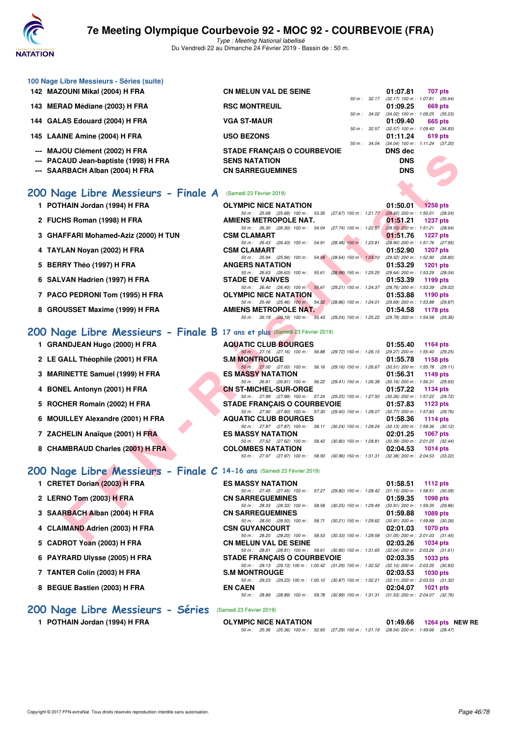

Type : Meeting National labellisé Du Vendredi 22 au Dimanche 24 Février 2019 - Bassin de : 50 m.

| 100 Nage Libre Messieurs - Séries (suite)<br>142 MAZOUNI Mikal (2004) H FRA | <b>CN MELUN VAL DE SEINE</b>                                                                                           | 01:07.81<br>707 pts                                                |
|-----------------------------------------------------------------------------|------------------------------------------------------------------------------------------------------------------------|--------------------------------------------------------------------|
|                                                                             |                                                                                                                        | 50 m: 32.17 (32.17) 100 m: 1:07.81 (35.64)                         |
| 143 MERAD Médiane (2003) H FRA                                              | <b>RSC MONTREUIL</b><br>50 m : 34.02                                                                                   | 01:09.25<br>669 pts<br>(34.02) 100 m: 1:09.25 (35.23)              |
| 144 GALAS Edouard (2004) H FRA                                              | <b>VGA ST-MAUR</b>                                                                                                     | 01:09.40<br>665 pts                                                |
|                                                                             | 50 m : 32.57                                                                                                           | $(32.57)$ 100 m : 1:09.40 $(36.83)$                                |
| 145 LAAINE Amine (2004) H FRA                                               | <b>USO BEZONS</b><br>50 m : 34.04                                                                                      | 01:11.24<br>619 pts<br>$(34.04)$ 100 m : 1:11.24 $(37.20)$         |
| MAJOU Clément (2002) H FRA                                                  | <b>STADE FRANÇAIS O COURBEVOIE</b>                                                                                     | DNS dec                                                            |
| --- PACAUD Jean-baptiste (1998) H FRA                                       | <b>SENS NATATION</b>                                                                                                   | <b>DNS</b>                                                         |
| --- SAARBACH Alban (2004) H FRA                                             | <b>CN SARREGUEMINES</b>                                                                                                | <b>DNS</b>                                                         |
|                                                                             |                                                                                                                        |                                                                    |
| 200 Nage Libre Messieurs - Finale A (Samedi 23 Février 2019)                |                                                                                                                        |                                                                    |
| 1 POTHAIN Jordan (1994) H FRA                                               | <b>OLYMPIC NICE NATATION</b><br>50 m: 25.68 (25.68) 100 m: 53.35 (27.67) 150 m: 1:21.77 (28.42) 200 m: 1:50.01 (28.24) | 01:50.01<br><b>1258 pts</b>                                        |
| 2 FUCHS Roman (1998) H FRA                                                  | AMIENS METROPOLE NAT.                                                                                                  | 01:51.21<br><b>1237 pts</b>                                        |
|                                                                             | 50 m: 26.30 (26.30) 100 m: 54.04 (27.74) 150 m: 1:22.57                                                                | $(28.53)$ 200 m : 1:51.21 $(28.64)$                                |
| 3 GHAFFARI Mohamed-Aziz (2000) H TUN                                        | <b>CSM CLAMART</b><br>50 m: 26.43 (26.43) 100 m: 54.91 (28.48) 150 m: 1:23.81                                          | 01:51.76<br><b>1227 pts</b><br>(28.90) 200 m: 1:51.76 (27.95)      |
| 4 TAYLAN Noyan (2002) H FRA                                                 | <b>CSM CLAMART</b>                                                                                                     | 01:52.90<br><b>1207 pts</b>                                        |
| 5 BERRY Théo (1997) H FRA                                                   | 50 m: 25.94 (25.94) 100 m: 54.58 (28.64) 150 m: 1:24.10<br><b>ANGERS NATATION</b>                                      | (29.52) 200 m: 1:52.90 (28.80)<br>01:53.29<br><b>1201 pts</b>      |
|                                                                             | 50 m : 26.63 (26.63) 100 m : 55.61<br>(28.98) 150 m : 1:25.25                                                          | (29.64) 200 m: 1:53.29 (28.04)                                     |
| 6 SALVAN Hadrien (1997) H FRA                                               | <b>STADE DE VANVES</b><br>50 m: 26.40 (26.40) 100 m: 55.61 (29.21) 150 m: 1:24.37                                      | 01:53.39<br>1199 pts<br>(28.76) 200 m: 1:53.39 (29.02)             |
| 7 PACO PEDRONI Tom (1995) H FRA                                             | <b>OLYMPIC NICE NATATION</b>                                                                                           | 01:53.88<br>1190 pts                                               |
| 8 GROUSSET Maxime (1999) H FRA                                              | 50 m: 25.46 (25.46) 100 m: 54.32 (28.86) 150 m: 1:24.01 (29.69) 200 m: 1:53.88 (29.87)                                 | 1178 pts                                                           |
|                                                                             | <b>AMIENS METROPOLE NAT.</b><br>50 m: 26.19 (26.19) 100 m: 55.43 (29.24) 150 m: 1.25.22 (29.79) 200 m: 1.54.58 (29.36) | 01:54.58                                                           |
| 200 Nage Libre Messieurs - Finale B 17 ans et plus (Samedi 23 Février 2019) |                                                                                                                        |                                                                    |
|                                                                             |                                                                                                                        |                                                                    |
| 1 GRANDJEAN Hugo (2000) H FRA                                               | <b>AQUATIC CLUB BOURGES</b><br>50 m: 27.16 (27.16) 100 m: 56.88 (29.72) 150 m: 1:26.15 (29.27) 200 m: 1:55.40 (29.25)  | 01:55.40<br><b>1164 pts</b>                                        |
| 2 LE GALL Théophile (2001) H FRA                                            | <b>S.M MONTROUGE</b>                                                                                                   | 01:55.78<br>1158 pts                                               |
| 3 MARINETTE Samuel (1999) H FRA                                             | 50 m: 27.00 (27.00) 100 m: 56.16 (29.16) 150 m: 1:26.67 (30.51) 200 m: 1:55.78 (29.11)<br><b>ES MASSY NATATION</b>     | 01:56.31<br>1149 pts                                               |
|                                                                             | 50 m: 26.81 (26.81) 100 m: 56.22 (29.41) 150 m: 1:26.38                                                                | $(30.16)$ 200 m : 1:56.31 $(29.93)$                                |
| 4 BONEL Antonyn (2001) H FRA                                                | <b>CN ST-MICHEL-SUR-ORGE</b><br>50 m : 27.99 (27.99) 100 m : 57.24 (29.25) 150 m : 1:27.50                             | 01:57.22<br>1134 pts<br>(30.26) 200 m : 1:57.22 (29.72)            |
| 5 ROCHER Romain (2002) H FRA                                                | <b>STADE FRANÇAIS O COURBEVOIE</b>                                                                                     | 01:57.83<br>1123 pts                                               |
|                                                                             | 50 m: 27.90 (27.90) 100 m: 57.30 (29.40) 150 m: 1:28.07 (30.77) 200 m: 1:57.83 (29.76)                                 |                                                                    |
| 6 MOUILLEY Alexandre (2001) H FRA                                           | <b>AQUATIC CLUB BOURGES</b><br>50 m: 27.87 (27.87) 100 m: 58.11 (30.24) 150 m: 1:28.24                                 | 01:58.36<br><b>1114 pts</b><br>$(30.13)$ 200 m : 1:58.36 $(30.12)$ |
| 7 ZACHELIN Anaïque (2001) H FRA                                             | <b>ES MASSY NATATION</b>                                                                                               | 02:01.25<br><b>1067 pts</b>                                        |
| 8 CHAMBRAUD Charles (2001) H FRA                                            | 50 m: 27.62 (27.62) 100 m: 58.42 (30.80) 150 m: 1:28.81 (30.39) 200 m: 2:01.25 (32.44)<br><b>COLOMBES NATATION</b>     | 02:04.53<br>1014 pts                                               |
|                                                                             | 50 m: 27.97 (27.97) 100 m: 58.93 (30.96) 150 m: 1:31.31 (32.38) 200 m: 2:04.53 (33.22)                                 |                                                                    |
| 200 Nage Libre Messieurs - Finale C 14-16 ans (Samedi 23 Février 2019)      |                                                                                                                        |                                                                    |
| 1 CRETET Dorian (2003) H FRA                                                | <b>ES MASSY NATATION</b>                                                                                               | 01:58.51<br><b>1112 pts</b>                                        |
|                                                                             | 50 m : 27.45 (27.45) 100 m : 57.27 (29.82) 150 m : 1:28.42                                                             | $(31.15)$ 200 m : 1:58.51 $(30.09)$                                |
| 2 LERNO Tom (2003) H FRA                                                    | <b>CN SARREGUEMINES</b>                                                                                                | 01:59.35<br>1098 pts                                               |
| 3 SAARBACH Alban (2004) H FRA                                               | 50 m : 28.33 (28.33) 100 m : 58.58 (30.25) 150 m : 1:29.49<br><b>CN SARREGUEMINES</b>                                  | $(30.91)$ 200 m : 1:59.35 $(29.86)$<br>01:59.88<br><b>1089 pts</b> |
|                                                                             | 50 m : 28.50 (28.50) 100 m : 58.71 (30.21) 150 m : 1:29.62                                                             | $(30.91)$ 200 m : 1:59.88 $(30.26)$                                |
| 4 CLAIMAND Adrien (2003) H FRA                                              | <b>CSN GUYANCOURT</b><br>50 m: 28.20 (28.20) 100 m: 58.53 (30.33) 150 m: 1:29.58                                       | 02:01.03<br><b>1070 pts</b><br>$(31.05)$ 200 m : 2:01.03 $(31.45)$ |
| $E$ CADDOT VAAH (2002) HEDA                                                 | ON MELUM VAL BE OFINE                                                                                                  | nn.nn ne<br>1024                                                   |

## **[200 Nage Libre Messieurs - Finale C](http://www.ffnatation.fr/webffn/resultats.php?idact=nat&go=epr&idcpt=57703&idepr=53) 14-16 ans** (Samedi 23 Février 2019)

|  | 1 CRETET Dorian (2003) H FRA |  |  |  |
|--|------------------------------|--|--|--|
|--|------------------------------|--|--|--|

- 2 LERNO Tom (2003) H FRA CN SARREGUEMINES
- **3 SAARBACH Alban (2004) H FRA CN SARREGUEMINES 01:59.88 1089 pts**
- **4 CLAIMAND Adrien (2003) H FRA CSN GUYANCOURT 02:01.03 1070 pts**
- **5 CADROT Yoan (2003) H FRA**
- **6 PAYRARD Ulysse (2005) H FRA STADE FRANÇAIS O COURBEVOIE 02:03.35 1033 pts**
- **7 TANTER Colin (2003) H FRA S.M MONTROUGE 02:03.53 1030 pts**
- **8 BEGUE Bastien (2003) H FRA**

## **[200 Nage Libre Messieurs - Séries](http://www.ffnatation.fr/webffn/resultats.php?idact=nat&go=epr&idcpt=57703&idepr=53)** (Samedi 23 Février 2019)

**1 POTHAIN Jordan (1994) H FRA OLYMPIC NICE NATATION 01:49.66 1264 pts NEW RE**

50 m : 25.36 (25.36) 100 m : 52.65 (27.29) 150 m : 1:21.19 (28.54) 200 m : 1:49.66 (28.47)

50 m : 28.81 (28.81) 100 m : 59.61 (30.80) 150 m : 1:31.65 (32.04) 200 m : 2:03.26 (31.61)

50 m : 28.89 (28.89) 100 m : 59.78 (30.89) 150 m : 1:31.31 (31.53) 200 m : 2:04.07 (32.76)

50 m: 28.20 (28.20) 100 m: 58.53 (30.33) 150 m: 1:29.58 (31.05) 200 m: 2:01.03 (31.45)<br>
CN MELUN VAL DE SEINE 02:03.26 1034 pts

 $50 \text{ m}$ :  $29.13 \overline{\smash)29.13}$   $(29.13) \overline{\smash)100 \text{ m}}$ :  $1:00.42 \overline{\smash)21.29}$   $150 \text{ m}$ :  $1:32.52 \overline{\smash)29.10}$   $2:03.53 \overline{\smash)29.03.53}$   $(30.83)$ <br>**S.M MONTROUGE** 

50 m : 29.23 (29.23) 100 m : 1:00.10 (30.87) 150 m : 1:32.21 (32.11) 200 m : 2:03.53 (31.32)<br>EN CAEN 02:04.07 1021 pts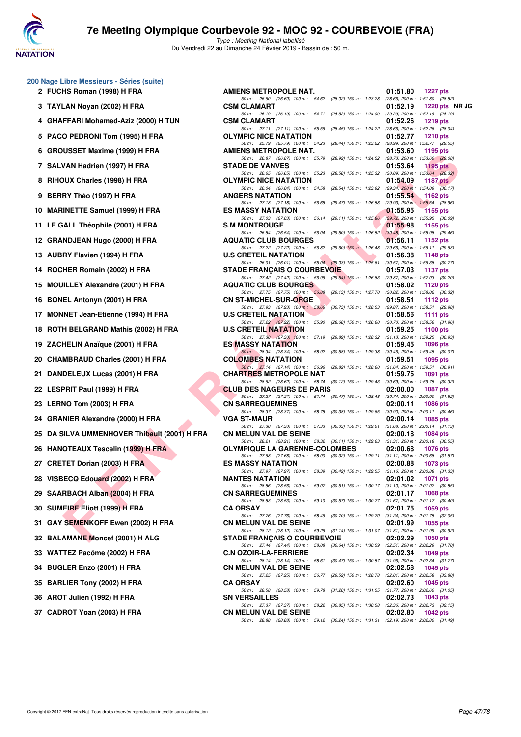

**200 Nage Libre Messieurs - Séries (suite) 2 FUCHS Roman (1998) H FRA** 

# **7e Meeting Olympique Courbevoie 92 - MOC 92 - COURBEVOIE (FRA)**

| 4  | GHAFFARI Mohamed-Aziz (2000) H TUN         |
|----|--------------------------------------------|
| 5  | PACO PEDRONI Tom (1995) H FRA              |
| 6  | <b>GROUSSET Maxime (1999) H FRA</b>        |
| 7  | SALVAN Hadrien (1997) H FRA                |
| 8  | RIHOUX Charles (1998) H FRA                |
| 9  | BERRY Théo (1997) H FRA                    |
| 10 | <b>MARINETTE Samuel (1999) H FRA</b>       |
| 11 | LE GALL Théophile (2001) H FRA             |
|    | 12 GRANDJEAN Hugo (2000) H FRA             |
|    | 13 AUBRY Flavien (1994) H FRA              |
| 14 | ROCHER Romain (2002) H FRA                 |
| 15 | <b>MOUILLEY Alexandre (2001) H FRA</b>     |
| 16 | <b>BONEL Antonyn (2001) H FRA</b>          |
| 17 | <b>MONNET Jean-Etienne (1994) H FRA</b>    |
| 18 | ROTH BELGRAND Mathis (2002) H FRA          |
|    | 19 ZACHELIN Anaïque (2001) H FRA           |
|    | 20 CHAMBRAUD Charles (2001) H FRA          |
| 21 | DANDELEUX Lucas (2001) H FRA               |
|    | 22 LESPRIT Paul (1999) H FRA               |
|    | 23 LERNO Tom (2003) H FRA                  |
| 24 | <b>GRANIER Alexandre (2000) H FRA</b>      |
|    | 25 DA SILVA UMMENHOVER Thibault (2001) H F |
|    | 26 HANOTEAUX Tescelin (1999) H FRA         |
|    | 27 CRETET Dorian (2003) H FRA              |
|    | 28 VISBECQ Edouard (2002) H FRA            |
|    | 29 SAARBACH Alban (2004) H FRA             |
|    | 30 SUMEIRE Eliott (1999) H FRA             |
|    | 31 GAY SEMENKOFF Ewen (2002) H FRA         |
|    | 32 BALAMANE Moncef (2001) H ALG            |
|    | 33 WATTEZ Pacôme (2002) H FRA              |
|    | 34 BUGLER Enzo (2001) H FRA                |
|    | 35 BARLIER Tony (2002) H FRA               |
|    | 36 AROT Julien (1992) H FRA                |
|    | 37 CADROT Yoan (2003) H FRA                |

| <b>U</b> Nage Libre Messieurs - Series (suite) |                                                                                                                                     |          |                                                        |
|------------------------------------------------|-------------------------------------------------------------------------------------------------------------------------------------|----------|--------------------------------------------------------|
| 2 FUCHS Roman (1998) H FRA                     | AMIENS METROPOLE NAT.                                                                                                               | 01:51.80 | 1227 pts                                               |
| 3 TAYLAN Noyan (2002) H FRA                    | 50 m : 26.60 (26.60) 100 m : 54.62 (28.02) 150 m : 1:23.28 (28.66) 200 m : 1:51.80 (28.52)<br><b>CSM CLAMART</b>                    | 01:52.19 | 1220 pts NR JG                                         |
| 4 GHAFFARI Mohamed-Aziz (2000) H TUN           | 50 m : 26.19 (26.19) 100 m : 54.71<br>(28.52) 150 m: 1:24.00 (29.29) 200 m: 1:52.19 (28.19)<br><b>CSM CLAMART</b>                   | 01:52.26 | <b>1219 pts</b>                                        |
| 5 PACO PEDRONI Tom (1995) H FRA                | 50 m: 27.11 (27.11) 100 m: 55.56<br>(28.45) 150 m : 1:24.22 (28.66) 200 m : 1:52.26 (28.04)<br><b>OLYMPIC NICE NATATION</b>         | 01:52.77 | 1210 $pts$                                             |
|                                                | 50 m: 25.79 (25.79) 100 m: 54.23<br>(28.44) 150 m : 1:23.22                                                                         |          | $(28.99)$ 200 m : 1:52.77 $(29.55)$                    |
| 6 GROUSSET Maxime (1999) H FRA                 | <b>AMIENS METROPOLE NAT.</b><br>50 m: 26.87 (26.87) 100 m: 55.79<br>(28.92) 150 m : 1:24.52                                         | 01:53.60 | 1195 pts<br>$(28.73)$ 200 m : 1:53.60 $(29.08)$        |
| 7 SALVAN Hadrien (1997) H FRA                  | <b>STADE DE VANVES</b><br>50 m : 26.65 (26.65) 100 m : 55.23<br>(28.58) 150 m : 1:25.32 (30.09) 200 m : 1:53.64 (28.32)             | 01:53.64 | 1195 pts                                               |
| 8 RIHOUX Charles (1998) H FRA                  | <b>OLYMPIC NICE NATATION</b><br>50 m : 26.04 (26.04) 100 m : 54.58<br>$(28.54)$ 150 m : 1:23.92 $(29.34)$ 200 m : 1:54.09 $(30.17)$ | 01:54.09 | 1187 $p$ ts                                            |
| 9 BERRY Théo (1997) H FRA                      | <b>ANGERS NATATION</b>                                                                                                              | 01:55.54 | 1162 pts                                               |
| 10 MARINETTE Samuel (1999) H FRA               | 50 m : 27.18 (27.18) 100 m : 56.65 (29.47) 150 m : 1:26.58 (29.93) 200 m : 1:55.54 (28.96)<br><b>ES MASSY NATATION</b>              | 01:55.95 | <b>1155 pts</b>                                        |
| 11 LE GALL Théophile (2001) H FRA              | 50 m: 27.03 (27.03) 100 m: 56.14 (29.11) 150 m: 1:25.86 (29.72) 200 m: 1:55.95 (30.09)<br><b>S.M MONTROUGE</b>                      | 01:55.98 | 1155 pts                                               |
| 12 GRANDJEAN Hugo (2000) H FRA                 | 50 m : 26.54 (26.54) 100 m : 56.04<br>$(29.50)$ 150 m : 1:26.52<br><b>AQUATIC CLUB BOURGES</b>                                      | 01:56.11 | $(30.48)$ 200 m : 1:55.98 $(29.46)$<br>1152 pts        |
| 13 AUBRY Flavien (1994) H FRA                  | 50 m : 27.22 (27.22) 100 m : 56.82 (29.60) 150 m : 1:26.48 (29.66) 200 m : 1:56.11 (29.63)<br><b>U.S CRETEIL NATATION</b>           | 01:56.38 | 1148 pts                                               |
| 14 ROCHER Romain (2002) H FRA                  | 50 m: 26.01 (26.01) 100 m: 55.04 (29.03) 150 m: 1:25.61 (30.57) 200 m: 1:56.38 (30.77)<br><b>STADE FRANCAIS O COURBEVOIE</b>        | 01:57.03 | 1137 pts                                               |
|                                                | 50 m : 27.42 (27.42) 100 m : 56.96 (29.54) 150 m : 1:26.83 (29.87) 200 m : 1:57.03 (30.20)                                          |          |                                                        |
| 15 MOUILLEY Alexandre (2001) H FRA             | <b>AQUATIC CLUB BOURGES</b><br>50 m : 27.75 (27.75) 100 m : 56.88 (29.13) 150 m : 1:27.70 (30.82) 200 m : 1:58.02 (30.32)           | 01:58.02 | 1120 $pts$                                             |
| 16 BONEL Antonyn (2001) H FRA                  | <b>CN ST-MICHEL-SUR-ORGE</b><br>50 m : 27.93 (27.93) 100 m : 58.66<br>(30.73) 150 m : 1:28.53                                       | 01:58.51 | 1112 pts<br>(29.87) 200 m : 1:58.51 (29.98)            |
| 17 MONNET Jean-Etienne (1994) H FRA            | <b>U.S CRETEIL NATATION</b><br>50 m : 27.22 (27.22) 100 m : 55.90<br>$(28.68)$ 150 m : 1:26.60                                      | 01:58.56 | <b>1111 pts</b><br>$(30.70)$ 200 m : 1:58.56 $(31.96)$ |
| 18 ROTH BELGRAND Mathis (2002) H FRA           | <b>U.S CRETEIL NATATION</b>                                                                                                         | 01:59.25 | 1100 pts                                               |
| 19 ZACHELIN Anaïque (2001) H FRA               | 50 m : 27.30 (27.30) 100 m : 57.19 (29.89) 150 m : 1:28.32<br><b>ES MASSY NATATION</b>                                              | 01:59.45 | $(31.13)$ 200 m : 1:59.25 $(30.93)$<br>1096 pts        |
| 20 CHAMBRAUD Charles (2001) H FRA              | 50 m : 28.34 (28.34) 100 m : 58.92<br>(30.58) 150 m : 1:29.38 (30.46) 200 m : 1:59.45 (30.07)<br><b>COLOMBES NATATION</b>           | 01:59.51 | 1095 pts                                               |
| 21 DANDELEUX Lucas (2001) H FRA                | 50 m : 27.14 (27.14) 100 m : 56.96 (29.82) 150 m : 1:28.60<br><b>CHARTRES METROPOLE NAT</b>                                         | 01:59.75 | $(31.64)$ 200 m : 1:59.51 $(30.91)$<br><b>1091 pts</b> |
| 22 LESPRIT Paul (1999) H FRA                   | 50 m: 28.62 (28.62) 100 m: 58.74 (30.12) 150 m: 1:29.43 (30.69) 200 m: 1:59.75 (30.32)<br><b>CLUB DES NAGEURS DE PARIS</b>          | 02:00.00 | <b>1087 pts</b>                                        |
| 23 LERNO Tom (2003) H FRA                      | 50 m: 27.27 (27.27) 100 m: 57.74 (30.47) 150 m: 1:28.48<br><b>CN SARREGUEMINES</b>                                                  | 02:00.11 | $(30.74)$ 200 m : 2:00.00 $(31.52)$<br>1086 pts        |
| 24 GRANIER Alexandre (2000) H FRA              | 50 m : 28.37 (28.37) 100 m : 58.75 (30.38) 150 m : 1:29.65<br><b>VGA ST-MAUR</b>                                                    | 02:00.14 | $(30.90)$ 200 m : 2:00.11 $(30.46)$<br>1085 pts        |
|                                                | 50 m: 27.30 (27.30) 100 m: 57.33<br>(30.03) 150 m : 1:29.01                                                                         |          | $(31.68)$ 200 m : 2:00.14 $(31.13)$                    |
| 25 DA SILVA UMMENHOVER Thibault (2001) H FRA   | <b>CN MELUN VAL DE SEINE</b><br>50 m : 28.21 (28.21) 100 m : 58.32 (30.11) 150 m : 1:29.63                                          | 02:00.18 | 1084 pts<br>$(31.31)$ 200 m : 2:00.18 $(30.55)$        |
| 26 HANOTEAUX Tescelin (1999) H FRA             | <b>OLYMPIQUE LA GARENNE-COLOMBES</b><br>50 m: 27.68 (27.68) 100 m: 58.00 (30.32) 150 m: 1:29.11 (31.11) 200 m: 2:00.68 (31.57)      | 02:00.68 | <b>1076 pts</b>                                        |
| 27 CRETET Dorian (2003) H FRA                  | <b>ES MASSY NATATION</b><br>50 m : 27.97 (27.97) 100 m : 58.39 (30.42) 150 m : 1:29.55 (31.16) 200 m : 2:00.88 (31.33)              | 02:00.88 | 1073 pts                                               |
| 28 VISBECQ Edouard (2002) H FRA                | <b>NANTES NATATION</b><br>50 m: 28.56 (28.56) 100 m: 59.07 (30.51) 150 m: 1:30.17 (31.10) 200 m: 2:01.02 (30.85)                    | 02:01.02 | 1071 pts                                               |
| 29 SAARBACH Alban (2004) H FRA                 | <b>CN SARREGUEMINES</b>                                                                                                             | 02:01.17 | <b>1068 pts</b>                                        |
| 30 SUMEIRE Eliott (1999) H FRA                 | 50 m: 28.53 (28.53) 100 m: 59.10 (30.57) 150 m: 1:30.77 (31.67) 200 m: 2:01.17 (30.40)<br><b>CA ORSAY</b>                           | 02:01.75 | 1059 pts                                               |
| 31   GAY SEMENKOFF Ewen (2002) H FRA           | 50 m: 27.76 (27.76) 100 m: 58.46 (30.70) 150 m: 1:29.70 (31.24) 200 m: 2:01.75 (32.05)<br><b>CN MELUN VAL DE SEINE</b>              | 02:01.99 | 1055 pts                                               |
| 32 BALAMANE Moncef (2001) H ALG                | 50 m : 28.12 (28.12) 100 m : 59.26 (31.14) 150 m : 1:31.07 (31.81) 200 m : 2:01.99 (30.92)<br><b>STADE FRANCAIS O COURBEVOIE</b>    | 02:02.29 | 1050 pts                                               |
| 33   WATTEZ Pacôme (2002) H FRA                | 50 m : 27.44 (27.44) 100 m : 58.08 (30.64) 150 m : 1:30.59 (32.51) 200 m : 2:02.29 (31.70)<br><b>C.N OZOIR-LA-FERRIERE</b>          | 02:02.34 | 1049 pts                                               |
| 34 BUGLER Enzo (2001) H FRA                    | 50 m: 28.14 (28.14) 100 m: 58.61 (30.47) 150 m: 1:30.57 (31.96) 200 m: 2:02.34 (31.77)<br><b>CN MELUN VAL DE SEINE</b>              | 02:02.58 | 1045 pts                                               |
| 35 BARLIER Tony (2002) H FRA                   | 50 m : 27.25 (27.25) 100 m : 56.77 (29.52) 150 m : 1:28.78 (32.01) 200 m : 2:02.58 (33.80)<br><b>CA ORSAY</b>                       | 02:02.60 | 1045 pts                                               |
| 36 AROT Julien (1992) H FRA                    | 50 m : 28.58 (28.58) 100 m : 59.78 (31.20) 150 m : 1:31.55<br><b>SN VERSAILLES</b>                                                  | 02:02.73 | $(31.77)$ 200 m : 2:02.60 $(31.05)$<br>1043 pts        |
| 37 CADROT Yoan (2003) H FRA                    | 50 m: 27.37 (27.37) 100 m: 58.22 (30.85) 150 m: 1:30.58 (32.36) 200 m: 2:02.73 (32.15)                                              |          |                                                        |
|                                                | <b>CN MELUN VAL DE SEINE</b><br>50 m : 28.88 (28.88) 100 m : 59.12 (30.24) 150 m : 1:31.31 (32.19) 200 m : 2:02.80 (31.49)          | 02:02.80 | 1042 pts                                               |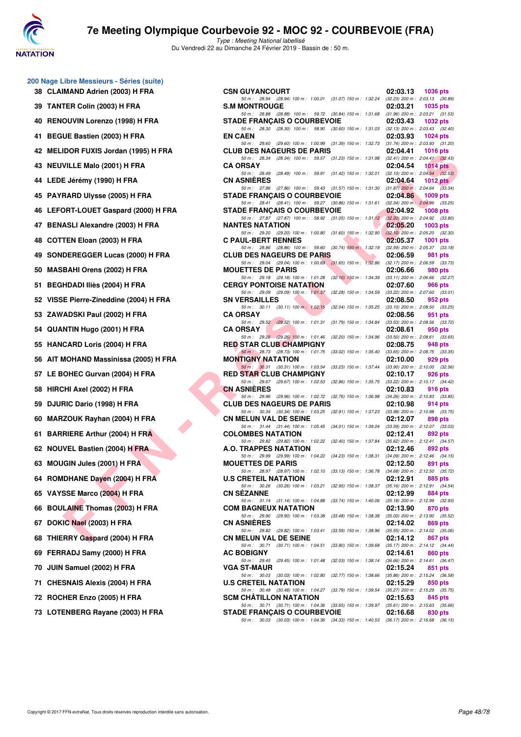

Type : Meeting National labellisé Du Vendredi 22 au Dimanche 24 Février 2019 - Bassin de : 50 m.

| 38 | 200 Nage Libre Messieurs - Séries (suite)<br><b>CLAIMAND Adrien (2003) H FRA</b> |
|----|----------------------------------------------------------------------------------|
| 39 | TANTER Colin (2003) H FRA                                                        |
| 40 | RENOUVIN Lorenzo (1998) H FRA                                                    |
| 41 | <b>BEGUE Bastien (2003) H FRA</b>                                                |
| 42 | <b>MELIDOR FUXIS Jordan (1995) H FRA</b>                                         |
| 43 | <b>NEUVILLE Malo (2001) H FRA</b>                                                |
| 44 | LEDE Jérémy (1990) H FRA                                                         |
| 45 | PAYRARD Ulysse (2005) H FRA                                                      |
| 46 | LEFORT-LOUET Gaspard (2000) H FRA                                                |
| 47 | <b>BENASLI Alexandre (2003) H FRA</b>                                            |
| 48 | COTTEN Eloan (2003) H FRA                                                        |
| 49 | SONDEREGGER Lucas (2000) H FRA                                                   |
| 50 | <b>MASBAHI Orens (2002) H FRA</b>                                                |
| 51 | <b>BEGHDADI Iliès (2004) H FRA</b>                                               |
| 52 | VISSE Pierre-Zineddine (2004) H FRA                                              |
| 53 | ZAWADSKI Paul (2002) H FRA                                                       |
| 54 | QUANTIN Hugo (2001) H FRA                                                        |
| 55 | <b>HANCARD Loris (2004) H FRA</b>                                                |
| 56 | AIT MOHAND Massinissa (2005) H FRA                                               |
| 57 | LE BOHEC Gurvan (2004) H FRA                                                     |
| 58 | HIRCHI Axel (2002) H FRA                                                         |
| 59 | DJURIC Dario (1998) H FRA                                                        |
| 60 | MARZOUK Rayhan (2004) H FRA                                                      |
| 61 | <b>BARRIERE Arthur (2004) H FRA</b>                                              |
| 62 | NOUVEL Bastien (2004) H FRA                                                      |
| 63 | MOUGIN Jules (2001) H FRA                                                        |
| 64 | ROMDHANE Dayen (2004) H FRA                                                      |
| 65 | VAYSSE Marco (2004) H FRA                                                        |
| 66 | <b>BOULAINE Thomas (2003) H FRA</b>                                              |
| 67 | DOKIC Nael (2003) H FRA                                                          |
| 68 | THIERRY Gaspard (2004) H FRA                                                     |
| 69 | FERRADJ Samy (2000) H FRA                                                        |
| 70 | JUIN Samuel (2002) H FRA                                                         |
| 71 | <b>CHESNAIS Alexis (2004) H FRA</b>                                              |
| 72 | ROCHER Enzo (2005) H FRA                                                         |

| 0 Nage Libre Messieurs - Séries (suite) |                                                                                                                                |                                                 |                 |
|-----------------------------------------|--------------------------------------------------------------------------------------------------------------------------------|-------------------------------------------------|-----------------|
| 38 CLAIMAND Adrien (2003) H FRA         | <b>CSN GUYANCOURT</b><br>50 m: 28.94 (28.94) 100 m: 1:00.01 (31.07) 150 m: 1:32.24 (32.23) 200 m: 2:03.13 (30.89)              | 02:03.13                                        | <b>1036 pts</b> |
| 39 TANTER Colin (2003) H FRA            | <b>S.M MONTROUGE</b>                                                                                                           | 02:03.21                                        | 1035 pts        |
| 40 RENOUVIN Lorenzo (1998) H FRA        | 50 m: 28.88 (28.88) 100 m: 59.72 (30.84) 150 m: 1:31.68 (31.96) 200 m: 2:03.21 (31.53)<br><b>STADE FRANÇAIS O COURBEVOIE</b>   | 02:03.43                                        | 1032 pts        |
| 41 BEGUE Bastien (2003) H FRA           | 50 m: 28.30 (28.30) 100 m: 58.90 (30.60) 150 m: 1:31.03 (32.13) 200 m: 2:03.43 (32.40)<br><b>EN CAEN</b>                       | 02:03.93                                        | 1024 $pts$      |
| 42   MELIDOR FUXIS Jordan (1995) H FRA  | 50 m: 29.60 (29.60) 100 m: 1:00.99 (31.39) 150 m: 1:32.73 (31.74) 200 m: 2:03.93 (31.20)<br><b>CLUB DES NAGEURS DE PARIS</b>   | 02:04.41                                        | 1016 $pts$      |
| 43 NEUVILLE Malo (2001) H FRA           | 50 m: 28.34 (28.34) 100 m: 59.57 (31.23) 150 m: 1:31.98 (32.41) 200 m: 2:04.41 (32.43)<br><b>CA ORSAY</b>                      | 02:04.54                                        | <b>1014 pts</b> |
| 44   LEDE Jérémy (1990) H FRA           | 50 m: 28.49 (28.49) 100 m: 59.91 (31.42) 150 m: 1:32.01 (32.10) 200 m: 2:04.54 (32.53)<br><b>CN ASNIERES</b>                   | 02:04.64                                        | 1012 $pts$      |
| 45 PAYRARD Ulysse (2005) H FRA          | 50 m: 27.86 (27.86) 100 m: 59.43 (31.57) 150 m: 1.31.30 (31.87) 200 m: 2.04.64 (33.34)<br><b>STADE FRANCAIS O COURBEVOIE</b>   | 02:04.86                                        | 1009 pts        |
| 46   LEFORT-LOUET Gaspard (2000) H FRA  | 50 m: 28.41 (28.41) 100 m: 59.27 (30.86) 150 m: 1:31.61 (32.34) 200 m: 2:04.86 (33.25)<br><b>STADE FRANÇAIS O COURBEVOIE</b>   | 02:04.92                                        | <b>1008 pts</b> |
| 47 BENASLI Alexandre (2003) H FRA       | 50 m: 27.87 (27.87) 100 m: 58.92 (31.05) 150 m: 1:31.12 (32.20) 200 m: 2:04.92 (33.80)<br><b>NANTES NATATION</b>               | 02:05.20                                        | $1003$ pts      |
| 48 COTTEN Eloan (2003) H FRA            | 50 m : 29.20 (29.20) 100 m : 1:00.80 (31.60) 150 m : 1:32.90 (32.10) 200 m : 2:05.20 (32.30)<br><b>C PAUL-BERT RENNES</b>      | 02:05.37                                        | 1001 pts        |
| 49   SONDEREGGER Lucas (2000) H FRA     | 50 m: 28.86 (28.86) 100 m: 59.60 (30.74) 150 m: 1:32.19 (32.59) 200 m: 2:05.37 (33.18)<br><b>CLUB DES NAGEURS DE PARIS</b>     | 02:06.59                                        | 981 pts         |
| 50 MASBAHI Orens (2002) H FRA           | 50 m: 29.04 (29.04) 100 m: 1:00.69 (31.65) 150 m: 1:32.86 (32.17) 200 m: 2:06.59 (33.73)<br><b>MOUETTES DE PARIS</b>           | 02:06.66                                        | 980 pts         |
| 51 BEGHDADI Iliès (2004) H FRA          | 50 m: 29.18 (29.18) 100 m: 1:01.28 (32.10) 150 m: 1:34.39 (33.11) 200 m: 2:06.66 (32.27)<br><b>CERGY PONTOISE NATATION</b>     | 02:07.60                                        | 966 pts         |
| 52 VISSE Pierre-Zineddine (2004) H FRA  | 50 m: 29.09 (29.09) 100 m: 1:01.37 (32.28) 150 m: 1:34.59 (33.22) 200 m: 2:07.60 (33.01)<br><b>SN VERSAILLES</b>               | 02:08.50                                        | 952 pts         |
| 53 ZAWADSKI Paul (2002) H FRA           | 50 m: 30.11 (30.11) 100 m: 1:02.15<br>(32.04) 150 m: 1:35.25 (33.10) 200 m: 2:08.50 (33.25)<br><b>CA ORSAY</b>                 | 02:08.56                                        | 951 pts         |
| 54   QUANTIN Hugo (2001) H FRA          | 50 m : 29.52 (29.52) 100 m : 1:01.31<br>(31.79) 150 m : 1:34.84<br><b>CA ORSAY</b>                                             | $(33.53)$ 200 m : 2:08.56 $(33.72)$<br>02:08.61 | 950 pts         |
|                                         | 50 m : 29.26 (29.26) 100 m : 1:01.46<br>(32.20) 150 m : 1:34.96 (33.50) 200 m : 2:08.61 (33.65)                                |                                                 |                 |
| 55 HANCARD Loris (2004) H FRA           | <b>RED STAR CLUB CHAMPIGNY</b><br>50 m: 28.73 (28.73) 100 m: 1.01.75 (33.02) 150 m: 1.35.40 (33.65) 200 m: 2:08.75 (33.35)     | 02:08.75                                        | 948 pts         |
| 56   AIT MOHAND Massinissa (2005) H FRA | <b>MONTIGNY NATATION</b><br>50 m: 30.31 (30.31) 100 m: 1:03.54 (33.23) 150 m: 1:37.44 (33.90) 200 m: 2:10.00 (32.56)           | 02:10.00                                        | 929 pts         |
| 57 LE BOHEC Gurvan (2004) H FRA         | <b>RED STAR CLUB CHAMPIGNY</b><br>50 m: 29.67 (29.67) 100 m: 1:02.53 (32.86) 150 m: 1:35.75 (33.22) 200 m: 2:10.17 (34.42)     | 02:10.17                                        | 926 pts         |
| 58 HIRCHI Axel (2002) H FRA             | <b>CN ASNIERES</b><br>50 m: 29.96 (29.96) 100 m: 1:02.72 (32.76) 150 m: 1:36.98 (34.26) 200 m: 2:10.83 (33.85)                 | 02:10.83                                        | 916 pts         |
| 59 DJURIC Dario (1998) H FRA            | <b>CLUB DES NAGEURS DE PARIS</b><br>50 m: 30.34 (30.34) 100 m: 1:03.25 (32.91) 150 m: 1:37.23 (33.98) 200 m: 2:10.98 (33.75)   | 02:10.98                                        | 914 pts         |
| 60 MARZOUK Rayhan (2004) H FRA          | <b>CN MELUN VAL DE SEINE</b><br>50 m: 31.44 (31.44) 100 m: 1:05.45 (34.01) 150 m: 1:39.04 (33.59) 200 m: 2:12.07 (33.03)       | 02:12.07                                        | 898 pts         |
| 61 BARRIERE Arthur (2004) H FRA         | <b>COLOMBES NATATION</b><br>50 m: 29.82 (29.82) 100 m: 1:02.22 (32.40) 150 m: 1:37.84 (35.62) 200 m: 2:12.41 (34.57)           | 02:12.41                                        | 892 pts         |
| 62 NOUVEL Bastien (2004) H FRA          | A.O. TRAPPES NATATION                                                                                                          | 02:12.46                                        | 892 pts         |
| 63 MOUGIN Jules (2001) H FRA            | 50 m: 29.99 (29.99) 100 m: 1:04.22 (34.23) 150 m: 1:38.31 (34.09) 200 m: 2:12.46 (34.15)<br><b>MOUETTES DE PARIS</b>           | 02:12.50                                        | 891 pts         |
| 64 ROMDHANE Dayen (2004) H FRA          | 50 m: 28.97 (28.97) 100 m: 1:02.10 (33.13) 150 m: 1:36.78<br><b>U.S CRETEIL NATATION</b>                                       | $(34.68)$ 200 m : 2:12.50 $(35.72)$<br>02:12.91 | 885 pts         |
| 65 VAYSSE Marco (2004) H FRA            | 50 m: 30.26 (30.26) 100 m: 1:03.21 (32.95) 150 m: 1:38.37<br><b>CN SEZANNE</b>                                                 | $(35.16)$ 200 m : 2:12.91 $(34.54)$<br>02:12.99 | 884 pts         |
| 66 BOULAINE Thomas (2003) H FRA         | 50 m: 31.14 (31.14) 100 m: 1:04.88<br>$(33.74)$ 150 m : 1:40.06<br><b>COM BAGNEUX NATATION</b>                                 | $(35.18)$ 200 m : 2:12.99 $(32.93)$<br>02:13.90 | 870 pts         |
| 67 DOKIC Nael (2003) H FRA              | 50 m : 29.90 (29.90) 100 m : 1:03.38<br>$(33.48)$ 150 m : 1:38.38<br><b>CN ASNIERES</b>                                        | $(35.00)$ 200 m : 2:13.90 $(35.52)$<br>02:14.02 | 869 pts         |
| 68 THIERRY Gaspard (2004) H FRA         | 50 m: 29.82 (29.82) 100 m: 1:03.41<br>$(33.59)$ 150 m : 1:38.96<br><b>CN MELUN VAL DE SEINE</b>                                | $(35.55)$ 200 m : 2:14.02 $(35.06)$<br>02:14.12 | 867 pts         |
| 69 FERRADJ Samy (2000) H FRA            | 50 m: 30.71 (30.71) 100 m: 1:04.51<br>$(33.80)$ 150 m : 1:39.68<br><b>AC BOBIGNY</b>                                           | $(35.17)$ 200 m : 2:14.12 $(34.44)$<br>02:14.61 | 860 pts         |
| 70 JUIN Samuel (2002) H FRA             | 50 m: 29.45 (29.45) 100 m: 1:01.48<br>(32.03) 150 m : 1:38.14<br><b>VGA ST-MAUR</b>                                            | $(36.66)$ 200 m : 2:14.61 $(36.47)$<br>02:15.24 | 851 pts         |
| 71 CHESNAIS Alexis (2004) H FRA         | 50 m : 30.03 (30.03) 100 m : 1:02.80<br>$(32.77)$ 150 m : 1:38.66<br><b>U.S CRETEIL NATATION</b>                               | $(35.86)$ 200 m : 2:15.24 $(36.58)$<br>02:15.29 | 850 pts         |
| 72 ROCHER Enzo (2005) H FRA             | 50 m: 30.48 (30.48) 100 m: 1:04.27 (33.79) 150 m: 1:39.54 (35.27) 200 m: 2:15.29 (35.75)<br><b>SCM CHATILLON NATATION</b>      | 02:15.63                                        | 845 pts         |
| 73 LOTENBERG Rayane (2003) H FRA        | 50 m: 30.71 (30.71) 100 m: 1:04.36 (33.65) 150 m: 1:39.97 (35.61) 200 m: 2:15.63 (35.66)<br><b>STADE FRANÇAIS O COURBEVOIE</b> | 02:16.68                                        | 830 pts         |
|                                         | 50 m: 30.03 (30.03) 100 m: 1:04.36 (34.33) 150 m: 1:40.53 (36.17) 200 m: 2:16.68 (36.15)                                       |                                                 |                 |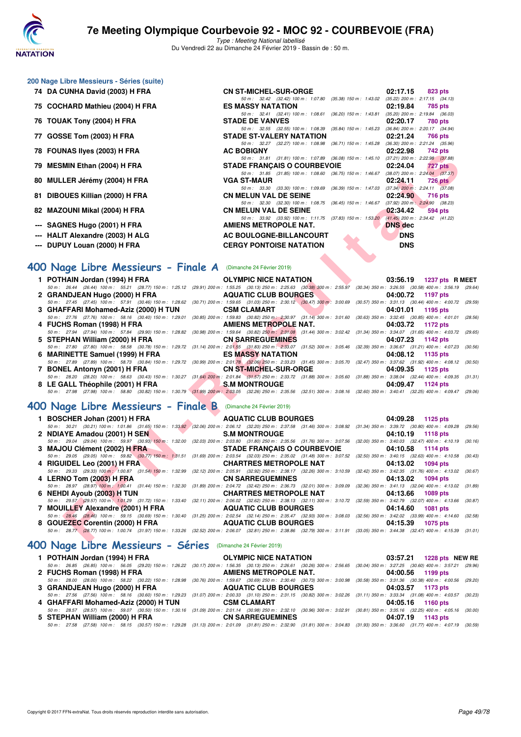

Type : Meeting National labellisé Du Vendredi 22 au Dimanche 24 Février 2019 - Bassin de : 50 m.

#### **200 Nage Libre Messieurs - Séries (suite)**

- 
- 
- **76 TOUAK Tony (2004) H FRA**
- 
- 
- 
- 
- 
- 
- 
- 
- 

#### **74 DA CUNHA David (2003) H FRA CN ST-MICHEL-SUR-ORGE 02:17.15 823 pts**<br> *Som:* 32.42 (32.42) 100 m: 1:07.80 (35.38) 150 m: 1:43.02 (35.22) 200 m: 2:17.15 (34.13) 50 m: 32.42 (32.42) 100 m: 1:07.80 (35.38) 150 m: 1:43.02 (35.22) 200 m: 2:17.15 (34.1<br>ASSY NATATION 02:19.84 785 pts **75 COCHARD Mathieu (2004) H FRA ES MASSY NATATION 02:19.84 785 pts** 50 m: 32.41 (32.41) 100 m: 1:08.61 (36.20) 150 m: 1:43.81 (35.20) 200 m: 2:19.84 (36.03)<br>**STADE DE VANVES** 02:20.17 780 pts 50 m: 32.55 (32.55) 100 m: 1:08.39 (35.84) 150 m: 1:45.23 (36.84) 200 m: 2:20.17 (34.94)<br> **STADE ST-VALERY NATATION** 02:21.24 766 pts **77 GOSSE Tom (2003) H FRA STADE ST-VALERY NATATION 02:21.24 766 pts** 50 m : 32.27 (32.27) 100 m : 1:08.98 (36.71) 150 m : 1:45.28 (36.30) 200 m : 2:21.24 (35.96) **78 FOUNAS Ilyes (2003) H FRA AC BOBIGNY 02:22.98 742 pts** 50 m : 31.81 (31.81) 100 m : 1:07.89 (36.08) 150 m : 1:45.10 (37.21) 200 m : 2:22.98 (37.88) **79 MESMIN Ethan (2004) H FRA STADE FRANÇAIS O COURBEVOIE 02:24.04 727 pts** 50 m : 31.85 (31.85) 100 m : 1:08.60 (36.75) 150 m : 1:46.67 (38.07) 200 m : 2:24.04 (37.37) **80 MULLER Jérémy (2004) H FRA** VGA ST-MAUR **19969** (38.39) 160 m : 1:09.69 (36.39) 150 m : 1:47.03 (37.34) 200 m : 2:24.11 **726 pts** 50 m : 33.30 (33.30) 100 m : 1:09.69 (36.39) 150 m : 1:47.03 **81 DIBOUES Killian (2000) H FRA CN MELUN VAL DE SEINE 02:24.90 716 pts** 50 m : 32.30 (32.30) 100 m : 1:08.75 (36.45) 150 m : 1:46.67 (37.92) 200 m : 2:24.90 (38.23) **82 MAZOUNI Mikal (2004) H FRA CN MELUN VAL DE SEINE 02:34.42 02:34.42 694 pts**<br> **82 MAZOUNI Mikal (2004) H FRA CON MELUN VAL DE SEINE 60m:** 1:11.75 (37.83) 150m: 1:53.20 (41.45) 200m: 2:34.42 (41.22) 33.92 (33.92) 100 m : 1:11.75 (37.83) 150 m : 1:53.20 **--- SAGNES Hugo (2001) H FRA AMIENS METROPOLE NAT.** DNS dec **--- HALIT Alexandre (2003) H ALG AC BOULOGNE-BILLANCOURT DNS --- DUPUY Louan (2000) H FRA CERGY PONTOISE NATATION DNS**

#### **[400 Nage Libre Messieurs - Finale A](http://www.ffnatation.fr/webffn/resultats.php?idact=nat&go=epr&idcpt=57703&idepr=54)** (Dimanche 24 Février 2019)

| TO FUUNAJ IIJES (ZUUJ) II FRA                                  | AU DUDIUNT                                                                                                                                                                                  | <u>UZ.ZZ.JO</u><br>744 PM   |
|----------------------------------------------------------------|---------------------------------------------------------------------------------------------------------------------------------------------------------------------------------------------|-----------------------------|
|                                                                | 50 m: 31.81 (31.81) 100 m: 1.07.89 (36.08) 150 m: 1.45.10 (37.21) 200 m: 2:22.98 (37.88)                                                                                                    |                             |
| 79 MESMIN Ethan (2004) H FRA                                   | <b>STADE FRANCAIS O COURBEVOIE</b>                                                                                                                                                          | 02:24.04<br><b>727 pts</b>  |
|                                                                | 50 m: 31.85 (31.85) 100 m: 1:08.60 (36.75) 150 m: 1:46.67 (38.07) 200 m: 2:24.04 (37.37)                                                                                                    |                             |
| 80 MULLER Jérémy (2004) H FRA                                  | <b>VGA ST-MAUR</b>                                                                                                                                                                          | 02:24.11<br>$726$ pts       |
|                                                                | 50 m: 33.30 (33.30) 100 m: 1:09.69 (36.39) 150 m: 1:47.03 (37.34) 200 m: 2:24.11 (37.08)                                                                                                    |                             |
| 81 DIBOUES Killian (2000) H FRA                                | <b>CN MELUN VAL DE SEINE</b>                                                                                                                                                                | 02:24.90<br>716 pts         |
|                                                                | 50 m: 32.30 (32.30) 100 m: 1:08.75 (36.45) 150 m: 1:46.67 (37.92) 200 m: 2:24.90 (38.23)                                                                                                    |                             |
| 82 MAZOUNI Mikal (2004) H FRA                                  | <b>CN MELUN VAL DE SEINE</b>                                                                                                                                                                | 02:34.42<br>594 pts         |
|                                                                | 50 m: 33.92 (33.92) 100 m: 1:11.75 (37.83) 150 m: 1:53.20 (41.45) 200 m: 2:34.42 (41.22)                                                                                                    |                             |
| SAGNES Hugo (2001) H FRA                                       | AMIENS METROPOLE NAT.                                                                                                                                                                       | <b>DNS</b> dec              |
| --- HALIT Alexandre (2003) H ALG                               | AC BOULOGNE-BILLANCOURT                                                                                                                                                                     | <b>DNS</b>                  |
| --- DUPUY Louan (2000) H FRA                                   | <b>CERGY PONTOISE NATATION</b>                                                                                                                                                              | <b>DNS</b>                  |
|                                                                |                                                                                                                                                                                             |                             |
|                                                                |                                                                                                                                                                                             |                             |
| 400 Nage Libre Messieurs - Finale A (Dimanche 24 Février 2019) |                                                                                                                                                                                             |                             |
| 1 POTHAIN Jordan (1994) H FRA                                  | <b>OLYMPIC NICE NATATION</b>                                                                                                                                                                | 03:56.19<br>1237 pts R MEET |
|                                                                | 50 m: 26.44 (26.44) 100 m: 55.21 (28.77) 150 m: 1:25.12 (29.91) 200 m: 1:55.25 (30.13) 250 m: 2:25.63 (30.38) 300 m: 2:55.97 (30.34) 350 m: 3:26.55 (30.58) 400 m: 3:56.19 (29.64)          |                             |
| 2 GRANDJEAN Hugo (2000) H FRA                                  | <b>AQUATIC CLUB BOURGES</b>                                                                                                                                                                 | 04:00.72<br>1197 pts        |
|                                                                | 50 m: 27.45 (27.45) 100 m: 57.91 (30.46) 150 m: 1:28.62 (30.71) 200 m: 1:59.65 (31.03) 250 m: 2:30.12 (30.47) 300 m: 3:00.69 (30.57) 350 m: 3:31.13 (30.44) 400 m: 4:00.72 (29.59           |                             |
| 3 GHAFFARI Mohamed-Aziz (2000) H TUN                           | <b>CSM CLAMART</b>                                                                                                                                                                          | 04:01.01<br>1195 pts        |
|                                                                | 50 m : 27.76 (27.76) 100 m : 58.16 (30.40) 150 m : 1:29.01 (30.85) 200 m : 1:59.83 (30.82) 250 m : 230.97 (31.14) 300 m : 3:01.60 (30.63) 350 m : 3:32.45 (30.85) 400 m : 4:01.01           | (28.56)                     |
| 4 FUCHS Roman (1998) H FRA                                     | AMIENS METROPOLE NAT.                                                                                                                                                                       | 04:03.72<br>1172 pts        |
|                                                                | 50 m : 27.94 (27.94) 100 m : 57.84 (29.90) 150 m : 1:28.82 (30.98) 200 m : 1:59.64 (30.82) 250 m : 2:31.08 (31.44) 300 m : 3:02.42 (31.34) 350 m : 3:34.07 (31.65) 400 m : 4:03.72 (29.65   |                             |
| 5 STEPHAN William (2000) H FRA                                 | <b>CN SARREGUEMINES</b>                                                                                                                                                                     | 04:07.23<br>1142 pts        |
|                                                                | 50 m: 27.80 (27.80) 100 m: 58.58 (30.78) 150 m: 1:29.72 (31.14) 200 m: 2:01.55 (31.83) 250 m: 2:33.07 (31.52) 300 m: 3:05.46 (32.39) 350 m: 3:36.67 (31.21) 400 m: 4:07.23 (30.56           |                             |
| 6 MARINETTE Samuel (1999) H FRA ES MASSY NATATION              |                                                                                                                                                                                             | 04:08.12<br>1135 pts        |
|                                                                | 50 m : 27.89 (27.89) 100 m : 58.73 (30.84) 150 m : 1:29.72 (30.99) 200 m : 2:01.78 (32.06) 250 m : 2:33.23 (31.45) 300 m : 3:05.70 (32.47) 350 m : 3:37.62 (31.92) 400 m : 4:08.12 (30.50   |                             |
| 7 BONEL Antonyn (2001) H FRA                                   | <b>CN ST-MICHEL-SUR-ORGE</b>                                                                                                                                                                | 04:09.35<br>1125 pts        |
|                                                                | 50 m: 28.20 (28.20) 100 m: 58.63 (30.43) 150 m: 1:30.27 (31.64) 200 m: 2:01.84 (31.57) 250 m: 2:33.72 (31.88) 300 m: 3:05.60 (31.88) 350 m: 3:38.04 (32.44) 400 m: 4:09.35 (31.31)          |                             |
| 8 LE GALL Théophile (2001) H FRA                               | <b>S.M MONTROUGE</b>                                                                                                                                                                        | 04:09.47<br>1124 pts        |
|                                                                | 50 m: 27.98 (27.98) 100 m: 58.80 (30.82) 150 m: 1:30.79 (31.99) 200 m: 2:03.05 (32.26) 250 m: 2:05.56 (32.51) 300 m: 3:08.16 (32.60) 350 m: 3:40.41 (32.25) 400 m: 4:09.47 (29.06)          |                             |
|                                                                |                                                                                                                                                                                             |                             |
| 400 Nage Libre Messieurs - Finale B (Dimanche 24 Février 2019) |                                                                                                                                                                                             |                             |
|                                                                |                                                                                                                                                                                             |                             |
| 1 BOSCHER Johan (2001) H FRA                                   | <b>AQUATIC CLUB BOURGES</b>                                                                                                                                                                 | 04:09.28<br>1125 pts        |
|                                                                | 50 m : 30.21 (30.21) 100 m : 1:01.86 (31.65) 150 m : 1:33.92 (32.06) 200 m : 2:06.12 (32.20) 250 m : 2:37.58 (31.46) 300 m : 3:08.92 (31.34) 350 m : 3:39.72 (30.80) 400 m : 4:09.28 (29.56 |                             |
| 2 NDIAYE Amadou (2001) H SEN                                   | <b>S.M MONTROUGE</b>                                                                                                                                                                        | 04:10.19<br><b>1118 pts</b> |
|                                                                | 50 m: 29.04 (29.04) 100 m: 59.97 (30.93) 150 m: 1:32.00 (32.03) 200 m: 2:03.80 (31.80) 250 m: 2:35.56 (31.76) 300 m: 3:07.56 (32.00) 350 m: 3:40.03 (32.47) 400 m: 4:10.19 (30.16)          |                             |
| 3 MAJOU Clément (2002) H FRA                                   | <b>STADE FRANÇAIS O COURBEVOIE</b>                                                                                                                                                          | 04:10.58<br>1114 pts        |
|                                                                | 50 m : 29.05 (29.05) 100 m : 59.82 (30.77) 150 m : 1:31.51 (31.69) 200 m : 2:03.54 (32.03) 250 m : 2:35.02 (31.48) 300 m : 3:07.52 (32.50) 350 m : 3:40.15 (32.63) 400 m : 4:10.58          | (30.43)                     |
| 4 RIGUIDEL Leo (2001) H FRA                                    | <b>CHARTRES METROPOLE NAT</b>                                                                                                                                                               | 04:13.02<br>1094 pts        |
|                                                                | 50 m : 29.33 (29.33) 100 m : 1:00.87 (31.54) 150 m : 1:32.99 (32.12) 200 m : 2:05.91 (32.92) 250 m : 2:38.17 (32.26) 300 m : 3:10.59 (32.42) 350 m : 3:42.35 (31.76) 400 m : 4:13.02 (30.67 |                             |
| 4 LERNO Tom (2003) H FRA                                       | <b>CN SARREGUEMINES</b>                                                                                                                                                                     | 04:13.02<br><b>1094 pts</b> |
|                                                                | 50 m: 28.97 (28.97) 100 m: 1:00.41 (31.44) 150 m: 1:32.30 (31.89) 200 m: 2:04.72 (32.42) 250 m: 2:36.73 (32.01) 300 m: 3:09.09 (32.36) 350 m: 3:41.13 (32.04) 400 m: 4:13.02                | (31.89)                     |
| 6 NEHDI Ayoub (2003) H TUN                                     | <b>CHARTRES METROPOLE NAT</b>                                                                                                                                                               | 04:13.66<br>1089 pts        |
|                                                                | 50 m: 29.57 (29.57) 100 m: 1:01.29 (31.72) 150 m: 1:33.40 (32.11) 200 m: 2:06.02 (32.62) 250 m: 2:38.13 (32.11) 300 m: 3:10.72 (32.59) 350 m: 3:42.79 (32.07) 400 m: 4:13.66                | (30.87)                     |
| 7 MOUILLEY Alexandre (2001) H FRA AQUATIC CLUB BOURGES         |                                                                                                                                                                                             | 04:14.60<br><b>1081 pts</b> |
|                                                                | 50 m: 28.46 (28.46) 100 m: 59.15 (30.69) 150 m: 1:30.40 (31.25) 200 m: 2:02.54 (32.14) 250 m: 2:35.47 (32.93) 300 m: 3:08.03 (32.56) 350 m: 3:42.02 (33.99) 400 m: 4:14.60 (32.58)          |                             |
| 8 GOUEZEC Corentin (2000) H FRA                                | <b>AQUATIC CLUB BOURGES</b>                                                                                                                                                                 | 04:15.39<br><b>1075 pts</b> |
|                                                                | 50 m: 28.77 (28.77) 100 m: 1:00.74 (31.97) 150 m: 1:33.26 (32.52) 200 m: 2:06.07 (32.81) 250 m: 2:38.86 (32.79) 300 m: 3:11.91 (33.05) 350 m: 3:44.38 (32.47) 400 m: 4:15.39 (31.01         |                             |
| $\sim$<br>$\mathbf{A}$ and $\mathbf{A}$                        |                                                                                                                                                                                             |                             |

|                                                              | 1 BOSCHER Johan (2001) H FRA AQUATIC CLUB BOURGES                                                                                                                                           | 04:09.28 1125 pts |
|--------------------------------------------------------------|---------------------------------------------------------------------------------------------------------------------------------------------------------------------------------------------|-------------------|
|                                                              | 50 m: 30.21 (30.21) 100 m: 1:01.86 (31.65) 150 m: 1:33.92 (32.06) 200 m: 2:06.12 (32.20) 250 m: 2:37.58 (31.46) 300 m: 3:08.92 (31.34) 350 m: 3:39.72 (30.80) 400 m: 4:09.28 (29.56         |                   |
| 2 NDIAYE Amadou (2001) H SEN                                 | S.M MONTROUGE AND A SAMPLE AND THE SAMPLE AND THE SAMPLE AND THE SAMPLE AND THE SAMPLE AND THE SAMPLE AND THE                                                                               | 04:10.19 1118 pts |
|                                                              | 50 m: 29.04 (29.04) 100 m: 59.97 (30.93) 150 m: 1:32.00 (32.03) 200 m: 2:03.80 (31.80) 250 m: 2:35.56 (31.76) 300 m: 3:07.56 (32.00) 350 m: 3:40.03 (32.47) 400 m: 4:10.19 (30.16           |                   |
|                                                              | 3 MAJOU Clément (2002) H FRA STADE FRANÇAIS O COURBEVOIE 04:10.58 1114 pts                                                                                                                  |                   |
|                                                              | 50 m: 29.05 (29.05) 100 m: 59.82 (30.77) 150 m: 1:31.51 (31.69) 200 m: 2:03.54 (32.03) 250 m: 2:35.02 (31.48) 300 m: 3:07.52 (32.50) 350 m: 3:40.15 (32.63) 400 m: 4:10.58 (30.43)          |                   |
|                                                              | 4 RIGUIDEL Leo (2001) H FRA CHARTRES METROPOLE NAT 04:13.02 1094 pts                                                                                                                        |                   |
|                                                              | 50 m : 29.33 (29.33) 100 m : 1:00.87 (31.54) 150 m : 1:32.99 (32.12) 200 m : 2:05.91 (32.92) 250 m : 2:38.17 (32.26) 300 m : 3:10.59 (32.42) 350 m : 3:42.35 (31.76) 400 m : 4:13.02 (30.67 |                   |
|                                                              | 4 LERNO Tom (2003) H FRA CN SARREGUEMINES 04:13.02 1094 pts                                                                                                                                 |                   |
|                                                              | 50 m: 28.97 (28.97) 100 m: 1:00.41 (31.44) 150 m: 1:32.30 (31.89) 200 m: 2:04.72 (32.42) 250 m: 2:36.73 (32.01) 300 m: 3:09.09 (32.36) 350 m: 3:41.13 (32.04) 400 m: 4:13.02 (31.89         |                   |
|                                                              | 6 NEHDI Ayoub (2003) H TUN CHARTRES METROPOLE NAT 04:13.66 1089 pts                                                                                                                         |                   |
|                                                              | 50 m: 29.57 (29.57) 100 m: 1:01,29 (31.72) 150 m: 1:33.40 (32.11) 200 m: 2:06.02 (32.62) 250 m: 2:38.13 (32.11) 300 m: 3:10.72 (32.59) 350 m: 3:42.79 (32.07) 400 m: 4:13.66 (30.87         |                   |
|                                                              | 7 MOUILLEY Alexandre (2001) H FRA AQUATIC CLUB BOURGES 04:14.60 1081 pts                                                                                                                    |                   |
|                                                              | 50 m: 28.46 (28.46) 100 m: 59.15 (30.69) 150 m: 1:30.40 (31.25) 200 m: 2:02.54 (32.14) 250 m: 2:35.47 (32.93) 300 m: 3:08.03 (32.56) 350 m: 3:42.02 (33.99) 400 m: 4:14.60 (32.58)          |                   |
|                                                              | 8 GOUEZEC Corentin (2000) H FRA AQUATIC CLUB BOURGES 04:15.39 1075 pts                                                                                                                      |                   |
|                                                              | 50 m: 28.77 (28.77) 100 m: 1:00.74 (31.97) 150 m: 1:33.26 (32.52) 200 m: 2:06.07 (32.81) 250 m: 2:38.86 (32.79) 300 m: 3:11.91 (33.05) 350 m: 3:44.38 (32.47) 400 m: 4:15.39 (31.01         |                   |
|                                                              |                                                                                                                                                                                             |                   |
| 400 Nage Libre Messieurs - Séries (Dimanche 24 Février 2019) |                                                                                                                                                                                             |                   |
|                                                              |                                                                                                                                                                                             |                   |

#### **1 POTHAIN Jordan (1994) H FRA OLYMPIC NICE NATATION 03:57.21 1228 pts NEW RE** 50 m : 26.85 (26.85) 100 m : 56.05 (29.20) 150 m : 1:26.22 (30.17) 200 m : 1:56.35 (30.13) 250 m : 2:26.61 (30.26) 300 m : 2:56.65 (30.04) 350 m : 3:27.25 (30.60) 400 m : 3:57.21 (29.96) **2 FUCHS Roman (1998) H FRA AMIENS METROPOLE NAT. 04:00.56 1199 pts** 50 m : 28.00 (28.00) 100 m : 58.22 (30.22) 150 m : 1:28.98 (30.76) 200 m : 1:59.67 (30.69) 250 m : 2:30.40 (30.73) 300 m : 3:30.98 (30.58) 350 m : 3:31.36 (30.38) 400 m : 4:00 m : 4:00 m : 4:00 m : 4:00 m : 4:00.57 AQUATIC

**3 GRANDJEAN Hugo (2000) H FRA** 50 m : 27.56 (27.56) 100 m : 58.16 (30.60) 150 m : 1:29.23 (31.07) 200 m : 2:00.33 (31.10) 250 m : 2:31.15 (30.82) 300 m : 3:02.26 (31.11) 350 m : 3:33.34 (31.08) 400 m : 4:03.57 (30.23)<br>GHAFFARI Mohamed-Aziz (2000) HTUN C **4 GHAFFARI Mohamed-Aziz (2000) H TUN** 50 m : 28.57 (28.57) 100 m : 59.07 (30.50) 150 m : 1:30.16 (31.09) 200 m : 2:01.14 (30.98) 250 m : 2:32.10 (30.96) 300 m : 3:02.91 (30.81) 350 m : 3:35.16 (32.25) 400 m : 4:05.16 (30.00) **5 STEPHAN William (2000) H FRA CN SARREGUEMINES 04:07.19 1143 pts** 50 m : 27.58 (27.58) 100 m : 58.15 (30.57) 150 m : 1:29.28 (31.13) 200 m : 2:01.09 (31.81) 250 m : 2:32.90 (31.81) 300 m : 3:04.83 (31.93) 350 m : 3:36.60 (31.77) 400 m : 4:07.19 (30.59)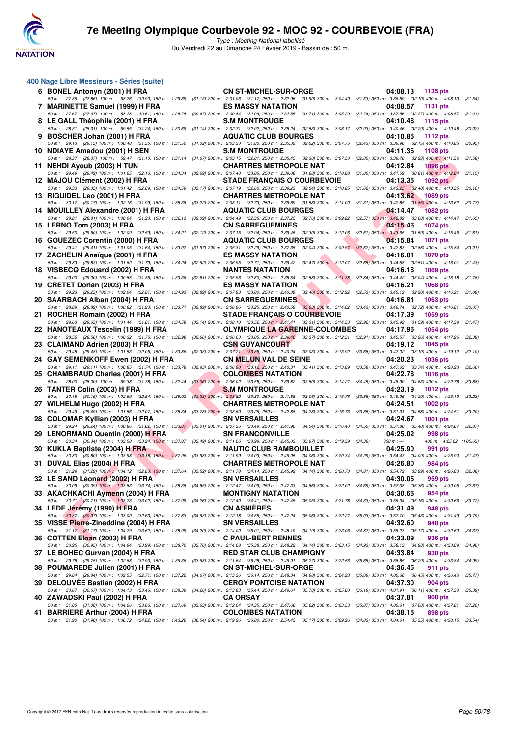

Type : Meeting National labellisé Du Vendredi 22 au Dimanche 24 Février 2019 - Bassin de : 50 m.

| 400 Nage Libre Messieurs - Séries (suite)                                                                                                                                                                                                      |                                                                                                                                                             |                                                                |         |
|------------------------------------------------------------------------------------------------------------------------------------------------------------------------------------------------------------------------------------------------|-------------------------------------------------------------------------------------------------------------------------------------------------------------|----------------------------------------------------------------|---------|
| 6 BONEL Antonyn (2001) H FRA                                                                                                                                                                                                                   | <b>CN ST-MICHEL-SUR-ORGE</b>                                                                                                                                | 04:08.13 1135 pts                                              |         |
| 50 m: 27.86 (27.86) 100 m: 58.76 (30.90) 150 m: 1:29.89 (31.13) 200 m: 2:01.06 (31.17) 250 m: 2:32.96 (31.90) 300 m: 3:04.49 (31.53) 350 m: 3:36.59 (32.10) 400 m: 4:08.13 (31.54)<br>7 MARINETTE Samuel (1999) H FRA                          | <b>ES MASSY NATATION</b>                                                                                                                                    | 04:08.57<br>1131 pts                                           |         |
| 50 m: 27.67 (27.67) 100 m: 58.28 (30.61) 150 m: 1:28.75 (30.47) 200 m: 2:00.84 (32.09) 250 m: 2:32.55 (31.71) 300 m: 3:05.29 (32.74) 350 m: 3:37.56 (32.27) 400 m: 4:08.57 (31.01)<br>8 LE GALL Théophile (2001) H FRA                         | <b>S.M MONTROUGE</b>                                                                                                                                        | 04:10.48<br>1115 pts                                           |         |
| 50 m: 28.31 (28.31) 100 m: 59.55 (31.24) 150 m: 1:30.69 (31.14) 200 m: 2:02.71 (32.02) 250 m: 2:35.24 (32.53) 300 m: 3:08.17 (32.83) 350 m: 3:40.46 (32.29) 400 m: 4:10.48 (30.02)                                                             | <b>AQUATIC CLUB BOURGES</b>                                                                                                                                 |                                                                |         |
| 9 BOSCHER Johan (2001) H FRA<br>50 m: 29.13 (29.13) 100 m: 1:00.48 (31.35) 150 m: 1:31.50 (31.02) 200 m: 2:03.30 (31.80) 250 m: 2:35.32 (32.02) 300 m: 3:07.75 (32.43) 350 m: 3:39.90 (32.15) 400 m: 4:10.85 (30.95)                           |                                                                                                                                                             | 04:10.85 1112 pts                                              |         |
| 10 NDIAYE Amadou (2001) H SEN<br>50 m: 28.37 (28.37) 100 m: 59.47 (31.10) 150 m: 1:31.14 (31.67) 200 m: 2:03.15 (32.01) 250 m: 2:35.45 (32.30) 300 m: 3:07.50 (32.05) 350 m: 3:39.78 (32.28) 400 m: 4:11.36 (31.58)                            | <b>S.M MONTROUGE</b>                                                                                                                                        | 04:11.36<br>1108 pts                                           |         |
| 11 NEHDI Ayoub (2003) H TUN<br>50 m: 29.49 (29.49) 100 m: 1:01.65 (32.16) 150 m: 1:34.34 (32.69) 200 m: 2:07.40 (33.06) 250 m: 2:39.08 (31.68) 300 m: 3:10.88 (31.80) 350 m: 3:41.69 (30.81) 400 m; 4:12.84                                    | <b>CHARTRES METROPOLE NAT</b>                                                                                                                               | 04:12.84<br><b>1096 pts</b>                                    | (31.15) |
| 12 MAJOU Clément (2002) H FRA                                                                                                                                                                                                                  | <b>STADE FRANCAIS O COURBEVOIE</b>                                                                                                                          | 04:13.35<br>1092 pts                                           |         |
| 50 m: 29.33 (29.33) 100 m: 1:01.42 (32.09) 150 m: 1:34.59 (33.17) 200 m: 2:07.19 (32.60) 250 m: 2:39.23 (32.04) 300 m: 3:10.85 (31.62) 350 m: 3:43.25 (32.40) 400 m: 4:13.35 (30.10)<br>13 RIGUIDEL Leo (2001) H FRA                           | <b>CHARTRES METROPOLE NAT</b>                                                                                                                               | 04:13.62 1089 pts                                              |         |
| 50 m : 30.17 (30.17) 100 m : 1:02.16 (31.99) 150 m : 1:35.38 (33.22) 200 m : 2:08.11 (32.73) 250 m : 2:39.69 (31.58) 300 m : 3:11.00 (31.31) 350 m : 3:42.85 (31.85) 400 m : 4:13.62 (30.77)<br>14 MOUILLEY Alexandre (2001) H FRA             | <b>AQUATIC CLUB BOURGES</b>                                                                                                                                 | 04:14.47<br><b>1082 pts</b>                                    |         |
| 50 m: 28.81 (28.81) 100 m: 1:00.04 (31.23) 150 m: 1:32.13 (32.09) 200 m: 2:04.49 (32.36) 250 m: 2:37.25 (32.76) 300 m: 3:09.82 (32.57) 350 m: 3:42.82 (33.00) 400 m: 4:14.47 (31.65)<br>15 LERNO Tom (2003) H FRA                              | <b>CN SARREGUEMINES</b>                                                                                                                                     | 04:15.46<br>1074 pts                                           |         |
| 50 m : 29.50 (29.50) 100 m : 1:02.09 (32.59) 150 m : 1:34.21 (32.12) 200 m : 2:07.15 (32.94) 250 m : 2:39.45 (32.30) 300 m : 3:12.06 (32.61) 350 m : 3:43.65 (31.59) 400 m : 4:15.46 (31.81)<br>16 GOUEZEC Corentin (2000) H FRA               | AQUATIC CLUB BOURGES                                                                                                                                        | 04:15.84<br>1071 pts                                           |         |
| 50 m: 29.41 (29.41) 100 m: 1:01.05 (31.64) 150 m: 1:33.02 (31.97) 200 m: 2:05.31 (32.29) 250 m: 2:37.35 (32.04) 300 m: 3:09.97 (32.62) 350 m: 3:42.83 (32.86) 400 m: 4:15.84 (33.01)                                                           | <b>ES MASSY NATATION</b>                                                                                                                                    |                                                                |         |
| 17 ZACHELIN Anaïque (2001) H FRA<br>50 m: 29.83 (29.83) 100 m: 1:01.62 (31.79) 150 m: 1:34.24 (32.62) 200 m: 2:06.95 (32.71) 250 m: 2:39.42 (32.47) 300 m: 3:12.07 (32.65) 350 m: 3:44.58 (32.51) 400 m: 4:16.01 (31.43)                       |                                                                                                                                                             | 04:16.01<br><b>1070 pts</b>                                    |         |
| 18 VISBECQ Edouard (2002) H FRA<br>50 m: 29.00 (29.00) 100 m: 1:00.85 (31.85) 150 m: 1:33.36 (32.51) 200 m: 2:05.96 (32.60) 250 m: 2:38.54 (32.58) 300 m: 3:11.38 (32.84) 350 m: 3:44.42 (33.04) 400 m: 4:16.18 (31.76)                        | <b>NANTES NATATION</b>                                                                                                                                      | 04:16.18<br>1069 pts                                           |         |
| 19 CRETET Dorian (2003) H FRA<br>50 m : 29.23 (29.23) 100 m : 1:02.04 (32.81) 150 m : 1:34.93 (32.89) 200 m : 2:07.93 (33.00) 250 m : 2:40.39 (32.46) 300 m : 3:12.92 (32.53) 350 m : 3:45.12 (32.20) 400 m : 4:16.21 (31.09)                  | <b>ES MASSY NATATION</b>                                                                                                                                    | 04:16.21<br><b>1068 pts</b>                                    |         |
| 20 SAARBACH Alban (2004) H FRA<br>50 m : 28.89 (28.89) 100 m : 1:00.82 (31.93) 150 m : 1:33.71 (32.89) 200 m : 2:06.96 (33.25) 250 m : 2:40.59 (33.63) 300 m : 3:14.02 (33.43) 350 m : 3:46.74 (32.72) 400 m : 4:16.81 (30.07)                 | <b>CN SARREGUEMINES</b>                                                                                                                                     | 04:16.81<br><b>1063 pts</b>                                    |         |
| 21 ROCHER Romain (2002) H FRA                                                                                                                                                                                                                  | <b>STADE FRANÇAIS O COURBEVOIE</b>                                                                                                                          | 04:17.39<br>1059 pts                                           |         |
| 50 m: 29.63 (29.63) 100 m: 1:01.44 (31.81) 150 m: 1:34.58 (33.14) 200 m: 2:08.10 (33.52) 250 m: 2:41.41 (33.31) 300 m: 3:14.33 (32.92) 350 m: 3:45.92 (31.59) 400 m: 4:17.39 (31.47)<br>22 HANOTEAUX Tescelin (1999) H FRA                     | <b>OLYMPIQUE LA GARENNE-COLOMBES</b>                                                                                                                        | 04:17.96<br>1054 pts                                           |         |
| 50 m : 28.56 (28.56) 100 m : 1:00.32 (31.76) 150 m : 1:32.98 (32.66) 200 m : 2:06.03 (33.05) 250 m : 2:39.40 (33.37) 300 m : 3:12.31 (32.91) 350 m : 3:45.57 (33.26) 400 m : 4:17.96 (32.99)<br>23 CLAIMAND Adrien (2003) H FRA                | <b>CSN GUYANCOURT</b>                                                                                                                                       | 04:19.12<br>1045 pts                                           |         |
| 50 m: 29.48 (29.48) 100 m: 1:01.53 (32.05) 150 m: 1:33.86 (32.33) 200 m: 2:07.21 (33.35) 250 m: 2:40.24 (33.03) 300 m: 3:13.92 (33.68) 350 m: 3:47.02 (33.10) 400 m: 4:19.12 (32.10)<br>24   GAY SEMENKOFF Ewen (2002) H FRA                   | <b>CN MELUN VAL DE SEINE</b>                                                                                                                                | 04:20.23<br><b>1036 pts</b>                                    |         |
| 50 m : 29.11 (29.11) 100 m : 1:00.85 (31.74) 150 m : 1:33.78 (32.93) 200 m : 2:06.90 (33.12) 250 m : 2:40.31 (33.41) 300 m : 3:13.89 (33.58) 350 m : 3:47.63 (33.74) 400 m : 4:20.23 (32.60)<br>25 CHAMBRAUD Charles (2001) H FRA              | <b>COLOMBES NATATION</b>                                                                                                                                    | 04:22.78<br><b>1016 pts</b>                                    |         |
| 50 m: 28.00 (28.00) 100 m: 59.38 (31.38) 150 m: 1:32.44<br>26 TANTER Colin (2003) H FRA                                                                                                                                                        | $(33.06)$ 200 m : 2:06.02 $(33.58)$ 250 m : 2:39.82 $(33.80)$ 300 m : 3:14.27 $(34.45)$ 350 m : 3:48.90 $(34.63)$ 400 m : 4:22.78<br><b>S.M MONTROUGE</b>   | 04:23.19<br><b>1012 pts</b>                                    | (33.88) |
| 50 m : 30.15 (30.15) 100 m : 1:02.69 (32.54) 150 m : 1:35.02 (32.33) 200 m : 2:08.82 (33.80) 250 m : 2:41.88 (33.06) 300 m : 3:15.76 (33.88) 350 m : 3:49.96 (34.20) 400 m : 4:23.19 (33.23)                                                   |                                                                                                                                                             |                                                                |         |
| 27 WILHELM Hugo (2002) H FRA<br>50 m: 29.49 (29.49) 100 m: 1:01.56 (32.07) 150 m: 1:35.34                                                                                                                                                      | <b>CHARTRES METROPOLE NAT</b><br>(33.78) 200 m: 2:08.60 (33.26) 250 m: 2:42.88 (34.28) 300 m: 3:16.73 (33.85) 350 m: 3:51.31 (34.58) 400 m: 4:24.51 (33.20) | 04:24.51<br>1002 pts                                           |         |
| 28 COLOMAR Kyllian (2003) H FRA<br>50 m: 29.24 (29.24) 100 m: 1:00.86 (31.62) 150 m: 1:33.87 (33.01) 200 m: 2:07.36 (33.49) 250 m: 2:41.90 (34.54) 300 m: 3:16.40 (34.50) 350 m: 3:51.80 (35.40) 400 m: 4:24.67 (32.87)                        | <b>SN VERSAILLES</b>                                                                                                                                        | 04:24.67<br><b>1001 pts</b>                                    |         |
| 29 LENORMAND Quentin (2000) H FRA<br>50 m : 30.34 (30.34) 100 m : 1:03.58 (33.24) 150 m : 1:37.07 (33.49) 200 m : 2:11.06 (33.99) 250 m : 2:45.03 (33.97) 300 m : 3:19.39 (34.36)                                                              | <b>SN FRANCONVILLE</b>                                                                                                                                      | 04:25.02<br>998 pts<br>$350 m : -$<br>400 m: 4:25.02 (1:05.63) |         |
| <b>START COMPANY</b><br>30 KUKLA Baptiste (2004) H FRA<br>50 m: 30.80 (30.80) 100 m: 1:03.98 (33.18) 150 m: 1:37.96 (33.98) 200 m: 2:11.99 (34.03) 250 m: 2:46.05 (34.06) 300 m: 3:20.34 (34.29) 350 m: 3:54.43 (34.09) 400 m: 4:25.90 (31.47) | <b>NAUTIC CLUB RAMBOUILLET</b>                                                                                                                              | 04:25.90<br>991 pts                                            |         |
| 31 DUVAL Elias (2004) H FRA                                                                                                                                                                                                                    | <b>CHARTRES METROPOLE NAT</b>                                                                                                                               | 04:26.80<br>984 pts                                            |         |
| 50 m : 31.29 (31.29) 100 m : 1:04.12 (32.83) 150 m : 1:37.64 (33.52) 200 m : 2:11.78 (34.14) 250 m : 2:45.92 (34.14) 300 m : 3:20.73 (34.81) 350 m : 3:54.72 (33.99) 400 m : 4:26.80 (32.08)<br>32 LE SAND Léonard (2002) H FRA                | <b>SN VERSAILLES</b>                                                                                                                                        | 04:30.05<br>959 pts                                            |         |
| 50 m : 30.09 (30.09) 100 m : 1:03.83 (33.74) 150 m : 1:38.38 (34.55) 200 m : 2:12.47 (34.09) 250 m : 2:47.33 (34.86) 300 m : 3:22.02 (34.69) 350 m : 3:57.38 (35.36) 400 m : 4:30.05 (32.67)<br>33   AKACHKACHI Aymenn (2004) H FRA            | <b>MONTIGNY NATATION</b>                                                                                                                                    | 04:30.66<br>954 pts                                            |         |
| 50 m: 30.71 (30.71) 100 m: 1.03.73 (33.02) 150 m: 1.37.99 (34.26) 200 m: 2:12.40 (34.41) 250 m: 2:47.45 (35.05) 300 m: 3:21.78 (34.33) 350 m: 3:56.94 (35.16) 400 m: 4:30.66 (33.72)<br>34 LEDE Jérémy (1990) H FRA                            | <b>CN ASNIERES</b>                                                                                                                                          | 04:31.49<br>948 pts                                            |         |
| 50 m: 30.37 (30.37) 100 m: 1:03.00 (32.63) 150 m: 1:37.63 (34.63) 200 m: 2:12.18 (34.55) 250 m: 2:47.24 (35.06) 300 m: 3:22.27 (35.03) 350 m: 3:57.70 (35.43) 400 m: 4:31.49<br>35 VISSE Pierre-Zineddine (2004) H FRA                         | <b>SN VERSAILLES</b>                                                                                                                                        | 04:32.60<br>940 pts                                            | (33.79) |
| 50 m: 31.17 (31.17) 100 m: 1:04.79 (33.62) 150 m: 1:38.99 (34.20) 200 m: 2:14.00 (35.01) 250 m: 2:48.19 (34.19) 300 m: 3:23.06 (34.87) 350 m: 3:58.23 (35.17) 400 m: 4:32.60                                                                   |                                                                                                                                                             |                                                                | (34.37) |
| 36 COTTEN Eloan (2003) H FRA<br>50 m: 30.95 (30.95) 100 m: 1:04.94 (33.99) 150 m: 1:38.70 (33.76) 200 m: 2:14.08 (35.38) 250 m: 2:48.22 (34.14) 300 m: 3:23.15 (34.93) 350 m: 3:58.13 (34.98) 400 m: 4:33.09                                   | <b>C PAUL-BERT RENNES</b>                                                                                                                                   | 04:33.09<br>936 pts                                            | (34.96) |
| 37 LE BOHEC Gurvan (2004) H FRA<br>50 m: 29.75 (29.75) 100 m: 1:02.68 (32.93) 150 m: 1:36.36 (33.68) 200 m: 2:11.64 (35.28) 250 m: 2:46.91 (35.27) 300 m: 3:22.56 (35.65) 350 m: 3:58.85 (36.29) 400 m: 4:33.84                                | <b>RED STAR CLUB CHAMPIGNY</b>                                                                                                                              | 04:33.84<br>930 pts                                            | (34.99) |
| 38 POUMAREDE Julien (2001) H FRA<br>50 m: 29.84 (29.84) 100 m: 1:02.55 (32.71) 150 m: 1:37.22 (34.67) 200 m: 2:13.36 (36.14) 250 m: 2:48.34 (34.98) 300 m: 3:24.23 (35.89) 350 m: 4:00.68 (36.45) 400 m: 4:36.45                               | <b>CN ST-MICHEL-SUR-ORGE</b>                                                                                                                                | 04:36.45<br>911 pts                                            | (35.77) |
| 39 DELOUVEE Bastian (2002) H FRA<br>50 m: 30.67 (30.67) 100 m: 1:04.13 (33.46) 150 m: 1:38.39 (34.26) 200 m: 2:13.83 (35.44) 250 m: 2:49.61 (35.78) 300 m: 3:25.80 (36.19) 350 m: 4:01.91 (36.11) 400 m: 4:37.30                               | <b>CERGY PONTOISE NATATION</b>                                                                                                                              | 04:37.30<br>904 pts                                            | (35.39) |
| 40 ZAWADSKI Paul (2002) H FRA<br>50 m: 31.00 (31.00) 100 m: 1:04.06 (33.06) 150 m: 1:37.69 (33.63) 200 m: 2:12.04 (34.35) 250 m: 2:47.66 (35.62) 300 m: 3:23.53 (35.87) 350 m: 4:00.61 (37.08) 400 m: 4:37.81 (37.20)                          | <b>CA ORSAY</b>                                                                                                                                             | 04:37.81<br>900 pts                                            |         |
| 41 BARRIERE Arthur (2004) H FRA                                                                                                                                                                                                                | <b>COLOMBES NATATION</b>                                                                                                                                    | 04:38.15<br>898 pts                                            |         |
| 50 m : 31.90 (31.90) 100 m : 1:06.72 (34.82) 150 m : 1:43.26 (36.54) 200 m : 2:19.26 (36.00) 250 m : 2:54.43 (35.17) 300 m : 3:29.26 (34.83) 350 m : 4:04.61 (35.35) 400 m : 4:38.15 (33.54)                                                   |                                                                                                                                                             |                                                                |         |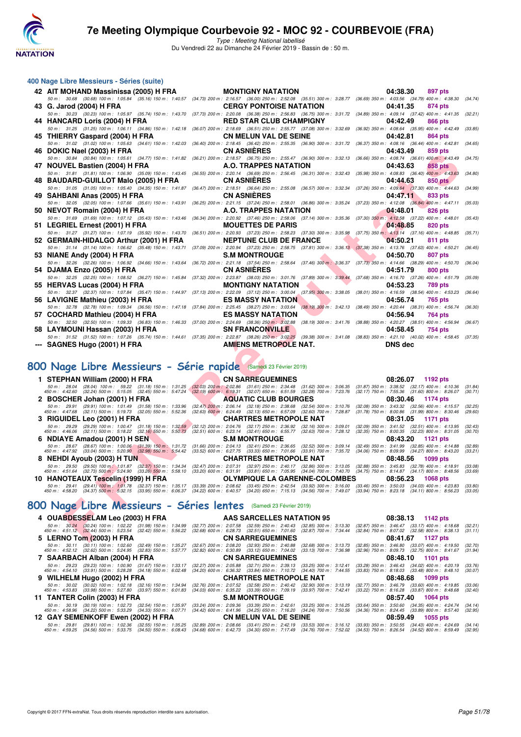

Type : Meeting National labellisé Du Vendredi 22 au Dimanche 24 Février 2019 - Bassin de : 50 m.

| 400 Nage Libre Messieurs - Séries (suite)                                                                                                                                                                                       |                                                                                                                                                                                                                                                                                                                                                                                 |                                                                                                                          |
|---------------------------------------------------------------------------------------------------------------------------------------------------------------------------------------------------------------------------------|---------------------------------------------------------------------------------------------------------------------------------------------------------------------------------------------------------------------------------------------------------------------------------------------------------------------------------------------------------------------------------|--------------------------------------------------------------------------------------------------------------------------|
| 42 AIT MOHAND Massinissa (2005) H FRA                                                                                                                                                                                           | <b>MONTIGNY NATATION</b>                                                                                                                                                                                                                                                                                                                                                        | 04:38.30<br>897 pts                                                                                                      |
| 43 G. Jarod (2004) H FRA                                                                                                                                                                                                        | 50 m: 30.68 (30.68) 100 m: 1:05.84 (35.16) 150 m: 1:40.57 (34.73) 200 m: 2:16.57 (36.00) 250 m: 2:52.08 (35.51) 300 m: 3:28.77 (36.69) 350 m: 4:03.56 (34.79) 400 m: 4:38.30<br><b>CERGY PONTOISE NATATION</b>                                                                                                                                                                  | (34.74)<br>04:41.35<br>874 pts                                                                                           |
| 50 m: 30.23 (30.23) 100 m: 1:05.97 (35.74) 150 m: 1:43.70                                                                                                                                                                       | (37.73) 200 m : 2:20.08 (36.38) 250 m : 2:56.83 (36.75) 300 m : 3:31.72 (34.89) 350 m : 4:09.14 (37.42) 400 m : 4:41.35                                                                                                                                                                                                                                                         | (32.21)                                                                                                                  |
| 44 HANCARD Loris (2004) H FRA                                                                                                                                                                                                   | <b>RED STAR CLUB CHAMPIGNY</b>                                                                                                                                                                                                                                                                                                                                                  | 04:42.49<br>866 pts                                                                                                      |
| 50 m: 31.25 (31.25) 100 m: 1:06.11 (34.86) 150 m: 1:42.18                                                                                                                                                                       | (36.07) 200 m : 2:18.69 (36.51) 250 m : 2:55.77 (37.08) 300 m : 3:32.69 (36.92) 350 m : 4:08.64 (35.95) 400 m : 4:42.49                                                                                                                                                                                                                                                         | (33.85)                                                                                                                  |
| 45 THIERRY Gaspard (2004) H FRA<br>50 m: 31.02 (31.02) 100 m: 1:05.63 (34.61) 150 m: 1:42.03                                                                                                                                    | <b>CN MELUN VAL DE SEINE</b><br>(36.40) 200 m : 2:18.45 (36.42) 250 m : 2:55.35 (36.90) 300 m : 3:31.72 (36.37) 350 m : 4:08.16 (36.44) 400 m : 4:42.81 (34.65)                                                                                                                                                                                                                 | 04:42.81<br>864 pts                                                                                                      |
| 46 DOKIC Nael (2003) H FRA                                                                                                                                                                                                      | <b>CN ASNIERES</b>                                                                                                                                                                                                                                                                                                                                                              | 04:43.49<br>859 pts                                                                                                      |
| 50 m: 30.84 (30.84) 100 m: 1:05.61 (34.77) 150 m: 1:41.82                                                                                                                                                                       | (36.21) 200 m : 2:18.57 (36.75) 250 m : 2:55.47 (36.90) 300 m : 3:32.13 (36.66) 350 m : 4:08.74 (36.61) 400 m : 4:43.49                                                                                                                                                                                                                                                         | (34.75)                                                                                                                  |
| 47 NOUVEL Bastien (2004) H FRA                                                                                                                                                                                                  | <b>A.O. TRAPPES NATATION</b>                                                                                                                                                                                                                                                                                                                                                    | 04:43.63<br>858 pts                                                                                                      |
| 50 m: 31.81 (31.81) 100 m: 1:06.90 (35.09) 150 m: 1:43.45<br>48 BAUDARD-GUILLOT Malo (2005) H FRA                                                                                                                               | (36.55) 200 m : 2:20.14 (36.69) 250 m : 2:56.45 (36.31) 300 m : 3:32.43 (35.98) 350 m : 4:08.83 (36.40) 400 m : 4:43.63<br><b>CN ASNIERES</b>                                                                                                                                                                                                                                   | (34.80)<br>04:44.63<br>850 pts                                                                                           |
| 50 m: 31.05 (31.05) 100 m: 1:05.40 (34.35) 150 m: 1:41.87                                                                                                                                                                       | (36.47) 200 m : 2:18.51 (36.64) 250 m : 2:55.08 (36.57) 300 m : 3:32.34 (37.26) 350 m : 4:09.64 (37.30) 400 m : 4:44.63                                                                                                                                                                                                                                                         | (34.99)                                                                                                                  |
| 49 SAHBANI Anas (2005) H FRA                                                                                                                                                                                                    | <b>CN ASNIERES</b>                                                                                                                                                                                                                                                                                                                                                              | 04:47.11<br>833 pts                                                                                                      |
| 50 m: 32.05 (32.05) 100 m: 1:07.66 (35.61) 150 m: 1:43.91                                                                                                                                                                       | (36.25) 200 m : 2:21.15 (37.24) 250 m : 2:58.01 (36.86) 300 m : 3:35.24 (37.23) 350 m : 4:12.08 (36.84) 400 m : 4:47.11<br>A.O. TRAPPES NATATION                                                                                                                                                                                                                                | (35.03)<br>04:48.01                                                                                                      |
| 50 NEVOT Romain (2004) H FRA<br>50 m: 31.69 (31.69) 100 m: 1:07.12 (35.43) 150 m: 1:43.46                                                                                                                                       | (36.34) 200 m : 2:20.92 (37.46) 250 m : 2:58.06 (37.14) 300 m : 3:35.36 (37.30) 350 m : 4:12.58 (37.22) 400 m : 4:48.01                                                                                                                                                                                                                                                         | 826 pts<br>(35.43)                                                                                                       |
| 51 LEGRIEL Ernest (2001) H FRA                                                                                                                                                                                                  | <b>MOUETTES DE PARIS</b>                                                                                                                                                                                                                                                                                                                                                        | 04:48.85<br>820 pts                                                                                                      |
|                                                                                                                                                                                                                                 | 50 m : 31.27 (31.27) 100 m : 1:07.19 (35.92) 150 m : 1:43.70 (36.51) 200 m : 2:20.93 (37.23) 250 m : 2:58.23 (37.30) 300 m : 3:35.98 (37.75) 350 m : 4:13.14 (37.16) 400 m : 4:48.85 (35.71)                                                                                                                                                                                    |                                                                                                                          |
| 52 GERMAIN-HIDALGO Arthur (2001) H FRA<br>50 m: 31.14 (31.14) 100 m: 1:06.62 (35.48) 150 m: 1:43.71                                                                                                                             | <b>NEPTUNE CLUB DE FRANCE</b><br>(37.09) 200 m : 2:20.94 (37.23) 250 m : 2:58.75 (37.81) 300 m : 3:36.13 (37.38) 350 m : 4:13.76 (37.63) 400 m : 4:50.21                                                                                                                                                                                                                        | 04:50.21<br>811 pts<br>(36.45)                                                                                           |
| 53 NIANE Andy (2004) H FRA                                                                                                                                                                                                      | <b>S.M MONTROUGE</b>                                                                                                                                                                                                                                                                                                                                                            | 04:50.70<br>807 pts                                                                                                      |
| 50 m: 32.26 (32.26) 100 m: 1:06.92 (34.66) 150 m: 1:43.64                                                                                                                                                                       | (36.72) 200 m : 2:21.18 (37.54) 250 m : 2:58.64 (37.46) 300 m : 3:36.37 (37.73) 350 m : 4:14.66 (38.29) 400 m : 4:50.70                                                                                                                                                                                                                                                         | (36.04)                                                                                                                  |
| 54 DJAMA Enzo (2005) H FRA                                                                                                                                                                                                      | <b>CN ASNIERES</b>                                                                                                                                                                                                                                                                                                                                                              | 04:51.79<br>800 pts                                                                                                      |
| 55 HERVAS Lucas (2004) H FRA                                                                                                                                                                                                    | 50 m: 32.25 (32.25) 100 m: 1:08.52 (36.27) 150 m: 1:45.84 (37.32) 200 m: 2:23.87 (38.03) 250 m: 3:01.76 (37.89) 300 m: 3:39.44 (37.68) 350 m: 4:16.70 (37.26) 400 m: 4:51.79<br><b>MONTIGNY NATATION</b>                                                                                                                                                                        | (35.09)<br>04:53.23<br>789 pts                                                                                           |
|                                                                                                                                                                                                                                 | 50 m: 32.37 (32.37) 100 m: 1:07.84 (35.47) 150 m: 1:44.97 (37.13) 200 m: 2:22.09 (37.12) 250 m: 3:00.04 (37.95) 300 m: 3:38.05 (38.01) 350 m: 4:16.59 (38.54) 400 m: 4:53.23                                                                                                                                                                                                    | (36.64)                                                                                                                  |
| 56 LAVIGNE Mathieu (2003) H FRA                                                                                                                                                                                                 | <b>ES MASSY NATATION</b>                                                                                                                                                                                                                                                                                                                                                        | 04:56.74<br>765 pts                                                                                                      |
|                                                                                                                                                                                                                                 | 50 m: 32.78 (32.78) 100 m: 1:09.34 (36.56) 150 m: 1:47.18 (37.84) 200 m: 2:25.45 (38.27) 250 m: 3:03.64 (38.19) 300 m: 3:42.13 (38.49) 350 m: 4:20.44 (38.31) 400 m: 4:56.74 (36.30)                                                                                                                                                                                            |                                                                                                                          |
| 57 COCHARD Mathieu (2004) H FRA                                                                                                                                                                                                 | <b>ES MASSY NATATION</b><br>50 m : 32.50 (32.50) 100 m : 1:09.33 (36.83) 150 m : 1:46.33 (37.00) 200 m : 2:24.69 (38.36) 250 m : 3:02.88 (38.19) 300 m : 3:41.76 (38.88) 350 m : 4:20.27 (38.51) 400 m : 4:56.94 (36.67)                                                                                                                                                        | 04:56.94<br>764 pts                                                                                                      |
| 58 LAYMOUNI Hassan (2003) H FRA                                                                                                                                                                                                 | <b>SN FRANCONVILLE</b>                                                                                                                                                                                                                                                                                                                                                          | 04:58.45<br>754 pts                                                                                                      |
|                                                                                                                                                                                                                                 | 50 m: 31.52 (31.52) 100 m: 1:07.26 (35.74) 150 m: 1:44.61 (37.35) 200 m: 2:22.87 (38.26) 250 m: 3:02.25 (39.38) 300 m: 3:41.08 (38.83) 350 m: 4:21.10 (40.02) 400 m: 4:58.45 (37.35)                                                                                                                                                                                            |                                                                                                                          |
| --- SAGNES Hugo (2001) H FRA                                                                                                                                                                                                    | <b>AMIENS METROPOLE NAT.</b>                                                                                                                                                                                                                                                                                                                                                    | <b>DNS</b> dec                                                                                                           |
|                                                                                                                                                                                                                                 |                                                                                                                                                                                                                                                                                                                                                                                 |                                                                                                                          |
| 800 Nage Libre Messieurs - Série rapide (Samedi 23 Février 2019)                                                                                                                                                                |                                                                                                                                                                                                                                                                                                                                                                                 |                                                                                                                          |
| 1 STEPHAN William (2000) H FRA                                                                                                                                                                                                  | <b>CN SARREGUEMINES</b>                                                                                                                                                                                                                                                                                                                                                         | 08:26.07<br>1192 pts                                                                                                     |
| 50 m: 28.04 (28.04) 100 m: 59.22 (31.18) 150 m: 1:31.25                                                                                                                                                                         | $(32.03)$ 200 m : 2:02.86 $(31.61)$ 250 m : 2:34.48 $(31.62)$ 300 m : 3:06.35 $(31.87)$ 350 m : 3:38.52 $(32.17)$ 400 m : 4:10.36                                                                                                                                                                                                                                               | (31.84)                                                                                                                  |
| 450 m : 4:42.60 (32.24) 500 m : 5:15.05 (32.45) 550 m : 5:47.24<br>2 BOSCHER Johan (2001) H FRA                                                                                                                                 | $(32.19)$ 600 m : 6:19.31 $(32.07)$ 650 m : 6:51.59 $(32.28)$ 700 m : 7:23.76<br><b>AQUATIC CLUB BOURGES</b>                                                                                                                                                                                                                                                                    | (32.17) 750 m: 7:55.36 (31.60) 800 m: 8:26.07<br>(30.71)<br>08:30.46<br>1174 pts                                         |
| 50 m: 29.91 (29.91) 100 m: 1:01.49 (31.58) 150 m: 1:33.96                                                                                                                                                                       | (32.47) 200 m: 2:06.14 (32.18) 250 m: 2:38.68 (32.54) 300 m: 3:10.76                                                                                                                                                                                                                                                                                                            | (32.08) 350 m : 3:43.32 (32.56) 400 m : 4:15.57<br>(32.25)                                                               |
| 450 m : 4:47.68 (32.11) 500 m : 5:19.73 (32.05) 550 m : 5:52.36                                                                                                                                                                 | $(32.63)$ 600 m : 6:24.49 $(32.13)$ 650 m : 6:57.09 $(32.60)$ 700 m : 7:28.87                                                                                                                                                                                                                                                                                                   | (31.78) 750 m : 8:00.86 (31.99) 800 m : 8:30.46<br>(29.60)                                                               |
| 3 RIGUIDEL Leo (2001) H FRA                                                                                                                                                                                                     | <b>CHARTRES METROPOLE NAT</b>                                                                                                                                                                                                                                                                                                                                                   | 08:31.05<br>1171 pts<br>(32.09) 350 m: 3:41.52 (32.51) 400 m: 4:13.95<br>(32.43)                                         |
|                                                                                                                                                                                                                                 | 50 m :  29.29   (29.29) 100 m :  1:00.47   (31.18) 150 m :  1:32.59   (32.12) 200 m : 2:04.76   (32.17) 250 m : 2:36.92   (32.16) 300 m :  3:09.01<br>450 m :  4:46.06   (32.11) 500 m :  5:18.22   (32.16) 550 m :  5:50.73   (3                                                                                                                                               | (32.35) 750 m : 8:00.35 (32.23) 800 m : 8:31.05<br>(30.70)                                                               |
| 6 NDIAYE Amadou (2001) H SEN                                                                                                                                                                                                    | <b>S.M MONTROUGE</b><br>50 m : 28.67 (28.67) 100 m : 1:00.06 (31.39) 150 m : 1:31.72 (31.66) 200 m : 2:04.13 (32.41) 250 m : 2:36.65 (32.52) 300 m : 3:09.14 (32.49) 350 m : 3:41.99 (32.85) 400 m : 4:14.88                                                                                                                                                                    | 08:43.20<br>1121 pts<br>(32.89)                                                                                          |
|                                                                                                                                                                                                                                 | 450 m : 4:47.92 (33.04) 500 m : 5:20.90 (32.98) 550 m : 5:54.42 (33.52) 600 m : 6:27.75 (33.33) 650 m : 7:01.66 (33.91) 700 m : 7:35.72 (34.06) 750 m : 8:09.99 (34.27) 800 m : 8:43.20                                                                                                                                                                                         | (33.21)                                                                                                                  |
| 8 NEHDI Ayoub (2003) H TUN                                                                                                                                                                                                      | <b>CHARTRES METROPOLE NAT</b>                                                                                                                                                                                                                                                                                                                                                   | 08:48.56 1099 pts                                                                                                        |
|                                                                                                                                                                                                                                 | 50 m: 29.50 (29.50) 100 m: 1:01.87 (32.37) 150 m: 1:34.34 (32.47) 200 m: 2:07.31 (32.97) 250 m: 2:40.17 (32.86) 300 m: 3:13.05 (32.88) 350 m: 3:45.83 (32.78) 400 m: 4:18.91 (33.08)<br>450 m : 4:51.64 (32.73) 500 m : 5:24.90 (33.26) 550 m : 5:58.10 (33.20) 600 m : 6:31.91 (33.81) 650 m : 7:05.95 (34.04) 700 m : 7:40.70 (34.75) 750 m : 8:14.87 (34.17) 800 m : 8:48.56 | (33.69)                                                                                                                  |
| 10 HANOTEAUX Tescelin (1999) H FRA                                                                                                                                                                                              | <b>OLYMPIQUE LA GARENNE-COLOMBES</b>                                                                                                                                                                                                                                                                                                                                            | 08:56.23<br>1068 pts                                                                                                     |
|                                                                                                                                                                                                                                 | 50 m: 29.41 (29.41) 100 m: 1:01.78 (32.37) 150 m: 1:35.17 (33.39) 200 m: 2:08.62 (33.45) 250 m: 2:42.54 (33.92) 300 m: 3:16.00 (33.46) 350 m: 3:50.03 (34.03) 400 m: 4:23.83<br>450 m : 4:58.20 (34.37) 500 m : 5:32.15 (33.95) 550 m : 6:06.37 (34.22) 600 m : 6:40.57 (34.20) 650 m : 7:15.13 (34.56) 700 m : 7:49.07 (33.94) 750 m : 8:23.18 (34.11) 800 m : 8:56.23         | (33.80)<br>(33.05)                                                                                                       |
|                                                                                                                                                                                                                                 |                                                                                                                                                                                                                                                                                                                                                                                 |                                                                                                                          |
| 800 Nage Libre Messieurs - Séries lentes (Samedi 23 Février 2019)                                                                                                                                                               |                                                                                                                                                                                                                                                                                                                                                                                 |                                                                                                                          |
| 4 OUABDESSELAM Leo (2003) H FRA                                                                                                                                                                                                 | AAS SARCELLES NATATION 95                                                                                                                                                                                                                                                                                                                                                       | 08:38.13<br>1142 pts                                                                                                     |
| 50 m: 30.24 (30.24) 100 m: 1:02.22 (31.98) 150 m: 1:34.99                                                                                                                                                                       | (32.77) 200 m : 2:07.58 (32.59) 250 m : 2:40.43 (32.85) 300 m : 3:13.30<br>450 m : 4:51.12 (32.44) 500 m : 5:23.54 (32.42) 550 m : 5:56.22 (32.68) 600 m : 6:28.73 (32.51) 650 m : 7:01.60 (32.87) 700 m : 7:34.44                                                                                                                                                              | (32.87) 350 m : 3:46.47 (33.17) 400 m : 4:18.68<br>(32.21)<br>(32.84) 750 m : 8:07.02 (32.58) 800 m : 8:38.13<br>(31.11) |
| 5 LERNO Tom (2003) H FRA                                                                                                                                                                                                        | <b>CN SARREGUEMINES</b>                                                                                                                                                                                                                                                                                                                                                         | 08:41.67<br>1127 pts                                                                                                     |
| 50 m : 30.11 (30.11) 100 m : 1:02.60 (32.49) 150 m : 1:35.27 (32.67) 200 m : 2:08.20 (32.93) 250 m : 2:40.88<br>450 m : 4:52.12 (32.62) 500 m : 5:24.95 (32.83) 550 m : 5:57.77 (32.82) 600 m : 6:30.89 (33.12) 650 m : 7:04.02 | $(32.68)$ 300 m : 3:13.73<br>$(33.13)$ 700 m : 7:36.98                                                                                                                                                                                                                                                                                                                          | (32.85) 350 m: 3:46.80 (33.07) 400 m: 4:19.50<br>(32.70)<br>(32.96) 750 m : 8:09.73 (32.75) 800 m : 8:41.67<br>(31.94)   |
| 7 SAARBACH Alban (2004) H FRA                                                                                                                                                                                                   | <b>CN SARREGUEMINES</b>                                                                                                                                                                                                                                                                                                                                                         | 08:48.10 1101 pts                                                                                                        |

50 m: 29.23 (29.23) 100 m: 1:00.90 (31.67) 150 m: 1:33.17 (32.27) 200 m: 2:05.88 (32.71) 250 m: 2:39.13 (33.25) 300 m: 3:12.41 (33.28) 350 m: 3:46.43 (34.02) 400 m: 4:20.19 (33.76)<br>450 m: 4:54.10 (33.91) 500 m: 5:28.28 (34

50 m: 30.19 (30.19) 100 m: 1:02.73 (32.54) 150 m: 1:35.97 (33.24) 200 m: 2:09.36 (33.39) 250 m: 2:42.61 (33.25) 300 m: 3:16.25 (33.64) 350 m: 3:50.60 (34.35) 400 m: 4:24.74 (34.14)<br>450 m: 4:58.96 (34.22) 500 m: 5:33.29 (34

**9 WILHELM Hugo (2002) H FRA CHARTRES METROPOLE NAT 08:48.68 1099 pts**<br>
50 m : 30.02 (30.02) 100 m : 1:02.18 (32.16) 150 m : 1:34.94 (32.76) 200 m : 2:07.52 (32.58) 250 m : 2:40.42 (32.90) 300 m : 3:13.19 (32.77) 350 50 m; 30.02 (30.02) 100 m; 1:02.18 (32.16) 150,0; 1:134.94 (32.76) 200m; 2:07.52 (32.59 250m; 3:04.42 (32.71) 360m; 3:13.19 (32.77) 350m; 3:13.19 (33.67) 400 m; 4:53.83 (33.67) 500 m; 4:15.28 (33.67) 500 m; 4:52.83 (33.67)

11 TANTER Colin (2003) H FRA S.M MONTROUGE 08:57.40 **1064 pts** 

12 GAY SEMENKOFF Ewen (2002) H FRA CN MELUN VAL DE SEINE 08:59.49 1055 pts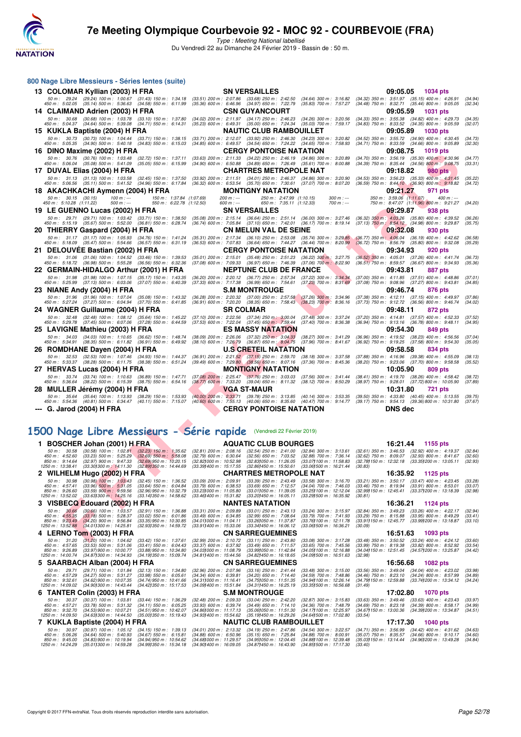



| 800 Nage Libre Messieurs - Séries lentes (suite)                                                                                                       |                                                                                                                                                                                      |                                                                                                                                          |
|--------------------------------------------------------------------------------------------------------------------------------------------------------|--------------------------------------------------------------------------------------------------------------------------------------------------------------------------------------|------------------------------------------------------------------------------------------------------------------------------------------|
| 13 COLOMAR Kyllian (2003) H FRA                                                                                                                        | <b>SN VERSAILLES</b>                                                                                                                                                                 | 09:05.05<br>1034 pts                                                                                                                     |
| 50 m: 29.24 (29.24) 100 m: 1:00.67 (31.43) 150 m: 1:34.18<br>450 m : 5:02.05 (35.14) 500 m : 5:36.63 (34.58) 550 m : 6:11.99                           | (33.51) 200 m : 2:07.86 (33.68) 250 m : 2:42.50<br>$(34.64)$ 300 m : 3:16.82<br>(35.36) 600 m: 6:46.96 (34.97) 650 m: 7:22.79<br>$(35.83)$ 700 m : 7:57.27                           | (34.32) 350 m: 3:51.97 (35.15) 400 m: 4:26.91<br>(34.94)<br>$(34.48)$ 750 m : 8:32.71 $(35.44)$ 800 m : 9:05.05<br>(32.34)               |
| 14 CLAIMAND Adrien (2003) H FRA                                                                                                                        | <b>CSN GUYANCOURT</b>                                                                                                                                                                | 09:05.59<br><b>1031 pts</b>                                                                                                              |
| 50 m: 30.68 (30.68) 100 m: 1:03.78 (33.10) 150 m: 1:37.80<br>450 m: 5:04.37 (34.64) 500 m: 5:39.08 (34.71) 550 m: 6:14.31                              | (34.02) 200 m: 2:11.97 (34.17) 250 m: 2:46.23<br>$(34.26)$ 300 m : 3:20.56<br>$(35.23)$ 600 m : 6:49.31 $(35.00)$ 650 m : 7:24.34<br>$(35.03)$ 700 m : 7:59.17                       | (34.33) 350 m: 3:55.38 (34.82) 400 m: 4:29.73<br>(34.35)<br>$(34.83)$ 750 m : $8.33.52$ $(34.35)$ 800 m : $9.05.59$<br>(32.07)           |
| 15 KUKLA Baptiste (2004) H FRA                                                                                                                         | <b>NAUTIC CLUB RAMBOUILLET</b>                                                                                                                                                       | 09:05.89<br><b>1030 pts</b>                                                                                                              |
| 50 m: 30.73 (30.73) 100 m: 1:04.44 (33.71) 150 m: 1:38.15                                                                                              | (33.71) 200 m : 2:12.07 (33.92) 250 m : 2:46.30<br>$(34.23)$ 300 m : 3:20.82                                                                                                         | (34.52) 350 m: 3:55.72 (34.90) 400 m: 4:30.45<br>(34.73)                                                                                 |
| 450 m: 5:05.35 (34.90) 500 m: 5:40.18 (34.83) 550 m: 6:15.03                                                                                           | (34.85) 600 m: 6:49.57 (34.54) 650 m: 7:24.22 (34.65) 700 m: 7:58.93<br><b>CERGY PONTOISE NATATION</b>                                                                               | $(34.71)$ 750 m : $8:33.59$ $(34.66)$ 800 m : $9:05.89$<br>(32.30)<br>09:08.75<br><b>1019 pts</b>                                        |
| 16 DINO Maxime (2002) H FRA<br>50 m: 30.76 (30.76) 100 m: 1:03.48 (32.72) 150 m: 1:37.11                                                               | (33.63) 200 m : 2:11.33 (34.22) 250 m : 2:46.19 (34.86) 300 m : 3:20.89                                                                                                              | $(34.70)$ 350 m : 3:56.19 $(35.30)$ 400 m : 4:30.96<br>(34.77)                                                                           |
| 450 m : 5:06.04 (35.08) 500 m : 5:41.09 (35.05) 550 m : 6:15.99                                                                                        | (34.90) 600 m : 6:50.88 (34.89) 650 m : 7:26.49 (35.61) 700 m : 8:00.88                                                                                                              | (34.39) 750 m : 8:35.44 (34.56) 800 m : 9:08.75<br>(33.31)                                                                               |
| 17 DUVAL Elias (2004) H FRA<br>50 m: 31.13 (31.13) 100 m: 1:03.58 (32.45) 150 m: 1:37.50                                                               | <b>CHARTRES METROPOLE NAT</b><br>(33.92) 200 m : 2:11.51 (34.01) 250 m : 2:46.37<br>$(34.86)$ 300 m : 3:20.90                                                                        | 09:18.82<br>980 pts<br>$(34.53)$ 350 m : 3:56.23 $(35.33)$ 400 m : 4:31.45<br>(35.22)                                                    |
| 450 m : 5:06.56 (35.11) 500 m : 5:41.52 (34.96) 550 m : 6:17.84                                                                                        | $(36.32)$ 600 m : 6:53.54 $(35.70)$ 650 m : 7:30.61 $(37.07)$ 700 m : 8:07.20                                                                                                        | $(36.59)$ 750 m : 8:44.10 $(36.90)$ 800 m : 9:18.82<br>(34.72)                                                                           |
| 18 AKACHKACHI Aymenn (2004) H FRA                                                                                                                      | <b>MONTIGNY NATATION</b>                                                                                                                                                             | 09:21.27<br>971 pts                                                                                                                      |
| $50 \text{ m}$ : $30.15$ (30.15)<br>$100 m: -$<br>150 m : 1:37.84 (1:07.69)<br>450 m : 5:10.28 (1:11.22)<br>$500 m$ : ---<br>550 m: 6:22.78 (1:12.50)  | $200 m$ : ---<br>250 m: 2:47.99 (1:10.15)<br>$300 m : -$<br>600 m : ---<br>650 m: 7:35.11 (1:12.33)<br>700 m : ---                                                                   | 350 m: 3:59.06 (1:11.07)<br>$400 m: -$<br>750 m: 8:47.07 (1:11.96) 800 m: 9:21.27<br>(34.20)                                             |
| 19 LE GUENNO Lucas (2002) H FRA                                                                                                                        | <b>SN VERSAILLES</b>                                                                                                                                                                 | 09:29.87<br>938 pts                                                                                                                      |
| 50 m: 29.71 (29.71) 100 m: 1:03.42 (33.71) 150 m: 1:38.50<br>450 m: 5:15.19 (35.67) 500 m: 5:52.00 (36.81) 550 m: 6:28.74                              | $(35.08)$ 200 m : 2:15.14<br>(36.64) 250 m : 2:51.14 (36.00) 300 m : 3:27.46<br>(36.74) 600 m: 7:05.84 (37.10) 650 m: 7:42.01 (36.17) 700 m: 8:19.14                                 | $(36.32)$ 350 m : 4:03.26<br>$(35.80)$ 400 m : 4:39.52<br>(36.26)<br>$(37.13)$ 750 m : $8.54.12$<br>$(34.98)$ 800 m : 9:29.87<br>(35.75) |
| 20 THIERRY Gaspard (2004) H FRA                                                                                                                        | <b>CN MELUN VAL DE SEINE</b>                                                                                                                                                         | 09:32.08<br>930 pts                                                                                                                      |
| 50 m: 31.17 (31.17) 100 m: 1:05.93 (34.76) 150 m: 1:41.24<br>450 m : 5:18.09 (35.47) 500 m : 5:54.66<br>$(36.57)$ 550 m : 6:31.19                      | (35.31) 200 m : 2:17.34 (36.10) 250 m : 2:53.08 (35.74) 300 m : 3:29.85<br>$(36.53)$ 600 m : 7:07.83<br>(36.64) 650 m : 7:44.27 (36.44) 700 m : 8:20.99                              | $(36.77)$ 350 m : 4:06.04<br>$(36.19)$ 400 m : 4:42.62<br>(36.58)<br>$(36.72)$ 750 m : 8:56.79<br>$(35.80)$ 800 m : 9:32.08<br>(35.29)   |
| 21 DELOUVEE Bastian (2002) H FRA                                                                                                                       | <b>CERGY PONTOISE NATATION</b>                                                                                                                                                       | 09:34.93<br>920 pts                                                                                                                      |
| 50 m: 31.06 (31.06) 100 m: 1:04.52 (33.46) 150 m: 1:39.53                                                                                              | $(35.01)$ 200 m : 2:15.01 $(35.48)$ 250 m : 2:51.23<br>$(36.22)$ 300 m : 3:27.75                                                                                                     | $(36.52)$ 350 m : 4:05.01<br>$(37.26)$ 400 m : 4:41.74<br>(36.73)                                                                        |
| 450 m : 5:18.72 (36.98) 500 m : 5:55.28 (36.56) 550 m : 6:32.36                                                                                        | (37.08) 600 m : 7:09.33 (36.97) 650 m : 7:46.39<br>$(37.06)$ 700 m : 8:22.90<br><b>NEPTUNE CLUB DE FRANCE</b>                                                                        | (36.51) 750 m : 8:59.57 (36.67) 800 m : 9:34.93<br>(35.36)<br>09:43.81                                                                   |
| 22 GERMAIN-HIDALGO Arthur (2001) H FRA<br>50 m: 31.98 (31.98) 100 m: 1:07.15 (35.17) 150 m: 1:43.35                                                    | (36.20) 200 m : 2:20.12 (36.77) 250 m : 2:57.34<br>(37.22) 300 m : 3:34.34                                                                                                           | 887 pts<br>$(37.00)$ 350 m : 4:11.85 $(37.51)$ 400 m : 4:48.86<br>(37.01)                                                                |
| 450 m : 5:25.99 (37.13) 500 m : 6:03.06 (37.07) 550 m : 6:40.39                                                                                        | (37.33) 600 m : 7:17.38 (36.99) 650 m : 7:54.61 (37.23) 700 m : 8:31.69                                                                                                              | (37.08) 750 m : 9:08.96 (37.27) 800 m : 9:43.81<br>(34.85)                                                                               |
| 23 NIANE Andy (2004) H FRA<br>50 m: 31.96 (31.96) 100 m: 1:07.04 (35.08) 150 m: 1:43.32                                                                | <b>S.M MONTROUGE</b><br>(36.28) 200 m : 2:20.32 (37.00) 250 m : 2:57.58 (37.26) 300 m : 3:34.96                                                                                      | 09:46.74<br>876 pts<br>(37.38) 350 m: 4:12.11 (37.15) 400 m: 4:49.97<br>(37.86)                                                          |
| 450 m: 5:27.24 (37.27) 500 m: 6:04.94 (37.70) 550 m: 6:41.85                                                                                           | (36.91) 600 m : 7:20.20 (38.35) 650 m : 7:58.43 (38.23) 700 m : 8:36.16                                                                                                              | (37.73) 750 m : 9:12.72 (36.56) 800 m : 9:46.74<br>(34.02)                                                                               |
| 24 WAGNER Guillaume (2004) H FRA                                                                                                                       | <b>SR COLMAR</b>                                                                                                                                                                     | 09:48.11<br>872 pts                                                                                                                      |
| 50 m: 32.48 (32.48) 100 m: 1:08.12 (35.64) 150 m: 1:45.22<br>450 m : 5:29.78 (37.45) 500 m : 6:07.06<br>$(37.28)$ 550 m : 6:44.59                      | $(37.10)$ 200 m : 2:22.56 $(37.34)$ 250 m : 3:00.04<br>$(37.48)$ 300 m : 3:37.24<br>$(37.53)$ 600 m : 7:22.04 $(37.45)$ 650 m : 7:59.44<br>$(37.40)$ 700 m : 8:36.38                 | $(37.20)$ 350 m : 4:14.81 $(37.57)$ 400 m : 4:52.33<br>(37.52)<br>(36.94) 750 m: 9:13.16 (36.78) 800 m: 9:48.11<br>(34.95)               |
| 25 LAVIGNE Mathieu (2003) H FRA                                                                                                                        | <b>ES MASSY NATATION</b>                                                                                                                                                             | 09:54.30<br>849 pts                                                                                                                      |
| 50 m: 34.03 (34.03) 100 m: 1:10.65 (36.62) 150 m: 1:48.74<br>450 m : 5:34.91 (38.35) 500 m : 6:11.82 (36.91) 550 m : 6:49.92                           | $(38.09)$ 200 m : 2:26.06 $(37.32)$ 250 m : 3:04.33<br>$(38.27)$ 300 m : 3:41.29<br>(38.10) 600 m : 7:26.79 (36.87) 650 m : 8:04.75<br>$(37.96)$ 700 m : 8:41.67                     | (36.96) 350 m : 4:19.52 (38.23) 400 m : 4:56.56<br>(37.04)<br>(36.92) 750 m : 9:19.25 (37.58) 800 m : 9:54.30<br>(35.05)                 |
| 26 ROMDHANE Dayen (2004) H FRA                                                                                                                         | <b>U.S CRETEIL NATATION</b>                                                                                                                                                          | 09:58.58<br>834 pts                                                                                                                      |
| 50 m: 32.53<br>(32.53) 100 m : 1:07.46<br>$(34.93)$ 150 m : 1:44.37<br>450 m: 5:33.37 (38.28) 500 m: 6:11.75 (38.38) 550 m: 6:51.24                    | $(36.91)$ 200 m : 2:21.52 $(37.15)$ 250 m : 2:59.70<br>$(38.18)$ 300 m : $3:37.58$                                                                                                   | (37.88) 350 m : 4:16.96 (39.38) 400 m : 4:55.09<br>(38.13)<br>(38.20) 750 m : 9:23.06 (37.70) 800 m : 9:58.58<br>(35.52)                 |
| 27 HERVAS Lucas (2004) H FRA                                                                                                                           | (39.49) 600 m : 7:29.80 (38.56) 650 m : 8:07.16 (37.36) 700 m : 8:45.36<br><b>MONTIGNY NATATION</b>                                                                                  | 10:05.90<br>809 pts                                                                                                                      |
| 50 m: 33.74 (33.74) 100 m: 1:10.63 (36.89) 150 m: 1:47.71                                                                                              | $(37.08)$ 200 m : 2:25.47 $(37.76)$ 250 m : 3:03.03<br>$(37.56)$ 300 m : 3:41.44                                                                                                     | (38.41) 350 m: 4:19.70 (38.26) 400 m: 4:58.42<br>(38.72)                                                                                 |
| 450 m : 5:36.64 (38.22) 500 m : 6:15.39<br>(38.75) 550 m : 6:54.16<br>28 MULLER Jeremy (2004) H FRA                                                    | (38.77) 600 m : 7:33.20 (39.04) 650 m : 8:11.32<br>$(38.12)$ 700 m : 8:50.29<br><b>VGA ST-MAUR</b>                                                                                   | (38.97) 750 m : 9:28.01 (37.72) 800 m : 10:05.90<br>(37.89)<br>10:31.80<br>721 pts                                                       |
| 50 m: 35.64 (35.64) 100 m: 1:13.93<br>$(38.29)$ 150 m : 1:53.93                                                                                        | $(40.00)$ 200 m : 2:33.71<br>(39.78) 250 m : 3:13.85 (40.14) 300 m : 3:53.35                                                                                                         | $(39.50)$ 350 m : 4:33.80<br>$(40.45)$ 400 m : 5:13.55<br>(39.75)                                                                        |
| 450 m : 5:54.36 (40.81) 500 m : 6:34.47<br>$(40.11)$ 550 m : 7:15.07                                                                                   | (40.60) 600 m : 7:55.13 (40.06) 650 m : 8:35.60<br>(40.47) 700 m : 9:14.77                                                                                                           | $(39.17)$ 750 m : $9.54.13$<br>(39.36)800 m : 10.31.80<br>(37.67)                                                                        |
| --- G. Jarod (2004) H FRA                                                                                                                              | <b>CERGY PONTOISE NATATION</b>                                                                                                                                                       | <b>DNS</b> dec                                                                                                                           |
|                                                                                                                                                        |                                                                                                                                                                                      |                                                                                                                                          |
| 1500 Nage Libre Messieurs - Série rapide (Vendredi 22 Février 2019)                                                                                    |                                                                                                                                                                                      |                                                                                                                                          |
| 1 BOSCHER Johan (2001) H FRA                                                                                                                           | <b>AQUATIC CLUB BOURGES</b>                                                                                                                                                          | 16:21.44<br>1155 pts                                                                                                                     |
| $(30.58)$ 100 m : 1:02.81<br>50 m : 30.58<br>$(32.23)$ 150 m : 1:35.62                                                                                 | $(32.81)$ 200 m : 2:08.16<br>$(32.54)$ 250 m : 2:41.00<br>$(32.84)$ 300 m : 3:13.61                                                                                                  | $(32.61)$ 350 m : 3:46.53<br>$(32.92)$ 400 m : 4:19.37<br>(32.84)                                                                        |
| $(33.23)$ 500 m : 5:25.29<br>450 m : 4:52.60<br>$(32.69)$ 550 m : 5:58.08<br>$(32.69)$ 950 m : 10:20.15<br>850 m: 9:14.64<br>$(32.97)$ 900 m : 9:47.33 | $(32.88)$ 700 m : 7:36.14<br>$(32.79)$ 600 m : 6:30.64<br>$(32.56)$ 650 m : 7:03.52<br>(32.82) 000 m : 10:52.98<br>$(32.83)050 \text{ m}$ : 11:26.05<br>(33.07) 100 m : 11:58.83     | $(32.62)$ 750 m : 8:09.07<br>(32.60)<br>$(32.93)$ 800 m : 8:41.67<br>(32.78) 150 m : 12:32.18 (33.35) 200 m : 13:05.11<br>(32.93)        |
| $(33.30)300 \text{ m}$ : 14:11.30<br>(32.89) 350 m : 14:44.69<br>1250 m : 13:38.41                                                                     | $(33.39)400 \text{ m}$ : 15:17.55<br>(32.86) 450 m : 15:50.61<br>(33.06) 500 m : 16:21.44                                                                                            | (30.83)                                                                                                                                  |
| 2 WILHELM Hugo (2002) H FRA<br>50 m : 30.98<br>$(30.98)$ 100 m : 1:03.43<br>$(32.45)$ 150 m : 1:36.52                                                  | <b>CHARTRES METROPOLE NAT</b><br>$(33.09)$ 200 m : 2:09.91<br>$(33.39)$ 250 m : 2:43.49<br>$(33.58)$ 300 m : 3:16.70                                                                 | 16:35.92<br>1125 pts<br>(33.21) 350 m: 3:50.17 (33.47) 400 m: 4:23.45<br>(33.28)                                                         |
| 450 m: 4:57.41<br>$(33.96)$ 500 m : 5:31.05<br>$(33.64)$ 550 m : 6:04.84<br>850 m : 9:26.60                                                            | $(33.79)$ 600 m : 6:38.53<br>$(33.69)$ 650 m : 7:12.57<br>(34.04) 700 m : 7:46.03<br>(33.23) 000 m: 11:05.80<br>(33.011050 m: 11:39.05<br>(33.25) 100 m : 12:12.04                   | $(33.46)$ 750 m : 8:19.94 $(33.91)$ 800 m : 8:53.01<br>(33.07)                                                                           |
| $(33.59)$ 900 m : 9:59.56<br>(32.96) 950 m : 10:32.79<br>$(33.63)300 \text{ m}$ : 14:25.16<br>1250 m: 13:52.02<br>(33.141350 m : 14:58.62              | (33.46) 400 m : 15:31.82<br>$(33.20)$ 1450 m : 16:05.11<br>(33.291500 m: 16:35.92)                                                                                                   | (32.99) 150 m : 12:45.41 (33.37) 200 m : 13:18.39<br>(32.98)<br>(30.81)                                                                  |
| 3 VISBECQ Edouard (2002) H FRA                                                                                                                         | <b>NANTES NATATION</b>                                                                                                                                                               | 16:36.21<br><b>1124 pts</b>                                                                                                              |
| 50 m : 30.66<br>$(30.66)$ 100 m : 1:03.57<br>(32.91) 150 m : 1:36.88<br>450 m: 4:55.35<br>$(33.18)$ 500 m : 5:28.37<br>$(33.02)$ 550 m : 6:01.86       | $(33.31)$ 200 m : 2:09.89<br>$(33.01)$ 250 m : 2:43.13<br>$(33.24)$ 300 m : 3:15.97<br>$(33.49)$ 600 m : 6:34.85<br>$(32.99)$ 650 m : 7:08.64<br>(33.79) 700 m : 7:41.93             | $(33.26)$ 400 m : 4:22.17<br>$(32.84)$ 350 m : 3:49.23<br>(32.94)<br>$(33.29)$ 750 m : 8:15.88<br>$(33.95)$ 800 m : 8:49.29<br>(33.41)   |
| 850 m : 9:23.49<br>$(34.20)$ 900 m : 9:56.84<br>(33.35) 950 m : 10:30.85<br>1250 m: 13:52.88<br>(34.011300 m: 14:25.81)<br>(32.931350 m : 14:59.72     | (34.011000 m: 11.04.11<br>(33.26) 050 m: 11:37.87<br>(33.76) 100 m : 12:11.78<br>$(33.91)400 \; m: 15.33.06$<br>(33.34) 450 m : 16:06.12<br>$(33.06)500$ m : 16:36.21                | (33.91) 150 m : 12:45.77<br>(33.99) 200 m : 13:18.87<br>(33.10)<br>(30.09)                                                               |
| 4 LERNO Tom (2003) H FRA                                                                                                                               | <b>CN SARREGUEMINES</b>                                                                                                                                                              | 16:51.63<br>1093 pts                                                                                                                     |
|                                                                                                                                                        | 50 m: 31.20 (31.20) 100 m: 1:04.62 (33.42) 150 m: 1:37.61 (32.99) 200 m: 2:10.72 (33.11) 250 m: 2:43.80 (33.08) 300 m: 3:17.28 (33.48) 350 m: 3:50.52 (33.24) 400 m: 4:24.12 (33.60) |                                                                                                                                          |

## **[1500 Nage Libre Messieurs - Série rapide](http://www.ffnatation.fr/webffn/resultats.php?idact=nat&go=epr&idcpt=57703&idepr=56)** (Vendredi 22 Février 2019)

|                                                                                                 | BOSCHER Johan (2001) H FRA                                                                                                |                                                                                                                  |                                                                                                                        | <b>AQUATIC CLUB BOURGES</b>                                                                                             |                                                                                                                                    | 16:21.44                                                                                                             | 1155 pts                                                                          |                               |
|-------------------------------------------------------------------------------------------------|---------------------------------------------------------------------------------------------------------------------------|------------------------------------------------------------------------------------------------------------------|------------------------------------------------------------------------------------------------------------------------|-------------------------------------------------------------------------------------------------------------------------|------------------------------------------------------------------------------------------------------------------------------------|----------------------------------------------------------------------------------------------------------------------|-----------------------------------------------------------------------------------|-------------------------------|
| 50 m: 30.58<br>450 m: 4:52.60<br>850 m : 9:14.64<br>1250 m: 13:38.41                            | $(30.58)$ 100 m : 1:02.81<br>$(33.23)$ 500 m : 5:25.29<br>$(32.97)$ 900 m : 9:47.33<br>$(33.301300 \text{ m} : 14.11.30)$ | $(32.23)$ 150 m : 1:35.62<br>$(32.69)$ 550 m : 5:58.08<br>(32.69) 950 m : 10:20.15<br>(32.891350 m : 14:44.69    | (32.81) 200 m : 2:08.16<br>$(32.79)$ 600 m : 6:30.64<br>(32.821000 m : 10:52.98)<br>(33.39) 400 m : 15:17.55           | $(32.54)$ 250 m : 2:41.00<br>$(32.56)$ 650 m : 7:03.52<br>(32.831050 m : 11:26.05<br>(32.861450 m : 15:50.61            | $(32.84)$ 300 m : 3:13.61<br>(32.88) 700 m : 7:36.14<br>(33.071100 m : 11:58.83)<br>$(33.061500 \text{ m} : 16.21.44)$             | $(32.61)$ 350 m : 3:46.53<br>$(32.62)$ 750 m : 8:09.07<br>(32.781150 m : 12:32.18)<br>(30.83)                        | $(32.92)$ 400 m : 4:19.37<br>$(32.93)$ 800 m : 8:41.67<br>(33.351200 m : 13.05.11 | (32.84)<br>(32.60)<br>(32.93) |
|                                                                                                 | 2 WILHELM Hugo (2002) H FRA                                                                                               |                                                                                                                  |                                                                                                                        | <b>CHARTRES METROPOLE NAT</b>                                                                                           |                                                                                                                                    | 16:35.92                                                                                                             | 1125 pts                                                                          |                               |
| 50 m : 30.98<br>450 m : 4:57.41<br>850 m: 9:26.60<br>1250 m: 13:52.02                           | $(30.98)$ 100 m : 1:03.43<br>$(33.96)$ 500 m : 5:31.05<br>$(33.59)$ 900 m : 9:59.56<br>$(33.631300 \text{ m} : 14.25.16)$ | $(32.45)$ 150 m : 1:36.52<br>$(33.64)$ 550 m : 6:04.84<br>(32.96) 950 m : 10:32.79<br>(33.141350 m : 14:58.62    | $(33.09)$ 200 m : 2:09.91<br>$(33.79)$ 600 m : 6:38.53<br>(33.231000 m: 11.05.80<br>(33.461400 m: 15:31.82)            | $(33.39)$ 250 m : 2:43.49<br>$(33.69)$ 650 m : 7:12.57<br>(33.011050 m: 11:39.05<br>(33.201450 m : 16:05.11             | $(33.58)$ 300 m : 3:16.70<br>$(34.04)$ 700 m : 7:46.03<br>(33.25) 100 m : 12:12.04<br>(33.291500 m: 16:35.92                       | $(33.21)$ 350 m : 3:50.17<br>$(33.46)$ 750 m : 8:19.94<br>(32.99) 150 m: 12:45.41 (33.37) 200 m: 13:18.39<br>(30.81) | (33.47) 400 m : 4:23.45<br>$(33.91)$ 800 m : 8:53.01                              | (33.28)<br>(33.07)<br>(32.98) |
|                                                                                                 | 3 VISBECQ Edouard (2002) H FRA                                                                                            |                                                                                                                  |                                                                                                                        | <b>NANTES NATATION</b>                                                                                                  |                                                                                                                                    | 16:36.21                                                                                                             | 1124 pts                                                                          |                               |
| $50 \text{ m}$ : $30.66$<br>$450 \text{ m}$ : $4.55.35$<br>850 m : 9:23.49<br>1250 m : 13:52.88 | $(30.66)$ 100 m : 1:03.57<br>$(33.18)$ 500 m : 5:28.37<br>$(34.20)$ 900 m : 9:56.84<br>$(34.011300 \text{ m} : 14.25.81)$ | $(32.91)$ 150 m : 1:36.88<br>$(33.02)$ 550 m : 6:01.86<br>$(33.35)$ 950 m : 10:30.85<br>(32.931350 m : 14:59.72) | $(33.31)$ 200 m : 2:09.89<br>$(33.49)$ 600 m : 6:34.85<br>$(34.011000 \text{ m} : 11.04.11)$<br>(33.911400 m: 15.33.06 | $(33.01)$ 250 m : 2:43.13<br>$(32.99)$ 650 m : 7:08.64<br>(33.261050 m : 11:37.87<br>$(33.341450 \text{ m} : 16.06.12)$ | $(33.24)$ 300 m : 3:15.97<br>$(33.79)$ 700 m : 7:41.93<br>(33.761100 m : 12:11.78)<br>(33.061500 m : 16:36.21                      | $(32.84)$ 350 m : 3:49.23<br>$(33.29)$ 750 m : $8:15.88$<br>(33.911150 m : 12:45.77<br>(30.09)                       | $(33.26)$ 400 m : 4:22.17<br>$(33.95)$ 800 m : 8:49.29<br>(33.991200 m: 13:18.87  | (32.94)<br>(33.41)<br>(33.10) |
|                                                                                                 | 4 LERNO Tom (2003) H FRA                                                                                                  |                                                                                                                  |                                                                                                                        | <b>CN SARREGUEMINES</b>                                                                                                 |                                                                                                                                    | 16:51.63                                                                                                             | 1093 pts                                                                          |                               |
| 50 m: 31.20<br>450 m : 4:57.65<br>850 m : 9:26.89<br>1250 m : 14:00.74                          | $(31.20)$ 100 m : 1:04.62<br>$(33.53)$ 500 m : 5:31.06<br>$(33.97)$ 900 m : 10:00.77<br>(34.871300 m : 14:34.93           | $(33.42)$ 150 m : 1:37.61<br>$(33.41)$ 550 m : 6:04.43<br>$(33.88)$ 950 m : 10:34.80<br>(34.191350 m : 15:09.74  | (32.99) 200 m : 2:10.72<br>(33.37) 600 m : 6:37.92<br>(34.031000 m : 11.08.79<br>(34.811400 m : 15:44.56)              | $(33.11)$ 250 m : 2:43.80<br>$(33.49)$ 650 m : 7:11.57<br>(33.991050 m: 11:42.84<br>(34.82) 450 m : 16:18.65            | $(33.08)$ 300 m : 3:17.28<br>$(33.65)$ 700 m : 7:45.56<br>$(34.051100 \text{ m} : 12.16.88)$<br>$(34.091500 \text{ m} : 16.51.63)$ | $(33.48)$ 350 m : 3:50.52<br>$(33.99)$ 750 m : 8:19.38<br>(34.04) 150 m : 12:51.45<br>(32.98)                        | $(33.24)$ 400 m : 4:24.12<br>$(33.82)$ 800 m : 8:52.92<br>(34.571200 m : 13:25.87 | (33.60)<br>(33.54)<br>(34.42) |
|                                                                                                 | 5 SAARBACH Alban (2004) H FRA                                                                                             |                                                                                                                  |                                                                                                                        | <b>CN SARREGUEMINES</b>                                                                                                 |                                                                                                                                    | 16:56.68                                                                                                             | <b>1082 pts</b>                                                                   |                               |
| $50 \text{ m}$ : 29.71<br>450 m : 4:57.29<br>850 m : 9:32.61<br>1250 m: 14:09.02                | (29.71) 100 m : 1:01.84<br>(34.27) 500 m : 5:31.27<br>(34.62) 900 m : 10:07.35<br>(34.901300 m : 14:43.44)                | $(32.13)$ 150 m : 1:34.80<br>$(33.98)$ 550 m : 6:05.61<br>(34.74) 950 m : 10:41.66<br>(34.42) 350 m : 15:17.53   | $(32.96)$ 200 m : 2:07.96<br>$(34.34)$ 600 m : 6:39.81<br>(34.311000 m: 11:16.41)<br>(34.091400 m : 15:51.84           | $(33.16)$ 250 m : 2:41.44<br>$(34.20)$ 650 m : 7:14.40<br>(34.751050 m: 11:51.35)<br>(34.311450 m : 16:25.19            | $(33.48)$ 300 m : 3:15.00<br>$(34.59)$ 700 m : 7:48.86<br>(34.941100 m : 12:26.14<br>$(33.351500 \text{ m} : 16.56.68)$            | $(33.56)$ 350 m : 3:49.04<br>$(34.46)$ 750 m : 8:23.10<br>(34.791150 m : 12:59.88<br>(31.49)                         | (34.04) 400 m : 4:23.02<br>$(34.24)$ 800 m : 8:57.99<br>(33.741200 m: 13:34.12)   | (33.98)<br>(34.89)<br>(34.24) |
|                                                                                                 | 6 TANTER Colin (2003) H FRA                                                                                               |                                                                                                                  |                                                                                                                        | <b>S.M MONTROUGE</b>                                                                                                    |                                                                                                                                    | 17:02.80                                                                                                             | <b>1070 pts</b>                                                                   |                               |
| 50 m: 30.37<br>450 m : 4:57.21<br>850 m : 9:32.70<br>1250 m: 14:09.50                           | $(30.37)$ 100 m : 1:03.81<br>$(33.78)$ 500 m : 5:31.32<br>$(34.53)$ 900 m : 10:07.21<br>(34.631300 m : 14:44.50           | $(33.44)$ 150 m : 1:36.29<br>$(34.11)$ 550 m : 6:05.25<br>(34.51) 950 m : 10:42.07<br>(35.001350 m : 15:19.43)   | $(32.48)$ 200 m : 2:09.33<br>$(33.93)$ 600 m : 6:39.74<br>(34.861000 m : 11:17.13)<br>(34.931400 m : 15:54.62)         | $(33.04)$ 250 m : 2:42.20<br>$(34.49)$ 650 m : 7:14.10<br>(35.061050 m: 11:51.30<br>(35.191450 m: 16:29.26              | $(32.87)$ 300 m : 3:15.83<br>$(34.36)$ 700 m : 7:48.79<br>(34.171100 m : 12:25.97)<br>(34.641500 m: 17:02.80                       | $(33.63)$ 350 m : 3:49.46<br>$(34.69)$ 750 m : 8:23.18<br>(34.671150 m : 13:00.36<br>(33.54)                         | $(33.63)$ 400 m : 4:23.43<br>$(34.39)$ 800 m : 8:58.17<br>(34.391200 m : 13:34.87 | (33.97)<br>(34.99)<br>(34.51) |
|                                                                                                 | 7 KUKLA Baptiste (2004) H FRA                                                                                             |                                                                                                                  |                                                                                                                        | <b>NAUTIC CLUB RAMBOUILLET</b>                                                                                          |                                                                                                                                    | 17:17.30                                                                                                             | <b>1040 pts</b>                                                                   |                               |
| 50 m: 30.97<br>450 m : 5:06.26<br>$850 \text{ m}$ : $9:45.00$<br>1250 m: 14:24.29               | $(30.97)$ 100 m : 1:05.12<br>$(34.64)$ 500 m : 5:40.93<br>$(34.83)$ 900 m : 10:19.94<br>(35.011300 m : 14.59.28)          | $(34.15)$ 150 m : 1:39.13<br>$(34.67)$ 550 m : 6:15.81<br>(34.94) 950 m : 10:54.62<br>(34.991350 m : 15:34.18)   | $(34.01)$ 200 m : 2:13.32<br>$(34.88)$ 600 m : 6:50.96<br>(34.681000 m : 11.29.57<br>(34,901400 m : 16:09.05           | $(34.19)$ 250 m : 2:47.86<br>$(35.15)$ 650 m : 7:25.84<br>(34.951050 m : 12:04.45<br>(34.871450 m : 16:43.90)           | $(34.54)$ 300 m : 3:22.57<br>$(34.88)$ 700 m : 8:00.91<br>(34.88) 100 m : 12:39.48<br>(34.851500 m : 17:17.30                      | $(34.71)$ 350 m : 3:56.99<br>$(35.07)$ 750 m : 8:35.57<br>(35.031150 m : 13:14.44<br>(33.40)                         | $(34.42)$ 400 m : 4:31.62<br>$(34.66)$ 800 m : 9:10.17<br>(34.961200 m : 13:49.28 | (34.63)<br>(34.60)<br>(34.84) |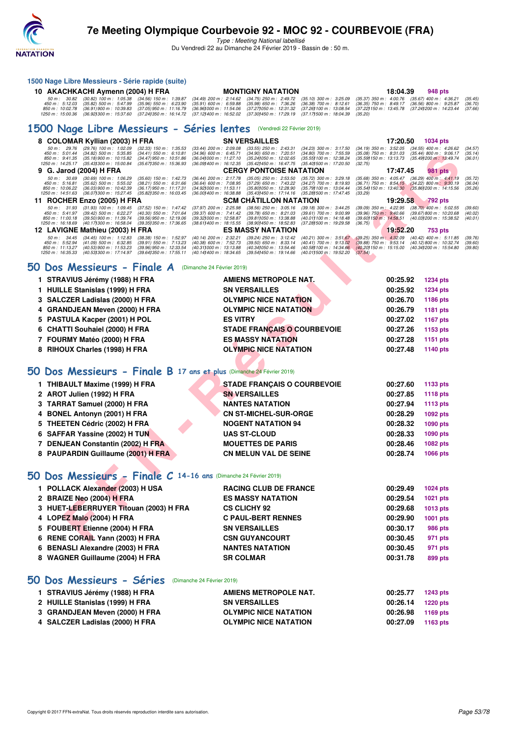

Type : Meeting National labellisé Du Vendredi 22 au Dimanche 24 Février 2019 - Bassin de : 50 m.

## **1500 Nage Libre Messieurs - Série rapide (suite)**

| 10 AKACHKACHI Aymenn (2004) H FRA |                                                                                                                                                                                                    | <b>MONTIGNY NATATION</b> | 18:04.39 | 948 pts |  |
|-----------------------------------|----------------------------------------------------------------------------------------------------------------------------------------------------------------------------------------------------|--------------------------|----------|---------|--|
|                                   |                                                                                                                                                                                                    |                          |          |         |  |
|                                   | 450 m : 5:12.03 (35.82) 500 m : 5:47.99 (35.96) 550 m : 6:23.90 (35.91) 600 m : 6:59.88 (35.98) 650 m : 7:36.26 (36.38) 700 m : 8:12.61 (36.35) 750 m : 8:49.17 (36.56) 800 m : 9:25.87 (36.70)    |                          |          |         |  |
|                                   | 850 m : 10:02.78 (36.91) 900 m : 10:39.83 (37.05) 950 m : 11:16.79 (36.961000 m : 11:54.06 (37.271050 m : 12:31.32 (37.261100 m : 13:08.54 (37.221150 m : 13:45.78 (37.241200 m : 14:23.44 (37.66) |                          |          |         |  |
|                                   | 1250 m : 15:00.36 (36.921300 m : 15:37.60 (37.241350 m : 16:14.72 (37.121400 m : 16:52.02 (37.301450 m : 17:29.19 (37.171500 m : 18:04.39 (35.20)                                                  |                          |          |         |  |

## **[1500 Nage Libre Messieurs - Séries lentes](http://www.ffnatation.fr/webffn/resultats.php?idact=nat&go=epr&idcpt=57703&idepr=56)** (Vendredi 22 Février 2019)

|             | 8 COLOMAR Kyllian (2003) H FRA                                                                                                                                                                                                                                                                                              |                                                                                                             | <b>SN VERSAILLES</b>                                                                                          |                                                                                                             | 17:20.50                                                                                      | 1034 pts                                                                                    |                               |
|-------------|-----------------------------------------------------------------------------------------------------------------------------------------------------------------------------------------------------------------------------------------------------------------------------------------------------------------------------|-------------------------------------------------------------------------------------------------------------|---------------------------------------------------------------------------------------------------------------|-------------------------------------------------------------------------------------------------------------|-----------------------------------------------------------------------------------------------|---------------------------------------------------------------------------------------------|-------------------------------|
|             | 50 m : 29.76<br>$(29.76)$ 100 m : 1:02.09<br>$(32.33)$ 150 m : 1:35.53<br>450 m: 5:01.44<br>$(34.82)$ 500 m : 5:35.85<br>$(34.41)$ 550 m : 6:10.81<br>$(35.18)900 \text{ m}$ : 10:15.82<br>850 m : 9:41.35<br>(34.47) 950 m : 10:51.86<br>1250 m: 14:25.17<br>(35.43) 300 m : 15:00.84<br>$(35.67)350 \text{ m}$ : 15:36.93 | (33.44) 200 m : 2:09.08<br>$(34.96)$ 600 m : 6:45.71<br>(36.041000 m: 11:27.10<br>(36.09) 400 m : 16:12.35  | $(33.55)$ 250 m : 2:43.31<br>$(34.90)$ 650 m : 7:20.51<br>(35.24)050 m : 12:02.65<br>(35.42) 450 m : 16:47.75 | (34.23) 300 m : 3:17.50<br>(34.80) 700 m : 7:55.59<br>(35.55) 100 m : 12:38.24<br>(35.40) 500 m : 17:20.50  | $(34.19)$ 350 m : 3:52.05<br>$(35.08)$ 750 m : 8:31.03<br>(35.59) 150 m : 13:13.73<br>(32.75) | $(34.55)$ 400 m : 4:26.62<br>$(35.44)$ 800 m : 9:06.17<br>(35.491200 m : 13:49.74)          | (34.57)<br>(35.14)<br>(36.01) |
|             | 9 G. Jarod (2004) H FRA                                                                                                                                                                                                                                                                                                     |                                                                                                             | <b>CERGY PONTOISE NATATION</b>                                                                                |                                                                                                             | 17:47.45                                                                                      | 981 pts                                                                                     |                               |
|             | 50 m: 30.69<br>$(30.69)$ 100 m : 1:06.29<br>$(35.60)$ 150 m : 1:42.73<br>450 m: 5:16.81<br>$(35.62)$ 500 m : 5:55.02<br>$(38.21)$ 550 m : 6:31.66<br>$(36.17)$ 950 m : 11:17.31<br>850 m: 10:06.22<br>(36.03) 900 m : 10:42.39<br>1250 m: 14:51.63<br>(36.07) 300 m : 15:27.45<br>(35.82) 350 m : 16:03.45                  | (36.44) 200 m : 2:17.78<br>$(36.64)$ 600 m : 7:08.95<br>(34.92) 000 m: 11:53.11<br>(36.00) 400 m : 16:38.88 | $(35.05)$ 250 m : 2:53.50<br>(37.29) 650 m : 7:43.22<br>(35.80) 050 m : 12:28.90<br>(35.43) 450 m : 17:14.16  | (35.72) 300 m : 3:29.18<br>(34.27) 700 m : 8:19.93<br>(35.79) 100 m : 13:04.44<br>(35.28) 500 m : 17:47.45  | $(35.68)$ 350 m : 4:05.47<br>$(36.71)$ 750 m : 8:54.15<br>(35.54) 150 m : 13:40.30<br>(33.29) | $(36.29)$ 400 m : 4:41.19<br>$(34.22)$ 800 m : 9:30.19<br>$(35.86)200 \text{ m}$ : 14:15.56 | (35.72)<br>(36.04)<br>(35.26) |
|             | 11 ROCHER Enzo (2005) H FRA                                                                                                                                                                                                                                                                                                 |                                                                                                             | <b>SCM CHATILLON NATATION</b>                                                                                 |                                                                                                             | 19:29.58                                                                                      | <b>792 pts</b>                                                                              |                               |
|             | 50 m: 31.93<br>$(31.93)$ 100 m : 1:09.45<br>(37.52) 150 m : 1:47.42<br>450 m : 5:41.97<br>$(39.42)$ 500 m : 6:22.27<br>(40.30) 550 m : 7:01.64<br>850 m: 11:00.18<br>(39.50) 900 m : 11:39.74<br>(39.56) 950 m : 12:19.06<br>1250 m: 16:18.69<br>(40.17) 300 m : 16:58.04<br>(39.35) 350 m : 17:36.65                       | $(37.97)$ 200 m : 2:25.98<br>(39.37) 600 m : 7:41.42<br>(39.32) 000 m: 12:58.87<br>(38.611400 m: 18:15.55   | $(38.56)$ 250 m : 3:05.16<br>$(39.78)$ 650 m : 8:21.03<br>(39.81) 050 m: 13:38.88<br>(38.90) 450 m : 18:52.83 | (39.18) 300 m : 3:44.25<br>(39.61) 700 m : 9:00.99<br>(40.01) 100 m: 14:18.48<br>(37.281500 m: 19:29.58     | (39.09) 350 m: 4:22.95<br>$(39.96)$ 750 m : 9:40.66<br>(39.60) 150 m : 14.58.51<br>(36.75)    | $(38.70)$ 400 m : 5:02.55<br>(39.67) 800 m : 10:20.68<br>(40.03) 200 m : 15:38.52           | (39.60)<br>(40.02)<br>(40.01) |
|             | 12 LAVIGNE Mathieu (2003) H FRA                                                                                                                                                                                                                                                                                             |                                                                                                             | <b>ES MASSY NATATION</b>                                                                                      |                                                                                                             | 19:52.20                                                                                      | 753 pts                                                                                     |                               |
|             | 50 m: 34.45<br>$(34.45)$ 100 m : 1:12.83<br>$(38.38)$ 150 m : 1:52.97<br>450 m : 5:52.94<br>$(41.09)$ 500 m : 6:32.85<br>$(39.91)$ 550 m : 7:13.23<br>850 m: 11:13.27<br>(40.53) 900 m : 11:53.23<br>(39.96) 950 m : 12:33.54<br>1250 m: 16:35.33<br>(40.53) 300 m : 17:14.97<br>(39.641350 m: 17:55.11                     | (40.14) 200 m : 2:32.21<br>(40.38) 600 m : 7:52.73<br>(40.311000 m: 13:13.88)<br>(40.141400 m: 18:34.65)    | (39.24) 250 m : 3:12.42<br>$(39.50)$ 650 m : 8:33.14<br>(40.34) 050 m: 13:54.46<br>(39.541450 m: 19:14.66     | (40.21) 300 m : 3:51.67<br>$(40.41)$ 700 m : 9:13.02<br>(40.58) 100 m : 14:34.66<br>(40.011500 m: 19:52.20) | $(39.25)$ 350 m : 4:32.09<br>$(39.88)$ 750 m : 9:53.14<br>(40.20) 150 m : 15:15.00<br>(37.54) | $(40.42)$ 400 m : 5:11.85<br>(40.12) 800 m : 10:32.74<br>(40.341200 m: 15:54.80             | (39.76)<br>(39.60)<br>(39.80) |
|             | 50 Dos Messieurs - Finale A<br>(Dimanche 24 Février 2019)                                                                                                                                                                                                                                                                   |                                                                                                             |                                                                                                               |                                                                                                             |                                                                                               |                                                                                             |                               |
|             | 1 STRAVIUS Jérémy (1988) H FRA                                                                                                                                                                                                                                                                                              |                                                                                                             | AMIENS METROPOLE NAT.                                                                                         |                                                                                                             | 00:25.92                                                                                      | 1234 pts                                                                                    |                               |
| 1.          | <b>HUILLE Stanislas (1999) H FRA</b>                                                                                                                                                                                                                                                                                        |                                                                                                             | <b>SN VERSAILLES</b>                                                                                          |                                                                                                             | 00:25.92                                                                                      | 1234 pts                                                                                    |                               |
|             | 3 SALCZER Ladislas (2000) H FRA                                                                                                                                                                                                                                                                                             |                                                                                                             | <b>OLYMPIC NICE NATATION</b>                                                                                  |                                                                                                             | 00:26.70                                                                                      | 1186 pts                                                                                    |                               |
| 4           | <b>GRANDJEAN Meven (2000) H FRA</b>                                                                                                                                                                                                                                                                                         |                                                                                                             | <b>OLYMPIC NICE NATATION</b>                                                                                  |                                                                                                             | 00:26.79                                                                                      | 1181 pts                                                                                    |                               |
| 5.          | <b>PASTULA Kacper (2001) H POL</b>                                                                                                                                                                                                                                                                                          | <b>ES VITRY</b>                                                                                             |                                                                                                               |                                                                                                             | 00:27.02                                                                                      | <b>1167 pts</b>                                                                             |                               |
|             | 6 CHATTI Souhaiel (2000) H FRA                                                                                                                                                                                                                                                                                              |                                                                                                             | <b>STADE FRANÇAIS O COURBEVOIE</b>                                                                            |                                                                                                             | 00:27.26                                                                                      | 1153 pts                                                                                    |                               |
|             | 7 FOURMY Matéo (2000) H FRA                                                                                                                                                                                                                                                                                                 |                                                                                                             | <b>ES MASSY NATATION</b>                                                                                      |                                                                                                             | 00:27.28                                                                                      | 1151 pts                                                                                    |                               |
|             | 8 RIHOUX Charles (1998) H FRA                                                                                                                                                                                                                                                                                               |                                                                                                             | <b>OLYMPIC NICE NATATION</b>                                                                                  |                                                                                                             | 00:27.48                                                                                      | 1140 pts                                                                                    |                               |
|             |                                                                                                                                                                                                                                                                                                                             |                                                                                                             |                                                                                                               |                                                                                                             |                                                                                               |                                                                                             |                               |
|             | $50$ Dos Messieurs - Finale B 17 ans et plus (Dimanche 24 Février 2019)                                                                                                                                                                                                                                                     |                                                                                                             |                                                                                                               |                                                                                                             |                                                                                               |                                                                                             |                               |
|             | 1 THIBAULT Maxime (1999) H FRA                                                                                                                                                                                                                                                                                              |                                                                                                             | <b>STADE FRANÇAIS O COURBEVOIE</b>                                                                            |                                                                                                             | 00:27.60                                                                                      | 1133 pts                                                                                    |                               |
|             | 2 AROT Julien (1992) H FRA                                                                                                                                                                                                                                                                                                  |                                                                                                             | <b>SN VERSAILLES</b>                                                                                          |                                                                                                             | 00:27.85                                                                                      | 1118 pts                                                                                    |                               |
|             | 3 TARRAT Samuel (2000) H FRA                                                                                                                                                                                                                                                                                                |                                                                                                             | <b>NANTES NATATION</b>                                                                                        |                                                                                                             | 00:27.94                                                                                      | 1113 pts                                                                                    |                               |
| 4           | <b>BONEL Antonyn (2001) H FRA</b>                                                                                                                                                                                                                                                                                           |                                                                                                             | <b>CN ST-MICHEL-SUR-ORGE</b>                                                                                  |                                                                                                             | 00:28.29                                                                                      | 1092 pts                                                                                    |                               |
| 5           | <b>THEETEN Cédric (2002) H FRA</b>                                                                                                                                                                                                                                                                                          |                                                                                                             | <b>NOGENT NATATION 94</b>                                                                                     |                                                                                                             | 00:28.32                                                                                      | 1090 pts                                                                                    |                               |
| 6           | SAFFAR Yassine (2002) H TUN                                                                                                                                                                                                                                                                                                 |                                                                                                             | <b>UAS ST-CLOUD</b>                                                                                           |                                                                                                             | 00:28.33                                                                                      | 1090 pts                                                                                    |                               |
|             | 7 DENJEAN Constantin (2002) H FRA                                                                                                                                                                                                                                                                                           |                                                                                                             | <b>MOUETTES DE PARIS</b>                                                                                      |                                                                                                             | 00:28.46                                                                                      | 1082 pts                                                                                    |                               |
|             | 8 PAUPARDIN Guillaume (2001) H FRA                                                                                                                                                                                                                                                                                          |                                                                                                             | <b>CN MELUN VAL DE SEINE</b>                                                                                  |                                                                                                             | 00:28.74                                                                                      | 1066 pts                                                                                    |                               |
| CC          | Dos Messieurs - Finale C 14-16 ans (Dimanche 24 Février 2019)                                                                                                                                                                                                                                                               |                                                                                                             |                                                                                                               |                                                                                                             |                                                                                               |                                                                                             |                               |
| $\mathbf 1$ | POLLACK Alexander (2003) H USA                                                                                                                                                                                                                                                                                              |                                                                                                             | <b>RACING CLUB DE FRANCE</b>                                                                                  |                                                                                                             | 00:29.49                                                                                      | 1024 pts                                                                                    |                               |
|             | 2 BRAIZE Neo (2004) H FRA                                                                                                                                                                                                                                                                                                   |                                                                                                             | <b>ES MASSY NATATION</b>                                                                                      |                                                                                                             | 00:29.54                                                                                      | 1021 pts                                                                                    |                               |
|             | 3 HUET-LEBERRUYER Titouan (2003) H FRA                                                                                                                                                                                                                                                                                      |                                                                                                             | <b>CS CLICHY 92</b>                                                                                           |                                                                                                             | 00:29.68                                                                                      | 1013 pts                                                                                    |                               |
|             | 4 LOPEZ Malo (2004) H FRA                                                                                                                                                                                                                                                                                                   |                                                                                                             | <b>C PAUL-BERT RENNES</b>                                                                                     |                                                                                                             | 00:29.90                                                                                      | 1001 pts                                                                                    |                               |
|             | 5 FOUBERT Etienne (2004) H FRA                                                                                                                                                                                                                                                                                              |                                                                                                             | <b>SN VERSAILLES</b>                                                                                          |                                                                                                             | 00:30.17                                                                                      | 986 pts                                                                                     |                               |
|             | 6 RENE CORAIL Yann (2003) H FRA                                                                                                                                                                                                                                                                                             |                                                                                                             | <b>CSN GUYANCOURT</b>                                                                                         |                                                                                                             | 00:30.45                                                                                      | 971 pts                                                                                     |                               |

## **[50 Dos Messieurs - Finale A](http://www.ffnatation.fr/webffn/resultats.php?idact=nat&go=epr&idcpt=57703&idepr=61)** (Dimanche 24 Février 2019)

| 1 STRAVIUS Jérémy (1988) H FRA  | <b>AMIENS METROPOLE NAT.</b>       | 00:25.92 | <b>1234 pts</b> |
|---------------------------------|------------------------------------|----------|-----------------|
| 1 HUILLE Stanislas (1999) H FRA | <b>SN VERSAILLES</b>               | 00:25.92 | <b>1234 pts</b> |
| 3 SALCZER Ladislas (2000) H FRA | <b>OLYMPIC NICE NATATION</b>       | 00:26.70 | 1186 pts        |
| 4 GRANDJEAN Meven (2000) H FRA  | <b>OLYMPIC NICE NATATION</b>       | 00:26.79 | 1181 pts        |
| 5 PASTULA Kacper (2001) H POL   | <b>ES VITRY</b>                    | 00:27.02 | 1167 pts        |
| 6 CHATTI Souhaiel (2000) H FRA  | <b>STADE FRANCAIS O COURBEVOIE</b> | 00:27.26 | 1153 pts        |
| 7 FOURMY Matéo (2000) H FRA     | <b>ES MASSY NATATION</b>           | 00:27.28 | 1151 pts        |
| 8 RIHOUX Charles (1998) H FRA   | <b>OLYMPIC NICE NATATION</b>       | 00:27.48 | 1140 pts        |
|                                 |                                    |          |                 |

## **[50 Dos Messieurs - Finale B](http://www.ffnatation.fr/webffn/resultats.php?idact=nat&go=epr&idcpt=57703&idepr=61) 17 ans et plus** (Dimanche 24 Février 2019)

| 1 THIBAULT Maxime (1999) H FRA     | <b>STADE FRANCAIS O COURBEVOIE</b> | 00:27.60 | 1133 pts |
|------------------------------------|------------------------------------|----------|----------|
| 2 AROT Julien (1992) H FRA         | <b>SN VERSAILLES</b>               | 00:27.85 | 1118 pts |
| 3 TARRAT Samuel (2000) H FRA       | <b>NANTES NATATION</b>             | 00:27.94 | 1113 pts |
| 4 BONEL Antonyn (2001) H FRA       | <b>CN ST-MICHEL-SUR-ORGE</b>       | 00:28.29 | 1092 pts |
| 5 THEETEN Cédric (2002) H FRA      | <b>NOGENT NATATION 94</b>          | 00:28.32 | 1090 pts |
| 6 SAFFAR Yassine (2002) H TUN      | <b>UAS ST-CLOUD</b>                | 00:28.33 | 1090 pts |
| 7 DENJEAN Constantin (2002) H FRA  | <b>MOUETTES DE PARIS</b>           | 00:28.46 | 1082 pts |
| 8 PAUPARDIN Guillaume (2001) H FRA | <b>CN MELUN VAL DE SEINE</b>       | 00:28.74 | 1066 pts |
|                                    |                                    |          |          |

## **[50 Dos Messieurs - Finale C](http://www.ffnatation.fr/webffn/resultats.php?idact=nat&go=epr&idcpt=57703&idepr=61) 14-16 ans** (Dimanche 24 Février 2019)

| 1 POLLACK Alexander (2003) H USA       | <b>RACING CLUB DE FRANCE</b> | 00:29.49 | 1024 pts |
|----------------------------------------|------------------------------|----------|----------|
| 2 BRAIZE Neo (2004) H FRA              | <b>ES MASSY NATATION</b>     | 00:29.54 | 1021 pts |
| 3 HUET-LEBERRUYER Titouan (2003) H FRA | <b>CS CLICHY 92</b>          | 00:29.68 | 1013 pts |
| 4 LOPEZ Malo (2004) H FRA              | <b>C PAUL-BERT RENNES</b>    | 00:29.90 | 1001 pts |
| 5 FOUBERT Etienne (2004) H FRA         | <b>SN VERSAILLES</b>         | 00:30.17 | 986 pts  |
| 6 RENE CORAIL Yann (2003) H FRA        | <b>CSN GUYANCOURT</b>        | 00:30.45 | 971 pts  |
| 6 BENASLI Alexandre (2003) H FRA       | <b>NANTES NATATION</b>       | 00:30.45 | 971 pts  |
| 8 WAGNER Guillaume (2004) H FRA        | <b>SR COLMAR</b>             | 00:31.78 | 899 pts  |
|                                        |                              |          |          |

## **[50 Dos Messieurs - Séries](http://www.ffnatation.fr/webffn/resultats.php?idact=nat&go=epr&idcpt=57703&idepr=61)** (Dimanche 24 Février 2019)

| 1 STRAVIUS Jérémy (1988) H FRA  | AMIENS METROPOLE NAT.        | 00:25.77 | 1243 pts |
|---------------------------------|------------------------------|----------|----------|
| 2 HUILLE Stanislas (1999) H FRA | <b>SN VERSAILLES</b>         | 00:26.14 | 1220 pts |
| 3 GRANDJEAN Meven (2000) H FRA  | <b>OLYMPIC NICE NATATION</b> | 00:26.98 | 1169 pts |
| 4 SALCZER Ladislas (2000) H FRA | <b>OLYMPIC NICE NATATION</b> | 00:27.09 | 1163 pts |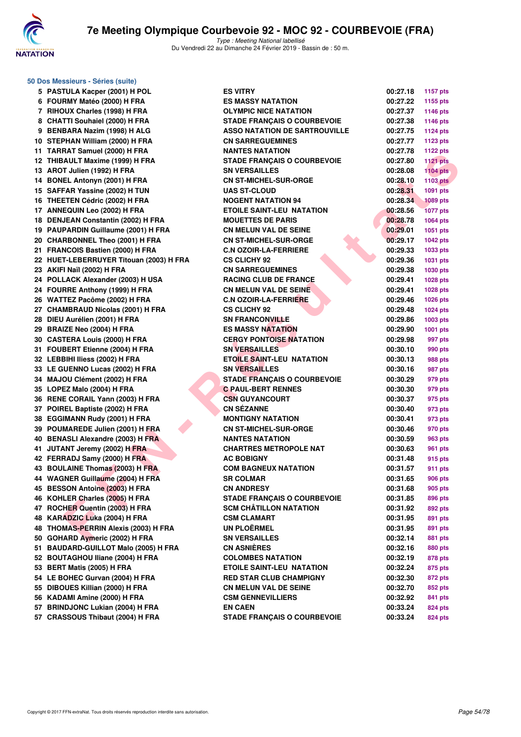

| 50 Dos Messieurs - Séries (suite)                                 |                                                          |                      |                    |
|-------------------------------------------------------------------|----------------------------------------------------------|----------------------|--------------------|
| 5 PASTULA Kacper (2001) H POL                                     | <b>ES VITRY</b>                                          | 00:27.18             | <b>1157 pts</b>    |
| 6 FOURMY Matéo (2000) H FRA                                       | <b>ES MASSY NATATION</b>                                 | 00:27.22             | 1155 pts           |
| 7 RIHOUX Charles (1998) H FRA                                     | <b>OLYMPIC NICE NATATION</b>                             | 00:27.37             | 1146 pts           |
| 8 CHATTI Souhaiel (2000) H FRA                                    | <b>STADE FRANÇAIS O COURBEVOIE</b>                       | 00:27.38             | 1146 pts           |
| 9 BENBARA Nazim (1998) H ALG                                      | <b>ASSO NATATION DE SARTROUVILLE</b>                     | 00:27.75             | <b>1124 pts</b>    |
| 10 STEPHAN William (2000) H FRA                                   | <b>CN SARREGUEMINES</b>                                  | 00:27.77             | 1123 pts           |
| 11 TARRAT Samuel (2000) H FRA                                     | <b>NANTES NATATION</b>                                   | 00:27.78             | <b>1122 pts</b>    |
| 12 THIBAULT Maxime (1999) H FRA                                   | <b>STADE FRANÇAIS O COURBEVOIE</b>                       | 00:27.80             | <b>1121 pts</b>    |
| 13 AROT Julien (1992) H FRA                                       | <b>SN VERSAILLES</b>                                     | 00:28.08             | $1104$ pts         |
| 14 BONEL Antonyn (2001) H FRA                                     | <b>CN ST-MICHEL-SUR-ORGE</b>                             | 00:28.10             | <b>1103 pts</b>    |
| 15 SAFFAR Yassine (2002) H TUN                                    | <b>UAS ST-CLOUD</b>                                      | 00:28.31             | 1091 pts           |
| 16 THEETEN Cédric (2002) H FRA                                    | <b>NOGENT NATATION 94</b>                                | 00:28.34             | <b>1089 pts</b>    |
| 17 ANNEQUIN Leo (2002) H FRA                                      | <b>ETOILE SAINT-LEU NATATION</b>                         | 00:28.56             | <b>1077 pts</b>    |
| 18 DENJEAN Constantin (2002) H FRA                                | <b>MOUETTES DE PARIS</b>                                 | 00:28.78             | 1064 pts           |
| 19 PAUPARDIN Guillaume (2001) H FRA                               | <b>CN MELUN VAL DE SEINE</b>                             | 00:29.01             | 1051 pts           |
| 20 CHARBONNEL Theo (2001) H FRA                                   | <b>CN ST-MICHEL-SUR-ORGE</b>                             | 00:29.17             | <b>1042 pts</b>    |
| 21 FRANCOIS Bastien (2000) H FRA                                  | <b>C.N OZOIR-LA-FERRIERE</b>                             | 00:29.33             | 1033 pts           |
| 22 HUET-LEBERRUYER Titouan (2003) H FRA                           | <b>CS CLICHY 92</b>                                      | 00:29.36             | 1031 pts           |
| 23 AKIFI Naïl (2002) H FRA                                        | <b>CN SARREGUEMINES</b>                                  | 00:29.38             | 1030 pts           |
| 24 POLLACK Alexander (2003) H USA                                 | <b>RACING CLUB DE FRANCE</b>                             | 00:29.41             | 1028 pts           |
| 24 FOURRE Anthony (1999) H FRA                                    | <b>CN MELUN VAL DE SEINE</b>                             | 00:29.41             | 1028 pts           |
| 26 WATTEZ Pacôme (2002) H FRA                                     | <b>C.N OZOIR-LA-FERRIERE</b>                             | 00:29.46             | 1026 pts           |
| 27 CHAMBRAUD Nicolas (2001) H FRA                                 | <b>CS CLICHY 92</b>                                      | 00:29.48             | 1024 pts           |
| 28 DIEU Aurélien (2001) H FRA                                     | <b>SN FRANCONVILLE</b>                                   | 00:29.86             | 1003 pts           |
| 29 BRAIZE Neo (2004) H FRA                                        | <b>ES MASSY NATATION</b>                                 | 00:29.90             | <b>1001 pts</b>    |
| 30 CASTERA Louis (2000) H FRA                                     | <b>CERGY PONTOISE NATATION</b>                           | 00:29.98             | 997 pts            |
| 31 FOUBERT Etienne (2004) H FRA<br>32 LEBBIHI Iliess (2002) H FRA | <b>SN VERSAILLES</b><br><b>ETOILE SAINT-LEU NATATION</b> | 00:30.10<br>00:30.13 | 990 pts            |
| 33 LE GUENNO Lucas (2002) H FRA                                   | <b>SN VERSAILLES</b>                                     | 00:30.16             | 988 pts<br>987 pts |
| 34 MAJOU Clément (2002) H FRA                                     | <b>STADE FRANÇAIS O COURBEVOIE</b>                       | 00:30.29             | 979 pts            |
| 35 LOPEZ Malo (2004) H FRA                                        | <b>C PAUL-BERT RENNES</b>                                | 00:30.30             | 979 pts            |
| 36 RENE CORAIL Yann (2003) H FRA                                  | <b>CSN GUYANCOURT</b>                                    | 00:30.37             | 975 pts            |
| 37 POIREL Baptiste (2002) H FRA                                   | <b>CN SÉZANNE</b>                                        | 00:30.40             | 973 pts            |
| 38 EGGIMANN Rudy (2001) H FRA                                     | <b>MONTIGNY NATATION</b>                                 | 00:30.41             | 973 pts            |
| 39 POUMAREDE Julien (2001) H FRA                                  | <b>CN ST-MICHEL-SUR-ORGE</b>                             | 00:30.46             | 970 pts            |
| 40 BENASLI Alexandre (2003) H FRA                                 | <b>NANTES NATATION</b>                                   | 00:30.59             | 963 pts            |
| 41 JUTANT Jeremy (2002) H FRA                                     | <b>CHARTRES METROPOLE NAT</b>                            | 00:30.63             | 961 pts            |
| 42 FERRADJ Samy (2000) H FRA                                      | <b>AC BOBIGNY</b>                                        | 00:31.48             | 915 pts            |
| 43 BOULAINE Thomas (2003) H FRA                                   | <b>COM BAGNEUX NATATION</b>                              | 00:31.57             | 911 pts            |
| 44 WAGNER Guillaume (2004) H FRA                                  | <b>SR COLMAR</b>                                         | 00:31.65             | <b>906 pts</b>     |
| 45 BESSON Antoine (2003) H FRA                                    | <b>CN ANDRESY</b>                                        | 00:31.68             | 905 pts            |
| 46 KOHLER Charles (2005) H FRA                                    | <b>STADE FRANÇAIS O COURBEVOIE</b>                       | 00:31.85             | 896 pts            |
| 47 ROCHER Quentin (2003) H FRA                                    | <b>SCM CHÂTILLON NATATION</b>                            | 00:31.92             | 892 pts            |
| 48 KARADZIC Luka (2004) H FRA                                     | <b>CSM CLAMART</b>                                       | 00:31.95             | 891 pts            |
| 48 THOMAS-PERRIN Alexis (2003) H FRA                              | UN PLOËRMEL                                              | 00:31.95             | 891 pts            |
| 50 GOHARD Aymeric (2002) H FRA                                    | <b>SN VERSAILLES</b>                                     | 00:32.14             | 881 pts            |
| 51 BAUDARD-GUILLOT Malo (2005) H FRA                              | <b>CN ASNIERES</b>                                       | 00:32.16             | 880 pts            |
| 52 BOUTAGHOU Iliane (2004) H FRA                                  | <b>COLOMBES NATATION</b>                                 | 00:32.19             | 878 pts            |
| 53 BERT Matis (2005) H FRA                                        | <b>ETOILE SAINT-LEU NATATION</b>                         | 00:32.24             | 875 pts            |
| 54 LE BOHEC Gurvan (2004) H FRA                                   | <b>RED STAR CLUB CHAMPIGNY</b>                           | 00:32.30             | 872 pts            |
| 55 DIBOUES Killian (2000) H FRA                                   | <b>CN MELUN VAL DE SEINE</b>                             | 00:32.70             | 852 pts            |
| 56 KADAMI Amine (2000) H FRA                                      | <b>CSM GENNEVILLIERS</b>                                 | 00:32.92             | 841 pts            |
| 57 BRINDJONC Lukian (2004) H FRA                                  | <b>EN CAEN</b>                                           | 00:33.24             | 824 pts            |
| 57 CRASSOUS Thibaut (2004) H FRA                                  | <b>STADE FRANÇAIS O COURBEVOIE</b>                       | 00:33.24             | 824 pts            |

|                   | 00:27.18             | <b>1157 pts</b>    |
|-------------------|----------------------|--------------------|
|                   | 00:27.22             | 1155 pts           |
| N                 | 00:27.37             | 1146 pts           |
| <b>JRBEVOIE</b>   | 00:27.38             | 1146 pts           |
| <b>RTROUVILLE</b> | 00:27.75             | <b>1124 pts</b>    |
|                   | 00:27.77             | 1123 pts           |
|                   | 00:27.78             | <b>1122 pts</b>    |
| <b>JRBEVOIE</b>   | 00:27.80             | <b>1121 pts</b>    |
|                   | 00:28.08             | <b>1104 pts</b>    |
| àЕ                | 00:28.10             | <b>1103 pts</b>    |
|                   | 00:28.31             | 1091 pts           |
|                   | 00:28.34             | <b>1089 pts</b>    |
| <b>ATION</b>      | 00:28.56             | <b>1077 pts</b>    |
|                   | 00:28.78             | 1064 pts           |
| E                 | 00:29.01             | 1051 pts           |
| àЕ                | 00:29.17             | 1042 pts           |
| Ξ                 | 00:29.33             | 1033 pts           |
|                   | 00:29.36             | 1031 pts           |
|                   | 00:29.38             | 1030 pts           |
| CЕ                | 00:29.41             | 1028 pts           |
| Ē                 | 00:29.41             | 1028 pts           |
| Ξ                 | 00:29.46             | 1026 pts           |
|                   | 00:29.48             | 1024 pts           |
|                   | 00:29.86             | 1003 pts           |
|                   | 00:29.90             | 1001 pts           |
| <b>TION</b>       | 00:29.98             | 997 pts            |
|                   | 00:30.10             | 990 pts            |
| ATION             | 00:30.13             | <b>988 pts</b>     |
|                   | 00:30.16             | 987 pts            |
| <b>JRBEVOIE</b>   | 00:30.29             | 979 pts            |
|                   | 00:30.30             | 979 pts            |
|                   | 00:30.37             | 975 pts            |
|                   | 00:30.40<br>00:30.41 | 973 pts            |
| àЕ                | 00:30.46             | 973 pts            |
|                   | 00:30.59             | 970 pts<br>963 pts |
| <b>NAT</b>        | 00:30.63             | 961 pts            |
|                   | 00:31.48             | 915 pts            |
| ЭN                | 00:31.57             | 911 pts            |
|                   | 00:31.65             | <b>906 pts</b>     |
|                   | 00:31.68             | <b>905 pts</b>     |
| <b>JRBEVOIE</b>   | 00:31.85             | 896 pts            |
| ΊΟΝ               | 00:31.92             | <b>892 pts</b>     |
|                   | 00:31.95             | 891 pts            |
|                   | 00:31.95             | 891 pts            |
|                   | 00:32.14             | <b>881 pts</b>     |
|                   | 00:32.16             | <b>880 pts</b>     |
|                   | 00:32.19             | <b>878 pts</b>     |
| ATION             | 00:32.24             | 875 pts            |
| <b>IGNY</b>       | 00:32.30             | 872 pts            |
| E                 | 00:32.70             | 852 pts            |
|                   | 00:32.92             | 841 pts            |
|                   | 00:33.24             | 824 pts            |
| <b>JRBEVOIE</b>   | 00:33.24             | 824 nts            |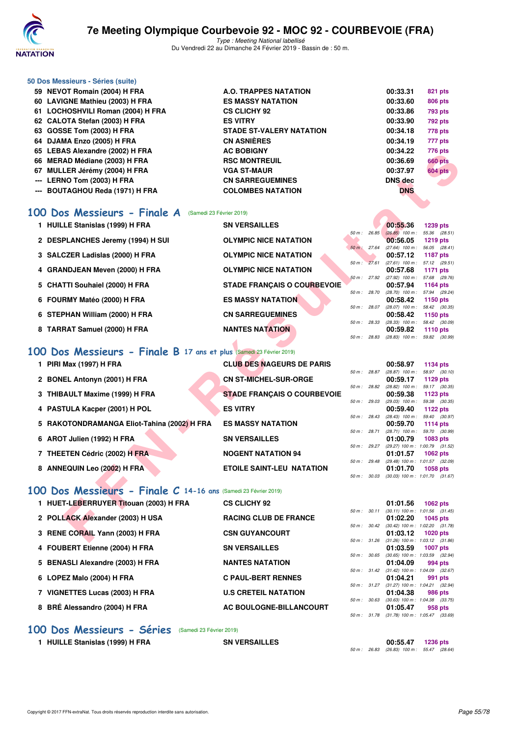

Type : Meeting National labellisé Du Vendredi 22 au Dimanche 24 Février 2019 - Bassin de : 50 m.

|       | 50 Dos Messieurs - Séries (suite)  |                                 |                |                |
|-------|------------------------------------|---------------------------------|----------------|----------------|
|       | 59 NEVOT Romain (2004) H FRA       | A.O. TRAPPES NATATION           | 00:33.31       | 821 pts        |
|       | 60 LAVIGNE Mathieu (2003) H FRA    | <b>ES MASSY NATATION</b>        | 00:33.60       | 806 pts        |
|       | 61 LOCHOSHVILI Roman (2004) H FRA  | <b>CS CLICHY 92</b>             | 00:33.86       | <b>793 pts</b> |
|       | 62 CALOTA Stefan (2003) H FRA      | <b>ES VITRY</b>                 | 00:33.90       | 792 pts        |
|       | 63 GOSSE Tom (2003) H FRA          | <b>STADE ST-VALERY NATATION</b> | 00:34.18       | 778 pts        |
|       | 64 DJAMA Enzo (2005) H FRA         | <b>CN ASNIÈRES</b>              | 00:34.19       | 777 pts        |
|       | 65 LEBAS Alexandre (2002) H FRA    | <b>AC BOBIGNY</b>               | 00:34.22       | 776 pts        |
|       | 66 MERAD Médiane (2003) H FRA      | <b>RSC MONTREUIL</b>            | 00:36.69       | <b>660 pts</b> |
| 67    | MULLER Jérémy (2004) H FRA         | <b>VGA ST-MAUR</b>              | 00:37.97       | <b>604 pts</b> |
|       | --- LERNO Tom (2003) H FRA         | <b>CN SARREGUEMINES</b>         | <b>DNS</b> dec |                |
| $---$ | <b>BOUTAGHOU Reda (1971) H FRA</b> | <b>COLOMBES NATATION</b>        | <b>DNS</b>     |                |

## [100 Dos Messieurs - Finale A](http://www.ffnatation.fr/webffn/resultats.php?idact=nat&go=epr&idcpt=57703&idepr=62) (Samedi 23 Février 2019)

| 03 LLDAS AIGAGHUIG (2002) IT FRA                                    | AU DUDIUN I                        |              | UU.J4.ZZ                                               | <i>i</i> i u pis                              |
|---------------------------------------------------------------------|------------------------------------|--------------|--------------------------------------------------------|-----------------------------------------------|
| 66 MERAD Médiane (2003) H FRA                                       | <b>RSC MONTREUIL</b>               |              | 00:36.69                                               | 660 pts                                       |
| 67 MULLER Jérémy (2004) H FRA                                       | <b>VGA ST-MAUR</b>                 |              | 00:37.97                                               | 604 pts                                       |
| --- LERNO Tom (2003) H FRA                                          | <b>CN SARREGUEMINES</b>            |              | <b>DNS</b> dec                                         |                                               |
| --- BOUTAGHOU Reda (1971) H FRA                                     | <b>COLOMBES NATATION</b>           |              | <b>DNS</b>                                             |                                               |
|                                                                     |                                    |              |                                                        |                                               |
| 00 Dos Messieurs - Finale A                                         |                                    |              |                                                        |                                               |
| (Samedi 23 Février 2019)                                            |                                    |              |                                                        |                                               |
| 1 HUILLE Stanislas (1999) H FRA                                     | <b>SN VERSAILLES</b>               |              | 00:55.36                                               | <b>1239 pts</b>                               |
| 2 DESPLANCHES Jeremy (1994) H SUI                                   | <b>OLYMPIC NICE NATATION</b>       | 50 m: 26.85  | $(26.85)$ 100 m :<br>00:56.05                          | 55.36 (28.51)<br><b>1219 pts</b>              |
|                                                                     |                                    | 50 m: 27.64  |                                                        | $(27.64)$ 100 m : 56.05 $(28.41)$             |
| 3 SALCZER Ladislas (2000) H FRA                                     | <b>OLYMPIC NICE NATATION</b>       |              | 00:57.12                                               | <b>1187 pts</b>                               |
|                                                                     |                                    | 50 m: 27.61  |                                                        | $(27.61)$ 100 m : 57.12 $(29.51)$             |
| 4 GRANDJEAN Meven (2000) H FRA                                      | <b>OLYMPIC NICE NATATION</b>       |              | 00:57.68                                               | 1171 pts                                      |
| 5 CHATTI Souhaiel (2000) H FRA                                      | <b>STADE FRANÇAIS O COURBEVOIE</b> | 50 m: 27.92  | $(27.92)$ 100 m :<br>00:57.94                          | 57.68 (29.76)<br>1164 pts                     |
|                                                                     |                                    | 50 m : 28.70 |                                                        | (28.70) 100 m: 57.94 (29.24)                  |
| 6 FOURMY Matéo (2000) H FRA                                         | <b>ES MASSY NATATION</b>           |              | 00:58.42                                               | 1150 pts                                      |
|                                                                     |                                    | 50 m: 28.07  | $(28.07)$ 100 m :                                      | 58.42 (30.35)                                 |
| 6 STEPHAN William (2000) H FRA                                      | <b>CN SARREGUEMINES</b>            |              | 00:58.42                                               | 1150 pts                                      |
| 8 TARRAT Samuel (2000) H FRA                                        | <b>NANTES NATATION</b>             | 50 m : 28.33 | $(28.33)$ 100 m : 58.42 $(30.09)$<br>00:59.82          | <b>1110 pts</b>                               |
|                                                                     |                                    | 50 m : 28.83 |                                                        | $(28.83)$ 100 m : 59.82 $(30.99)$             |
|                                                                     |                                    |              |                                                        |                                               |
| 00 Dos Messieurs - Finale B 17 ans et plus (Samedi 23 Février 2019) |                                    |              |                                                        |                                               |
| 1 PIRI Max (1997) H FRA                                             | <b>CLUB DES NAGEURS DE PARIS</b>   |              | 00:58.97                                               | 1134 pts                                      |
|                                                                     |                                    | 50 m : 28.87 | $(28.87)$ 100 m :                                      | 58.97 (30.10)                                 |
| 2 BONEL Antonyn (2001) H FRA                                        | <b>CN ST-MICHEL-SUR-ORGE</b>       |              | 00:59.17                                               | 1129 pts                                      |
|                                                                     | <b>STADE FRANÇAIS O COURBEVOIE</b> | 50 m : 28.82 | $(28.82)$ 100 m : 59.17 $(30.35)$                      |                                               |
| 3 THIBAULT Maxime (1999) H FRA                                      |                                    | 50 m: 29.03  | 00:59.38<br>$(29.03)$ 100 m :                          | 1123 pts<br>59.38 (30.35)                     |
| 4 PASTULA Kacper (2001) H POL                                       | <b>ES VITRY</b>                    |              | 00:59.40                                               | <b>1122 pts</b>                               |
|                                                                     |                                    | 50 m : 28.43 |                                                        | $(28.43)$ 100 m : 59.40 $(30.97)$             |
| 5 RAKOTONDRAMANGA Eliot-Tahina (2002) H FRA                         | <b>ES MASSY NATATION</b>           |              | 00:59.70                                               | 1114 $pts$                                    |
| 6 AROT Julien (1992) H FRA                                          | <b>SN VERSAILLES</b>               | 50 m : 28.71 | 01:00.79                                               | $(28.71)$ 100 m : 59.70 $(30.99)$<br>1083 pts |
|                                                                     |                                    | 50 m : 29.27 | (29.27) 100 m: 1:00.79 (31.52)                         |                                               |
| 7 THEETEN Cédric (2002) H FRA                                       | <b>NOGENT NATATION 94</b>          |              | 01:01.57                                               | <b>1062 pts</b>                               |
|                                                                     |                                    |              | 50 m: 29.48 (29.48) 100 m: 1:01.57 (32.09)             |                                               |
| 8 ANNEQUIN Leo (2002) H FRA                                         | <b>ETOILE SAINT-LEU NATATION</b>   |              | 01:01.70                                               | <b>1058 pts</b>                               |
|                                                                     |                                    |              | 50 m: 30.03 (30.03) 100 m: 1:01.70 (31.67)             |                                               |
| 00 Dos Messieurs - Finale C 14-16 ans (Samedi 23 Février 2019)      |                                    |              |                                                        |                                               |
|                                                                     |                                    |              |                                                        |                                               |
| 1 HUET-LEBERRUYER Titouan (2003) H FRA                              | <b>CS CLICHY 92</b>                |              | 01:01.56<br>50 m: 30.11 (30.11) 100 m: 1:01.56 (31.45) | <b>1062 pts</b>                               |
| 2 POLLACK Alexander (2003) H USA                                    | <b>RACING CLUB DE FRANCE</b>       |              | 01:02.20                                               | <b>1045 pts</b>                               |
|                                                                     |                                    |              | 50 m: 30.42 (30.42) 100 m: 1:02.20 (31.78)             |                                               |
| 3 RENE CORAIL Yann (2003) H FRA                                     | <b>CSN GUYANCOURT</b>              |              | 01:03.12                                               | 1020 pts                                      |
|                                                                     |                                    |              | 50 m: 31.26 (31.26) 100 m: 1:03.12 (31.86)             |                                               |

## **[100 Dos Messieurs - Finale B](http://www.ffnatation.fr/webffn/resultats.php?idact=nat&go=epr&idcpt=57703&idepr=62) 17 ans et plus** (Samedi 23 Février 2019)

| 1 PIRI Max (1997) H FRA                     | <b>CLUB DES NAGEURS DE PARIS</b>   |             |                | 00:58.97                  | 1134 pts                        |
|---------------------------------------------|------------------------------------|-------------|----------------|---------------------------|---------------------------------|
|                                             |                                    | 50 m: 28.87 |                | $(28.87)$ 100 m :         | 58.97 (30.10)                   |
| 2 BONEL Antonyn (2001) H FRA                | <b>CN ST-MICHEL-SUR-ORGE</b>       |             |                | 00:59.17                  | 1129 pts                        |
|                                             |                                    |             | 50 m: 28.82    | $(28.82)$ 100 m :         | 59.17 (30.35)                   |
| 3 THIBAULT Maxime (1999) H FRA              | <b>STADE FRANÇAIS O COURBEVOIE</b> |             |                | 00:59.38                  | 1123 pts                        |
|                                             |                                    |             | 50 m: 29.03    | $(29.03)$ 100 m :         | 59.38 (30.35)                   |
| 4 PASTULA Kacper (2001) H POL               | <b>ES VITRY</b>                    |             |                | 00:59.40                  | 1122 $pts$                      |
|                                             |                                    |             | $50 m$ : 28.43 | $(28.43)$ 100 m :         | 59.40 (30.97)                   |
| 5 RAKOTONDRAMANGA Eliot-Tahina (2002) H FRA | <b>ES MASSY NATATION</b>           |             |                | 00:59.70                  | 1114 pts                        |
|                                             |                                    |             | 50 m: 28.71    | $(28.71)$ 100 m :         | 59.70 (30.99)                   |
| 6 AROT Julien (1992) H FRA                  | <b>SN VERSAILLES</b>               |             |                | 01:00.79                  | 1083 pts                        |
|                                             |                                    |             | 50 m : 29.27   |                           | (29.27) 100 m : 1:00.79 (31.52) |
| 7 THEETEN Cédric (2002) H FRA               | <b>NOGENT NATATION 94</b>          |             |                | 01:01.57                  | 1062 pts                        |
|                                             |                                    |             | 50 m: 29.48    |                           | (29.48) 100 m: 1:01.57 (32.09)  |
| 8 ANNEQUIN Leo (2002) H FRA                 | <b>ETOILE SAINT-LEU NATATION</b>   |             |                | 01:01.70                  | <b>1058 pts</b>                 |
|                                             |                                    | 50 m :      | 30.03          | $(30.03)$ 100 m : 1:01.70 | (31.67)                         |
|                                             |                                    |             |                |                           |                                 |

## **[100 Dos Messieurs - Finale C](http://www.ffnatation.fr/webffn/resultats.php?idact=nat&go=epr&idcpt=57703&idepr=62) 14-16 ans** (Samedi 23 Février 2019)

| 1 HUET-LEBERRUYER Titouan (2003) H FRA | <b>CS CLICHY 92</b>          |                          | 01:01.56<br>1062 $pts$                                      |
|----------------------------------------|------------------------------|--------------------------|-------------------------------------------------------------|
| 2 POLLACK Alexander (2003) H USA       | <b>RACING CLUB DE FRANCE</b> | $50 m$ : $30.11$         | $(30.11)$ 100 m : 1:01.56 $(31.45)$<br>01:02.20<br>1045 pts |
| 3 RENE CORAIL Yann (2003) H FRA        | <b>CSN GUYANCOURT</b>        | $50 \text{ m}$ : $30.42$ | (30.42) 100 m: 1:02.20 (31.78<br>$01:03.12$ 1020 pts        |
| 4 FOUBERT Etienne (2004) H FRA         | <b>SN VERSAILLES</b>         | 50 m: 31.26              | $(31.26)$ 100 m : 1:03.12 $(31.86)$<br>01:03.59<br>1007 pts |
| 5 BENASLI Alexandre (2003) H FRA       | <b>NANTES NATATION</b>       | 50 m : 30.65             | (30.65) 100 m: 1:03.59 (32.94<br>01:04.09<br>994 pts        |
| 6 LOPEZ Malo (2004) H FRA              | <b>C PAUL-BERT RENNES</b>    | $50 \text{ m}$ : $31.42$ | $(31.42)$ 100 m : 1:04.09 $(32.67)$<br>01:04.21<br>991 pts  |
|                                        |                              | 50 m: 31.27              | (31.27) 100 m: 1:04.21 (32.94                               |
| 7 VIGNETTES Lucas (2003) H FRA         | <b>U.S CRETEIL NATATION</b>  | 50 m: 30.63              | 01:04.38<br>986 pts<br>$(30.63)$ 100 m : 1:04.38 $(33.75)$  |
| 8 BRÉ Alessandro (2004) H FRA          | AC BOULOGNE-BILLANCOURT      | 50 m: 31.78              | 01:05.47<br>958 pts<br>(31.78) 100 m: 1:05.47 (33.69)       |
|                                        |                              |                          |                                                             |

## **[100 Dos Messieurs - Séries](http://www.ffnatation.fr/webffn/resultats.php?idact=nat&go=epr&idcpt=57703&idepr=62)** (Samedi 23 Février 2019)

**1 HUILLE Stanislas (1999) H FRA SN VERSAILLES 00:55.47 1236 pts**

50 m : 26.83 (26.83) 100 m : 55.47 (28.64)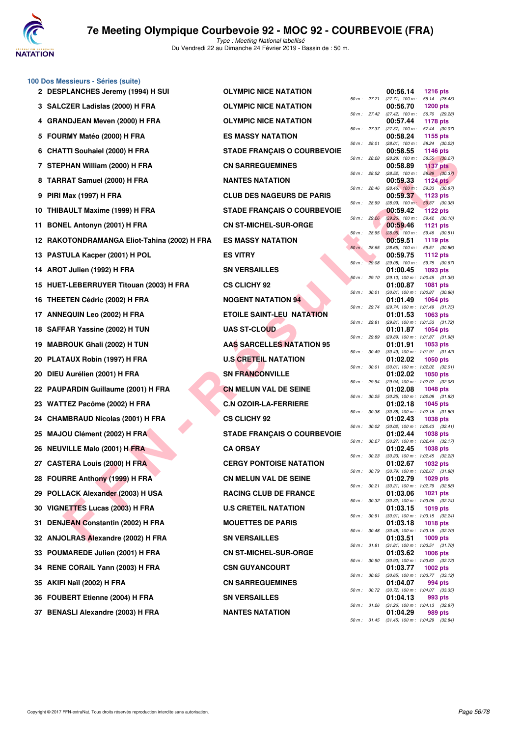

|    | 100 Dos Messieurs - Séries (suite)        |                                    |              |              |                                                          |                                  |  |
|----|-------------------------------------------|------------------------------------|--------------|--------------|----------------------------------------------------------|----------------------------------|--|
|    | 2 DESPLANCHES Jeremy (1994) H SUI         | <b>OLYMPIC NICE NATATION</b>       |              | 50 m : 27.71 | 00:56.14<br>$(27.71)$ 100 m : 56.14 $(28.43)$            | <b>1216 pts</b>                  |  |
|    | 3 SALCZER Ladislas (2000) H FRA           | <b>OLYMPIC NICE NATATION</b>       |              | 50 m : 27.42 | 00:56.70<br>(27.42) 100 m :                              | <b>1200 pts</b><br>56.70 (29.28) |  |
|    | 4 GRANDJEAN Meven (2000) H FRA            | <b>OLYMPIC NICE NATATION</b>       | 50 m: 27.37  |              | 00:57.44<br>$(27.37)$ 100 m :                            | <b>1178 pts</b><br>57.44 (30.07) |  |
|    | 5 FOURMY Matéo (2000) H FRA               | <b>ES MASSY NATATION</b>           | 50 m: 28.01  |              | 00:58.24                                                 | 1155 pts<br>58.24 (30.23)        |  |
| 6  | <b>CHATTI Souhaiel (2000) H FRA</b>       | <b>STADE FRANÇAIS O COURBEVOIE</b> |              |              | (28.01) 100 m :<br>00:58.55                              | <b>1146 pts</b>                  |  |
|    | 7 STEPHAN William (2000) H FRA            | <b>CN SARREGUEMINES</b>            | 50 m : 28.28 |              | (28.28) 100 m :<br>00:58.89                              | 58.55 (30.27)<br><b>1137 pts</b> |  |
| 8  | TARRAT Samuel (2000) H FRA                | <b>NANTES NATATION</b>             | 50 m: 28.52  |              | $(28.52)$ 100 m :<br>00:59.33                            | 58.89 (30.37)<br><b>1124 pts</b> |  |
| 9  | <b>PIRI Max (1997) H FRA</b>              | <b>CLUB DES NAGEURS DE PARIS</b>   | 50 m : 28.46 |              | $(28.46)$ 100 m :<br>00:59.37                            | 59.33 (30.87)<br>1123 pts        |  |
|    | 10 THIBAULT Maxime (1999) H FRA           | <b>STADE FRANÇAIS O COURBEVOIE</b> | 50 m : 28.99 |              | $(28.99)$ 100 m :<br>00:59.42                            | 59.37 (30.38)<br><b>1122 pts</b> |  |
| 11 | <b>BONEL Antonyn (2001) H FRA</b>         | <b>CN ST-MICHEL-SUR-ORGE</b>       | 50 m: 29.26  |              | (29.26) 100 m: 59.42 (30.16)<br>00:59.46                 | 1121 pts                         |  |
| 12 | RAKOTONDRAMANGA Eliot-Tahina (2002) H FRA | <b>ES MASSY NATATION</b>           | 50 m : 28.95 |              | $(28.95)$ 100 m :<br>00:59.51                            | 59.46 (30.51)<br>1119 pts        |  |
| 13 | PASTULA Kacper (2001) H POL               | <b>ES VITRY</b>                    | $50 m$ :     | 28.65        | (28.65) 100 m: 59.51 (30.86)<br>00:59.75                 | 1112 pts                         |  |
| 14 | AROT Julien (1992) H FRA                  | <b>SN VERSAILLES</b>               | 50 m: 29.08  |              | (29.08) 100 m: 59.75 (30.67)<br>01:00.45                 | 1093 pts                         |  |
| 15 | HUET-LEBERRUYER Titouan (2003) H FRA      | <b>CS CLICHY 92</b>                | 50 m: 29.10  |              | (29.10) 100 m: 1:00.45 (31.35)<br>01:00.87               | <b>1081 pts</b>                  |  |
| 16 | THEETEN Cédric (2002) H FRA               | <b>NOGENT NATATION 94</b>          | 50 m: 30.01  |              | (30.01) 100 m: 1:00.87 (30.86)<br>01:01.49               | 1064 pts                         |  |
|    | 17 ANNEQUIN Leo (2002) H FRA              | <b>ETOILE SAINT-LEU NATATION</b>   | 50 m : 29.74 |              | (29.74) 100 m: 1:01.49 (31.75)<br>01:01.53               | 1063 pts                         |  |
| 18 | SAFFAR Yassine (2002) H TUN               | <b>UAS ST-CLOUD</b>                | 50 m : 29.81 |              | (29.81) 100 m: 1:01.53 (31.72)<br>01:01.87               | <b>1054 pts</b>                  |  |
| 19 | <b>MABROUK Ghali (2002) H TUN</b>         | <b>AAS SARCELLES NATATION 95</b>   | 50 m : 29.89 |              | (29.89) 100 m : 1:01.87 (31.98)<br>01:01.91              | 1053 pts                         |  |
| 20 | PLATAUX Robin (1997) H FRA                | <b>U.S CRETEIL NATATION</b>        | 50 m: 30.49  |              | (30.49) 100 m: 1:01.91 (31.42)<br>01:02.02               | 1050 pts                         |  |
| 20 | DIEU Aurélien (2001) H FRA                | <b>SN FRANCONVILLE</b>             | 50 m : 30.01 |              | $(30.01)$ 100 m : 1:02.02 $(32.01)$<br>01:02.02          | <b>1050 pts</b>                  |  |
| 22 | <b>PAUPARDIN Guillaume (2001) H FRA</b>   | <b>CN MELUN VAL DE SEINE</b>       | 50 m : 29.94 |              | (29.94) 100 m: 1:02.02 (32.08)<br>01:02.08               | 1048 pts                         |  |
| 23 | WATTEZ Pacôme (2002) H FRA                | <b>C.N OZOIR-LA-FERRIERE</b>       | 50 m : 30.25 |              | $(30.25)$ 100 m : 1:02.08 $(31.83)$<br>01:02.18          | 1045 pts                         |  |
| 24 | <b>CHAMBRAUD Nicolas (2001) H FRA</b>     | <b>CS CLICHY 92</b>                | 50 m : 30.38 |              | $(30.38)$ 100 m : 1:02.18 $(31.80)$<br>01:02.43          | 1038 pts                         |  |
| 25 | MAJOU Clément (2002) H FRA                | <b>STADE FRANÇAIS O COURBEVOIE</b> | 50 m: 30.02  |              | (30.02) 100 m: 1:02.43 (32.41)<br>01:02.44               | 1038 pts                         |  |
|    | <b>NEUVILLE Malo (2001) H FRA</b>         | <b>CA ORSAY</b>                    |              | 50 m : 30.27 | $(30.27)$ 100 m : 1:02.44 $(32.17)$                      |                                  |  |
| 26 |                                           |                                    | 50 m: 30.23  |              | 01:02.45<br>$(30.23)$ 100 m : 1:02.45 $(32.22)$          | <b>1038 pts</b>                  |  |
|    | 27 CASTERA Louis (2000) H FRA             | <b>CERGY PONTOISE NATATION</b>     | 50 m : 30.79 |              | 01:02.67<br>(30.79) 100 m : 1:02.67 (31.88)              | <b>1032 pts</b>                  |  |
|    | 28 FOURRE Anthony (1999) H FRA            | <b>CN MELUN VAL DE SEINE</b>       | 50 m: 30.21  |              | 01:02.79<br>$(30.21)$ 100 m : 1:02.79 $(32.58)$          | 1029 pts                         |  |
|    | 29 POLLACK Alexander (2003) H USA         | <b>RACING CLUB DE FRANCE</b>       | 50 m : 30.32 |              | 01:03.06<br>$(30.32)$ 100 m : 1:03.06 $(32.74)$          | <b>1021 pts</b>                  |  |
| 30 | VIGNETTES Lucas (2003) H FRA              | <b>U.S CRETEIL NATATION</b>        |              | 50 m : 30.91 | 01:03.15<br>(30.91) 100 m: 1:03.15 (32.24)               | 1019 pts                         |  |
| 31 | <b>DENJEAN Constantin (2002) H FRA</b>    | <b>MOUETTES DE PARIS</b>           |              | 50 m : 30.48 | 01:03.18<br>$(30.48)$ 100 m : 1:03.18 $(32.70)$          | <b>1018 pts</b>                  |  |
|    | 32 ANJOLRAS Alexandre (2002) H FRA        | <b>SN VERSAILLES</b>               |              | 50 m : 31.81 | 01:03.51<br>$(31.81)$ 100 m : 1:03.51 $(31.70)$          | 1009 pts                         |  |
| 33 | POUMAREDE Julien (2001) H FRA             | <b>CN ST-MICHEL-SUR-ORGE</b>       | 50 m : 30.90 |              | 01:03.62<br>(30.90) 100 m: 1:03.62 (32.72)               | 1006 pts                         |  |
|    | RENE CORAIL Yann (2003) H FRA             | <b>CSN GUYANCOURT</b>              | 50 m : 30.65 |              | 01:03.77<br>$(30.65)$ 100 m : 1:03.77 $(33.12)$          | 1002 pts                         |  |
| 35 | AKIFI Naïl (2002) H FRA                   | <b>CN SARREGUEMINES</b>            | 50 m : 30.72 |              | 01:04.07<br>$(30.72)$ 100 m : 1:04.07 $(33.35)$          | 994 pts                          |  |
| 36 | <b>FOUBERT Etienne (2004) H FRA</b>       | <b>SN VERSAILLES</b>               | 50 m: 31.26  |              | 01:04.13<br>$(31.26)$ 100 m : 1:04.13 $(32.87)$          | 993 pts                          |  |
|    | 37 BENASLI Alexandre (2003) H FRA         | <b>NANTES NATATION</b>             |              |              | 01:04.29<br>50 m : 31.45 (31.45) 100 m : 1:04.29 (32.84) | 989 pts                          |  |
|    |                                           |                                    |              |              |                                                          |                                  |  |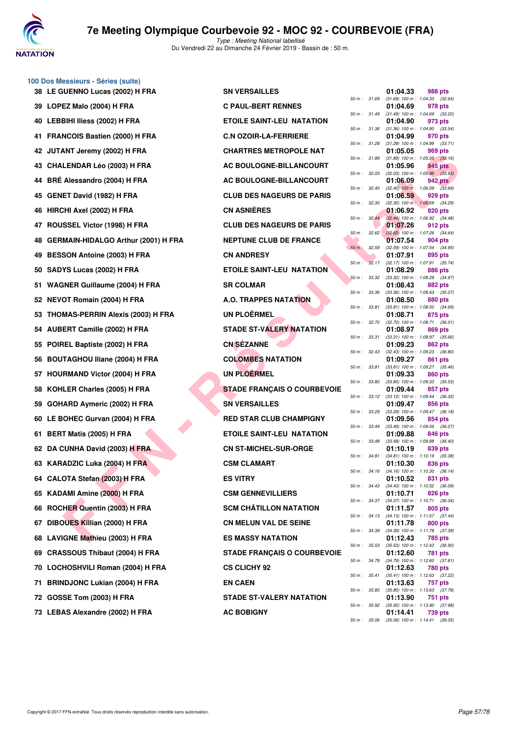

|     | 100 Dos Messieurs - Séries (suite)       |                                    |              |       |                                                          |                |         |
|-----|------------------------------------------|------------------------------------|--------------|-------|----------------------------------------------------------|----------------|---------|
|     | 38 LE GUENNO Lucas (2002) H FRA          | <b>SN VERSAILLES</b>               | 50 m : 31.69 |       | 01:04.33<br>$(31.69)$ 100 m : 1:04.33 $(32.64)$          | 988 pts        |         |
|     | 39 LOPEZ Malo (2004) H FRA               | <b>C PAUL-BERT RENNES</b>          | 50 m: 31.49  |       | 01:04.69<br>$(31.49)$ 100 m : 1:04.69 $(33.20)$          | 978 pts        |         |
| 40  | LEBBIHI Iliess (2002) H FRA              | <b>ETOILE SAINT-LEU NATATION</b>   | 50 m: 31.36  |       | 01:04.90<br>$(31.36)$ 100 m : 1:04.90 $(33.54)$          | 973 pts        |         |
| 41. | <b>FRANCOIS Bastien (2000) H FRA</b>     | <b>C.N OZOIR-LA-FERRIERE</b>       |              |       | 01:04.99                                                 | 970 pts        |         |
|     | 42 JUTANT Jeremy (2002) H FRA            | <b>CHARTRES METROPOLE NAT</b>      | 50 m : 31.28 |       | $(31.28)$ 100 m : 1:04.99 $(33.71)$<br>01:05.05          | 969 pts        |         |
| 43  | <b>CHALENDAR Léo (2003) H FRA</b>        | AC BOULOGNE-BILLANCOURT            | 50 m : 31.89 |       | $(31.89)$ 100 m : 1:05.05 $(33.16)$<br>01:05.96          | 945 pts        |         |
| 44  | BRÉ Alessandro (2004) H FRA              | <b>AC BOULOGNE-BILLANCOURT</b>     | 50 m: 32.03  |       | $(32.03)$ 100 m : 1:05.96 $(33.93)$<br>01:06.09          | <b>942 pts</b> |         |
| 45  | <b>GENET David (1982) H FRA</b>          | <b>CLUB DES NAGEURS DE PARIS</b>   | 50 m: 32.40  |       | $(32.40)$ 100 m : 1:06.09 $(33.69)$<br>01:06.59          | 929 pts        |         |
| 46  | HIRCHI Axel (2002) H FRA                 | <b>CN ASNIERES</b>                 | 50 m: 32.30  |       | $(32.30)$ 100 m : 1:06.59 $(34.29)$<br>01:06.92          | 920 pts        |         |
| 47  | ROUSSEL Victor (1998) H FRA              | <b>CLUB DES NAGEURS DE PARIS</b>   | 50 m: 32.44  |       | (32.44) 100 m : 1:06.92 (34.48)<br>01:07.26              | 912 pts        |         |
| 48  | GERMAIN-HIDALGO Arthur (2001) H FRA      | <b>NEPTUNE CLUB DE FRANCE</b>      | 50 m :       | 32.62 | $(32.62)$ 100 m : 1:07.26 $(34.64)$<br>01:07.54          | 904 pts        |         |
| 49  | <b>BESSON Antoine (2003) H FRA</b>       | <b>CN ANDRESY</b>                  | $50 m$ :     | 32.59 | (32.59) 100 m: 1:07.54 (34.95)<br>01:07.91               | 895 pts        |         |
| 50  | SADYS Lucas (2002) H FRA                 | <b>ETOILE SAINT-LEU NATATION</b>   | 50 m: 32.17  |       | $(32.17)$ 100 m : 1:07.91 $(35.74)$<br>01:08.29          | 886 pts        |         |
| 51  | <b>WAGNER Guillaume (2004) H FRA</b>     | <b>SR COLMAR</b>                   | 50 m: 33.32  |       | $(33.32)$ 100 m : 1:08.29 $(34.97)$<br>01:08.43          | 882 pts        |         |
| 52  | NEVOT Romain (2004) H FRA                | <b>A.O. TRAPPES NATATION</b>       | 50 m : 33.36 |       | $(33.36)$ 100 m : 1:08.43 $(35.07)$<br>01:08.50          | 880 pts        |         |
| 53  | <b>THOMAS-PERRIN Alexis (2003) H FRA</b> | <b>UN PLOËRMEL</b>                 | 50 m : 33.81 |       | $(33.81)$ 100 m : 1:08.50 $(34.69)$<br>01:08.71          | 875 pts        |         |
| 54  | <b>AUBERT Camille (2002) H FRA</b>       | <b>STADE ST-VALERY NATATION</b>    | 50 m : 32.70 |       | $(32.70)$ 100 m : 1:08.71 $(36.01)$<br>01:08.97          | 869 pts        |         |
|     |                                          | <b>CN SÉZANNE</b>                  | 50 m: 33.31  |       | (33.31) 100 m: 1:08.97 (35.66)                           |                |         |
| 55  | POIREL Baptiste (2002) H FRA             |                                    | 50 m: 32.43  |       | 01:09.23<br>$(32.43)$ 100 m : 1:09.23 $(36.80)$          | 862 pts        |         |
| 56  | <b>BOUTAGHOU Iliane (2004) H FRA</b>     | <b>COLOMBES NATATION</b>           | 50 m : 33.81 |       | 01:09.27<br>$(33.81)$ 100 m : 1:09.27 $(35.46)$          | 861 pts        |         |
| 57  | <b>HOURMAND Victor (2004) H FRA</b>      | <b>UN PLOËRMEL</b>                 | 50 m : 33.80 |       | 01:09.33<br>$(33.80)$ 100 m : 1:09.33 $(35.53)$          | 860 pts        |         |
| 58  | KOHLER Charles (2005) H FRA              | <b>STADE FRANÇAIS O COURBEVOIE</b> | 50 m: 33.12  |       | 01:09.44<br>$(33.12)$ 100 m : 1:09.44 $(36.32)$          | 857 pts        |         |
| 59  | GOHARD Aymeric (2002) H FRA              | <b>SN VERSAILLES</b>               | 50 m :       | 33.29 | 01:09.47<br>(33.29) 100 m: 1:09.47 (36.18)               | 856 pts        |         |
| 60  | LE BOHEC Gurvan (2004) H FRA             | <b>RED STAR CLUB CHAMPIGNY</b>     | 50 m : 33.49 |       | 01:09.56<br>$(33.49)$ 100 m : 1:09.56 $(36.07)$          | 854 pts        |         |
| 61  | BERT Matis (2005) H FRA                  | <b>ETOILE SAINT-LEU NATATION</b>   | 50 m : 33.48 |       | 01:09.88<br>$(33.48)$ 100 m : 1:09.88 $(36.40)$          | 846 pts        |         |
|     | 62 DA CUNHA David (2003) H FRA           | <b>CN ST-MICHEL-SUR-ORGE</b>       | 50 m : 34.81 |       | 01:10.19<br>$(34.81)$ 100 m : 1:10.19 $(35.38)$          | 839 pts        |         |
|     | 63 KARADZIC Luka (2004) H FRA            | <b>CSM CLAMART</b>                 |              |       | 01:10.30<br>50 m : 34.16 (34.16) 100 m : 1:10.30 (36.14) | 836 pts        |         |
|     | 64 CALOTA Stefan (2003) H FRA            | <b>ES VITRY</b>                    |              |       | 01:10.52<br>50 m: 34.43 (34.43) 100 m: 1:10.52 (36.09)   | 831 pts        |         |
|     | 65 KADAMI Amine (2000) H FRA             | <b>CSM GENNEVILLIERS</b>           |              |       | 01:10.71                                                 | 826 pts        |         |
| 66  | ROCHER Quentin (2003) H FRA              | <b>SCM CHÂTILLON NATATION</b>      | 50 m : 34.37 |       | (34.37) 100 m : 1:10.71 (36.34)<br>01:11.57              | 805 pts        |         |
| 67  | DIBOUES Killian (2000) H FRA             | <b>CN MELUN VAL DE SEINE</b>       | 50 m : 34.13 |       | $(34.13)$ 100 m : 1:11.57 $(37.44)$<br>01:11.78          | 800 pts        |         |
| 68  | LAVIGNE Mathieu (2003) H FRA             | <b>ES MASSY NATATION</b>           | 50 m : 34.39 |       | $(34.39)$ 100 m : 1:11.78 $(37.39)$<br>01:12.43          | 785 pts        |         |
| 69  | <b>CRASSOUS Thibaut (2004) H FRA</b>     | <b>STADE FRANÇAIS O COURBEVOIE</b> | 50 m: 35.53  |       | $(35.53)$ 100 m : 1:12.43 $(36.90)$<br>01:12.60          | 781 pts        |         |
| 70  | LOCHOSHVILI Roman (2004) H FRA           | <b>CS CLICHY 92</b>                |              |       | 50 m: 34.79 (34.79) 100 m: 1:12.60 (37.81)<br>01:12.63   | 780 pts        |         |
| 71  | <b>BRINDJONC Lukian (2004) H FRA</b>     | <b>EN CAEN</b>                     | 50 m : 35.41 |       | $(35.41)$ 100 m : 1:12.63 $(37.22)$<br>01:13.63          | 757 pts        |         |
| 72  | GOSSE Tom (2003) H FRA                   | <b>STADE ST-VALERY NATATION</b>    | 50 m : 35.85 |       | $(35.85)$ 100 m : 1:13.63 $(37.78)$<br>01:13.90          | 751 pts        |         |
|     | 73 LEBAS Alexandre (2002) H FRA          | <b>AC BOBIGNY</b>                  | 50 m : 35.92 |       | (35.92) 100 m : 1:13.90<br>01:14.41                      | 739 pts        | (37.98) |
|     |                                          |                                    |              |       |                                                          |                |         |

|          |       | 01:04.33                      | 988 pts                              |
|----------|-------|-------------------------------|--------------------------------------|
| $50 m$ : | 31.69 | $(31.69) 100 m$ :             | 1:04.33<br>(32.64)                   |
| $50 m$ : | 31.49 | 01:04.69                      | 978 pts<br>1:04.69                   |
|          |       | $(31.49) 100 m$ :<br>01:04.90 | (33.20)<br>973 pts                   |
| $50 m$ : | 31.36 | $(31.36) 100 m$ :             | 1:04.90<br>(33.54)                   |
|          |       | 01:04.99                      | 970 pts                              |
| $50 m$ : | 31.28 | $(31.28) 100 m$ :             | 1:04.99<br>(33.71)                   |
| 50 m :   | 31.89 | 01:05.05<br>$(31.89) 100 m$ : | <b>969 pts</b><br>1:05.05<br>(33.16) |
|          |       | 01:05.96                      | <b>945 pts</b>                       |
| $50 m$ : | 32.03 | $(32.03)$ 100 m :             | 1:05.96<br>(33.93)                   |
|          |       | 01:06.09                      | <b>942 pts</b>                       |
| $50 m$ : | 32.40 | $(32.40)$ 100 m :<br>01:06.59 | 1:06.09<br>(33.69)<br>929 pts        |
| $50 m$ : | 32.30 | $(32.30)$ 100 m :             | 1:06.59<br>(34.29)                   |
|          |       | 01:06.92                      | 920 pts                              |
| 50 m :   | 32.44 | $(32.44)$ 100 m :             | 1:06.92<br>(34.48)                   |
| $50 m$ : | 32.62 | 01:07.26<br>$(32.62)$ 100 m : | 912 pts<br>1:07.26                   |
|          |       | 01:07.54                      | (34.64)<br>904 pts                   |
| $50 m$ : | 32.59 | $(32.59)$ 100 m :             | 1:07.54<br>(34.95)                   |
|          |       | 01:07.91                      | 895 pts                              |
| $50 m$ : | 32.17 | $(32.17)$ 100 m :             | (35.74)<br>1:07.91                   |
| $50 m$ : | 33.32 | 01:08.29<br>$(33.32) 100 m$ : | <b>886 pts</b><br>1:08.29<br>(34.97) |
|          |       | 01:08.43                      | 882 pts                              |
| $50 m$ : | 33.36 | $(33.36) 100 m$ :             | 1:08.43<br>(35.07)                   |
|          |       | 01:08.50                      | 880 pts                              |
| $50 m$ : | 33.81 | $(33.81)$ 100 m :<br>01:08.71 | 1:08.50<br>(34.69)<br>875 pts        |
| $50 m$ : | 32.70 | $(32.70)$ 100 m :             | 1:08.71<br>(36.01)                   |
|          |       | 01:08.97                      | <b>869 pts</b>                       |
| 50 m :   | 33.31 | $(33.31) 100 m$ :             | 1:08.97<br>(35.66)                   |
| $50 m$ : | 32.43 | 01:09.23<br>$(32.43) 100 m$ : | 862 pts<br>1:09.23<br>(36.80)        |
|          |       | 01:09.27                      | 861 pts                              |
| $50 m$ : | 33.81 | $(33.81)$ 100 m :             | 1:09.27<br>(35.46)                   |
|          |       | 01:09.33                      | <b>860 pts</b>                       |
| $50 m$ : | 33.80 | $(33.80)$ 100 m :<br>01:09.44 | 1:09.33<br>(35.53)<br>857 pts        |
| $50 m$ : | 33.12 | $(33.12)$ 100 m :             | 1:09.44<br>(36.32)                   |
|          |       | 01:09.47                      | 856 pts                              |
| $50 m$ : | 33.29 | $(33.29)$ 100 m :             | 1:09.47<br>(36.18)                   |
| $50 m$ : | 33.49 | 01:09.56<br>$(33.49) 100 m$ : | 854 pts<br>1:09.56<br>(36.07)        |
|          |       | 01:09.88                      | 846 pts                              |
| $50 m$ : | 33.48 | $(33.48) 100 m$ :             | 1:09.88<br>(36.40)                   |
|          |       | 01:10.19                      | 839 pts                              |
| $50 m$ : | 34.81 | $(34.81) 100 m$ :<br>01:10.30 | 1:10.19<br>(35.38)<br>836 pts        |
| $50 m$ : | 34.16 | $(34.16) 100 m$ :             | 1:10.30<br>(36.14)                   |
|          |       | 01:10.52                      | 831 pts                              |
| $50 m$ : | 34.43 | (34.43) 100 m :               | 1:10.52<br>(36.09)                   |
| $50 m$ : | 34.37 | 01:10.71<br>$(34.37) 100 m$ : | <b>826 pts</b><br>1:10.71<br>(36.34) |
|          |       | 01:11.57                      | <b>805 pts</b>                       |
| $50 m$ : | 34.13 | $(34.13) 100 m$ :             | 1:11.57<br>(37.44)                   |
|          |       | 01:11.78                      | 800 pts                              |
| $50 m$ : | 34.39 | $(34.39) 100 m$ :<br>01:12.43 | 1:11.78<br>(37.39)<br><b>785 pts</b> |
| $50 m$ : | 35.53 | $(35.53) 100 m$ :             | 1:12.43<br>(36.90)                   |
|          |       | 01:12.60                      | 781<br>pts                           |
| $50 m$ : | 34.79 | $(34.79) 100 m$ :             | 1:12.60<br>(37.81)                   |
| $50 m$ : | 35.41 | 01:12.63<br>$(35.41) 100 m$ : | <b>780 pts</b><br>1:12.63<br>(37.22) |
|          |       | 01:13.63                      | 757<br>pts                           |
| $50 m$ : | 35.85 | $(35.85) 100 m$ :             | 1:13.63<br>(37.78)                   |
|          |       | 01:13.90                      | 751<br>pts                           |
| $50 m$ : | 35.92 | $(35.92)$ 100 m :<br>01:14.41 | 1:13.90<br>(37.98)<br>739 pts        |
| 50 m :   | 35.06 | $(35.06)$ 100 m : 1:14.41     | (39.35)                              |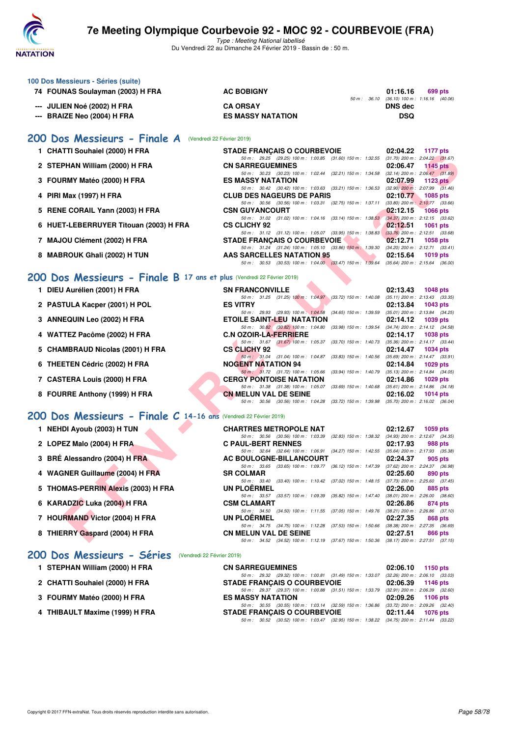

| 100 Dos Messieurs - Séries (suite)<br>74 FOUNAS Soulayman (2003) H FRA | <b>AC BOBIGNY</b>                                                                                                                  | 01:16.16<br>699 pts                                                |
|------------------------------------------------------------------------|------------------------------------------------------------------------------------------------------------------------------------|--------------------------------------------------------------------|
| --- JULIEN Noé (2002) H FRA                                            | <b>CA ORSAY</b>                                                                                                                    | 50 m : 36.10 (36.10) 100 m : 1:16.16 (40.06)<br><b>DNS</b> dec     |
| --- BRAIZE Neo (2004) H FRA                                            | <b>ES MASSY NATATION</b>                                                                                                           | <b>DSQ</b>                                                         |
| 200 Dos Messieurs - Finale A (Vendredi 22 Février 2019)                |                                                                                                                                    |                                                                    |
| 1 CHATTI Souhaiel (2000) H FRA                                         | <b>STADE FRANÇAIS O COURBEVOIE</b><br>50 m: 29.25 (29.25) 100 m: 1:00.85 (31.60) 150 m: 1:32.55 (31.70) 200 m: 2:04.22 (31.67)     | 02:04.22<br><b>1177 pts</b>                                        |
| 2 STEPHAN William (2000) H FRA                                         | <b>CN SARREGUEMINES</b>                                                                                                            | 02:06.47<br>1145 $pts$                                             |
| 3 FOURMY Matéo (2000) H FRA                                            | 50 m: 30.23 (30.23) 100 m: 1:02.44 (32.21) 150 m: 1:34.58 (32.14) 200 m: 2:06.47 (31.89)<br><b>ES MASSY NATATION</b>               | 02:07.99<br>1123 $pts$                                             |
| 4 PIRI Max (1997) H FRA                                                | 50 m: 30.42 (30.42) 100 m: 1:03.63 (33.21) 150 m: 1:36.53<br><b>CLUB DES NAGEURS DE PARIS</b>                                      | $(32.90)$ 200 m : 2:07.99 $(31.46)$<br>02:10.77<br>1085 pts        |
| 5 RENE CORAIL Yann (2003) H FRA                                        | 50 m : 30.56 (30.56) 100 m : 1:03.31 (32.75) 150 m : 1:37.11<br><b>CSN GUYANCOURT</b>                                              | $(33.80)$ 200 m : 2:10.77 $(33.66)$<br>02:12.15<br><b>1066 pts</b> |
| 6 HUET-LEBERRUYER Titouan (2003) H FRA                                 | 50 m: 31.02 (31.02) 100 m: 1:04.16 (33.14) 150 m: 1:38.53<br><b>CS CLICHY 92</b>                                                   | (34.37) 200 m : 2:12.15 (33.62)<br>02:12.51<br><b>1061 pts</b>     |
| 7 MAJOU Clément (2002) H FRA                                           | 50 m: 31.12 (31.12) 100 m: 1:05.07 (33.95) 150 m: 1:38.83<br><b>STADE FRANCAIS O COURBEVOIE</b>                                    | $(33.76)$ 200 m : 2:12.51 $(33.68)$<br>02:12.71<br><b>1058 pts</b> |
| 8 MABROUK Ghali (2002) H TUN                                           | 50 m: 31.24 (31.24) 100 m: 1:05.10 (33.86) 150 m: 1:39.30 (34.20) 200 m: 2:12.71 (33.41)<br><b>AAS SARCELLES NATATION 95</b>       | 02:15.64<br>1019 pts                                               |
|                                                                        | 50 m: 30.53 (30.53) 100 m: 1:04.00 (33.47) 150 m: 1:39.64 (35.64) 200 m: 2:15.64 (36.00)                                           |                                                                    |
| 200 Dos Messieurs - Finale B 17 ans et plus (Vendredi 22 Février 2019) |                                                                                                                                    |                                                                    |
| 1 DIEU Aurélien (2001) H FRA                                           | <b>SN FRANCONVILLE</b><br>50 m: 31.25 (31.25) 100 m: 1:04.97 (33.72) 150 m: 1:40.08                                                | 02:13.43<br>1048 pts<br>$(35.11)$ 200 m : 2:13.43 $(33.35)$        |
| 2 PASTULA Kacper (2001) H POL                                          | <b>ES VITRY</b><br>50 m : 29.93 (29.93) 100 m : 1:04.58 (34.65) 150 m : 1:39.59                                                    | 02:13.84<br>1043 pts<br>$(35.01)$ 200 m : 2:13.84 $(34.25)$        |
| 3 ANNEQUIN Leo (2002) H FRA                                            | <b>ETOILE SAINT-LEU NATATION</b>                                                                                                   | 02:14.12<br>1039 pts                                               |
| 4 WATTEZ Pacôme (2002) H FRA                                           | 50 m : 30.82 (30.82) 100 m : 1:04.80 (33.98) 150 m : 1:39.54<br><b>C.N OZOIR-LA-FERRIERE</b>                                       | (34.74) 200 m : 2:14.12 (34.58)<br>02:14.17<br><b>1038 pts</b>     |
| 5 CHAMBRAUD Nicolas (2001) H FRA                                       | 50 m: 31.67 (31.67) 100 m: 1:05.37 (33.70) 150 m: 1:40.73 (35.36) 200 m: 2:14.17 (33.44)<br><b>CS CLICHY 92</b>                    | 02:14.47<br>1034 pts                                               |
| 6 THEETEN Cédric (2002) H FRA                                          | 50 m: 31.04 (31.04) 100 m: 1:04.87 (33.83) 150 m: 1:40.56<br><b>NOGENT NATATION 94</b>                                             | $(35.69)$ 200 m : 2:14.47 $(33.91)$<br>02:14.84<br>1029 pts        |
| 7 CASTERA Louis (2000) H FRA                                           | 50 m : 31.72 (31.72) 100 m : 1:05.66 (33.94) 150 m : 1:40.79<br><b>CERGY PONTOISE NATATION</b>                                     | $(35.13)$ 200 m : 2:14.84 $(34.05)$<br>02:14.86<br>$1029$ pts      |
| 8 FOURRE Anthony (1999) H FRA                                          | 50 m: 31.38 (31.38) 100 m: 1:05.07 (33.69) 150 m: 1:40.68 (35.61) 200 m: 2:14.86 (34.18)<br><b>CN MELUN VAL DE SEINE</b>           | 02:16.02<br>1014 $pts$                                             |
|                                                                        | 50 m: 30.56 (30.56) 100 m: 1:04.28 (33.72) 150 m: 1:39.98 (35.70) 200 m: 2:16.02 (36.04)                                           |                                                                    |
| 200 Dos Messieurs - Finale C 14-16 ans (Vendredi 22 Février 2019)      |                                                                                                                                    |                                                                    |
| 1 NEHDI Ayoub (2003) H TUN                                             | <b>CHARTRES METROPOLE NAT</b><br>50 m: 30.56 (30.56) 100 m: 1:03.39 (32.83) 150 m: 1:38.32 (34.93) 200 m: 2:12.67 (34.35)          | 02:12.67<br>1059 pts                                               |
| 2 LOPEZ Malo (2004) H FRA                                              | <b>C PAUL-BERT RENNES</b><br>50 m: 32.64 (32.64) 100 m: 1:06.91 (34.27) 150 m: 1:42.55 (35.64) 200 m: 2:17.93 (35.38)              | 02:17.93<br>988 pts                                                |
| 3 BRÉ Alessandro (2004) H FRA                                          | AC BOULOGNE-BILLANCOURT<br>50 m: 33.65 (33.65) 100 m: 1:09.77 (36.12) 150 m: 1:47.39 (37.62) 200 m: 2:24.37 (36.98)                | 02:24.37<br>905 pts                                                |
| 4 WAGNER Guillaume (2004) H FRA                                        | <b>SR COLMAR</b>                                                                                                                   | 02:25.60<br>890 pts                                                |
| 5 THOMAS-PERRIN Alexis (2003) H FRA                                    | 50 m: 33.40 (33.40) 100 m: 1:10.42 (37.02) 150 m: 1:48.15<br><b>UN PLOERMEL</b>                                                    | $(37.73)$ 200 m : 2:25.60 $(37.45)$<br>02:26.00<br>885 pts         |
| 6 KARADZIC Luka (2004) H FRA                                           | 50 m : 33.57 (33.57) 100 m : 1:09.39 (35.82) 150 m : 1:47.40<br><b>CSM CLAMART</b>                                                 | $(38.01)$ 200 m : 2:26.00 $(38.60)$<br>02:26.86<br>874 pts         |
| 7 HOURMAND Victor (2004) H FRA                                         | 50 m: 34.50 (34.50) 100 m: 1:11.55 (37.05) 150 m: 1:49.76<br><b>UN PLOERMEL</b>                                                    | $(38.21)$ 200 m : 2:26.86 $(37.10)$<br>02:27.35<br>868 pts         |
| 8 THIERRY Gaspard (2004) H FRA                                         | 50 m: 34.75 (34.75) 100 m: 1:12.28 (37.53) 150 m: 1:50.66 (38.38) 200 m: 2:27.35 (36.69)<br><b>CN MELUN VAL DE SEINE</b>           | 02:27.51<br><b>866 pts</b>                                         |
|                                                                        | 50 m: 34.52 (34.52) 100 m: 1:12.19 (37.67) 150 m: 1:50.36 (38.17) 200 m: 2:27.51 (37.15)                                           |                                                                    |
| 200 Dos Messieurs - Séries (Vendredi 22 Février 2019)                  |                                                                                                                                    |                                                                    |
| 1 STEPHAN William (2000) H FRA                                         | <b>CN SARREGUEMINES</b><br>50 m : 29.32 (29.32) 100 m : 1:00.81 (31.49) 150 m : 1:33.07                                            | 02:06.10<br><b>1150 pts</b><br>$(32.26)$ 200 m : 2:06.10 $(33.03)$ |
| 2 CHATTI Souhaiel (2000) H FRA                                         | <b>STADE FRANÇAIS O COURBEVOIE</b><br>50 m : 29.37 (29.37) 100 m : 1:00.88 (31.51) 150 m : 1:33.79 (32.91) 200 m : 2:06.39 (32.60) | 02:06.39<br>1146 pts                                               |
| FOURMY Matéo (2000) H FRA<br>3.                                        | <b>ES MASSY NATATION</b>                                                                                                           | 02:09.26<br><b>1106 pts</b>                                        |
| THIBAULT Maxime (1999) H FRA<br>4                                      | 50 m: 30.55 (30.55) 100 m: 1:03.14 (32.59) 150 m: 1:36.86 (33.72) 200 m: 2:09.26 (32.40)<br><b>STADE FRANÇAIS O COURBEVOIE</b>     | 02:11.44<br>1076 pts                                               |
|                                                                        | 50 m: 30.52 (30.52) 100 m: 1:03.47 (32.95) 150 m: 1:38.22 (34.75) 200 m: 2:11.44 (33.22)                                           |                                                                    |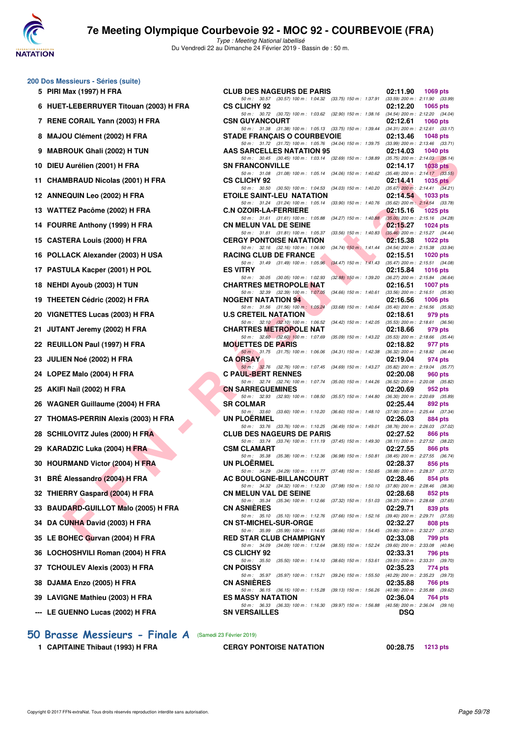

Type : Meeting National labellisé Du Vendredi 22 au Dimanche 24 Février 2019 - Bassin de : 50 m.

#### **200 Dos Messieurs - Séries (suite)**

| 5  | <b>PIRI Max (1997) H FRA</b>          |
|----|---------------------------------------|
| 6  | HUET-LEBERRUYER Titouan (2003) H FR   |
| 7  | RENE CORAIL Yann (2003) H FRA         |
| 8  | MAJOU Clément (2002) H FRA            |
| 9  | <b>MABROUK Ghali (2002) H TUN</b>     |
| 10 | DIEU Aurélien (2001) H FRA            |
| 11 | <b>CHAMBRAUD Nicolas (2001) H FRA</b> |
|    | 12 ANNEQUIN Leo (2002) H FRA          |
|    | 13 WATTEZ Pacôme (2002) H FRA         |
| 14 | FOURRE Anthony (1999) H FRA           |
|    | 15 CASTERA Louis (2000) H FRA         |
| 16 | POLLACK Alexander (2003) H USA        |
|    | 17 PASTULA Kacper (2001) H POL        |
|    | 18 NEHDI Ayoub (2003) H TUN           |
|    | 19 THEETEN Cédric (2002) H FRA        |
|    | 20 VIGNETTES Lucas (2003) H FRA       |
| 21 | JUTANT Jeremy (2002) H FRA            |
|    | 22 REUILLON Paul (1997) H FRA         |
|    | 23 JULIEN Noé (2002) H FRA            |
|    | 24 LOPEZ Malo (2004) H FRA            |
|    | 25 AKIFI Naïl (2002) H FRA            |
|    | 26 WAGNER Guillaume (2004) H FRA      |
| 27 | THOMAS-PERRIN Alexis (2003) H FRA     |
|    | 28 SCHILOVITZ Jules (2000) H FRA      |
|    | 29 KARADZIC Luka (2004) H FRA         |
|    | 30 HOURMAND Victor (2004) H FRA       |
|    | 31 BRÉ Alessandro (2004) H FRA        |
|    | 32 THIERRY Gaspard (2004) H FRA       |
|    | 33 BAUDARD-GUILLOT Malo (2005) H FRA  |
|    | 34 DA CUNHA David (2003) H FRA        |
|    | 35 LE BOHEC Gurvan (2004) H FRA       |
|    | 36 LOCHOSHVILI Roman (2004) H FRA     |
|    | 37 TCHOULEV Alexis (2003) H FRA       |
|    | 38 DJAMA Enzo (2005) H FRA            |
|    | 39 LAVIGNE Mathieu (2003) H FRA       |
|    | --- LE GUENNO Lucas (2002) H FRA      |

## **[50 Brasse Messieurs - Finale A](http://www.ffnatation.fr/webffn/resultats.php?idact=nat&go=epr&idcpt=57703&idepr=71)** (Samedi 23 Février 2019)

**1 CAPITAINE Thibaut (1993) H FRA CERGY PONTOISE NATATION 00:28.75 1213 pts**

| U DOS MESSIEURS - SERIES (SUITE)       |                                                                                                                                |                                                                                       |
|----------------------------------------|--------------------------------------------------------------------------------------------------------------------------------|---------------------------------------------------------------------------------------|
| 5 PIRI Max (1997) H FRA                | <b>CLUB DES NAGEURS DE PARIS</b>                                                                                               | 02:11.90<br>1069 pts                                                                  |
| 6 HUET-LEBERRUYER Titouan (2003) H FRA | 50 m: 30.57 (30.57) 100 m: 1:04.32 (33.75) 150 m: 1:37.91 (33.59) 200 m: 2:11.90 (33.99)<br><b>CS CLICHY 92</b>                | 02:12.20<br><b>1065 pts</b>                                                           |
| 7 RENE CORAIL Yann (2003) H FRA        | 50 m: 30.72 (30.72) 100 m: 1:03.62 (32.90) 150 m: 1:38.16 (34.54) 200 m: 2:12.20 (34.04)<br><b>CSN GUYANCOURT</b>              | 02:12.61<br>1060 pts                                                                  |
| 8 MAJOU Clément (2002) H FRA           | 50 m: 31.38 (31.38) 100 m: 1:05.13 (33.75) 150 m: 1:39.44 (34.31) 200 m: 2:12.61 (33.17)<br><b>STADE FRANÇAIS O COURBEVOIE</b> | 02:13.46<br><b>1048 pts</b>                                                           |
| 9 MABROUK Ghali (2002) H TUN           | 50 m: 31.72 (31.72) 100 m: 1:05.76 (34.04) 150 m: 1:39.75 (33.99) 200 m: 2:13.46 (33.71)<br>AAS SARCELLES NATATION 95          | 02:14.03<br>1040 pts                                                                  |
| 10 DIEU Aurélien (2001) H FRA          | 50 m: 30.45 (30.45) 100 m: 1:03.14 (32.69) 150 m: 1:38.89 (35.75) 200 m: 2:14.03 (35.14)<br><b>SN FRANCONVILLE</b>             | 02:14.17<br>1038 pts                                                                  |
| 11 CHAMBRAUD Nicolas (2001) H FRA      | 50 m: 31.08 (31.08) 100 m: 1:05.14 (34.06) 150 m: 1:40.62 (35.48) 200 m: 2:14.17 (33.55)<br><b>CS CLICHY 92</b>                | 02:14.41<br>1035 $p$ ts                                                               |
| 12 ANNEQUIN Leo (2002) H FRA           | 50 m: 30.50 (30.50) 100 m: 1:04.53 (34.03) 150 m: 1:40.20 (35.67) 200 m: 2:14.41 (34.21)<br><b>ETOILE SAINT-LEU NATATION</b>   | 02:14.54<br>1033 pts                                                                  |
| 13 WATTEZ Pacôme (2002) H FRA          | 50 m: 31.24 (31.24) 100 m: 1:05.14 (33.90) 150 m: 1:40.76 (35.62) 200 m: 2:14.54 (33.78)<br><b>C.N OZOIR-LA-FERRIERE</b>       | 02:15.16<br>1025 pts                                                                  |
| 14 FOURRE Anthony (1999) H FRA         | 50 m: 31.61 (31.61) 100 m: 1.05.88 (34.27) 150 m: 1.40.88 (35.00) 200 m: 2.15.16 (34.28)<br><b>CN MELUN VAL DE SEINE</b>       | 02:15.27<br>1024 pts                                                                  |
| 15 CASTERA Louis (2000) H FRA          | 50 m: 31.81 (31.81) 100 m: 1:05.37 (33.56) 150 m: 1:40.83<br><b>CERGY PONTOISE NATATION</b>                                    | $(35.46)$ 200 m : 2:15.27 $(34.44)$<br>02:15.38<br>1022 pts                           |
| 16 POLLACK Alexander (2003) H USA      | 50 m : 32.16 (32.16) 100 m : 1:06.90<br><b>RACING CLUB DE FRANCE</b>                                                           | $(34.74)$ 150 m : 1:41.44 $(34.54)$ 200 m : 2:15.38 $(33.94)$<br>02:15.51<br>1020 pts |
| 17 PASTULA Kacper (2001) H POL         | 50 m: 31.49 (31.49) 100 m: 1:05.96 (34.47) 150 m: 1:41.43 (35.47) 200 m: 2:15.51 (34.08)<br><b>ES VITRY</b>                    | 02:15.84<br>1016 pts                                                                  |
| 18 NEHDI Ayoub (2003) H TUN            | 50 m: 30.05 (30.05) 100 m: 1:02.93<br>$(32.88)$ 150 m : 1:39.20<br><b>CHARTRES METROPOLE NAT</b>                               | $(36.27)$ 200 m : 2:15.84 $(36.64)$<br>02:16.51<br><b>1007 pts</b>                    |
|                                        | 50 m: 32.39 (32.39) 100 m: 1:07.05                                                                                             | (34.66) 150 m : 1:40.61 (33.56) 200 m : 2:16.51 (35.90)                               |
| 19 THEETEN Cédric (2002) H FRA         | <b>NOGENT NATATION 94</b><br>50 m: 31.56 (31.56) 100 m: 1:05.24<br>(33.68) 150 m : 1:40.64                                     | 02:16.56<br>1006 $pts$<br>$(35.40)$ 200 m : 2:16.56 $(35.92)$                         |
| 20 VIGNETTES Lucas (2003) H FRA        | <b>U.S CRETEIL NATATION</b><br>50 m: 32.10 (32.10) 100 m: 1:06.52 (34.42) 150 m: 1:42.05 (35.53) 200 m: 2:18.61 (36.56)        | 02:18.61<br>979 pts                                                                   |
| 21 JUTANT Jeremy (2002) H FRA          | <b>CHARTRES METROPOLE NAT</b><br>50 m: 32.60 (32.60) 100 m: 1:07.69 (35.09) 150 m: 1:43.22 (35.53) 200 m: 2:18.66 (35.44)      | 02:18.66<br>979 pts                                                                   |
| 22 REUILLON Paul (1997) H FRA          | <b>MOUETTES DE PARIS</b>                                                                                                       | 02:18.82<br>977 pts                                                                   |
| 23   JULIEN Noé (2002) H FRA           | 50 m: 31.75 (31.75) 100 m: 1:06.06<br>(34.31) 150 m : 1:42.38<br><b>CA ORSAY</b>                                               | $(36.32)$ 200 m : 2:18.82 $(36.44)$<br>02:19.04<br>974 pts                            |
| 24 LOPEZ Malo (2004) H FRA             | 50 m : 32.76 (32.76) 100 m : 1:07.45<br><b>C PAUL-BERT RENNES</b>                                                              | (34.69) 150 m : 1:43.27 (35.82) 200 m : 2:19.04 (35.77)<br>02:20.08<br>960 pts        |
| 25 AKIFI Naïl (2002) H FRA             | 50 m: 32.74 (32.74) 100 m: 1:07.74 (35.00) 150 m: 1:44.26 (36.52) 200 m: 2:20.08 (35.82)<br><b>CN SARREGUEMINES</b>            | 02:20.69<br>952 pts                                                                   |
| 26 WAGNER Guillaume (2004) H FRA       | 50 m: 32.93 (32.93) 100 m: 1:08.50 (35.57) 150 m: 1:44.80 (36.30) 200 m: 2:20.69 (35.89)<br><b>SR COLMAR</b>                   | 02:25.44<br>892 pts                                                                   |
| 27 THOMAS-PERRIN Alexis (2003) H FRA   | 50 m: 33.60 (33.60) 100 m: 1:10.20<br><b>UN PLOERMEL</b>                                                                       | (36.60) 150 m: 1:48.10 (37.90) 200 m: 2:25.44 (37.34)<br>02:26.03<br>884 pts          |
| 28 SCHILOVITZ Jules (2000) H FRA       | 50 m: 33.76 (33.76) 100 m: 1:10.25 (36.49) 150 m: 1:49.01 (38.76) 200 m: 2:26.03 (37.02)<br><b>CLUB DES NAGEURS DE PARIS</b>   | 02:27.52<br>866 pts                                                                   |
| 29 KARADZIC Luka (2004) H FRA          | 50 m: 33.74 (33.74) 100 m: 1:11.19 (37.45) 150 m: 1:49.30 (38.11) 200 m: 2:27.52 (38.22)<br><b>CSM CLAMART</b>                 | 02:27.55<br>866 pts                                                                   |
| 30 HOURMAND Victor (2004) H FRA        | 50 m: 35.38 (35.38) 100 m: 1:12.36 (36.98) 150 m: 1:50.81 (38.45) 200 m: 2:27.55 (36.74)<br><b>UN PLOERMEL</b>                 | 02:28.37<br>856 pts                                                                   |
|                                        | 50 m: 34.29 (34.29) 100 m: 1:11.77 (37.48) 150 m: 1:50.65 (38.88) 200 m: 2:28.37 (37.72)                                       |                                                                                       |
| 31 BRE Alessandro (2004) H FRA         | <b>AC BOULOGNE-BILLANCOURT</b><br>50 m: 34.32 (34.32) 100 m: 1:12.30 (37.98) 150 m: 1:50.10 (37.80) 200 m: 2:28.46 (38.36)     | 02:28.46<br>854 pts                                                                   |
| 32 THIERRY Gaspard (2004) H FRA        | <b>CN MELUN VAL DE SEINE</b><br>50 m: 35.34 (35.34) 100 m: 1:12.66<br>(37.32) 150 m : 1:51.03                                  | 02:28.68<br>852 pts<br>$(38.37)$ 200 m : 2:28.68 $(37.65)$                            |
| 33 BAUDARD-GUILLOT Malo (2005) H FRA   | <b>CN ASNIERES</b><br>50 m: 35.10 (35.10) 100 m: 1:12.76<br>$(37.66)$ 150 m : 1:52.16                                          | 02:29.71<br>839 pts<br>(39.40) 200 m : 2:29.71 (37.55)                                |
| 34   DA CUNHA David (2003) H FRA       | <b>CN ST-MICHEL-SUR-ORGE</b><br>50 m: 35.99 (35.99) 100 m: 1:14.65<br>(38.66) 150 m : 1:54.45                                  | 02:32.27<br>808 pts<br>(39.80) 200 m : 2:32.27 (37.82)                                |
| 35 LE BOHEC Gurvan (2004) H FRA        | <b>RED STAR CLUB CHAMPIGNY</b><br>50 m: 34.09 (34.09) 100 m: 1:12.64<br>(38.55) 150 m : 1:52.24                                | 02:33.08<br>799 pts<br>(39.60) 200 m : 2:33.08 (40.84)                                |
| 36 LOCHOSHVILI Roman (2004) H FRA      | <b>CS CLICHY 92</b><br>50 m: 35.50 (35.50) 100 m: 1:14.10<br>$(38.60)$ 150 m : 1:53.61                                         | 02:33.31<br>796 pts                                                                   |
| 37   TCHOULEV Alexis (2003) H FRA      | <b>CN POISSY</b>                                                                                                               | $(39.51)$ 200 m : 2:33.31 $(39.70)$<br>02:35.23<br>774 pts                            |
| 38 DJAMA Enzo (2005) H FRA             | 50 m: 35.97 (35.97) 100 m: 1:15.21<br>(39.24) 150 m : 1:55.50<br><b>CN ASNIERES</b>                                            | (40.29) 200 m : 2:35.23 (39.73)<br>02:35.88<br>766 pts                                |
| 39 LAVIGNE Mathieu (2003) H FRA        | 50 m: 36.15 (36.15) 100 m: 1:15.28<br><b>ES MASSY NATATION</b>                                                                 | (39.13) 150 m : 1:56.26 (40.98) 200 m : 2:35.88 (39.62)<br>02:36.04<br>764 pts        |
| --- LE GUENNO Lucas (2002) H FRA       | 50 m: 36.33 (36.33) 100 m: 1:16.30 (39.97) 150 m: 1:56.88<br><b>SN VERSAILLES</b>                                              | $(40.58)$ 200 m : 2:36.04 $(39.16)$<br><b>DSQ</b>                                     |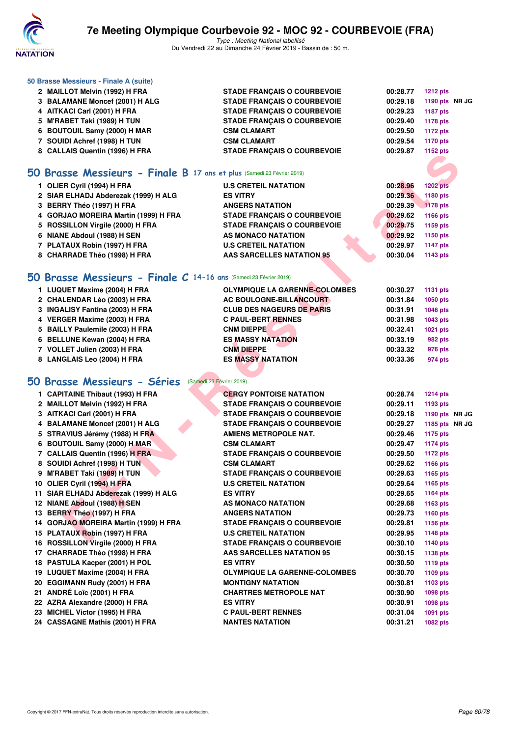

| 50 Brasse Messieurs - Finale A (suite)                                 |                                      |          |                 |  |
|------------------------------------------------------------------------|--------------------------------------|----------|-----------------|--|
| 2 MAILLOT Melvin (1992) H FRA                                          | <b>STADE FRANÇAIS O COURBEVOIE</b>   | 00:28.77 | <b>1212 pts</b> |  |
| 3 BALAMANE Moncef (2001) H ALG                                         | <b>STADE FRANÇAIS O COURBEVOIE</b>   | 00:29.18 | 1190 pts NR JG  |  |
| 4 AITKACI Carl (2001) H FRA                                            | <b>STADE FRANÇAIS O COURBEVOIE</b>   | 00:29.23 | <b>1187 pts</b> |  |
| 5 M'RABET Taki (1989) H TUN                                            | <b>STADE FRANÇAIS O COURBEVOIE</b>   | 00:29.40 | <b>1178 pts</b> |  |
| 6 BOUTOUIL Samy (2000) H MAR                                           | <b>CSM CLAMART</b>                   | 00:29.50 | <b>1172 pts</b> |  |
| 7 SOUIDI Achref (1998) H TUN                                           | <b>CSM CLAMART</b>                   | 00:29.54 | 1170 pts        |  |
| 8 CALLAIS Quentin (1996) H FRA                                         | <b>STADE FRANÇAIS O COURBEVOIE</b>   | 00:29.87 | 1152 pts        |  |
| 50 Brasse Messieurs - Finale B 17 ans et plus (Samedi 23 Février 2019) |                                      |          |                 |  |
|                                                                        | <b>U.S CRETEIL NATATION</b>          | 00:28.96 | <b>1202 pts</b> |  |
| 1 OLIER Cyril (1994) H FRA<br>2 SIAR ELHADJ Abderezak (1999) H ALG     | <b>ES VITRY</b>                      | 00:29.36 | 1180 pts        |  |
| 3 BERRY Théo (1997) H FRA                                              | <b>ANGERS NATATION</b>               | 00:29.39 | <b>1178 pts</b> |  |
| 4 GORJAO MOREIRA Martin (1999) H FRA                                   | <b>STADE FRANÇAIS O COURBEVOIE</b>   | 00:29.62 | <b>1166 pts</b> |  |
| 5 ROSSILLON Virgile (2000) H FRA                                       | <b>STADE FRANÇAIS O COURBEVOIE</b>   | 00:29.75 | 1159 pts        |  |
| 6 NIANE Abdoul (1988) H SEN                                            | AS MONACO NATATION                   | 00:29.92 | 1150 pts        |  |
| 7 PLATAUX Robin (1997) H FRA                                           | <b>U.S CRETEIL NATATION</b>          | 00:29.97 | <b>1147 pts</b> |  |
| 8 CHARRADE Théo (1998) H FRA                                           | AAS SARCELLES NATATION 95            | 00:30.04 | 1143 pts        |  |
|                                                                        |                                      |          |                 |  |
| 50 Brasse Messieurs - Finale C 14-16 ans (Samedi 23 Février 2019)      |                                      |          |                 |  |
| 1 LUQUET Maxime (2004) H FRA                                           | <b>OLYMPIQUE LA GARENNE-COLOMBES</b> | 00:30.27 | <b>1131 pts</b> |  |
| 2 CHALENDAR Léo (2003) H FRA                                           | <b>AC BOULOGNE-BILLANCOURT</b>       | 00:31.84 | <b>1050 pts</b> |  |
| 3 INGALISY Fantina (2003) H FRA                                        | <b>CLUB DES NAGEURS DE PARIS</b>     | 00:31.91 | 1046 pts        |  |
| 4 VERGER Maxime (2003) H FRA                                           | <b>C PAUL-BERT RENNES</b>            | 00:31.98 | 1043 pts        |  |
| 5 BAILLY Paulemile (2003) H FRA                                        | <b>CNM DIEPPE</b>                    | 00:32.41 | 1021 pts        |  |
| 6 BELLUNE Kewan (2004) H FRA                                           | <b>ES MASSY NATATION</b>             | 00:33.19 | <b>982 pts</b>  |  |
| 7 VOLLET Julien (2003) H FRA                                           | <b>CNM DIEPPE</b>                    | 00:33.32 | 976 pts         |  |
| 8 LANGLAIS Leo (2004) H FRA                                            | <b>ES MASSY NATATION</b>             | 00:33.36 | 974 pts         |  |
| 50 Brasse Messieurs - Séries                                           | (Samedi 23 Février 2019)             |          |                 |  |
| 1 CAPITAINE Thibaut (1993) H FRA                                       | <b>CERGY PONTOISE NATATION</b>       | 00:28.74 | <b>1214 pts</b> |  |
| 2 MAILLOT Melvin (1992) H FRA                                          | <b>STADE FRANÇAIS O COURBEVOIE</b>   | 00:29.11 | 1193 pts        |  |
| 3 AITKACI Carl (2001) H FRA                                            | <b>STADE FRANÇAIS O COURBEVOIE</b>   | 00:29.18 | 1190 pts NR JG  |  |
| 4 BALAMANE Moncef (2001) H ALG                                         | <b>STADE FRANÇAIS O COURBEVOIE</b>   | 00:29.27 | 1185 pts NR JG  |  |
| 5 STRAVIUS Jérémy (1988) H FRA                                         | <b>AMIENS METROPOLE NAT.</b>         | 00:29.46 | <b>1175 pts</b> |  |
| 6 BOUTOUIL Samy (2000) H MAR                                           | <b>CSM CLAMART</b>                   | 00:29.47 | <b>1174 pts</b> |  |
| 7 CALLAIS Quentin (1996) H FRA                                         | <b>STADE FRANÇAIS O COURBEVOIE</b>   | 00:29.50 | <b>1172 pts</b> |  |
| 8 SOUIDI Achref (1998) H TUN                                           | <b>CSM CLAMART</b>                   | 00:29.62 | <b>1166 pts</b> |  |
| 9 M'RABET Taki (1989) H TUN                                            | <b>STADE FRANÇAIS O COURBEVOIE</b>   | 00:29.63 | 1165 pts        |  |
| 10 OLIER Cyril (1994) H FRA                                            | <b>U.S CRETEIL NATATION</b>          | 00:29.64 | 1165 pts        |  |
| 11 SIAR ELHADJ Abderezak (1999) H ALG                                  | <b>ES VITRY</b>                      | 00:29.65 | 1164 pts        |  |
| 12 NIANE Abdoul (1988) H SEN                                           | AS MONACO NATATION                   | 00:29.68 | 1163 pts        |  |
| 13 BERRY Théo (1997) H FRA                                             | <b>ANGERS NATATION</b>               | 00:29.73 | 1160 pts        |  |
| 14 GORJAO MOREIRA Martin (1999) H FRA                                  | <b>STADE FRANÇAIS O COURBEVOIE</b>   | 00:29.81 | <b>1156 pts</b> |  |
| 15 PLATAUX Robin (1997) H FRA                                          | <b>U.S CRETEIL NATATION</b>          | 00:29.95 | <b>1148 pts</b> |  |
| 16 ROSSILLON Virgile (2000) H FRA                                      | <b>STADE FRANÇAIS O COURBEVOIE</b>   | 00:30.10 | 1140 pts        |  |
| 17 CHARRADE Théo (1998) H FRA                                          | <b>AAS SARCELLES NATATION 95</b>     | 00:30.15 | 1138 pts        |  |
| 18 PASTULA Kacper (2001) H POL                                         | <b>ES VITRY</b>                      | 00:30.50 | <b>1119 pts</b> |  |
| 19 LUQUET Maxime (2004) H FRA                                          | <b>OLYMPIQUE LA GARENNE-COLOMBES</b> | 00:30.70 | 1109 pts        |  |
| 20 EGGIMANN Rudy (2001) H FRA                                          | <b>MONTIGNY NATATION</b>             | 00:30.81 | 1103 pts        |  |
| 21 ANDRÉ Loïc (2001) H FRA                                             | <b>CHARTRES METROPOLE NAT</b>        | 00:30.90 | 1098 pts        |  |
| 22 AZRA Alexandre (2000) H FRA                                         | <b>ES VITRY</b>                      | 00:30.91 | 1098 pts        |  |
| 23 MICHEL Victor (1995) H FRA                                          | <b>C PAUL-BERT RENNES</b>            | 00:31.04 | 1091 pts        |  |
| 24 CASSAGNE Mathis (2001) H FRA                                        | <b>NANTES NATATION</b>               | 00:31.21 | 1082 pts        |  |
|                                                                        |                                      |          |                 |  |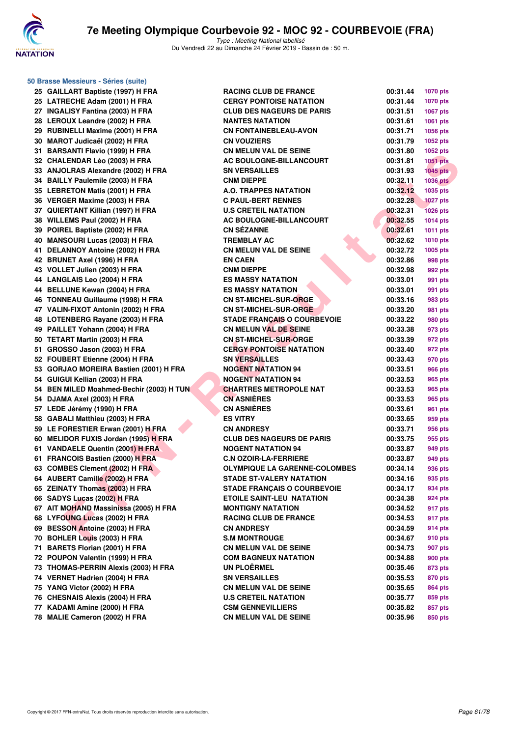

**50 Brasse Messieurs - Séries (suite)**

| 25 | GAILLART Baptiste (1997) H FRA       |
|----|--------------------------------------|
| 25 | LATRECHE Adam (2001) H FRA           |
|    | 27 INGALISY Fantina (2003) H FRA     |
|    | 28 LEROUX Leandre (2002) H FRA       |
|    | 29 RUBINELLI Maxime (2001) H FRA     |
|    | 30 MAROT Judicaël (2002) H FRA       |
| 31 | <b>BARSANTI Flavio (1999) H FRA</b>  |
| 32 | <b>CHALENDAR Léo (2003) H FRA</b>    |
| 33 | ANJOLRAS Alexandre (2002) H FRA      |
| 34 | <b>BAILLY Paulemile (2003) H FRA</b> |
| 35 | <b>LEBRETON Matis (2001) H FRA</b>   |
| 36 | VERGER Maxime (2003) H FRA           |
|    | 37 QUIERTANT Killian (1997) H FRA    |
| 38 | WILLEMS Paul (2002) H FRA            |
| 39 | POIREL Baptiste (2002) H FRA         |
| 40 | <b>MANSOURI Lucas (2003) H FRA</b>   |
| 41 | DELANNOY Antoine (2002) H FRA        |
| 42 | <b>BRUNET Axel (1996) H FRA</b>      |
| 43 | VOLLET Julien (2003) H FRA           |
| 44 | LANGLAIS Leo (2004) H FRA            |
|    | 44 BELLUNE Kewan (2004) H FRA        |
| 46 | TONNEAU Guillaume (1998) H FRA       |
|    | 47 VALIN-FIXOT Antonin (2002) H FRA  |
| 48 | LOTENBERG Rayane (2003) H FRA        |
|    | 49 PAILLET Yohann (2004) H FRA       |
| 50 |                                      |
|    | <b>TETART Martin (2003) H FRA</b>    |
| 51 | GROSSO Jason (2003) H FRA            |
| 52 | FOUBERT Etienne (2004) H FRA         |
| 53 | GORJAO MOREIRA Bastien (2001) H FRA  |
| 54 | GUIGUI Kellian (2003) H FRA          |
| 54 | BEN MILED Moahmed-Bechir (2003) H TU |
| 54 | DJAMA Axel (2003) H FRA              |
| 57 | LEDE Jérémy (1990) H FRA             |
| 58 | GABALI Matthieu (2003) H FRA         |
| 59 | LE FORESTIER Erwan (2001) H FRA      |
| 60 | MELIDOR FUXIS Jordan (1995) H FRA    |
| 61 | <b>VANDAELE Quentin (2001) H FRA</b> |
| 61 | FRANCOIS Bastien (2000) H FRA        |
|    | 63 COMBES Clement (2002) H FRA       |
| 64 | <b>AUBERT Camille (2002) H FRA</b>   |
| 65 | <b>ZEINATY Thomas (2003) H FRA</b>   |
| 66 | SADYS Lucas (2002) H FRA             |
| 67 | AIT MOHAND Massinissa (2005) H FRA   |
| 68 | LYFOUNG Lucas (2002) H FRA           |
| 69 | <b>BESSON Antoine (2003) H FRA</b>   |
| 70 | BOHLER Louis (2003) H FRA            |
| 71 | <b>BARETS Florian (2001) H FRA</b>   |
| 72 | POUPON Valentin (1999) H FRA         |
| 73 | THOMAS-PERRIN Alexis (2003) H FRA    |
| 74 | VERNET Hadrien (2004) H FRA          |
| 75 | YANG Victor (2002) H FRA             |
| 76 | <b>CHESNAIS Alexis (2004) H FRA</b>  |
| 77 | KADAMI Amine (2000) H FRA            |
| 78 | MALIE Cameron (2002) H FRA           |

| 25 GAILLART Baptiste (1997) H FRA        | <b>RACING CLUB DE FRANCE</b>         | 00:31.44 | <b>1070 pts</b> |
|------------------------------------------|--------------------------------------|----------|-----------------|
| 25 LATRECHE Adam (2001) H FRA            | <b>CERGY PONTOISE NATATION</b>       | 00:31.44 | <b>1070 pts</b> |
| 27 INGALISY Fantina (2003) H FRA         | <b>CLUB DES NAGEURS DE PARIS</b>     | 00:31.51 | 1067 pts        |
| 28 LEROUX Leandre (2002) H FRA           | <b>NANTES NATATION</b>               | 00:31.61 | <b>1061 pts</b> |
| 29 RUBINELLI Maxime (2001) H FRA         | <b>CN FONTAINEBLEAU-AVON</b>         | 00:31.71 | <b>1056 pts</b> |
| 30 MAROT Judicaël (2002) H FRA           | <b>CN VOUZIERS</b>                   | 00:31.79 | <b>1052 pts</b> |
| 31 BARSANTI Flavio (1999) H FRA          | <b>CN MELUN VAL DE SEINE</b>         | 00:31.80 | 1052 pts        |
| 32 CHALENDAR Léo (2003) H FRA            | <b>AC BOULOGNE-BILLANCOURT</b>       | 00:31.81 | 1051 pts        |
| 33 ANJOLRAS Alexandre (2002) H FRA       | <b>SN VERSAILLES</b>                 | 00:31.93 | $1045$ pts      |
| 34 BAILLY Paulemile (2003) H FRA         | <b>CNM DIEPPE</b>                    | 00:32.11 | <b>1036 pts</b> |
| 35 LEBRETON Matis (2001) H FRA           | <b>A.O. TRAPPES NATATION</b>         | 00:32.12 | 1035 pts        |
| 36 VERGER Maxime (2003) H FRA            | <b>C PAUL-BERT RENNES</b>            | 00:32.28 | <b>1027 pts</b> |
| 37 QUIERTANT Killian (1997) H FRA        | <b>U.S CRETEIL NATATION</b>          | 00:32.31 | <b>1026 pts</b> |
| 38 WILLEMS Paul (2002) H FRA             | AC BOULOGNE-BILLANCOURT              | 00:32.55 | <b>1014 pts</b> |
| 39 POIREL Baptiste (2002) H FRA          | <b>CN SÉZANNE</b>                    | 00:32.61 | <b>1011 pts</b> |
| 40 MANSOURI Lucas (2003) H FRA           | <b>TREMBLAY AC</b>                   | 00:32.62 | <b>1010 pts</b> |
| 41 DELANNOY Antoine (2002) H FRA         | <b>CN MELUN VAL DE SEINE</b>         | 00:32.72 | 1005 pts        |
| 42 BRUNET Axel (1996) H FRA              | <b>EN CAEN</b>                       | 00:32.86 | 998 pts         |
| 43 VOLLET Julien (2003) H FRA            | <b>CNM DIEPPE</b>                    | 00:32.98 | 992 pts         |
| 44 LANGLAIS Leo (2004) H FRA             | <b>ES MASSY NATATION</b>             | 00:33.01 | 991 pts         |
| 44 BELLUNE Kewan (2004) H FRA            | <b>ES MASSY NATATION</b>             | 00:33.01 | 991 pts         |
| 46 TONNEAU Guillaume (1998) H FRA        | <b>CN ST-MICHEL-SUR-ORGE</b>         | 00:33.16 | 983 pts         |
| 47 VALIN-FIXOT Antonin (2002) H FRA      | <b>CN ST-MICHEL-SUR-ORGE</b>         | 00:33.20 | 981 pts         |
| 48 LOTENBERG Rayane (2003) H FRA         | <b>STADE FRANÇAIS O COURBEVOIE</b>   | 00:33.22 | 980 pts         |
| 49 PAILLET Yohann (2004) H FRA           | <b>CN MELUN VAL DE SEINE</b>         | 00:33.38 | 973 pts         |
| 50 TETART Martin (2003) H FRA            | <b>CN ST-MICHEL-SUR-ORGE</b>         | 00:33.39 | 972 pts         |
| 51 GROSSO Jason (2003) H FRA             | <b>CERGY PONTOISE NATATION</b>       | 00:33.40 | 972 pts         |
| 52 FOUBERT Etienne (2004) H FRA          | <b>SN VERSAILLES</b>                 | 00:33.43 | 970 pts         |
| 53 GORJAO MOREIRA Bastien (2001) H FRA   | <b>NOGENT NATATION 94</b>            | 00:33.51 | 966 pts         |
| 54 GUIGUI Kellian (2003) H FRA           | <b>NOGENT NATATION 94</b>            | 00:33.53 | 965 pts         |
| 54 BEN MILED Moahmed-Bechir (2003) H TUN | <b>CHARTRES METROPOLE NAT</b>        | 00:33.53 | 965 pts         |
| 54 DJAMA Axel (2003) H FRA               | <b>CN ASNIÈRES</b>                   | 00:33.53 | 965 pts         |
| 57 LEDE Jérémy (1990) H FRA              | <b>CN ASNIERES</b>                   | 00:33.61 | 961 pts         |
| 58 GABALI Matthieu (2003) H FRA          | <b>ES VITRY</b>                      | 00:33.65 | 959 pts         |
| 59 LE FORESTIER Erwan (2001) H FRA       | <b>CN ANDRESY</b>                    | 00:33.71 | 956 pts         |
| 60 MELIDOR FUXIS Jordan (1995) H FRA     | <b>CLUB DES NAGEURS DE PARIS</b>     | 00:33.75 | 955 pts         |
| 61 VANDAELE Quentin (2001) H FRA         | <b>NOGENT NATATION 94</b>            | 00:33.87 | 949 pts         |
| 61 FRANCOIS Bastien (2000) H FRA         | <b>C.N OZOIR-LA-FERRIERE</b>         | 00:33.87 | 949 pts         |
| 63 COMBES Clement (2002) H FRA           | <b>OLYMPIQUE LA GARENNE-COLOMBES</b> | 00:34.14 | 936 pts         |
| 64 AUBERT Camille (2002) H FRA           | <b>STADE ST-VALERY NATATION</b>      | 00:34.16 | 935 pts         |
| 65 ZEINATY Thomas (2003) H FRA           | <b>STADE FRANCAIS O COURBEVOIE</b>   | 00:34.17 | 934 pts         |
| 66 SADYS Lucas (2002) H FRA              | <b>ETOILE SAINT-LEU NATATION</b>     | 00:34.38 | 924 pts         |
| 67   AIT MOHAND Massinissa (2005) H FRA  | <b>MONTIGNY NATATION</b>             | 00:34.52 | 917 pts         |
| 68 LYFOUNG Lucas (2002) H FRA            | <b>RACING CLUB DE FRANCE</b>         | 00:34.53 | 917 pts         |
| 69 BESSON Antoine (2003) H FRA           | <b>CN ANDRESY</b>                    | 00:34.59 | 914 pts         |
| 70 BOHLER Louis (2003) H FRA             | <b>S.M MONTROUGE</b>                 | 00:34.67 | 910 pts         |
| 71 BARETS Florian (2001) H FRA           | <b>CN MELUN VAL DE SEINE</b>         | 00:34.73 | 907 pts         |
| 72 POUPON Valentin (1999) H FRA          | <b>COM BAGNEUX NATATION</b>          | 00:34.88 | 900 pts         |
| 73 THOMAS-PERRIN Alexis (2003) H FRA     | <b>UN PLOËRMEL</b>                   | 00:35.46 | 873 pts         |
| 74 VERNET Hadrien (2004) H FRA           | <b>SN VERSAILLES</b>                 | 00:35.53 | 870 pts         |
| 75 YANG Victor (2002) H FRA              | <b>CN MELUN VAL DE SEINE</b>         | 00:35.65 | 864 pts         |
| 76 CHESNAIS Alexis (2004) H FRA          | <b>U.S CRETEIL NATATION</b>          | 00:35.77 | 859 pts         |
| 77 KADAMI Amine (2000) H FRA             | <b>CSM GENNEVILLIERS</b>             | 00:35.82 | 857 pts         |
| 78 MALIE Cameron (2002) H FRA            | <b>CN MELUN VAL DE SEINE</b>         | 00:35.96 | 850 pts         |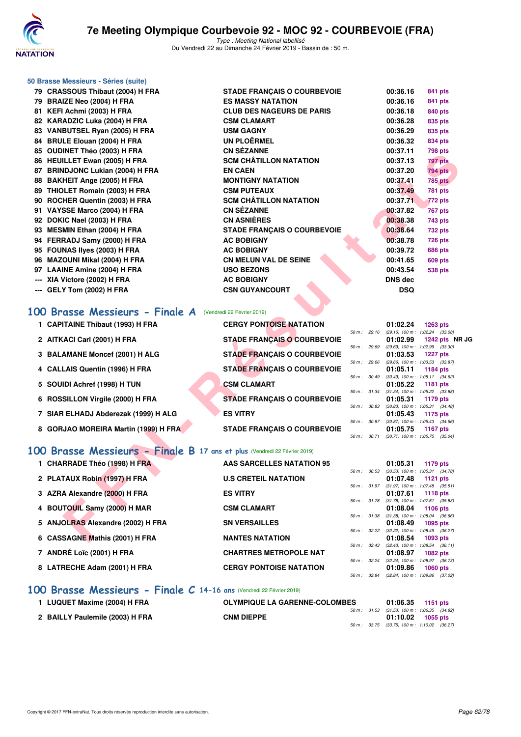

|     | 50 Brasse Messieurs - Séries (suite)                                      |                                        |                              |                      |                                                        |
|-----|---------------------------------------------------------------------------|----------------------------------------|------------------------------|----------------------|--------------------------------------------------------|
|     | 79 CRASSOUS Thibaut (2004) H FRA                                          | <b>STADE FRANÇAIS O COURBEVOIE</b>     |                              | 00:36.16             | 841 pts                                                |
|     | 79 BRAIZE Neo (2004) H FRA                                                | <b>ES MASSY NATATION</b>               |                              | 00:36.16             | 841 pts                                                |
|     | 81 KEFI Achmi (2003) H FRA                                                | <b>CLUB DES NAGEURS DE PARIS</b>       |                              | 00:36.18             | 840 pts                                                |
|     | 82 KARADZIC Luka (2004) H FRA                                             | <b>CSM CLAMART</b>                     |                              | 00:36.28             | 835 pts                                                |
|     | 83 VANBUTSEL Ryan (2005) H FRA                                            | <b>USM GAGNY</b>                       |                              | 00:36.29             | 835 pts                                                |
|     | 84 BRULE Elouan (2004) H FRA                                              | <b>UN PLOËRMEL</b>                     |                              | 00:36.32             | 834 pts                                                |
|     | 85 OUDINET Théo (2003) H FRA                                              | <b>CN SÉZANNE</b>                      |                              | 00:37.11             | <b>798 pts</b>                                         |
|     | 86 HEUILLET Ewan (2005) H FRA                                             | <b>SCM CHÂTILLON NATATION</b>          |                              | 00:37.13             | 797 pts                                                |
|     | 87 BRINDJONC Lukian (2004) H FRA                                          | <b>EN CAEN</b>                         |                              | 00:37.20             | <b>794 pts</b>                                         |
|     | 88 BAKHEIT Ange (2005) H FRA                                              | <b>MONTIGNY NATATION</b>               |                              | 00:37.41             | <b>785 pts</b>                                         |
|     | 89 THIOLET Romain (2003) H FRA                                            | <b>CSM PUTEAUX</b>                     |                              | 00:37.49             | <b>781 pts</b>                                         |
|     | 90 ROCHER Quentin (2003) H FRA                                            | <b>SCM CHÂTILLON NATATION</b>          |                              | 00:37.71             | <b>772 pts</b>                                         |
|     | 91 VAYSSE Marco (2004) H FRA                                              | <b>CN SÉZANNE</b>                      |                              | 00:37.82             | <b>767 pts</b>                                         |
|     | 92 DOKIC Nael (2003) H FRA                                                | <b>CN ASNIÈRES</b>                     |                              | 00:38.38             | 743 pts                                                |
|     | 93 MESMIN Ethan (2004) H FRA<br>94 FERRADJ Samy (2000) H FRA              | <b>STADE FRANÇAIS O COURBEVOIE</b>     |                              | 00:38.64<br>00:38.78 | <b>732 pts</b>                                         |
|     | 95 FOUNAS llyes (2003) H FRA                                              | <b>AC BOBIGNY</b><br><b>AC BOBIGNY</b> |                              | 00:39.72             | <b>726 pts</b><br><b>686 pts</b>                       |
|     | 96 MAZOUNI Mikal (2004) H FRA                                             | <b>CN MELUN VAL DE SEINE</b>           |                              | 00:41.65             | <b>609 pts</b>                                         |
|     | 97 LAAINE Amine (2004) H FRA                                              | <b>USO BEZONS</b>                      |                              | 00:43.54             | <b>538 pts</b>                                         |
|     | --- XIA Victore (2002) H FRA                                              | <b>AC BOBIGNY</b>                      |                              | DNS dec              |                                                        |
| --- | GELY Tom (2002) H FRA                                                     | <b>CSN GUYANCOURT</b>                  |                              | <b>DSQ</b>           |                                                        |
|     |                                                                           |                                        |                              |                      |                                                        |
|     | 100 Brasse Messieurs - Finale A (Vendredi 22 Février 2019)                |                                        |                              |                      |                                                        |
|     | 1 CAPITAINE Thibaut (1993) H FRA                                          | <b>CERGY PONTOISE NATATION</b>         | 50 m : 29.16                 | 01:02.24             | <b>1263 pts</b><br>(29.16) 100 m: 1:02.24 (33.08)      |
|     | 2 AITKACI Carl (2001) H FRA                                               | <b>STADE FRANÇAIS O COURBEVOIE</b>     |                              | 01:02.99             | 1242 pts $NR$ J(                                       |
|     | 3 BALAMANE Moncef (2001) H ALG                                            | <b>STADE FRANÇAIS O COURBEVOIE</b>     | 50 m : 29.69                 | 01:03.53             | (29.69) 100 m: 1:02.99 (33.30)<br><b>1227 pts</b>      |
|     | 4 CALLAIS Quentin (1996) H FRA                                            | <b>STADE FRANÇAIS O COURBEVOIE</b>     | 50 m : 29.66<br>50 m : 30.49 | 01:05.11             | (29.66) 100 m: 1:03.53 (33.87)<br>1184 pts             |
|     | 5 SOUIDI Achref (1998) H TUN                                              | <b>CSM CLAMART</b>                     |                              | 01:05.22             | $(30.49)$ 100 m : 1:05.11 $(34.62)$<br><b>1181 pts</b> |
|     |                                                                           |                                        | 50 m: 31.34                  |                      | $(31.34)$ 100 m : 1:05.22 $(33.88)$                    |
|     | 6 ROSSILLON Virgile (2000) H FRA                                          | <b>STADE FRANÇAIS O COURBEVOIE</b>     | 50 m : 30.83                 | 01:05.31             | 1179 pts<br>(30.83) 100 m: 1:05.31 (34.48)             |
|     | 7 SIAR ELHADJ Abderezak (1999) H ALG                                      | <b>ES VITRY</b>                        |                              | 01:05.43             | 1175 pts                                               |
|     | 8 GORJAO MOREIRA Martin (1999) H FRA                                      | <b>STADE FRANÇAIS O COURBEVOIE</b>     | 50 m : 30.87                 | 01:05.75             | $(30.87)$ 100 m : 1:05.43 $(34.56)$                    |
|     |                                                                           |                                        | 50 m : 30.71                 |                      | <b>1167 pts</b><br>$(30.71)$ 100 m : 1:05.75 $(35.04)$ |
|     |                                                                           |                                        |                              |                      |                                                        |
|     | 100 Brasse Messieurs - Finale B 17 ans et plus (Vendredi 22 Février 2019) |                                        |                              |                      |                                                        |
|     | 1 CHARRADE Théo (1998) H FRA                                              | <b>AAS SARCELLES NATATION 95</b>       | 50 m : 30.53                 | 01:05.31             | 1179 pts<br>(30.53) 100 m : 1:05.31 (34.78)            |
|     | 2 PLATAUX Robin (1997) H FRA                                              | <b>U.S CRETEIL NATATION</b>            |                              | 01:07.48             | <b>1121 pts</b>                                        |
|     |                                                                           |                                        | 50 m : 31.97                 |                      | $(31.97)$ 100 m : 1:07.48 $(35.51)$                    |
|     | 3 AZRA Alexandre (2000) H FRA                                             | <b>ES VITRY</b>                        | 50 m : 31.78                 | 01:07.61             | <b>1118 pts</b><br>$(31.78)$ 100 m : 1:07.61 $(35.83)$ |
| 4   | <b>BOUTOUIL Samy (2000) H MAR</b>                                         | <b>CSM CLAMART</b>                     |                              | 01:08.04             | <b>1106 pts</b>                                        |
|     | 5 ANJOLRAS Alexandre (2002) H FRA                                         | <b>SN VERSAILLES</b>                   | 50 m : 31.38                 | 01:08.49             | $(31.38)$ 100 m : 1:08.04 $(36.66)$<br>1095 pts        |
|     |                                                                           |                                        |                              |                      |                                                        |
|     | 6 CASSAGNE Mathis (2001) H FRA                                            | <b>NANTES NATATION</b>                 | 50 m : 32.22                 | 01:08.54             | (32.22) 100 m : 1:08.49 (36.27)<br>1093 pts            |

# **[100 Brasse Messieurs - Finale A](http://www.ffnatation.fr/webffn/resultats.php?idact=nat&go=epr&idcpt=57703&idepr=72)** (Vendredi 22 Février 2019)

| 1 CAPITAINE Thibaut (1993) H FRA     | <b>CERGY PONTOISE NATATION</b>     |             |                  | 01:02.24                              | 1263 pts                                               |
|--------------------------------------|------------------------------------|-------------|------------------|---------------------------------------|--------------------------------------------------------|
| 2 AITKACI Carl (2001) H FRA          | <b>STADE FRANÇAIS O COURBEVOIE</b> |             | $50 m$ : 29.16   | 01:02.99                              | $(29.16)$ 100 m : 1:02.24 $(33.08)$<br>1242 pts NR JC  |
| 3 BALAMANE Moncef (2001) H ALG       | <b>STADE FRANCAIS O COURBEVOIE</b> |             | 50 m: 29.69      | 01:03.53                              | $(29.69)$ 100 m : 1:02.99 $(33.30)$<br><b>1227 pts</b> |
| 4 CALLAIS Quentin (1996) H FRA       | <b>STADE FRANÇAIS O COURBEVOIE</b> |             | 50 m: 29.66      | 01:05.11                              | $(29.66)$ 100 m : 1:03.53 $(33.87)$<br>1184 pts        |
|                                      | <b>CSM CLAMART</b>                 |             | 50 m: 30.49      |                                       | $(30.49)$ 100 m : 1:05.11 $(34.62)$                    |
| 5 SOUIDI Achref (1998) H TUN         |                                    | 50 m: 31.34 |                  | 01:05.22                              | 1181 pts<br>$(31.34)$ 100 m : 1:05.22 $(33.88)$        |
| 6 ROSSILLON Virgile (2000) H FRA     | <b>STADE FRANCAIS O COURBEVOIE</b> |             | 50 m: 30.83      | 01:05.31                              | 1179 pts<br>$(30.83)$ 100 m : 1:05.31 $(34.48)$        |
| 7 SIAR ELHADJ Abderezak (1999) H ALG | <b>ES VITRY</b>                    |             | $50 m$ : $30.87$ | 01:05.43                              | 1175 pts<br>$(30.87)$ 100 m : 1:05.43 $(34.56)$        |
| 8 GORJAO MOREIRA Martin (1999) H FRA | <b>STADE FRANCAIS O COURBEVOIE</b> | 50 m :      | 30.71            | 01:05.75<br>$(30.71)$ 100 m : 1:05.75 | 1167 pts<br>(35.04)                                    |
|                                      |                                    |             |                  |                                       |                                                        |

## **[100 Brasse Messieurs - Finale B](http://www.ffnatation.fr/webffn/resultats.php?idact=nat&go=epr&idcpt=57703&idepr=72) 17 ans et plus** (Vendredi 22 Février 2019)

| AAS SARCELLES NATATION 95                                                                                                                                                                                                                                         |                                                                                                     | 01:05.31                                                                                          |                                  | 1179 pts                                                                                                                                                                                                                                                                                                                                                                                                                      |
|-------------------------------------------------------------------------------------------------------------------------------------------------------------------------------------------------------------------------------------------------------------------|-----------------------------------------------------------------------------------------------------|---------------------------------------------------------------------------------------------------|----------------------------------|-------------------------------------------------------------------------------------------------------------------------------------------------------------------------------------------------------------------------------------------------------------------------------------------------------------------------------------------------------------------------------------------------------------------------------|
|                                                                                                                                                                                                                                                                   |                                                                                                     |                                                                                                   |                                  |                                                                                                                                                                                                                                                                                                                                                                                                                               |
|                                                                                                                                                                                                                                                                   |                                                                                                     |                                                                                                   |                                  |                                                                                                                                                                                                                                                                                                                                                                                                                               |
| <b>ES VITRY</b>                                                                                                                                                                                                                                                   |                                                                                                     |                                                                                                   |                                  |                                                                                                                                                                                                                                                                                                                                                                                                                               |
|                                                                                                                                                                                                                                                                   |                                                                                                     |                                                                                                   |                                  |                                                                                                                                                                                                                                                                                                                                                                                                                               |
|                                                                                                                                                                                                                                                                   |                                                                                                     |                                                                                                   |                                  |                                                                                                                                                                                                                                                                                                                                                                                                                               |
|                                                                                                                                                                                                                                                                   |                                                                                                     |                                                                                                   |                                  |                                                                                                                                                                                                                                                                                                                                                                                                                               |
|                                                                                                                                                                                                                                                                   |                                                                                                     |                                                                                                   |                                  |                                                                                                                                                                                                                                                                                                                                                                                                                               |
|                                                                                                                                                                                                                                                                   |                                                                                                     |                                                                                                   |                                  |                                                                                                                                                                                                                                                                                                                                                                                                                               |
|                                                                                                                                                                                                                                                                   |                                                                                                     |                                                                                                   |                                  |                                                                                                                                                                                                                                                                                                                                                                                                                               |
| <b>CHARTRES METROPOLE NAT</b>                                                                                                                                                                                                                                     |                                                                                                     |                                                                                                   |                                  | 1082 pts                                                                                                                                                                                                                                                                                                                                                                                                                      |
|                                                                                                                                                                                                                                                                   |                                                                                                     |                                                                                                   |                                  |                                                                                                                                                                                                                                                                                                                                                                                                                               |
| <b>CERGY PONTOISE NATATION</b>                                                                                                                                                                                                                                    |                                                                                                     |                                                                                                   |                                  | 1060 $pts$                                                                                                                                                                                                                                                                                                                                                                                                                    |
|                                                                                                                                                                                                                                                                   |                                                                                                     |                                                                                                   |                                  |                                                                                                                                                                                                                                                                                                                                                                                                                               |
| 1 CHARRADE Théo (1998) H FRA<br>2 PLATAUX Robin (1997) H FRA<br>3 AZRA Alexandre (2000) H FRA<br>4 BOUTOUIL Samy (2000) H MAR<br>5 ANJOLRAS Alexandre (2002) H FRA<br>6 CASSAGNE Mathis (2001) H FRA<br>7 ANDRÉ Loïc (2001) H FRA<br>8 LATRECHE Adam (2001) H FRA | <b>U.S CRETEIL NATATION</b><br><b>CSM CLAMART</b><br><b>SN VERSAILLES</b><br><b>NANTES NATATION</b> | 50 m: 30.53<br>50 m: 31.97<br>50 m: 31.38<br>50 m: 32.43<br>50 m: 32.24<br>$50 \text{ m}$ : 32.84 | 01:07.48<br>01:08.04<br>01:08.54 | $(30.53)$ 100 m : 1:05.31 $(34.78)$<br>1121 pts<br>(31.97) 100 m: 1:07.48 (35.51<br>01:07.61 1118 pts<br>50 m: 31.78 (31.78) 100 m: 1:07.61 (35.83<br>1106 pts<br>$(31.38)$ 100 m : 1:08.04 $(36.66)$<br>$01:08.49$ 1095 pts<br>50 m: 32.22 (32.22) 100 m: 1:08.49 (36.27<br>1093 pts<br>$(32.43)$ 100 m : 1:08.54 $(36.11)$<br>01:08.97<br>(32.24) 100 m : 1:08.97 (36.73<br>01:09.86<br>$(32.84)$ 100 m : 1.09.86 $(37.02)$ |

# **[100 Brasse Messieurs - Finale C](http://www.ffnatation.fr/webffn/resultats.php?idact=nat&go=epr&idcpt=57703&idepr=72) 14-16 ans** (Vendredi 22 Février 2019)

| 1 LUQUET Maxime (2004) H FRA    | <b>OLYMPIQUE LA GARENNE-COLOMBES</b> |  | $01:06.35$ 1151 pts                          |                     |  |
|---------------------------------|--------------------------------------|--|----------------------------------------------|---------------------|--|
|                                 |                                      |  | 50 m : 31.53 (31.53) 100 m : 1:06.35 (34.82) |                     |  |
| 2 BAILLY Paulemile (2003) H FRA | <b>CNM DIEPPE</b>                    |  |                                              | $01:10.02$ 1055 pts |  |
|                                 |                                      |  | 50 m : 33.75 (33.75) 100 m : 1:10.02 (36.27  |                     |  |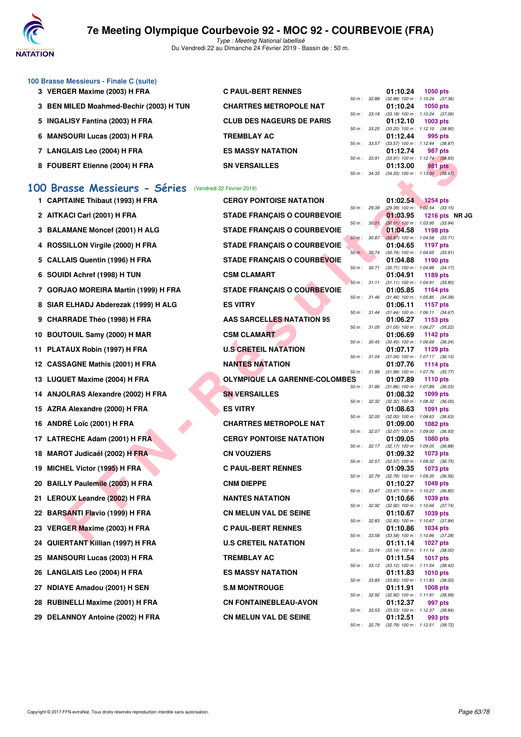

Type : Meeting National labellisé Du Vendredi 22 au Dimanche 24 Février 2019 - Bassin de : 50 m.

| 100 Brasse Messieurs - Finale C (suite) |                                  |                        |             |                                     |                 |                |
|-----------------------------------------|----------------------------------|------------------------|-------------|-------------------------------------|-----------------|----------------|
| 3 VERGER Maxime (2003) H FRA            | <b>C PAUL-BERT RENNES</b>        |                        |             | 01:10.24                            | <b>1050 pts</b> |                |
|                                         |                                  | 50 m: 32.88            |             | $(32.88)$ 100 m : 1:10.24 $(37.36)$ |                 |                |
| 3 BEN MILED Moahmed-Bechir (2003) H TUN | <b>CHARTRES METROPOLE NAT</b>    |                        |             | 01:10.24                            | <b>1050 pts</b> |                |
|                                         |                                  | $50 m$ : $33.18$       |             | $(33.18)$ 100 m : 1:10.24 $(37.06)$ |                 |                |
| 5 INGALISY Fantina (2003) H FRA         | <b>CLUB DES NAGEURS DE PARIS</b> |                        |             | 01:12.10                            | $1003$ pts      |                |
|                                         |                                  |                        | 50 m: 33.20 | $(33.20)$ 100 m : 1:12.10 $(38.90)$ |                 |                |
| 6 MANSOURI Lucas (2003) H FRA           | <b>TREMBLAY AC</b>               |                        |             | 01:12.44                            |                 | 995 pts        |
|                                         |                                  | $50 m$ : $33.57$       |             | (33.57) 100 m : 1:12.44 (38.87)     |                 |                |
| 7 LANGLAIS Leo (2004) H FRA             | <b>ES MASSY NATATION</b>         |                        |             | 01:12.74                            |                 | 987 pts        |
|                                         |                                  | 50 m: 33.91            |             | $(33.91)$ 100 m : 1:12.74 $(38.83)$ |                 |                |
| 8 FOUBERT Etienne (2004) H FRA          | <b>SN VERSAILLES</b>             |                        |             | 01:13.00                            |                 | <b>981 pts</b> |
|                                         |                                  | $50 \text{ m}$ : 34.33 |             | $(34.33)$ 100 m : 1:13.00 $(38.67)$ |                 |                |

## **[100 Brasse Messieurs - Séries](http://www.ffnatation.fr/webffn/resultats.php?idact=nat&go=epr&idcpt=57703&idepr=72)** (Vendredi 22 Février 2019)

|    | <b>LANGLAIO LEU (2004) II FRA</b>                           | ווטוו מומו וכטמונוסם                 |              |              | ,,,, <i>,</i> ,,,                                                                      |                 | <i>อ</i> บ µเจ |  |
|----|-------------------------------------------------------------|--------------------------------------|--------------|--------------|----------------------------------------------------------------------------------------|-----------------|----------------|--|
|    | 8 FOUBERT Etienne (2004) H FRA                              | <b>SN VERSAILLES</b>                 | 50 m: 34.33  | 50 m : 33.91 | $(33.91)$ 100 m : 1:12.74 $(38.83)$<br>01:13.00<br>$(34.33)$ 100 m : 1:13.00 $(38.67)$ |                 | 981 pts        |  |
| 00 | <b>Brasse Messieurs - Séries</b> (Vendredi 22 Février 2019) |                                      |              |              |                                                                                        |                 |                |  |
|    | 1 CAPITAINE Thibaut (1993) H FRA                            | <b>CERGY PONTOISE NATATION</b>       |              |              | 01:02.54                                                                               | <b>1254 pts</b> |                |  |
|    |                                                             |                                      | 50 m: 29.39  |              | $(29.39)$ 100 m : 1:02.54 $(33.15)$                                                    |                 |                |  |
|    | 2 AITKACI Carl (2001) H FRA                                 | <b>STADE FRANÇAIS O COURBEVOIE</b>   | 50 m: 30.01  |              | 01:03.95<br>$(30.01)$ 100 m : 1:03.95 $(33.94)$                                        |                 | 1216 pts NR JC |  |
|    | 3 BALAMANE Moncef (2001) H ALG                              | <b>STADE FRANÇAIS O COURBEVOIE</b>   |              |              | 01:04.58                                                                               | 1198 pts        |                |  |
|    | 4 ROSSILLON Virgile (2000) H FRA                            | <b>STADE FRANÇAIS O COURBEVOIE</b>   | 50 m: 30.87  |              | $(30.87)$ 100 m : 1:04.58 $(33.71)$<br>01:04.65                                        | 1197 pts        |                |  |
|    | 5 CALLAIS Quentin (1996) H FRA                              | STADE FRANÇAIS O COURBEVOIE          |              | 50 m : 30.74 | (30.74) 100 m: 1:04.65 (33.91)<br>01:04.88                                             | 1190 pts        |                |  |
|    | 6 SOUIDI Achref (1998) H TUN                                | <b>CSM CLAMART</b>                   | 50 m : 30.71 |              | $(30.71)$ 100 m : 1:04.88 $(34.17)$<br>01:04.91                                        | 1189 pts        |                |  |
|    |                                                             |                                      | 50 m: 31.11  |              | $(31.11)$ 100 m : 1:04.91 $(33.80)$                                                    |                 |                |  |
|    | 7 GORJAO MOREIRA Martin (1999) H FRA                        | <b>STADE FRANÇAIS O COURBEVOIE</b>   |              | 50 m : 31.46 | 01:05.85<br>$(31.46)$ 100 m : 1:05.85 $(34.39)$                                        | 1164 pts        |                |  |
|    | 8 SIAR ELHADJ Abderezak (1999) H ALG                        | <b>ES VITRY</b>                      |              |              | 01:06.11                                                                               | <b>1157 pts</b> |                |  |
|    | 9 CHARRADE Théo (1998) H FRA                                | <b>AAS SARCELLES NATATION 95</b>     | 50 m: 31.44  |              | $(31.44)$ 100 m : 1:06.11 $(34.67)$<br>01:06.27                                        | 1153 pts        |                |  |
|    |                                                             |                                      |              | 50 m : 31.05 | (31.05) 100 m: 1:06.27 (35.22)                                                         |                 |                |  |
|    | 10 BOUTOUIL Samy (2000) H MAR                               | <b>CSM CLAMART</b>                   |              |              | 01:06.69                                                                               | 1142 pts        |                |  |
|    | 11 PLATAUX Robin (1997) H FRA                               | <b>U.S CRETEIL NATATION</b>          |              | 50 m : 30.45 | $(30.45)$ 100 m : 1:06.69 $(36.24)$<br>01:07.17                                        | 1129 pts        |                |  |
|    |                                                             | <b>NANTES NATATION</b>               | 50 m: 31.04  |              | $(31.04)$ 100 m : 1:07.17 $(36.13)$                                                    |                 |                |  |
|    | 12 CASSAGNE Mathis (2001) H FRA                             |                                      | 50 m: 31.99  |              | 01:07.76<br>$(31.99)$ 100 m : 1:07.76 $(35.77)$                                        | <b>1114 pts</b> |                |  |
|    | 13 LUQUET Maxime (2004) H FRA                               | <b>OLYMPIQUE LA GARENNE-COLOMBES</b> |              |              | 01:07.89                                                                               | 1110 pts        |                |  |
|    | 14 ANJOLRAS Alexandre (2002) H FRA                          | <b>SN VERSAILLES</b>                 | 50 m: 31.86  |              | $(31.86)$ 100 m : 1:07.89 $(36.03)$<br>01:08.32                                        | 1099 pts        |                |  |
|    |                                                             |                                      | 50 m: 32.32  |              | (32.32) 100 m: 1:08.32 (36.00)                                                         |                 |                |  |
|    | 15 AZRA Alexandre (2000) H FRA                              | <b>ES VITRY</b>                      | 50 m: 32.00  |              | 01:08.63<br>$(32.00)$ 100 m : 1:08.63 $(36.63)$                                        | 1091 pts        |                |  |
|    | 16 ANDRÉ Loïc (2001) H FRA                                  | <b>CHARTRES METROPOLE NAT</b>        |              |              | 01:09.00                                                                               | <b>1082 pts</b> |                |  |
|    | 17 LATRECHE Adam (2001) H FRA                               | <b>CERGY PONTOISE NATATION</b>       |              | 50 m : 32.07 | $(32.07)$ 100 m : 1:09.00 $(36.93)$<br>01:09.05                                        | <b>1080 pts</b> |                |  |
|    |                                                             |                                      |              | 50 m : 32.17 | $(32.17)$ 100 m : 1:09.05 $(36.88)$                                                    |                 |                |  |
|    | 18 MAROT Judicaël (2002) H FRA                              | <b>CN VOUZIERS</b>                   |              | 50 m : 32.57 | 01:09.32<br>$(32.57)$ 100 m : 1:09.32 $(36.75)$                                        | 1073 pts        |                |  |
|    | 19 MICHEL Victor (1995) H FRA                               | <b>C PAUL-BERT RENNES</b>            |              |              | 01:09.35                                                                               | 1073 pts        |                |  |
|    | 20 BAILLY Paulemile (2003) H FRA                            | <b>CNM DIEPPE</b>                    | 50 m : 32.79 |              | (32.79) 100 m : 1:09.35 (36.56)<br>01:10.27                                            | 1049 pts        |                |  |
|    |                                                             |                                      |              | 50 m : 33.47 | (33.47) 100 m: 1:10.27 (36.80)                                                         |                 |                |  |
|    | 21 LEROUX Leandre (2002) H FRA                              | <b>NANTES NATATION</b>               |              | 50 m : 32.92 | 01:10.66<br>$(32.92)$ 100 m : 1:10.66 $(37.74)$                                        | 1039 pts        |                |  |
|    | 22 BARSANTI Flavio (1999) H FRA                             | <b>CN MELUN VAL DE SEINE</b>         |              |              | 01:10.67                                                                               | 1039 pts        |                |  |
|    | 23 VERGER Maxime (2003) H FRA                               | <b>C PAUL-BERT RENNES</b>            |              | 50 m : 32.83 | (32.83) 100 m: 1:10.67 (37.84)<br>01:10.86                                             | <b>1034 pts</b> |                |  |
|    |                                                             |                                      | 50 m: 33.58  |              | $(33.58)$ 100 m : 1:10.86 $(37.28)$                                                    |                 |                |  |
|    | 24 QUIERTANT Killian (1997) H FRA                           | <b>U.S CRETEIL NATATION</b>          |              |              | 01:11.14<br>50 m : 33.14 (33.14) 100 m : 1:11.14 (38.00)                               | <b>1027 pts</b> |                |  |
|    | 25 MANSOURI Lucas (2003) H FRA                              | TREMBLAY AC                          |              |              | 01:11.54                                                                               | <b>1017 pts</b> |                |  |
|    | 26 LANGLAIS Leo (2004) H FRA                                | <b>ES MASSY NATATION</b>             |              |              | 50 m: 33.12 (33.12) 100 m: 1:11.54 (38.42)<br>01:11.83                                 | <b>1010 pts</b> |                |  |
|    |                                                             |                                      |              |              | 50 m: 33.83 (33.83) 100 m: 1:11.83 (38.00)                                             |                 |                |  |
|    | 27 NDIAYE Amadou (2001) H SEN                               | <b>S.M MONTROUGE</b>                 |              |              | 01:11.91<br>50 m: 32.92 (32.92) 100 m: 1:11.91 (38.99)                                 | <b>1008 pts</b> |                |  |
|    | 28 RUBINELLI Maxime (2001) H FRA                            | <b>CN FONTAINEBLEAU-AVON</b>         |              |              | 01:12.37                                                                               |                 | 997 pts        |  |
|    | 29 DELANNOY Antoine (2002) H FRA                            | <b>CN MELUN VAL DE SEINE</b>         |              |              | 50 m: 33.53 (33.53) 100 m: 1:12.37 (38.84)<br>01:12.51                                 |                 | 993 pts        |  |
|    |                                                             |                                      |              |              | 50 m: 32.79 (32.79) 100 m: 1:12.51 (39.72)                                             |                 |                |  |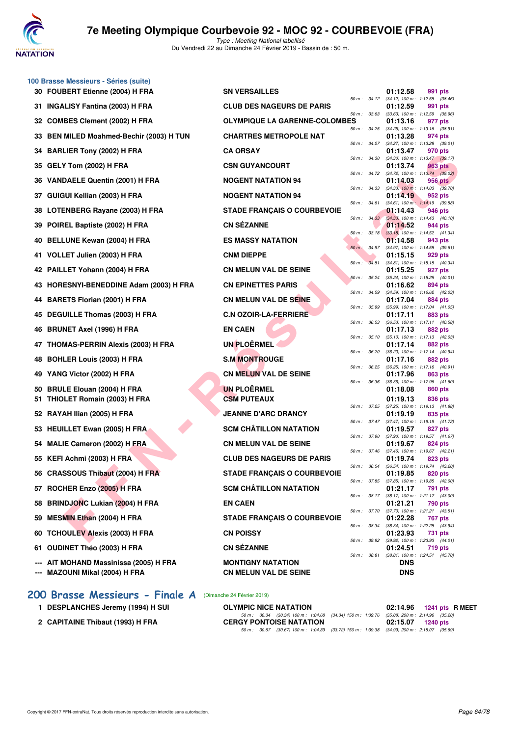

**100 Brasse Messieurs - Séries (suite)**

# **7e Meeting Olympique Courbevoie 92 - MOC 92 - COURBEVOIE (FRA)**

Type : Meeting National labellisé Du Vendredi 22 au Dimanche 24 Février 2019 - Bassin de : 50 m.

|          | 30 FOUBERT Etienne (2004) H FRA                                 | <b>SN VERSAILLES</b>                     |              |              | 01:12.58<br>991 pts                                                 |  |
|----------|-----------------------------------------------------------------|------------------------------------------|--------------|--------------|---------------------------------------------------------------------|--|
| 31.      | <b>INGALISY Fantina (2003) H FRA</b>                            | <b>CLUB DES NAGEURS DE PARIS</b>         |              | 50 m : 34.12 | $(34.12)$ 100 m : 1:12.58 $(38.46)$<br>01:12.59<br>991 pts          |  |
| 32       | <b>COMBES Clement (2002) H FRA</b>                              | <b>OLYMPIQUE LA GARENNE-COLOMBES</b>     | 50 m: 33.63  |              | (33.63) 100 m: 1:12.59 (38.96)<br>01:13.16<br>977 pts               |  |
|          | 33 BEN MILED Moahmed-Bechir (2003) H TUN                        | <b>CHARTRES METROPOLE NAT</b>            |              | 50 m : 34.25 | $(34.25)$ 100 m : 1:13.16 $(38.91)$<br>01:13.28<br>974 pts          |  |
| 34       | <b>BARLIER Tony (2002) H FRA</b>                                | <b>CA ORSAY</b>                          |              | 50 m : 34.27 | (34.27) 100 m: 1:13.28 (39.01)<br>01:13.47<br>970 pts               |  |
| 35       | GELY Tom (2002) H FRA                                           | <b>CSN GUYANCOURT</b>                    | 50 m: 34.30  |              | $(34.30)$ 100 m : 1:13.47 $(39.17)$<br>01:13.74<br>963 pts          |  |
|          | 36 VANDAELE Quentin (2001) H FRA                                | <b>NOGENT NATATION 94</b>                |              |              | 50 m : 34.72 (34.72) 100 m : 1:13.74 (39.02)<br>01:14.03<br>956 pts |  |
| 37       | GUIGUI Kellian (2003) H FRA                                     | <b>NOGENT NATATION 94</b>                |              | 50 m : 34.33 | $(34.33)$ 100 m : 1:14.03 $(39.70)$<br>01:14.19<br>952 pts          |  |
| 38       | LOTENBERG Rayane (2003) H FRA                                   | <b>STADE FRANÇAIS O COURBEVOIE</b>       |              | 50 m : 34.61 | $(34.61)$ 100 m : 1:14.19 $(39.58)$<br>01:14.43<br>946 pts          |  |
| 39       | POIREL Baptiste (2002) H FRA                                    | <b>CN SÉZANNE</b>                        |              | 50 m: 34.33  | $(34.33)$ 100 m : 1:14.43 $(40.10)$<br>01:14.52<br>944 pts          |  |
| 40       | <b>BELLUNE Kewan (2004) H FRA</b>                               | <b>ES MASSY NATATION</b>                 |              | 50 m: 33.18  | $(33.18)$ 100 m : 1:14.52 $(41.34)$<br>01:14.58<br>943 pts          |  |
|          | 41 VOLLET Julien (2003) H FRA                                   | <b>CNM DIEPPE</b>                        |              | 50 m : 34.97 | $(34.97)$ 100 m : 1:14.58 $(39.61)$<br>01:15.15<br>929 pts          |  |
|          | 42 PAILLET Yohann (2004) H FRA                                  | <b>CN MELUN VAL DE SEINE</b>             |              | 50 m : 34.81 | $(34.81)$ 100 m : 1:15.15 $(40.34)$<br>01:15.25<br>927 pts          |  |
| 43       | HORESNYI-BENEDDINE Adam (2003) H FRA                            | <b>CN EPINETTES PARIS</b>                |              | 50 m: 35.24  | $(35.24)$ 100 m : 1:15.25 $(40.01)$<br>01:16.62<br>894 pts          |  |
|          | <b>BARETS Florian (2001) H FRA</b>                              | <b>CN MELUN VAL DE SEINE</b>             | 50 m: 34.59  |              | (34.59) 100 m: 1:16.62 (42.03)<br>01:17.04<br>884 pts               |  |
| 44       |                                                                 |                                          | 50 m : 35.99 |              | (35.99) 100 m: 1:17.04 (41.05)                                      |  |
|          | 45 DEGUILLE Thomas (2003) H FRA                                 | <b>C.N OZOIR-LA-FERRIERE</b>             | 50 m: 36.53  |              | 01:17.11<br>883 pts<br>(36.53) 100 m: 1:17.11 (40.58)               |  |
| 46       | <b>BRUNET Axel (1996) H FRA</b>                                 | <b>EN CAEN</b>                           | 50 m: 35.10  |              | 01:17.13<br>882 pts<br>$(35.10)$ 100 m : 1:17.13 $(42.03)$          |  |
| 47       | <b>THOMAS-PERRIN Alexis (2003) H FRA</b>                        | <b>UN PLOËRMEL</b>                       | 50 m : 36.20 |              | 01:17.14<br>882 pts<br>(36.20) 100 m: 1:17.14 (40.94)               |  |
| 48       | <b>BOHLER Louis (2003) H FRA</b>                                | <b>S.M MONTROUGE</b>                     |              | 50 m : 36.25 | 01:17.16<br>882 pts<br>(36.25) 100 m: 1:17.16 (40.91)               |  |
| 49       | YANG Victor (2002) H FRA                                        | <b>CN MELUN VAL DE SEINE</b>             |              | 50 m : 36.36 | 01:17.96<br>863 pts<br>$(36.36)$ 100 m : 1:17.96 $(41.60)$          |  |
| 50<br>51 | <b>BRULE Elouan (2004) H FRA</b><br>THIOLET Romain (2003) H FRA | <b>UN PLOËRMEL</b><br><b>CSM PUTEAUX</b> |              |              | 01:18.08<br>860 pts<br>01:19.13<br>836 pts                          |  |
|          |                                                                 | <b>JEANNE D'ARC DRANCY</b>               |              | 50 m : 37.25 | $(37.25)$ 100 m : 1:19.13 $(41.88)$                                 |  |
|          | 52 RAYAH Ilian (2005) H FRA                                     |                                          |              | 50 m : 37.47 | 01:19.19<br>835 pts<br>(37.47) 100 m: 1:19.19 (41.72)               |  |
|          | 53 HEUILLET Ewan (2005) H FRA                                   | <b>SCM CHÂTILLON NATATION</b>            |              | 50 m : 37.90 | 01:19.57<br>827 pts<br>(37.90) 100 m : 1:19.57 (41.67)              |  |
| 54       | MALIE Cameron (2002) H FRA                                      | <b>CN MELUN VAL DE SEINE</b>             |              | 50 m : 37.46 | 01:19.67<br>824 pts<br>(37.46) 100 m: 1:19.67 (42.21)               |  |
| 55       | KEFI Achmi (2003) H FRA                                         | <b>CLUB DES NAGEURS DE PARIS</b>         |              | 50 m : 36.54 | 01:19.74<br>823 pts<br>(36.54) 100 m: 1:19.74 (43.20)               |  |
|          | 56 CRASSOUS Thibaut (2004) H FRA                                | <b>STADE FRANÇAIS O COURBEVOIE</b>       |              |              | 01:19.85<br>820 pts<br>50 m : 37.85 (37.85) 100 m : 1:19.85 (42.00) |  |
|          | 57 ROCHER Enzo (2005) H FRA                                     | <b>SCM CHÂTILLON NATATION</b>            |              | 50 m : 38.17 | 01:21.17<br>791 pts<br>$(38.17)$ 100 m : 1:21.17 $(43.00)$          |  |
|          | 58 BRINDJONC Lukian (2004) H FRA                                | <b>EN CAEN</b>                           |              | 50 m : 37.70 | 01:21.21<br>790 pts<br>$(37.70)$ 100 m : 1:21.21 $(43.51)$          |  |
| 59       | <b>MESMIN Ethan (2004) H FRA</b>                                | <b>STADE FRANÇAIS O COURBEVOIE</b>       |              |              | 01:22.28<br>767 pts<br>50 m : 38.34 (38.34) 100 m : 1:22.28 (43.94) |  |
| 60       | <b>TCHOULEV Alexis (2003) H FRA</b>                             | <b>CN POISSY</b>                         |              |              | 01:23.93<br>731 pts                                                 |  |
|          | 61 OUDINET Théo (2003) H FRA                                    | <b>CN SÉZANNE</b>                        |              |              | 50 m: 39.92 (39.92) 100 m: 1:23.93 (44.01)<br>01:24.51<br>719 pts   |  |
|          | AIT MOHAND Massinissa (2005) H FRA                              | <b>MONTIGNY NATATION</b>                 |              | 50 m : 38.81 | $(38.81)$ 100 m : 1:24.51 $(45.70)$<br><b>DNS</b>                   |  |
|          | <b>MAZOUNI Mikal (2004) H FRA</b>                               | <b>CN MELUN VAL DE SEINE</b>             |              |              | <b>DNS</b>                                                          |  |

| DESPLANCHES Jeremy (1994) H SUI  | <b>OLYMPIC NICE NATATION</b>                                                                 | 02:14.96 1241 pts R MEET |
|----------------------------------|----------------------------------------------------------------------------------------------|--------------------------|
|                                  | 50 m : 30.34 (30.34) 100 m : 1:04.68 (34.34) 150 m : 1:39.76 (35.08) 200 m : 2:14.96 (35.20) |                          |
| 2 CAPITAINE Thibaut (1993) H FRA | <b>CERGY PONTOISE NATATION</b>                                                               | 02:15.07 1240 pts        |
|                                  | 50 m : 30.67 (30.67) 100 m : 1:04.39 (33.72) 150 m : 1:39.38 (34.99) 200 m : 2:15.07 (35.69) |                          |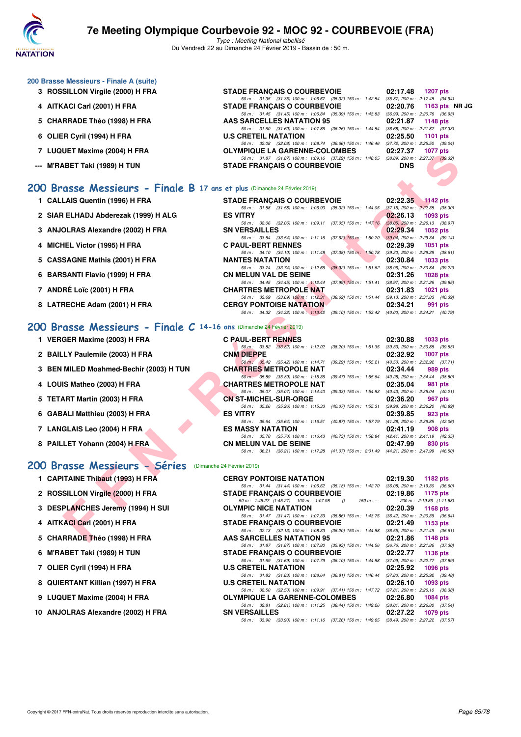

Type : Meeting National labellisé Du Vendredi 22 au Dimanche 24 Février 2019 - Bassin de : 50 m.

#### **200 Brasse Messieurs - Finale A (suite)**

- **3 ROSSILLON Virgile (2000) H FRA**
- **4 AITKACI Carl (2001) H FRA**
- 5 CHARRADE Théo (1998) H FRA
- **6 OLIER Cyril (1994) H FRA**
- **7 LUQUET Maxime (2004) H FRA**
- **--- M'RABET Taki (1989) H TUN**

## **[200 Brasse Messieurs - Finale B](http://www.ffnatation.fr/webffn/resultats.php?idact=nat&go=epr&idcpt=57703&idepr=73) 17 ans et plus** (Dimanche 24 Février 2019)

- **1 CALLAIS Quentin (1996) H FRA**
- 2 SIAR ELHADJ Abderezak (1999) H ALG
- **3 ANJOLRAS Alexandre (2002) H FRA**
- 
- 
- **6 BARSANTI Flavio (1999) H FRA**
- **7 ANDRÉ Loïc (2001) H FRA CHARTRES METROPOLE NAT 02:31.83 1021 pts**
- 8 LATRECHE Adam (2001) H FRA

## **[200 Brasse Messieurs - Finale C](http://www.ffnatation.fr/webffn/resultats.php?idact=nat&go=epr&idcpt=57703&idepr=73) 14-16 ans** (Dimanche 24 Février 2019)

- 
- 
- 
- 
- 
- 
- 
- 

#### **[200 Brasse Messieurs - Séries](http://www.ffnatation.fr/webffn/resultats.php?idact=nat&go=epr&idcpt=57703&idepr=73)** (Dimanche 24 Février 2019)

- **1 CAPITAINE Thibaut (1993) H FRA**
- 2 ROSSILLON Virgile (2000) H FRA
- **3 DESPLANCHES Jeremy (1994) H SUI**
- **4 AITKACI Carl (2001) H FRA**
- 5 CHARRADE Théo (1998) H FRA
- **6 M'RABET Taki (1989) H TUN**
- **7 OLIER Cyril (1994) H FRA**
- 8 QUIERTANT Killian (1997) H FRA
- **9 LUQUET Maxime (2004) H FRA**
- 10 ANJOLRAS Alexandre (2002) H FRA

| <b>STADE FRANCAIS O COURBEVOIE</b>                        | 02:17.48 1207 pts                   |
|-----------------------------------------------------------|-------------------------------------|
| 50 m: 31.35 (31.35) 100 m: 1:06.67 (35.32) 150 m: 1:42.54 | $(35.87)$ 200 m : 2:17.48 $(34.94)$ |
| <b>STADE FRANÇAIS O COURBEVOIE</b>                        | 02:20.76 1163 pts NR JO             |
| 50 m: 31.45 (31.45) 100 m: 1:06.84 (35.39) 150 m: 1:43.83 | $(36.99)$ 200 m : 2:20.76 $(36.93)$ |
| <b>AAS SARCELLES NATATION 95</b>                          | 02:21.87 1148 pts                   |
| 50 m: 31.60 (31.60) 100 m: 1:07.86 (36.26) 150 m: 1:44.54 | $(36.68)$ 200 m : 2:21.87 $(37.33)$ |
| <b>U.S CRETEIL NATATION</b>                               | 02:25.50 1101 pts                   |
| 50 m: 32.08 (32.08) 100 m: 1:08.74 (36.66) 150 m: 1:46.46 | $(37.72)$ 200 m : 2:25.50 $(39.04)$ |
| <b>OLYMPIQUE LA GARENNE-COLOMBES</b>                      | 02:27.37 1077 pts                   |
| 50 m: 31.87 (31.87) 100 m: 1:09.16 (37.29) 150 m: 1:48.05 | $(38.89)$ 200 m : 2:27.37 $(39.32)$ |
| <b>STADE FRANCAIS O COURBEVOIE</b>                        | <b>DNS</b>                          |
|                                                           |                                     |
|                                                           |                                     |

| $\mu$ LUWULI MAAIIIIC (2004) II FRA                                      | ULTIMFIQUE LA GARENNE-COLOMBES                                                                                                 | <b>UZ.ZI.JI 1011 NIS</b>                                                     |
|--------------------------------------------------------------------------|--------------------------------------------------------------------------------------------------------------------------------|------------------------------------------------------------------------------|
| -- M'RABET Taki (1989) H TUN                                             | 50 m: 31.87 (31.87) 100 m: 1:09.16 (37.29) 150 m: 1:48.05 (38.89) 200 m: 2:27.37 (39.32)<br><b>STADE FRANCAIS O COURBEVOIE</b> | <b>DNS</b>                                                                   |
|                                                                          |                                                                                                                                |                                                                              |
| 00 Brasse Messieurs - Finale B 17 ans et plus (Dimanche 24 Février 2019) |                                                                                                                                |                                                                              |
| 1 CALLAIS Quentin (1996) H FRA                                           | <b>STADE FRANÇAIS O COURBEVOIE</b>                                                                                             | 02:22.35<br>$1142$ pts                                                       |
|                                                                          | 50 m: 31.58 (31.58) 100 m: 1:06.90 (35.32) 150 m: 1:44.05 (37.15) 200 m: 2:22.35 (38.30)                                       |                                                                              |
| 2 SIAR ELHADJ Abderezak (1999) H ALG                                     | <b>ES VITRY</b>                                                                                                                | 02:26.13<br>1093 pts                                                         |
|                                                                          | 50 m : 32.06 (32.06) 100 m : 1:09.11                                                                                           | $(37.05)$ 150 m : 1:47.16 $(38.05)$ 200 m : 2:26.13 $(38.97)$                |
| 3 ANJOLRAS Alexandre (2002) H FRA                                        | <b>SN VERSAILLES</b>                                                                                                           | 02:29.34<br><b>1052 pts</b>                                                  |
|                                                                          | 50 m: 33.54 (33.54) 100 m: 1:11.16 (37.62) 150 m: 1:50.20 (39.04) 200 m: 2:29.34 (39.14)                                       | 02:29.39                                                                     |
| 4 MICHEL Victor (1995) H FRA                                             | <b>C PAUL-BERT RENNES</b><br>50 m: 34.10 (34.10) 100 m: 1:11.48 (37.38) 150 m: 1:50.78 (39.30) 200 m: 2:29.39 (38.61)          | 1051 pts                                                                     |
| 5 CASSAGNE Mathis (2001) H FRA                                           | <b>NANTES NATATION</b>                                                                                                         | 02:30.84<br>1033 pts                                                         |
|                                                                          | 50 m: 33.74 (33.74) 100 m: 1:12.66                                                                                             | $(38.92)$ 150 m : 1:51.62 $(38.96)$ 200 m : 2:30.84 $(39.22)$                |
| 6 BARSANTI Flavio (1999) H FRA                                           | <b>CN MELUN VAL DE SEINE</b>                                                                                                   | 02:31.26<br>1028 pts                                                         |
|                                                                          | 50 m: 34.45 (34.45) 100 m: 1:12.44                                                                                             | (37.99) 150 m: 1:51.41 (38.97) 200 m: 2:31.26 (39.85)                        |
| 7 ANDRÉ Loïc (2001) H FRA                                                | <b>CHARTRES METROPOLE NAT</b>                                                                                                  | 02:31.83<br><b>1021 pts</b>                                                  |
|                                                                          | 50 m: 33.69 (33.69) 100 m: 1:12.31                                                                                             | (38.62) 150 m: 1:51.44 (39.13) 200 m: 2:31.83 (40.39)                        |
| 8 LATRECHE Adam (2001) H FRA                                             | <b>CERGY PONTOISE NATATION</b><br>50 m: 34.32 (34.32) 100 m: 1:13.42 (39.10) 150 m: 1:53.42 (40.00) 200 m: 2:34.21 (40.79)     | 02:34.21<br>991 pts                                                          |
|                                                                          |                                                                                                                                |                                                                              |
| 00 Brasse Messieurs - Finale C 14-16 ans (Dimanche 24 Février 2019)      |                                                                                                                                |                                                                              |
| 1 VERGER Maxime (2003) H FRA                                             | <b>C PAUL-BERT RENNES</b>                                                                                                      | 02:30.88<br>1033 pts                                                         |
|                                                                          | 50 m: 33.82 (33.82) 100 m: 1:12.02                                                                                             | (38.20) 150 m : 1:51.35 (39.33) 200 m : 2:30.88 (39.53)                      |
| 2 BAILLY Paulemile (2003) H FRA                                          | <b>CNM DIEPPE</b>                                                                                                              | 02:32.92<br><b>1007 pts</b>                                                  |
|                                                                          | 50 m : 35.42 (35.42) 100 m : 1:14.71                                                                                           | (39.29) 150 m: 1:55.21 (40.50) 200 m: 2:32.92 (37.71)                        |
| 3 BEN MILED Moahmed-Bechir (2003) H TUN                                  | <b>CHARTRES METROPOLE NAT</b>                                                                                                  | 02:34.44<br>989 pts                                                          |
|                                                                          | 50 m : 35.89 (35.89) 100 m : 1:15.36                                                                                           | (39.47) 150 m: 1:55.64 (40.28) 200 m: 2:34.44 (38.80)                        |
| 4 LOUIS Matheo (2003) H FRA                                              | CHARTRES METROPOLE NAT<br>50 m: 35.07 (35.07) 100 m: 1:14.40                                                                   | 02:35.04<br>981 pts<br>(39.33) 150 m: 1:54.83 (40.43) 200 m: 2:35.04 (40.21) |
| 5 TETART Martin (2003) H FRA                                             | <b>CN ST-MICHEL-SUR-ORGE</b>                                                                                                   | 02:36.20<br>967 pts                                                          |
|                                                                          | 50 m: 35.26 (35.26) 100 m: 1:15.33<br>(40.07) 150 m : 1:55.31                                                                  | $(39.98)$ 200 m : 2:36.20 $(40.89)$                                          |
| 6 GABALI Matthieu (2003) H FRA                                           | <b>ES VITRY</b>                                                                                                                | 02:39.85<br>923 pts                                                          |
|                                                                          | 50 m: 35.64 (35.64) 100 m: 1:16.51                                                                                             | (40.87) 150 m: 1:57.79 (41.28) 200 m: 2:39.85 (42.06)                        |
| 7 LANGLAIS Leo (2004) H FRA                                              | <b>ES MASSY NATATION</b>                                                                                                       | 02:41.19<br>908 pts                                                          |
|                                                                          | 50 m: 35.70 (35.70) 100 m: 1:16.43                                                                                             | (40.73) 150 m: 1:58.84 (42.41) 200 m: 2:41.19 (42.35)                        |
| 8 PAILLET Yohann (2004) H FRA                                            | <b>CN MELUN VAL DE SEINE</b>                                                                                                   | 02:47.99<br>830 pts                                                          |
|                                                                          | 50 m: 36.21 (36.21) 100 m: 1:17.28 (41.07) 150 m: 2:01.49 (44.21) 200 m: 2:47.99 (46.50)                                       |                                                                              |
| <b>00 Brasse Messieurs - Séries</b> (Dimanche 24 Février 2019)           |                                                                                                                                |                                                                              |
| 1 CAPITAINE Thibaut (1993) H FRA                                         | <b>CERGY PONTOISE NATATION</b>                                                                                                 | 02:19.30<br>1182 pts                                                         |
|                                                                          | 50 m: 31.44 (31.44) 100 m: 1:06.62 (35.18) 150 m: 1:42.70 (36.08) 200 m: 2:19.30 (36.60)                                       |                                                                              |
| 2 ROSSILLON Virgile (2000) H FRA                                         | <b>STADE FRANÇAIS O COURBEVOIE</b>                                                                                             | 02:19.86<br>1175 pts                                                         |
|                                                                          | 50 m: 1:45.27 (1:45.27) 100 m: 1:07.98<br>$\theta$<br>$150 m : -$                                                              | 200 m: 2:19.86 (1:11.88)                                                     |
| 3 DESPLANCHES Jeremy (1994) H SUI                                        | <b>OLYMPIC NICE NATATION</b>                                                                                                   | 02:20.39<br>1168 pts                                                         |
|                                                                          | 50 m: 31.47 (31.47) 100 m: 1:07.33 (35.86) 150 m: 1:43.75 (36.42) 200 m: 2:20.39 (36.64)                                       |                                                                              |
| 4 AITKACI Carl (2001) H FRA                                              | <b>STADE FRANÇAIS O COURBEVOIE</b>                                                                                             | 02:21.49<br>1153 pts                                                         |
|                                                                          | 50 m: 32.13 (32.13) 100 m: 1:08.33 (36.20) 150 m: 1:44.88 (36.55) 200 m: 2:21.49 (36.61)                                       |                                                                              |
| 5 CHARRADE Théo (1998) H FRA                                             | <b>AAS SARCELLES NATATION 95</b>                                                                                               | 02:21.86<br>1148 pts                                                         |

| 1 VERGER Maxime (2003) H FRA            | <b>C PAUL-BERT RENNES</b>    |                                                              |                                                                              | 02:30.88                            | <b>1033 pts</b> |  |
|-----------------------------------------|------------------------------|--------------------------------------------------------------|------------------------------------------------------------------------------|-------------------------------------|-----------------|--|
|                                         | 50 m : 33.82                 |                                                              | $(33.82)$ 100 m : 1:12.02 $(38.20)$ 150 m : 1:51.35                          | $(39.33)$ 200 m : 2:30.88 $(39.53)$ |                 |  |
| 2 BAILLY Paulemile (2003) H FRA         | <b>CNM DIEPPE</b>            |                                                              |                                                                              | 02:32.92                            | <b>1007 pts</b> |  |
|                                         |                              | 50 m : 35.42 (35.42) 100 m : 1:14.71                         | $(39.29)$ 150 m : 1:55.21                                                    | $(40.50)$ 200 m : 2:32.92 $(37.71)$ |                 |  |
| 3 BEN MILED Moahmed-Bechir (2003) H TUN |                              | <b>CHARTRES METROPOLE NAT</b>                                |                                                                              | 02:34.44                            | 989 pts         |  |
|                                         |                              | 50 m : 35.89 (35.89) 100 m : 1:15.36                         | $(39.47)$ 150 m : 1:55.64                                                    | $(40.28)$ 200 m : 2:34.44 $(38.80)$ |                 |  |
| 4 LOUIS Matheo (2003) H FRA             |                              | <b>CHARTRES METROPOLE NAT</b>                                |                                                                              | 02:35.04                            | 981 pts         |  |
|                                         |                              | 50 m : 35.07 (35.07) 100 m : 1:14.40                         | $(39.33)$ 150 m : 1:54.83                                                    | $(40.43)$ 200 m : 2:35.04 $(40.21)$ |                 |  |
| 5 TETART Martin (2003) H FRA            | <b>CN ST-MICHEL-SUR-ORGE</b> |                                                              |                                                                              | 02:36.20                            | 967 pts         |  |
|                                         | 50 m : 35.26                 | (35.26) 100 m: 1:15.33 (40.07) 150 m: 1:55.31                |                                                                              | $(39.98)$ 200 m : 2:36.20 $(40.89)$ |                 |  |
| 6 GABALI Matthieu (2003) H FRA          | <b>ES VITRY</b>              |                                                              |                                                                              | 02:39.85                            | 923 pts         |  |
|                                         |                              | 50 m: 35.64 (35.64) 100 m: 1:16.51 (40.87) 150 m: 1:57.79    |                                                                              | $(41.28)$ 200 m : 2:39.85 $(42.06)$ |                 |  |
| 7 LANGLAIS Leo (2004) H FRA             | <b>ES MASSY NATATION</b>     |                                                              |                                                                              | 02:41.19                            | 908 pts         |  |
|                                         |                              | 50 m : 35.70 (35.70) 100 m : 1:16.43 (40.73) 150 m : 1:58.84 |                                                                              | (42.41) 200 m : 2:41.19 (42.35)     |                 |  |
| 8 PAILLET Yohann (2004) H FRA           | <b>CN MELUN VAL DE SEINE</b> |                                                              |                                                                              | 02:47.99                            | 830 pts         |  |
|                                         | $50 \text{ m}$ : 36.21       |                                                              | (36.21) 100 m: 1:17.28 (41.07) 150 m: 2:01.49 (44.21) 200 m: 2:47.99 (46.50) |                                     |                 |  |
|                                         |                              |                                                              |                                                                              |                                     |                 |  |

| <b>CERGY PONTOISE NATATION</b>                                                          | $02:19.30$ 1182 pts                 |
|-----------------------------------------------------------------------------------------|-------------------------------------|
| 50 m: 31.44 (31.44) 100 m: 1:06.62 (35.18) 150 m: 1:42.70 (36.08) 200 m: 2:19.30 (36.60 |                                     |
| <b>STADE FRANÇAIS O COURBEVOIE</b>                                                      | $02:19.86$ 1175 pts                 |
| 50 m: 1:45.27 (1:45.27) 100 m: 1:07.98 () 150 m: --- 200 m: 2:19.86 (1:11.88            |                                     |
| <b>OLYMPIC NICE NATATION</b>                                                            | 02:20.39 1168 pts                   |
| 50 m: 31.47 (31.47) 100 m: 1:07.33 (35.86) 150 m: 1:43.75 (36.42) 200 m: 2:20.39 (36.64 |                                     |
| <b>STADE FRANCAIS O COURBEVOIE</b><br>$02:21.49$ 1153 pts                               |                                     |
| 50 m: 32.13 (32.13) 100 m: 1.08.33 (36.20) 150 m: 1.44.88 (36.55) 200 m: 2.21.49 (36.61 |                                     |
| <b>AAS SARCELLES NATATION 95</b>                                                        | $02:21.86$ 1148 pts                 |
| 50 m: 31.87 (31.87) 100 m: 1.07.80 (35.93) 150 m: 1.44.56 (36.76) 200 m: 2:21.86 (37.30 |                                     |
| <b>STADE FRANÇAIS O COURBEVOIE</b>                                                      | 02:22.77 1136 pts                   |
| 50 m: 31.69 (31.69) 100 m: 1:07.79 (36.10) 150 m: 1:44.88 (37.09) 200 m: 2:22.77 (37.89 |                                     |
| <b>U.S CRETEIL NATATION</b>                                                             | $02:25.92$ 1096 pts                 |
| 50 m: 31.83 (31.83) 100 m: 1:08.64 (36.81) 150 m: 1:46.44                               | $(37.80)$ 200 m : 2:25.92 $(39.48)$ |
| <b>U.S CRETEIL NATATION</b>                                                             | $02:26.10$ 1093 pts                 |
| 50 m: 32.50 (32.50) 100 m: 1:09.91 (37.41) 150 m: 1:47.72                               | (37.81) 200 m : 2:26.10 (38.38)     |
| <b>OLYMPIQUE LA GARENNE-COLOMBES</b>                                                    | 02:26.80 1084 pts                   |
| 50 m: 32.81 (32.81) 100 m: 1:11.25 (38.44) 150 m: 1:49.26 (38.01) 200 m: 2:26.80 (37.54 |                                     |
| <b>SN VERSAILLES</b>                                                                    | $02:27.22$ 1079 pts                 |
| 50 m: 33.90 (33.90) 100 m: 1:11.16 (37.26) 150 m: 1:49.65 (38.49) 200 m: 2:27.22 (37.57 |                                     |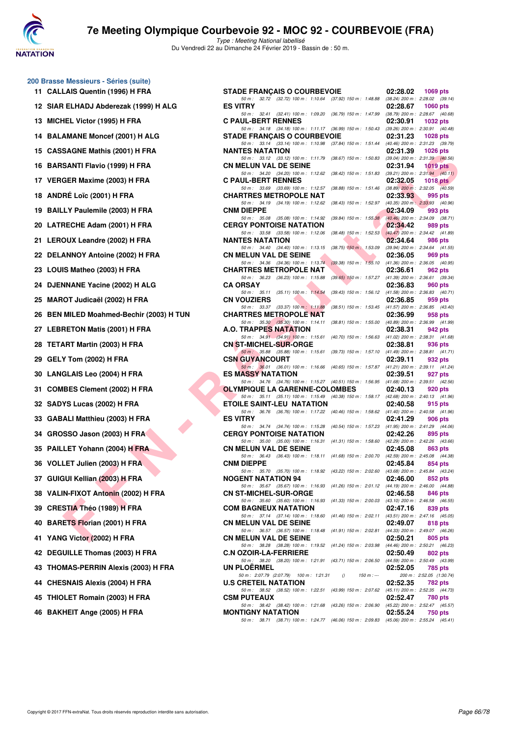

**200 Brasse Messieurs - Séries (suite)** 11 CALLAIS Quentin (1996) H FRA

# **7e Meeting Olympique Courbevoie 92 - MOC 92 - COURBEVOIE (FRA)**

| MICHEL Victor (1995) H FRA<br>13           |
|--------------------------------------------|
| <b>BALAMANE Moncef (2001) H ALG</b><br>14  |
| 15 CASSAGNE Mathis (2001) H FRA            |
| 16 BARSANTI Flavio (1999) H FRA            |
| 17 VERGER Maxime (2003) H FRA              |
| 18<br><b>ANDRÉ LOIC (2001) H FRA</b>       |
| 19<br><b>BAILLY Paulemile (2003) H FRA</b> |
| 20 LATRECHE Adam (2001) H FRA              |
| LEROUX Leandre (2002) H FRA<br>21          |
| 22 DELANNOY Antoine (2002) H FRA           |
| 23 LOUIS Matheo (2003) H FRA               |
| DJENNANE Yacine (2002) H ALG<br>24         |
| MAROT Judicaël (2002) H FRA<br>25          |
| 26 BEN MILED Moahmed-Bechir (2003) H TU    |
| 27 LEBRETON Matis (2001) H FRA             |
| <b>TETART Martin (2003) H FRA</b><br>28    |
| 29<br>GELY Tom (2002) H FRA                |
| LANGLAIS Leo (2004) H FRA<br>30            |
| <b>COMBES Clement (2002) H FRA</b><br>31   |
| 32 SADYS Lucas (2002) H FRA                |
| 33 GABALI Matthieu (2003) H FRA            |
| 34 GROSSO Jason (2003) H FRA               |
| PAILLET Yohann (2004) H FRA<br>35          |
| VOLLET Julien (2003) H FRA<br>36           |
| 37 GUIGUI Kellian (2003) H FRA             |
| 38 VALIN-FIXOT Antonin (2002) H FRA        |
| 39 CRESTIA Théo (1989) H FRA               |
| 40 BARETS Florian (2001) H FRA             |
| YANG Victor (2002) H FRA<br>41             |
| DEGUILLE Thomas (2003) H FRA<br>42         |
| 43 THOMAS-PERRIN Alexis (2003) H FRA       |
| 44 CHESNAIS Alexis (2004) H FRA            |
| 45 THIOLET Romain (2003) H FRA             |
| 46 BAKHEIT Ange (2005) H FRA               |
|                                            |
|                                            |

| 11 CALLAIS Quentin (1996) H FRA          | <b>STADE FRANCAIS O COURBEVOIE</b>                                                                                                   | 02:28.02 | <b>1069 pts</b>                            |
|------------------------------------------|--------------------------------------------------------------------------------------------------------------------------------------|----------|--------------------------------------------|
| 12 SIAR ELHADJ Abderezak (1999) H ALG    | 50 m: 32.72 (32.72) 100 m: 1:10.64 (37.92) 150 m: 1:48.88 (38.24) 200 m: 2:28.02 (39.14)<br><b>ES VITRY</b>                          | 02:28.67 | <b>1060 pts</b>                            |
| 13 MICHEL Victor (1995) H FRA            | 50 m: 32.41 (32.41) 100 m: 1:09.20 (36.79) 150 m: 1:47.99 (38.79) 200 m: 2:28.67 (40.68)<br><b>C PAUL-BERT RENNES</b>                | 02:30.91 | 1032 pts                                   |
| 14 BALAMANE Moncef (2001) H ALG          | 50 m: 34.18 (34.18) 100 m: 1:11.17 (36.99) 150 m: 1:50.43 (39.26) 200 m: 2:30.91 (40.48)<br><b>STADE FRANÇAIS O COURBEVOIE</b>       | 02:31.23 | <b>1028 pts</b>                            |
| 15 CASSAGNE Mathis (2001) H FRA          | 50 m: 33.14 (33.14) 100 m: 1:10.98 (37.84) 150 m: 1:51.44 (40.46) 200 m: 2:31.23 (39.79)<br><b>NANTES NATATION</b>                   | 02:31.39 | 1026 $pts$                                 |
| 16 BARSANTI Flavio (1999) H FRA          | 50 m: 33.12 (33.12) 100 m: 1:11.79 (38.67) 150 m: 1:50.83 (39.04) 200 m: 2:31.39 (40.56)<br><b>CN MELUN VAL DE SEINE</b>             | 02:31.94 | 1019 pts                                   |
| 17 VERGER Maxime (2003) H FRA            | 50 m: 34.20 (34.20) 100 m: 1:12.62<br>$(38.42)$ 150 m : 1:51.83 $(39.21)$ 200 m : 2:31.94 $(40.11)$<br><b>C PAUL-BERT RENNES</b>     | 02:32.05 | 1018 $pts$                                 |
| 18 ANDRÉ Loïc (2001) H FRA               | 50 m: 33.69 (33.69) 100 m: 1:12.57<br>$(38.88)$ 150 m : 1:51.46 $(38.89)$ 200 m : 2:32.05 $(40.59)$<br><b>CHARTRES METROPOLE NAT</b> | 02:33.93 | 995 pts                                    |
| 19 BAILLY Paulemile (2003) H FRA         | 50 m: 34.19 (34.19) 100 m: 1:12.62 (38.43) 150 m: 1:52.97 (40.35) 200 m: 2:33.93 (40.96)<br><b>CNM DIEPPE</b>                        | 02:34.09 | 993 pts                                    |
| 20 LATRECHE Adam (2001) H FRA            | (39.84) 150 m : 1:55.38 (40.46) 200 m : 2:34.09 (38.71)<br>50 m : 35.08 (35.08) 100 m : 1:14.92<br><b>CERGY PONTOISE NATATION</b>    | 02:34.42 | 989 pts                                    |
| 21 LEROUX Leandre (2002) H FRA           | 50 m: 33.58 (33.58) 100 m: 1:12.06<br>$(38.48)$ 150 m : 1:52.53 $(40.47)$ 200 m : 2:34.42 $(41.89)$<br><b>NANTES NATATION</b>        | 02:34.64 | 986 pts                                    |
| 22 DELANNOY Antoine (2002) H FRA         | 50 m: 34.40 (34.40) 100 m: 1:13.15<br>$(38.75)$ 150 m : 1:53.09<br><b>CN MELUN VAL DE SEINE</b>                                      | 02:36.05 | (39.94) 200 m : 2:34.64 (41.55)<br>969 pts |
| 23 LOUIS Matheo (2003) H FRA             | 50 m: 34.36 (34.36) 100 m: 1:13.74 (39.38) 150 m: 1:55.10 (41.36) 200 m: 2:36.05 (40.95)<br><b>CHARTRES METROPOLE NAT</b>            | 02:36.61 | 962 pts                                    |
| 24 DJENNANE Yacine (2002) H ALG          | 50 m: 36.23 (36.23) 100 m: 1:15.88<br>(39.65) 150 m : 1:57.27 (41.39) 200 m : 2:36.61 (39.34)<br><b>CA ORSAY</b>                     | 02:36.83 | 960 pts                                    |
| 25 MAROT Judicaël (2002) H FRA           | 50 m: 35.11 (35.11) 100 m: 1:14.54<br>$(39.43)$ 150 m : 1:56.12 $(41.58)$ 200 m : 2:36.83 $(40.71)$<br><b>CN VOUZIERS</b>            | 02:36.85 | 959 pts                                    |
| 26 BEN MILED Moahmed-Bechir (2003) H TUN | 50 m: 33.37 (33.37) 100 m: 1:11.88<br>(38.51) 150 m : 1:53.45 (41.57) 200 m : 2:36.85 (43.40)<br><b>CHARTRES METROPOLE NAT</b>       | 02:36.99 | 958 pts                                    |
| 27 LEBRETON Matis (2001) H FRA           | 50 m: 35.30 (35.30) 100 m: 1:14.11 (38.81) 150 m: 1:55.00 (40.89) 200 m: 2:36.99 (41.99)<br><b>A.O. TRAPPES NATATION</b>             | 02:38.31 | 942 pts                                    |
| 28 TETART Martin (2003) H FRA            | 50 m: 34.91 (34.91) 100 m: 1:15.61 (40.70) 150 m: 1:56.63 (41.02) 200 m: 2:38.31 (41.68)<br><b>CN ST-MICHEL-SUR-ORGE</b>             | 02:38.81 | 936 pts                                    |
| 29 GELY Tom (2002) H FRA                 | 50 m : 35.88 (35.88) 100 m : 1:15.61 (39.73) 150 m : 1:57.10 (41.49) 200 m : 2:38.81 (41.71)<br><b>CSN GUYANCOURT</b>                | 02:39.11 | 932 pts                                    |
| 30 LANGLAIS Leo (2004) H FRA             | 50 m: 36.01 (36.01) 100 m: 1:16.66 (40.65) 150 m: 1:57.87 (41.21) 200 m: 2:39.11 (41.24)<br><b>ES MASSY NATATION</b>                 | 02:39.51 | 927 pts                                    |
| 31 COMBES Clement (2002) H FRA           | 50 m: 34.76 (34.76) 100 m: 1:15.27 (40.51) 150 m: 1:56.95 (41.68) 200 m: 2:39.51 (42.56)<br><b>OLYMPIQUE LA GARENNE-COLOMBES</b>     | 02:40.13 | 920 pts                                    |
| 32 SADYS Lucas (2002) H FRA              | 50 m: 35.11 (35.11) 100 m: 1:15.49 (40.38) 150 m: 1:58.17 (42.68) 200 m: 2:40.13 (41.96)<br><b>ETOILE SAINT-LEU NATATION</b>         | 02:40.58 | 915 pts                                    |
| 33 GABALI Matthieu (2003) H FRA          | 50 m: 36.76 (36.76) 100 m: 1:17.22 (40.46) 150 m: 1:58.62 (41.40) 200 m: 2:40.58 (41.96)<br><b>ES VITRY</b>                          | 02:41.29 | 906 pts                                    |
| 34 GROSSO Jason (2003) H FRA             | 50 m: 34.74 (34.74) 100 m: 1:15.28 (40.54) 150 m: 1:57.23 (41.95) 200 m: 2:41.29 (44.06)<br><b>CERGY PONTOISE NATATION</b>           | 02:42.26 | 895 pts                                    |
| 35 PAILLET Yohann (2004) H FRA           | 50 m: 35.00 (35.00) 100 m: 1:16.31 (41.31) 150 m: 1:58.60 (42.29) 200 m: 2:42.26 (43.66)<br><b>CN MELUN VAL DE SEINE</b>             | 02:45.08 | 863 pts                                    |
| 36 VOLLET Julien (2003) H FRA            | 50 m: 36.43 (36.43) 100 m: 1:18.11 (41.68) 150 m: 2:00.70 (42.59) 200 m: 2:45.08 (44.38)<br><b>CNM DIEPPE</b>                        | 02:45.84 | 854 pts                                    |
| 37 GUIGUI Kellian (2003) H FRA           | 50 m: 35.70 (35.70) 100 m: 1:18.92 (43.22) 150 m: 2:02.60 (43.68) 200 m: 2:45.84 (43.24)<br><b>NOGENT NATATION 94</b>                | 02:46.00 | 852 pts                                    |
| 38   VALIN-FIXOT Antonin (2002) H FRA    | 50 m: 35.67 (35.67) 100 m: 1:16.93 (41.26) 150 m: 2:01.12 (44.19) 200 m: 2:46.00 (44.88)<br><b>CN ST-MICHEL-SUR-ORGE</b>             | 02:46.58 | 846 pts                                    |
| 39 CRESTIA Théo (1989) H FRA             | 50 m: 35.60 (35.60) 100 m: 1:16.93 (41.33) 150 m: 2:00.03 (43.10) 200 m: 2:46.58 (46.55)<br><b>COM BAGNEUX NATATION</b>              | 02:47.16 | 839 pts                                    |
| 40 BARETS Florian (2001) H FRA           | 50 m: 37.14 (37.14) 100 m: 1:18.60 (41.46) 150 m: 2:02.11 (43.51) 200 m: 2:47.16 (45.05)<br><b>CN MELUN VAL DE SEINE</b>             | 02:49.07 | 818 pts                                    |
| 41 YANG Victor (2002) H FRA              | 50 m: 36.57 (36.57) 100 m: 1.18.48 (41.91) 150 m: 2:02.81 (44.33) 200 m: 2:49.07 (46.26)<br><b>CN MELUN VAL DE SEINE</b>             | 02:50.21 | 805 pts                                    |
| 42 DEGUILLE Thomas (2003) H FRA          | 50 m: 38.28 (38.28) 100 m: 1:19.52 (41.24) 150 m: 2:03.98 (44.46) 200 m: 2:50.21 (46.23)<br><b>C.N OZOIR-LA-FERRIERE</b>             | 02:50.49 | 802 pts                                    |
| 43   THOMAS-PERRIN Alexis (2003) H FRA   | 50 m: 38.20 (38.20) 100 m: 1:21.91 (43.71) 150 m: 2:06.50 (44.59) 200 m: 2:50.49 (43.99)<br><b>UN PLOERMEL</b>                       | 02:52.05 | 785 pts                                    |
| 44 CHESNAIS Alexis (2004) H FRA          | 50 m : 2:07.79 (2:07.79) 100 m : 1:21.31 ()<br>150 m : ---<br><b>U.S CRETEIL NATATION</b>                                            | 02:52.35 | 200 m: 2:52.05 (1:30.74)<br>782 pts        |
| 45 THIOLET Romain (2003) H FRA           | 50 m: 38.52 (38.52) 100 m: 1:22.51 (43.99) 150 m: 2:07.62 (45.11) 200 m: 2:52.35 (44.73)<br><b>CSM PUTEAUX</b>                       | 02:52.47 | 780 pts                                    |
| 46 BAKHEIT Ange (2005) H FRA             | 50 m: 38.42 (38.42) 100 m: 1:21.68 (43.26) 150 m: 2:06.90 (45.22) 200 m: 2:52.47 (45.57)<br><b>MONTIGNY NATATION</b>                 | 02:55.24 | 750 pts                                    |
|                                          | 50 m: 38.71 (38.71) 100 m: 1:24.77 (46.06) 150 m: 2:09.83 (45.06) 200 m: 2:55.24 (45.41)                                             |          |                                            |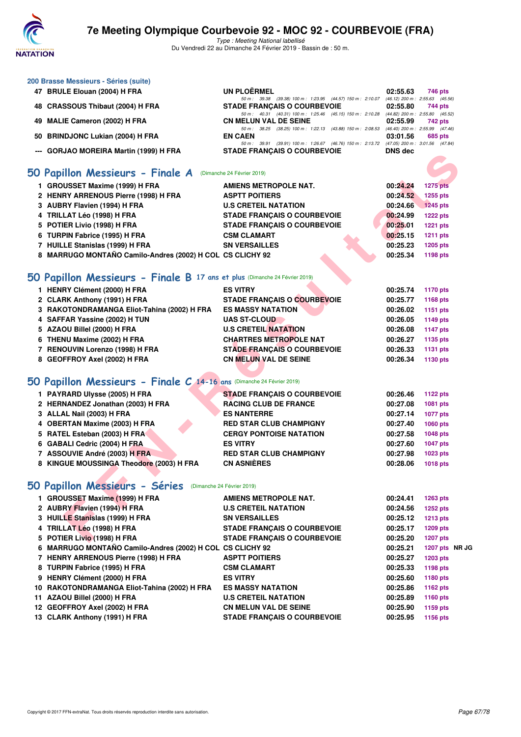

**200 Brasse Messieurs - Séries (suite)**

# **7e Meeting Olympique Courbevoie 92 - MOC 92 - COURBEVOIE (FRA)**

Type : Meeting National labellisé Du Vendredi 22 au Dimanche 24 Février 2019 - Bassin de : 50 m.

| 47 BRULE Elouan (2004) H FRA                                               | <b>UN PLOERMEL</b>                                                                                                             | 02:55.63       | 746 pts                            |  |
|----------------------------------------------------------------------------|--------------------------------------------------------------------------------------------------------------------------------|----------------|------------------------------------|--|
| 48 CRASSOUS Thibaut (2004) H FRA                                           | 50 m: 39.38 (39.38) 100 m: 1:23.95 (44.57) 150 m: 2:10.07 (46.12) 200 m: 2:55.63 (45.56)<br><b>STADE FRANCAIS O COURBEVOIE</b> | 02:55.80       | 744 pts                            |  |
|                                                                            | 50 m: 40.31 (40.31) 100 m: 1:25.46 (45.15) 150 m: 2:10.28 (44.82) 200 m: 2:55.80 (45.52)                                       |                |                                    |  |
| 49 MALIE Cameron (2002) H FRA                                              | <b>CN MELUN VAL DE SEINE</b><br>50 m: 38.25 (38.25) 100 m: 1:22.13 (43.88) 150 m: 2:08.53 (46.40) 200 m: 2:55.99 (47.46)       | 02:55.99       | 742 pts                            |  |
| 50 BRINDJONC Lukian (2004) H FRA                                           | <b>EN CAEN</b>                                                                                                                 | 03:01.56       | <b>685 pts</b>                     |  |
|                                                                            | 50 m: 39.91 (39.91) 100 m: 1:26.67 (46.76) 150 m: 2:13.72 (47.05) 200 m: 3:01.56 (47.84)                                       |                |                                    |  |
| --- GORJAO MOREIRA Martin (1999) H FRA                                     | <b>STADE FRANCAIS O COURBEVOIE</b>                                                                                             | <b>DNS</b> dec |                                    |  |
|                                                                            |                                                                                                                                |                |                                    |  |
| 50 Papillon Messieurs - Finale A                                           | (Dimanche 24 Février 2019)                                                                                                     |                |                                    |  |
| 1 GROUSSET Maxime (1999) H FRA                                             | <b>AMIENS METROPOLE NAT.</b>                                                                                                   | 00:24.24       | <b>1275 pts</b>                    |  |
| 2 HENRY ARRENOUS Pierre (1998) H FRA                                       | <b>ASPTT POITIERS</b>                                                                                                          | 00:24.52       | 1255 pts                           |  |
| 3 AUBRY Flavien (1994) H FRA                                               | <b>U.S CRETEIL NATATION</b>                                                                                                    | 00:24.66       | <b>1245 pts</b>                    |  |
| 4 TRILLAT Léo (1998) H FRA                                                 | <b>STADE FRANÇAIS O COURBEVOIE</b>                                                                                             | 00:24.99       | <b>1222 pts</b>                    |  |
| 5 POTIER Livio (1998) H FRA                                                | <b>STADE FRANÇAIS O COURBEVOIE</b>                                                                                             | 00:25.01       | <b>1221 pts</b>                    |  |
| 6 TURPIN Fabrice (1995) H FRA                                              | <b>CSM CLAMART</b>                                                                                                             | 00:25.15       | <b>1211 pts</b>                    |  |
| 7 HUILLE Stanislas (1999) H FRA                                            | <b>SN VERSAILLES</b>                                                                                                           | 00:25.23       | <b>1205 pts</b>                    |  |
| 8 MARRUGO MONTAÑO Camilo-Andres (2002) H COL CS CLICHY 92                  |                                                                                                                                | 00:25.34       | 1198 pts                           |  |
|                                                                            |                                                                                                                                |                |                                    |  |
| 50 Papillon Messieurs - Finale B 17 ans et plus (Dimanche 24 Février 2019) |                                                                                                                                |                |                                    |  |
| 1 HENRY Clément (2000) H FRA                                               | <b>ES VITRY</b>                                                                                                                | 00:25.74       | <b>1170 pts</b>                    |  |
| 2 CLARK Anthony (1991) H FRA                                               | <b>STADE FRANÇAIS O COURBEVOIE</b>                                                                                             | 00:25.77       | 1168 pts                           |  |
| 3 RAKOTONDRAMANGA Eliot-Tahina (2002) H FRA                                | <b>ES MASSY NATATION</b>                                                                                                       | 00:26.02       | 1151 pts                           |  |
| 4 SAFFAR Yassine (2002) H TUN                                              | <b>UAS ST-CLOUD</b>                                                                                                            | 00:26.05       | <b>1149 pts</b>                    |  |
| 5 AZAOU Billel (2000) H FRA                                                | <b>U.S CRETEIL NATATION</b>                                                                                                    | 00:26.08       | <b>1147 pts</b>                    |  |
| 6 THENU Maxime (2002) H FRA                                                | <b>CHARTRES METROPOLE NAT</b>                                                                                                  | 00:26.27       | 1135 pts                           |  |
| 7 RENOUVIN Lorenzo (1998) H FRA                                            | <b>STADE FRANÇAIS O COURBEVOIE</b>                                                                                             | 00:26.33       | 1131 pts                           |  |
| 8 GEOFFROY Axel (2002) H FRA                                               | <b>CN MELUN VAL DE SEINE</b>                                                                                                   | 00:26.34       | 1130 pts                           |  |
|                                                                            |                                                                                                                                |                |                                    |  |
| 50 Papillon Messieurs - Finale C 14-16 ans (Dimanche 24 Février 2019)      |                                                                                                                                |                |                                    |  |
| 1 PAYRARD Ulysse (2005) H FRA                                              | <b>STADE FRANÇAIS O COURBEVOIE</b>                                                                                             | 00:26.46       | <b>1122 pts</b>                    |  |
| 2 HERNANDEZ Jonathan (2003) H FRA                                          | <b>RACING CLUB DE FRANCE</b>                                                                                                   | 00:27.08       | <b>1081 pts</b>                    |  |
| 3 ALLAL Nail (2003) H FRA                                                  | <b>ES NANTERRE</b>                                                                                                             | 00:27.14       | <b>1077 pts</b>                    |  |
| 4 OBERTAN Maxime (2003) H FRA                                              | <b>RED STAR CLUB CHAMPIGNY</b>                                                                                                 | 00:27.40       | <b>1060 pts</b>                    |  |
| 5 RATEL Esteban (2003) H FRA                                               | <b>CERGY PONTOISE NATATION</b>                                                                                                 | 00:27.58       | <b>1048 pts</b>                    |  |
| 6 GABALI Cedric (2004) H FRA                                               | <b>ES VITRY</b>                                                                                                                | 00:27.60       | <b>1047 pts</b>                    |  |
| 7 ASSOUVIE André (2003) H FRA                                              | <b>RED STAR CLUB CHAMPIGNY</b>                                                                                                 | 00:27.98       | 1023 pts                           |  |
| 8 KINGUE MOUSSINGA Theodore (2003) H FRA                                   | <b>CN ASNIÈRES</b>                                                                                                             | 00:28.06       | <b>1018 pts</b>                    |  |
|                                                                            |                                                                                                                                |                |                                    |  |
| 50 Papillon Messieurs - Séries (Dimanche 24 Février 2019)                  |                                                                                                                                |                |                                    |  |
| 1 GROUSSET Maxime (1999) H FRA                                             | <b>AMIENS METROPOLE NAT.</b>                                                                                                   | 00:24.41       | 1263 pts                           |  |
| 2 AUBRY Flavien (1994) H FRA                                               | <b>U.S CRETEIL NATATION</b>                                                                                                    | 00:24.56       |                                    |  |
| 3 HUILLE Stanislas (1999) H FRA                                            | <b>SN VERSAILLES</b>                                                                                                           | 00:25.12       | <b>1252 pts</b><br><b>1213 pts</b> |  |
| 4 TRILLAT Léo (1998) H FRA                                                 | <b>STADE FRANCAIS O COURBEVOIE</b>                                                                                             | 00:25.17       | <b>1209 pts</b>                    |  |
| 5 POTIER Livio (1998) H FRA                                                | <b>STADE FRANCAIS O COURBEVOIE</b>                                                                                             | 00:25.20       | <b>1207 pts</b>                    |  |
| 6 MARRUGO MONTAÑO Camilo-Andres (2002) H COL CS CLICHY 92                  |                                                                                                                                | 00:25.21       | 1207 pts NR JC                     |  |
| 7 HENRY ARRENOUS Pierre (1998) H FRA                                       | <b>ASPTT POITIERS</b>                                                                                                          | 00:25.27       | 1203 pts                           |  |
| 8 TURPIN Fabrice (1995) H FRA                                              | <b>CSM CLAMART</b>                                                                                                             | 00:25.33       | <b>1198 pts</b>                    |  |
| 9 HENRY Clément (2000) H FRA                                               | <b>ES VITRY</b>                                                                                                                | 00:25.60       | 1180 pts                           |  |
| 10 RAKOTONDRAMANGA Eliot-Tahina (2002) H FRA                               | <b>ES MASSY NATATION</b>                                                                                                       | 00:25.86       | 1162 pts                           |  |
| 11 AZAOU Billel (2000) H FRA                                               | <b>U.S CRETEIL NATATION</b>                                                                                                    | 00:25.89       | <b>1160 pts</b>                    |  |
| 12 GEOFFROY Axel (2002) H FRA                                              | <b>CN MELUN VAL DE SEINE</b>                                                                                                   | 00:25.90       | 1159 pts                           |  |
|                                                                            |                                                                                                                                |                |                                    |  |

**13 CLARK Anthony (1991) H FRA STADE FRANÇAIS O COURBEVOIE 00:25.95 1156 pts**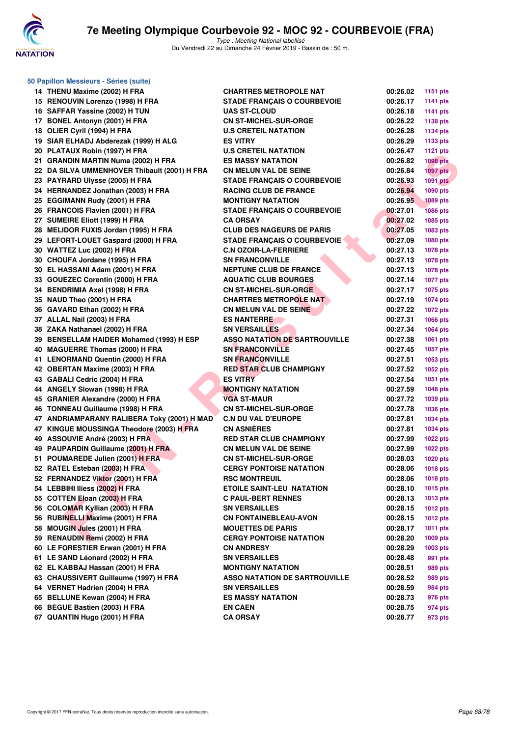

| 50 Papillon Messieurs - Séries (suite)       |                                      |          |                 |  |  |  |  |  |
|----------------------------------------------|--------------------------------------|----------|-----------------|--|--|--|--|--|
| 14 THENU Maxime (2002) H FRA                 | <b>CHARTRES METROPOLE NAT</b>        | 00:26.02 | 1151 pts        |  |  |  |  |  |
| 15 RENOUVIN Lorenzo (1998) H FRA             | <b>STADE FRANÇAIS O COURBEVOIE</b>   | 00:26.17 | <b>1141 pts</b> |  |  |  |  |  |
| 16 SAFFAR Yassine (2002) H TUN               | <b>UAS ST-CLOUD</b>                  | 00:26.18 | <b>1141 pts</b> |  |  |  |  |  |
| 17 BONEL Antonyn (2001) H FRA                | <b>CN ST-MICHEL-SUR-ORGE</b>         | 00:26.22 | 1138 pts        |  |  |  |  |  |
| 18 OLIER Cyril (1994) H FRA                  | <b>U.S CRETEIL NATATION</b>          | 00:26.28 | <b>1134 pts</b> |  |  |  |  |  |
| 19 SIAR ELHADJ Abderezak (1999) H ALG        | <b>ES VITRY</b>                      | 00:26.29 | 1133 pts        |  |  |  |  |  |
| 20 PLATAUX Robin (1997) H FRA                | <b>U.S CRETEIL NATATION</b>          | 00:26.47 | <b>1121 pts</b> |  |  |  |  |  |
| 21 GRANDIN MARTIN Numa (2002) H FRA          | <b>ES MASSY NATATION</b>             | 00:26.82 | <b>1098 pts</b> |  |  |  |  |  |
| 22 DA SILVA UMMENHOVER Thibault (2001) H FRA | <b>CN MELUN VAL DE SEINE</b>         | 00:26.84 | $1097$ pts      |  |  |  |  |  |
| 23 PAYRARD Ulysse (2005) H FRA               | <b>STADE FRANÇAIS O COURBEVOIE</b>   | 00:26.93 | <b>1091 pts</b> |  |  |  |  |  |
| 24 HERNANDEZ Jonathan (2003) H FRA           | <b>RACING CLUB DE FRANCE</b>         | 00:26.94 | 1090 pts        |  |  |  |  |  |
| 25 EGGIMANN Rudy (2001) H FRA                | <b>MONTIGNY NATATION</b>             | 00:26.95 | <b>1089 pts</b> |  |  |  |  |  |
| 26 FRANCOIS Flavien (2001) H FRA             | <b>STADE FRANÇAIS O COURBEVOIE</b>   | 00:27.01 | <b>1086 pts</b> |  |  |  |  |  |
| 27 SUMEIRE Eliott (1999) H FRA               | <b>CA ORSAY</b>                      | 00:27.02 | 1085 pts        |  |  |  |  |  |
| 28 MELIDOR FUXIS Jordan (1995) H FRA         | <b>CLUB DES NAGEURS DE PARIS</b>     | 00:27.05 | 1083 pts        |  |  |  |  |  |
| 29 LEFORT-LOUET Gaspard (2000) H FRA         | <b>STADE FRANÇAIS O COURBEVOIE</b>   | 00:27.09 | 1080 pts        |  |  |  |  |  |
| 30 WATTEZ Luc (2002) H FRA                   | <b>C.N OZOIR-LA-FERRIERE</b>         | 00:27.13 | 1078 pts        |  |  |  |  |  |
| 30 CHOUFA Jordane (1995) H FRA               | <b>SN FRANCONVILLE</b>               | 00:27.13 | 1078 pts        |  |  |  |  |  |
| 30 EL HASSANI Adam (2001) H FRA              | <b>NEPTUNE CLUB DE FRANCE</b>        | 00:27.13 | 1078 pts        |  |  |  |  |  |
| 33 GOUEZEC Corentin (2000) H FRA             | <b>AQUATIC CLUB BOURGES</b>          | 00:27.14 | <b>1077 pts</b> |  |  |  |  |  |
| 34 BENDRIMIA Axel (1998) H FRA               | <b>CN ST-MICHEL-SUR-ORGE</b>         | 00:27.17 | 1075 pts        |  |  |  |  |  |
| 35 NAUD Theo (2001) H FRA                    | <b>CHARTRES METROPOLE NAT</b>        | 00:27.19 | 1074 pts        |  |  |  |  |  |
| 36 GAVARD Ethan (2002) H FRA                 | <b>CN MELUN VAL DE SEINE</b>         | 00:27.22 | <b>1072 pts</b> |  |  |  |  |  |
| 37 ALLAL Nail (2003) H FRA                   | <b>ES NANTERRE</b>                   | 00:27.31 | 1066 pts        |  |  |  |  |  |
| 38 ZAKA Nathanael (2002) H FRA               | <b>SN VERSAILLES</b>                 | 00:27.34 | 1064 pts        |  |  |  |  |  |
| 39 BENSELLAM HAIDER Mohamed (1993) H ESP     | <b>ASSO NATATION DE SARTROUVILLE</b> | 00:27.38 | 1061 pts        |  |  |  |  |  |
| 40 MAGUERRE Thomas (2000) H FRA              | <b>SN FRANCONVILLE</b>               | 00:27.45 | 1057 pts        |  |  |  |  |  |
| 41 LENORMAND Quentin (2000) H FRA            | <b>SN FRANCONVILLE</b>               | 00:27.51 | 1053 pts        |  |  |  |  |  |
| 42 OBERTAN Maxime (2003) H FRA               | <b>RED STAR CLUB CHAMPIGNY</b>       | 00:27.52 | 1052 pts        |  |  |  |  |  |
| 43 GABALI Cedric (2004) H FRA                | <b>ES VITRY</b>                      | 00:27.54 | 1051 pts        |  |  |  |  |  |
| 44 ANGELY Slowan (1998) H FRA                | <b>MONTIGNY NATATION</b>             | 00:27.59 | <b>1048 pts</b> |  |  |  |  |  |
| 45 GRANIER Alexandre (2000) H FRA            | <b>VGA ST-MAUR</b>                   | 00:27.72 | 1039 pts        |  |  |  |  |  |
| 46 TONNEAU Guillaume (1998) H FRA            | <b>CN ST-MICHEL-SUR-ORGE</b>         | 00:27.78 | 1036 pts        |  |  |  |  |  |
| 47 ANDRIAMPARANY RALIBERA Toky (2001) H MAD  | <b>C.N DU VAL D'EUROPE</b>           | 00:27.81 | 1034 pts        |  |  |  |  |  |
| 47 KINGUE MOUSSINGA Theodore (2003) H FRA    | <b>CN ASNIÈRES</b>                   | 00:27.81 | 1034 pts        |  |  |  |  |  |
| 49 ASSOUVIE André (2003) H FRA               | <b>RED STAR CLUB CHAMPIGNY</b>       | 00:27.99 | <b>1022 pts</b> |  |  |  |  |  |
| 49 PAUPARDIN Guillaume (2001) H FRA          | <b>CN MELUN VAL DE SEINE</b>         | 00:27.99 | <b>1022 pts</b> |  |  |  |  |  |
| 51 POUMAREDE Julien (2001) H FRA             | <b>CN ST-MICHEL-SUR-ORGE</b>         | 00:28.03 | <b>1020 pts</b> |  |  |  |  |  |
| 52 RATEL Esteban (2003) H FRA                | <b>CERGY PONTOISE NATATION</b>       | 00:28.06 | <b>1018 pts</b> |  |  |  |  |  |
| 52 FERNANDEZ Viktor (2001) H FRA             | <b>RSC MONTREUIL</b>                 | 00:28.06 | <b>1018 pts</b> |  |  |  |  |  |
| 54 LEBBIHI Iliess (2002) H FRA               | ETOILE SAINT-LEU NATATION            | 00:28.10 | 1015 pts        |  |  |  |  |  |
| 55 COTTEN Eloan (2003) H FRA                 | <b>C PAUL-BERT RENNES</b>            | 00:28.13 | <b>1013 pts</b> |  |  |  |  |  |
| 56 COLOMAR Kyllian (2003) H FRA              | <b>SN VERSAILLES</b>                 | 00:28.15 | <b>1012 pts</b> |  |  |  |  |  |
| 56 RUBINELLI Maxime (2001) H FRA             | <b>CN FONTAINEBLEAU-AVON</b>         | 00:28.15 | <b>1012 pts</b> |  |  |  |  |  |
| 58 MOUGIN Jules (2001) H FRA                 | <b>MOUETTES DE PARIS</b>             | 00:28.17 | 1011 pts        |  |  |  |  |  |
| 59 RENAUDIN Remi (2002) H FRA                | <b>CERGY PONTOISE NATATION</b>       | 00:28.20 | 1009 pts        |  |  |  |  |  |
| 60 LE FORESTIER Erwan (2001) H FRA           | <b>CN ANDRESY</b>                    | 00:28.29 | 1003 pts        |  |  |  |  |  |
| 61 LE SAND Léonard (2002) H FRA              | <b>SN VERSAILLES</b>                 | 00:28.48 | 991 pts         |  |  |  |  |  |
| 62 EL KABBAJ Hassan (2001) H FRA             | <b>MONTIGNY NATATION</b>             | 00:28.51 | 989 pts         |  |  |  |  |  |
| 63 CHAUSSIVERT Guillaume (1997) H FRA        | <b>ASSO NATATION DE SARTROUVILLE</b> | 00:28.52 | 989 pts         |  |  |  |  |  |
| 64 VERNET Hadrien (2004) H FRA               | <b>SN VERSAILLES</b>                 | 00:28.59 | 984 pts         |  |  |  |  |  |
| 65 BELLUNE Kewan (2004) H FRA                | <b>ES MASSY NATATION</b>             | 00:28.73 | 976 pts         |  |  |  |  |  |
| 66 BEGUE Bastien (2003) H FRA                | <b>EN CAEN</b>                       | 00:28.75 | 974 pts         |  |  |  |  |  |
| 67 QUANTIN Hugo (2001) H FRA                 | CA ORSAY                             | 00:28.77 | 973 pts         |  |  |  |  |  |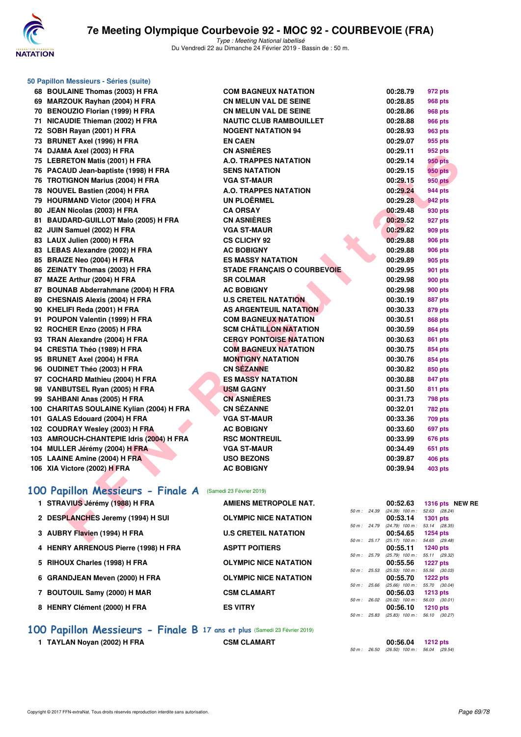

**50 Papillon Messieurs - Séries (suite)**

Type : Meeting National labellisé Du Vendredi 22 au Dimanche 24 Février 2019 - Bassin de : 50 m.

|     | 00 BOOLAINE THUMAS (2003) IT FRA          |
|-----|-------------------------------------------|
| 69  | MARZOUK Rayhan (2004) H FRA               |
|     | 70 BENOUZIO Florian (1999) H FRA          |
| 71  | NICAUDIE Thieman (2002) H FRA             |
| 72  | SOBH Rayan (2001) H FRA                   |
| 73  | <b>BRUNET Axel (1996) H FRA</b>           |
| 74  | DJAMA Axel (2003) H FRA                   |
| 75  | <b>LEBRETON Matis (2001) H FRA</b>        |
|     | 76 PACAUD Jean-baptiste (1998) H FRA      |
| 76  | <b>TROTIGNON Marius (2004) H FRA</b>      |
| 78  | <b>NOUVEL Bastien (2004) H FRA</b>        |
| 79  | <b>HOURMAND Victor (2004) H FRA</b>       |
| 80  | JEAN Nicolas (2003) H FRA                 |
| 81  | <b>BAUDARD-GUILLOT Malo (2005) H FRA</b>  |
| 82  | JUIN Samuel (2002) H FRA                  |
| 83  | LAUX Julien (2000) H FRA                  |
| 83  | <b>LEBAS Alexandre (2002) H FRA</b>       |
|     | 85 BRAIZE Neo (2004) H FRA                |
| 86  | <b>ZEINATY Thomas (2003) H FRA</b>        |
|     | 87 MAZE Arthur (2004) H FRA               |
|     | 87 BOUNAB Abderrahmane (2004) H FRA       |
|     | 89 CHESNAIS Alexis (2004) H FRA           |
|     | 90 KHELIFI Reda (2001) H FRA              |
| 91  | POUPON Valentin (1999) H FRA              |
| 92  | ROCHER Enzo (2005) H FRA                  |
| 93  | TRAN Alexandre (2004) H FRA               |
| 94  | CRESTIA Théo (1989) H FRA                 |
| 95  | <b>BRUNET Axel (2004) H FRA</b>           |
| 96  | OUDINET Théo (2003) H FRA                 |
|     | 97 COCHARD Mathieu (2004) H FRA           |
| 98  | VANBUTSEL Ryan (2005) H FRA               |
|     | 99 SAHBANI Anas (2005) H FRA              |
|     | 100 CHARITAS SOULAINE Kylian (2004) H FRA |
| 101 | GALAS Edouard (2004) H FRA                |
| 102 | <b>COUDRAY Wesley (2003) H FRA</b>        |
| 103 | AMROUCH-CHANTEPIE Idris (2004) H FRA      |
| 104 | MULLER Jérémy (2004) H FRA                |
|     | 105 LAAINE Amine (2004) H FRA             |
|     | 106 XIA Victore (2002) H FRA              |
|     |                                           |

| 68 BOULAINE Thomas (2003) H FRA                           | <b>COM BAGNEUX NATATION</b>        |              | 00:28.79                                             | 972 pts                       |
|-----------------------------------------------------------|------------------------------------|--------------|------------------------------------------------------|-------------------------------|
| 69 MARZOUK Rayhan (2004) H FRA                            | <b>CN MELUN VAL DE SEINE</b>       |              | 00:28.85                                             | <b>968 pts</b>                |
| 70 BENOUZIO Florian (1999) H FRA                          | <b>CN MELUN VAL DE SEINE</b>       |              | 00:28.86                                             | <b>968 pts</b>                |
| 71 NICAUDIE Thieman (2002) H FRA                          | <b>NAUTIC CLUB RAMBOUILLET</b>     |              | 00:28.88                                             | <b>966 pts</b>                |
| 72 SOBH Rayan (2001) H FRA                                | <b>NOGENT NATATION 94</b>          |              | 00:28.93                                             | 963 pts                       |
| 73 BRUNET Axel (1996) H FRA                               | <b>EN CAEN</b>                     |              | 00:29.07                                             | 955 pts                       |
| 74 DJAMA Axel (2003) H FRA                                | <b>CN ASNIÈRES</b>                 |              | 00:29.11                                             | 952 pts                       |
| 75 LEBRETON Matis (2001) H FRA                            | <b>A.O. TRAPPES NATATION</b>       |              | 00:29.14                                             | <b>950 pts</b>                |
| 76 PACAUD Jean-baptiste (1998) H FRA                      | <b>SENS NATATION</b>               |              | 00:29.15                                             | <b>950 pts</b>                |
| 76 TROTIGNON Marius (2004) H FRA                          | <b>VGA ST-MAUR</b>                 |              | 00:29.15                                             | <b>950 pts</b>                |
| 78 NOUVEL Bastien (2004) H FRA                            | A.O. TRAPPES NATATION              |              | 00:29.24                                             | 944 pts                       |
| 79 HOURMAND Victor (2004) H FRA                           | <b>UN PLOËRMEL</b>                 |              | 00:29.28                                             | 942 pts                       |
| 80 JEAN Nicolas (2003) H FRA                              | <b>CA ORSAY</b>                    |              | 00:29.48                                             | 930 pts                       |
| 81 BAUDARD-GUILLOT Malo (2005) H FRA                      | <b>CN ASNIERES</b>                 |              | 00:29.52                                             | 927 pts                       |
| 82 JUIN Samuel (2002) H FRA                               | <b>VGA ST-MAUR</b>                 |              | 00:29.82                                             | 909 pts                       |
| 83 LAUX Julien (2000) H FRA                               | <b>CS CLICHY 92</b>                |              | 00:29.88                                             | 906 pts                       |
| 83 LEBAS Alexandre (2002) H FRA                           | <b>AC BOBIGNY</b>                  |              | 00:29.88                                             | 906 pts                       |
| 85 BRAIZE Neo (2004) H FRA                                | <b>ES MASSY NATATION</b>           |              | 00:29.89                                             | 905 pts                       |
| 86 ZEINATY Thomas (2003) H FRA                            | <b>STADE FRANÇAIS O COURBEVOIE</b> |              | 00:29.95                                             | 901 pts                       |
| 87 MAZE Arthur (2004) H FRA                               | <b>SR COLMAR</b>                   |              | 00:29.98                                             | 900 pts                       |
| 87 BOUNAB Abderrahmane (2004) H FRA                       | <b>AC BOBIGNY</b>                  |              | 00:29.98                                             | 900 pts                       |
| 89 CHESNAIS Alexis (2004) H FRA                           | <b>U.S CRETEIL NATATION</b>        |              | 00:30.19                                             | 887 pts                       |
| 90 KHELIFI Reda (2001) H FRA                              | AS ARGENTEUIL NATATION             |              | 00:30.33                                             | 879 pts                       |
| 91 POUPON Valentin (1999) H FRA                           | <b>COM BAGNEUX NATATION</b>        |              | 00:30.51                                             | <b>868 pts</b>                |
| 92 ROCHER Enzo (2005) H FRA                               | <b>SCM CHATILLON NATATION</b>      |              | 00:30.59                                             | <b>864 pts</b>                |
| 93 TRAN Alexandre (2004) H FRA                            | <b>CERGY PONTOISE NATATION</b>     |              | 00:30.63                                             | 861 pts                       |
| 94 CRESTIA Théo (1989) H FRA                              | <b>COM BAGNEUX NATATION</b>        |              | 00:30.75                                             | 854 pts                       |
| 95 BRUNET Axel (2004) H FRA                               | <b>MONTIGNY NATATION</b>           |              | 00:30.76                                             | 854 pts                       |
| 96 OUDINET Théo (2003) H FRA                              | <b>CN SEZANNE</b>                  |              | 00:30.82                                             | 850 pts                       |
| 97 COCHARD Mathieu (2004) H FRA                           | <b>ES MASSY NATATION</b>           |              | 00:30.88                                             | 847 pts                       |
| 98 VANBUTSEL Ryan (2005) H FRA                            | <b>USM GAGNY</b>                   |              | 00:31.50                                             | 811 pts                       |
| 99 SAHBANI Anas (2005) H FRA                              | <b>CN ASNIERES</b>                 |              | 00:31.73                                             | 798 pts                       |
| 100 CHARITAS SOULAINE Kylian (2004) H FRA                 | <b>CN SÉZANNE</b>                  |              | 00:32.01                                             | 782 pts                       |
| 101 GALAS Edouard (2004) H FRA                            | <b>VGA ST-MAUR</b>                 |              | 00:33.36                                             | <b>709 pts</b>                |
| 102 COUDRAY Wesley (2003) H FRA                           | <b>AC BOBIGNY</b>                  |              | 00:33.60                                             | 697 pts                       |
| 103 AMROUCH-CHANTEPIE Idris (2004) H FRA                  | <b>RSC MONTREUIL</b>               |              | 00:33.99                                             | 676 pts                       |
| 104 MULLER Jérémy (2004) H FRA                            | <b>VGA ST-MAUR</b>                 |              | 00:34.49                                             | 651 pts                       |
| 105 LAAINE Amine (2004) H FRA                             | <b>USO BEZONS</b>                  |              | 00:39.87                                             | 406 pts                       |
| 106 XIA Victore (2002) H FRA                              | <b>AC BOBIGNY</b>                  |              | 00:39.94                                             | <b>403 pts</b>                |
|                                                           |                                    |              |                                                      |                               |
| 00 Papillon Messieurs - Finale A (Samedi 23 Février 2019) |                                    |              |                                                      |                               |
|                                                           |                                    |              |                                                      |                               |
| 1 STRAVIUS Jérémy (1988) H FRA                            | <b>AMIENS METROPOLE NAT.</b>       | 50 m : 24.39 | 00:52.63<br>$(24.39)$ 100 m :                        | 1316 pts NEW<br>52.63 (28.24) |
| 2 DESPLANCHES Jeremy (1994) H SUI                         | <b>OLYMPIC NICE NATATION</b>       |              | 00:53.14                                             | <b>1301 pts</b>               |
|                                                           |                                    |              | 50 m : 24.79 (24.79) 100 m :                         | 53.14 (28.35)                 |
| 3 AUBRY Flavien (1994) H FRA                              | <b>U.S CRETEIL NATATION</b>        |              | 00:54.65<br>50 m: 25.17 (25.17) 100 m: 54.65 (29.48) | <b>1254 pts</b>               |
|                                                           |                                    |              |                                                      |                               |

## **[100 Papillon Messieurs - Finale A](http://www.ffnatation.fr/webffn/resultats.php?idact=nat&go=epr&idcpt=57703&idepr=82)** (Samedi 23 Février 2019)

| 1 STRAVIUS Jérémy (1988) H FRA       | AMIENS METROPOLE NAT.        |                   | 00:52.63                      | 1316 pts NEW RE                  |
|--------------------------------------|------------------------------|-------------------|-------------------------------|----------------------------------|
| 2 DESPLANCHES Jeremy (1994) H SUI    | <b>OLYMPIC NICE NATATION</b> | 50 m : 24.39      | $(24.39)$ 100 m :<br>00:53.14 | 52.63 (28.24)<br><b>1301 pts</b> |
| 3 AUBRY Flavien (1994) H FRA         | <b>U.S CRETEIL NATATION</b>  | 50 m : 24.79      | $(24.79)$ 100 m :<br>00:54.65 | 53.14 (28.35)<br>1254 pts        |
|                                      |                              | $50 m$ : 25.17    | $(25.17)$ 100 m :             | 54.65 (29.48)                    |
| 4 HENRY ARRENOUS Pierre (1998) H FRA | <b>ASPTT POITIERS</b>        | 50 m : 25.79      | 00:55.11<br>$(25.79)$ 100 m : | <b>1240 pts</b><br>55.11 (29.32) |
| 5 RIHOUX Charles (1998) H FRA        | <b>OLYMPIC NICE NATATION</b> | 25.53<br>$50 m$ : | 00:55.56<br>$(25.53)$ 100 m : | <b>1227 pts</b><br>55.56 (30.03) |
| 6 GRANDJEAN Meven (2000) H FRA       | <b>OLYMPIC NICE NATATION</b> |                   | 00:55.70                      | $1222$ pts                       |
| 7 BOUTOUIL Samy (2000) H MAR         | <b>CSM CLAMART</b>           | 50 m: 25.66       | $(25.66)$ 100 m :<br>00:56.03 | 55.70 (30.04)<br>$1213$ pts      |
| 8 HENRY Clément (2000) H FRA         | <b>ES VITRY</b>              | 50 m: 26.02       | $(26.02)$ 100 m :<br>00:56.10 | 56.03 (30.01)<br>$1210$ pts      |
|                                      |                              | 25.83<br>50 m :   | $(25.83)$ 100 m :             | 56.10 (30.27)                    |
|                                      |                              |                   |                               |                                  |

**[100 Papillon Messieurs - Finale B](http://www.ffnatation.fr/webffn/resultats.php?idact=nat&go=epr&idcpt=57703&idepr=82) 17 ans et plus** (Samedi 23 Février 2019) **1 TAYLAN Noyan (2002) H FRA CSM CLAMART 00:56.04 1212 pts**

50 m : 26.50 (26.50) 100 m : 56.04 (29.54)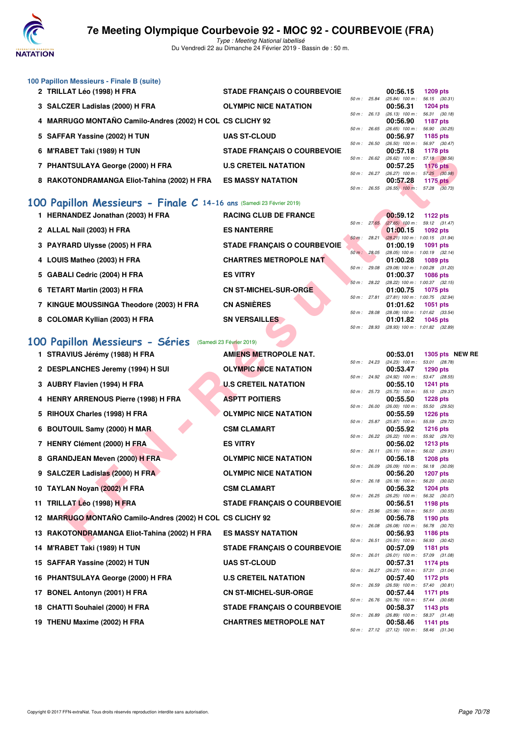

Type : Meeting National labellisé Du Vendredi 22 au Dimanche 24 Février 2019 - Bassin de : 50 m.

| 100 Papillon Messieurs - Finale B (suite)                 |                                    |                |       |                               |                                  |
|-----------------------------------------------------------|------------------------------------|----------------|-------|-------------------------------|----------------------------------|
| 2 TRILLAT Léo (1998) H FRA                                | <b>STADE FRANCAIS O COURBEVOIE</b> |                |       | 00:56.15                      | 1209 pts                         |
| 3 SALCZER Ladislas (2000) H FRA                           | <b>OLYMPIC NICE NATATION</b>       | $50 m$ : 25.84 |       | $(25.84)$ 100 m :<br>00:56.31 | 56.15 (30.31)<br><b>1204 pts</b> |
| 4 MARRUGO MONTAÑO Camilo-Andres (2002) H COL CS CLICHY 92 |                                    | $50 m$ : 26.13 |       | $(26.13)$ 100 m :<br>00:56.90 | 56.31 (30.18)<br><b>1187 pts</b> |
| 5 SAFFAR Yassine (2002) H TUN                             | <b>UAS ST-CLOUD</b>                | 50 m: 26.65    |       | $(26.65)$ 100 m :<br>00:56.97 | 56.90 (30.25)<br>1185 pts        |
| 6 M'RABET Taki (1989) H TUN                               | <b>STADE FRANCAIS O COURBEVOIE</b> | $50 m$ : 26.50 |       | $(26.50)$ 100 m :<br>00:57.18 | 56.97 (30.47)<br>1178 pts        |
| <b>PHANTSULAYA George (2000) H FRA</b>                    | <b>U.S CRETEIL NATATION</b>        | 50 m: 26.62    |       | $(26.62)$ 100 m :<br>00:57.25 | 57.18 (30.56)<br><b>1176 pts</b> |
| 8 RAKOTONDRAMANGA Eliot-Tahina (2002) H FRA               | <b>ES MASSY NATATION</b>           | $50 m$ : 26.27 |       | $(26.27)$ 100 m :<br>00:57.28 | 57.25 (30.98)<br>1175 pts        |
|                                                           |                                    | $50 m$ :       | 26.55 | $(26.55)$ 100 m :             | 57.28<br>(30.73)                 |

## **[100 Papillon Messieurs - Finale C](http://www.ffnatation.fr/webffn/resultats.php?idact=nat&go=epr&idcpt=57703&idepr=82) 14-16 ans** (Samedi 23 Février 2019)

| 1 HERNANDEZ Jonathan (2003) H FRA        | <b>RACING CLUB DE FRANCE</b>       |                        | 00:59.12                                        | 1122 $pts$                  |  |
|------------------------------------------|------------------------------------|------------------------|-------------------------------------------------|-----------------------------|--|
| 2 ALLAL Nail (2003) H FRA                | <b>ES NANTERRE</b>                 | 50 m: 27.65            | $(27.65)$ 100 m :<br>01:00.15                   | 59.12 (31.47)<br>$1092$ pts |  |
|                                          |                                    | $50 \text{ m}$ : 28.21 | $(28.21)$ 100 m : 1:00.15 $(31.94)$             |                             |  |
| 3 PAYRARD Ulysse (2005) H FRA            | <b>STADE FRANCAIS O COURBEVOIE</b> |                        | 01:00.19                                        | 1091 pts                    |  |
| 4 LOUIS Matheo (2003) H FRA              | <b>CHARTRES METROPOLE NAT</b>      | 50 m: 28.05            | $(28.05)$ 100 m : 1:00.19 $(32.14)$<br>01:00.28 | 1089 pts                    |  |
| 5 GABALI Cedric (2004) H FRA             | <b>ES VITRY</b>                    | 50 m: 29.08            | $(29.08)$ 100 m : 1:00.28 $(31.20)$<br>01:00.37 | <b>1086 pts</b>             |  |
|                                          |                                    | 50 m: 28.22            | $(28.22)$ 100 m : 1:00.37 $(32.15)$             |                             |  |
| 6 TETART Martin (2003) H FRA             | <b>CN ST-MICHEL-SUR-ORGE</b>       |                        | 01:00.75                                        | <b>1075 pts</b>             |  |
|                                          |                                    | 50 m: 27.81            | (27.81) 100 m : 1:00.75 (32.94)                 |                             |  |
| 7 KINGUE MOUSSINGA Theodore (2003) H FRA | <b>CN ASNIÈRES</b>                 |                        | 01:01.62                                        | <b>1051 pts</b>             |  |
|                                          |                                    | 50 m: 28.08            | $(28.08)$ 100 m : 1:01.62 $(33.54)$             |                             |  |
| 8 COLOMAR Kyllian (2003) H FRA           | <b>SN VERSAILLES</b>               |                        | 01:01.82                                        | 1045 pts                    |  |
|                                          |                                    | 50 m: 28.93            | $(28.93)$ 100 m : 1:01.82 $(32.89)$             |                             |  |

# **[100 Papillon Messieurs - Séries](http://www.ffnatation.fr/webffn/resultats.php?idact=nat&go=epr&idcpt=57703&idepr=82)** (Samedi 23 Février 2019)

| 0 MINADEI IANI(1303)II IUN                                          | OTADE FRANÇAIO V GOURDEVUIE        |              |              | 00.JL.IO                                      | $1100$ pts                                           |  |
|---------------------------------------------------------------------|------------------------------------|--------------|--------------|-----------------------------------------------|------------------------------------------------------|--|
| 7 PHANTSULAYA George (2000) H FRA                                   | <b>U.S CRETEIL NATATION</b>        |              | 50 m : 26.62 | 00:57.25                                      | $(26.62)$ 100 m : 57.18 $(30.56)$<br><b>1176 pts</b> |  |
|                                                                     |                                    |              | 50 m : 26.27 | $(26.27)$ 100 m :                             | 57.25 (30.98)                                        |  |
| 8 RAKOTONDRAMANGA Eliot-Tahina (2002) H FRA                         | <b>ES MASSY NATATION</b>           |              | 50 m : 26.55 | 00:57.28<br>$(26.55)$ 100 m : 57.28 $(30.73)$ | 1175 $p$ ts                                          |  |
|                                                                     |                                    |              |              |                                               |                                                      |  |
| 00 Papillon Messieurs - Finale C 14-16 ans (Samedi 23 Février 2019) |                                    |              |              |                                               |                                                      |  |
| 1 HERNANDEZ Jonathan (2003) H FRA                                   | <b>RACING CLUB DE FRANCE</b>       |              | 50 m : 27.65 | 00:59.12<br>$(27.65)$ 100 m :                 | <b>1122 pts</b><br>59.12 (31.47)                     |  |
| 2 ALLAL Nail (2003) H FRA                                           | <b>ES NANTERRE</b>                 |              |              | 01:00.15                                      | 1092 pts                                             |  |
| 3 PAYRARD Ulysse (2005) H FRA                                       | <b>STADE FRANÇAIS O COURBEVOIE</b> | 50 m: 28.21  |              | 01:00.19                                      | $(28.21)$ 100 m : 1:00.15 (31.94)<br>1091 pts        |  |
|                                                                     |                                    |              | 50 m: 28.05  |                                               | $(28.05)$ 100 m : 1:00.19 $(32.14)$                  |  |
| 4 LOUIS Matheo (2003) H FRA                                         | <b>CHARTRES METROPOLE NAT</b>      | 50 m: 29.08  |              | 01:00.28                                      | 1089 pts<br>(29.08) 100 m: 1:00.28 (31.20)           |  |
| 5 GABALI Cedric (2004) H FRA                                        | <b>ES VITRY</b>                    |              |              | 01:00.37                                      | 1086 pts                                             |  |
| 6 TETART Martin (2003) H FRA                                        | <b>CN ST-MICHEL-SUR-ORGE</b>       |              | 50 m: 28.22  | 01:00.75                                      | (28.22) 100 m : 1:00.37 (32.15)<br>1075 pts          |  |
|                                                                     |                                    |              | 50 m : 27.81 |                                               | (27.81) 100 m: 1:00.75 (32.94)                       |  |
| 7 KINGUE MOUSSINGA Theodore (2003) H FRA                            | <b>CN ASNIÈRES</b>                 | 50 m : 28.08 |              | 01:01.62                                      | 1051 pts<br>$(28.08)$ 100 m : 1:01.62 $(33.54)$      |  |
| 8 COLOMAR Kyllian (2003) H FRA                                      | <b>SN VERSAILLES</b>               |              |              | 01:01.82                                      | 1045 pts                                             |  |
|                                                                     |                                    |              | 50 m : 28.93 |                                               | (28.93) 100 m : 1:01.82 (32.89)                      |  |
| 00 Papillon Messieurs - Séries (Samedi 23 Février 2019)             |                                    |              |              |                                               |                                                      |  |
| 1 STRAVIUS Jérémy (1988) H FRA                                      | <b>AMIENS METROPOLE NAT.</b>       |              |              | 00:53.01                                      | 1305 pts NEW RE                                      |  |
| 2 DESPLANCHES Jeremy (1994) H SUI                                   | <b>OLYMPIC NICE NATATION</b>       |              | 50 m : 24.23 | $(24.23)$ 100 m :<br>00:53.47                 | 53.01 (28.78)<br>1290 pts                            |  |
|                                                                     |                                    |              | 50 m : 24.92 | (24.92) 100 m :                               | 53.47 (28.55)                                        |  |
| 3 AUBRY Flavien (1994) H FRA                                        | <b>U.S CRETEIL NATATION</b>        |              | 50 m : 25.73 | 00:55.10                                      | <b>1241 pts</b><br>(25.73) 100 m: 55.10 (29.37)      |  |
| 4 HENRY ARRENOUS Pierre (1998) H FRA                                | <b>ASPTT POITIERS</b>              |              |              | 00:55.50                                      | <b>1228 pts</b>                                      |  |
| 5 RIHOUX Charles (1998) H FRA                                       | <b>OLYMPIC NICE NATATION</b>       | 50 m: 26.00  |              | $(26.00)$ 100 m :<br>00:55.59                 | 55.50 (29.50)<br><b>1226 pts</b>                     |  |
|                                                                     |                                    |              | 50 m : 25.87 | (25.87) 100 m: 55.59 (29.72)                  |                                                      |  |
| 6 BOUTOUIL Samy (2000) H MAR                                        | <b>CSM CLAMART</b>                 |              | 50 m : 26.22 | 00:55.92<br>$(26.22)$ 100 m : 55.92 $(29.70)$ | <b>1216 pts</b>                                      |  |
| 7 HENRY Clément (2000) H FRA                                        | <b>ES VITRY</b>                    |              |              | 00:56.02                                      | <b>1213 pts</b>                                      |  |
| 8 GRANDJEAN Meven (2000) H FRA                                      | <b>OLYMPIC NICE NATATION</b>       |              | 50 m : 26.11 | $(26.11)$ 100 m :<br>00:56.18                 | 56.02 (29.91)<br><b>1208 pts</b>                     |  |
|                                                                     |                                    | 50 m: 26.09  |              | $(26.09)$ 100 m :                             | 56.18 (30.09)                                        |  |
| 9 SALCZER Ladislas (2000) H FRA                                     | <b>OLYMPIC NICE NATATION</b>       |              | 50 m : 26.18 | 00:56.20<br>$(26.18)$ 100 m :                 | <b>1207 pts</b><br>56.20 (30.02)                     |  |
| 10 TAYLAN Noyan (2002) H FRA                                        | <b>CSM CLAMART</b>                 |              |              | 00:56.32                                      | 1204 pts                                             |  |
| 11 TRILLAT Léo (1998) H FRA                                         | <b>STADE FRANÇAIS O COURBEVOIE</b> |              | 50 m : 26.25 | (26.25) 100 m :<br>00:56.51                   | 56.32 (30.07)<br>1198 pts                            |  |
|                                                                     |                                    |              | 50 m : 25.96 |                                               | $(25.96)$ 100 m : 56.51 $(30.55)$                    |  |
| 12 MARRUGO MONTAÑO Camilo-Andres (2002) H COL CS CLICHY 92          |                                    |              | 50 m : 26.08 | 00:56.78<br>$(26.08)$ 100 m :                 | 1190 pts<br>56.78 (30.70)                            |  |
| 13 RAKOTONDRAMANGA Eliot-Tahina (2002) H FRA                        | <b>ES MASSY NATATION</b>           |              |              | 00:56.93                                      | <b>1186 pts</b>                                      |  |
| 14 M'RABET Taki (1989) H TUN                                        | <b>STADE FRANÇAIS O COURBEVOIE</b> |              | 50 m : 26.51 | 00:57.09                                      | $(26.51)$ 100 m : 56.93 $(30.42)$<br>1181 pts        |  |
|                                                                     |                                    | 50 m : 26.01 |              |                                               | $(26.01)$ 100 m : 57.09 $(31.08)$                    |  |
| 15 SAFFAR Yassine (2002) H TUN                                      | <b>UAS ST-CLOUD</b>                |              | 50 m : 26.27 | 00:57.31                                      | 1174 pts<br>$(26.27)$ 100 m : 57.31 $(31.04)$        |  |
| 16 PHANTSULAYA George (2000) H FRA                                  | <b>U.S CRETEIL NATATION</b>        |              |              | 00:57.40                                      | 1172 pts                                             |  |
| 17 BONEL Antonyn (2001) H FRA                                       | <b>CN ST-MICHEL-SUR-ORGE</b>       | 50 m : 26.59 |              | $(26.59)$ 100 m :<br>00:57.44                 | 57.40 (30.81)<br>1171 pts                            |  |
|                                                                     |                                    |              | 50 m : 26.76 |                                               | $(26.76)$ 100 m : 57.44 $(30.68)$                    |  |
| 18 CHATTI Souhaiel (2000) H FRA                                     | <b>STADE FRANÇAIS O COURBEVOIE</b> |              | 50 m : 26.89 | 00:58.37<br>$(26.89)$ 100 m : 58.37 $(31.48)$ | 1143 pts                                             |  |
| 19 THENU Maxime (2002) H FRA                                        | <b>CHARTRES METROPOLE NAT</b>      |              |              | 00:58.46                                      | 1141 pts                                             |  |
|                                                                     |                                    |              |              | 50 m : 27.12 (27.12) 100 m : 58.46 (31.34)    |                                                      |  |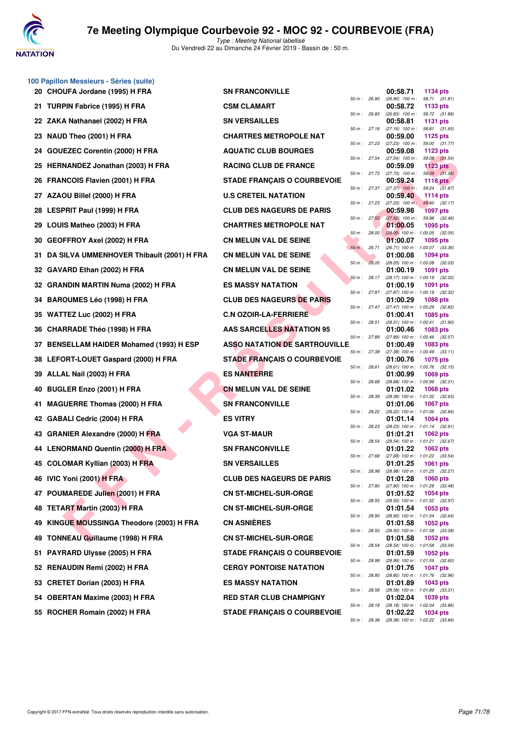

|    | 100 Papillon Messieurs - Séries (suite)      |                                      |                |              |                                                        |                             |  |
|----|----------------------------------------------|--------------------------------------|----------------|--------------|--------------------------------------------------------|-----------------------------|--|
|    | 20 CHOUFA Jordane (1995) H FRA               | <b>SN FRANCONVILLE</b>               | 50 m : 26.90   |              | 00:58.71<br>$(26.90)$ 100 m : 58.71 $(31.81)$          | 1134 pts                    |  |
|    | 21 TURPIN Fabrice (1995) H FRA               | <b>CSM CLAMART</b>                   | 50 m : 26.83   |              | 00:58.72<br>$(26.83)$ 100 m : 58.72 $(31.89)$          | 1133 pts                    |  |
|    | 22 ZAKA Nathanael (2002) H FRA               | <b>SN VERSAILLES</b>                 |                |              | 00:58.81                                               | 1131 pts                    |  |
|    | 23 NAUD Theo (2001) H FRA                    | <b>CHARTRES METROPOLE NAT</b>        | 50 m: 27.16    |              | $(27.16)$ 100 m :<br>00:59.00                          | 58.81 (31.65)<br>1125 pts   |  |
|    | 24 GOUEZEC Corentin (2000) H FRA             | <b>AQUATIC CLUB BOURGES</b>          | 50 m: 27.23    |              | $(27.23)$ 100 m :<br>00:59.08                          | 59.00 (31.77)<br>1123 $pts$ |  |
|    | 25 HERNANDEZ Jonathan (2003) H FRA           | <b>RACING CLUB DE FRANCE</b>         | 50 m: 27.54    |              | $(27.54)$ 100 m :<br>00:59.09                          | 59.08 (31.54)<br>1123 pts   |  |
|    | 26 FRANCOIS Flavien (2001) H FRA             | <b>STADE FRANÇAIS O COURBEVOIE</b>   |                | 50 m : 27.73 | $(27.73)$ 100 m : 59.09 $(31.36)$<br>00:59.24          | <b>1118 pts</b>             |  |
|    | 27 AZAOU Billel (2000) H FRA                 | <b>U.S CRETEIL NATATION</b>          |                |              | $50 m$ : 27.37 (27.37) $100 m$ :<br>00:59.40           | 59.24 (31.87)<br>1114 pts   |  |
|    | 28 LESPRIT Paul (1999) H FRA                 | <b>CLUB DES NAGEURS DE PARIS</b>     | 50 m: 27.23    |              | $(27.23)$ 100 m :<br>00:59.98                          | 59.40 (32.17)<br>1097 pts   |  |
|    | 29 LOUIS Matheo (2003) H FRA                 | <b>CHARTRES METROPOLE NAT</b>        |                | 50 m: 27.52  | $(27.52)$ 100 m :<br>01:00.05                          | 59.98 (32.46)<br>1095 pts   |  |
|    | 30 GEOFFROY Axel (2002) H FRA                | <b>CN MELUN VAL DE SEINE</b>         | 50 m: 28.00    |              | $(28.00)$ 100 m : 1:00.05 $(32.05)$<br>01:00.07        | 1095 pts                    |  |
|    | 31 DA SILVA UMMENHOVER Thibault (2001) H FRA | <b>CN MELUN VAL DE SEINE</b>         | $50 m$ : 26.71 |              | (26.71) 100 m: 1:00.07 (33.36)<br>01:00.08             | 1094 pts                    |  |
|    | 32 GAVARD Ethan (2002) H FRA                 | <b>CN MELUN VAL DE SEINE</b>         |                | 50 m: 28.05  | (28.05) 100 m: 1:00.08 (32.03)<br>01:00.19             | 1091 pts                    |  |
|    | 32 GRANDIN MARTIN Numa (2002) H FRA          | <b>ES MASSY NATATION</b>             |                | 50 m: 28.17  | (28.17) 100 m : 1:00.19 (32.02)<br>01:00.19            | 1091 pts                    |  |
|    | 34 BAROUMES Léo (1998) H FRA                 | <b>CLUB DES NAGEURS DE PARIS</b>     |                |              | 50 m: 27.87 (27.87) 100 m: 1:00.19 (32.32)<br>01:00.29 | 1088 pts                    |  |
|    | 35 WATTEZ Luc (2002) H FRA                   | <b>C.N OZOIR-LA-FERRIERE</b>         |                | 50 m: 27.47  | (27.47) 100 m : 1:00.29 (32.82)<br>01:00.41            | 1085 pts                    |  |
|    | 36 CHARRADE Théo (1998) H FRA                | <b>AAS SARCELLES NATATION 95</b>     | 50 m: 28.51    |              | (28.51) 100 m: 1:00.41 (31.90)<br>01:00.46             | 1083 pts                    |  |
|    | 37 BENSELLAM HAIDER Mohamed (1993) H ESP     | <b>ASSO NATATION DE SARTROUVILLE</b> | 50 m : 27.89   |              | (27.89) 100 m: 1:00.46 (32.57)<br>01:00.49             | 1083 pts                    |  |
|    | 38 LEFORT-LOUET Gaspard (2000) H FRA         | <b>STADE FRANÇAIS O COURBEVOIE</b>   |                | 50 m : 27.38 | (27.38) 100 m: 1:00.49 (33.11)<br>01:00.76             | 1075 pts                    |  |
|    | 39 ALLAL Nail (2003) H FRA                   | <b>ES NANTERRE</b>                   |                | 50 m : 28.61 | (28.61) 100 m: 1:00.76 (32.15)<br>01:00.99             | 1069 pts                    |  |
|    | 40 BUGLER Enzo (2001) H FRA                  | <b>CN MELUN VAL DE SEINE</b>         | 50 m: 28.68    |              | (28.68) 100 m : 1:00.99 (32.31)<br>01:01.02            | 1068 pts                    |  |
|    | 41 MAGUERRE Thomas (2000) H FRA              | <b>SN FRANCONVILLE</b>               | 50 m : 28.39   |              | (28.39) 100 m: 1:01.02 (32.63)<br>01:01.06             | 1067 pts                    |  |
|    | 42 GABALI Cedric (2004) H FRA                | <b>ES VITRY</b>                      | 50 m: 28.22    |              | (28.22) 100 m: 1:01.06 (32.84)<br>01:01.14             | 1064 pts                    |  |
|    | 43 GRANIER Alexandre (2000) H FRA            | <b>VGA ST-MAUR</b>                   | 50 m : 28.23   |              | (28.23) 100 m : 1:01.14 (32.91)<br>01:01.21            | 1062 pts                    |  |
|    | 44 LENORMAND Quentin (2000) H FRA            | <b>SN FRANCONVILLE</b>               |                | 50 m : 28.54 | (28.54) 100 m: 1:01.21 (32.67)<br>01:01.22             | <b>1062 pts</b>             |  |
|    | 45 COLOMAR Kyllian (2003) H FRA              | <b>SN VERSAILLES</b>                 | 50 m: 27.68    |              | (27.68) 100 m : 1:01.22 (33.54)<br>01:01.25            | 1061 pts                    |  |
|    | 46 IVIC Yoni (2001) H FRA                    | <b>CLUB DES NAGEURS DE PARIS</b>     | 50 m : 28.98   |              | (28.98) 100 m : 1:01.25 (32.27)<br>01:01.28            | 1060 pts                    |  |
|    | 47 POUMAREDE Julien (2001) H FRA             | <b>CN ST-MICHEL-SUR-ORGE</b>         | 50 m: 27.80    |              | (27.80) 100 m: 1:01.28 (33.48)<br>01:01.52             | 1054 pts                    |  |
| 48 | <b>TETART Martin (2003) H FRA</b>            | <b>CN ST-MICHEL-SUR-ORGE</b>         | 50 m: 28.55    |              | (28.55) 100 m: 1:01.52 (32.97)<br>01:01.54             | 1053 pts                    |  |
| 49 | KINGUE MOUSSINGA Theodore (2003) H FRA       | <b>CN ASNIÈRES</b>                   | 50 m: 28.90    |              | (28.90) 100 m: 1:01.54 (32.64)<br>01:01.58             | 1052 pts                    |  |
| 49 | <b>TONNEAU Guillaume (1998) H FRA</b>        | <b>CN ST-MICHEL-SUR-ORGE</b>         | 50 m : 28.50   |              | (28.50) 100 m: 1:01.58 (33.08)<br>01:01.58             | <b>1052 pts</b>             |  |
| 51 | <b>PAYRARD Ulysse (2005) H FRA</b>           | <b>STADE FRANÇAIS O COURBEVOIE</b>   | 50 m : 28.54   |              | (28.54) 100 m : 1:01.58 (33.04)<br>01:01.59            | 1052 pts                    |  |
|    | 52 RENAUDIN Remi (2002) H FRA                | <b>CERGY PONTOISE NATATION</b>       | 50 m : 28.99   |              | (28.99) 100 m: 1:01.59 (32.60)<br>01:01.76             | <b>1047 pts</b>             |  |
|    | 53 CRETET Dorian (2003) H FRA                | <b>ES MASSY NATATION</b>             | 50 m : 28.80   |              | (28.80) 100 m: 1:01.76 (32.96)<br>01:01.89             | 1043 pts                    |  |
|    | 54 OBERTAN Maxime (2003) H FRA               | <b>RED STAR CLUB CHAMPIGNY</b>       | 50 m : 28.58   |              | (28.58) 100 m: 1:01.89 (33.31)<br>01:02.04             | 1039 pts                    |  |
|    | 55 ROCHER Romain (2002) H FRA                | <b>STADE FRANÇAIS O COURBEVOIE</b>   | 50 m: 28.18    |              | (28.18) 100 m: 1:02.04 (33.86)<br>01:02.22             | 1034 pts                    |  |
|    |                                              |                                      | 50 m : 28.38   |              | (28.38) 100 m : 1:02.22 (33.84)                        |                             |  |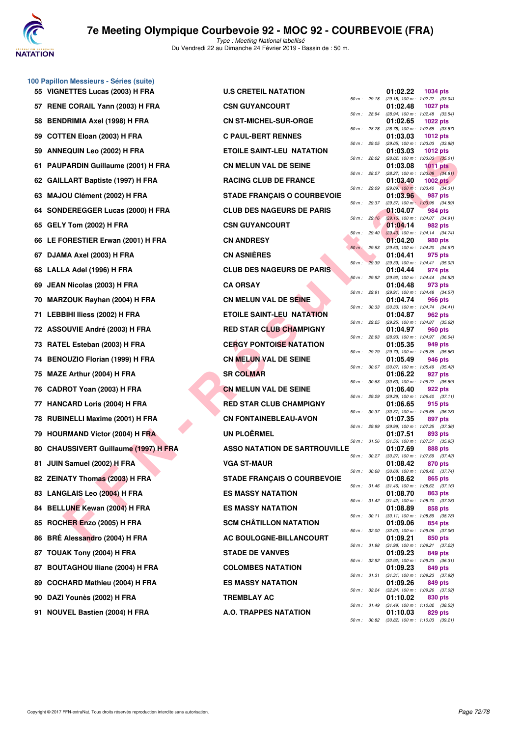

Du Vendredi 22 au Dimanche 24 Février 2019 - Bassin de : 50 m.

|    | 100 Papillon Messieurs - Séries (suite)   |                                      |                |              |                                                 |                 |  |
|----|-------------------------------------------|--------------------------------------|----------------|--------------|-------------------------------------------------|-----------------|--|
|    | 55 VIGNETTES Lucas (2003) H FRA           | <b>U.S CRETEIL NATATION</b>          |                |              | 01:02.22                                        | <b>1034 pts</b> |  |
|    | 57 RENE CORAIL Yann (2003) H FRA          | <b>CSN GUYANCOURT</b>                |                | 50 m : 29.18 | (29.18) 100 m: 1:02.22 (33.04)<br>01:02.48      | <b>1027 pts</b> |  |
| 58 | <b>BENDRIMIA Axel (1998) H FRA</b>        | <b>CN ST-MICHEL-SUR-ORGE</b>         | 50 m : 28.94   |              | (28.94) 100 m: 1:02.48 (33.54)<br>01:02.65      | <b>1022 pts</b> |  |
| 59 | <b>COTTEN Eloan (2003) H FRA</b>          | <b>C PAUL-BERT RENNES</b>            | 50 m : 28.78   |              | (28.78) 100 m: 1:02.65 (33.87)<br>01:03.03      | <b>1012 pts</b> |  |
| 59 | ANNEQUIN Leo (2002) H FRA                 | <b>ETOILE SAINT-LEU NATATION</b>     | 50 m : 29.05   |              | (29.05) 100 m: 1:03.03 (33.98)<br>01:03.03      | 1012 pts        |  |
| 61 | PAUPARDIN Guillaume (2001) H FRA          | <b>CN MELUN VAL DE SEINE</b>         | 50 m : 28.02   |              | $(28.02)$ 100 m : 1:03.03 $(35.01)$<br>01:03.08 | <b>1011 pts</b> |  |
| 62 | <b>GAILLART Baptiste (1997) H FRA</b>     | <b>RACING CLUB DE FRANCE</b>         |                | 50 m : 28.27 | $(28.27)$ 100 m : 1:03.08 $(34.81)$<br>01:03.40 | <b>1002 pts</b> |  |
| 63 | MAJOU Clément (2002) H FRA                | <b>STADE FRANÇAIS O COURBEVOIE</b>   | 50 m : 29.09   |              | $(29.09)$ 100 m : 1:03.40 $(34.31)$<br>01:03.96 | 987 pts         |  |
| 64 | SONDEREGGER Lucas (2000) H FRA            | <b>CLUB DES NAGEURS DE PARIS</b>     |                | 50 m : 29.37 | (29.37) 100 m: 1:03.96 (34.59)<br>01:04.07      | 984 pts         |  |
| 65 | GELY Tom (2002) H FRA                     | <b>CSN GUYANCOURT</b>                |                | 50 m: 29.16  | (29.16) 100 m: 1:04.07 (34.91)<br>01:04.14      | 982 pts         |  |
|    | 66 LE FORESTIER Erwan (2001) H FRA        | <b>CN ANDRESY</b>                    | 50 m : 29.40   |              | $(29.40)$ 100 m : 1:04.14 $(34.74)$             | 980 pts         |  |
|    |                                           |                                      | $50 m$ : 29.53 |              | 01:04.20<br>(29.53) 100 m : 1:04.20 (34.67)     |                 |  |
| 67 | DJAMA Axel (2003) H FRA                   | <b>CN ASNIERES</b>                   | 50 m: 29.39    |              | 01:04.41<br>(29.39) 100 m: 1:04.41 (35.02)      | 975 pts         |  |
|    | 68 LALLA Adel (1996) H FRA                | <b>CLUB DES NAGEURS DE PARIS</b>     | 50 m: 29.92    |              | 01:04.44<br>(29.92) 100 m : 1:04.44 (34.52)     | 974 pts         |  |
| 69 | JEAN Nicolas (2003) H FRA                 | <b>CA ORSAY</b>                      |                | 50 m : 29.91 | 01:04.48<br>(29.91) 100 m : 1:04.48 (34.57)     | 973 pts         |  |
| 70 | MARZOUK Rayhan (2004) H FRA               | CN MELUN VAL DE SEINE                | 50 m : 30.33   |              | 01:04.74<br>$(30.33)$ 100 m : 1:04.74 $(34.41)$ | 966 pts         |  |
|    | 71 LEBBIHI Iliess (2002) H FRA            | <b>ETOILE SAINT-LEU NATATION</b>     | 50 m : 29.25   |              | 01:04.87<br>(29.25) 100 m : 1:04.87 (35.62)     | 962 pts         |  |
| 72 | <b>ASSOUVIE André (2003) H FRA</b>        | <b>RED STAR CLUB CHAMPIGNY</b>       | 50 m : 28.93   |              | 01:04.97<br>(28.93) 100 m : 1:04.97 (36.04)     | 960 pts         |  |
| 73 | RATEL Esteban (2003) H FRA                | <b>CERGY PONTOISE NATATION</b>       | 50 m : 29.79   |              | 01:05.35<br>(29.79) 100 m : 1:05.35 (35.56)     | 949 pts         |  |
| 74 | BENOUZIO Florian (1999) H FRA             | <b>CN MELUN VAL DE SEINE</b>         |                | 50 m : 30.07 | 01:05.49<br>(30.07) 100 m : 1:05.49 (35.42)     | 946 pts         |  |
| 75 | MAZE Arthur (2004) H FRA                  | <b>SR COLMAR</b>                     |                |              | 01:06.22                                        | 927 pts         |  |
| 76 | CADROT Yoan (2003) H FRA                  | <b>CN MELUN VAL DE SEINE</b>         | 50 m : 30.63   |              | $(30.63)$ 100 m : 1:06.22 $(35.59)$<br>01:06.40 | 922 pts         |  |
|    | 77 HANCARD Loris (2004) H FRA             | <b>RED STAR CLUB CHAMPIGNY</b>       | 50 m : 29.29   |              | (29.29) 100 m: 1:06.40 (37.11)<br>01:06.65      | 915 pts         |  |
|    | 78 RUBINELLI Maxime (2001) H FRA          | <b>CN FONTAINEBLEAU-AVON</b>         | 50 m : 30.37   |              | (30.37) 100 m : 1:06.65 (36.28)<br>01:07.35     | 897 pts         |  |
| 79 | <b>HOURMAND Victor (2004) H FRA</b>       | <b>UN PLOËRMEL</b>                   | 50 m : 29.99   |              | (29.99) 100 m: 1:07.35 (37.36)<br>01:07.51      | 893 pts         |  |
| 80 | <b>CHAUSSIVERT Guillaume (1997) H FRA</b> | <b>ASSO NATATION DE SARTROUVILLE</b> |                | 50 m : 31.56 | $(31.56)$ 100 m : 1:07.51 $(35.95)$<br>01:07.69 | <b>888 pts</b>  |  |
|    | 81 JUIN Samuel (2002) H FRA               | <b>VGA ST-MAUR</b>                   |                | 50 m : 30.27 | (30.27) 100 m: 1:07.69 (37.42)<br>01:08.42      | 870 pts         |  |
|    | 82 ZEINATY Thomas (2003) H FRA            | <b>STADE FRANÇAIS O COURBEVOIE</b>   | 50 m : 30.68   |              | $(30.68)$ 100 m : 1:08.42 $(37.74)$<br>01:08.62 | 865 pts         |  |
|    | 83 LANGLAIS Leo (2004) H FRA              | <b>ES MASSY NATATION</b>             |                | 50 m : 31.46 | $(31.46)$ 100 m : 1:08.62 $(37.16)$<br>01:08.70 | 863 pts         |  |
| 84 | <b>BELLUNE Kewan (2004) H FRA</b>         | <b>ES MASSY NATATION</b>             |                | 50 m : 31.42 | $(31.42)$ 100 m : 1:08.70 $(37.28)$<br>01:08.89 | 858 pts         |  |
| 85 | ROCHER Enzo (2005) H FRA                  | <b>SCM CHÂTILLON NATATION</b>        |                | 50 m : 30.11 | $(30.11)$ 100 m : 1:08.89 $(38.78)$<br>01:09.06 | 854 pts         |  |
| 86 | BRÉ Alessandro (2004) H FRA               | AC BOULOGNE-BILLANCOURT              |                | 50 m : 32.00 | $(32.00)$ 100 m : 1:09.06 $(37.06)$             |                 |  |
|    |                                           |                                      |                | 50 m : 31.98 | 01:09.21<br>$(31.98)$ 100 m : 1:09.21 $(37.23)$ | 850 pts         |  |
| 87 | TOUAK Tony (2004) H FRA                   | <b>STADE DE VANVES</b>               |                | 50 m : 32.92 | 01:09.23<br>$(32.92)$ 100 m : 1:09.23 $(36.31)$ | 849 pts         |  |
| 87 | <b>BOUTAGHOU Iliane (2004) H FRA</b>      | <b>COLOMBES NATATION</b>             |                | 50 m : 31.31 | 01:09.23<br>$(31.31)$ 100 m : 1:09.23 $(37.92)$ | 849 pts         |  |
| 89 | COCHARD Mathieu (2004) H FRA              | <b>ES MASSY NATATION</b>             |                | 50 m : 32.24 | 01:09.26<br>(32.24) 100 m : 1:09.26 (37.02)     | 849 pts         |  |
| 90 | DAZI Younès (2002) H FRA                  | <b>TREMBLAY AC</b>                   |                | 50 m : 31.49 | 01:10.02<br>$(31.49)$ 100 m : 1:10.02 $(38.53)$ | 830 pts         |  |
|    | <b>04 NOUVEL Beatles (0004) UEBA</b>      | $A \cap T$ DADDEC MATATION           |                |              | <b>04.40.00</b>                                 |                 |  |

| $10$ rapinuli messieurs - Series (suite)<br>55 VIGNETTES Lucas (2003) H FRA | <b>U.S CRETEIL NATATION</b>          |              |              | 01:02.22                                               | 1034 pts        |         |
|-----------------------------------------------------------------------------|--------------------------------------|--------------|--------------|--------------------------------------------------------|-----------------|---------|
| 57 RENE CORAIL Yann (2003) H FRA                                            | <b>CSN GUYANCOURT</b>                |              | 50 m : 29.18 | (29.18) 100 m: 1:02.22 (33.04)<br>01:02.48             | <b>1027 pts</b> |         |
| 58 BENDRIMIA Axel (1998) H FRA                                              | <b>CN ST-MICHEL-SUR-ORGE</b>         | 50 m : 28.94 |              | (28.94) 100 m : 1:02.48 (33.54)<br>01:02.65            | 1022 pts        |         |
| 59 COTTEN Eloan (2003) H FRA                                                | <b>C PAUL-BERT RENNES</b>            | 50 m: 28.78  |              | (28.78) 100 m : 1:02.65 (33.87)<br>01:03.03            | 1012 pts        |         |
| 59 ANNEQUIN Leo (2002) H FRA                                                | <b>ETOILE SAINT-LEU NATATION</b>     | 50 m: 29.05  |              | (29.05) 100 m: 1:03.03 (33.98)<br>01:03.03             | 1012 pts        |         |
|                                                                             |                                      | 50 m : 28.02 |              | $(28.02)$ 100 m : 1:03.03 $(35.01)$                    |                 |         |
| 61 PAUPARDIN Guillaume (2001) H FRA                                         | <b>CN MELUN VAL DE SEINE</b>         | 50 m : 28.27 |              | 01:03.08<br>$(28.27)$ 100 m : 1:03.08 $(34.81)$        | 1011 pts        |         |
| 62 GAILLART Baptiste (1997) H FRA                                           | <b>RACING CLUB DE FRANCE</b>         | 50 m : 29.09 |              | 01:03.40<br>$(29.09)$ 100 m : 1:03.40 $(34.31)$        | 1002 $pts1$     |         |
| 63 MAJOU Clément (2002) H FRA                                               | <b>STADE FRANÇAIS O COURBEVOIE</b>   | 50 m : 29.37 |              | 01:03.96<br>(29.37) 100 m: 1:03.96 (34.59)             | 987 pts         |         |
| 64 SONDEREGGER Lucas (2000) H FRA                                           | <b>CLUB DES NAGEURS DE PARIS</b>     | 50 m: 29.16  |              | 01:04.07<br>(29.16) 100 m: 1:04.07 (34.91)             | 984 pts         |         |
| 65 GELY Tom (2002) H FRA                                                    | <b>CSN GUYANCOURT</b>                | 50 m: 29.40  |              | 01:04.14<br>$(29.40)$ 100 m : 1:04.14 $(34.74)$        | 982 pts         |         |
| 66 LE FORESTIER Erwan (2001) H FRA                                          | <b>CN ANDRESY</b>                    |              |              | 01:04.20                                               | 980 pts         |         |
| 67 DJAMA Axel (2003) H FRA                                                  | <b>CN ASNIÈRES</b>                   | 50 m: 29.53  |              | (29.53) 100 m: 1:04.20 (34.67)<br>01:04.41             | 975 pts         |         |
| 68 LALLA Adel (1996) H FRA                                                  | <b>CLUB DES NAGEURS DE PARIS</b>     | 50 m: 29.39  |              | (29.39) 100 m: 1:04.41 (35.02)<br>01:04.44             | 974 pts         |         |
| 69 JEAN Nicolas (2003) H FRA                                                | <b>CA ORSAY</b>                      | 50 m: 29.92  |              | (29.92) 100 m: 1:04.44 (34.52)<br>01:04.48             | 973 pts         |         |
| 70 MARZOUK Rayhan (2004) H FRA                                              | <b>CN MELUN VAL DE SEINE</b>         | 50 m: 29.91  |              | (29.91) 100 m: 1:04.48 (34.57)<br>01:04.74             | 966 pts         |         |
| 71 LEBBIHI Iliess (2002) H FRA                                              | ETOILE SAINT-LEU NATATION            | 50 m: 30.33  |              | (30.33) 100 m: 1:04.74 (34.41)<br>01:04.87             | 962 pts         |         |
|                                                                             |                                      | 50 m : 29.25 |              | (29.25) 100 m: 1:04.87 (35.62)                         |                 |         |
| 72 ASSOUVIE André (2003) H FRA                                              | <b>RED STAR CLUB CHAMPIGNY</b>       | 50 m : 28.93 |              | 01:04.97<br>(28.93) 100 m: 1:04.97 (36.04)             | 960 pts         |         |
| 73 RATEL Esteban (2003) H FRA                                               | <b>CERGY PONTOISE NATATION</b>       | 50 m : 29.79 |              | 01:05.35<br>(29.79) 100 m : 1:05.35                    | 949 pts         | (35.56) |
| 74 BENOUZIO Florian (1999) H FRA                                            | <b>CN MELUN VAL DE SEINE</b>         | 50 m : 30.07 |              | 01:05.49<br>(30.07) 100 m: 1:05.49 (35.42)             | 946 pts         |         |
| 75 MAZE Arthur (2004) H FRA                                                 | <b>SR COLMAR</b>                     | 50 m: 30.63  |              | 01:06.22<br>$(30.63)$ 100 m : 1:06.22 $(35.59)$        | 927 pts         |         |
| 76 CADROT Yoan (2003) H FRA                                                 | <b>CN MELUN VAL DE SEINE</b>         | 50 m : 29.29 |              | 01:06.40<br>$(29.29)$ 100 m : 1:06.40 $(37.11)$        | 922 pts         |         |
| 77 HANCARD Loris (2004) H FRA                                               | <b>RED STAR CLUB CHAMPIGNY</b>       |              |              | 01:06.65                                               | 915 pts         |         |
| 78 RUBINELLI Maxime (2001) H FRA                                            | <b>CN FONTAINEBLEAU-AVON</b>         | 50 m : 30.37 |              | (30.37) 100 m: 1:06.65 (36.28)<br>01:07.35             | 897 pts         |         |
| 79 HOURMAND Victor (2004) H FRA                                             | <b>UN PLOËRMEL</b>                   | 50 m: 29.99  |              | (29.99) 100 m : 1:07.35<br>01:07.51                    | 893 pts         | (37.36) |
| 80 CHAUSSIVERT Guillaume (1997) H FRA                                       | <b>ASSO NATATION DE SARTROUVILLE</b> | 50 m : 31.56 |              | $(31.56)$ 100 m : 1:07.51 $(35.95)$<br>01:07.69        | 888 pts         |         |
| 81 JUIN Samuel (2002) H FRA                                                 | <b>VGA ST-MAUR</b>                   |              | 50 m: 30.27  | $(30.27)$ 100 m : 1:07.69 $(37.42)$<br>01:08.42        | 870 pts         |         |
| 82 ZEINATY Thomas (2003) H FRA                                              | <b>STADE FRANÇAIS O COURBEVOIE</b>   | 50 m : 30.68 |              | (30.68) 100 m : 1:08.42 (37.74)<br>01:08.62            | 865 pts         |         |
| 83 LANGLAIS Leo (2004) H FRA                                                | <b>ES MASSY NATATION</b>             | 50 m : 31.46 |              | $(31.46)$ 100 m : 1:08.62 $(37.16)$<br>01:08.70        | 863 pts         |         |
| 84 BELLUNE Kewan (2004) H FRA                                               | <b>ES MASSY NATATION</b>             |              |              | 50 m : 31.42 (31.42) 100 m : 1:08.70<br>01:08.89       | 858 pts         | (37.28) |
| 85 ROCHER Enzo (2005) H FRA                                                 | <b>SCM CHÂTILLON NATATION</b>        | 50 m : 30.11 |              | (30.11) 100 m : 1:08.89<br>01:09.06                    | 854 pts         | (38.78) |
|                                                                             |                                      |              | 50 m : 32.00 | $(32.00)$ 100 m : 1:09.06 $(37.06)$                    |                 |         |
| 86 BRÉ Alessandro (2004) H FRA                                              | AC BOULOGNE-BILLANCOURT              | 50 m : 31.98 |              | 01:09.21<br>$(31.98)$ 100 m : 1:09.21 $(37.23)$        | 850 pts         |         |
| 87 TOUAK Tony (2004) H FRA                                                  | <b>STADE DE VANVES</b>               |              | 50 m : 32.92 | 01:09.23<br>$(32.92)$ 100 m : 1:09.23 $(36.31)$        | 849 pts         |         |
| 87 BOUTAGHOU Iliane (2004) H FRA                                            | <b>COLOMBES NATATION</b>             | 50 m : 31.31 |              | 01:09.23<br>$(31.31)$ 100 m : 1:09.23 $(37.92)$        | 849 pts         |         |
| 89 COCHARD Mathieu (2004) H FRA                                             | <b>ES MASSY NATATION</b>             |              | 50 m : 32.24 | 01:09.26<br>$(32.24)$ 100 m : 1:09.26                  | 849 pts         | (37.02) |
| 90 DAZI Younès (2002) H FRA                                                 | TREMBLAY AC                          |              |              | 01:10.02<br>50 m: 31.49 (31.49) 100 m: 1:10.02 (38.53) | 830 pts         |         |
| 91 NOUVEL Bastien (2004) H FRA                                              | <b>A.O. TRAPPES NATATION</b>         |              |              | 01:10.03                                               | 829 pts         |         |
|                                                                             |                                      |              |              | 50 m: 30.82 (30.82) 100 m: 1:10.03 (39.21)             |                 |         |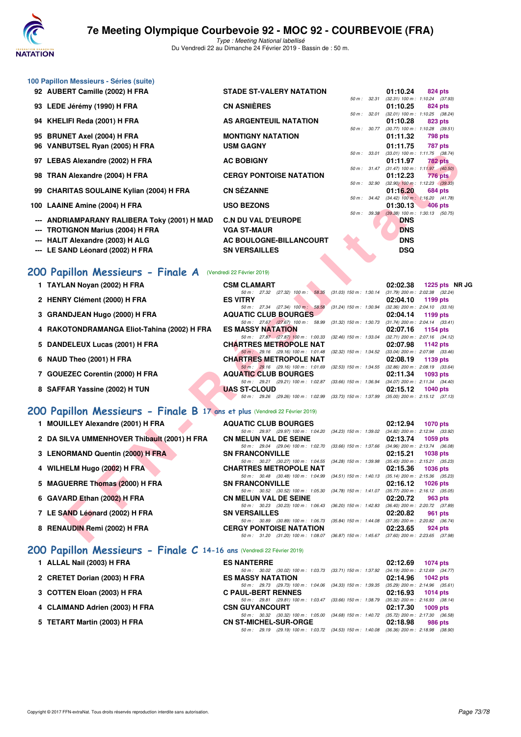

Type : Meeting National labellisé Du Vendredi 22 au Dimanche 24 Février 2019 - Bassin de : 50 m.

|    | 100 Papillon Messieurs - Séries (suite)                                     |                                                                                             |                           |              |            |                                                                    |
|----|-----------------------------------------------------------------------------|---------------------------------------------------------------------------------------------|---------------------------|--------------|------------|--------------------------------------------------------------------|
|    | 92 AUBERT Camille (2002) H FRA                                              | <b>STADE ST-VALERY NATATION</b>                                                             |                           |              | 01:10.24   | 824 pts                                                            |
|    | 93 LEDE Jérémy (1990) H FRA                                                 | <b>CN ASNIÈRES</b>                                                                          |                           | 50 m : 32.31 | 01:10.25   | (32.31) 100 m: 1:10.24 (37.93)<br>824 pts                          |
|    | 94 KHELIFI Reda (2001) H FRA                                                | AS ARGENTEUIL NATATION                                                                      |                           | 50 m : 32.01 |            | (32.01) 100 m: 1:10.25 (38.24)                                     |
|    |                                                                             |                                                                                             |                           | 50 m : 30.77 | 01:10.28   | 823 pts<br>$(30.77)$ 100 m : 1:10.28 $(39.51)$                     |
|    | 95 BRUNET Axel (2004) H FRA                                                 | <b>MONTIGNY NATATION</b>                                                                    |                           |              | 01:11.32   | 798 pts                                                            |
| 96 | VANBUTSEL Ryan (2005) H FRA                                                 | <b>USM GAGNY</b>                                                                            |                           | 50 m : 33.01 | 01:11.75   | <b>787 pts</b><br>$(33.01)$ 100 m : 1:11.75 $(38.74)$              |
|    | 97 LEBAS Alexandre (2002) H FRA                                             | <b>AC BOBIGNY</b>                                                                           |                           |              | 01:11.97   | 782 pts                                                            |
|    | 98 TRAN Alexandre (2004) H FRA                                              | <b>CERGY PONTOISE NATATION</b>                                                              |                           | 50 m : 31.47 | 01:12.23   | $(31.47)$ 100 m : 1:11.97 $(40.50)$<br>776 pts                     |
|    |                                                                             |                                                                                             |                           | 50 m : 32.90 |            | $(32.90)$ 100 m : 1:12.23 $(39.33)$                                |
|    | 99 CHARITAS SOULAINE Kylian (2004) H FRA                                    | <b>CN SÉZANNE</b>                                                                           |                           |              | 01:16.20   | 684 pts<br>50 m : 34.42 (34.42) 100 m : 1:16.20 (41.78)            |
|    | 100 LAAINE Amine (2004) H FRA                                               | <b>USO BEZONS</b>                                                                           |                           |              | 01:30.13   | 406 pts                                                            |
|    | ANDRIAMPARANY RALIBERA Toky (2001) H MAD                                    | <b>C.N DU VAL D'EUROPE</b>                                                                  |                           |              | <b>DNS</b> | 50 m : 39.38 (39.38) 100 m : 1:30.13 (50.75)                       |
|    | <b>TROTIGNON Marius (2004) H FRA</b>                                        | <b>VGA ST-MAUR</b>                                                                          |                           |              | <b>DNS</b> |                                                                    |
|    | <b>HALIT Alexandre (2003) H ALG</b>                                         | <b>AC BOULOGNE-BILLANCOURT</b>                                                              |                           |              | <b>DNS</b> |                                                                    |
|    | LE SAND Léonard (2002) H FRA                                                | <b>SN VERSAILLES</b>                                                                        |                           |              | <b>DSQ</b> |                                                                    |
|    |                                                                             |                                                                                             |                           |              |            |                                                                    |
|    | 200 Papillon Messieurs - Finale A                                           | (Vendredi 22 Février 2019)                                                                  |                           |              |            |                                                                    |
|    | 1 TAYLAN Noyan (2002) H FRA                                                 | <b>CSM CLAMART</b>                                                                          |                           |              | 02:02.38   | 1225 pts NR J0                                                     |
|    | 2 HENRY Clément (2000) H FRA                                                | 50 m: 27.32 (27.32) 100 m: 58.35 (31.03) 150 m: 1:30.14<br><b>ES VITRY</b>                  |                           |              | 02:04.10   | $(31.79)$ 200 m : 2:02.38 $(32.24)$<br>1199 pts                    |
|    |                                                                             | 50 m: 27.34 (27.34) 100 m: 58.58                                                            | $(31.24)$ 150 m : 1:30.94 |              |            | $(32.36)$ 200 m : 2:04.10 $(33.16)$                                |
|    | 3 GRANDJEAN Hugo (2000) H FRA                                               | <b>AQUATIC CLUB BOURGES</b><br>50 m: 27.67 (27.67) 100 m: 58.99                             | $(31.32)$ 150 m : 1:30.73 |              | 02:04.14   | 1199 pts<br>$(31.74)$ 200 m : 2:04.14 $(33.41)$                    |
|    | 4 RAKOTONDRAMANGA Eliot-Tahina (2002) H FRA                                 | <b>ES MASSY NATATION</b>                                                                    |                           |              | 02:07.16   | 1154 pts                                                           |
|    | 5 DANDELEUX Lucas (2001) H FRA                                              | 50 m: 27.87 (27.87) 100 m: 1:00.33<br>CHARTRES METROPOLE NAT                                | $(32.46)$ 150 m : 1:33.04 |              | 02:07.98   | (32.71) 200 m : 2:07.16 (34.12)<br>1142 pts                        |
|    |                                                                             | 50 m: 29.16 (29.16) 100 m: 1:01.48                                                          | $(32.32)$ 150 m : 1:34.52 |              |            | $(33.04)$ 200 m : 2:07.98 $(33.46)$                                |
|    | 6 NAUD Theo (2001) H FRA                                                    | <b>CHARTRES METROPOLE NAT</b><br>50 m: 29.16 (29.16) 100 m: 1:01.69                         | $(32.53)$ 150 m : 1:34.55 |              | 02:08.19   | 1139 pts<br>$(32.86)$ 200 m : 2:08.19 $(33.64)$                    |
|    | 7 GOUEZEC Corentin (2000) H FRA                                             | <b>AQUATIC CLUB BOURGES</b>                                                                 |                           |              | 02:11.34   | 1093 pts                                                           |
|    | 8 SAFFAR Yassine (2002) H TUN                                               | 50 m: 29.21 (29.21) 100 m: 1:02.87<br><b>UAS ST-CLOUD</b>                                   | $(33.66)$ 150 m : 1:36.94 |              | 02:15.12   | $(34.07)$ 200 m : 2:11.34 $(34.40)$                                |
|    |                                                                             | 50 m : 29.26 (29.26) 100 m : 1:02.99                                                        | (33.73) 150 m : 1:37.99   |              |            | 1040 pts<br>$(35.00)$ 200 m : 2:15.12 $(37.13)$                    |
|    | 200 Papillon Messieurs - Finale B 17 ans et plus (Vendredi 22 Février 2019) |                                                                                             |                           |              |            |                                                                    |
|    | 1 MOUILLEY Alexandre (2001) H FRA                                           |                                                                                             |                           |              |            |                                                                    |
|    |                                                                             | <b>AQUATIC CLUB BOURGES</b><br>50 m : 29.97 (29.97) 100 m : 1:04.20 (34.23) 150 m : 1:39.02 |                           |              | 02:12.94   | <b>1070 pts</b><br>$(34.82)$ 200 m : 2:12.94 $(33.92)$             |
|    | 2 DA SILVA UMMENHOVER Thibault (2001) H FRA                                 | <b>CN MELUN VAL DE SEINE</b>                                                                |                           |              | 02:13.74   | 1059 pts                                                           |
|    | 3 LENORMAND Quentin (2000) H FRA                                            | 50 m : 29.04 (29.04) 100 m : 1:02.70 (33.66) 150 m : 1:37.66<br><b>SN FRANCONVILLE</b>      |                           |              | 02:15.21   | $(34.96)$ 200 m : 2:13.74 $(36.08)$<br><b>1038 pts</b>             |
|    |                                                                             | 50 m: 30.27 (30.27) 100 m: 1:04.55 (34.28) 150 m: 1:39.98                                   |                           |              |            | $(35.43)$ 200 m : 2:15.21 $(35.23)$                                |
|    | 4 WILHELM Hugo (2002) H FRA                                                 | <b>CHARTRES METROPOLE NAT</b><br>50 m: 30.48 (30.48) 100 m: 1:04.99 (34.51) 150 m: 1:40.13  |                           |              | 02:15.36   | <b>1036 pts</b><br>(35.14) 200 m : 2:15.36 (35.23)                 |
|    | 5 MAGUERRE Thomas (2000) H FRA                                              | <b>SN FRANCONVILLE</b>                                                                      |                           |              | 02:16.12   | <b>1026 pts</b>                                                    |
|    | 6 GAVARD Ethan (2002) H FRA                                                 | 50 m : 30.52 (30.52) 100 m : 1:05.30<br><b>CN MELUN VAL DE SEINE</b>                        |                           |              | 02:20.72   | (34.78) 150 m : 1:41.07 (35.77) 200 m : 2:16.12 (35.05)<br>963 pts |
|    |                                                                             | 50 m: 30.23 (30.23) 100 m: 1:06.43                                                          | (36.20) 150 m : 1:42.83   |              |            | (36.40) 200 m : 2:20.72 (37.89)                                    |
|    | 7 LE SAND Léonard (2002) H FRA                                              | <b>SN VERSAILLES</b><br>50 m: 30.89 (30.89) 100 m: 1:06.73                                  | $(35.84)$ 150 m : 1:44.08 |              | 02:20.82   | 961 pts<br>(37.35) 200 m : 2:20.82 (36.74)                         |
|    | 8 RENAUDIN Remi (2002) H FRA                                                | <b>CERGY PONTOISE NATATION</b>                                                              |                           |              | 02:23.65   | 924 pts                                                            |
|    |                                                                             | 50 m: 31.20 (31.20) 100 m: 1:08.07 (36.87) 150 m: 1:45.67                                   |                           |              |            | $(37.60)$ 200 m : 2:23.65 $(37.98)$                                |

- **1 TAYLAN Noyan (2002) H FRA CSM CLAMART 68.35 1225 01.03 1225 DCCCLAMART 02:02.38 1225 pts NR JG**
- **2 HENRY Clément (2000) H FRA ES VITRY 02:04.10 1199 pts**<br>  $\frac{50 \text{ m} \cdot 27.34 \cdot (27.34) \cdot 100 \text{ m} \cdot 58.58 \cdot (31.24) \cdot 150 \text{ m} \cdot 1.30.94 \cdot (32.36) \cdot 204 \cdot 10}{(32.36) \cdot 204 \cdot 10 \cdot (33.36) \cdot 204 \cdot 10 \cdot (33.36) \cdot 204 \cdot 10 \$
- **3 GRANDJEAN Hugo (2000) H FRA AQUATIC CLUB BOURGES 02:04.14 1199 pts**
- **4 RAKOTONDRAMANGA Eliot-Tahina (2002) H FRA** ES MASSY NATATION 02:07.16 1154 pts<br>
50 m : 27.87 (27.87 100 m : 1:00.33 (32.46) 150 m : 1:33.04 (32.71) 200 m : 2:07.16 (34.12)
- **5 DANDELEUX Lucas (2001) H FRA CHARTRES METROPOLE NAT 02:07.98 1142 pts**
- **6 NAUD Theo (2001) H FRA CHARTRES METROPOLE NAT**
- **7 GOUEZEC Corentin (2000) H FRA AQUATIC CLUB BOURGES 02:11.34 1093 pts**
- **8 SAFFAR Yassine (2002) H TUN UAS ST-CLOUD 02:15.12 1040 pts**

#### **[200 Papillon Messieurs - Finale B](http://www.ffnatation.fr/webffn/resultats.php?idact=nat&go=epr&idcpt=57703&idepr=83) 17 ans et plus** (Vendredi 22 Février 2019)

- **1 MOUILLEY Alexandre (2001) H FRA AQUATIC CLUB BOURGES 02:12.94 1070 pts**
- **2 DA SILVA UMMENHOVER Thibault (2001) H FRA** CN MELUN VAL DE SEINE 02:13.74 **1059 pts**<br>  $\frac{50 \text{ m} \cdot 29.04 \cdot (29.04) \cdot 100 \text{ m} \cdot 1.02.70}{(33.66) \cdot 150 \text{ m} \cdot 1.37.66 \cdot (34.96) \cdot 200 \text{ m} \cdot 2.13.74 \cdot (36.08)}$
- **3 LENORMAND Quentin (2000) H FRA SN FRANCONVILLE 62:15.21 1038 pts**
- 4 WILHELM Hugo (2002) H FRA CHARTRES METROPOLE NAT 02:15.36
- **5 MAGUERRE Thomas (2000) H FRA** SN FRANCONVILLE **1026 pts**<br>50 m; 30.52 100 m; 105.30 104.78) 150 m; 1:41.07 (35.77) 200 m; 2:16.12 (35.62) 160 m; 1:05.30 (34.78) 150 m; 1:41.07 (35.77) 200 m; 2:16.12
- **6 GAVARD Ethan (2002) H FRA CN MELUN VAL DE SEINE 02:20.72 963 pts**
- **7 LE SAND Léonard (2002) H FRA** SN VERSAILLES **02:20.82** 961 pts<br>
50 m: 30.89 (30.89) 100 m: 1:06.73 (35.84) 150 m: 1:44.08 (37.35) 200 m: 2:20.82 (36.74)
- **8 RENAUDIN Remi (2002) H FRA CERGY PONTOISE NATATION 02:23.65 924 pts**

### **[200 Papillon Messieurs - Finale C](http://www.ffnatation.fr/webffn/resultats.php?idact=nat&go=epr&idcpt=57703&idepr=83) 14-16 ans** (Vendredi 22 Février 2019)

- **1 ALLAL Nail (2003) H FRA**
- 2 CRETET Dorian (2003) H FRA
- **3 COTTEN Eloan (2003) H FRA**
- **4 CLAIMAND Adrien (2003) H FRA**
- **5 TETART Martin (2003) H FRA**

| $\sim$ and the condition of $\sim$ . The condition of $\sim$                                 |  |                     |
|----------------------------------------------------------------------------------------------|--|---------------------|
| <b>ES NANTERRE</b>                                                                           |  | 02:12.69 1074 pts   |
| 50 m: 30.02 (30.02) 100 m: 1:03.73 (33.71) 150 m: 1:37.92 (34.19) 200 m: 2:12.69 (34.77)     |  |                     |
| <b>ES MASSY NATATION</b>                                                                     |  | 02:14.96 1042 pts   |
| 50 m: 29.73 (29.73) 100 m: 1:04.06 (34.33) 150 m: 1:39.35 (35.29) 200 m: 2:14.96 (35.61)     |  |                     |
| <b>C PAUL-BERT RENNES</b>                                                                    |  | $02:16.93$ 1014 pts |
| 50 m: 29.81 (29.81) 100 m: 1:03.47 (33.66) 150 m: 1:38.79 (35.32) 200 m: 2:16.93 (38.14)     |  |                     |
| <b>CSN GUYANCOURT</b>                                                                        |  | $02:17.30$ 1009 pts |
| 50 m: 30.32 (30.32) 100 m: 1:05.00 (34.68) 150 m: 1:40.72 (35.72) 200 m: 2:17.30 (36.58)     |  |                     |
| <b>CN ST-MICHEL-SUR-ORGE</b>                                                                 |  | 02:18.98 986 pts    |
| 50 m · 29 19 (29 19) 100 m · 1 03 72 (34 53) 150 m · 1 40 08 (36 36) 200 m · 2 18 98 (38 90) |  |                     |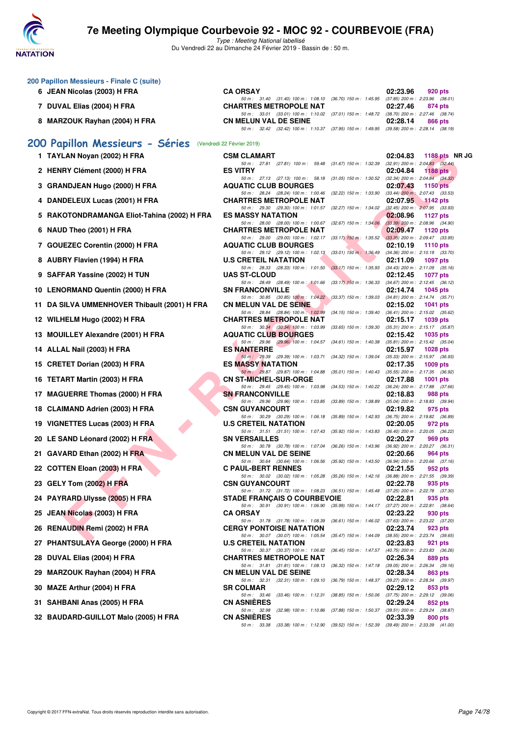

Type : Meeting National labellisé Du Vendredi 22 au Dimanche 24 Février 2019 - Bassin de : 50 m.

| 200 Papillon Messieurs - Finale C (suite) |                                             |                                                                                                                                                                                                                      |          |                                                                                   |  |
|-------------------------------------------|---------------------------------------------|----------------------------------------------------------------------------------------------------------------------------------------------------------------------------------------------------------------------|----------|-----------------------------------------------------------------------------------|--|
|                                           | 6 JEAN Nicolas (2003) H FRA                 | <b>CA ORSAY</b>                                                                                                                                                                                                      | 02:23.96 | 920 pts                                                                           |  |
|                                           | 7 DUVAL Elias (2004) H FRA                  | 50 m: 31.40 (31.40) 100 m: 1:08.10 (36.70) 150 m: 1:45.95<br><b>CHARTRES METROPOLE NAT</b>                                                                                                                           | 02:27.46 | $(37.85)$ 200 m : 2:23.96 $(38.01)$<br>874 pts                                    |  |
|                                           | 8 MARZOUK Rayhan (2004) H FRA               | 50 m: 33.01 (33.01) 100 m: 1:10.02 (37.01) 150 m: 1:48.72 (38.70) 200 m: 2:27.46 (38.74)<br><b>CN MELUN VAL DE SEINE</b><br>50 m: 32.42 (32.42) 100 m: 1:10.37 (37.95) 150 m: 1:49.95 (39.58) 200 m: 2:28.14 (38.19) | 02:28.14 | 866 pts                                                                           |  |
|                                           | 200 Papillon Messieurs - Séries             | (Vendredi 22 Février 2019)                                                                                                                                                                                           |          |                                                                                   |  |
|                                           | 1 TAYLAN Noyan (2002) H FRA                 | <b>CSM CLAMART</b>                                                                                                                                                                                                   | 02:04.83 | 1188 pts NR JG                                                                    |  |
|                                           | 2 HENRY Clément (2000) H FRA                | 50 m: 27.81 (27.81) 100 m: 59.48<br>$(31.67)$ 150 m : 1:32.39<br><b>ES VITRY</b>                                                                                                                                     | 02:04.84 | $(32.91)$ 200 m : 2:04.83 $(32.44)$<br>1188 pts                                   |  |
|                                           | 3 GRANDJEAN Hugo (2000) H FRA               | 50 m: 27.13 (27.13) 100 m: 58.18<br>$(31.05)$ 150 m : 1:30.52<br><b>AQUATIC CLUB BOURGES</b>                                                                                                                         | 02:07.43 | $(32.34)$ 200 m : 2:04.84 $(34.32)$<br><b>1150 pts</b>                            |  |
|                                           | 4 DANDELEUX Lucas (2001) H FRA              | 50 m: 28.24 (28.24) 100 m: 1:00.46<br>$(32.22)$ 150 m : 1:33.90<br><b>CHARTRES METROPOLE NAT</b>                                                                                                                     | 02:07.95 | $(33.44)$ 200 m : 2:07.43 $(33.53)$<br>$-1142$ pts                                |  |
|                                           | 5 RAKOTONDRAMANGA Eliot-Tahina (2002) H FRA | 50 m : 29.30 (29.30) 100 m : 1:01.57<br>(32.27) 150 m : 1:34.02<br><b>ES MASSY NATATION</b>                                                                                                                          | 02:08.96 | $(32.45)$ 200 m : $2:07.95$ $(33.93)$<br><b>1127 pts</b>                          |  |
|                                           | 6 NAUD Theo (2001) H FRA                    | 50 m: 28.00 (28.00) 100 m: 1:00.67<br>$(32.67)$ 150 m : 1:34.06<br><b>CHARTRES METROPOLE NAT</b>                                                                                                                     | 02:09.47 | $(33.39)$ 200 m : 2:08.96 $(34.90)$<br>1120 pts                                   |  |
|                                           | 7 GOUEZEC Corentin (2000) H FRA             | 50 m: 29.00 (29.00) 100 m: 1:02.17<br>$(33.17)$ 150 m : 1:35.52<br><b>AQUATIC CLUB BOURGES</b>                                                                                                                       | 02:10.19 | $(33.35)$ 200 m : 2:09.47 $(33.95)$<br>1110 pts                                   |  |
|                                           | 8 AUBRY Flavien (1994) H FRA                | 50 m: 29.12 (29.12) 100 m: 1:02.13<br>$(33.01)$ 150 m : 1:36.49<br><b>U.S CRETEIL NATATION</b>                                                                                                                       | 02:11.09 | $(34.36)$ 200 m : 2:10.19 $(33.70)$<br>1097 pts                                   |  |
|                                           | 9 SAFFAR Yassine (2002) H TUN               | 50 m: 28.33 (28.33) 100 m: 1:01.50<br>$(33.17)$ 150 m : 1:35.93<br><b>UAS ST-CLOUD</b>                                                                                                                               | 02:12.45 | $(34.43)$ 200 m : 2:11.09 $(35.16)$<br>1077 pts                                   |  |
|                                           | 10 LENORMAND Quentin (2000) H FRA           | 50 m: 28.49 (28.49) 100 m: 1:01.66<br>$(33.17)$ 150 m : 1:36.33<br><b>SN FRANCONVILLE</b>                                                                                                                            | 02:14.74 | $(34.67)$ 200 m : 2:12.45 $(36.12)$<br>1045 pts                                   |  |
| 11.                                       | DA SILVA UMMENHOVER Thibault (2001) H FRA   | 50 m: 30.85 (30.85) 100 m: 1:04.22<br>$(33.37)$ 150 m : 1:39.03 $(34.81)$ 200 m : 2:14.74 $(35.71)$<br><b>CN MELUN VAL DE SEINE</b>                                                                                  | 02:15.02 | <b>1041 pts</b>                                                                   |  |
|                                           | 12 WILHELM Hugo (2002) H FRA                | 50 m: 28.84 (28.84) 100 m: 1:02.99<br>$(34.15)$ 150 m : 1:39.40<br><b>CHARTRES METROPOLE NAT</b>                                                                                                                     | 02:15.17 | $(36.41)$ 200 m : 2:15.02 $(35.62)$<br><b>1039 pts</b>                            |  |
|                                           | 13 MOUILLEY Alexandre (2001) H FRA          | 50 m: 30.34 (30.34) 100 m: 1:03.99<br>$(33.65)$ 150 m : 1:39.30<br><b>AQUATIC CLUB BOURGES</b>                                                                                                                       | 02:15.42 | $(35.31)$ 200 m : 2:15.17 $(35.87)$<br>1035 pts                                   |  |
|                                           | 14 ALLAL Nail (2003) H FRA                  | 50 m: 29.96 (29.96) 100 m: 1:04.57<br>$(34.61)$ 150 m : 1:40.38<br><b>ES NANTERRE</b>                                                                                                                                | 02:15.97 | $(35.81)$ 200 m : 2:15.42 $(35.04)$<br>1028 pts                                   |  |
|                                           | 15 CRETET Dorian (2003) H FRA               | 50 m: 29.39 (29.39) 100 m: 1:03.71<br>$(34.32)$ 150 m : 1:39.04<br><b>ES MASSY NATATION</b>                                                                                                                          | 02:17.35 | (35.33) 200 m : 2:15.97 (36.93)<br>1009 pts                                       |  |
|                                           | 16 TETART Martin (2003) H FRA               | 50 m : 29.87 (29.87) 100 m : 1:04.88<br>$(35.01)$ 150 m : 1:40.43<br><b>CN ST-MICHEL-SUR-ORGE</b>                                                                                                                    | 02:17.88 | (35.55) 200 m : 2:17.35 (36.92)<br><b>1001 pts</b>                                |  |
|                                           | 17 MAGUERRE Thomas (2000) H FRA             | 50 m: 29.45 (29.45) 100 m: 1:03.98<br>(34.53) 150 m : 1:40.22 (36.24) 200 m : 2:17.88 (37.66)<br><b>SN FRANCONVILLE</b>                                                                                              | 02:18.83 | 988 pts                                                                           |  |
|                                           | 18 CLAIMAND Adrien (2003) H FRA             | 50 m: 29.96 (29.96) 100 m: 1:03.85<br>$(33.89)$ 150 m : 1:38.89<br><b>CSN GUYANCOURT</b><br>$(35.89)$ 150 m : 1:42.93                                                                                                | 02:19.82 | $(35.04)$ 200 m : 2:18.83 $(39.94)$<br>975 pts                                    |  |
|                                           | 19 VIGNETTES Lucas (2003) H FRA             | 50 m: 30.29 (30.29) 100 m: 1:06.18<br><b>U.S CRETEIL NATATION</b>                                                                                                                                                    | 02:20.05 | $(36.75)$ 200 m : 2:19.82 $(36.89)$<br>972 pts                                    |  |
|                                           | 20 LE SAND Léonard (2002) H FRA             | 50 m: 31.51 (31.51) 100 m: 1:07.43<br>$(35.92)$ 150 m : 1:43.83<br><b>SN VERSAILLES</b><br>50 m: 30.78 (30.78) 100 m: 1:07.04                                                                                        | 02:20.27 | (36.40) 200 m : 2:20.05 (36.22)<br>969 pts<br>$(36.92)$ 200 m : 2:20.27 $(36.31)$ |  |
|                                           | 21 GAVARD Ethan (2002) H FRA                | (36.26) 150 m : 1:43.96<br><b>CN MELUN VAL DE SEINE</b>                                                                                                                                                              | 02:20.66 | 964 pts                                                                           |  |
|                                           | 22 COTTEN Eloan (2003) H FRA                | 50 m: 30.64 (30.64) 100 m: 1:06.56<br>$(35.92)$ 150 m : 1:43.50<br><b>C PAUL-BERT RENNES</b>                                                                                                                         | 02:21.55 | $(36.94)$ 200 m : 2:20.66 $(37.16)$<br>952 pts                                    |  |
|                                           | 23 GELY Tom (2002) H FRA                    | 50 m: 30.02 (30.02) 100 m: 1:05.28 (35.26) 150 m: 1:42.16 (36.88) 200 m: 2:21.55 (39.39)<br><b>CSN GUYANCOURT</b><br>50 m: 31.72 (31.72) 100 m: 1:08.23 (36.51) 150 m: 1:45.48 (37.25) 200 m: 2:22.78 (37.30)        | 02:22.78 | 935 pts                                                                           |  |
|                                           | 24 PAYRARD Ulysse (2005) H FRA              | <b>STADE FRANÇAIS O COURBEVOIE</b>                                                                                                                                                                                   | 02:22.81 | 935 pts                                                                           |  |
|                                           | 25 JEAN Nicolas (2003) H FRA                | 50 m: 30.91 (30.91) 100 m: 1:06.90<br>(35.99) 150 m: 1:44.17 (37.27) 200 m: 2:22.81 (38.64)<br><b>CA ORSAY</b>                                                                                                       | 02:23.22 | 930 pts                                                                           |  |
|                                           | 26 RENAUDIN Remi (2002) H FRA               | $(36.61)$ 150 m : 1:46.02 $(37.63)$ 200 m : 2:23.22 $(37.20)$<br>50 m: 31.78 (31.78) 100 m: 1:08.39<br><b>CERGY PONTOISE NATATION</b><br>(35.47) 150 m: 1:44.09 (38.55) 200 m: 2:23.74 (39.65)                       | 02:23.74 | 923 pts                                                                           |  |
| 27                                        | <b>PHANTSULAYA George (2000) H FRA</b>      | 50 m : 30.07 (30.07) 100 m : 1:05.54<br><b>U.S CRETEIL NATATION</b><br>50 m: 30.37 (30.37) 100 m: 1:06.82<br>(36.45) 150 m: 1:47.57 (40.75) 200 m: 2:23.83 (36.26)                                                   | 02:23.83 | 921 pts                                                                           |  |
| 28                                        | DUVAL Elias (2004) H FRA                    | <b>CHARTRES METROPOLE NAT</b><br>(36.32) 150 m : 1:47.18 (39.05) 200 m : 2:26.34 (39.16)<br>50 m: 31.81 (31.81) 100 m: 1:08.13                                                                                       | 02:26.34 | 889 pts                                                                           |  |
| 29                                        | <b>MARZOUK Rayhan (2004) H FRA</b>          | <b>CN MELUN VAL DE SEINE</b><br>50 m: 32.31 (32.31) 100 m: 1:09.10<br>(36.79) 150 m : 1:48.37 (39.27) 200 m : 2:28.34 (39.97)                                                                                        | 02:28.34 | 863 pts                                                                           |  |
| 30                                        | MAZE Arthur (2004) H FRA                    | <b>SR COLMAR</b><br>50 m : 33.46<br>$(33.46)$ 100 m : 1:12.31<br>$(38.85)$ 150 m : 1:50.06                                                                                                                           | 02:29.12 | 853 pts<br>(37.75) 200 m : 2:29.12 (39.06)                                        |  |
|                                           | 31 SAHBANI Anas (2005) H FRA                | <b>CN ASNIERES</b>                                                                                                                                                                                                   | 02:29.24 | 852 pts                                                                           |  |
|                                           | 32 BAUDARD-GUILLOT Malo (2005) H FRA        | 50 m : 32.98<br>$(32.98)$ 100 m : 1:10.86<br>(37.88) 150 m : 1:50.37<br><b>CN ASNIÈRES</b>                                                                                                                           | 02:33.39 | (39.51) 200 m : 2:29.24 (38.87)<br>800 pts                                        |  |
|                                           |                                             | 50 m: 33.38 (33.38) 100 m: 1:12.90 (39.52) 150 m: 1:52.39 (39.49) 200 m: 2:33.39 (41.00)                                                                                                                             |          |                                                                                   |  |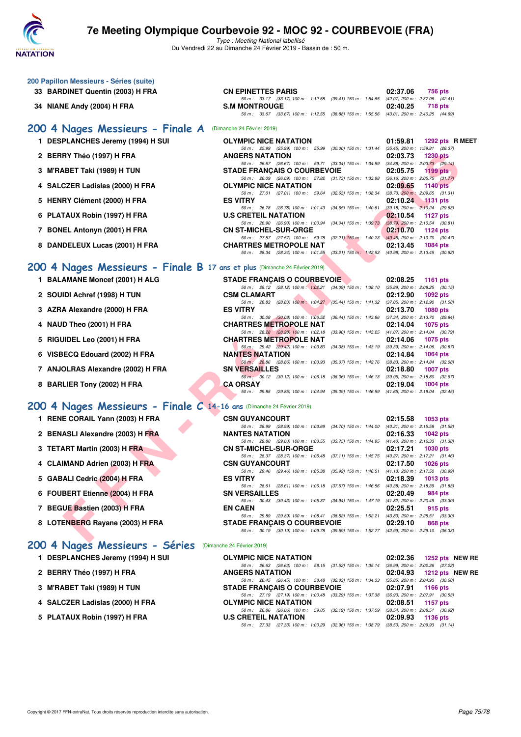

Type : Meeting National labellisé Du Vendredi 22 au Dimanche 24 Février 2019 - Bassin de : 50 m.

| 200 Papillon Messieurs - Séries (suite)<br>33 BARDINET Quentin (2003) H FRA | <b>CN EPINETTES PARIS</b>                                                                                                            | 02:37.06 | 756 pts                                                |
|-----------------------------------------------------------------------------|--------------------------------------------------------------------------------------------------------------------------------------|----------|--------------------------------------------------------|
|                                                                             | 50 m: 33.17 (33.17) 100 m: 1:12.58 (39.41) 150 m: 1:54.65 (42.07) 200 m: 2:37.06 (42.41)                                             |          |                                                        |
| 34 NIANE Andy (2004) H FRA                                                  | <b>S.M MONTROUGE</b><br>50 m: 33.67 (33.67) 100 m: 1:12.55 (38.88) 150 m: 1:55.56 (43.01) 200 m: 2:40.25 (44.69)                     | 02:40.25 | 718 pts                                                |
| 200 4 Nages Messieurs - Finale A                                            | (Dimanche 24 Février 2019)                                                                                                           |          |                                                        |
| 1 DESPLANCHES Jeremy (1994) H SUI                                           | <b>OLYMPIC NICE NATATION</b>                                                                                                         | 01:59.81 | 1292 pts R MEET                                        |
| 2 BERRY Théo (1997) H FRA                                                   | 50 m : 25.99 (25.99) 100 m : 55.99 (30.00) 150 m : 1:31.44 (35.45) 200 m : 1:59.81 (28.37)<br><b>ANGERS NATATION</b>                 | 02:03.73 | <b>1230 pts</b>                                        |
| 3 M'RABET Taki (1989) H TUN                                                 | 50 m: 26.67 (26.67) 100 m: 59.71 (33.04) 150 m: 1:34.59 (34.88) 200 m: 2:03.73 (29.14)<br><b>STADE FRANÇAIS O COURBEVOIE</b>         | 02:05.75 | 1199 pts                                               |
| 4 SALCZER Ladislas (2000) H FRA                                             | 50 m : 26.09 (26.09) 100 m : 57.82 (31.73) 150 m : 1:33.98<br>OLYMPIC NICE NATATION                                                  | 02:09.65 | $(36.16)$ 200 m : 2:05.75 $(31.77)$<br><b>1140 pts</b> |
|                                                                             | 50 m: 27.01 (27.01) 100 m: 59.64 (32.63) 150 m: 1:38.34                                                                              |          | $(38.70)$ 200 m : 2:09.65 $(31.31)$                    |
| 5 HENRY Clément (2000) H FRA                                                | <b>ES VITRY</b><br>50 m: 26.78 (26.78) 100 m: 1:01.43<br>$(34.65)$ 150 m : 1:40.61                                                   | 02:10.24 | 1131 pts<br>$(39.18)$ 200 m : 2:10.24 $(29.63)$        |
| 6 PLATAUX Robin (1997) H FRA                                                | <b>U.S CRETEIL NATATION</b><br>50 m : 26.90 (26.90) 100 m : 1:00.94<br>$(34.04)$ 150 m : 1:39.73 $(38.79)$ 200 m : 2:10.54 $(30.81)$ | 02:10.54 | 1127 pts                                               |
| 7 BONEL Antonyn (2001) H FRA                                                | <b>CN ST-MICHEL-SUR-ORGE</b><br>50 m: 27.57 (27.57) 100 m: 59.78 (32.21) 150 m: 1:40.23 (40.45) 200 m: 2:10.70 (30.47)               | 02:10.70 | 1124 pts                                               |
| 8 DANDELEUX Lucas (2001) H FRA                                              | <b>CHARTRES METROPOLE NAT</b><br>50 m : 28.34 (28.34) 100 m : 1:01.55 (33.21) 150 m : 1:42.53                                        | 02:13.45 | 1084 pts<br>(40.98) 200 m : 2:13.45 (30.92)            |
|                                                                             |                                                                                                                                      |          |                                                        |
| 200 4 Nages Messieurs - Finale B 17 ans et plus (Dimanche 24 Février 2019)  |                                                                                                                                      |          |                                                        |
| 1 BALAMANE Moncef (2001) H ALG                                              | <b>STADE FRANCAIS O COURBEVOIE</b><br>50 m : 28.12 (28.12) 100 m : 1:02.21 (34.09) 150 m : 1:38.10                                   | 02:08.25 | 1161 pts<br>$(35.89)$ 200 m : 2:08.25 $(30.15)$        |
| 2 SOUIDI Achref (1998) H TUN                                                | <b>CSM CLAMART</b><br>50 m: 28.83 (28.83) 100 m: 1:04.27 (35.44) 150 m: 1:41.32 (37.05) 200 m: 2:12.90 (31.58)                       | 02:12.90 | 1092 pts                                               |
| 3 AZRA Alexandre (2000) H FRA                                               | <b>ES VITRY</b>                                                                                                                      | 02:13.70 | <b>1080 pts</b>                                        |
| 4 NAUD Theo (2001) H FRA                                                    | 50 m : 30.08 (30.08) 100 m : 1:06.52<br>(36.44) 150 m : 1:43.86<br><b>CHARTRES METROPOLE NAT</b>                                     | 02:14.04 | $(37.34)$ 200 m : 2:13.70 $(29.84)$<br>1075 pts        |
|                                                                             | 50 m : 28.28 (28.28) 100 m : 1:02.18<br>(33.90) 150 m: 1:43.25 (41.07) 200 m: 2:14.04 (30.79)<br><b>CHARTRES METROPOLE NAT</b>       | 02:14.06 |                                                        |
| 5 RIGUIDEL Leo (2001) H FRA                                                 | 50 m: 29.42 (29.42) 100 m: 1:03.80<br>(34.38) 150 m : 1:43.19                                                                        |          | 1075 pts<br>$(39.39)$ 200 m : 2:14.06 $(30.87)$        |
| 6 VISBECQ Edouard (2002) H FRA                                              | <b>NANTES NATATION</b><br>50 m : 28.86 (28.86) 100 m : 1:03.93<br>(35.07) 150 m : 1:42.76                                            | 02:14.84 | 1064 pts<br>$(38.83)$ 200 m : 2:14.84 $(32.08)$        |
| 7 ANJOLRAS Alexandre (2002) H FRA                                           | <b>SN VERSAILLES</b>                                                                                                                 | 02:18.80 | 1007 pts                                               |
| 8 BARLIER Tony (2002) H FRA                                                 | 50 m : 30.12 (30.12) 100 m : 1:06.18<br>$(36.06)$ 150 m : 1:46.13<br><b>CA ORSAY</b>                                                 | 02:19.04 | (39.95) 200 m : 2:18.80 (32.67)<br>1004 pts            |
|                                                                             | 50 m : 29.85 (29.85) 100 m : 1:04.94<br>(35.09) 150 m: 1:46.59 (41.65) 200 m: 2:19.04 (32.45)                                        |          |                                                        |
| 200 4 Nages Messieurs - Finale C 14-16 ans (Dimanche 24 Février 2019)       |                                                                                                                                      |          |                                                        |
| 1 RENE CORAIL Yann (2003) H FRA                                             | <b>CSN GUYANCOURT</b><br>50 m : 28.99 (28.99) 100 m : 1:03.69<br>(34.70) 150 m : 1:44.00                                             | 02:15.58 | 1053 pts<br>$(40.31)$ 200 m : 2:15.58 $(31.58)$        |
| 2 BENASLI Alexandre (2003) H FRA                                            | <b>NANTES NATATION</b>                                                                                                               | 02:16.33 | 1042 pts                                               |
| 3 TETART Martin (2003) H FRA                                                | 50 m: 29.80 (29.80) 100 m: 1:03.55 (33.75) 150 m: 1:44.95 (41.40) 200 m: 2:16.33 (31.38)<br><b>CN ST-MICHEL-SUR-ORGE</b>             | 02:17.21 | 1030 pts                                               |
| 4 CLAIMAND Adrien (2003) H FRA                                              | 50 m : 28.37 (28.37) 100 m : 1:05.48 (37.11) 150 m : 1:45.75<br><b>CSN GUYANCOURT</b>                                                | 02:17.50 | $(40.27)$ 200 m : 2:17.21 $(31.46)$<br>1026 pts        |
|                                                                             | 50 m: 29.46 (29.46) 100 m: 1:05.38 (35.92) 150 m: 1:46.51 (41.13) 200 m: 2:17.50 (30.99)                                             |          |                                                        |
| 5 GABALI Cedric (2004) H FRA                                                | <b>ES VITRY</b><br>50 m: 28.61 (28.61) 100 m: 1:06.18 (37.57) 150 m: 1:46.56 (40.38) 200 m: 2:18.39 (31.83)                          | 02:18.39 | 1013 pts                                               |
| 6 FOUBERT Etienne (2004) H FRA                                              | <b>SN VERSAILLES</b><br>50 m: 30.43 (30.43) 100 m: 1:05.37 (34.94) 150 m: 1:47.19 (41.82) 200 m: 2:20.49 (33.30)                     | 02:20.49 | 984 pts                                                |
| 7 BEGUE Bastien (2003) H FRA                                                | <b>EN CAEN</b>                                                                                                                       | 02:25.51 | 915 pts                                                |
| 8 LOTENBERG Rayane (2003) H FRA                                             | 50 m: 29.89 (29.89) 100 m: 1:08.41 (38.52) 150 m: 1:52.21 (43.80) 200 m: 2:25.51 (33.30)<br><b>STADE FRANCAIS O COURBEVOIE</b>       | 02:29.10 | 868 pts                                                |
|                                                                             | 50 m : 30.19 (30.19) 100 m : 1:09.78 (39.59) 150 m : 1:52.77 (42.99) 200 m : 2:29.10 (36.33)                                         |          |                                                        |
| 200 4 Nages Messieurs - Séries                                              | (Dimanche 24 Février 2019)                                                                                                           |          |                                                        |
| 1 DESPLANCHES Jeremy (1994) H SUI                                           | <b>OLYMPIC NICE NATATION</b>                                                                                                         | 02:02.36 | 1252 pts NEW RE                                        |
| 2 BERRY Théo (1997) H FRA                                                   | 50 m: 26.63 (26.63) 100 m: 58.15 (31.52) 150 m: 1:35.14 (36.99) 200 m: 2:02.36 (27.22)<br><b>ANGERS NATATION</b>                     | 02:04.93 | 1212 pts NEW RE                                        |
| 3 M'RABET Taki (1989) H TUN                                                 | 50 m : 26.45 (26.45) 100 m : 58.48 (32.03) 150 m : 1:34.33 (35.85) 200 m : 2:04.93 (30.60)<br><b>STADE FRANÇAIS O COURBEVOIE</b>     | 02:07.91 | 1166 pts                                               |
|                                                                             | 50 m : 27.19 (27.19) 100 m : 1:00.48 (33.29) 150 m : 1:37.38 (36.90) 200 m : 2:07.91 (30.53)                                         |          |                                                        |
| 4 SALCZER Ladislas (2000) H FRA                                             | <b>OLYMPIC NICE NATATION</b><br>50 m : 26.86 (26.86) 100 m : 59.05 (32.19) 150 m : 1:37.59 (38.54) 200 m : 2:08.51 (30.92)           | 02:08.51 | 1157 pts                                               |
| 5 PLATAUX Robin (1997) H FRA                                                | <b>U.S CRETEIL NATATION</b><br>50 m : 27.33 (27.33) 100 m : 1:00.29 (32.96) 150 m : 1:38.79 (38.50) 200 m : 2:09.93 (31.14)          | 02:09.93 | 1136 pts                                               |
|                                                                             |                                                                                                                                      |          |                                                        |
|                                                                             |                                                                                                                                      |          |                                                        |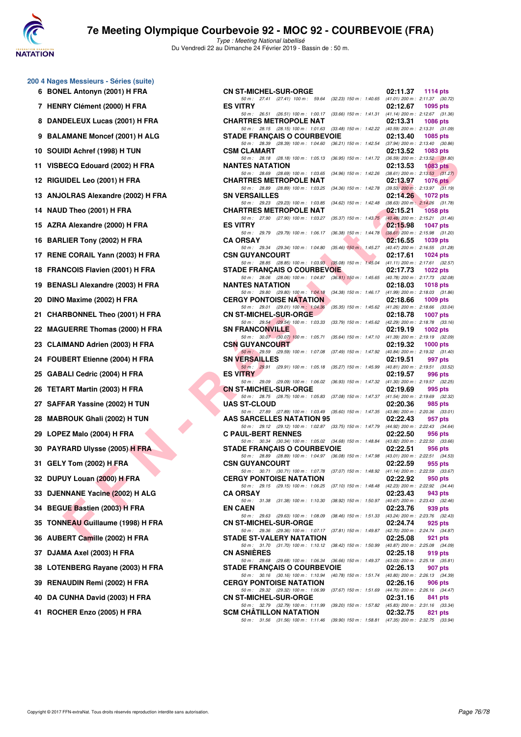

Type : Meeting National labellisé Du Vendredi 22 au Dimanche 24 Février 2019 - Bassin de : 50 m.

| 200 4 Nages Messieurs - Séries (suite) |  |  |  |
|----------------------------------------|--|--|--|
|----------------------------------------|--|--|--|

- **6 BONEL Antonyn (2001) H FRA**
- **7 HENRY Clément (2000) H FRA**
- 8 DANDELEUX Lucas (2001) H FRA
- **9 BALAMANE Moncef (2001) H ALG**
- **10 SOUIDI Achref (1998) H TUN**
- 11 VISBECQ Edouard (2002) H FRA
- **12 RIGUIDEL Leo (2001) H FRA**
- 13 ANJOLRAS Alexandre (2002) H FRA
- **14 NAUD Theo (2001) H FRA**
- 15 AZRA Alexandre (2000) H FRA
- **16 BARLIER Tony (2002) H FRA**
- 17 RENE CORAIL Yann (2003) H FRA
- 18 FRANCOIS Flavien (2001) H FRA
- 19 BENASLI Alexandre (2003) H FRA
- 20 DINO Maxime (2002) **H FRA**
- 21 CHARBONNEL Theo (2001) H FRA
- 22 MAGUERRE Thomas (2000) H FRA
- 23 CLAIMAND Adrien (2003) H FRA
- 24 FOUBERT Etienne (2004) H FRA
- **25 GABALI Cedric (2004) H FRA**
- **26 TETART Martin (2003) H FRA**
- 27 SAFFAR Yassine (2002) H TUN
- 28 MABROUK Ghali (2002) H TUN
- 29 LOPEZ Malo (2004) **H FRA**
- 30 PAYRARD Ulysse (2005) H FRA
- **31 GELY Tom (2002) H FRA**
- **32 DUPUY Louan (2000) H FRA**
- **33 DJENNANE Yacine (2002) H ALG**
- **34 BEGUE Bastien (2003) H FRA**
- **35 TONNEAU Guillaume (1998) H FRA**
- 36 AUBERT Camille (2002) H FRA
- **37 DJAMA Axel (2003) H FRA**
- 38 LOTENBERG Rayane (2003) H FRA
- 39 RENAUDIN Remi (2002) H FRA
- **40 DA CUNHA David (2003) H FRA**
- **41 ROCHER Enzo (2005) H FRA**

| es Messieurs - Séries (suite)    |                                                                                                                                |                                                                                       |
|----------------------------------|--------------------------------------------------------------------------------------------------------------------------------|---------------------------------------------------------------------------------------|
| EL Antonyn (2001) H FRA          | <b>CN ST-MICHEL-SUR-ORGE</b>                                                                                                   | 02:11.37<br>1114 $pts$                                                                |
| RY Clément (2000) H FRA          | 50 m: 27.41 (27.41) 100 m: 59.64 (32.23) 150 m: 1:40.65 (41.01) 200 m: 2:11.37 (30.72)<br><b>ES VITRY</b>                      | 02:12.67<br>1095 pts                                                                  |
| DELEUX Lucas (2001) H FRA        | 50 m: 26.51 (26.51) 100 m: 1:00.17 (33.66) 150 m: 1:41.31 (41.14) 200 m: 2:12.67 (31.36)<br><b>CHARTRES METROPOLE NAT</b>      | 02:13.31<br>1086 pts                                                                  |
| AMANE Moncef (2001) H ALG        | 50 m: 28.15 (28.15) 100 m: 1:01.63 (33.48) 150 m: 1:42.22 (40.59) 200 m: 2:13.31 (31.09)<br><b>STADE FRANÇAIS O COURBEVOIE</b> | 02:13.40<br>1085 pts                                                                  |
| IDI Achref (1998) H TUN          | 50 m : 28.39 (28.39) 100 m : 1:04.60 (36.21) 150 m : 1:42.54 (37.94) 200 m : 2:13.40 (30.86)<br><b>CSM CLAMART</b>             | 02:13.52<br>1083 pts                                                                  |
|                                  | 50 m: 28.18 (28.18) 100 m: 1:05.13                                                                                             | (36.95) 150 m : 1:41.72 (36.59) 200 m : 2:13.52 (31.80)                               |
| ECQ Edouard (2002) H FRA         | <b>NANTES NATATION</b><br>50 m : 28.69 (28.69) 100 m : 1:03.65                                                                 | 02:13.53<br>1083 pts<br>$(34.96)$ 150 m : 1:42.26 $(38.61)$ 200 m : 2:13.53 $(31.27)$ |
| JIDEL Leo (2001) H FRA           | <b>CHARTRES METROPOLE NAT</b><br>50 m: 28.89 (28.89) 100 m: 1:03.25 (34.36) 150 m: 1:42.78 (39.53) 200 m: 2:13.97 (31.19)      | 02:13.97<br>1076 $pts$                                                                |
| OLRAS Alexandre (2002) H FRA     | <b>SN VERSAILLES</b><br>50 m: 29.23 (29.23) 100 m: 1:03.85                                                                     | 02:14.26<br>1072 pts<br>$(34.62)$ 150 m : 1:42.48 $(38.63)$ 200 m : 2:14.26 $(31.78)$ |
| D Theo (2001) H FRA              | <b>CHARTRES METROPOLE NAT</b>                                                                                                  | 02:15.21<br><b>1058 pts</b>                                                           |
| A Alexandre (2000) H FRA         | 50 m: 27.90 (27.90) 100 m: 1:03.27 (35.37) 150 m: 1:43.75 (40.48) 200 m: 2:15.21 (31.46)<br><b>ES VITRY</b>                    | 02:15.98<br><b>1047 pts</b>                                                           |
| LIER Tony (2002) H FRA           | 50 m: 29.79 (29.79) 100 m: 1:06.17<br><b>CA ORSAY</b>                                                                          | $(36.38)$ 150 m : 1:44.78 $(38.61)$ 200 m : 2:15.98 $(31.20)$<br>02:16.55<br>1039 pts |
| E CORAIL Yann (2003) H FRA       | 50 m: 29.34 (29.34) 100 m: 1:04.80 (35.46) 150 m: 1:45.27 (40.47) 200 m: 2:16.55 (31.28)<br><b>CSN GUYANCOURT</b>              | 02:17.61<br>1024 $pts$                                                                |
|                                  | 50 m: 28.85 (28.85) 100 m: 1:03.93 (35.08) 150 m: 1:45.04 (41.11) 200 m: 2:17.61 (32.57)                                       |                                                                                       |
| NCOIS Flavien (2001) H FRA       | <b>STADE FRANCAIS O COURBEVOIE</b><br>50 m: 28.06 (28.06) 100 m: 1:04.87 (36.81) 150 m: 1:45.65 (40.78) 200 m: 2:17.73 (32.08) | 02:17.73<br>1022 $pts$                                                                |
| ASLI Alexandre (2003) H FRA      | <b>NANTES NATATION</b><br>50 m : 29.80 (29.80) 100 m : 1:04.18 (34.38) 150 m : 1:46.17 (41.99) 200 m : 2:18.03 (31.86)         | 02:18.03<br>1018 pts                                                                  |
| ) Maxime (2002) H FRA            | <b>CERGY PONTOISE NATATION</b><br>50 m: 29.01 (29.01) 100 m: 1:04.36                                                           | 02:18.66<br>$1009$ pts<br>(35.35) 150 m: 1:45.62 (41.26) 200 m: 2:18.66 (33.04)       |
| <b>RBONNEL Theo (2001) H FRA</b> | <b>CN ST-MICHEL-SUR-ORGE</b>                                                                                                   | 02:18.78<br><b>1007 pts</b>                                                           |
| UERRE Thomas (2000) H FRA        | 50 m: 29.54 (29.54) 100 m: 1:03.33 (33.79) 150 m: 1:45.62 (42.29) 200 m: 2:18.78 (33.16)<br><b>SN FRANCONVILLE</b>             | 02:19.19<br>1002 pts                                                                  |
| IMAND Adrien (2003) H FRA        | 50 m: 30.07 (30.07) 100 m: 1:05.71<br><b>CSN GUYANCOURT</b>                                                                    | (35.64) 150 m: 1:47.10 (41.39) 200 m: 2:19.19 (32.09)<br>02:19.32<br>1000 $pts$       |
| BERT Etienne (2004) H FRA        | 50 m: 29.59 (29.59) 100 m: 1:07.08<br><b>SN VERSAILLES</b>                                                                     | (37.49) 150 m : 1:47.92 (40.84) 200 m : 2:19.32 (31.40)<br>02:19.51<br>997 pts        |
| ALI Cedric (2004) H FRA          | 50 m : 29.91 (29.91) 100 m : 1:05.18<br><b>ES VITRY</b>                                                                        | (35.27) 150 m: 1:45.99 (40.81) 200 m: 2:19.51 (33.52)<br>02:19.57<br>996 pts          |
| <b>ART Martin (2003) H FRA</b>   | 50 m: 29.09 (29.09) 100 m: 1:06.02 (36.93) 150 m: 1:47.32 (41.30) 200 m: 2:19.57 (32.25)<br><b>CN ST-MICHEL-SUR-ORGE</b>       | 02:19.69                                                                              |
|                                  | 50 m: 28.75 (28.75) 100 m: 1:05.83 (37.08) 150 m: 1:47.37 (41.54) 200 m: 2:19.69 (32.32)                                       | 995 pts                                                                               |
| FAR Yassine (2002) H TUN         | <b>UAS ST-CLOUD</b><br>50 m: 27.89 (27.89) 100 m: 1:03.49 (35.60) 150 m: 1:47.35 (43.86) 200 m: 2:20.36 (33.01)                | 02:20.36<br>985 pts                                                                   |
| ROUK Ghali (2002) H TUN          | AAS SARCELLES NATATION 95<br>50 m: 29.12 (29.12) 100 m: 1:02.87 (33.75) 150 m: 1:47.79 (44.92) 200 m: 2:22.43 (34.64)          | 02:22.43<br>957 pts                                                                   |
| EZ Malo (2004) H FRA             | <b>C PAUL-BERT RENNES</b><br>50 m: 30.34 (30.34) 100 m: 1:05.02 (34.68) 150 m: 1:48.84 (43.82) 200 m: 2:22.50 (33.66)          | 02:22.50<br>956 pts                                                                   |
| <b>RARD Ulysse (2005) H FRA</b>  | <b>STADE FRANCAIS O COURBEVOIE</b>                                                                                             | 02:22.51<br>956 pts                                                                   |
| Y Tom (2002) H FRA               | 50 m: 28.89 (28.89) 100 m: 1:04.97 (36.08) 150 m: 1:47.98 (43.01) 200 m: 2:22.51 (34.53)<br><b>CSN GUYANCOURT</b>              | 02:22.59<br>955 pts                                                                   |
| UY Louan (2000) H FRA            | 50 m : 30.71 (30.71) 100 m : 1:07.78<br><b>CERGY PONTOISE NATATION</b>                                                         | $(37.07)$ 150 m : 1:48.92 $(41.14)$ 200 m : 2:22.59 $(33.67)$<br>02:22.92<br>950 pts  |
| <b>NNANE Yacine (2002) H ALG</b> | 50 m : 29.15 (29.15) 100 m : 1:06.25 (37.10) 150 m : 1:48.48<br><b>CA ORSAY</b>                                                | (42.23) 200 m : 2:22.92 (34.44)<br>02:23.43<br>943 pts                                |
|                                  | 50 m : 31.38 (31.38) 100 m : 1:10.30                                                                                           | (38.92) 150 m: 1:50.97 (40.67) 200 m: 2:23.43 (32.46)                                 |
| UE Bastien (2003) H FRA          | <b>EN CAEN</b><br>50 m : 29.63 (29.63) 100 m : 1:08.09                                                                         | 02:23.76<br>939 pts<br>(38.46) 150 m: 1:51.33 (43.24) 200 m: 2:23.76 (32.43)          |
| NEAU Guillaume (1998) H FRA      | <b>CN ST-MICHEL-SUR-ORGE</b><br>50 m: 29.36 (29.36) 100 m: 1:07.17 (37.81) 150 m: 1:49.87 (42.70) 200 m: 2:24.74 (34.87)       | 02:24.74<br>925 pts                                                                   |
| ERT Camille (2002) H FRA         | STADE ST-VALERY NATATION<br>50 m: 31.70 (31.70) 100 m: 1:10.12 (38.42) 150 m: 1:50.99 (40.87) 200 m: 2:25.08 (34.09)           | 02:25.08<br>921 pts                                                                   |
| MA Axel (2003) H FRA             | <b>CN ASNIERES</b>                                                                                                             | 02:25.18<br>919 pts                                                                   |
| ENBERG Rayane (2003) H FRA       | 50 m : 29.68 (29.68) 100 m : 1:06.34<br><b>STADE FRANÇAIS O COURBEVOIE</b>                                                     | $(36.66)$ 150 m : 1:49.37 $(43.03)$ 200 m : 2:25.18 $(35.81)$<br>02:26.13<br>907 pts  |
| AUDIN Remi (2002) H FRA          | 50 m: 30.16 (30.16) 100 m: 1:10.94<br>(40.78) 150 m : 1:51.74<br><b>CERGY PONTOISE NATATION</b>                                | (40.80) 200 m : 2:26.13 (34.39)<br>02:26.16<br>906 pts                                |
| <b>CUNHA David (2003) H FRA</b>  | 50 m : 29.32 (29.32) 100 m : 1:06.99<br><b>CN ST-MICHEL-SUR-ORGE</b>                                                           | (37.67) 150 m : 1:51.69 (44.70) 200 m : 2:26.16 (34.47)<br>02:31.16<br>841 pts        |
| HER Enzo (2005) H FRA            | 50 m : 32.79 (32.79) 100 m : 1:11.99<br><b>SCM CHATILLON NATATION</b>                                                          | (39.20) 150 m : 1:57.82 (45.83) 200 m : 2:31.16 (33.34)<br>02:32.75<br>821 pts        |
|                                  | 50 m: 31.56 (31.56) 100 m: 1:11.46 (39.90) 150 m: 1:58.81                                                                      | (47.35) 200 m : 2:32.75 (33.94)                                                       |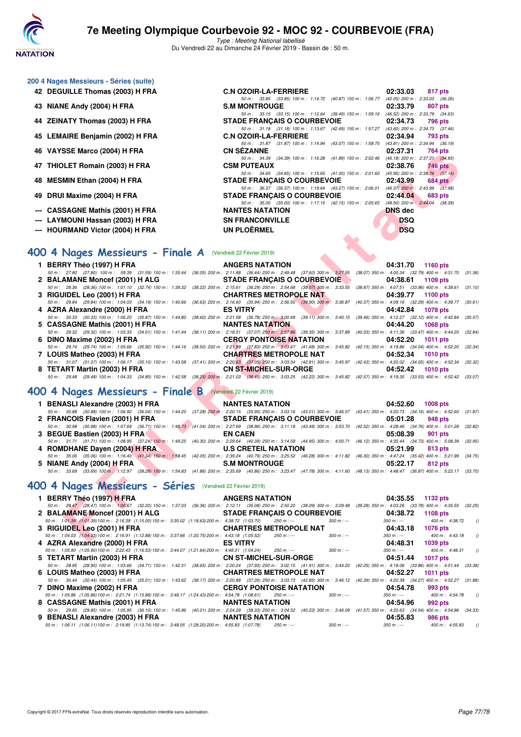

Type : Meeting National labellisé Du Vendredi 22 au Dimanche 24 Février 2019 - Bassin de : 50 m.

50 m : 33.85 (33.85) 100 m : 1:14.72 (40.87) 150 m : 1:56.77 (42.05) 200 m : 2:33.03 (36.26)

50 m : 33.15 (33.15) 100 m : 1:12.64 (39.49) 150 m : 1:59.16 (46.52) 200 m : 2:33.79 (34.63)<br>**DE FRANCAIS O COURBEVOIE** 02:34.73 796 pts

50 m: 31.18 (31.18) 100 m: 1:13.67 (42.49) 150 m: 1:57.27 (43.60) 200 m: 2:34.73 (37.46)<br>**C.N OZOIR-LA-FERRIERE** 02:34.94 793 pts

50 m : 31.87 (31.87) 100 m : 1:14.94 (43.07) 150 m : 1:58.75 (43.81) 200 m : 2:34.94 (36.19)<br>CN SÉZANNE (2:37.31 764 pts

| 200 4 Nages Messieurs - Séries (suite) |  |  |  |
|----------------------------------------|--|--|--|
|----------------------------------------|--|--|--|

- **42 DEGUILLE Thomas (2003) H FRA C.N OZOIR-LA-FERRIERE 02:33.03 817 pts**
- **43 NIANE Andy (2004) H FRA S.M MONTROUGE 02:33.79 807 pts**
- **44 ZEINATY Thomas (2003) H FRA STADE FRANÇAIS O COURBEVOIE 02:34.73 796 pts**
- **45 LEMAIRE Benjamin (2002) H FRA C.N OZOIR-LA-FERRIERE 02:34.94 793 pts**
- **46 VAYSSE Marco (2004) H FRA CN SÉZANNE 02:37.31 764 pts**
- **47 THIOLET Romain (2003) H FRA CSM PUTEAUX 02:38.76 746 pts**
- **48 MESMIN Ethan (2004) H FRA STADE FRANÇAIS O COURBEVOIE 02:43.99 684 pts**
- **49 DRUI Maxime (2004) H FRA STADE FRANÇAIS O COURBEVOIE 02:44.04 683 pts**
- **--- CASSAGNE Mathis (2001) H FRA NANTES NATATION DNS dec**
- **--- LAYMOUNI Hassan (2003) H FRA SN FRANCONVILLE SN FRANCONVILLE**
- **--- HOURMAND Victor (2004) H FRA UN PLOËRMEL DSQ**

# **[400 4 Nages Messieurs - Finale A](http://www.ffnatation.fr/webffn/resultats.php?idact=nat&go=epr&idcpt=57703&idepr=92)** (Vendredi 22 Février 2019)

| 40 VATSSE MAICO (2004) ILERA                                                                                                                                                                                   | UN JEZANNE                                                                                                                      | $10 + \mu s$                                                 |
|----------------------------------------------------------------------------------------------------------------------------------------------------------------------------------------------------------------|---------------------------------------------------------------------------------------------------------------------------------|--------------------------------------------------------------|
| 47 THIOLET Romain (2003) H FRA                                                                                                                                                                                 | 50 m: 34.39 (34.39) 100 m: 1:16.28 (41.89) 150 m: 2:02.46 (46.18) 200 m: 2:37.31 (34.85)<br><b>CSM PUTEAUX</b>                  | 02:38.76<br>746 pts                                          |
|                                                                                                                                                                                                                | 50 m: 34.65 (34.65) 100 m: 1:15.65 (41.00) 150 m: 2:01.60 (45.95) 200 m: 2:38.76 (37.16)                                        |                                                              |
| 48 MESMIN Ethan (2004) H FRA                                                                                                                                                                                   | <b>STADE FRANCAIS O COURBEVOIE</b>                                                                                              | 02:43.99<br>$684$ pts                                        |
|                                                                                                                                                                                                                | 50 m: 36.37 (36.37) 100 m: 1:19.64 (43.27) 150 m: 2:06.01 (46.37) 200 m: 2:43.99 (37.98)                                        |                                                              |
| 49 DRUI Maxime (2004) H FRA                                                                                                                                                                                    | <b>STADE FRANCAIS O COURBEVOIE</b><br>50 m: 35.00 (35.00) 100 m: 1:17.15 (42.15) 150 m: 2:05.65 (48.50) 200 m: 2:44.04 (38.39)  | 02:44.04<br>683 pts                                          |
| --- CASSAGNE Mathis (2001) H FRA                                                                                                                                                                               | <b>NANTES NATATION</b>                                                                                                          | <b>DNS</b> dec                                               |
| LAYMOUNI Hassan (2003) H FRA                                                                                                                                                                                   | <b>SN FRANCONVILLE</b>                                                                                                          | <b>DSQ</b>                                                   |
| --- HOURMAND Victor (2004) H FRA                                                                                                                                                                               | <b>UN PLOËRMEL</b>                                                                                                              | <b>DSQ</b>                                                   |
|                                                                                                                                                                                                                |                                                                                                                                 |                                                              |
|                                                                                                                                                                                                                |                                                                                                                                 |                                                              |
| <b>100 4 Nages Messieurs - Finale A</b> (Vendredi 22 Février 2019)                                                                                                                                             |                                                                                                                                 |                                                              |
| 1 BERRY Théo (1997) H FRA                                                                                                                                                                                      | <b>ANGERS NATATION</b>                                                                                                          | 04:31.70<br><b>1160 pts</b>                                  |
| 50 m : 27.80 (27.80) 100 m : 59.39 (31.59) 150 m : 1:35.44                                                                                                                                                     | (36.05) 200 m : 2:11.88 (36.44) 250 m : 2:49.48 (37.60) 300 m : 3:27.55 (38.07) 350 m : 4:00.34 (32.79) 400 m : 4:31.70 (31.36) |                                                              |
| 2 BALAMANE Moncef (2001) H ALG<br>50 m: 28.36 (28.36) 100 m: 1:01.10 (32.74) 150 m: 1:39.32 (38.22) 200 m: 2:15.61 (36.29) 250 m: 2:54.68 (39.07) 300 m: 3:33.55 (38.87) 350 m: 4:07.51 (33.96) 400 m: 4:38.61 | STADE FRANCAIS O COURBEVOIE                                                                                                     | 04:38.61<br>1109 pts<br>(31.10)                              |
| 3 RIGUIDEL Leo (2001) H FRA                                                                                                                                                                                    | <b>CHARTRES METROPOLE NAT</b>                                                                                                   | 04:39.77<br>1100 pts                                         |
| 50 m: 29.84 (29.84) 100 m: 1:04.03 (34.19) 150 m: 1:40.66                                                                                                                                                      | (36.63) 200 m : 2:16.60 (35.94) 250 m : 2:56.50 (39.90) 300 m : 3:36.87 (40.37) 350 m : 4:09.16 (32.29) 400 m : 4:39.77         | (30.61)                                                      |
| 4 AZRA Alexandre (2000) H FRA                                                                                                                                                                                  | <b>ES VITRY</b>                                                                                                                 | 04:42.84<br><b>1078 pts</b>                                  |
| 50 m: 30.33 (30.33) 100 m: 1:06.20 (35.87) 150 m: 1:44.80                                                                                                                                                      | (38.60) 200 m : 2:21.58 (36.78) 250 m : 3:00.69 (39.11) 300 m : 3:40.15 (39.46) 350 m : 4:12.27 (32.12) 400 m : 4:42.84         | (30.57)                                                      |
| 5 CASSAGNE Mathis (2001) H FRA                                                                                                                                                                                 | <b>NANTES NATATION</b>                                                                                                          | 04:44.20<br><b>1068 pts</b>                                  |
| 50 m : 29.32 (29.32) 100 m : 1:03.33 (34.01) 150 m : 1:41.44                                                                                                                                                   | (38.11) 200 m : 2:18.51 (37.07) 250 m : 2:57.86 (39.35) 300 m : 3:37.89 (40.03) 350 m : 4:11.36 (33.47) 400 m : 4:44.20         | (32.84)                                                      |
| 6 DINO Maxime (2002) H FRA                                                                                                                                                                                     | <b>CERGY PONTOISE NATATION</b>                                                                                                  | 04:52.20<br><b>1011 pts</b>                                  |
| 50 m: 29.74 (29.74) 100 m: 1:05.66 (35.92) 150 m: 1:44.16 (38.50) 200 m: 2:21,99 (37.83) 250 m: 3:03.67 (41.68) 300 m: 3:45.82 (42.15) 350 m: 4:19.86 (34.04) 400 m: 4:52.20<br>7 LOUIS Matheo (2003) H FRA    | <b>CHARTRES METROPOLE NAT</b>                                                                                                   | (32.34)<br>04:52.34<br><b>1010 pts</b>                       |
| 50 m: 31.07 (31.07) 100 m: 1:06.17 (35.10) 150 m: 1:43.58 (37.41) 200 m: 2:20.63 (37.05) 250 m: 3:03.54 (42.91) 300 m: 3:45.97 (42.43) 350 m: 4:20.02 (34.05) 400 m: 4:52.34 (32.32)                           |                                                                                                                                 |                                                              |
| 8 TETART Martin (2003) H FRA                                                                                                                                                                                   | <b>CN ST-MICHEL-SUR-ORGE</b>                                                                                                    | 04:52.42<br>$1010$ pts                                       |
| 50 m: 29.48 (29.48) 100 m: 1:04.33 (34.85) 150 m: 1:42.58 (38.25) 200 m: 2:21.03 (38.45) 250 m: 3:03.25 (42.22) 300 m: 3:45.82 (42.57) 350 m: 4:19.35 (33.53) 400 m: 4:52.42 (33.07)                           |                                                                                                                                 |                                                              |
|                                                                                                                                                                                                                |                                                                                                                                 |                                                              |
| 100 4 Nages Messieurs - Finale B (Vendredi 22 Février 2019)                                                                                                                                                    |                                                                                                                                 |                                                              |
| 1 BENASLI Alexandre (2003) H FRA                                                                                                                                                                               | <b>NANTES NATATION</b>                                                                                                          | 04:52.60<br><b>1008 pts</b>                                  |
| 50 m: 30.88 (30.88) 100 m: 1:06.92 (36.04) 150 m: 1:44.20 (37.28) 200 m: 2:20.15 (35.95) 250 m: 3:03.16 (43.01) 300 m: 3:46.57 (43.41) 350 m: 4:20.73 (34.16) 400 m: 4:52.60                                   |                                                                                                                                 | (31.87)                                                      |
| 2 FRANCOIS Flavien (2001) H FRA                                                                                                                                                                                | <b>STADE FRANCAIS O COURBEVOIE</b>                                                                                              | 05:01.28<br>948 pts                                          |
| 50 m: 30.98 (30.98) 100 m: 1:07.69 (36.71) 150 m: 1:48.73 (41.04) 200 m: 2:27.69 (38.96) 250 m: 3:11.18 (43.49) 300 m: 3:53.70 (42.52) 350 m: 4:28.46 (34.76) 400 m: 5:01.28<br>3 BEGUE Bastien (2003) H FRA   | <b>EN CAEN</b>                                                                                                                  | (32.82)<br>05:08.39<br>901 pts                               |
| 50 m: 31.71 (31.71) 100 m: 1:08.95 (37.24) 150 m: 1:49.25 (40.30) 200 m: 2:29.64 (40.39) 250 m: 3:14.59 (44.95) 300 m: 4:00.71 (46.12) 350 m: 4:35.44 (34.73) 400 m: 5:08.39                                   |                                                                                                                                 | (32.95)                                                      |
| 4 ROMDHANE Dayen (2004) H FRA                                                                                                                                                                                  | <b>U.S CRETEIL NATATION</b>                                                                                                     | 05:21.99<br>813 pts                                          |
| 50 m: 35.06 (35.06) 100 m: 1:16.40 (41.34) 150 m: 1:58.45 (42.05) 200 m: 2:39.24 (40.79) 250 m: 3:25.52 (46.28) 300 m: 4:11.82 (46.30) 350 m: 4:47.24 (35.42) 400 m: 5:21.99                                   |                                                                                                                                 | (34.75)                                                      |
| 5 NIANE Andy (2004) H FRA                                                                                                                                                                                      | <b>S.M MONTROUGE</b>                                                                                                            | 05:22.17<br>812 pts                                          |
| 50 m: 33.69 (33.69) 100 m: 1:12.97 (39.28) 150 m: 1:54.83 (41.86) 200 m: 2:35.69 (40.86) 250 m: 3:23.47 (47.78) 300 m: 4:11.60 (48.13) 350 m: 4:48.47 (36.87) 400 m: 5:22.17 (33.70)                           |                                                                                                                                 |                                                              |
| 100 4 Nages Messieurs - Séries (Vendredi 22 Février 2019)                                                                                                                                                      |                                                                                                                                 |                                                              |
| 1 BERRY Théo (1997) H FRA                                                                                                                                                                                      | <b>ANGERS NATATION</b>                                                                                                          | 04:35.55<br><b>1132 pts</b>                                  |
| 50 m: 28.47 (28.47) 100 m: 1:00.67 (32.20) 150 m: 1:37.03 (36.36) 200 m: 2:12.11 (35.08) 250 m: 2:50.20 (38.09) 300 m: 3:29.48 (39.28) 350 m: 4:03.26 (33.78) 400 m: 4:35.55 (32.29)                           |                                                                                                                                 |                                                              |
| 2 BALAMANE Moncef (2001) H ALG                                                                                                                                                                                 | <b>STADE FRANCAIS O COURBEVOIE</b>                                                                                              | 04:38.72<br><b>1108 pts</b>                                  |
| 50 m : 1:01.39 (1:01.39) 100 m : 2:16.39 (1:15.00) 150 m : 3:35.02 (1:18.63) 200 m : 4:38.72 (1:03.70)                                                                                                         | $250 m : -$<br>$300 m : -$                                                                                                      | $350 m : -$<br>400 m : 4:38.72<br>$\theta$                   |
| 3 RIGUIDEL Leo (2001) H FRA                                                                                                                                                                                    | <b>CHARTRES METROPOLE NAT</b><br>$250 m : -$<br>$300 m : -$                                                                     | 04:43.18<br><b>1076 pts</b><br>$350 m : -$<br>400 m: 4:43.18 |
| 50 m: 1:04.03 (1:04.03) 100 m: 2:16.91 (1:12.88) 150 m: 3:37.66 (1:20.75) 200 m: 4:43.18 (1:05.52)                                                                                                             |                                                                                                                                 | $\theta$<br>0.4.40.24<br>$1000 - 1$                          |

## **[400 4 Nages Messieurs - Finale B](http://www.ffnatation.fr/webffn/resultats.php?idact=nat&go=epr&idcpt=57703&idepr=92)** (Vendredi 22 Février 2019)

| 1 BENASLI Alexandre (2003) H FRA                                                                                                                                                     | <u>and the state of the state of the state of the state of the state of the state of the state of the state of the state of the state of the state of the state of the state of the state of the state of the state of the state</u> | <b>NANTES NATATION</b>                                                                                         |          | 04:52.60 1008 pts |  |
|--------------------------------------------------------------------------------------------------------------------------------------------------------------------------------------|--------------------------------------------------------------------------------------------------------------------------------------------------------------------------------------------------------------------------------------|----------------------------------------------------------------------------------------------------------------|----------|-------------------|--|
| 50 m: 30.88 (30.88) 100 m: 1:06.92 (36.04) 150 m: 1:44.20 (37.28) 200 m: 2:20.15 (35.95) 250 m: 3:03.16 (43.01) 300 m: 3:46.57 (43.41) 350 m: 4:20.73 (34.16) 400 m: 4:52.60 (31.87) |                                                                                                                                                                                                                                      |                                                                                                                |          |                   |  |
| 2 FRANCOIS Flavien (2001) H FRA STADE FRANÇAIS O COURBEVOIE 05:01.28 948 pts                                                                                                         |                                                                                                                                                                                                                                      |                                                                                                                |          |                   |  |
| 50 m: 30.98 (30.98) 100 m: 1:07.69 (36.71) 150 m: 1:48.73 (41.04) 200 m: 2:27.69 (38.96) 250 m: 3:11.18 (43.49) 300 m: 3:53.70 (42.52) 350 m: 4:28.46 (34.76) 400 m: 5:01.28 (32.82) |                                                                                                                                                                                                                                      |                                                                                                                |          |                   |  |
| 3 BEGUE Bastien (2003) H FRA                                                                                                                                                         |                                                                                                                                                                                                                                      | EN CAEN                                                                                                        |          | 05:08.39 901 pts  |  |
| 50 m: 31.71 (31.71) 100 m: 1:08.95 (37.24) 150 m: 1:49.25 (40.30) 200 m: 2:29.64 (40.39) 250 m: 3:14.59 (44.95) 300 m: 4:00.71 (46.12) 350 m: 4:35.44 (34.73) 400 m: 5:08.39 (32.95) |                                                                                                                                                                                                                                      |                                                                                                                |          |                   |  |
| 4 ROMDHANE Dayen (2004) H FRA                                                                                                                                                        |                                                                                                                                                                                                                                      | <b>U.S CRETEIL NATATION</b>                                                                                    |          | 05:21.99 813 pts  |  |
| 50 m: 35.06 (35.06) 100 m: 1:16.40 (41.34) 150 m: 1:58.45 (42.05) 200 m: 2:39.24 (40.79) 250 m: 3:25.52 (46.28) 300 m: 4:11.82 (46.30) 350 m: 4:47.24 (35.42) 400 m: 5:21.99 (34.75) |                                                                                                                                                                                                                                      |                                                                                                                |          |                   |  |
| 5 NIANE Andy (2004) H FRA                                                                                                                                                            |                                                                                                                                                                                                                                      | S.M MONTROUGE AND A SAMPLE AND THE SAMPLE AND THE STATE OF THE STATE OF THE STATE OF THE STATE OF THE STATE OF | 05:22.17 | 812 pts           |  |
| 50 m: 33.69 (33.69) 100 m: 1:12.97 (39.28) 150 m: 1:54.83 (41.86) 200 m: 2:35.69 (40.86) 250 m: 3:23.47 (47.78) 300 m: 4:11.60 (48.13) 350 m: 4:48.47 (36.87) 400 m: 5:22.17 (33.70, |                                                                                                                                                                                                                                      |                                                                                                                |          |                   |  |

## **[400 4 Nages Messieurs - Séries](http://www.ffnatation.fr/webffn/resultats.php?idact=nat&go=epr&idcpt=57703&idepr=92)** (Vendredi 22 Février 2019)

| 1 BERRY Théo (1997) H FRA                                                                                                                                                                    | ANGERS NATATION <b>EXAMPLE SERVICES</b> | 04:35.55<br>1132 pts                                           |
|----------------------------------------------------------------------------------------------------------------------------------------------------------------------------------------------|-----------------------------------------|----------------------------------------------------------------|
| 50 m: 28.47 (28.47) 100 m: 1:00.67 (32.20) 150 m: 1:37.03 (36.36) 200 m: 2:12.11 (35.08) 250 m: 2:50.20 (38.09) 300 m: 3:29.48 (39.28) 350 m: 4:03.26 (33.78) 400 m: 4:35.55 (32.29)         |                                         |                                                                |
| 2 BALAMANE Moncef (2001) H ALG STADE FRANÇAIS O COURBEVOIE                                                                                                                                   |                                         | 04:38.72<br>1108 pts                                           |
| 50 m: 1:01.39 (1:01.39) 100 m: 2:16.39 (1:15.00) 150 m: 3:35.02 (1:18.63) 200 m: 4:38.72 (1:03.70) 250 m: ---                                                                                | $300 \text{ m}$ : ---                   | $350 \text{ m}$ : $-2$ $400 \text{ m}$ : $4.38.72$<br>$\theta$ |
| 3 RIGUIDEL Leo (2001) H FRA                                                                                                                                                                  | <b>CHARTRES METROPOLE NAT</b>           | 04:43.18<br><b>1076 pts</b>                                    |
| 50 m: 1:04.03 (1:04.03) 100 m: 2:16.91 (1:12.88) 150 m: 3:37.66 (1:20.75) 200 m: 4:43.18 (1:05.52)                                                                                           | $300 \text{ m}$ : ---<br>250 m : ---    | $350 \text{ m}$ : $-2400 \text{ m}$ : $4.43.18$<br>$\bigcirc$  |
|                                                                                                                                                                                              |                                         | 04:48.31<br>1039 pts                                           |
| 50 m: 1:05.90 (1:05.90) 100 m: 2:22.43 (1:16.53) 150 m: 3:44.07 (1:21.64) 200 m: 4:48.31 (1:04.24)                                                                                           | $300 \text{ m}$ : ---<br>$250 \; m : -$ | $350 \text{ m}$ : $-2400 \text{ m}$ : $4.48.31$<br>$\sqrt{a}$  |
| 5 TETART Martin (2003) H FRA CN ST-MICHEL-SUR-ORGE                                                                                                                                           |                                         | 04:51.44<br><b>1017 pts</b>                                    |
| 50 m: 28.95 (28.95) 100 m: 1:03.66 (34.71) 150 m: 1:42.31 (38.65) 200 m: 2:20.24 (37.93) 250 m: 3:02.15 (41.91) 300 m: 3:44.20 (42.05) 350 m: 4:18.06 (33.86) 400 m: 4:51.44 (33.38)         |                                         |                                                                |
|                                                                                                                                                                                              |                                         | 04:52.27<br>1011 $pts$                                         |
| 50 m : 30.44 (30.44) 100 m : 1:05.45 (35.01) 150 m : 1:43.62 (38.17) 200 m : 2:20.88 (37.26) 250 m : 3:03.73 (42.85) 300 m : 3:46.12 (42.39) 350 m : 4:20.39 (34.27) 400 m : 4:52.27 (31.88) |                                         |                                                                |
|                                                                                                                                                                                              |                                         | 04:54.78<br>993 pts                                            |
| 50 m: 1:05.86 (1:05.86) 100 m: 2:21.74 (1:15.88) 150 m: 3:46.17 (1:24.43) 200 m: 4:54.78 (1:08.61)                                                                                           | $300 \text{ m}$ : ---<br>250 m : ---    | $350 \text{ m}$ : $-200 \text{ m}$ : $4.54.78$ ()              |
| 8 CASSAGNE Mathis (2001) H FRA NANTES NATATION                                                                                                                                               |                                         | 04:54.96<br>992 pts                                            |
| 50 m: 29.85 (29.85) 100 m: 1:05.95 (36.10) 150 m: 1:45.96 (40.01) 200 m: 2:24.29 (38.33) 250 m: 3:04.52 (40.23) 300 m: 3:46.09 (41.57) 350 m: 4:20.63 (34.54) 400 m: 4:54.96 (34.33)         |                                         |                                                                |
| 9 BENASLI Alexandre (2003) H FRA NANTES NATATION                                                                                                                                             |                                         | 04:55.83<br>986 pts                                            |
| 50 m : 1:06.11 (1:06.11) 100 m : 2:19.85 (1:13.74) 150 m : 3:48.05 (1:28.20) 200 m : 4:55.83 (1:07.78)                                                                                       | $300 m$ : ---<br>250 m : ---            | $\sqrt{ }$<br>$350 m : -$<br>400 m : 4:55.83                   |